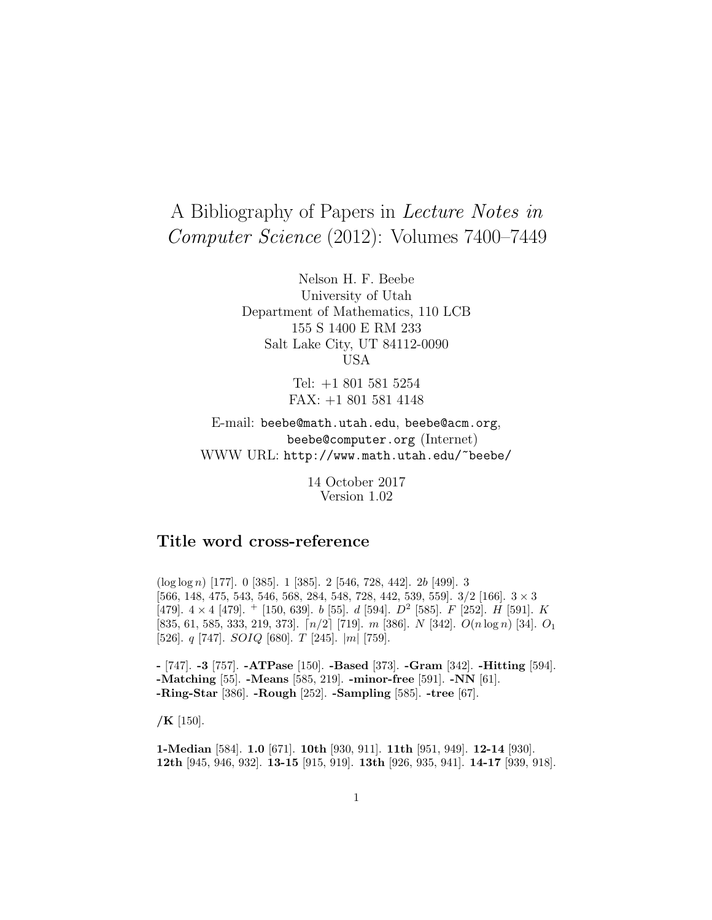# A Bibliography of Papers in Lecture Notes in Computer Science (2012): Volumes 7400–7449

Nelson H. F. Beebe University of Utah Department of Mathematics, 110 LCB 155 S 1400 E RM 233 Salt Lake City, UT 84112-0090 USA

> Tel: +1 801 581 5254 FAX: +1 801 581 4148

E-mail: beebe@math.utah.edu, beebe@acm.org, beebe@computer.org (Internet) WWW URL: http://www.math.utah.edu/~beebe/

> 14 October 2017 Version 1.02

# **Title word cross-reference**

(log log n) [177]. 0 [385]. 1 [385]. 2 [546, 728, 442]. 2b [499]. 3 [566, 148, 475, 543, 546, 568, 284, 548, 728, 442, 539, 559]. 3/2 [166]. 3 × 3 [479].  $4 \times 4$  [479].  $+$  [150, 639]. b [55]. d [594].  $D^2$  [585]. F [252]. H [591]. K [835, 61, 585, 333, 219, 373].  $\lceil n/2 \rceil$  [719]. m [386]. N [342].  $O(n \log n)$  [34].  $O_1$ [526]. q [747]. SOIQ [680]. T [245]. |m| [759].

**-** [747]. **-3** [757]. **-ATPase** [150]. **-Based** [373]. **-Gram** [342]. **-Hitting** [594]. **-Matching** [55]. **-Means** [585, 219]. **-minor-free** [591]. **-NN** [61]. **-Ring-Star** [386]. **-Rough** [252]. **-Sampling** [585]. **-tree** [67].

**/K** [150].

**1-Median** [584]. **1.0** [671]. **10th** [930, 911]. **11th** [951, 949]. **12-14** [930]. **12th** [945, 946, 932]. **13-15** [915, 919]. **13th** [926, 935, 941]. **14-17** [939, 918].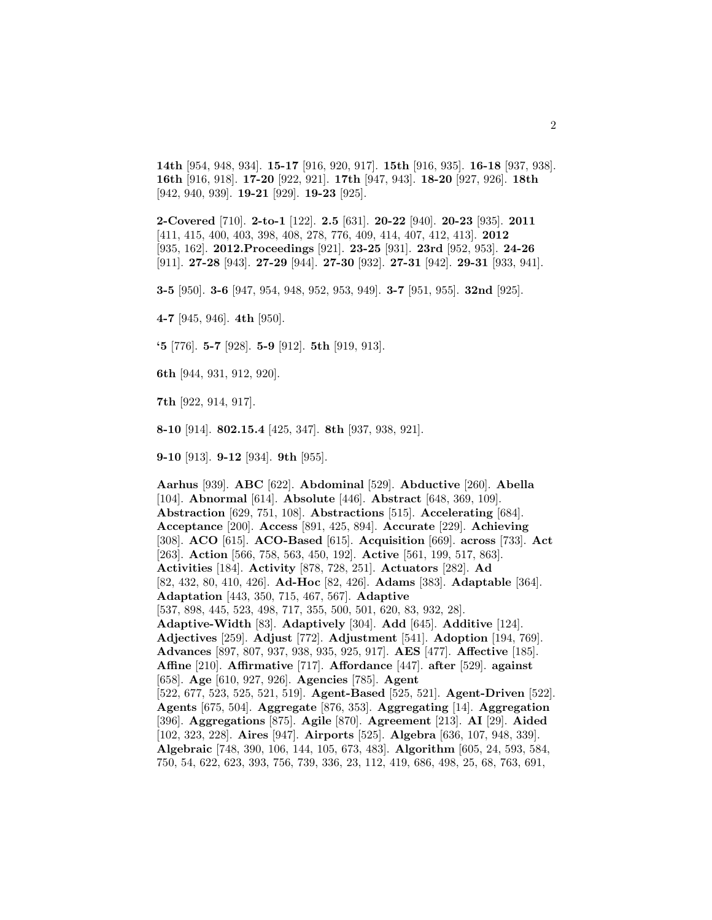**14th** [954, 948, 934]. **15-17** [916, 920, 917]. **15th** [916, 935]. **16-18** [937, 938]. **16th** [916, 918]. **17-20** [922, 921]. **17th** [947, 943]. **18-20** [927, 926]. **18th** [942, 940, 939]. **19-21** [929]. **19-23** [925].

**2-Covered** [710]. **2-to-1** [122]. **2.5** [631]. **20-22** [940]. **20-23** [935]. **2011** [411, 415, 400, 403, 398, 408, 278, 776, 409, 414, 407, 412, 413]. **2012** [935, 162]. **2012.Proceedings** [921]. **23-25** [931]. **23rd** [952, 953]. **24-26** [911]. **27-28** [943]. **27-29** [944]. **27-30** [932]. **27-31** [942]. **29-31** [933, 941].

**3-5** [950]. **3-6** [947, 954, 948, 952, 953, 949]. **3-7** [951, 955]. **32nd** [925].

**4-7** [945, 946]. **4th** [950].

**'5** [776]. **5-7** [928]. **5-9** [912]. **5th** [919, 913].

**6th** [944, 931, 912, 920].

**7th** [922, 914, 917].

**8-10** [914]. **802.15.4** [425, 347]. **8th** [937, 938, 921].

**9-10** [913]. **9-12** [934]. **9th** [955].

**Aarhus** [939]. **ABC** [622]. **Abdominal** [529]. **Abductive** [260]. **Abella** [104]. **Abnormal** [614]. **Absolute** [446]. **Abstract** [648, 369, 109]. **Abstraction** [629, 751, 108]. **Abstractions** [515]. **Accelerating** [684]. **Acceptance** [200]. **Access** [891, 425, 894]. **Accurate** [229]. **Achieving** [308]. **ACO** [615]. **ACO-Based** [615]. **Acquisition** [669]. **across** [733]. **Act** [263]. **Action** [566, 758, 563, 450, 192]. **Active** [561, 199, 517, 863]. **Activities** [184]. **Activity** [878, 728, 251]. **Actuators** [282]. **Ad** [82, 432, 80, 410, 426]. **Ad-Hoc** [82, 426]. **Adams** [383]. **Adaptable** [364]. **Adaptation** [443, 350, 715, 467, 567]. **Adaptive** [537, 898, 445, 523, 498, 717, 355, 500, 501, 620, 83, 932, 28]. **Adaptive-Width** [83]. **Adaptively** [304]. **Add** [645]. **Additive** [124]. **Adjectives** [259]. **Adjust** [772]. **Adjustment** [541]. **Adoption** [194, 769]. **Advances** [897, 807, 937, 938, 935, 925, 917]. **AES** [477]. **Affective** [185]. **Affine** [210]. **Affirmative** [717]. **Affordance** [447]. **after** [529]. **against** [658]. **Age** [610, 927, 926]. **Agencies** [785]. **Agent** [522, 677, 523, 525, 521, 519]. **Agent-Based** [525, 521]. **Agent-Driven** [522]. **Agents** [675, 504]. **Aggregate** [876, 353]. **Aggregating** [14]. **Aggregation** [396]. **Aggregations** [875]. **Agile** [870]. **Agreement** [213]. **AI** [29]. **Aided** [102, 323, 228]. **Aires** [947]. **Airports** [525]. **Algebra** [636, 107, 948, 339]. **Algebraic** [748, 390, 106, 144, 105, 673, 483]. **Algorithm** [605, 24, 593, 584, 750, 54, 622, 623, 393, 756, 739, 336, 23, 112, 419, 686, 498, 25, 68, 763, 691,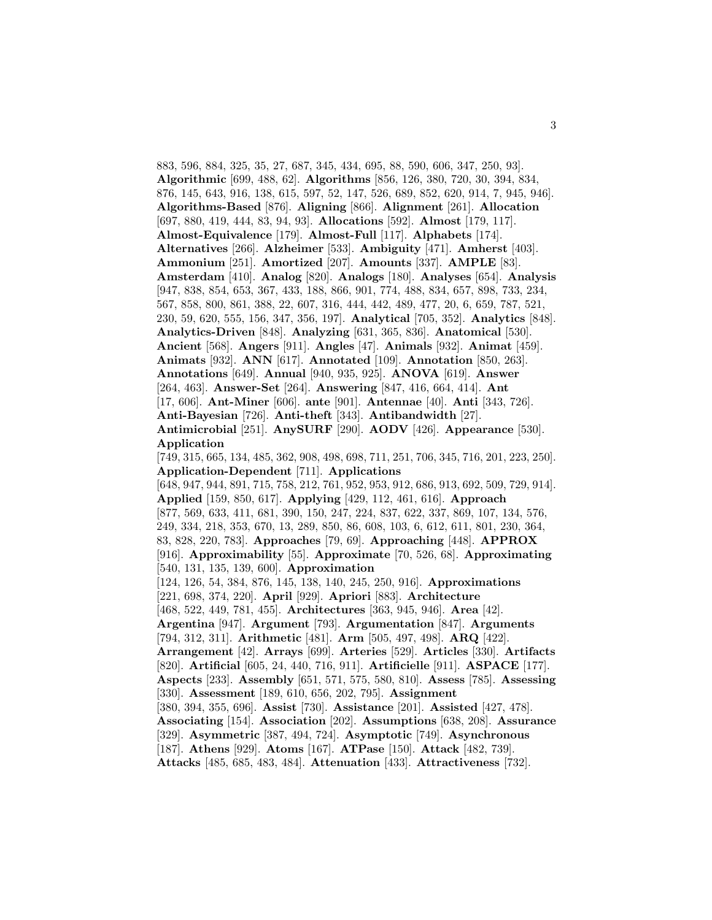883, 596, 884, 325, 35, 27, 687, 345, 434, 695, 88, 590, 606, 347, 250, 93]. **Algorithmic** [699, 488, 62]. **Algorithms** [856, 126, 380, 720, 30, 394, 834, 876, 145, 643, 916, 138, 615, 597, 52, 147, 526, 689, 852, 620, 914, 7, 945, 946]. **Algorithms-Based** [876]. **Aligning** [866]. **Alignment** [261]. **Allocation** [697, 880, 419, 444, 83, 94, 93]. **Allocations** [592]. **Almost** [179, 117]. **Almost-Equivalence** [179]. **Almost-Full** [117]. **Alphabets** [174]. **Alternatives** [266]. **Alzheimer** [533]. **Ambiguity** [471]. **Amherst** [403]. **Ammonium** [251]. **Amortized** [207]. **Amounts** [337]. **AMPLE** [83]. **Amsterdam** [410]. **Analog** [820]. **Analogs** [180]. **Analyses** [654]. **Analysis** [947, 838, 854, 653, 367, 433, 188, 866, 901, 774, 488, 834, 657, 898, 733, 234, 567, 858, 800, 861, 388, 22, 607, 316, 444, 442, 489, 477, 20, 6, 659, 787, 521, 230, 59, 620, 555, 156, 347, 356, 197]. **Analytical** [705, 352]. **Analytics** [848]. **Analytics-Driven** [848]. **Analyzing** [631, 365, 836]. **Anatomical** [530]. **Ancient** [568]. **Angers** [911]. **Angles** [47]. **Animals** [932]. **Animat** [459]. **Animats** [932]. **ANN** [617]. **Annotated** [109]. **Annotation** [850, 263]. **Annotations** [649]. **Annual** [940, 935, 925]. **ANOVA** [619]. **Answer** [264, 463]. **Answer-Set** [264]. **Answering** [847, 416, 664, 414]. **Ant** [17, 606]. **Ant-Miner** [606]. **ante** [901]. **Antennae** [40]. **Anti** [343, 726]. **Anti-Bayesian** [726]. **Anti-theft** [343]. **Antibandwidth** [27]. **Antimicrobial** [251]. **AnySURF** [290]. **AODV** [426]. **Appearance** [530]. **Application** [749, 315, 665, 134, 485, 362, 908, 498, 698, 711, 251, 706, 345, 716, 201, 223, 250]. **Application-Dependent** [711]. **Applications** [648, 947, 944, 891, 715, 758, 212, 761, 952, 953, 912, 686, 913, 692, 509, 729, 914]. **Applied** [159, 850, 617]. **Applying** [429, 112, 461, 616]. **Approach** [877, 569, 633, 411, 681, 390, 150, 247, 224, 837, 622, 337, 869, 107, 134, 576, 249, 334, 218, 353, 670, 13, 289, 850, 86, 608, 103, 6, 612, 611, 801, 230, 364, 83, 828, 220, 783]. **Approaches** [79, 69]. **Approaching** [448]. **APPROX** [916]. **Approximability** [55]. **Approximate** [70, 526, 68]. **Approximating** [540, 131, 135, 139, 600]. **Approximation** [124, 126, 54, 384, 876, 145, 138, 140, 245, 250, 916]. **Approximations** [221, 698, 374, 220]. **April** [929]. **Apriori** [883]. **Architecture** [468, 522, 449, 781, 455]. **Architectures** [363, 945, 946]. **Area** [42]. **Argentina** [947]. **Argument** [793]. **Argumentation** [847]. **Arguments** [794, 312, 311]. **Arithmetic** [481]. **Arm** [505, 497, 498]. **ARQ** [422]. **Arrangement** [42]. **Arrays** [699]. **Arteries** [529]. **Articles** [330]. **Artifacts** [820]. **Artificial** [605, 24, 440, 716, 911]. **Artificielle** [911]. **ASPACE** [177]. **Aspects** [233]. **Assembly** [651, 571, 575, 580, 810]. **Assess** [785]. **Assessing** [330]. **Assessment** [189, 610, 656, 202, 795]. **Assignment** [380, 394, 355, 696]. **Assist** [730]. **Assistance** [201]. **Assisted** [427, 478]. **Associating** [154]. **Association** [202]. **Assumptions** [638, 208]. **Assurance** [329]. **Asymmetric** [387, 494, 724]. **Asymptotic** [749]. **Asynchronous** [187]. **Athens** [929]. **Atoms** [167]. **ATPase** [150]. **Attack** [482, 739]. **Attacks** [485, 685, 483, 484]. **Attenuation** [433]. **Attractiveness** [732].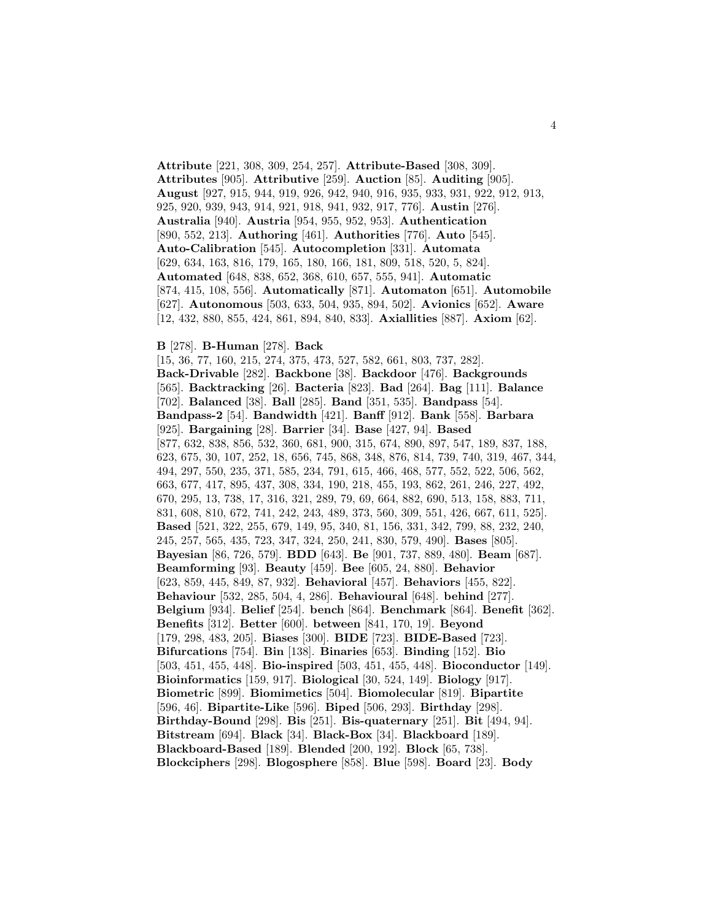**Attribute** [221, 308, 309, 254, 257]. **Attribute-Based** [308, 309]. **Attributes** [905]. **Attributive** [259]. **Auction** [85]. **Auditing** [905]. **August** [927, 915, 944, 919, 926, 942, 940, 916, 935, 933, 931, 922, 912, 913, 925, 920, 939, 943, 914, 921, 918, 941, 932, 917, 776]. **Austin** [276]. **Australia** [940]. **Austria** [954, 955, 952, 953]. **Authentication** [890, 552, 213]. **Authoring** [461]. **Authorities** [776]. **Auto** [545]. **Auto-Calibration** [545]. **Autocompletion** [331]. **Automata** [629, 634, 163, 816, 179, 165, 180, 166, 181, 809, 518, 520, 5, 824]. **Automated** [648, 838, 652, 368, 610, 657, 555, 941]. **Automatic** [874, 415, 108, 556]. **Automatically** [871]. **Automaton** [651]. **Automobile** [627]. **Autonomous** [503, 633, 504, 935, 894, 502]. **Avionics** [652]. **Aware** [12, 432, 880, 855, 424, 861, 894, 840, 833]. **Axiallities** [887]. **Axiom** [62].

#### **B** [278]. **B-Human** [278]. **Back**

[15, 36, 77, 160, 215, 274, 375, 473, 527, 582, 661, 803, 737, 282]. **Back-Drivable** [282]. **Backbone** [38]. **Backdoor** [476]. **Backgrounds** [565]. **Backtracking** [26]. **Bacteria** [823]. **Bad** [264]. **Bag** [111]. **Balance** [702]. **Balanced** [38]. **Ball** [285]. **Band** [351, 535]. **Bandpass** [54]. **Bandpass-2** [54]. **Bandwidth** [421]. **Banff** [912]. **Bank** [558]. **Barbara** [925]. **Bargaining** [28]. **Barrier** [34]. **Base** [427, 94]. **Based** [877, 632, 838, 856, 532, 360, 681, 900, 315, 674, 890, 897, 547, 189, 837, 188, 623, 675, 30, 107, 252, 18, 656, 745, 868, 348, 876, 814, 739, 740, 319, 467, 344, 494, 297, 550, 235, 371, 585, 234, 791, 615, 466, 468, 577, 552, 522, 506, 562, 663, 677, 417, 895, 437, 308, 334, 190, 218, 455, 193, 862, 261, 246, 227, 492, 670, 295, 13, 738, 17, 316, 321, 289, 79, 69, 664, 882, 690, 513, 158, 883, 711, 831, 608, 810, 672, 741, 242, 243, 489, 373, 560, 309, 551, 426, 667, 611, 525]. **Based** [521, 322, 255, 679, 149, 95, 340, 81, 156, 331, 342, 799, 88, 232, 240, 245, 257, 565, 435, 723, 347, 324, 250, 241, 830, 579, 490]. **Bases** [805]. **Bayesian** [86, 726, 579]. **BDD** [643]. **Be** [901, 737, 889, 480]. **Beam** [687]. **Beamforming** [93]. **Beauty** [459]. **Bee** [605, 24, 880]. **Behavior** [623, 859, 445, 849, 87, 932]. **Behavioral** [457]. **Behaviors** [455, 822]. **Behaviour** [532, 285, 504, 4, 286]. **Behavioural** [648]. **behind** [277]. **Belgium** [934]. **Belief** [254]. **bench** [864]. **Benchmark** [864]. **Benefit** [362]. **Benefits** [312]. **Better** [600]. **between** [841, 170, 19]. **Beyond** [179, 298, 483, 205]. **Biases** [300]. **BIDE** [723]. **BIDE-Based** [723]. **Bifurcations** [754]. **Bin** [138]. **Binaries** [653]. **Binding** [152]. **Bio** [503, 451, 455, 448]. **Bio-inspired** [503, 451, 455, 448]. **Bioconductor** [149]. **Bioinformatics** [159, 917]. **Biological** [30, 524, 149]. **Biology** [917]. **Biometric** [899]. **Biomimetics** [504]. **Biomolecular** [819]. **Bipartite** [596, 46]. **Bipartite-Like** [596]. **Biped** [506, 293]. **Birthday** [298]. **Birthday-Bound** [298]. **Bis** [251]. **Bis-quaternary** [251]. **Bit** [494, 94]. **Bitstream** [694]. **Black** [34]. **Black-Box** [34]. **Blackboard** [189]. **Blackboard-Based** [189]. **Blended** [200, 192]. **Block** [65, 738]. **Blockciphers** [298]. **Blogosphere** [858]. **Blue** [598]. **Board** [23]. **Body**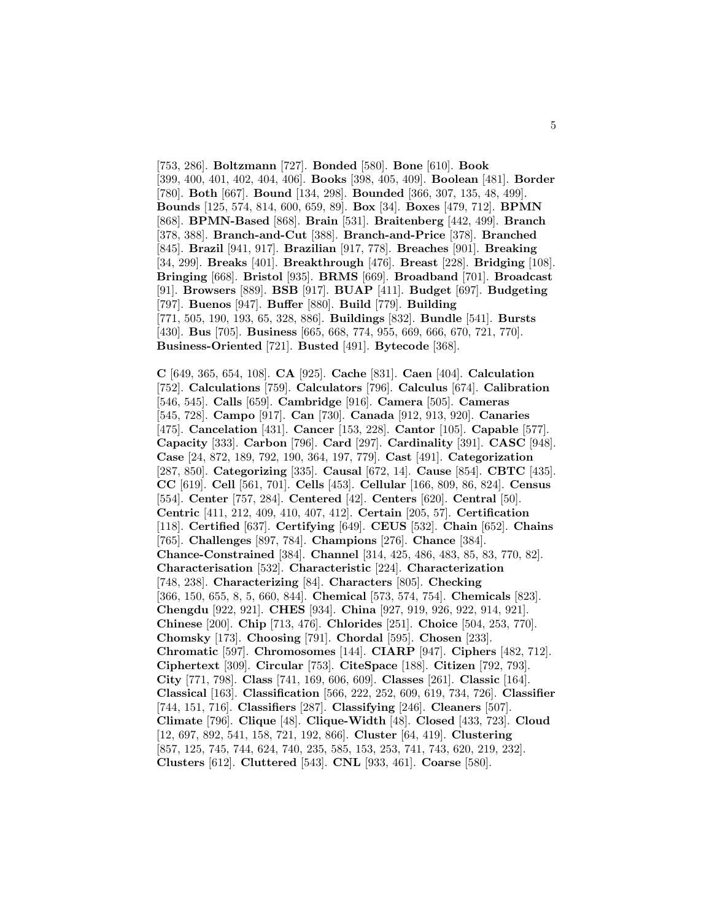[753, 286]. **Boltzmann** [727]. **Bonded** [580]. **Bone** [610]. **Book** [399, 400, 401, 402, 404, 406]. **Books** [398, 405, 409]. **Boolean** [481]. **Border** [780]. **Both** [667]. **Bound** [134, 298]. **Bounded** [366, 307, 135, 48, 499]. **Bounds** [125, 574, 814, 600, 659, 89]. **Box** [34]. **Boxes** [479, 712]. **BPMN** [868]. **BPMN-Based** [868]. **Brain** [531]. **Braitenberg** [442, 499]. **Branch** [378, 388]. **Branch-and-Cut** [388]. **Branch-and-Price** [378]. **Branched** [845]. **Brazil** [941, 917]. **Brazilian** [917, 778]. **Breaches** [901]. **Breaking** [34, 299]. **Breaks** [401]. **Breakthrough** [476]. **Breast** [228]. **Bridging** [108]. **Bringing** [668]. **Bristol** [935]. **BRMS** [669]. **Broadband** [701]. **Broadcast** [91]. **Browsers** [889]. **BSB** [917]. **BUAP** [411]. **Budget** [697]. **Budgeting** [797]. **Buenos** [947]. **Buffer** [880]. **Build** [779]. **Building** [771, 505, 190, 193, 65, 328, 886]. **Buildings** [832]. **Bundle** [541]. **Bursts** [430]. **Bus** [705]. **Business** [665, 668, 774, 955, 669, 666, 670, 721, 770]. **Business-Oriented** [721]. **Busted** [491]. **Bytecode** [368].

**C** [649, 365, 654, 108]. **CA** [925]. **Cache** [831]. **Caen** [404]. **Calculation** [752]. **Calculations** [759]. **Calculators** [796]. **Calculus** [674]. **Calibration** [546, 545]. **Calls** [659]. **Cambridge** [916]. **Camera** [505]. **Cameras** [545, 728]. **Campo** [917]. **Can** [730]. **Canada** [912, 913, 920]. **Canaries** [475]. **Cancelation** [431]. **Cancer** [153, 228]. **Cantor** [105]. **Capable** [577]. **Capacity** [333]. **Carbon** [796]. **Card** [297]. **Cardinality** [391]. **CASC** [948]. **Case** [24, 872, 189, 792, 190, 364, 197, 779]. **Cast** [491]. **Categorization** [287, 850]. **Categorizing** [335]. **Causal** [672, 14]. **Cause** [854]. **CBTC** [435]. **CC** [619]. **Cell** [561, 701]. **Cells** [453]. **Cellular** [166, 809, 86, 824]. **Census** [554]. **Center** [757, 284]. **Centered** [42]. **Centers** [620]. **Central** [50]. **Centric** [411, 212, 409, 410, 407, 412]. **Certain** [205, 57]. **Certification** [118]. **Certified** [637]. **Certifying** [649]. **CEUS** [532]. **Chain** [652]. **Chains** [765]. **Challenges** [897, 784]. **Champions** [276]. **Chance** [384]. **Chance-Constrained** [384]. **Channel** [314, 425, 486, 483, 85, 83, 770, 82]. **Characterisation** [532]. **Characteristic** [224]. **Characterization** [748, 238]. **Characterizing** [84]. **Characters** [805]. **Checking** [366, 150, 655, 8, 5, 660, 844]. **Chemical** [573, 574, 754]. **Chemicals** [823]. **Chengdu** [922, 921]. **CHES** [934]. **China** [927, 919, 926, 922, 914, 921]. **Chinese** [200]. **Chip** [713, 476]. **Chlorides** [251]. **Choice** [504, 253, 770]. **Chomsky** [173]. **Choosing** [791]. **Chordal** [595]. **Chosen** [233]. **Chromatic** [597]. **Chromosomes** [144]. **CIARP** [947]. **Ciphers** [482, 712]. **Ciphertext** [309]. **Circular** [753]. **CiteSpace** [188]. **Citizen** [792, 793]. **City** [771, 798]. **Class** [741, 169, 606, 609]. **Classes** [261]. **Classic** [164]. **Classical** [163]. **Classification** [566, 222, 252, 609, 619, 734, 726]. **Classifier** [744, 151, 716]. **Classifiers** [287]. **Classifying** [246]. **Cleaners** [507]. **Climate** [796]. **Clique** [48]. **Clique-Width** [48]. **Closed** [433, 723]. **Cloud** [12, 697, 892, 541, 158, 721, 192, 866]. **Cluster** [64, 419]. **Clustering** [857, 125, 745, 744, 624, 740, 235, 585, 153, 253, 741, 743, 620, 219, 232]. **Clusters** [612]. **Cluttered** [543]. **CNL** [933, 461]. **Coarse** [580].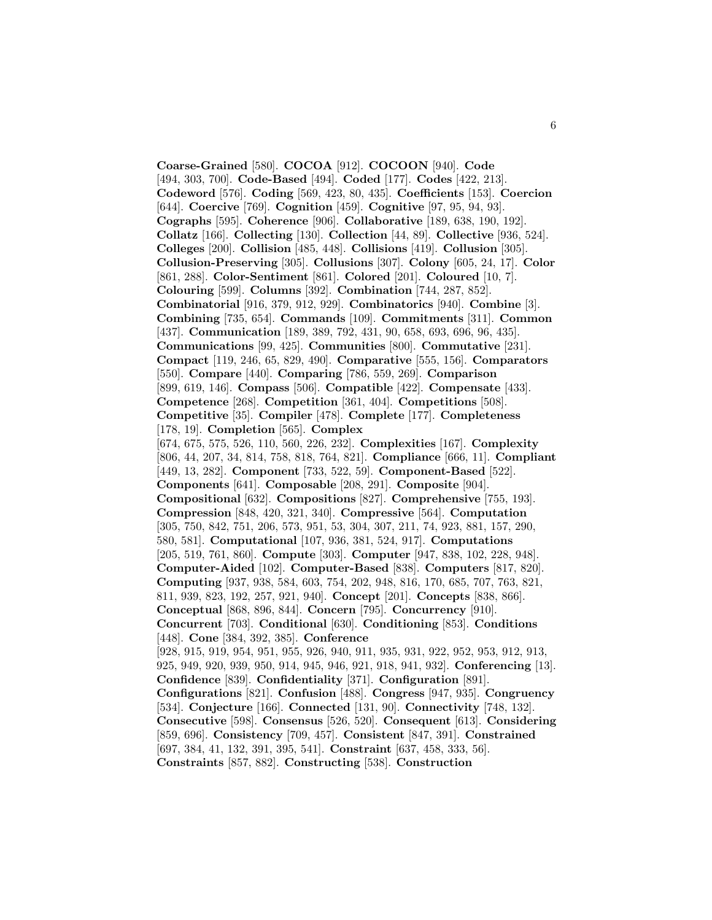**Coarse-Grained** [580]. **COCOA** [912]. **COCOON** [940]. **Code** [494, 303, 700]. **Code-Based** [494]. **Coded** [177]. **Codes** [422, 213]. **Codeword** [576]. **Coding** [569, 423, 80, 435]. **Coefficients** [153]. **Coercion** [644]. **Coercive** [769]. **Cognition** [459]. **Cognitive** [97, 95, 94, 93]. **Cographs** [595]. **Coherence** [906]. **Collaborative** [189, 638, 190, 192]. **Collatz** [166]. **Collecting** [130]. **Collection** [44, 89]. **Collective** [936, 524]. **Colleges** [200]. **Collision** [485, 448]. **Collisions** [419]. **Collusion** [305]. **Collusion-Preserving** [305]. **Collusions** [307]. **Colony** [605, 24, 17]. **Color** [861, 288]. **Color-Sentiment** [861]. **Colored** [201]. **Coloured** [10, 7]. **Colouring** [599]. **Columns** [392]. **Combination** [744, 287, 852]. **Combinatorial** [916, 379, 912, 929]. **Combinatorics** [940]. **Combine** [3]. **Combining** [735, 654]. **Commands** [109]. **Commitments** [311]. **Common** [437]. **Communication** [189, 389, 792, 431, 90, 658, 693, 696, 96, 435]. **Communications** [99, 425]. **Communities** [800]. **Commutative** [231]. **Compact** [119, 246, 65, 829, 490]. **Comparative** [555, 156]. **Comparators** [550]. **Compare** [440]. **Comparing** [786, 559, 269]. **Comparison** [899, 619, 146]. **Compass** [506]. **Compatible** [422]. **Compensate** [433]. **Competence** [268]. **Competition** [361, 404]. **Competitions** [508]. **Competitive** [35]. **Compiler** [478]. **Complete** [177]. **Completeness** [178, 19]. **Completion** [565]. **Complex** [674, 675, 575, 526, 110, 560, 226, 232]. **Complexities** [167]. **Complexity** [806, 44, 207, 34, 814, 758, 818, 764, 821]. **Compliance** [666, 11]. **Compliant** [449, 13, 282]. **Component** [733, 522, 59]. **Component-Based** [522]. **Components** [641]. **Composable** [208, 291]. **Composite** [904]. **Compositional** [632]. **Compositions** [827]. **Comprehensive** [755, 193]. **Compression** [848, 420, 321, 340]. **Compressive** [564]. **Computation** [305, 750, 842, 751, 206, 573, 951, 53, 304, 307, 211, 74, 923, 881, 157, 290, 580, 581]. **Computational** [107, 936, 381, 524, 917]. **Computations** [205, 519, 761, 860]. **Compute** [303]. **Computer** [947, 838, 102, 228, 948]. **Computer-Aided** [102]. **Computer-Based** [838]. **Computers** [817, 820]. **Computing** [937, 938, 584, 603, 754, 202, 948, 816, 170, 685, 707, 763, 821, 811, 939, 823, 192, 257, 921, 940]. **Concept** [201]. **Concepts** [838, 866]. **Conceptual** [868, 896, 844]. **Concern** [795]. **Concurrency** [910]. **Concurrent** [703]. **Conditional** [630]. **Conditioning** [853]. **Conditions** [448]. **Cone** [384, 392, 385]. **Conference** [928, 915, 919, 954, 951, 955, 926, 940, 911, 935, 931, 922, 952, 953, 912, 913, 925, 949, 920, 939, 950, 914, 945, 946, 921, 918, 941, 932]. **Conferencing** [13]. **Confidence** [839]. **Confidentiality** [371]. **Configuration** [891]. **Configurations** [821]. **Confusion** [488]. **Congress** [947, 935]. **Congruency** [534]. **Conjecture** [166]. **Connected** [131, 90]. **Connectivity** [748, 132]. **Consecutive** [598]. **Consensus** [526, 520]. **Consequent** [613]. **Considering** [859, 696]. **Consistency** [709, 457]. **Consistent** [847, 391]. **Constrained** [697, 384, 41, 132, 391, 395, 541]. **Constraint** [637, 458, 333, 56]. **Constraints** [857, 882]. **Constructing** [538]. **Construction**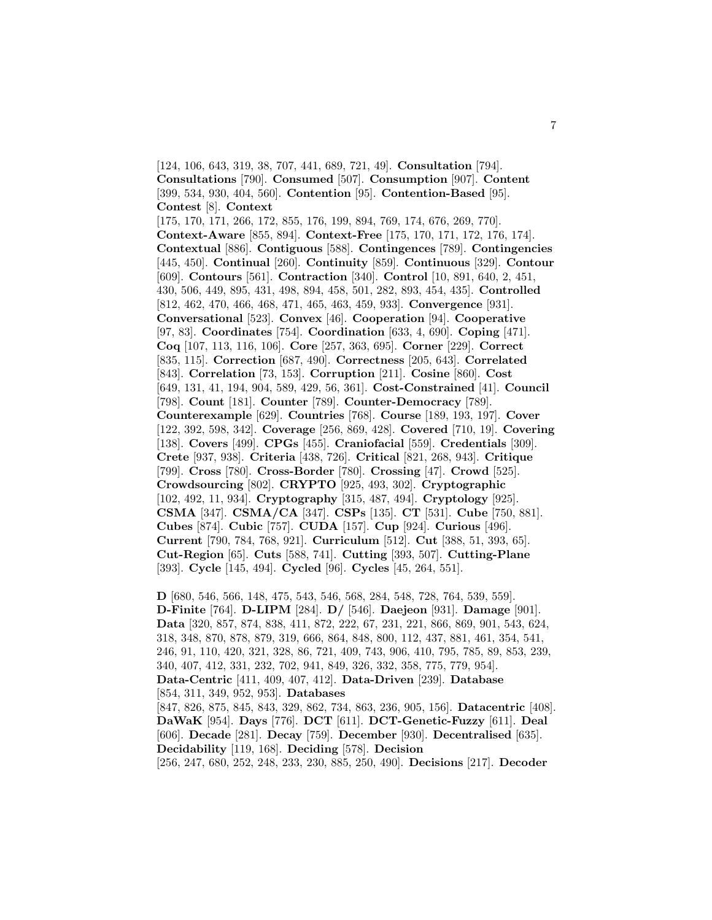[124, 106, 643, 319, 38, 707, 441, 689, 721, 49]. **Consultation** [794]. **Consultations** [790]. **Consumed** [507]. **Consumption** [907]. **Content** [399, 534, 930, 404, 560]. **Contention** [95]. **Contention-Based** [95]. **Contest** [8]. **Context** [175, 170, 171, 266, 172, 855, 176, 199, 894, 769, 174, 676, 269, 770]. **Context-Aware** [855, 894]. **Context-Free** [175, 170, 171, 172, 176, 174]. **Contextual** [886]. **Contiguous** [588]. **Contingences** [789]. **Contingencies** [445, 450]. **Continual** [260]. **Continuity** [859]. **Continuous** [329]. **Contour** [609]. **Contours** [561]. **Contraction** [340]. **Control** [10, 891, 640, 2, 451, 430, 506, 449, 895, 431, 498, 894, 458, 501, 282, 893, 454, 435]. **Controlled** [812, 462, 470, 466, 468, 471, 465, 463, 459, 933]. **Convergence** [931]. **Conversational** [523]. **Convex** [46]. **Cooperation** [94]. **Cooperative** [97, 83]. **Coordinates** [754]. **Coordination** [633, 4, 690]. **Coping** [471]. **Coq** [107, 113, 116, 106]. **Core** [257, 363, 695]. **Corner** [229]. **Correct** [835, 115]. **Correction** [687, 490]. **Correctness** [205, 643]. **Correlated** [843]. **Correlation** [73, 153]. **Corruption** [211]. **Cosine** [860]. **Cost** [649, 131, 41, 194, 904, 589, 429, 56, 361]. **Cost-Constrained** [41]. **Council** [798]. **Count** [181]. **Counter** [789]. **Counter-Democracy** [789]. **Counterexample** [629]. **Countries** [768]. **Course** [189, 193, 197]. **Cover** [122, 392, 598, 342]. **Coverage** [256, 869, 428]. **Covered** [710, 19]. **Covering** [138]. **Covers** [499]. **CPGs** [455]. **Craniofacial** [559]. **Credentials** [309]. **Crete** [937, 938]. **Criteria** [438, 726]. **Critical** [821, 268, 943]. **Critique** [799]. **Cross** [780]. **Cross-Border** [780]. **Crossing** [47]. **Crowd** [525]. **Crowdsourcing** [802]. **CRYPTO** [925, 493, 302]. **Cryptographic** [102, 492, 11, 934]. **Cryptography** [315, 487, 494]. **Cryptology** [925]. **CSMA** [347]. **CSMA/CA** [347]. **CSPs** [135]. **CT** [531]. **Cube** [750, 881]. **Cubes** [874]. **Cubic** [757]. **CUDA** [157]. **Cup** [924]. **Curious** [496]. **Current** [790, 784, 768, 921]. **Curriculum** [512]. **Cut** [388, 51, 393, 65]. **Cut-Region** [65]. **Cuts** [588, 741]. **Cutting** [393, 507]. **Cutting-Plane** [393]. **Cycle** [145, 494]. **Cycled** [96]. **Cycles** [45, 264, 551].

**D** [680, 546, 566, 148, 475, 543, 546, 568, 284, 548, 728, 764, 539, 559]. **D-Finite** [764]. **D-LIPM** [284]. **D/** [546]. **Daejeon** [931]. **Damage** [901]. **Data** [320, 857, 874, 838, 411, 872, 222, 67, 231, 221, 866, 869, 901, 543, 624, 318, 348, 870, 878, 879, 319, 666, 864, 848, 800, 112, 437, 881, 461, 354, 541, 246, 91, 110, 420, 321, 328, 86, 721, 409, 743, 906, 410, 795, 785, 89, 853, 239, 340, 407, 412, 331, 232, 702, 941, 849, 326, 332, 358, 775, 779, 954]. **Data-Centric** [411, 409, 407, 412]. **Data-Driven** [239]. **Database** [854, 311, 349, 952, 953]. **Databases** [847, 826, 875, 845, 843, 329, 862, 734, 863, 236, 905, 156]. **Datacentric** [408]. **DaWaK** [954]. **Days** [776]. **DCT** [611]. **DCT-Genetic-Fuzzy** [611]. **Deal** [606]. **Decade** [281]. **Decay** [759]. **December** [930]. **Decentralised** [635]. **Decidability** [119, 168]. **Deciding** [578]. **Decision** [256, 247, 680, 252, 248, 233, 230, 885, 250, 490]. **Decisions** [217]. **Decoder**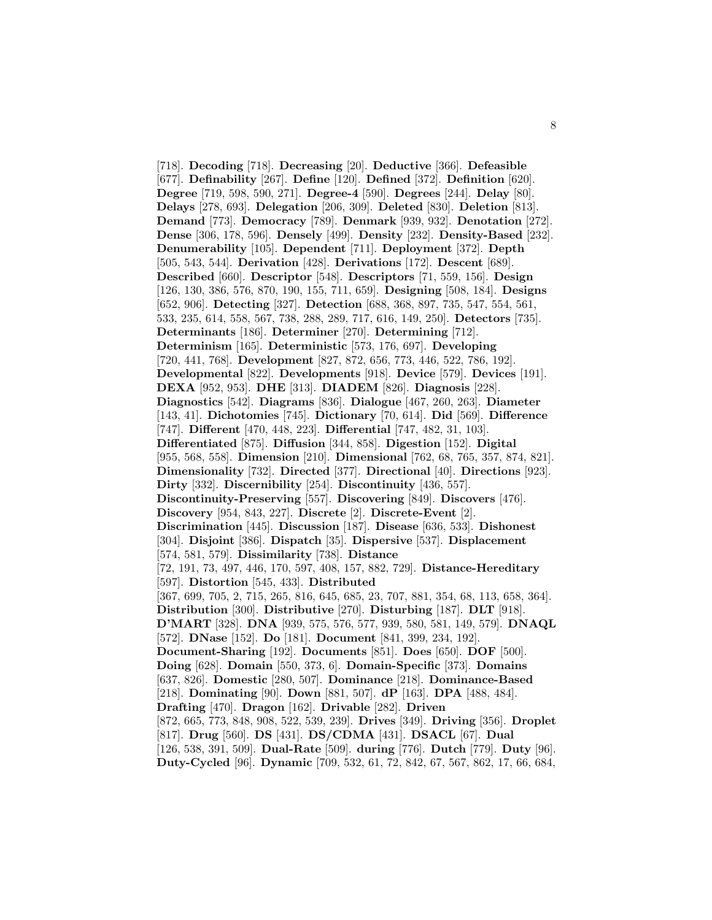[718]. **Decoding** [718]. **Decreasing** [20]. **Deductive** [366]. **Defeasible** [677]. **Definability** [267]. **Define** [120]. **Defined** [372]. **Definition** [620]. **Degree** [719, 598, 590, 271]. **Degree-4** [590]. **Degrees** [244]. **Delay** [80]. **Delays** [278, 693]. **Delegation** [206, 309]. **Deleted** [830]. **Deletion** [813]. **Demand** [773]. **Democracy** [789]. **Denmark** [939, 932]. **Denotation** [272]. **Dense** [306, 178, 596]. **Densely** [499]. **Density** [232]. **Density-Based** [232]. **Denumerability** [105]. **Dependent** [711]. **Deployment** [372]. **Depth** [505, 543, 544]. **Derivation** [428]. **Derivations** [172]. **Descent** [689]. **Described** [660]. **Descriptor** [548]. **Descriptors** [71, 559, 156]. **Design** [126, 130, 386, 576, 870, 190, 155, 711, 659]. **Designing** [508, 184]. **Designs** [652, 906]. **Detecting** [327]. **Detection** [688, 368, 897, 735, 547, 554, 561, 533, 235, 614, 558, 567, 738, 288, 289, 717, 616, 149, 250]. **Detectors** [735]. **Determinants** [186]. **Determiner** [270]. **Determining** [712]. **Determinism** [165]. **Deterministic** [573, 176, 697]. **Developing** [720, 441, 768]. **Development** [827, 872, 656, 773, 446, 522, 786, 192]. **Developmental** [822]. **Developments** [918]. **Device** [579]. **Devices** [191]. **DEXA** [952, 953]. **DHE** [313]. **DIADEM** [826]. **Diagnosis** [228]. **Diagnostics** [542]. **Diagrams** [836]. **Dialogue** [467, 260, 263]. **Diameter** [143, 41]. **Dichotomies** [745]. **Dictionary** [70, 614]. **Did** [569]. **Difference** [747]. **Different** [470, 448, 223]. **Differential** [747, 482, 31, 103]. **Differentiated** [875]. **Diffusion** [344, 858]. **Digestion** [152]. **Digital** [955, 568, 558]. **Dimension** [210]. **Dimensional** [762, 68, 765, 357, 874, 821]. **Dimensionality** [732]. **Directed** [377]. **Directional** [40]. **Directions** [923]. **Dirty** [332]. **Discernibility** [254]. **Discontinuity** [436, 557]. **Discontinuity-Preserving** [557]. **Discovering** [849]. **Discovers** [476]. **Discovery** [954, 843, 227]. **Discrete** [2]. **Discrete-Event** [2]. **Discrimination** [445]. **Discussion** [187]. **Disease** [636, 533]. **Dishonest** [304]. **Disjoint** [386]. **Dispatch** [35]. **Dispersive** [537]. **Displacement** [574, 581, 579]. **Dissimilarity** [738]. **Distance** [72, 191, 73, 497, 446, 170, 597, 408, 157, 882, 729]. **Distance-Hereditary** [597]. **Distortion** [545, 433]. **Distributed** [367, 699, 705, 2, 715, 265, 816, 645, 685, 23, 707, 881, 354, 68, 113, 658, 364]. **Distribution** [300]. **Distributive** [270]. **Disturbing** [187]. **DLT** [918]. **D'MART** [328]. **DNA** [939, 575, 576, 577, 939, 580, 581, 149, 579]. **DNAQL** [572]. **DNase** [152]. **Do** [181]. **Document** [841, 399, 234, 192]. **Document-Sharing** [192]. **Documents** [851]. **Does** [650]. **DOF** [500]. **Doing** [628]. **Domain** [550, 373, 6]. **Domain-Specific** [373]. **Domains** [637, 826]. **Domestic** [280, 507]. **Dominance** [218]. **Dominance-Based** [218]. **Dominating** [90]. **Down** [881, 507]. **dP** [163]. **DPA** [488, 484]. **Drafting** [470]. **Dragon** [162]. **Drivable** [282]. **Driven** [872, 665, 773, 848, 908, 522, 539, 239]. **Drives** [349]. **Driving** [356]. **Droplet** [817]. **Drug** [560]. **DS** [431]. **DS/CDMA** [431]. **DSACL** [67]. **Dual** [126, 538, 391, 509]. **Dual-Rate** [509]. **during** [776]. **Dutch** [779]. **Duty** [96]. **Duty-Cycled** [96]. **Dynamic** [709, 532, 61, 72, 842, 67, 567, 862, 17, 66, 684,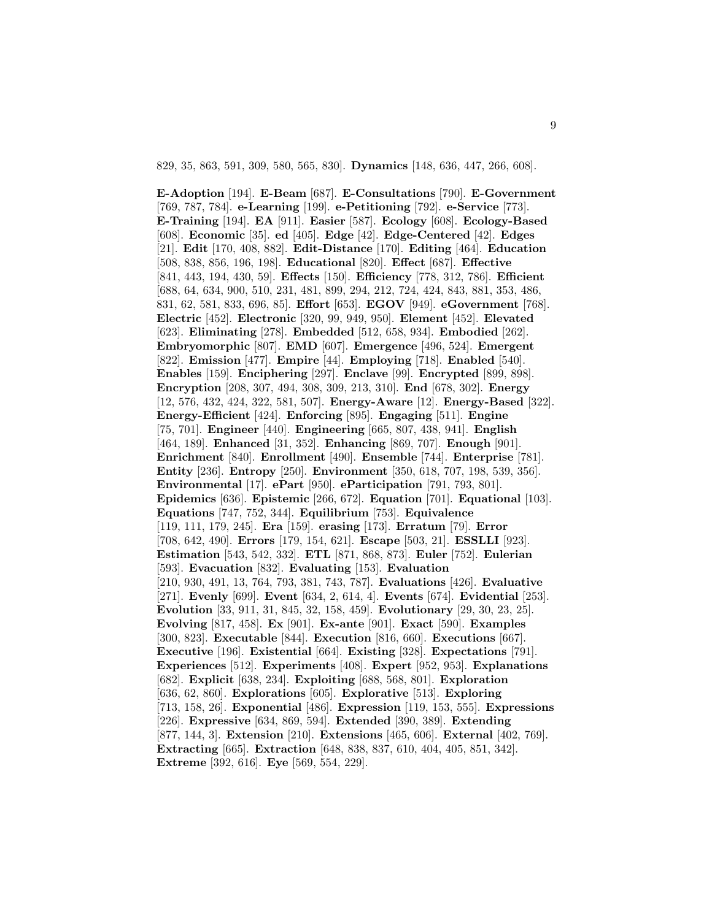829, 35, 863, 591, 309, 580, 565, 830]. **Dynamics** [148, 636, 447, 266, 608].

**E-Adoption** [194]. **E-Beam** [687]. **E-Consultations** [790]. **E-Government** [769, 787, 784]. **e-Learning** [199]. **e-Petitioning** [792]. **e-Service** [773]. **E-Training** [194]. **EA** [911]. **Easier** [587]. **Ecology** [608]. **Ecology-Based** [608]. **Economic** [35]. **ed** [405]. **Edge** [42]. **Edge-Centered** [42]. **Edges** [21]. **Edit** [170, 408, 882]. **Edit-Distance** [170]. **Editing** [464]. **Education** [508, 838, 856, 196, 198]. **Educational** [820]. **Effect** [687]. **Effective** [841, 443, 194, 430, 59]. **Effects** [150]. **Efficiency** [778, 312, 786]. **Efficient** [688, 64, 634, 900, 510, 231, 481, 899, 294, 212, 724, 424, 843, 881, 353, 486, 831, 62, 581, 833, 696, 85]. **Effort** [653]. **EGOV** [949]. **eGovernment** [768]. **Electric** [452]. **Electronic** [320, 99, 949, 950]. **Element** [452]. **Elevated** [623]. **Eliminating** [278]. **Embedded** [512, 658, 934]. **Embodied** [262]. **Embryomorphic** [807]. **EMD** [607]. **Emergence** [496, 524]. **Emergent** [822]. **Emission** [477]. **Empire** [44]. **Employing** [718]. **Enabled** [540]. **Enables** [159]. **Enciphering** [297]. **Enclave** [99]. **Encrypted** [899, 898]. **Encryption** [208, 307, 494, 308, 309, 213, 310]. **End** [678, 302]. **Energy** [12, 576, 432, 424, 322, 581, 507]. **Energy-Aware** [12]. **Energy-Based** [322]. **Energy-Efficient** [424]. **Enforcing** [895]. **Engaging** [511]. **Engine** [75, 701]. **Engineer** [440]. **Engineering** [665, 807, 438, 941]. **English** [464, 189]. **Enhanced** [31, 352]. **Enhancing** [869, 707]. **Enough** [901]. **Enrichment** [840]. **Enrollment** [490]. **Ensemble** [744]. **Enterprise** [781]. **Entity** [236]. **Entropy** [250]. **Environment** [350, 618, 707, 198, 539, 356]. **Environmental** [17]. **ePart** [950]. **eParticipation** [791, 793, 801]. **Epidemics** [636]. **Epistemic** [266, 672]. **Equation** [701]. **Equational** [103]. **Equations** [747, 752, 344]. **Equilibrium** [753]. **Equivalence** [119, 111, 179, 245]. **Era** [159]. **erasing** [173]. **Erratum** [79]. **Error** [708, 642, 490]. **Errors** [179, 154, 621]. **Escape** [503, 21]. **ESSLLI** [923]. **Estimation** [543, 542, 332]. **ETL** [871, 868, 873]. **Euler** [752]. **Eulerian** [593]. **Evacuation** [832]. **Evaluating** [153]. **Evaluation** [210, 930, 491, 13, 764, 793, 381, 743, 787]. **Evaluations** [426]. **Evaluative** [271]. **Evenly** [699]. **Event** [634, 2, 614, 4]. **Events** [674]. **Evidential** [253]. **Evolution** [33, 911, 31, 845, 32, 158, 459]. **Evolutionary** [29, 30, 23, 25]. **Evolving** [817, 458]. **Ex** [901]. **Ex-ante** [901]. **Exact** [590]. **Examples** [300, 823]. **Executable** [844]. **Execution** [816, 660]. **Executions** [667]. **Executive** [196]. **Existential** [664]. **Existing** [328]. **Expectations** [791]. **Experiences** [512]. **Experiments** [408]. **Expert** [952, 953]. **Explanations** [682]. **Explicit** [638, 234]. **Exploiting** [688, 568, 801]. **Exploration** [636, 62, 860]. **Explorations** [605]. **Explorative** [513]. **Exploring** [713, 158, 26]. **Exponential** [486]. **Expression** [119, 153, 555]. **Expressions** [226]. **Expressive** [634, 869, 594]. **Extended** [390, 389]. **Extending** [877, 144, 3]. **Extension** [210]. **Extensions** [465, 606]. **External** [402, 769]. **Extracting** [665]. **Extraction** [648, 838, 837, 610, 404, 405, 851, 342]. **Extreme** [392, 616]. **Eye** [569, 554, 229].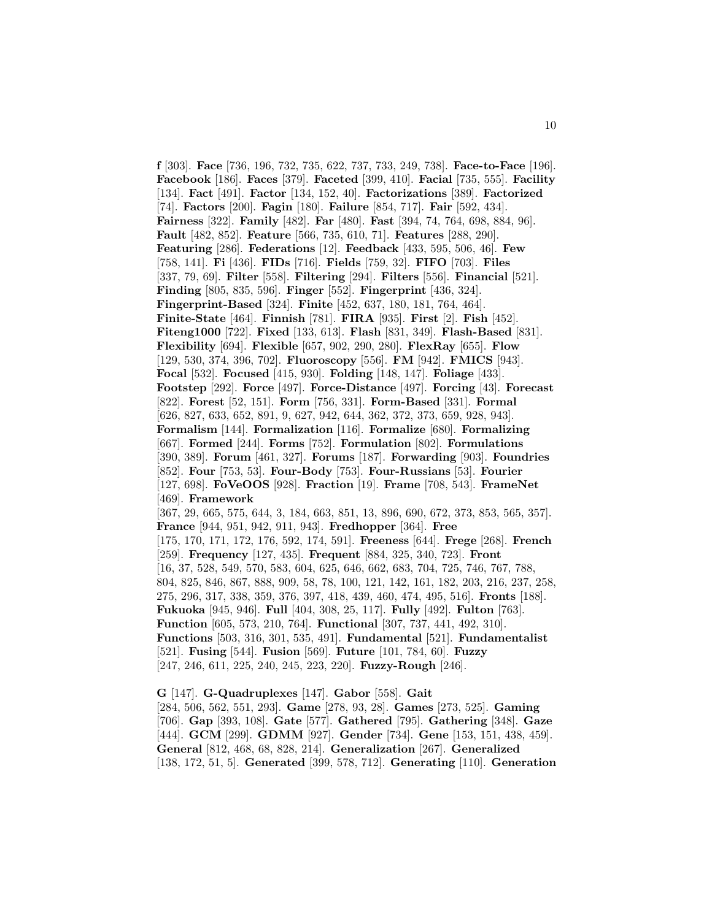**f** [303]. **Face** [736, 196, 732, 735, 622, 737, 733, 249, 738]. **Face-to-Face** [196]. **Facebook** [186]. **Faces** [379]. **Faceted** [399, 410]. **Facial** [735, 555]. **Facility** [134]. **Fact** [491]. **Factor** [134, 152, 40]. **Factorizations** [389]. **Factorized** [74]. **Factors** [200]. **Fagin** [180]. **Failure** [854, 717]. **Fair** [592, 434]. **Fairness** [322]. **Family** [482]. **Far** [480]. **Fast** [394, 74, 764, 698, 884, 96]. **Fault** [482, 852]. **Feature** [566, 735, 610, 71]. **Features** [288, 290]. **Featuring** [286]. **Federations** [12]. **Feedback** [433, 595, 506, 46]. **Few** [758, 141]. **Fi** [436]. **FIDs** [716]. **Fields** [759, 32]. **FIFO** [703]. **Files** [337, 79, 69]. **Filter** [558]. **Filtering** [294]. **Filters** [556]. **Financial** [521]. **Finding** [805, 835, 596]. **Finger** [552]. **Fingerprint** [436, 324]. **Fingerprint-Based** [324]. **Finite** [452, 637, 180, 181, 764, 464]. **Finite-State** [464]. **Finnish** [781]. **FIRA** [935]. **First** [2]. **Fish** [452]. **Fiteng1000** [722]. **Fixed** [133, 613]. **Flash** [831, 349]. **Flash-Based** [831]. **Flexibility** [694]. **Flexible** [657, 902, 290, 280]. **FlexRay** [655]. **Flow** [129, 530, 374, 396, 702]. **Fluoroscopy** [556]. **FM** [942]. **FMICS** [943]. **Focal** [532]. **Focused** [415, 930]. **Folding** [148, 147]. **Foliage** [433]. **Footstep** [292]. **Force** [497]. **Force-Distance** [497]. **Forcing** [43]. **Forecast** [822]. **Forest** [52, 151]. **Form** [756, 331]. **Form-Based** [331]. **Formal** [626, 827, 633, 652, 891, 9, 627, 942, 644, 362, 372, 373, 659, 928, 943]. **Formalism** [144]. **Formalization** [116]. **Formalize** [680]. **Formalizing** [667]. **Formed** [244]. **Forms** [752]. **Formulation** [802]. **Formulations** [390, 389]. **Forum** [461, 327]. **Forums** [187]. **Forwarding** [903]. **Foundries** [852]. **Four** [753, 53]. **Four-Body** [753]. **Four-Russians** [53]. **Fourier** [127, 698]. **FoVeOOS** [928]. **Fraction** [19]. **Frame** [708, 543]. **FrameNet** [469]. **Framework** [367, 29, 665, 575, 644, 3, 184, 663, 851, 13, 896, 690, 672, 373, 853, 565, 357]. **France** [944, 951, 942, 911, 943]. **Fredhopper** [364]. **Free** [175, 170, 171, 172, 176, 592, 174, 591]. **Freeness** [644]. **Frege** [268]. **French** [259]. **Frequency** [127, 435]. **Frequent** [884, 325, 340, 723]. **Front** [16, 37, 528, 549, 570, 583, 604, 625, 646, 662, 683, 704, 725, 746, 767, 788, 804, 825, 846, 867, 888, 909, 58, 78, 100, 121, 142, 161, 182, 203, 216, 237, 258, 275, 296, 317, 338, 359, 376, 397, 418, 439, 460, 474, 495, 516]. **Fronts** [188]. **Fukuoka** [945, 946]. **Full** [404, 308, 25, 117]. **Fully** [492]. **Fulton** [763]. **Function** [605, 573, 210, 764]. **Functional** [307, 737, 441, 492, 310]. **Functions** [503, 316, 301, 535, 491]. **Fundamental** [521]. **Fundamentalist** [521]. **Fusing** [544]. **Fusion** [569]. **Future** [101, 784, 60]. **Fuzzy** [247, 246, 611, 225, 240, 245, 223, 220]. **Fuzzy-Rough** [246].

**G** [147]. **G-Quadruplexes** [147]. **Gabor** [558]. **Gait** [284, 506, 562, 551, 293]. **Game** [278, 93, 28]. **Games** [273, 525]. **Gaming** [706]. **Gap** [393, 108]. **Gate** [577]. **Gathered** [795]. **Gathering** [348]. **Gaze** [444]. **GCM** [299]. **GDMM** [927]. **Gender** [734]. **Gene** [153, 151, 438, 459]. **General** [812, 468, 68, 828, 214]. **Generalization** [267]. **Generalized** [138, 172, 51, 5]. **Generated** [399, 578, 712]. **Generating** [110]. **Generation**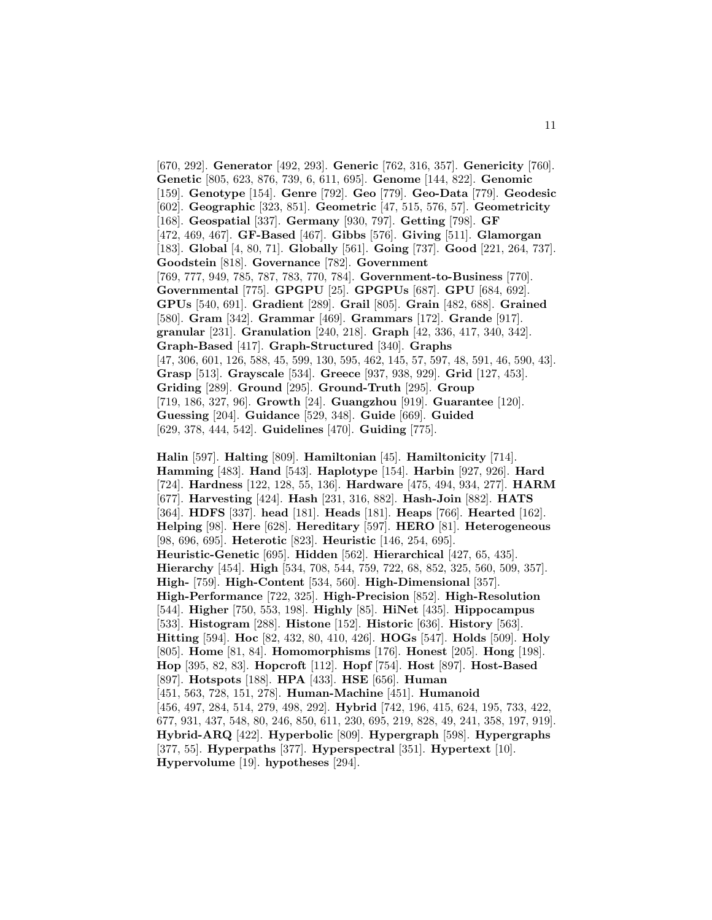[670, 292]. **Generator** [492, 293]. **Generic** [762, 316, 357]. **Genericity** [760]. **Genetic** [805, 623, 876, 739, 6, 611, 695]. **Genome** [144, 822]. **Genomic** [159]. **Genotype** [154]. **Genre** [792]. **Geo** [779]. **Geo-Data** [779]. **Geodesic** [602]. **Geographic** [323, 851]. **Geometric** [47, 515, 576, 57]. **Geometricity** [168]. **Geospatial** [337]. **Germany** [930, 797]. **Getting** [798]. **GF** [472, 469, 467]. **GF-Based** [467]. **Gibbs** [576]. **Giving** [511]. **Glamorgan** [183]. **Global** [4, 80, 71]. **Globally** [561]. **Going** [737]. **Good** [221, 264, 737]. **Goodstein** [818]. **Governance** [782]. **Government** [769, 777, 949, 785, 787, 783, 770, 784]. **Government-to-Business** [770]. **Governmental** [775]. **GPGPU** [25]. **GPGPUs** [687]. **GPU** [684, 692]. **GPUs** [540, 691]. **Gradient** [289]. **Grail** [805]. **Grain** [482, 688]. **Grained** [580]. **Gram** [342]. **Grammar** [469]. **Grammars** [172]. **Grande** [917]. **granular** [231]. **Granulation** [240, 218]. **Graph** [42, 336, 417, 340, 342]. **Graph-Based** [417]. **Graph-Structured** [340]. **Graphs** [47, 306, 601, 126, 588, 45, 599, 130, 595, 462, 145, 57, 597, 48, 591, 46, 590, 43]. **Grasp** [513]. **Grayscale** [534]. **Greece** [937, 938, 929]. **Grid** [127, 453]. **Griding** [289]. **Ground** [295]. **Ground-Truth** [295]. **Group** [719, 186, 327, 96]. **Growth** [24]. **Guangzhou** [919]. **Guarantee** [120]. **Guessing** [204]. **Guidance** [529, 348]. **Guide** [669]. **Guided** [629, 378, 444, 542]. **Guidelines** [470]. **Guiding** [775].

**Halin** [597]. **Halting** [809]. **Hamiltonian** [45]. **Hamiltonicity** [714]. **Hamming** [483]. **Hand** [543]. **Haplotype** [154]. **Harbin** [927, 926]. **Hard** [724]. **Hardness** [122, 128, 55, 136]. **Hardware** [475, 494, 934, 277]. **HARM** [677]. **Harvesting** [424]. **Hash** [231, 316, 882]. **Hash-Join** [882]. **HATS** [364]. **HDFS** [337]. **head** [181]. **Heads** [181]. **Heaps** [766]. **Hearted** [162]. **Helping** [98]. **Here** [628]. **Hereditary** [597]. **HERO** [81]. **Heterogeneous** [98, 696, 695]. **Heterotic** [823]. **Heuristic** [146, 254, 695]. **Heuristic-Genetic** [695]. **Hidden** [562]. **Hierarchical** [427, 65, 435]. **Hierarchy** [454]. **High** [534, 708, 544, 759, 722, 68, 852, 325, 560, 509, 357]. **High-** [759]. **High-Content** [534, 560]. **High-Dimensional** [357]. **High-Performance** [722, 325]. **High-Precision** [852]. **High-Resolution** [544]. **Higher** [750, 553, 198]. **Highly** [85]. **HiNet** [435]. **Hippocampus** [533]. **Histogram** [288]. **Histone** [152]. **Historic** [636]. **History** [563]. **Hitting** [594]. **Hoc** [82, 432, 80, 410, 426]. **HOGs** [547]. **Holds** [509]. **Holy** [805]. **Home** [81, 84]. **Homomorphisms** [176]. **Honest** [205]. **Hong** [198]. **Hop** [395, 82, 83]. **Hopcroft** [112]. **Hopf** [754]. **Host** [897]. **Host-Based** [897]. **Hotspots** [188]. **HPA** [433]. **HSE** [656]. **Human** [451, 563, 728, 151, 278]. **Human-Machine** [451]. **Humanoid** [456, 497, 284, 514, 279, 498, 292]. **Hybrid** [742, 196, 415, 624, 195, 733, 422, 677, 931, 437, 548, 80, 246, 850, 611, 230, 695, 219, 828, 49, 241, 358, 197, 919]. **Hybrid-ARQ** [422]. **Hyperbolic** [809]. **Hypergraph** [598]. **Hypergraphs** [377, 55]. **Hyperpaths** [377]. **Hyperspectral** [351]. **Hypertext** [10]. **Hypervolume** [19]. **hypotheses** [294].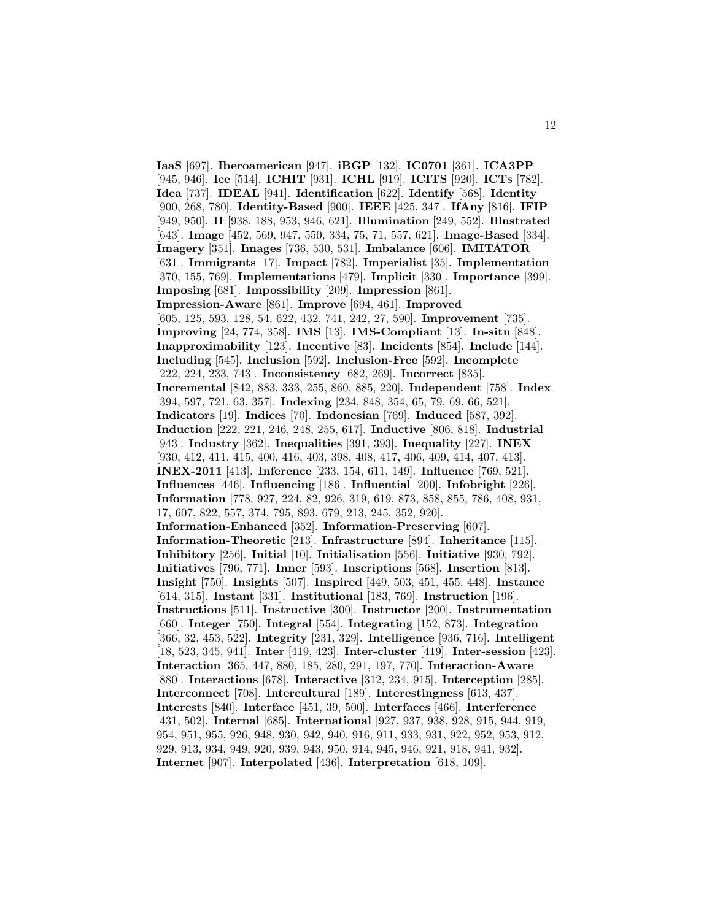**IaaS** [697]. **Iberoamerican** [947]. **iBGP** [132]. **IC0701** [361]. **ICA3PP** [945, 946]. **Ice** [514]. **ICHIT** [931]. **ICHL** [919]. **ICITS** [920]. **ICTs** [782]. **Idea** [737]. **IDEAL** [941]. **Identification** [622]. **Identify** [568]. **Identity** [900, 268, 780]. **Identity-Based** [900]. **IEEE** [425, 347]. **IfAny** [816]. **IFIP** [949, 950]. **II** [938, 188, 953, 946, 621]. **Illumination** [249, 552]. **Illustrated** [643]. **Image** [452, 569, 947, 550, 334, 75, 71, 557, 621]. **Image-Based** [334]. **Imagery** [351]. **Images** [736, 530, 531]. **Imbalance** [606]. **IMITATOR** [631]. **Immigrants** [17]. **Impact** [782]. **Imperialist** [35]. **Implementation** [370, 155, 769]. **Implementations** [479]. **Implicit** [330]. **Importance** [399]. **Imposing** [681]. **Impossibility** [209]. **Impression** [861]. **Impression-Aware** [861]. **Improve** [694, 461]. **Improved** [605, 125, 593, 128, 54, 622, 432, 741, 242, 27, 590]. **Improvement** [735]. **Improving** [24, 774, 358]. **IMS** [13]. **IMS-Compliant** [13]. **In-situ** [848]. **Inapproximability** [123]. **Incentive** [83]. **Incidents** [854]. **Include** [144]. **Including** [545]. **Inclusion** [592]. **Inclusion-Free** [592]. **Incomplete** [222, 224, 233, 743]. **Inconsistency** [682, 269]. **Incorrect** [835]. **Incremental** [842, 883, 333, 255, 860, 885, 220]. **Independent** [758]. **Index** [394, 597, 721, 63, 357]. **Indexing** [234, 848, 354, 65, 79, 69, 66, 521]. **Indicators** [19]. **Indices** [70]. **Indonesian** [769]. **Induced** [587, 392]. **Induction** [222, 221, 246, 248, 255, 617]. **Inductive** [806, 818]. **Industrial** [943]. **Industry** [362]. **Inequalities** [391, 393]. **Inequality** [227]. **INEX** [930, 412, 411, 415, 400, 416, 403, 398, 408, 417, 406, 409, 414, 407, 413]. **INEX-2011** [413]. **Inference** [233, 154, 611, 149]. **Influence** [769, 521]. **Influences** [446]. **Influencing** [186]. **Influential** [200]. **Infobright** [226]. **Information** [778, 927, 224, 82, 926, 319, 619, 873, 858, 855, 786, 408, 931, 17, 607, 822, 557, 374, 795, 893, 679, 213, 245, 352, 920]. **Information-Enhanced** [352]. **Information-Preserving** [607]. **Information-Theoretic** [213]. **Infrastructure** [894]. **Inheritance** [115]. **Inhibitory** [256]. **Initial** [10]. **Initialisation** [556]. **Initiative** [930, 792]. **Initiatives** [796, 771]. **Inner** [593]. **Inscriptions** [568]. **Insertion** [813]. **Insight** [750]. **Insights** [507]. **Inspired** [449, 503, 451, 455, 448]. **Instance** [614, 315]. **Instant** [331]. **Institutional** [183, 769]. **Instruction** [196]. **Instructions** [511]. **Instructive** [300]. **Instructor** [200]. **Instrumentation** [660]. **Integer** [750]. **Integral** [554]. **Integrating** [152, 873]. **Integration** [366, 32, 453, 522]. **Integrity** [231, 329]. **Intelligence** [936, 716]. **Intelligent** [18, 523, 345, 941]. **Inter** [419, 423]. **Inter-cluster** [419]. **Inter-session** [423]. **Interaction** [365, 447, 880, 185, 280, 291, 197, 770]. **Interaction-Aware** [880]. **Interactions** [678]. **Interactive** [312, 234, 915]. **Interception** [285]. **Interconnect** [708]. **Intercultural** [189]. **Interestingness** [613, 437]. **Interests** [840]. **Interface** [451, 39, 500]. **Interfaces** [466]. **Interference** [431, 502]. **Internal** [685]. **International** [927, 937, 938, 928, 915, 944, 919, 954, 951, 955, 926, 948, 930, 942, 940, 916, 911, 933, 931, 922, 952, 953, 912, 929, 913, 934, 949, 920, 939, 943, 950, 914, 945, 946, 921, 918, 941, 932]. **Internet** [907]. **Interpolated** [436]. **Interpretation** [618, 109].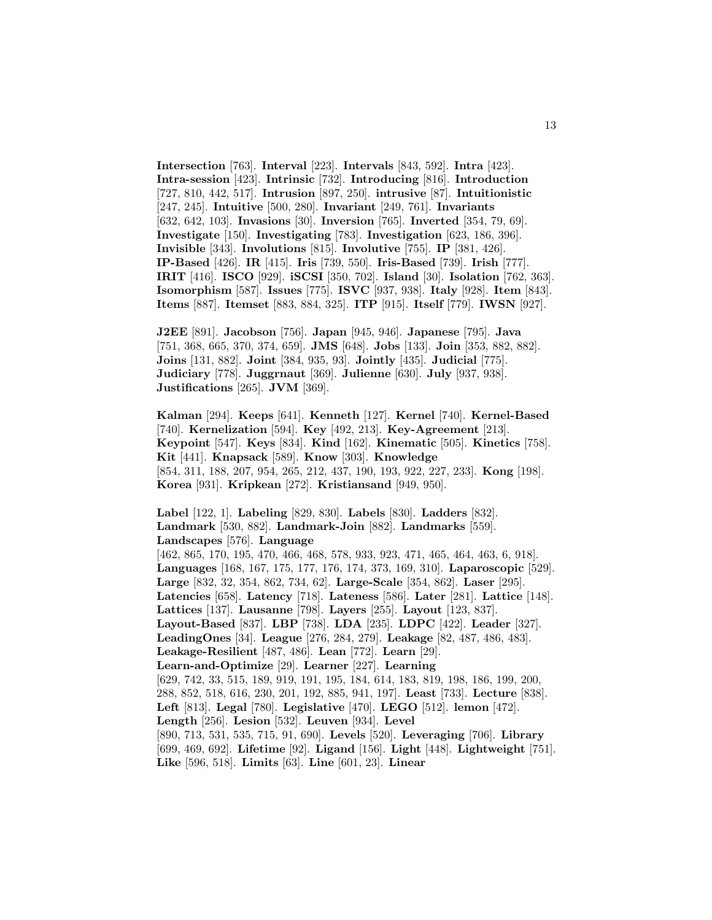**Intersection** [763]. **Interval** [223]. **Intervals** [843, 592]. **Intra** [423]. **Intra-session** [423]. **Intrinsic** [732]. **Introducing** [816]. **Introduction** [727, 810, 442, 517]. **Intrusion** [897, 250]. **intrusive** [87]. **Intuitionistic** [247, 245]. **Intuitive** [500, 280]. **Invariant** [249, 761]. **Invariants** [632, 642, 103]. **Invasions** [30]. **Inversion** [765]. **Inverted** [354, 79, 69]. **Investigate** [150]. **Investigating** [783]. **Investigation** [623, 186, 396]. **Invisible** [343]. **Involutions** [815]. **Involutive** [755]. **IP** [381, 426]. **IP-Based** [426]. **IR** [415]. **Iris** [739, 550]. **Iris-Based** [739]. **Irish** [777]. **IRIT** [416]. **ISCO** [929]. **iSCSI** [350, 702]. **Island** [30]. **Isolation** [762, 363]. **Isomorphism** [587]. **Issues** [775]. **ISVC** [937, 938]. **Italy** [928]. **Item** [843]. **Items** [887]. **Itemset** [883, 884, 325]. **ITP** [915]. **Itself** [779]. **IWSN** [927].

**J2EE** [891]. **Jacobson** [756]. **Japan** [945, 946]. **Japanese** [795]. **Java** [751, 368, 665, 370, 374, 659]. **JMS** [648]. **Jobs** [133]. **Join** [353, 882, 882]. **Joins** [131, 882]. **Joint** [384, 935, 93]. **Jointly** [435]. **Judicial** [775]. **Judiciary** [778]. **Juggrnaut** [369]. **Julienne** [630]. **July** [937, 938]. **Justifications** [265]. **JVM** [369].

**Kalman** [294]. **Keeps** [641]. **Kenneth** [127]. **Kernel** [740]. **Kernel-Based** [740]. **Kernelization** [594]. **Key** [492, 213]. **Key-Agreement** [213]. **Keypoint** [547]. **Keys** [834]. **Kind** [162]. **Kinematic** [505]. **Kinetics** [758]. **Kit** [441]. **Knapsack** [589]. **Know** [303]. **Knowledge** [854, 311, 188, 207, 954, 265, 212, 437, 190, 193, 922, 227, 233]. **Kong** [198]. **Korea** [931]. **Kripkean** [272]. **Kristiansand** [949, 950].

**Label** [122, 1]. **Labeling** [829, 830]. **Labels** [830]. **Ladders** [832]. **Landmark** [530, 882]. **Landmark-Join** [882]. **Landmarks** [559]. **Landscapes** [576]. **Language** [462, 865, 170, 195, 470, 466, 468, 578, 933, 923, 471, 465, 464, 463, 6, 918]. **Languages** [168, 167, 175, 177, 176, 174, 373, 169, 310]. **Laparoscopic** [529]. **Large** [832, 32, 354, 862, 734, 62]. **Large-Scale** [354, 862]. **Laser** [295]. **Latencies** [658]. **Latency** [718]. **Lateness** [586]. **Later** [281]. **Lattice** [148]. **Lattices** [137]. **Lausanne** [798]. **Layers** [255]. **Layout** [123, 837]. **Layout-Based** [837]. **LBP** [738]. **LDA** [235]. **LDPC** [422]. **Leader** [327]. **LeadingOnes** [34]. **League** [276, 284, 279]. **Leakage** [82, 487, 486, 483]. **Leakage-Resilient** [487, 486]. **Lean** [772]. **Learn** [29]. **Learn-and-Optimize** [29]. **Learner** [227]. **Learning** [629, 742, 33, 515, 189, 919, 191, 195, 184, 614, 183, 819, 198, 186, 199, 200, 288, 852, 518, 616, 230, 201, 192, 885, 941, 197]. **Least** [733]. **Lecture** [838]. **Left** [813]. **Legal** [780]. **Legislative** [470]. **LEGO** [512]. **lemon** [472]. **Length** [256]. **Lesion** [532]. **Leuven** [934]. **Level** [890, 713, 531, 535, 715, 91, 690]. **Levels** [520]. **Leveraging** [706]. **Library** [699, 469, 692]. **Lifetime** [92]. **Ligand** [156]. **Light** [448]. **Lightweight** [751]. **Like** [596, 518]. **Limits** [63]. **Line** [601, 23]. **Linear**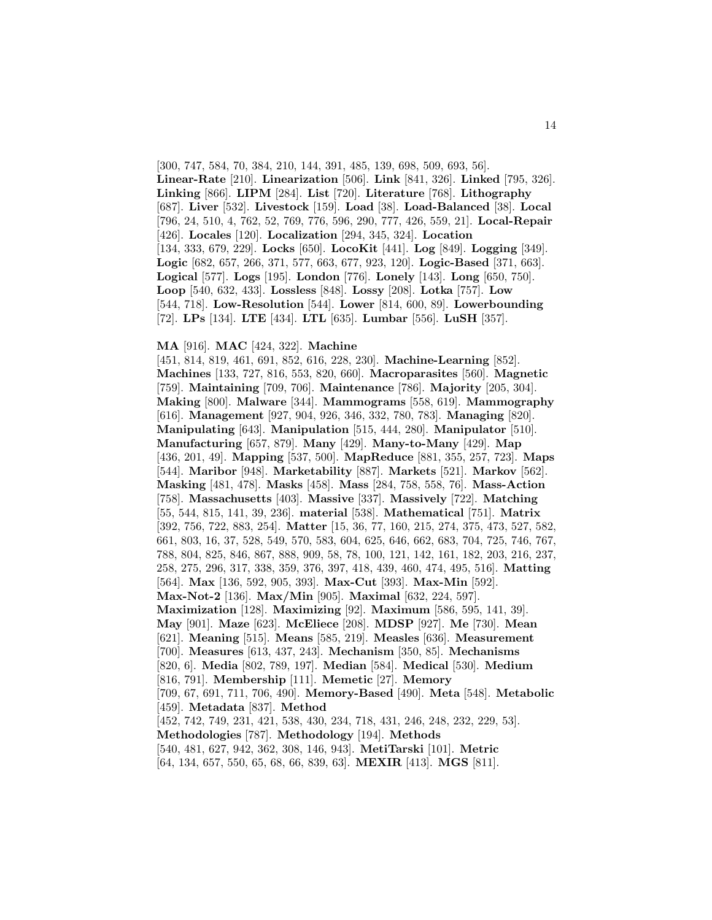[300, 747, 584, 70, 384, 210, 144, 391, 485, 139, 698, 509, 693, 56]. **Linear-Rate** [210]. **Linearization** [506]. **Link** [841, 326]. **Linked** [795, 326]. **Linking** [866]. **LIPM** [284]. **List** [720]. **Literature** [768]. **Lithography** [687]. **Liver** [532]. **Livestock** [159]. **Load** [38]. **Load-Balanced** [38]. **Local** [796, 24, 510, 4, 762, 52, 769, 776, 596, 290, 777, 426, 559, 21]. **Local-Repair** [426]. **Locales** [120]. **Localization** [294, 345, 324]. **Location** [134, 333, 679, 229]. **Locks** [650]. **LocoKit** [441]. **Log** [849]. **Logging** [349]. **Logic** [682, 657, 266, 371, 577, 663, 677, 923, 120]. **Logic-Based** [371, 663]. **Logical** [577]. **Logs** [195]. **London** [776]. **Lonely** [143]. **Long** [650, 750]. **Loop** [540, 632, 433]. **Lossless** [848]. **Lossy** [208]. **Lotka** [757]. **Low** [544, 718]. **Low-Resolution** [544]. **Lower** [814, 600, 89]. **Lowerbounding** [72]. **LPs** [134]. **LTE** [434]. **LTL** [635]. **Lumbar** [556]. **LuSH** [357].

#### **MA** [916]. **MAC** [424, 322]. **Machine**

[451, 814, 819, 461, 691, 852, 616, 228, 230]. **Machine-Learning** [852]. **Machines** [133, 727, 816, 553, 820, 660]. **Macroparasites** [560]. **Magnetic** [759]. **Maintaining** [709, 706]. **Maintenance** [786]. **Majority** [205, 304]. **Making** [800]. **Malware** [344]. **Mammograms** [558, 619]. **Mammography** [616]. **Management** [927, 904, 926, 346, 332, 780, 783]. **Managing** [820]. **Manipulating** [643]. **Manipulation** [515, 444, 280]. **Manipulator** [510]. **Manufacturing** [657, 879]. **Many** [429]. **Many-to-Many** [429]. **Map** [436, 201, 49]. **Mapping** [537, 500]. **MapReduce** [881, 355, 257, 723]. **Maps** [544]. **Maribor** [948]. **Marketability** [887]. **Markets** [521]. **Markov** [562]. **Masking** [481, 478]. **Masks** [458]. **Mass** [284, 758, 558, 76]. **Mass-Action** [758]. **Massachusetts** [403]. **Massive** [337]. **Massively** [722]. **Matching** [55, 544, 815, 141, 39, 236]. **material** [538]. **Mathematical** [751]. **Matrix** [392, 756, 722, 883, 254]. **Matter** [15, 36, 77, 160, 215, 274, 375, 473, 527, 582, 661, 803, 16, 37, 528, 549, 570, 583, 604, 625, 646, 662, 683, 704, 725, 746, 767, 788, 804, 825, 846, 867, 888, 909, 58, 78, 100, 121, 142, 161, 182, 203, 216, 237, 258, 275, 296, 317, 338, 359, 376, 397, 418, 439, 460, 474, 495, 516]. **Matting** [564]. **Max** [136, 592, 905, 393]. **Max-Cut** [393]. **Max-Min** [592]. **Max-Not-2** [136]. **Max/Min** [905]. **Maximal** [632, 224, 597]. **Maximization** [128]. **Maximizing** [92]. **Maximum** [586, 595, 141, 39]. **May** [901]. **Maze** [623]. **McEliece** [208]. **MDSP** [927]. **Me** [730]. **Mean** [621]. **Meaning** [515]. **Means** [585, 219]. **Measles** [636]. **Measurement** [700]. **Measures** [613, 437, 243]. **Mechanism** [350, 85]. **Mechanisms** [820, 6]. **Media** [802, 789, 197]. **Median** [584]. **Medical** [530]. **Medium** [816, 791]. **Membership** [111]. **Memetic** [27]. **Memory** [709, 67, 691, 711, 706, 490]. **Memory-Based** [490]. **Meta** [548]. **Metabolic** [459]. **Metadata** [837]. **Method** [452, 742, 749, 231, 421, 538, 430, 234, 718, 431, 246, 248, 232, 229, 53]. **Methodologies** [787]. **Methodology** [194]. **Methods** [540, 481, 627, 942, 362, 308, 146, 943]. **MetiTarski** [101]. **Metric**

[64, 134, 657, 550, 65, 68, 66, 839, 63]. **MEXIR** [413]. **MGS** [811].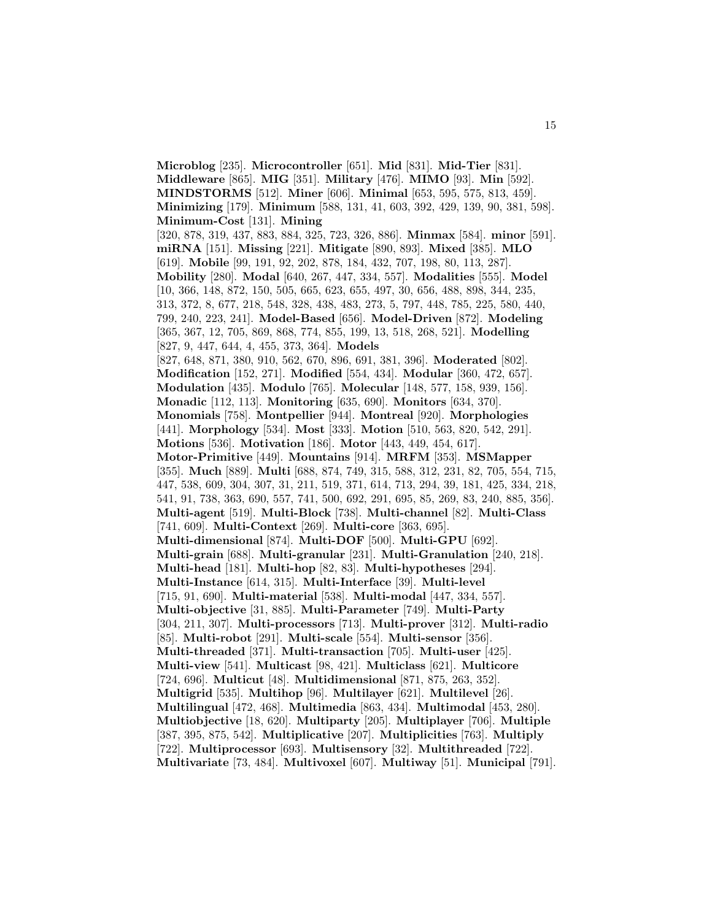**Microblog** [235]. **Microcontroller** [651]. **Mid** [831]. **Mid-Tier** [831]. **Middleware** [865]. **MIG** [351]. **Military** [476]. **MIMO** [93]. **Min** [592]. **MINDSTORMS** [512]. **Miner** [606]. **Minimal** [653, 595, 575, 813, 459]. **Minimizing** [179]. **Minimum** [588, 131, 41, 603, 392, 429, 139, 90, 381, 598]. **Minimum-Cost** [131]. **Mining** [320, 878, 319, 437, 883, 884, 325, 723, 326, 886]. **Minmax** [584]. **minor** [591]. **miRNA** [151]. **Missing** [221]. **Mitigate** [890, 893]. **Mixed** [385]. **MLO** [619]. **Mobile** [99, 191, 92, 202, 878, 184, 432, 707, 198, 80, 113, 287]. **Mobility** [280]. **Modal** [640, 267, 447, 334, 557]. **Modalities** [555]. **Model** [10, 366, 148, 872, 150, 505, 665, 623, 655, 497, 30, 656, 488, 898, 344, 235, 313, 372, 8, 677, 218, 548, 328, 438, 483, 273, 5, 797, 448, 785, 225, 580, 440, 799, 240, 223, 241]. **Model-Based** [656]. **Model-Driven** [872]. **Modeling** [365, 367, 12, 705, 869, 868, 774, 855, 199, 13, 518, 268, 521]. **Modelling** [827, 9, 447, 644, 4, 455, 373, 364]. **Models** [827, 648, 871, 380, 910, 562, 670, 896, 691, 381, 396]. **Moderated** [802]. **Modification** [152, 271]. **Modified** [554, 434]. **Modular** [360, 472, 657]. **Modulation** [435]. **Modulo** [765]. **Molecular** [148, 577, 158, 939, 156]. **Monadic** [112, 113]. **Monitoring** [635, 690]. **Monitors** [634, 370]. **Monomials** [758]. **Montpellier** [944]. **Montreal** [920]. **Morphologies** [441]. **Morphology** [534]. **Most** [333]. **Motion** [510, 563, 820, 542, 291]. **Motions** [536]. **Motivation** [186]. **Motor** [443, 449, 454, 617]. **Motor-Primitive** [449]. **Mountains** [914]. **MRFM** [353]. **MSMapper** [355]. **Much** [889]. **Multi** [688, 874, 749, 315, 588, 312, 231, 82, 705, 554, 715, 447, 538, 609, 304, 307, 31, 211, 519, 371, 614, 713, 294, 39, 181, 425, 334, 218, 541, 91, 738, 363, 690, 557, 741, 500, 692, 291, 695, 85, 269, 83, 240, 885, 356]. **Multi-agent** [519]. **Multi-Block** [738]. **Multi-channel** [82]. **Multi-Class** [741, 609]. **Multi-Context** [269]. **Multi-core** [363, 695]. **Multi-dimensional** [874]. **Multi-DOF** [500]. **Multi-GPU** [692]. **Multi-grain** [688]. **Multi-granular** [231]. **Multi-Granulation** [240, 218]. **Multi-head** [181]. **Multi-hop** [82, 83]. **Multi-hypotheses** [294]. **Multi-Instance** [614, 315]. **Multi-Interface** [39]. **Multi-level** [715, 91, 690]. **Multi-material** [538]. **Multi-modal** [447, 334, 557]. **Multi-objective** [31, 885]. **Multi-Parameter** [749]. **Multi-Party** [304, 211, 307]. **Multi-processors** [713]. **Multi-prover** [312]. **Multi-radio** [85]. **Multi-robot** [291]. **Multi-scale** [554]. **Multi-sensor** [356]. **Multi-threaded** [371]. **Multi-transaction** [705]. **Multi-user** [425]. **Multi-view** [541]. **Multicast** [98, 421]. **Multiclass** [621]. **Multicore** [724, 696]. **Multicut** [48]. **Multidimensional** [871, 875, 263, 352]. **Multigrid** [535]. **Multihop** [96]. **Multilayer** [621]. **Multilevel** [26]. **Multilingual** [472, 468]. **Multimedia** [863, 434]. **Multimodal** [453, 280]. **Multiobjective** [18, 620]. **Multiparty** [205]. **Multiplayer** [706]. **Multiple** [387, 395, 875, 542]. **Multiplicative** [207]. **Multiplicities** [763]. **Multiply** [722]. **Multiprocessor** [693]. **Multisensory** [32]. **Multithreaded** [722]. **Multivariate** [73, 484]. **Multivoxel** [607]. **Multiway** [51]. **Municipal** [791].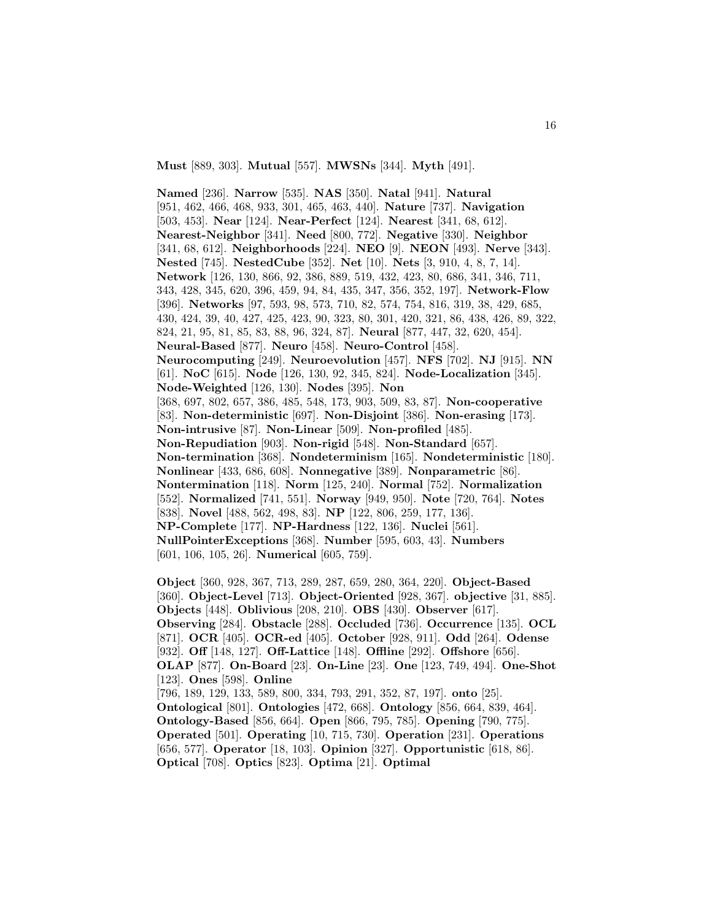**Must** [889, 303]. **Mutual** [557]. **MWSNs** [344]. **Myth** [491].

**Named** [236]. **Narrow** [535]. **NAS** [350]. **Natal** [941]. **Natural** [951, 462, 466, 468, 933, 301, 465, 463, 440]. **Nature** [737]. **Navigation** [503, 453]. **Near** [124]. **Near-Perfect** [124]. **Nearest** [341, 68, 612]. **Nearest-Neighbor** [341]. **Need** [800, 772]. **Negative** [330]. **Neighbor** [341, 68, 612]. **Neighborhoods** [224]. **NEO** [9]. **NEON** [493]. **Nerve** [343]. **Nested** [745]. **NestedCube** [352]. **Net** [10]. **Nets** [3, 910, 4, 8, 7, 14]. **Network** [126, 130, 866, 92, 386, 889, 519, 432, 423, 80, 686, 341, 346, 711, 343, 428, 345, 620, 396, 459, 94, 84, 435, 347, 356, 352, 197]. **Network-Flow** [396]. **Networks** [97, 593, 98, 573, 710, 82, 574, 754, 816, 319, 38, 429, 685, 430, 424, 39, 40, 427, 425, 423, 90, 323, 80, 301, 420, 321, 86, 438, 426, 89, 322, 824, 21, 95, 81, 85, 83, 88, 96, 324, 87]. **Neural** [877, 447, 32, 620, 454]. **Neural-Based** [877]. **Neuro** [458]. **Neuro-Control** [458]. **Neurocomputing** [249]. **Neuroevolution** [457]. **NFS** [702]. **NJ** [915]. **NN** [61]. **NoC** [615]. **Node** [126, 130, 92, 345, 824]. **Node-Localization** [345]. **Node-Weighted** [126, 130]. **Nodes** [395]. **Non** [368, 697, 802, 657, 386, 485, 548, 173, 903, 509, 83, 87]. **Non-cooperative** [83]. **Non-deterministic** [697]. **Non-Disjoint** [386]. **Non-erasing** [173]. **Non-intrusive** [87]. **Non-Linear** [509]. **Non-profiled** [485]. **Non-Repudiation** [903]. **Non-rigid** [548]. **Non-Standard** [657]. **Non-termination** [368]. **Nondeterminism** [165]. **Nondeterministic** [180]. **Nonlinear** [433, 686, 608]. **Nonnegative** [389]. **Nonparametric** [86]. **Nontermination** [118]. **Norm** [125, 240]. **Normal** [752]. **Normalization** [552]. **Normalized** [741, 551]. **Norway** [949, 950]. **Note** [720, 764]. **Notes** [838]. **Novel** [488, 562, 498, 83]. **NP** [122, 806, 259, 177, 136]. **NP-Complete** [177]. **NP-Hardness** [122, 136]. **Nuclei** [561]. **NullPointerExceptions** [368]. **Number** [595, 603, 43]. **Numbers** [601, 106, 105, 26]. **Numerical** [605, 759].

**Object** [360, 928, 367, 713, 289, 287, 659, 280, 364, 220]. **Object-Based** [360]. **Object-Level** [713]. **Object-Oriented** [928, 367]. **objective** [31, 885]. **Objects** [448]. **Oblivious** [208, 210]. **OBS** [430]. **Observer** [617]. **Observing** [284]. **Obstacle** [288]. **Occluded** [736]. **Occurrence** [135]. **OCL** [871]. **OCR** [405]. **OCR-ed** [405]. **October** [928, 911]. **Odd** [264]. **Odense** [932]. **Off** [148, 127]. **Off-Lattice** [148]. **Offline** [292]. **Offshore** [656]. **OLAP** [877]. **On-Board** [23]. **On-Line** [23]. **One** [123, 749, 494]. **One-Shot** [123]. **Ones** [598]. **Online** [796, 189, 129, 133, 589, 800, 334, 793, 291, 352, 87, 197]. **onto** [25]. **Ontological** [801]. **Ontologies** [472, 668]. **Ontology** [856, 664, 839, 464]. **Ontology-Based** [856, 664]. **Open** [866, 795, 785]. **Opening** [790, 775]. **Operated** [501]. **Operating** [10, 715, 730]. **Operation** [231]. **Operations** [656, 577]. **Operator** [18, 103]. **Opinion** [327]. **Opportunistic** [618, 86]. **Optical** [708]. **Optics** [823]. **Optima** [21]. **Optimal**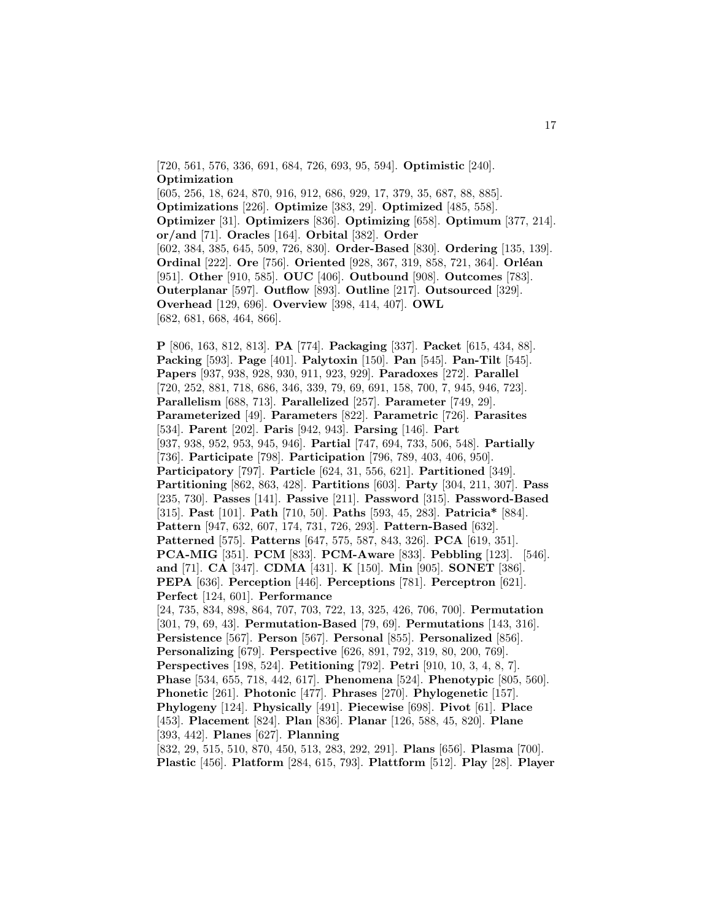[720, 561, 576, 336, 691, 684, 726, 693, 95, 594]. **Optimistic** [240]. **Optimization** [605, 256, 18, 624, 870, 916, 912, 686, 929, 17, 379, 35, 687, 88, 885]. **Optimizations** [226]. **Optimize** [383, 29]. **Optimized** [485, 558]. **Optimizer** [31]. **Optimizers** [836]. **Optimizing** [658]. **Optimum** [377, 214]. **or/and** [71]. **Oracles** [164]. **Orbital** [382]. **Order** [602, 384, 385, 645, 509, 726, 830]. **Order-Based** [830]. **Ordering** [135, 139]. **Ordinal** [222]. **Ore** [756]. **Oriented** [928, 367, 319, 858, 721, 364]. **Orléan** [951]. **Other** [910, 585]. **OUC** [406]. **Outbound** [908]. **Outcomes** [783]. **Outerplanar** [597]. **Outflow** [893]. **Outline** [217]. **Outsourced** [329]. **Overhead** [129, 696]. **Overview** [398, 414, 407]. **OWL** [682, 681, 668, 464, 866].

**P** [806, 163, 812, 813]. **PA** [774]. **Packaging** [337]. **Packet** [615, 434, 88]. **Packing** [593]. **Page** [401]. **Palytoxin** [150]. **Pan** [545]. **Pan-Tilt** [545]. **Papers** [937, 938, 928, 930, 911, 923, 929]. **Paradoxes** [272]. **Parallel** [720, 252, 881, 718, 686, 346, 339, 79, 69, 691, 158, 700, 7, 945, 946, 723]. **Parallelism** [688, 713]. **Parallelized** [257]. **Parameter** [749, 29]. **Parameterized** [49]. **Parameters** [822]. **Parametric** [726]. **Parasites** [534]. **Parent** [202]. **Paris** [942, 943]. **Parsing** [146]. **Part** [937, 938, 952, 953, 945, 946]. **Partial** [747, 694, 733, 506, 548]. **Partially** [736]. **Participate** [798]. **Participation** [796, 789, 403, 406, 950]. **Participatory** [797]. **Particle** [624, 31, 556, 621]. **Partitioned** [349]. **Partitioning** [862, 863, 428]. **Partitions** [603]. **Party** [304, 211, 307]. **Pass** [235, 730]. **Passes** [141]. **Passive** [211]. **Password** [315]. **Password-Based** [315]. **Past** [101]. **Path** [710, 50]. **Paths** [593, 45, 283]. **Patricia\*** [884]. **Pattern** [947, 632, 607, 174, 731, 726, 293]. **Pattern-Based** [632]. **Patterned** [575]. **Patterns** [647, 575, 587, 843, 326]. **PCA** [619, 351]. **PCA-MIG** [351]. **PCM** [833]. **PCM-Aware** [833]. **Pebbling** [123]. [546]. **and** [71]. **CA** [347]. **CDMA** [431]. **K** [150]. **Min** [905]. **SONET** [386]. **PEPA** [636]. **Perception** [446]. **Perceptions** [781]. **Perceptron** [621]. **Perfect** [124, 601]. **Performance** [24, 735, 834, 898, 864, 707, 703, 722, 13, 325, 426, 706, 700]. **Permutation** [301, 79, 69, 43]. **Permutation-Based** [79, 69]. **Permutations** [143, 316]. **Persistence** [567]. **Person** [567]. **Personal** [855]. **Personalized** [856]. **Personalizing** [679]. **Perspective** [626, 891, 792, 319, 80, 200, 769]. **Perspectives** [198, 524]. **Petitioning** [792]. **Petri** [910, 10, 3, 4, 8, 7]. **Phase** [534, 655, 718, 442, 617]. **Phenomena** [524]. **Phenotypic** [805, 560]. **Phonetic** [261]. **Photonic** [477]. **Phrases** [270]. **Phylogenetic** [157]. **Phylogeny** [124]. **Physically** [491]. **Piecewise** [698]. **Pivot** [61]. **Place** [453]. **Placement** [824]. **Plan** [836]. **Planar** [126, 588, 45, 820]. **Plane** [393, 442]. **Planes** [627]. **Planning** [832, 29, 515, 510, 870, 450, 513, 283, 292, 291]. **Plans** [656]. **Plasma** [700].

**Plastic** [456]. **Platform** [284, 615, 793]. **Plattform** [512]. **Play** [28]. **Player**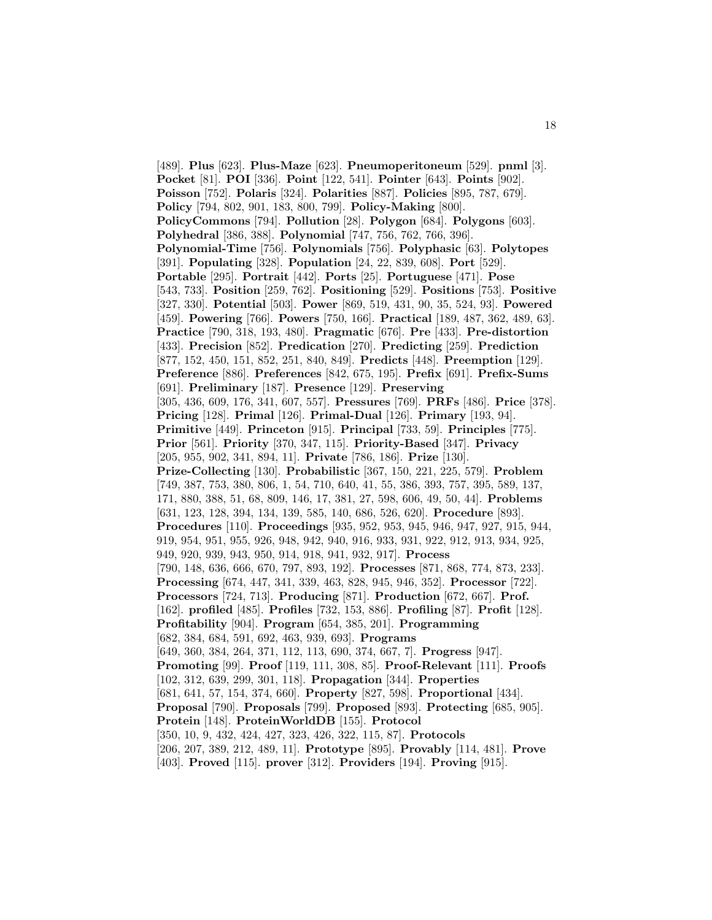[489]. **Plus** [623]. **Plus-Maze** [623]. **Pneumoperitoneum** [529]. **pnml** [3]. **Pocket** [81]. **POI** [336]. **Point** [122, 541]. **Pointer** [643]. **Points** [902]. **Poisson** [752]. **Polaris** [324]. **Polarities** [887]. **Policies** [895, 787, 679]. **Policy** [794, 802, 901, 183, 800, 799]. **Policy-Making** [800]. **PolicyCommons** [794]. **Pollution** [28]. **Polygon** [684]. **Polygons** [603]. **Polyhedral** [386, 388]. **Polynomial** [747, 756, 762, 766, 396]. **Polynomial-Time** [756]. **Polynomials** [756]. **Polyphasic** [63]. **Polytopes** [391]. **Populating** [328]. **Population** [24, 22, 839, 608]. **Port** [529]. **Portable** [295]. **Portrait** [442]. **Ports** [25]. **Portuguese** [471]. **Pose** [543, 733]. **Position** [259, 762]. **Positioning** [529]. **Positions** [753]. **Positive** [327, 330]. **Potential** [503]. **Power** [869, 519, 431, 90, 35, 524, 93]. **Powered** [459]. **Powering** [766]. **Powers** [750, 166]. **Practical** [189, 487, 362, 489, 63]. **Practice** [790, 318, 193, 480]. **Pragmatic** [676]. **Pre** [433]. **Pre-distortion** [433]. **Precision** [852]. **Predication** [270]. **Predicting** [259]. **Prediction** [877, 152, 450, 151, 852, 251, 840, 849]. **Predicts** [448]. **Preemption** [129]. **Preference** [886]. **Preferences** [842, 675, 195]. **Prefix** [691]. **Prefix-Sums** [691]. **Preliminary** [187]. **Presence** [129]. **Preserving** [305, 436, 609, 176, 341, 607, 557]. **Pressures** [769]. **PRFs** [486]. **Price** [378]. **Pricing** [128]. **Primal** [126]. **Primal-Dual** [126]. **Primary** [193, 94]. **Primitive** [449]. **Princeton** [915]. **Principal** [733, 59]. **Principles** [775]. **Prior** [561]. **Priority** [370, 347, 115]. **Priority-Based** [347]. **Privacy** [205, 955, 902, 341, 894, 11]. **Private** [786, 186]. **Prize** [130]. **Prize-Collecting** [130]. **Probabilistic** [367, 150, 221, 225, 579]. **Problem** [749, 387, 753, 380, 806, 1, 54, 710, 640, 41, 55, 386, 393, 757, 395, 589, 137, 171, 880, 388, 51, 68, 809, 146, 17, 381, 27, 598, 606, 49, 50, 44]. **Problems** [631, 123, 128, 394, 134, 139, 585, 140, 686, 526, 620]. **Procedure** [893]. **Procedures** [110]. **Proceedings** [935, 952, 953, 945, 946, 947, 927, 915, 944, 919, 954, 951, 955, 926, 948, 942, 940, 916, 933, 931, 922, 912, 913, 934, 925, 949, 920, 939, 943, 950, 914, 918, 941, 932, 917]. **Process** [790, 148, 636, 666, 670, 797, 893, 192]. **Processes** [871, 868, 774, 873, 233]. **Processing** [674, 447, 341, 339, 463, 828, 945, 946, 352]. **Processor** [722]. **Processors** [724, 713]. **Producing** [871]. **Production** [672, 667]. **Prof.** [162]. **profiled** [485]. **Profiles** [732, 153, 886]. **Profiling** [87]. **Profit** [128]. **Profitability** [904]. **Program** [654, 385, 201]. **Programming** [682, 384, 684, 591, 692, 463, 939, 693]. **Programs** [649, 360, 384, 264, 371, 112, 113, 690, 374, 667, 7]. **Progress** [947]. **Promoting** [99]. **Proof** [119, 111, 308, 85]. **Proof-Relevant** [111]. **Proofs** [102, 312, 639, 299, 301, 118]. **Propagation** [344]. **Properties** [681, 641, 57, 154, 374, 660]. **Property** [827, 598]. **Proportional** [434]. **Proposal** [790]. **Proposals** [799]. **Proposed** [893]. **Protecting** [685, 905]. **Protein** [148]. **ProteinWorldDB** [155]. **Protocol** [350, 10, 9, 432, 424, 427, 323, 426, 322, 115, 87]. **Protocols** [206, 207, 389, 212, 489, 11]. **Prototype** [895]. **Provably** [114, 481]. **Prove** [403]. **Proved** [115]. **prover** [312]. **Providers** [194]. **Proving** [915].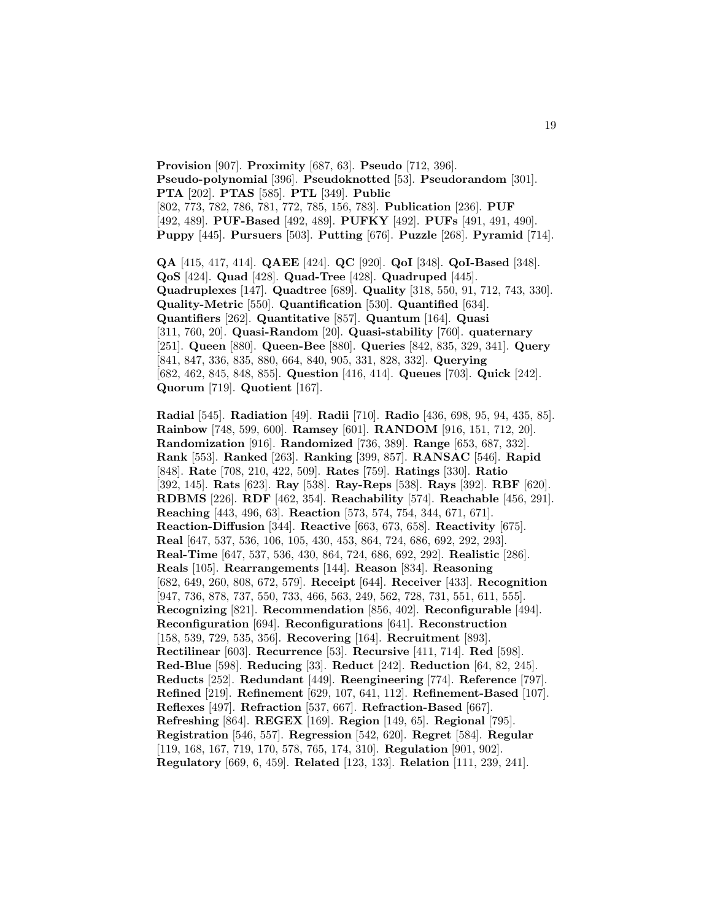**Provision** [907]. **Proximity** [687, 63]. **Pseudo** [712, 396]. **Pseudo-polynomial** [396]. **Pseudoknotted** [53]. **Pseudorandom** [301]. **PTA** [202]. **PTAS** [585]. **PTL** [349]. **Public** [802, 773, 782, 786, 781, 772, 785, 156, 783]. **Publication** [236]. **PUF** [492, 489]. **PUF-Based** [492, 489]. **PUFKY** [492]. **PUFs** [491, 491, 490]. **Puppy** [445]. **Pursuers** [503]. **Putting** [676]. **Puzzle** [268]. **Pyramid** [714].

**QA** [415, 417, 414]. **QAEE** [424]. **QC** [920]. **QoI** [348]. **QoI-Based** [348]. **QoS** [424]. **Quad** [428]. **Quad-Tree** [428]. **Quadruped** [445]. **Quadruplexes** [147]. **Quadtree** [689]. **Quality** [318, 550, 91, 712, 743, 330]. **Quality-Metric** [550]. **Quantification** [530]. **Quantified** [634]. **Quantifiers** [262]. **Quantitative** [857]. **Quantum** [164]. **Quasi** [311, 760, 20]. **Quasi-Random** [20]. **Quasi-stability** [760]. **quaternary** [251]. **Queen** [880]. **Queen-Bee** [880]. **Queries** [842, 835, 329, 341]. **Query** [841, 847, 336, 835, 880, 664, 840, 905, 331, 828, 332]. **Querying** [682, 462, 845, 848, 855]. **Question** [416, 414]. **Queues** [703]. **Quick** [242]. **Quorum** [719]. **Quotient** [167].

**Radial** [545]. **Radiation** [49]. **Radii** [710]. **Radio** [436, 698, 95, 94, 435, 85]. **Rainbow** [748, 599, 600]. **Ramsey** [601]. **RANDOM** [916, 151, 712, 20]. **Randomization** [916]. **Randomized** [736, 389]. **Range** [653, 687, 332]. **Rank** [553]. **Ranked** [263]. **Ranking** [399, 857]. **RANSAC** [546]. **Rapid** [848]. **Rate** [708, 210, 422, 509]. **Rates** [759]. **Ratings** [330]. **Ratio** [392, 145]. **Rats** [623]. **Ray** [538]. **Ray-Reps** [538]. **Rays** [392]. **RBF** [620]. **RDBMS** [226]. **RDF** [462, 354]. **Reachability** [574]. **Reachable** [456, 291]. **Reaching** [443, 496, 63]. **Reaction** [573, 574, 754, 344, 671, 671]. **Reaction-Diffusion** [344]. **Reactive** [663, 673, 658]. **Reactivity** [675]. **Real** [647, 537, 536, 106, 105, 430, 453, 864, 724, 686, 692, 292, 293]. **Real-Time** [647, 537, 536, 430, 864, 724, 686, 692, 292]. **Realistic** [286]. **Reals** [105]. **Rearrangements** [144]. **Reason** [834]. **Reasoning** [682, 649, 260, 808, 672, 579]. **Receipt** [644]. **Receiver** [433]. **Recognition** [947, 736, 878, 737, 550, 733, 466, 563, 249, 562, 728, 731, 551, 611, 555]. **Recognizing** [821]. **Recommendation** [856, 402]. **Reconfigurable** [494]. **Reconfiguration** [694]. **Reconfigurations** [641]. **Reconstruction** [158, 539, 729, 535, 356]. **Recovering** [164]. **Recruitment** [893]. **Rectilinear** [603]. **Recurrence** [53]. **Recursive** [411, 714]. **Red** [598]. **Red-Blue** [598]. **Reducing** [33]. **Reduct** [242]. **Reduction** [64, 82, 245]. **Reducts** [252]. **Redundant** [449]. **Reengineering** [774]. **Reference** [797]. **Refined** [219]. **Refinement** [629, 107, 641, 112]. **Refinement-Based** [107]. **Reflexes** [497]. **Refraction** [537, 667]. **Refraction-Based** [667]. **Refreshing** [864]. **REGEX** [169]. **Region** [149, 65]. **Regional** [795]. **Registration** [546, 557]. **Regression** [542, 620]. **Regret** [584]. **Regular** [119, 168, 167, 719, 170, 578, 765, 174, 310]. **Regulation** [901, 902]. **Regulatory** [669, 6, 459]. **Related** [123, 133]. **Relation** [111, 239, 241].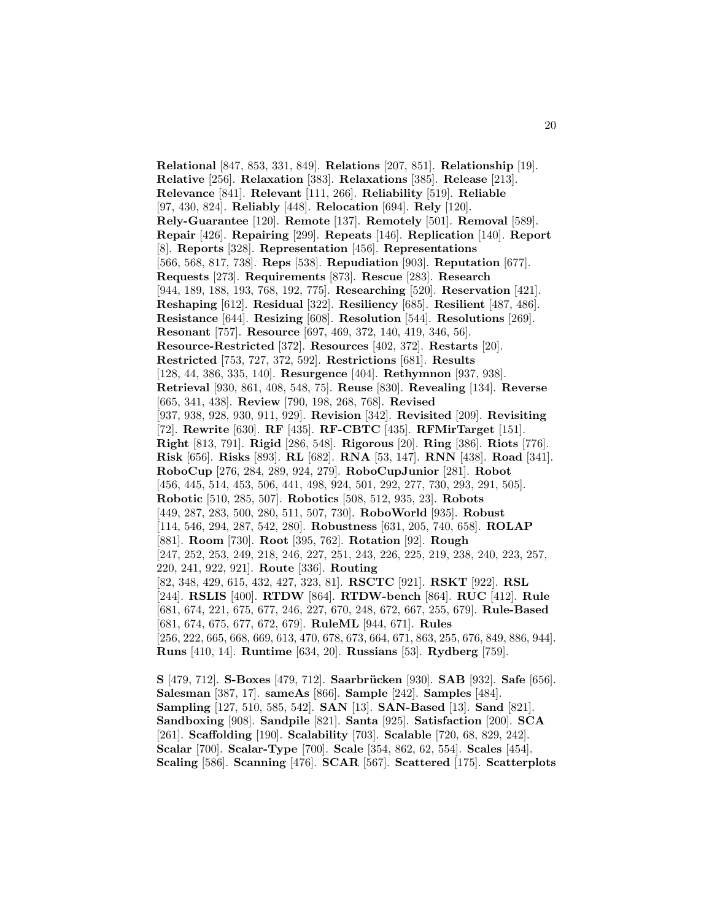**Relational** [847, 853, 331, 849]. **Relations** [207, 851]. **Relationship** [19]. **Relative** [256]. **Relaxation** [383]. **Relaxations** [385]. **Release** [213]. **Relevance** [841]. **Relevant** [111, 266]. **Reliability** [519]. **Reliable** [97, 430, 824]. **Reliably** [448]. **Relocation** [694]. **Rely** [120]. **Rely-Guarantee** [120]. **Remote** [137]. **Remotely** [501]. **Removal** [589]. **Repair** [426]. **Repairing** [299]. **Repeats** [146]. **Replication** [140]. **Report** [8]. **Reports** [328]. **Representation** [456]. **Representations** [566, 568, 817, 738]. **Reps** [538]. **Repudiation** [903]. **Reputation** [677]. **Requests** [273]. **Requirements** [873]. **Rescue** [283]. **Research** [944, 189, 188, 193, 768, 192, 775]. **Researching** [520]. **Reservation** [421]. **Reshaping** [612]. **Residual** [322]. **Resiliency** [685]. **Resilient** [487, 486]. **Resistance** [644]. **Resizing** [608]. **Resolution** [544]. **Resolutions** [269]. **Resonant** [757]. **Resource** [697, 469, 372, 140, 419, 346, 56]. **Resource-Restricted** [372]. **Resources** [402, 372]. **Restarts** [20]. **Restricted** [753, 727, 372, 592]. **Restrictions** [681]. **Results** [128, 44, 386, 335, 140]. **Resurgence** [404]. **Rethymnon** [937, 938]. **Retrieval** [930, 861, 408, 548, 75]. **Reuse** [830]. **Revealing** [134]. **Reverse** [665, 341, 438]. **Review** [790, 198, 268, 768]. **Revised** [937, 938, 928, 930, 911, 929]. **Revision** [342]. **Revisited** [209]. **Revisiting** [72]. **Rewrite** [630]. **RF** [435]. **RF-CBTC** [435]. **RFMirTarget** [151]. **Right** [813, 791]. **Rigid** [286, 548]. **Rigorous** [20]. **Ring** [386]. **Riots** [776]. **Risk** [656]. **Risks** [893]. **RL** [682]. **RNA** [53, 147]. **RNN** [438]. **Road** [341]. **RoboCup** [276, 284, 289, 924, 279]. **RoboCupJunior** [281]. **Robot** [456, 445, 514, 453, 506, 441, 498, 924, 501, 292, 277, 730, 293, 291, 505]. **Robotic** [510, 285, 507]. **Robotics** [508, 512, 935, 23]. **Robots** [449, 287, 283, 500, 280, 511, 507, 730]. **RoboWorld** [935]. **Robust** [114, 546, 294, 287, 542, 280]. **Robustness** [631, 205, 740, 658]. **ROLAP** [881]. **Room** [730]. **Root** [395, 762]. **Rotation** [92]. **Rough** [247, 252, 253, 249, 218, 246, 227, 251, 243, 226, 225, 219, 238, 240, 223, 257, 220, 241, 922, 921]. **Route** [336]. **Routing** [82, 348, 429, 615, 432, 427, 323, 81]. **RSCTC** [921]. **RSKT** [922]. **RSL** [244]. **RSLIS** [400]. **RTDW** [864]. **RTDW-bench** [864]. **RUC** [412]. **Rule** [681, 674, 221, 675, 677, 246, 227, 670, 248, 672, 667, 255, 679]. **Rule-Based** [681, 674, 675, 677, 672, 679]. **RuleML** [944, 671]. **Rules** [256, 222, 665, 668, 669, 613, 470, 678, 673, 664, 671, 863, 255, 676, 849, 886, 944]. **Runs** [410, 14]. **Runtime** [634, 20]. **Russians** [53]. **Rydberg** [759].

**S** [479, 712]. **S-Boxes** [479, 712]. **Saarbr¨ucken** [930]. **SAB** [932]. **Safe** [656]. **Salesman** [387, 17]. **sameAs** [866]. **Sample** [242]. **Samples** [484]. **Sampling** [127, 510, 585, 542]. **SAN** [13]. **SAN-Based** [13]. **Sand** [821]. **Sandboxing** [908]. **Sandpile** [821]. **Santa** [925]. **Satisfaction** [200]. **SCA** [261]. **Scaffolding** [190]. **Scalability** [703]. **Scalable** [720, 68, 829, 242]. **Scalar** [700]. **Scalar-Type** [700]. **Scale** [354, 862, 62, 554]. **Scales** [454]. **Scaling** [586]. **Scanning** [476]. **SCAR** [567]. **Scattered** [175]. **Scatterplots**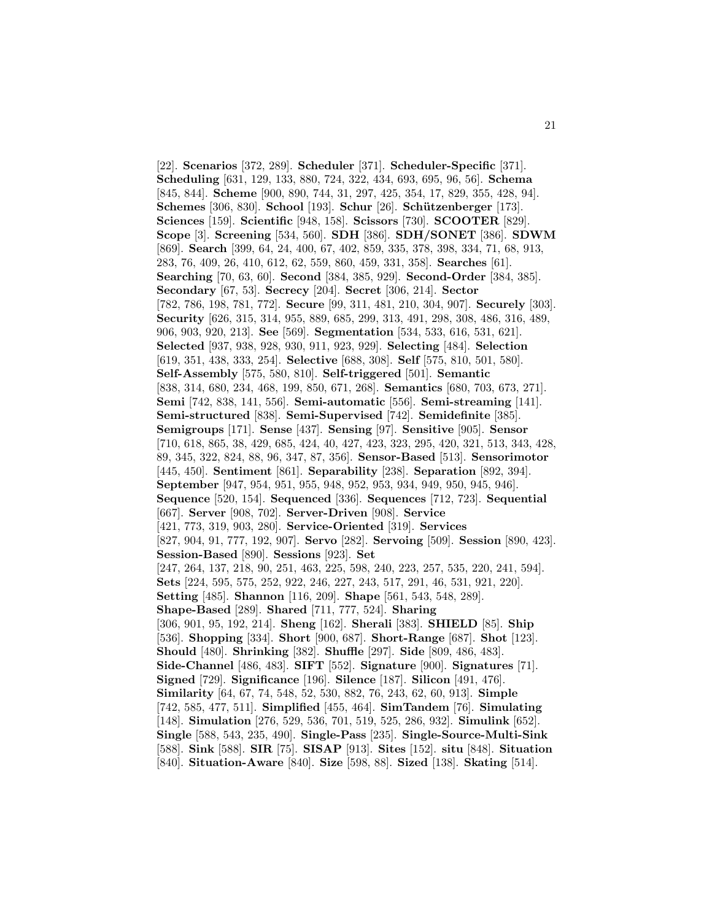[22]. **Scenarios** [372, 289]. **Scheduler** [371]. **Scheduler-Specific** [371]. **Scheduling** [631, 129, 133, 880, 724, 322, 434, 693, 695, 96, 56]. **Schema** [845, 844]. **Scheme** [900, 890, 744, 31, 297, 425, 354, 17, 829, 355, 428, 94]. **Schemes** [306, 830]. **School** [193]. **Schur** [26]. **Schützenberger** [173]. **Sciences** [159]. **Scientific** [948, 158]. **Scissors** [730]. **SCOOTER** [829]. **Scope** [3]. **Screening** [534, 560]. **SDH** [386]. **SDH/SONET** [386]. **SDWM** [869]. **Search** [399, 64, 24, 400, 67, 402, 859, 335, 378, 398, 334, 71, 68, 913, 283, 76, 409, 26, 410, 612, 62, 559, 860, 459, 331, 358]. **Searches** [61]. **Searching** [70, 63, 60]. **Second** [384, 385, 929]. **Second-Order** [384, 385]. **Secondary** [67, 53]. **Secrecy** [204]. **Secret** [306, 214]. **Sector** [782, 786, 198, 781, 772]. **Secure** [99, 311, 481, 210, 304, 907]. **Securely** [303]. **Security** [626, 315, 314, 955, 889, 685, 299, 313, 491, 298, 308, 486, 316, 489, 906, 903, 920, 213]. **See** [569]. **Segmentation** [534, 533, 616, 531, 621]. **Selected** [937, 938, 928, 930, 911, 923, 929]. **Selecting** [484]. **Selection** [619, 351, 438, 333, 254]. **Selective** [688, 308]. **Self** [575, 810, 501, 580]. **Self-Assembly** [575, 580, 810]. **Self-triggered** [501]. **Semantic** [838, 314, 680, 234, 468, 199, 850, 671, 268]. **Semantics** [680, 703, 673, 271]. **Semi** [742, 838, 141, 556]. **Semi-automatic** [556]. **Semi-streaming** [141]. **Semi-structured** [838]. **Semi-Supervised** [742]. **Semidefinite** [385]. **Semigroups** [171]. **Sense** [437]. **Sensing** [97]. **Sensitive** [905]. **Sensor** [710, 618, 865, 38, 429, 685, 424, 40, 427, 423, 323, 295, 420, 321, 513, 343, 428, 89, 345, 322, 824, 88, 96, 347, 87, 356]. **Sensor-Based** [513]. **Sensorimotor** [445, 450]. **Sentiment** [861]. **Separability** [238]. **Separation** [892, 394]. **September** [947, 954, 951, 955, 948, 952, 953, 934, 949, 950, 945, 946]. **Sequence** [520, 154]. **Sequenced** [336]. **Sequences** [712, 723]. **Sequential** [667]. **Server** [908, 702]. **Server-Driven** [908]. **Service** [421, 773, 319, 903, 280]. **Service-Oriented** [319]. **Services** [827, 904, 91, 777, 192, 907]. **Servo** [282]. **Servoing** [509]. **Session** [890, 423]. **Session-Based** [890]. **Sessions** [923]. **Set** [247, 264, 137, 218, 90, 251, 463, 225, 598, 240, 223, 257, 535, 220, 241, 594]. **Sets** [224, 595, 575, 252, 922, 246, 227, 243, 517, 291, 46, 531, 921, 220]. **Setting** [485]. **Shannon** [116, 209]. **Shape** [561, 543, 548, 289]. **Shape-Based** [289]. **Shared** [711, 777, 524]. **Sharing** [306, 901, 95, 192, 214]. **Sheng** [162]. **Sherali** [383]. **SHIELD** [85]. **Ship** [536]. **Shopping** [334]. **Short** [900, 687]. **Short-Range** [687]. **Shot** [123]. **Should** [480]. **Shrinking** [382]. **Shuffle** [297]. **Side** [809, 486, 483]. **Side-Channel** [486, 483]. **SIFT** [552]. **Signature** [900]. **Signatures** [71]. **Signed** [729]. **Significance** [196]. **Silence** [187]. **Silicon** [491, 476]. **Similarity** [64, 67, 74, 548, 52, 530, 882, 76, 243, 62, 60, 913]. **Simple** [742, 585, 477, 511]. **Simplified** [455, 464]. **SimTandem** [76]. **Simulating** [148]. **Simulation** [276, 529, 536, 701, 519, 525, 286, 932]. **Simulink** [652]. **Single** [588, 543, 235, 490]. **Single-Pass** [235]. **Single-Source-Multi-Sink** [588]. **Sink** [588]. **SIR** [75]. **SISAP** [913]. **Sites** [152]. **situ** [848]. **Situation** [840]. **Situation-Aware** [840]. **Size** [598, 88]. **Sized** [138]. **Skating** [514].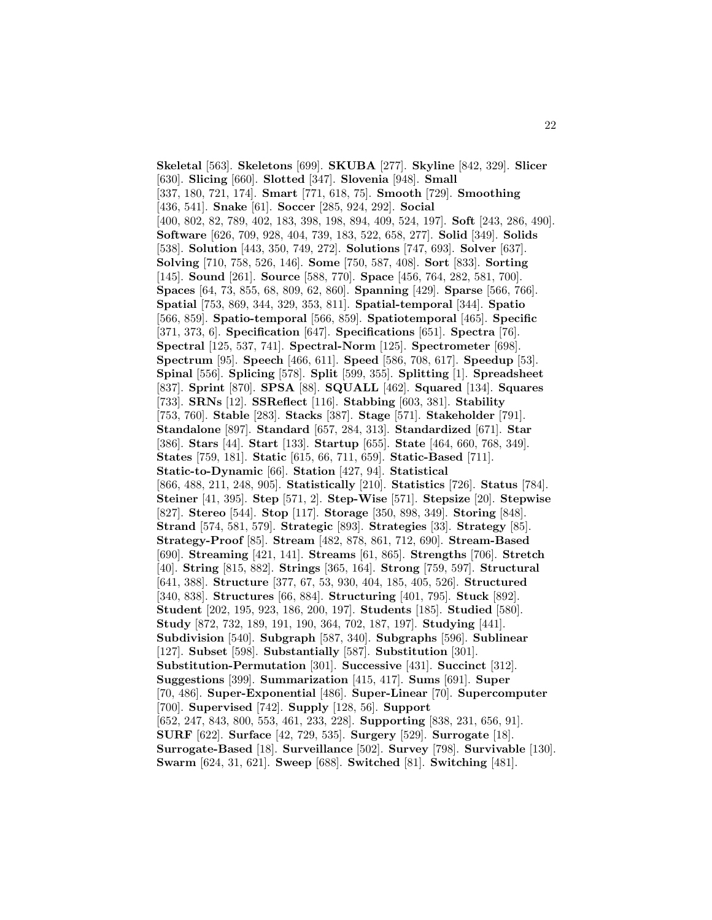**Skeletal** [563]. **Skeletons** [699]. **SKUBA** [277]. **Skyline** [842, 329]. **Slicer** [630]. **Slicing** [660]. **Slotted** [347]. **Slovenia** [948]. **Small** [337, 180, 721, 174]. **Smart** [771, 618, 75]. **Smooth** [729]. **Smoothing** [436, 541]. **Snake** [61]. **Soccer** [285, 924, 292]. **Social** [400, 802, 82, 789, 402, 183, 398, 198, 894, 409, 524, 197]. **Soft** [243, 286, 490]. **Software** [626, 709, 928, 404, 739, 183, 522, 658, 277]. **Solid** [349]. **Solids** [538]. **Solution** [443, 350, 749, 272]. **Solutions** [747, 693]. **Solver** [637]. **Solving** [710, 758, 526, 146]. **Some** [750, 587, 408]. **Sort** [833]. **Sorting** [145]. **Sound** [261]. **Source** [588, 770]. **Space** [456, 764, 282, 581, 700]. **Spaces** [64, 73, 855, 68, 809, 62, 860]. **Spanning** [429]. **Sparse** [566, 766]. **Spatial** [753, 869, 344, 329, 353, 811]. **Spatial-temporal** [344]. **Spatio** [566, 859]. **Spatio-temporal** [566, 859]. **Spatiotemporal** [465]. **Specific** [371, 373, 6]. **Specification** [647]. **Specifications** [651]. **Spectra** [76]. **Spectral** [125, 537, 741]. **Spectral-Norm** [125]. **Spectrometer** [698]. **Spectrum** [95]. **Speech** [466, 611]. **Speed** [586, 708, 617]. **Speedup** [53]. **Spinal** [556]. **Splicing** [578]. **Split** [599, 355]. **Splitting** [1]. **Spreadsheet** [837]. **Sprint** [870]. **SPSA** [88]. **SQUALL** [462]. **Squared** [134]. **Squares** [733]. **SRNs** [12]. **SSReflect** [116]. **Stabbing** [603, 381]. **Stability** [753, 760]. **Stable** [283]. **Stacks** [387]. **Stage** [571]. **Stakeholder** [791]. **Standalone** [897]. **Standard** [657, 284, 313]. **Standardized** [671]. **Star** [386]. **Stars** [44]. **Start** [133]. **Startup** [655]. **State** [464, 660, 768, 349]. **States** [759, 181]. **Static** [615, 66, 711, 659]. **Static-Based** [711]. **Static-to-Dynamic** [66]. **Station** [427, 94]. **Statistical** [866, 488, 211, 248, 905]. **Statistically** [210]. **Statistics** [726]. **Status** [784]. **Steiner** [41, 395]. **Step** [571, 2]. **Step-Wise** [571]. **Stepsize** [20]. **Stepwise** [827]. **Stereo** [544]. **Stop** [117]. **Storage** [350, 898, 349]. **Storing** [848]. **Strand** [574, 581, 579]. **Strategic** [893]. **Strategies** [33]. **Strategy** [85]. **Strategy-Proof** [85]. **Stream** [482, 878, 861, 712, 690]. **Stream-Based** [690]. **Streaming** [421, 141]. **Streams** [61, 865]. **Strengths** [706]. **Stretch** [40]. **String** [815, 882]. **Strings** [365, 164]. **Strong** [759, 597]. **Structural** [641, 388]. **Structure** [377, 67, 53, 930, 404, 185, 405, 526]. **Structured** [340, 838]. **Structures** [66, 884]. **Structuring** [401, 795]. **Stuck** [892]. **Student** [202, 195, 923, 186, 200, 197]. **Students** [185]. **Studied** [580]. **Study** [872, 732, 189, 191, 190, 364, 702, 187, 197]. **Studying** [441]. **Subdivision** [540]. **Subgraph** [587, 340]. **Subgraphs** [596]. **Sublinear** [127]. **Subset** [598]. **Substantially** [587]. **Substitution** [301]. **Substitution-Permutation** [301]. **Successive** [431]. **Succinct** [312]. **Suggestions** [399]. **Summarization** [415, 417]. **Sums** [691]. **Super** [70, 486]. **Super-Exponential** [486]. **Super-Linear** [70]. **Supercomputer** [700]. **Supervised** [742]. **Supply** [128, 56]. **Support** [652, 247, 843, 800, 553, 461, 233, 228]. **Supporting** [838, 231, 656, 91]. **SURF** [622]. **Surface** [42, 729, 535]. **Surgery** [529]. **Surrogate** [18]. **Surrogate-Based** [18]. **Surveillance** [502]. **Survey** [798]. **Survivable** [130]. **Swarm** [624, 31, 621]. **Sweep** [688]. **Switched** [81]. **Switching** [481].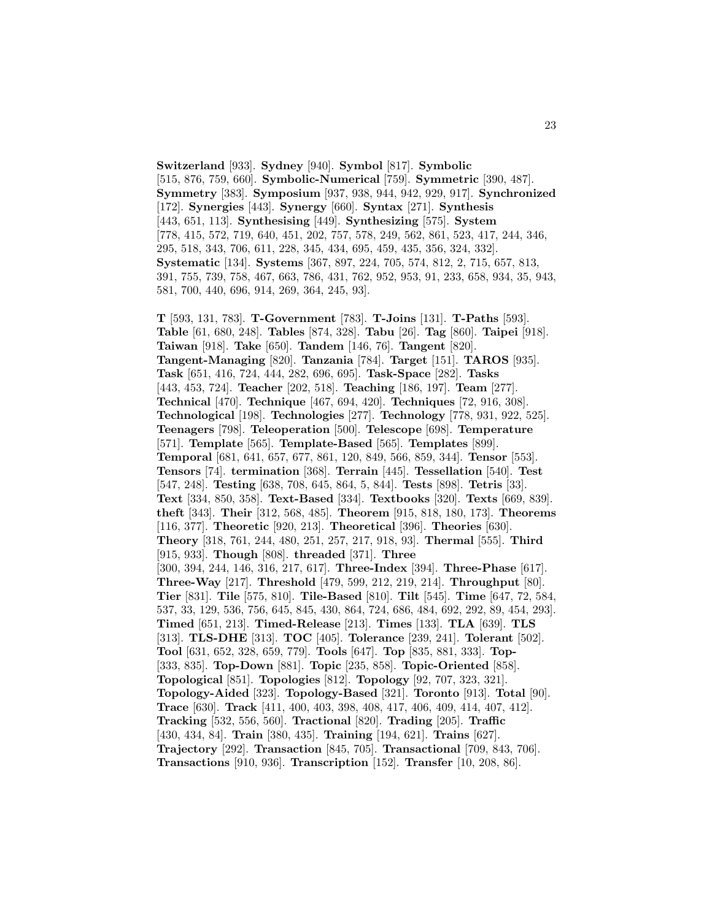**Switzerland** [933]. **Sydney** [940]. **Symbol** [817]. **Symbolic** [515, 876, 759, 660]. **Symbolic-Numerical** [759]. **Symmetric** [390, 487]. **Symmetry** [383]. **Symposium** [937, 938, 944, 942, 929, 917]. **Synchronized** [172]. **Synergies** [443]. **Synergy** [660]. **Syntax** [271]. **Synthesis** [443, 651, 113]. **Synthesising** [449]. **Synthesizing** [575]. **System** [778, 415, 572, 719, 640, 451, 202, 757, 578, 249, 562, 861, 523, 417, 244, 346, 295, 518, 343, 706, 611, 228, 345, 434, 695, 459, 435, 356, 324, 332]. **Systematic** [134]. **Systems** [367, 897, 224, 705, 574, 812, 2, 715, 657, 813, 391, 755, 739, 758, 467, 663, 786, 431, 762, 952, 953, 91, 233, 658, 934, 35, 943, 581, 700, 440, 696, 914, 269, 364, 245, 93].

**T** [593, 131, 783]. **T-Government** [783]. **T-Joins** [131]. **T-Paths** [593]. **Table** [61, 680, 248]. **Tables** [874, 328]. **Tabu** [26]. **Tag** [860]. **Taipei** [918]. **Taiwan** [918]. **Take** [650]. **Tandem** [146, 76]. **Tangent** [820]. **Tangent-Managing** [820]. **Tanzania** [784]. **Target** [151]. **TAROS** [935]. **Task** [651, 416, 724, 444, 282, 696, 695]. **Task-Space** [282]. **Tasks** [443, 453, 724]. **Teacher** [202, 518]. **Teaching** [186, 197]. **Team** [277]. **Technical** [470]. **Technique** [467, 694, 420]. **Techniques** [72, 916, 308]. **Technological** [198]. **Technologies** [277]. **Technology** [778, 931, 922, 525]. **Teenagers** [798]. **Teleoperation** [500]. **Telescope** [698]. **Temperature** [571]. **Template** [565]. **Template-Based** [565]. **Templates** [899]. **Temporal** [681, 641, 657, 677, 861, 120, 849, 566, 859, 344]. **Tensor** [553]. **Tensors** [74]. **termination** [368]. **Terrain** [445]. **Tessellation** [540]. **Test** [547, 248]. **Testing** [638, 708, 645, 864, 5, 844]. **Tests** [898]. **Tetris** [33]. **Text** [334, 850, 358]. **Text-Based** [334]. **Textbooks** [320]. **Texts** [669, 839]. **theft** [343]. **Their** [312, 568, 485]. **Theorem** [915, 818, 180, 173]. **Theorems** [116, 377]. **Theoretic** [920, 213]. **Theoretical** [396]. **Theories** [630]. **Theory** [318, 761, 244, 480, 251, 257, 217, 918, 93]. **Thermal** [555]. **Third** [915, 933]. **Though** [808]. **threaded** [371]. **Three** [300, 394, 244, 146, 316, 217, 617]. **Three-Index** [394]. **Three-Phase** [617]. **Three-Way** [217]. **Threshold** [479, 599, 212, 219, 214]. **Throughput** [80]. **Tier** [831]. **Tile** [575, 810]. **Tile-Based** [810]. **Tilt** [545]. **Time** [647, 72, 584, 537, 33, 129, 536, 756, 645, 845, 430, 864, 724, 686, 484, 692, 292, 89, 454, 293]. **Timed** [651, 213]. **Timed-Release** [213]. **Times** [133]. **TLA** [639]. **TLS** [313]. **TLS-DHE** [313]. **TOC** [405]. **Tolerance** [239, 241]. **Tolerant** [502]. **Tool** [631, 652, 328, 659, 779]. **Tools** [647]. **Top** [835, 881, 333]. **Top-** [333, 835]. **Top-Down** [881]. **Topic** [235, 858]. **Topic-Oriented** [858]. **Topological** [851]. **Topologies** [812]. **Topology** [92, 707, 323, 321]. **Topology-Aided** [323]. **Topology-Based** [321]. **Toronto** [913]. **Total** [90]. **Trace** [630]. **Track** [411, 400, 403, 398, 408, 417, 406, 409, 414, 407, 412]. **Tracking** [532, 556, 560]. **Tractional** [820]. **Trading** [205]. **Traffic** [430, 434, 84]. **Train** [380, 435]. **Training** [194, 621]. **Trains** [627]. **Trajectory** [292]. **Transaction** [845, 705]. **Transactional** [709, 843, 706]. **Transactions** [910, 936]. **Transcription** [152]. **Transfer** [10, 208, 86].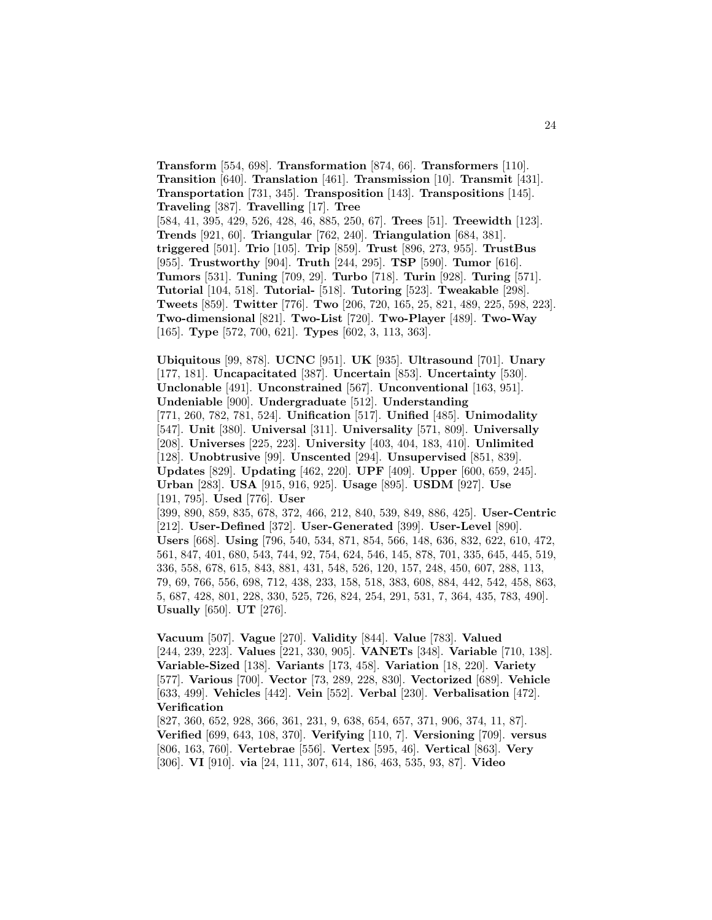**Transform** [554, 698]. **Transformation** [874, 66]. **Transformers** [110]. **Transition** [640]. **Translation** [461]. **Transmission** [10]. **Transmit** [431]. **Transportation** [731, 345]. **Transposition** [143]. **Transpositions** [145]. **Traveling** [387]. **Travelling** [17]. **Tree** [584, 41, 395, 429, 526, 428, 46, 885, 250, 67]. **Trees** [51]. **Treewidth** [123]. **Trends** [921, 60]. **Triangular** [762, 240]. **Triangulation** [684, 381]. **triggered** [501]. **Trio** [105]. **Trip** [859]. **Trust** [896, 273, 955]. **TrustBus** [955]. **Trustworthy** [904]. **Truth** [244, 295]. **TSP** [590]. **Tumor** [616]. **Tumors** [531]. **Tuning** [709, 29]. **Turbo** [718]. **Turin** [928]. **Turing** [571]. **Tutorial** [104, 518]. **Tutorial-** [518]. **Tutoring** [523]. **Tweakable** [298]. **Tweets** [859]. **Twitter** [776]. **Two** [206, 720, 165, 25, 821, 489, 225, 598, 223]. **Two-dimensional** [821]. **Two-List** [720]. **Two-Player** [489]. **Two-Way** [165]. **Type** [572, 700, 621]. **Types** [602, 3, 113, 363].

**Ubiquitous** [99, 878]. **UCNC** [951]. **UK** [935]. **Ultrasound** [701]. **Unary** [177, 181]. **Uncapacitated** [387]. **Uncertain** [853]. **Uncertainty** [530]. **Unclonable** [491]. **Unconstrained** [567]. **Unconventional** [163, 951]. **Undeniable** [900]. **Undergraduate** [512]. **Understanding** [771, 260, 782, 781, 524]. **Unification** [517]. **Unified** [485]. **Unimodality** [547]. **Unit** [380]. **Universal** [311]. **Universality** [571, 809]. **Universally** [208]. **Universes** [225, 223]. **University** [403, 404, 183, 410]. **Unlimited** [128]. **Unobtrusive** [99]. **Unscented** [294]. **Unsupervised** [851, 839]. **Updates** [829]. **Updating** [462, 220]. **UPF** [409]. **Upper** [600, 659, 245]. **Urban** [283]. **USA** [915, 916, 925]. **Usage** [895]. **USDM** [927]. **Use** [191, 795]. **Used** [776]. **User** [399, 890, 859, 835, 678, 372, 466, 212, 840, 539, 849, 886, 425]. **User-Centric** [212]. **User-Defined** [372]. **User-Generated** [399]. **User-Level** [890]. **Users** [668]. **Using** [796, 540, 534, 871, 854, 566, 148, 636, 832, 622, 610, 472, 561, 847, 401, 680, 543, 744, 92, 754, 624, 546, 145, 878, 701, 335, 645, 445, 519, 336, 558, 678, 615, 843, 881, 431, 548, 526, 120, 157, 248, 450, 607, 288, 113, 79, 69, 766, 556, 698, 712, 438, 233, 158, 518, 383, 608, 884, 442, 542, 458, 863, 5, 687, 428, 801, 228, 330, 525, 726, 824, 254, 291, 531, 7, 364, 435, 783, 490]. **Usually** [650]. **UT** [276].

**Vacuum** [507]. **Vague** [270]. **Validity** [844]. **Value** [783]. **Valued** [244, 239, 223]. **Values** [221, 330, 905]. **VANETs** [348]. **Variable** [710, 138]. **Variable-Sized** [138]. **Variants** [173, 458]. **Variation** [18, 220]. **Variety** [577]. **Various** [700]. **Vector** [73, 289, 228, 830]. **Vectorized** [689]. **Vehicle** [633, 499]. **Vehicles** [442]. **Vein** [552]. **Verbal** [230]. **Verbalisation** [472]. **Verification**

[827, 360, 652, 928, 366, 361, 231, 9, 638, 654, 657, 371, 906, 374, 11, 87]. **Verified** [699, 643, 108, 370]. **Verifying** [110, 7]. **Versioning** [709]. **versus** [806, 163, 760]. **Vertebrae** [556]. **Vertex** [595, 46]. **Vertical** [863]. **Very** [306]. **VI** [910]. **via** [24, 111, 307, 614, 186, 463, 535, 93, 87]. **Video**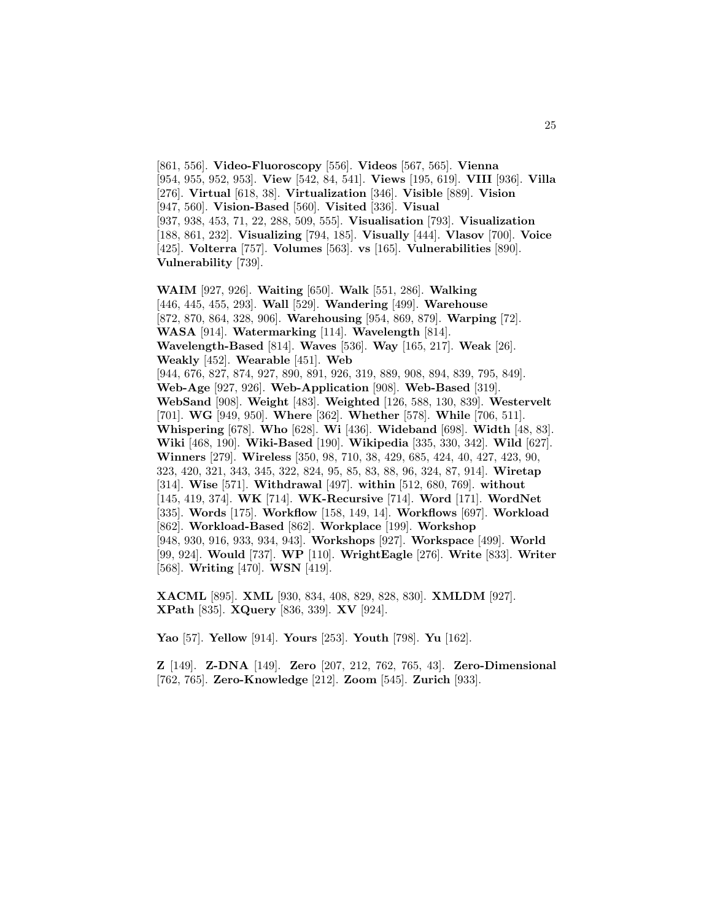[861, 556]. **Video-Fluoroscopy** [556]. **Videos** [567, 565]. **Vienna** [954, 955, 952, 953]. **View** [542, 84, 541]. **Views** [195, 619]. **VIII** [936]. **Villa** [276]. **Virtual** [618, 38]. **Virtualization** [346]. **Visible** [889]. **Vision** [947, 560]. **Vision-Based** [560]. **Visited** [336]. **Visual** [937, 938, 453, 71, 22, 288, 509, 555]. **Visualisation** [793]. **Visualization** [188, 861, 232]. **Visualizing** [794, 185]. **Visually** [444]. **Vlasov** [700]. **Voice** [425]. **Volterra** [757]. **Volumes** [563]. **vs** [165]. **Vulnerabilities** [890]. **Vulnerability** [739].

**WAIM** [927, 926]. **Waiting** [650]. **Walk** [551, 286]. **Walking** [446, 445, 455, 293]. **Wall** [529]. **Wandering** [499]. **Warehouse** [872, 870, 864, 328, 906]. **Warehousing** [954, 869, 879]. **Warping** [72]. **WASA** [914]. **Watermarking** [114]. **Wavelength** [814]. **Wavelength-Based** [814]. **Waves** [536]. **Way** [165, 217]. **Weak** [26]. **Weakly** [452]. **Wearable** [451]. **Web** [944, 676, 827, 874, 927, 890, 891, 926, 319, 889, 908, 894, 839, 795, 849]. **Web-Age** [927, 926]. **Web-Application** [908]. **Web-Based** [319]. **WebSand** [908]. **Weight** [483]. **Weighted** [126, 588, 130, 839]. **Westervelt** [701]. **WG** [949, 950]. **Where** [362]. **Whether** [578]. **While** [706, 511]. **Whispering** [678]. **Who** [628]. **Wi** [436]. **Wideband** [698]. **Width** [48, 83]. **Wiki** [468, 190]. **Wiki-Based** [190]. **Wikipedia** [335, 330, 342]. **Wild** [627]. **Winners** [279]. **Wireless** [350, 98, 710, 38, 429, 685, 424, 40, 427, 423, 90, 323, 420, 321, 343, 345, 322, 824, 95, 85, 83, 88, 96, 324, 87, 914]. **Wiretap** [314]. **Wise** [571]. **Withdrawal** [497]. **within** [512, 680, 769]. **without** [145, 419, 374]. **WK** [714]. **WK-Recursive** [714]. **Word** [171]. **WordNet** [335]. **Words** [175]. **Workflow** [158, 149, 14]. **Workflows** [697]. **Workload** [862]. **Workload-Based** [862]. **Workplace** [199]. **Workshop** [948, 930, 916, 933, 934, 943]. **Workshops** [927]. **Workspace** [499]. **World** [99, 924]. **Would** [737]. **WP** [110]. **WrightEagle** [276]. **Write** [833]. **Writer** [568]. **Writing** [470]. **WSN** [419].

**XACML** [895]. **XML** [930, 834, 408, 829, 828, 830]. **XMLDM** [927]. **XPath** [835]. **XQuery** [836, 339]. **XV** [924].

**Yao** [57]. **Yellow** [914]. **Yours** [253]. **Youth** [798]. **Yu** [162].

**Z** [149]. **Z-DNA** [149]. **Zero** [207, 212, 762, 765, 43]. **Zero-Dimensional** [762, 765]. **Zero-Knowledge** [212]. **Zoom** [545]. **Zurich** [933].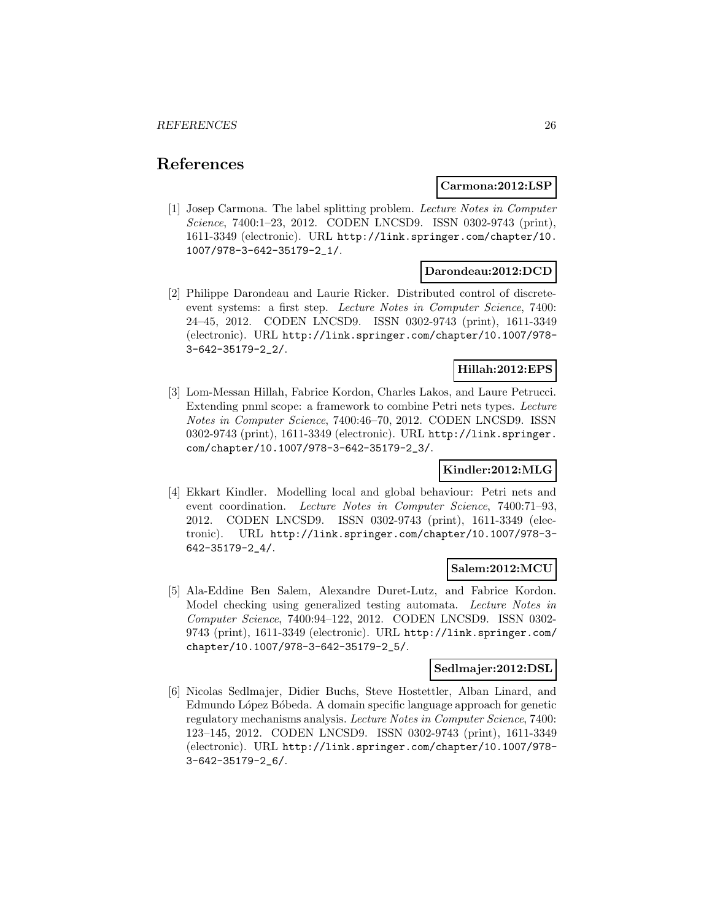# **References**

#### **Carmona:2012:LSP**

[1] Josep Carmona. The label splitting problem. Lecture Notes in Computer Science, 7400:1-23, 2012. CODEN LNCSD9. ISSN 0302-9743 (print), 1611-3349 (electronic). URL http://link.springer.com/chapter/10. 1007/978-3-642-35179-2\_1/.

#### **Darondeau:2012:DCD**

[2] Philippe Darondeau and Laurie Ricker. Distributed control of discreteevent systems: a first step. Lecture Notes in Computer Science, 7400: 24–45, 2012. CODEN LNCSD9. ISSN 0302-9743 (print), 1611-3349 (electronic). URL http://link.springer.com/chapter/10.1007/978- 3-642-35179-2\_2/.

# **Hillah:2012:EPS**

[3] Lom-Messan Hillah, Fabrice Kordon, Charles Lakos, and Laure Petrucci. Extending pnml scope: a framework to combine Petri nets types. Lecture Notes in Computer Science, 7400:46–70, 2012. CODEN LNCSD9. ISSN 0302-9743 (print), 1611-3349 (electronic). URL http://link.springer. com/chapter/10.1007/978-3-642-35179-2\_3/.

## **Kindler:2012:MLG**

[4] Ekkart Kindler. Modelling local and global behaviour: Petri nets and event coordination. Lecture Notes in Computer Science, 7400:71–93, 2012. CODEN LNCSD9. ISSN 0302-9743 (print), 1611-3349 (electronic). URL http://link.springer.com/chapter/10.1007/978-3- 642-35179-2\_4/.

## **Salem:2012:MCU**

[5] Ala-Eddine Ben Salem, Alexandre Duret-Lutz, and Fabrice Kordon. Model checking using generalized testing automata. Lecture Notes in Computer Science, 7400:94–122, 2012. CODEN LNCSD9. ISSN 0302- 9743 (print), 1611-3349 (electronic). URL http://link.springer.com/ chapter/10.1007/978-3-642-35179-2\_5/.

#### **Sedlmajer:2012:DSL**

[6] Nicolas Sedlmajer, Didier Buchs, Steve Hostettler, Alban Linard, and Edmundo López Bóbeda. A domain specific language approach for genetic regulatory mechanisms analysis. Lecture Notes in Computer Science, 7400: 123–145, 2012. CODEN LNCSD9. ISSN 0302-9743 (print), 1611-3349 (electronic). URL http://link.springer.com/chapter/10.1007/978- 3-642-35179-2\_6/.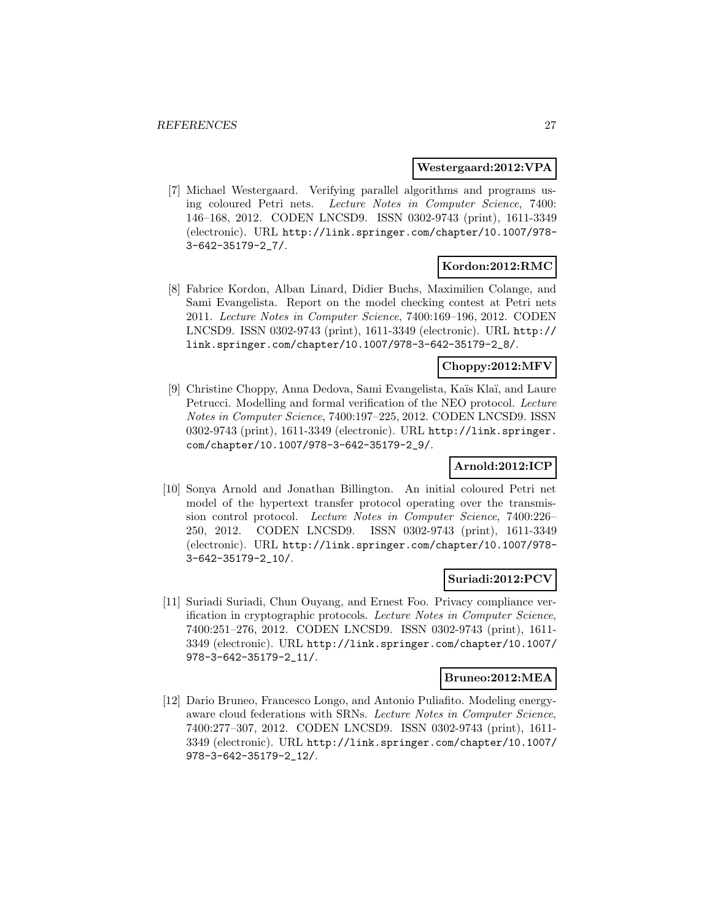#### **Westergaard:2012:VPA**

[7] Michael Westergaard. Verifying parallel algorithms and programs using coloured Petri nets. Lecture Notes in Computer Science, 7400: 146–168, 2012. CODEN LNCSD9. ISSN 0302-9743 (print), 1611-3349 (electronic). URL http://link.springer.com/chapter/10.1007/978- 3-642-35179-2\_7/.

## **Kordon:2012:RMC**

[8] Fabrice Kordon, Alban Linard, Didier Buchs, Maximilien Colange, and Sami Evangelista. Report on the model checking contest at Petri nets 2011. Lecture Notes in Computer Science, 7400:169–196, 2012. CODEN LNCSD9. ISSN 0302-9743 (print), 1611-3349 (electronic). URL http:// link.springer.com/chapter/10.1007/978-3-642-35179-2\_8/.

#### **Choppy:2012:MFV**

[9] Christine Choppy, Anna Dedova, Sami Evangelista, Ka¨ıs Kla¨ı, and Laure Petrucci. Modelling and formal verification of the NEO protocol. Lecture Notes in Computer Science, 7400:197–225, 2012. CODEN LNCSD9. ISSN 0302-9743 (print), 1611-3349 (electronic). URL http://link.springer. com/chapter/10.1007/978-3-642-35179-2\_9/.

## **Arnold:2012:ICP**

[10] Sonya Arnold and Jonathan Billington. An initial coloured Petri net model of the hypertext transfer protocol operating over the transmission control protocol. Lecture Notes in Computer Science, 7400:226– 250, 2012. CODEN LNCSD9. ISSN 0302-9743 (print), 1611-3349 (electronic). URL http://link.springer.com/chapter/10.1007/978- 3-642-35179-2\_10/.

#### **Suriadi:2012:PCV**

[11] Suriadi Suriadi, Chun Ouyang, and Ernest Foo. Privacy compliance verification in cryptographic protocols. Lecture Notes in Computer Science, 7400:251–276, 2012. CODEN LNCSD9. ISSN 0302-9743 (print), 1611- 3349 (electronic). URL http://link.springer.com/chapter/10.1007/ 978-3-642-35179-2\_11/.

#### **Bruneo:2012:MEA**

[12] Dario Bruneo, Francesco Longo, and Antonio Puliafito. Modeling energyaware cloud federations with SRNs. Lecture Notes in Computer Science, 7400:277–307, 2012. CODEN LNCSD9. ISSN 0302-9743 (print), 1611- 3349 (electronic). URL http://link.springer.com/chapter/10.1007/ 978-3-642-35179-2\_12/.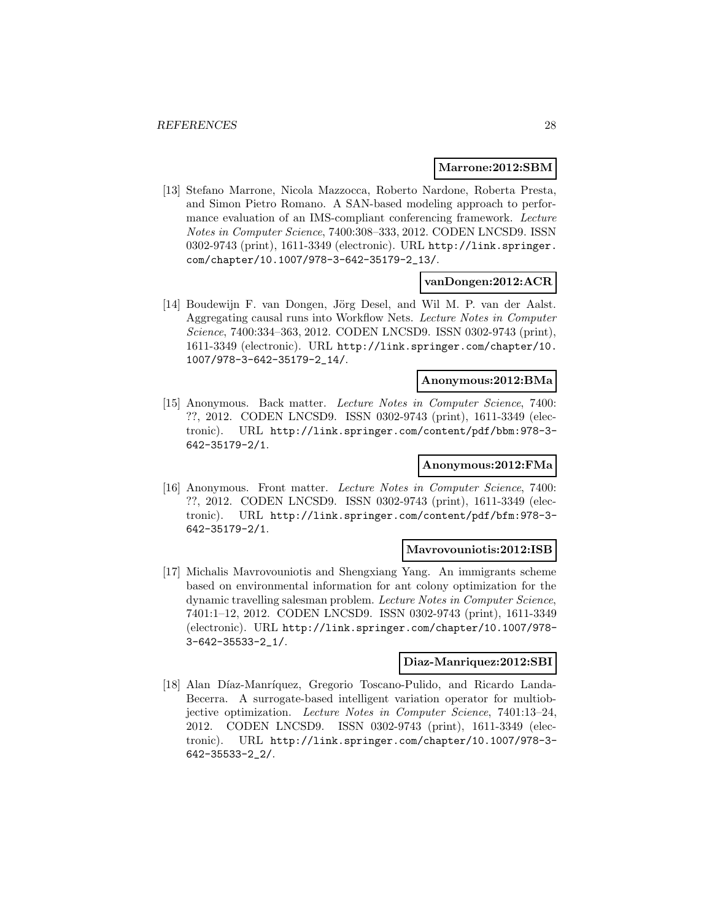#### **Marrone:2012:SBM**

[13] Stefano Marrone, Nicola Mazzocca, Roberto Nardone, Roberta Presta, and Simon Pietro Romano. A SAN-based modeling approach to performance evaluation of an IMS-compliant conferencing framework. Lecture Notes in Computer Science, 7400:308–333, 2012. CODEN LNCSD9. ISSN 0302-9743 (print), 1611-3349 (electronic). URL http://link.springer. com/chapter/10.1007/978-3-642-35179-2\_13/.

#### **vanDongen:2012:ACR**

[14] Boudewijn F. van Dongen, Jörg Desel, and Wil M. P. van der Aalst. Aggregating causal runs into Workflow Nets. Lecture Notes in Computer Science, 7400:334–363, 2012. CODEN LNCSD9. ISSN 0302-9743 (print), 1611-3349 (electronic). URL http://link.springer.com/chapter/10. 1007/978-3-642-35179-2\_14/.

## **Anonymous:2012:BMa**

[15] Anonymous. Back matter. Lecture Notes in Computer Science, 7400: ??, 2012. CODEN LNCSD9. ISSN 0302-9743 (print), 1611-3349 (electronic). URL http://link.springer.com/content/pdf/bbm:978-3- 642-35179-2/1.

## **Anonymous:2012:FMa**

[16] Anonymous. Front matter. Lecture Notes in Computer Science, 7400: ??, 2012. CODEN LNCSD9. ISSN 0302-9743 (print), 1611-3349 (electronic). URL http://link.springer.com/content/pdf/bfm:978-3- 642-35179-2/1.

#### **Mavrovouniotis:2012:ISB**

[17] Michalis Mavrovouniotis and Shengxiang Yang. An immigrants scheme based on environmental information for ant colony optimization for the dynamic travelling salesman problem. Lecture Notes in Computer Science, 7401:1–12, 2012. CODEN LNCSD9. ISSN 0302-9743 (print), 1611-3349 (electronic). URL http://link.springer.com/chapter/10.1007/978- 3-642-35533-2\_1/.

#### **Diaz-Manriquez:2012:SBI**

[18] Alan Díaz-Manríquez, Gregorio Toscano-Pulido, and Ricardo Landa-Becerra. A surrogate-based intelligent variation operator for multiobjective optimization. Lecture Notes in Computer Science, 7401:13–24, 2012. CODEN LNCSD9. ISSN 0302-9743 (print), 1611-3349 (electronic). URL http://link.springer.com/chapter/10.1007/978-3- 642-35533-2\_2/.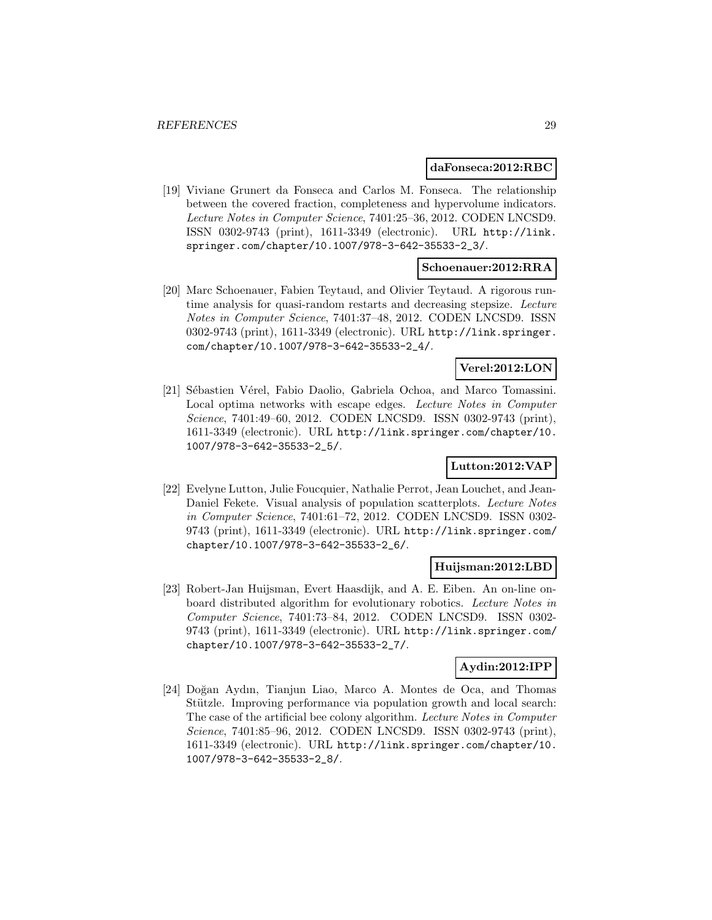#### **daFonseca:2012:RBC**

[19] Viviane Grunert da Fonseca and Carlos M. Fonseca. The relationship between the covered fraction, completeness and hypervolume indicators. Lecture Notes in Computer Science, 7401:25–36, 2012. CODEN LNCSD9. ISSN 0302-9743 (print), 1611-3349 (electronic). URL http://link. springer.com/chapter/10.1007/978-3-642-35533-2\_3/.

#### **Schoenauer:2012:RRA**

[20] Marc Schoenauer, Fabien Teytaud, and Olivier Teytaud. A rigorous runtime analysis for quasi-random restarts and decreasing stepsize. Lecture Notes in Computer Science, 7401:37–48, 2012. CODEN LNCSD9. ISSN 0302-9743 (print), 1611-3349 (electronic). URL http://link.springer. com/chapter/10.1007/978-3-642-35533-2\_4/.

## **Verel:2012:LON**

[21] Sébastien Vérel, Fabio Daolio, Gabriela Ochoa, and Marco Tomassini. Local optima networks with escape edges. Lecture Notes in Computer Science, 7401:49-60, 2012. CODEN LNCSD9. ISSN 0302-9743 (print), 1611-3349 (electronic). URL http://link.springer.com/chapter/10. 1007/978-3-642-35533-2\_5/.

## **Lutton:2012:VAP**

[22] Evelyne Lutton, Julie Foucquier, Nathalie Perrot, Jean Louchet, and Jean-Daniel Fekete. Visual analysis of population scatterplots. Lecture Notes in Computer Science, 7401:61–72, 2012. CODEN LNCSD9. ISSN 0302- 9743 (print), 1611-3349 (electronic). URL http://link.springer.com/ chapter/10.1007/978-3-642-35533-2\_6/.

#### **Huijsman:2012:LBD**

[23] Robert-Jan Huijsman, Evert Haasdijk, and A. E. Eiben. An on-line onboard distributed algorithm for evolutionary robotics. Lecture Notes in Computer Science, 7401:73–84, 2012. CODEN LNCSD9. ISSN 0302- 9743 (print), 1611-3349 (electronic). URL http://link.springer.com/ chapter/10.1007/978-3-642-35533-2\_7/.

## **Aydin:2012:IPP**

[24] Doğan Aydın, Tianjun Liao, Marco A. Montes de Oca, and Thomas Stützle. Improving performance via population growth and local search: The case of the artificial bee colony algorithm. Lecture Notes in Computer Science, 7401:85–96, 2012. CODEN LNCSD9. ISSN 0302-9743 (print), 1611-3349 (electronic). URL http://link.springer.com/chapter/10. 1007/978-3-642-35533-2\_8/.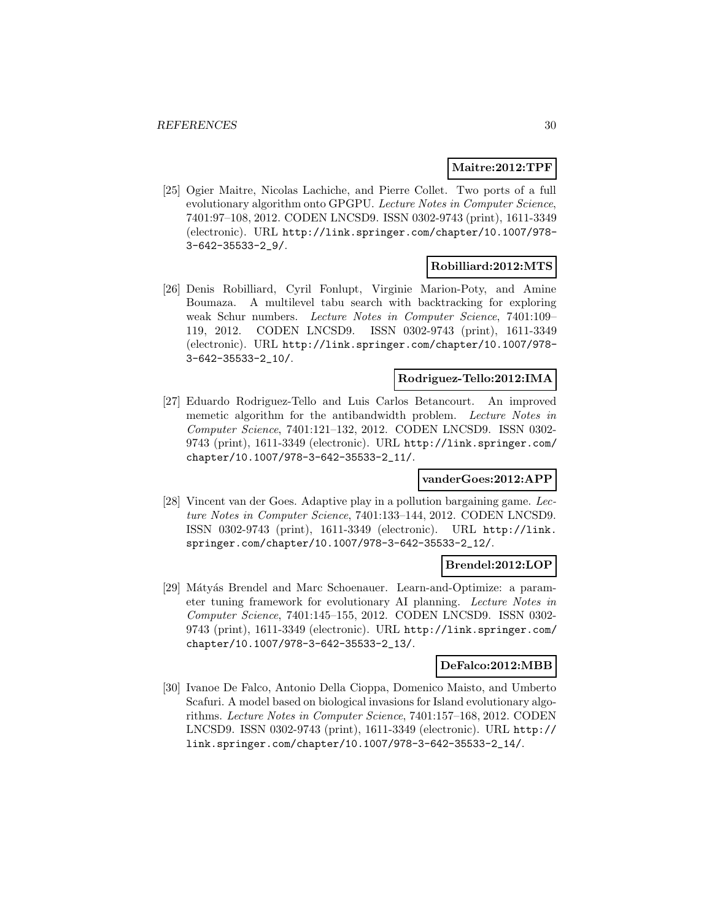#### **Maitre:2012:TPF**

[25] Ogier Maitre, Nicolas Lachiche, and Pierre Collet. Two ports of a full evolutionary algorithm onto GPGPU. Lecture Notes in Computer Science, 7401:97–108, 2012. CODEN LNCSD9. ISSN 0302-9743 (print), 1611-3349 (electronic). URL http://link.springer.com/chapter/10.1007/978- 3-642-35533-2\_9/.

#### **Robilliard:2012:MTS**

[26] Denis Robilliard, Cyril Fonlupt, Virginie Marion-Poty, and Amine Boumaza. A multilevel tabu search with backtracking for exploring weak Schur numbers. Lecture Notes in Computer Science, 7401:109– 119, 2012. CODEN LNCSD9. ISSN 0302-9743 (print), 1611-3349 (electronic). URL http://link.springer.com/chapter/10.1007/978- 3-642-35533-2\_10/.

#### **Rodriguez-Tello:2012:IMA**

[27] Eduardo Rodriguez-Tello and Luis Carlos Betancourt. An improved memetic algorithm for the antibandwidth problem. Lecture Notes in Computer Science, 7401:121–132, 2012. CODEN LNCSD9. ISSN 0302- 9743 (print), 1611-3349 (electronic). URL http://link.springer.com/ chapter/10.1007/978-3-642-35533-2\_11/.

## **vanderGoes:2012:APP**

[28] Vincent van der Goes. Adaptive play in a pollution bargaining game. Lecture Notes in Computer Science, 7401:133–144, 2012. CODEN LNCSD9. ISSN 0302-9743 (print), 1611-3349 (electronic). URL http://link. springer.com/chapter/10.1007/978-3-642-35533-2\_12/.

#### **Brendel:2012:LOP**

[29] Mátyás Brendel and Marc Schoenauer. Learn-and-Optimize: a parameter tuning framework for evolutionary AI planning. Lecture Notes in Computer Science, 7401:145–155, 2012. CODEN LNCSD9. ISSN 0302- 9743 (print), 1611-3349 (electronic). URL http://link.springer.com/ chapter/10.1007/978-3-642-35533-2\_13/.

#### **DeFalco:2012:MBB**

[30] Ivanoe De Falco, Antonio Della Cioppa, Domenico Maisto, and Umberto Scafuri. A model based on biological invasions for Island evolutionary algorithms. Lecture Notes in Computer Science, 7401:157–168, 2012. CODEN LNCSD9. ISSN 0302-9743 (print), 1611-3349 (electronic). URL http:// link.springer.com/chapter/10.1007/978-3-642-35533-2\_14/.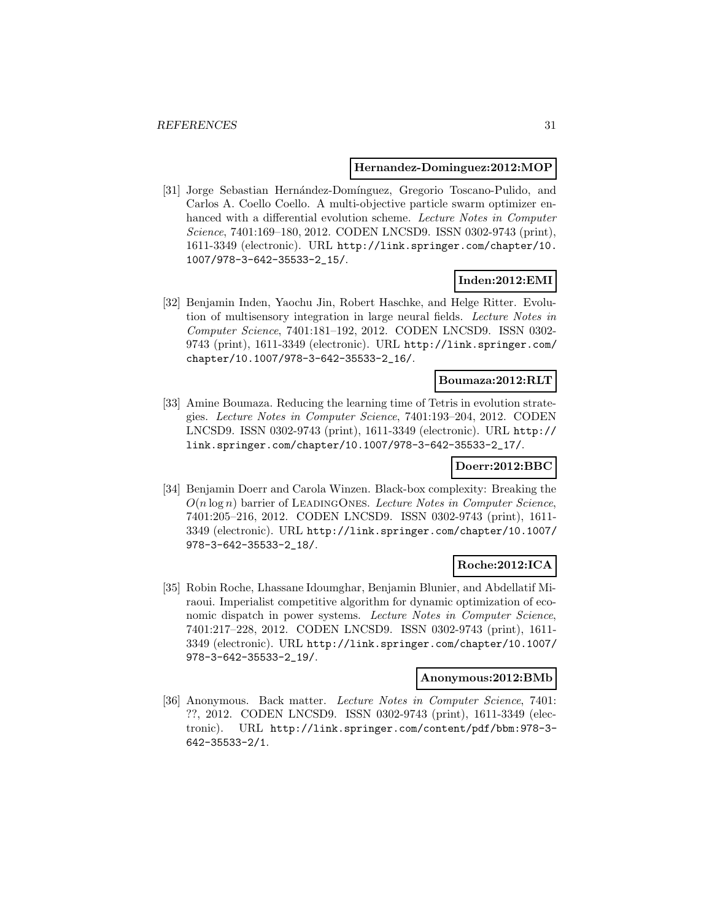#### **Hernandez-Dominguez:2012:MOP**

[31] Jorge Sebastian Hernández-Domínguez, Gregorio Toscano-Pulido, and Carlos A. Coello Coello. A multi-objective particle swarm optimizer enhanced with a differential evolution scheme. Lecture Notes in Computer Science, 7401:169–180, 2012. CODEN LNCSD9. ISSN 0302-9743 (print), 1611-3349 (electronic). URL http://link.springer.com/chapter/10. 1007/978-3-642-35533-2\_15/.

## **Inden:2012:EMI**

[32] Benjamin Inden, Yaochu Jin, Robert Haschke, and Helge Ritter. Evolution of multisensory integration in large neural fields. Lecture Notes in Computer Science, 7401:181–192, 2012. CODEN LNCSD9. ISSN 0302- 9743 (print), 1611-3349 (electronic). URL http://link.springer.com/ chapter/10.1007/978-3-642-35533-2\_16/.

## **Boumaza:2012:RLT**

[33] Amine Boumaza. Reducing the learning time of Tetris in evolution strategies. Lecture Notes in Computer Science, 7401:193–204, 2012. CODEN LNCSD9. ISSN 0302-9743 (print), 1611-3349 (electronic). URL http:// link.springer.com/chapter/10.1007/978-3-642-35533-2\_17/.

## **Doerr:2012:BBC**

[34] Benjamin Doerr and Carola Winzen. Black-box complexity: Breaking the  $O(n \log n)$  barrier of LEADINGONES. Lecture Notes in Computer Science, 7401:205–216, 2012. CODEN LNCSD9. ISSN 0302-9743 (print), 1611- 3349 (electronic). URL http://link.springer.com/chapter/10.1007/ 978-3-642-35533-2\_18/.

## **Roche:2012:ICA**

[35] Robin Roche, Lhassane Idoumghar, Benjamin Blunier, and Abdellatif Miraoui. Imperialist competitive algorithm for dynamic optimization of economic dispatch in power systems. Lecture Notes in Computer Science, 7401:217–228, 2012. CODEN LNCSD9. ISSN 0302-9743 (print), 1611- 3349 (electronic). URL http://link.springer.com/chapter/10.1007/ 978-3-642-35533-2\_19/.

#### **Anonymous:2012:BMb**

[36] Anonymous. Back matter. Lecture Notes in Computer Science, 7401: ??, 2012. CODEN LNCSD9. ISSN 0302-9743 (print), 1611-3349 (electronic). URL http://link.springer.com/content/pdf/bbm:978-3- 642-35533-2/1.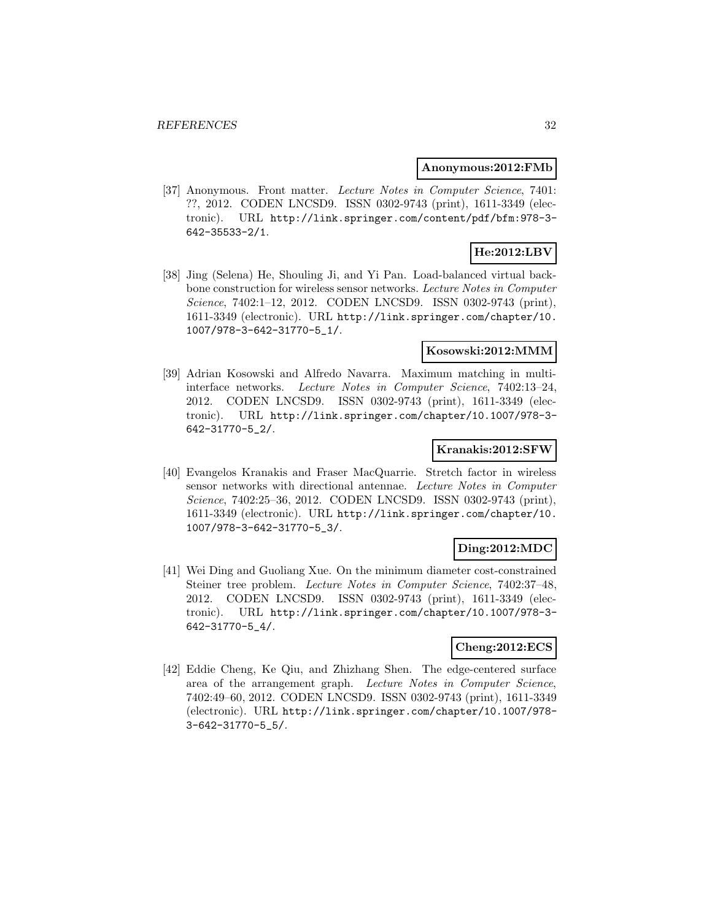#### **Anonymous:2012:FMb**

[37] Anonymous. Front matter. Lecture Notes in Computer Science, 7401: ??, 2012. CODEN LNCSD9. ISSN 0302-9743 (print), 1611-3349 (electronic). URL http://link.springer.com/content/pdf/bfm:978-3- 642-35533-2/1.

# **He:2012:LBV**

[38] Jing (Selena) He, Shouling Ji, and Yi Pan. Load-balanced virtual backbone construction for wireless sensor networks. Lecture Notes in Computer Science, 7402:1–12, 2012. CODEN LNCSD9. ISSN 0302-9743 (print), 1611-3349 (electronic). URL http://link.springer.com/chapter/10. 1007/978-3-642-31770-5\_1/.

#### **Kosowski:2012:MMM**

[39] Adrian Kosowski and Alfredo Navarra. Maximum matching in multiinterface networks. Lecture Notes in Computer Science, 7402:13–24, 2012. CODEN LNCSD9. ISSN 0302-9743 (print), 1611-3349 (electronic). URL http://link.springer.com/chapter/10.1007/978-3- 642-31770-5\_2/.

#### **Kranakis:2012:SFW**

[40] Evangelos Kranakis and Fraser MacQuarrie. Stretch factor in wireless sensor networks with directional antennae. Lecture Notes in Computer Science, 7402:25–36, 2012. CODEN LNCSD9. ISSN 0302-9743 (print), 1611-3349 (electronic). URL http://link.springer.com/chapter/10. 1007/978-3-642-31770-5\_3/.

## **Ding:2012:MDC**

[41] Wei Ding and Guoliang Xue. On the minimum diameter cost-constrained Steiner tree problem. Lecture Notes in Computer Science, 7402:37–48, 2012. CODEN LNCSD9. ISSN 0302-9743 (print), 1611-3349 (electronic). URL http://link.springer.com/chapter/10.1007/978-3- 642-31770-5\_4/.

#### **Cheng:2012:ECS**

[42] Eddie Cheng, Ke Qiu, and Zhizhang Shen. The edge-centered surface area of the arrangement graph. Lecture Notes in Computer Science, 7402:49–60, 2012. CODEN LNCSD9. ISSN 0302-9743 (print), 1611-3349 (electronic). URL http://link.springer.com/chapter/10.1007/978- 3-642-31770-5\_5/.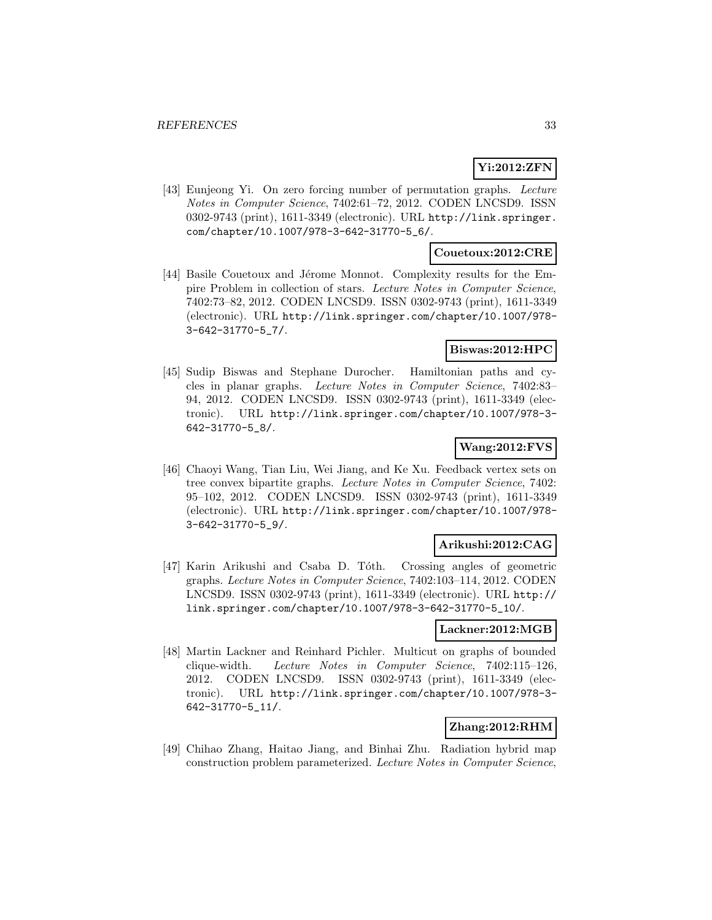#### **Yi:2012:ZFN**

[43] Eunjeong Yi. On zero forcing number of permutation graphs. Lecture Notes in Computer Science, 7402:61–72, 2012. CODEN LNCSD9. ISSN 0302-9743 (print), 1611-3349 (electronic). URL http://link.springer. com/chapter/10.1007/978-3-642-31770-5\_6/.

#### **Couetoux:2012:CRE**

[44] Basile Couetoux and Jérome Monnot. Complexity results for the Empire Problem in collection of stars. Lecture Notes in Computer Science, 7402:73–82, 2012. CODEN LNCSD9. ISSN 0302-9743 (print), 1611-3349 (electronic). URL http://link.springer.com/chapter/10.1007/978- 3-642-31770-5\_7/.

## **Biswas:2012:HPC**

[45] Sudip Biswas and Stephane Durocher. Hamiltonian paths and cycles in planar graphs. Lecture Notes in Computer Science, 7402:83– 94, 2012. CODEN LNCSD9. ISSN 0302-9743 (print), 1611-3349 (electronic). URL http://link.springer.com/chapter/10.1007/978-3- 642-31770-5\_8/.

## **Wang:2012:FVS**

[46] Chaoyi Wang, Tian Liu, Wei Jiang, and Ke Xu. Feedback vertex sets on tree convex bipartite graphs. Lecture Notes in Computer Science, 7402: 95–102, 2012. CODEN LNCSD9. ISSN 0302-9743 (print), 1611-3349 (electronic). URL http://link.springer.com/chapter/10.1007/978- 3-642-31770-5\_9/.

#### **Arikushi:2012:CAG**

[47] Karin Arikushi and Csaba D. Tóth. Crossing angles of geometric graphs. Lecture Notes in Computer Science, 7402:103–114, 2012. CODEN LNCSD9. ISSN 0302-9743 (print), 1611-3349 (electronic). URL http:// link.springer.com/chapter/10.1007/978-3-642-31770-5\_10/.

# **Lackner:2012:MGB**

[48] Martin Lackner and Reinhard Pichler. Multicut on graphs of bounded clique-width. Lecture Notes in Computer Science, 7402:115–126, 2012. CODEN LNCSD9. ISSN 0302-9743 (print), 1611-3349 (electronic). URL http://link.springer.com/chapter/10.1007/978-3- 642-31770-5\_11/.

## **Zhang:2012:RHM**

[49] Chihao Zhang, Haitao Jiang, and Binhai Zhu. Radiation hybrid map construction problem parameterized. Lecture Notes in Computer Science,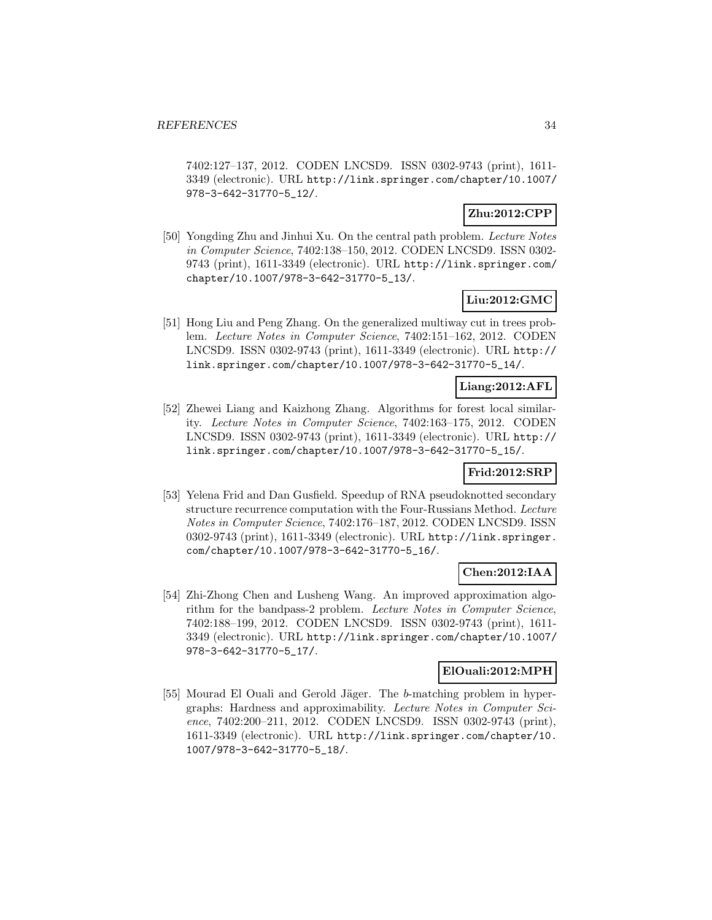7402:127–137, 2012. CODEN LNCSD9. ISSN 0302-9743 (print), 1611- 3349 (electronic). URL http://link.springer.com/chapter/10.1007/ 978-3-642-31770-5\_12/.

## **Zhu:2012:CPP**

[50] Yongding Zhu and Jinhui Xu. On the central path problem. Lecture Notes in Computer Science, 7402:138–150, 2012. CODEN LNCSD9. ISSN 0302- 9743 (print), 1611-3349 (electronic). URL http://link.springer.com/ chapter/10.1007/978-3-642-31770-5\_13/.

## **Liu:2012:GMC**

[51] Hong Liu and Peng Zhang. On the generalized multiway cut in trees problem. Lecture Notes in Computer Science, 7402:151–162, 2012. CODEN LNCSD9. ISSN 0302-9743 (print), 1611-3349 (electronic). URL http:// link.springer.com/chapter/10.1007/978-3-642-31770-5\_14/.

## **Liang:2012:AFL**

[52] Zhewei Liang and Kaizhong Zhang. Algorithms for forest local similarity. Lecture Notes in Computer Science, 7402:163–175, 2012. CODEN LNCSD9. ISSN 0302-9743 (print), 1611-3349 (electronic). URL http:// link.springer.com/chapter/10.1007/978-3-642-31770-5\_15/.

## **Frid:2012:SRP**

[53] Yelena Frid and Dan Gusfield. Speedup of RNA pseudoknotted secondary structure recurrence computation with the Four-Russians Method. Lecture Notes in Computer Science, 7402:176–187, 2012. CODEN LNCSD9. ISSN 0302-9743 (print), 1611-3349 (electronic). URL http://link.springer. com/chapter/10.1007/978-3-642-31770-5\_16/.

#### **Chen:2012:IAA**

[54] Zhi-Zhong Chen and Lusheng Wang. An improved approximation algorithm for the bandpass-2 problem. Lecture Notes in Computer Science, 7402:188–199, 2012. CODEN LNCSD9. ISSN 0302-9743 (print), 1611- 3349 (electronic). URL http://link.springer.com/chapter/10.1007/ 978-3-642-31770-5\_17/.

## **ElOuali:2012:MPH**

[55] Mourad El Ouali and Gerold Jäger. The b-matching problem in hypergraphs: Hardness and approximability. Lecture Notes in Computer Science, 7402:200–211, 2012. CODEN LNCSD9. ISSN 0302-9743 (print), 1611-3349 (electronic). URL http://link.springer.com/chapter/10. 1007/978-3-642-31770-5\_18/.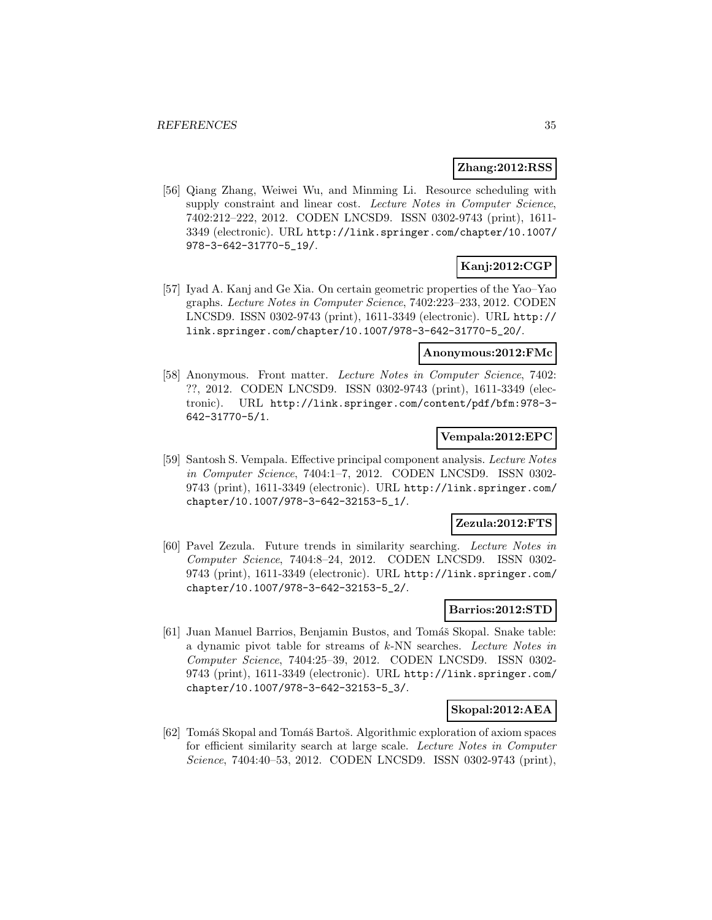#### **Zhang:2012:RSS**

[56] Qiang Zhang, Weiwei Wu, and Minming Li. Resource scheduling with supply constraint and linear cost. Lecture Notes in Computer Science, 7402:212–222, 2012. CODEN LNCSD9. ISSN 0302-9743 (print), 1611- 3349 (electronic). URL http://link.springer.com/chapter/10.1007/ 978-3-642-31770-5\_19/.

# **Kanj:2012:CGP**

[57] Iyad A. Kanj and Ge Xia. On certain geometric properties of the Yao–Yao graphs. Lecture Notes in Computer Science, 7402:223–233, 2012. CODEN LNCSD9. ISSN 0302-9743 (print), 1611-3349 (electronic). URL http:// link.springer.com/chapter/10.1007/978-3-642-31770-5\_20/.

#### **Anonymous:2012:FMc**

[58] Anonymous. Front matter. Lecture Notes in Computer Science, 7402: ??, 2012. CODEN LNCSD9. ISSN 0302-9743 (print), 1611-3349 (electronic). URL http://link.springer.com/content/pdf/bfm:978-3- 642-31770-5/1.

#### **Vempala:2012:EPC**

[59] Santosh S. Vempala. Effective principal component analysis. Lecture Notes in Computer Science, 7404:1–7, 2012. CODEN LNCSD9. ISSN 0302- 9743 (print), 1611-3349 (electronic). URL http://link.springer.com/ chapter/10.1007/978-3-642-32153-5\_1/.

#### **Zezula:2012:FTS**

[60] Pavel Zezula. Future trends in similarity searching. Lecture Notes in Computer Science, 7404:8–24, 2012. CODEN LNCSD9. ISSN 0302- 9743 (print), 1611-3349 (electronic). URL http://link.springer.com/ chapter/10.1007/978-3-642-32153-5\_2/.

#### **Barrios:2012:STD**

[61] Juan Manuel Barrios, Benjamin Bustos, and Tomáš Skopal. Snake table: a dynamic pivot table for streams of k-NN searches. Lecture Notes in Computer Science, 7404:25–39, 2012. CODEN LNCSD9. ISSN 0302- 9743 (print), 1611-3349 (electronic). URL http://link.springer.com/ chapter/10.1007/978-3-642-32153-5\_3/.

## **Skopal:2012:AEA**

[62] Tomáš Skopal and Tomáš Bartoš. Algorithmic exploration of axiom spaces for efficient similarity search at large scale. Lecture Notes in Computer Science, 7404:40–53, 2012. CODEN LNCSD9. ISSN 0302-9743 (print),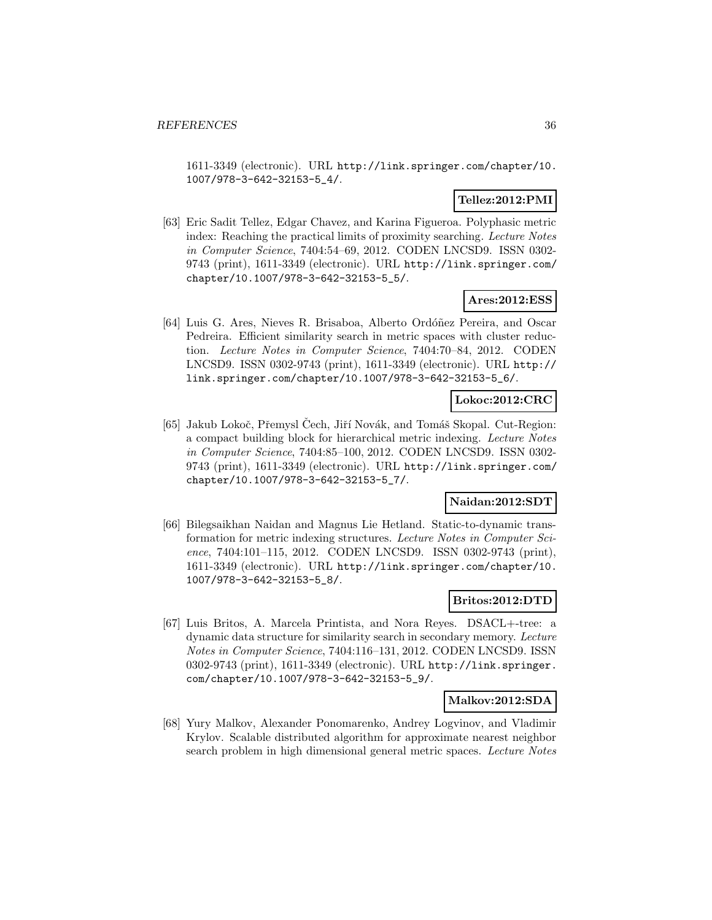1611-3349 (electronic). URL http://link.springer.com/chapter/10. 1007/978-3-642-32153-5\_4/.

## **Tellez:2012:PMI**

[63] Eric Sadit Tellez, Edgar Chavez, and Karina Figueroa. Polyphasic metric index: Reaching the practical limits of proximity searching. Lecture Notes in Computer Science, 7404:54–69, 2012. CODEN LNCSD9. ISSN 0302- 9743 (print), 1611-3349 (electronic). URL http://link.springer.com/ chapter/10.1007/978-3-642-32153-5\_5/.

#### **Ares:2012:ESS**

[64] Luis G. Ares, Nieves R. Brisaboa, Alberto Ordóñez Pereira, and Oscar Pedreira. Efficient similarity search in metric spaces with cluster reduction. Lecture Notes in Computer Science, 7404:70–84, 2012. CODEN LNCSD9. ISSN 0302-9743 (print), 1611-3349 (electronic). URL http:// link.springer.com/chapter/10.1007/978-3-642-32153-5\_6/.

## **Lokoc:2012:CRC**

[65] Jakub Lokoč, Přemysl Čech, Jiří Novák, and Tomáš Skopal. Cut-Region: a compact building block for hierarchical metric indexing. Lecture Notes in Computer Science, 7404:85–100, 2012. CODEN LNCSD9. ISSN 0302- 9743 (print), 1611-3349 (electronic). URL http://link.springer.com/ chapter/10.1007/978-3-642-32153-5\_7/.

#### **Naidan:2012:SDT**

[66] Bilegsaikhan Naidan and Magnus Lie Hetland. Static-to-dynamic transformation for metric indexing structures. Lecture Notes in Computer Science, 7404:101-115, 2012. CODEN LNCSD9. ISSN 0302-9743 (print), 1611-3349 (electronic). URL http://link.springer.com/chapter/10. 1007/978-3-642-32153-5\_8/.

#### **Britos:2012:DTD**

[67] Luis Britos, A. Marcela Printista, and Nora Reyes. DSACL+-tree: a dynamic data structure for similarity search in secondary memory. Lecture Notes in Computer Science, 7404:116–131, 2012. CODEN LNCSD9. ISSN 0302-9743 (print), 1611-3349 (electronic). URL http://link.springer. com/chapter/10.1007/978-3-642-32153-5\_9/.

#### **Malkov:2012:SDA**

[68] Yury Malkov, Alexander Ponomarenko, Andrey Logvinov, and Vladimir Krylov. Scalable distributed algorithm for approximate nearest neighbor search problem in high dimensional general metric spaces. Lecture Notes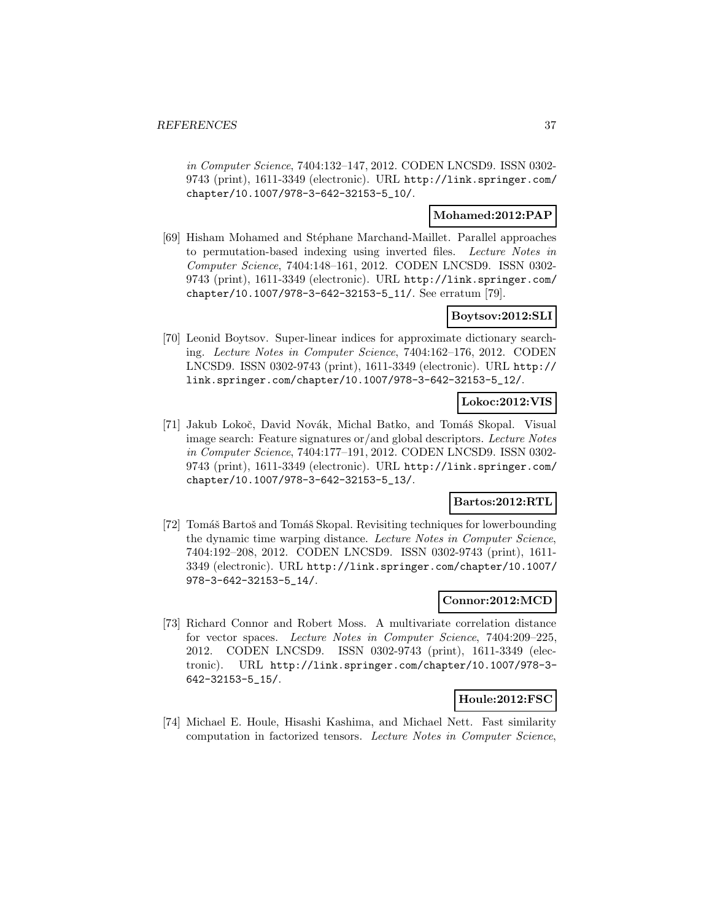in Computer Science, 7404:132–147, 2012. CODEN LNCSD9. ISSN 0302- 9743 (print), 1611-3349 (electronic). URL http://link.springer.com/ chapter/10.1007/978-3-642-32153-5\_10/.

# **Mohamed:2012:PAP**

[69] Hisham Mohamed and St´ephane Marchand-Maillet. Parallel approaches to permutation-based indexing using inverted files. Lecture Notes in Computer Science, 7404:148–161, 2012. CODEN LNCSD9. ISSN 0302- 9743 (print), 1611-3349 (electronic). URL http://link.springer.com/ chapter/10.1007/978-3-642-32153-5\_11/. See erratum [79].

# **Boytsov:2012:SLI**

[70] Leonid Boytsov. Super-linear indices for approximate dictionary searching. Lecture Notes in Computer Science, 7404:162–176, 2012. CODEN LNCSD9. ISSN 0302-9743 (print), 1611-3349 (electronic). URL http:// link.springer.com/chapter/10.1007/978-3-642-32153-5\_12/.

# **Lokoc:2012:VIS**

[71] Jakub Lokoč, David Novák, Michal Batko, and Tomáš Skopal. Visual image search: Feature signatures or/and global descriptors. Lecture Notes in Computer Science, 7404:177–191, 2012. CODEN LNCSD9. ISSN 0302- 9743 (print), 1611-3349 (electronic). URL http://link.springer.com/ chapter/10.1007/978-3-642-32153-5\_13/.

# **Bartos:2012:RTL**

[72] Tomáš Bartoš and Tomáš Skopal. Revisiting techniques for lowerbounding the dynamic time warping distance. Lecture Notes in Computer Science, 7404:192–208, 2012. CODEN LNCSD9. ISSN 0302-9743 (print), 1611- 3349 (electronic). URL http://link.springer.com/chapter/10.1007/ 978-3-642-32153-5\_14/.

#### **Connor:2012:MCD**

[73] Richard Connor and Robert Moss. A multivariate correlation distance for vector spaces. Lecture Notes in Computer Science, 7404:209–225, 2012. CODEN LNCSD9. ISSN 0302-9743 (print), 1611-3349 (electronic). URL http://link.springer.com/chapter/10.1007/978-3- 642-32153-5\_15/.

#### **Houle:2012:FSC**

[74] Michael E. Houle, Hisashi Kashima, and Michael Nett. Fast similarity computation in factorized tensors. Lecture Notes in Computer Science,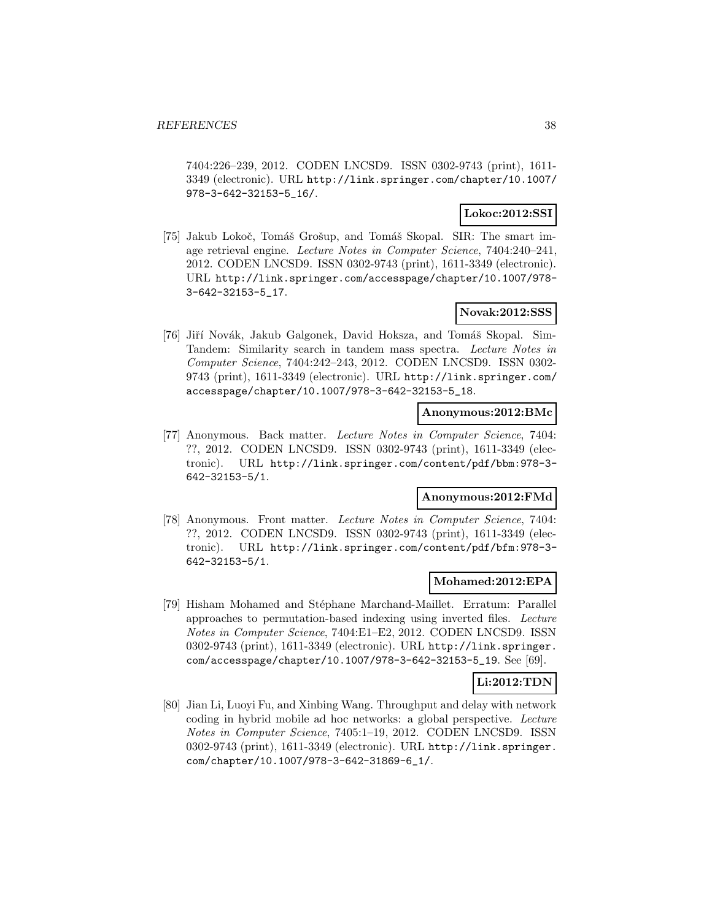7404:226–239, 2012. CODEN LNCSD9. ISSN 0302-9743 (print), 1611- 3349 (electronic). URL http://link.springer.com/chapter/10.1007/ 978-3-642-32153-5\_16/.

#### **Lokoc:2012:SSI**

[75] Jakub Lokoč, Tomáš Grošup, and Tomáš Skopal. SIR: The smart image retrieval engine. Lecture Notes in Computer Science, 7404:240–241, 2012. CODEN LNCSD9. ISSN 0302-9743 (print), 1611-3349 (electronic). URL http://link.springer.com/accesspage/chapter/10.1007/978- 3-642-32153-5\_17.

# **Novak:2012:SSS**

[76] Jiří Novák, Jakub Galgonek, David Hoksza, and Tomáš Skopal. Sim-Tandem: Similarity search in tandem mass spectra. Lecture Notes in Computer Science, 7404:242–243, 2012. CODEN LNCSD9. ISSN 0302- 9743 (print), 1611-3349 (electronic). URL http://link.springer.com/ accesspage/chapter/10.1007/978-3-642-32153-5\_18.

#### **Anonymous:2012:BMc**

[77] Anonymous. Back matter. Lecture Notes in Computer Science, 7404: ??, 2012. CODEN LNCSD9. ISSN 0302-9743 (print), 1611-3349 (electronic). URL http://link.springer.com/content/pdf/bbm:978-3- 642-32153-5/1.

# **Anonymous:2012:FMd**

[78] Anonymous. Front matter. Lecture Notes in Computer Science, 7404: ??, 2012. CODEN LNCSD9. ISSN 0302-9743 (print), 1611-3349 (electronic). URL http://link.springer.com/content/pdf/bfm:978-3- 642-32153-5/1.

#### **Mohamed:2012:EPA**

[79] Hisham Mohamed and Stéphane Marchand-Maillet. Erratum: Parallel approaches to permutation-based indexing using inverted files. Lecture Notes in Computer Science, 7404:E1–E2, 2012. CODEN LNCSD9. ISSN 0302-9743 (print), 1611-3349 (electronic). URL http://link.springer. com/accesspage/chapter/10.1007/978-3-642-32153-5\_19. See [69].

#### **Li:2012:TDN**

[80] Jian Li, Luoyi Fu, and Xinbing Wang. Throughput and delay with network coding in hybrid mobile ad hoc networks: a global perspective. Lecture Notes in Computer Science, 7405:1–19, 2012. CODEN LNCSD9. ISSN 0302-9743 (print), 1611-3349 (electronic). URL http://link.springer. com/chapter/10.1007/978-3-642-31869-6\_1/.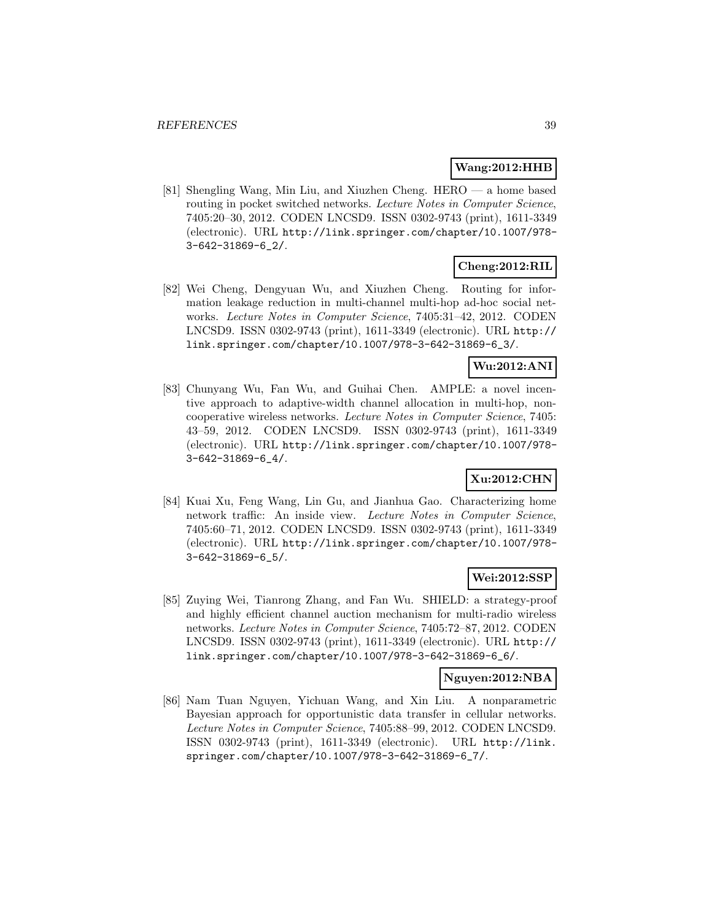#### **Wang:2012:HHB**

[81] Shengling Wang, Min Liu, and Xiuzhen Cheng. HERO — a home based routing in pocket switched networks. Lecture Notes in Computer Science, 7405:20–30, 2012. CODEN LNCSD9. ISSN 0302-9743 (print), 1611-3349 (electronic). URL http://link.springer.com/chapter/10.1007/978- 3-642-31869-6\_2/.

# **Cheng:2012:RIL**

[82] Wei Cheng, Dengyuan Wu, and Xiuzhen Cheng. Routing for information leakage reduction in multi-channel multi-hop ad-hoc social networks. Lecture Notes in Computer Science, 7405:31–42, 2012. CODEN LNCSD9. ISSN 0302-9743 (print), 1611-3349 (electronic). URL http:// link.springer.com/chapter/10.1007/978-3-642-31869-6\_3/.

# **Wu:2012:ANI**

[83] Chunyang Wu, Fan Wu, and Guihai Chen. AMPLE: a novel incentive approach to adaptive-width channel allocation in multi-hop, noncooperative wireless networks. Lecture Notes in Computer Science, 7405: 43–59, 2012. CODEN LNCSD9. ISSN 0302-9743 (print), 1611-3349 (electronic). URL http://link.springer.com/chapter/10.1007/978- 3-642-31869-6\_4/.

# **Xu:2012:CHN**

[84] Kuai Xu, Feng Wang, Lin Gu, and Jianhua Gao. Characterizing home network traffic: An inside view. Lecture Notes in Computer Science, 7405:60–71, 2012. CODEN LNCSD9. ISSN 0302-9743 (print), 1611-3349 (electronic). URL http://link.springer.com/chapter/10.1007/978- 3-642-31869-6\_5/.

# **Wei:2012:SSP**

[85] Zuying Wei, Tianrong Zhang, and Fan Wu. SHIELD: a strategy-proof and highly efficient channel auction mechanism for multi-radio wireless networks. Lecture Notes in Computer Science, 7405:72–87, 2012. CODEN LNCSD9. ISSN 0302-9743 (print), 1611-3349 (electronic). URL http:// link.springer.com/chapter/10.1007/978-3-642-31869-6\_6/.

#### **Nguyen:2012:NBA**

[86] Nam Tuan Nguyen, Yichuan Wang, and Xin Liu. A nonparametric Bayesian approach for opportunistic data transfer in cellular networks. Lecture Notes in Computer Science, 7405:88–99, 2012. CODEN LNCSD9. ISSN 0302-9743 (print), 1611-3349 (electronic). URL http://link. springer.com/chapter/10.1007/978-3-642-31869-6\_7/.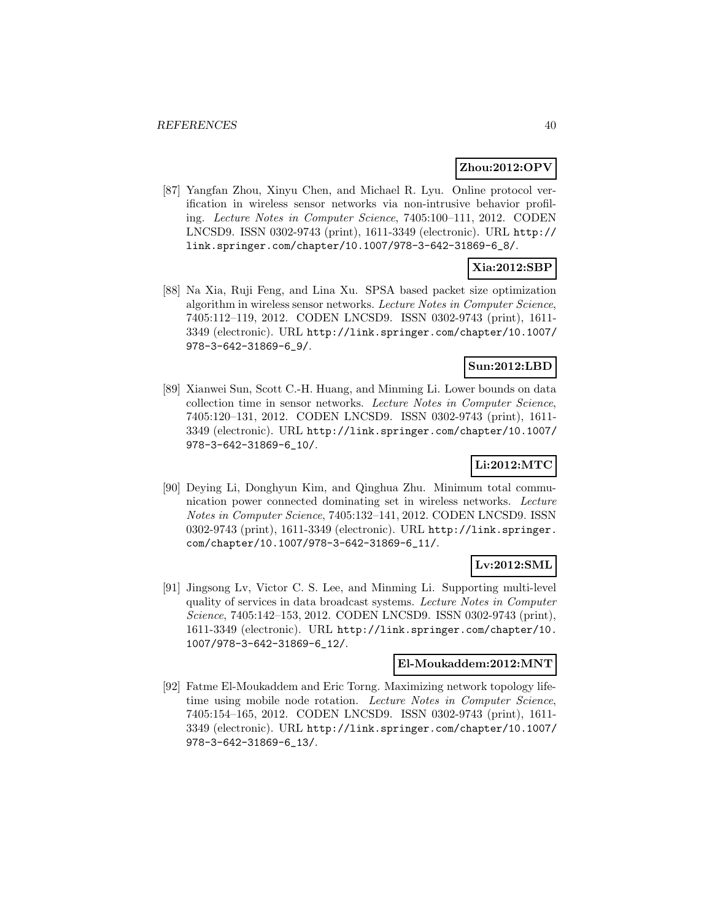# **Zhou:2012:OPV**

[87] Yangfan Zhou, Xinyu Chen, and Michael R. Lyu. Online protocol verification in wireless sensor networks via non-intrusive behavior profiling. Lecture Notes in Computer Science, 7405:100–111, 2012. CODEN LNCSD9. ISSN 0302-9743 (print), 1611-3349 (electronic). URL http:// link.springer.com/chapter/10.1007/978-3-642-31869-6\_8/.

# **Xia:2012:SBP**

[88] Na Xia, Ruji Feng, and Lina Xu. SPSA based packet size optimization algorithm in wireless sensor networks. Lecture Notes in Computer Science, 7405:112–119, 2012. CODEN LNCSD9. ISSN 0302-9743 (print), 1611- 3349 (electronic). URL http://link.springer.com/chapter/10.1007/ 978-3-642-31869-6\_9/.

# **Sun:2012:LBD**

[89] Xianwei Sun, Scott C.-H. Huang, and Minming Li. Lower bounds on data collection time in sensor networks. Lecture Notes in Computer Science, 7405:120–131, 2012. CODEN LNCSD9. ISSN 0302-9743 (print), 1611- 3349 (electronic). URL http://link.springer.com/chapter/10.1007/ 978-3-642-31869-6\_10/.

# **Li:2012:MTC**

[90] Deying Li, Donghyun Kim, and Qinghua Zhu. Minimum total communication power connected dominating set in wireless networks. Lecture Notes in Computer Science, 7405:132–141, 2012. CODEN LNCSD9. ISSN 0302-9743 (print), 1611-3349 (electronic). URL http://link.springer. com/chapter/10.1007/978-3-642-31869-6\_11/.

# **Lv:2012:SML**

[91] Jingsong Lv, Victor C. S. Lee, and Minming Li. Supporting multi-level quality of services in data broadcast systems. Lecture Notes in Computer Science, 7405:142–153, 2012. CODEN LNCSD9. ISSN 0302-9743 (print), 1611-3349 (electronic). URL http://link.springer.com/chapter/10. 1007/978-3-642-31869-6\_12/.

## **El-Moukaddem:2012:MNT**

[92] Fatme El-Moukaddem and Eric Torng. Maximizing network topology lifetime using mobile node rotation. Lecture Notes in Computer Science, 7405:154–165, 2012. CODEN LNCSD9. ISSN 0302-9743 (print), 1611- 3349 (electronic). URL http://link.springer.com/chapter/10.1007/ 978-3-642-31869-6\_13/.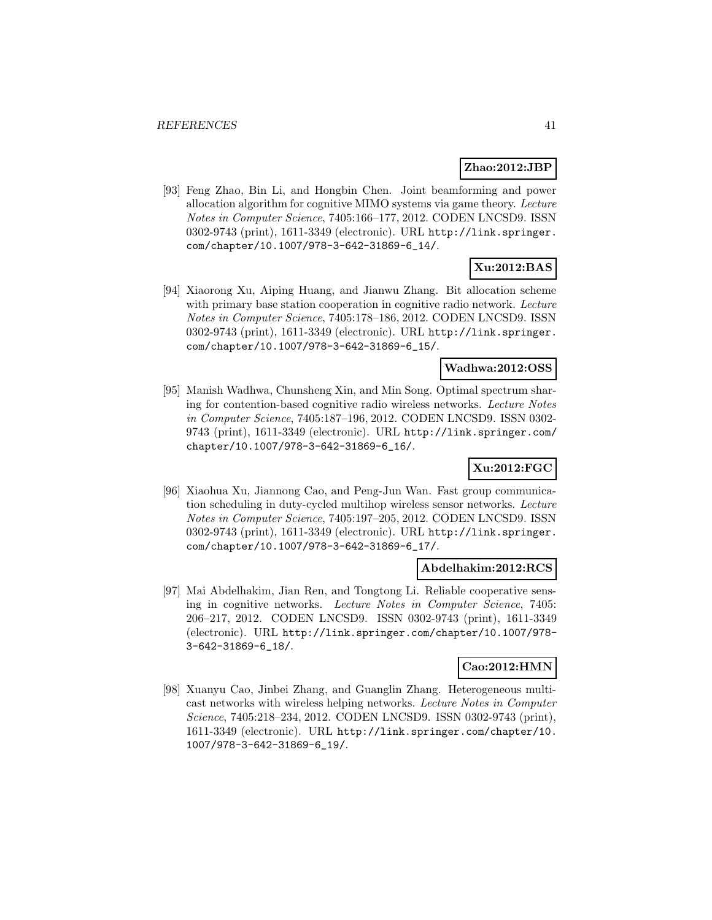# **Zhao:2012:JBP**

[93] Feng Zhao, Bin Li, and Hongbin Chen. Joint beamforming and power allocation algorithm for cognitive MIMO systems via game theory. Lecture Notes in Computer Science, 7405:166–177, 2012. CODEN LNCSD9. ISSN 0302-9743 (print), 1611-3349 (electronic). URL http://link.springer. com/chapter/10.1007/978-3-642-31869-6\_14/.

# **Xu:2012:BAS**

[94] Xiaorong Xu, Aiping Huang, and Jianwu Zhang. Bit allocation scheme with primary base station cooperation in cognitive radio network. Lecture Notes in Computer Science, 7405:178–186, 2012. CODEN LNCSD9. ISSN 0302-9743 (print), 1611-3349 (electronic). URL http://link.springer. com/chapter/10.1007/978-3-642-31869-6\_15/.

# **Wadhwa:2012:OSS**

[95] Manish Wadhwa, Chunsheng Xin, and Min Song. Optimal spectrum sharing for contention-based cognitive radio wireless networks. Lecture Notes in Computer Science, 7405:187–196, 2012. CODEN LNCSD9. ISSN 0302- 9743 (print), 1611-3349 (electronic). URL http://link.springer.com/ chapter/10.1007/978-3-642-31869-6\_16/.

# **Xu:2012:FGC**

[96] Xiaohua Xu, Jiannong Cao, and Peng-Jun Wan. Fast group communication scheduling in duty-cycled multihop wireless sensor networks. Lecture Notes in Computer Science, 7405:197–205, 2012. CODEN LNCSD9. ISSN 0302-9743 (print), 1611-3349 (electronic). URL http://link.springer. com/chapter/10.1007/978-3-642-31869-6\_17/.

#### **Abdelhakim:2012:RCS**

[97] Mai Abdelhakim, Jian Ren, and Tongtong Li. Reliable cooperative sensing in cognitive networks. Lecture Notes in Computer Science, 7405: 206–217, 2012. CODEN LNCSD9. ISSN 0302-9743 (print), 1611-3349 (electronic). URL http://link.springer.com/chapter/10.1007/978- 3-642-31869-6\_18/.

# **Cao:2012:HMN**

[98] Xuanyu Cao, Jinbei Zhang, and Guanglin Zhang. Heterogeneous multicast networks with wireless helping networks. Lecture Notes in Computer Science, 7405:218–234, 2012. CODEN LNCSD9. ISSN 0302-9743 (print), 1611-3349 (electronic). URL http://link.springer.com/chapter/10. 1007/978-3-642-31869-6\_19/.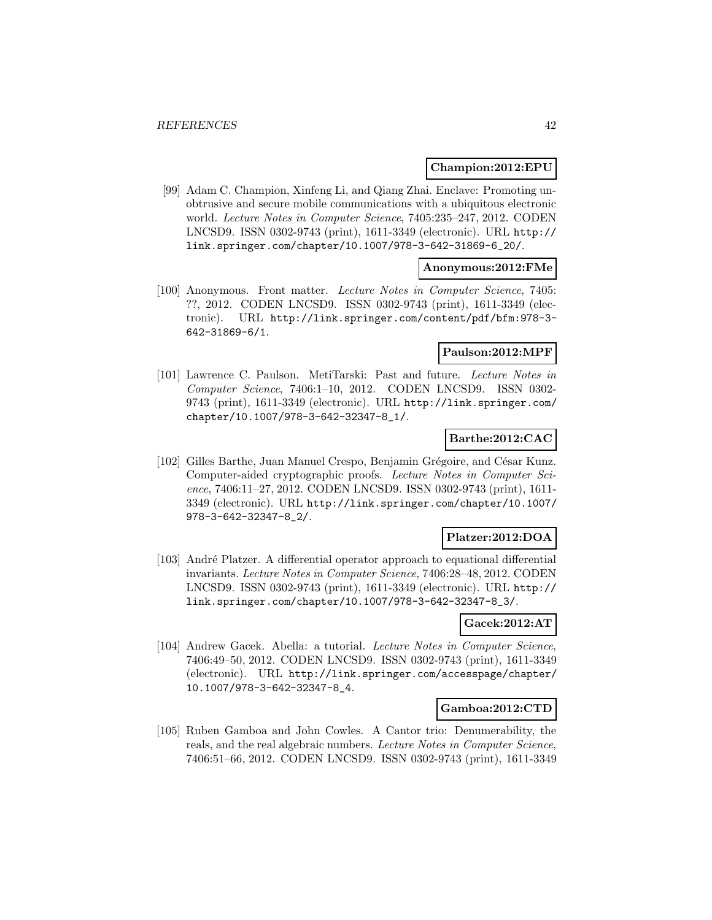#### **Champion:2012:EPU**

[99] Adam C. Champion, Xinfeng Li, and Qiang Zhai. Enclave: Promoting unobtrusive and secure mobile communications with a ubiquitous electronic world. Lecture Notes in Computer Science, 7405:235–247, 2012. CODEN LNCSD9. ISSN 0302-9743 (print), 1611-3349 (electronic). URL http:// link.springer.com/chapter/10.1007/978-3-642-31869-6\_20/.

#### **Anonymous:2012:FMe**

[100] Anonymous. Front matter. Lecture Notes in Computer Science, 7405: ??, 2012. CODEN LNCSD9. ISSN 0302-9743 (print), 1611-3349 (electronic). URL http://link.springer.com/content/pdf/bfm:978-3- 642-31869-6/1.

#### **Paulson:2012:MPF**

[101] Lawrence C. Paulson. MetiTarski: Past and future. Lecture Notes in Computer Science, 7406:1–10, 2012. CODEN LNCSD9. ISSN 0302- 9743 (print), 1611-3349 (electronic). URL http://link.springer.com/ chapter/10.1007/978-3-642-32347-8\_1/.

### **Barthe:2012:CAC**

[102] Gilles Barthe, Juan Manuel Crespo, Benjamin Grégoire, and César Kunz. Computer-aided cryptographic proofs. Lecture Notes in Computer Science, 7406:11–27, 2012. CODEN LNCSD9. ISSN 0302-9743 (print), 1611- 3349 (electronic). URL http://link.springer.com/chapter/10.1007/ 978-3-642-32347-8\_2/.

# **Platzer:2012:DOA**

[103] André Platzer. A differential operator approach to equational differential invariants. Lecture Notes in Computer Science, 7406:28–48, 2012. CODEN LNCSD9. ISSN 0302-9743 (print), 1611-3349 (electronic). URL http:// link.springer.com/chapter/10.1007/978-3-642-32347-8\_3/.

#### **Gacek:2012:AT**

[104] Andrew Gacek. Abella: a tutorial. Lecture Notes in Computer Science, 7406:49–50, 2012. CODEN LNCSD9. ISSN 0302-9743 (print), 1611-3349 (electronic). URL http://link.springer.com/accesspage/chapter/ 10.1007/978-3-642-32347-8\_4.

#### **Gamboa:2012:CTD**

[105] Ruben Gamboa and John Cowles. A Cantor trio: Denumerability, the reals, and the real algebraic numbers. Lecture Notes in Computer Science, 7406:51–66, 2012. CODEN LNCSD9. ISSN 0302-9743 (print), 1611-3349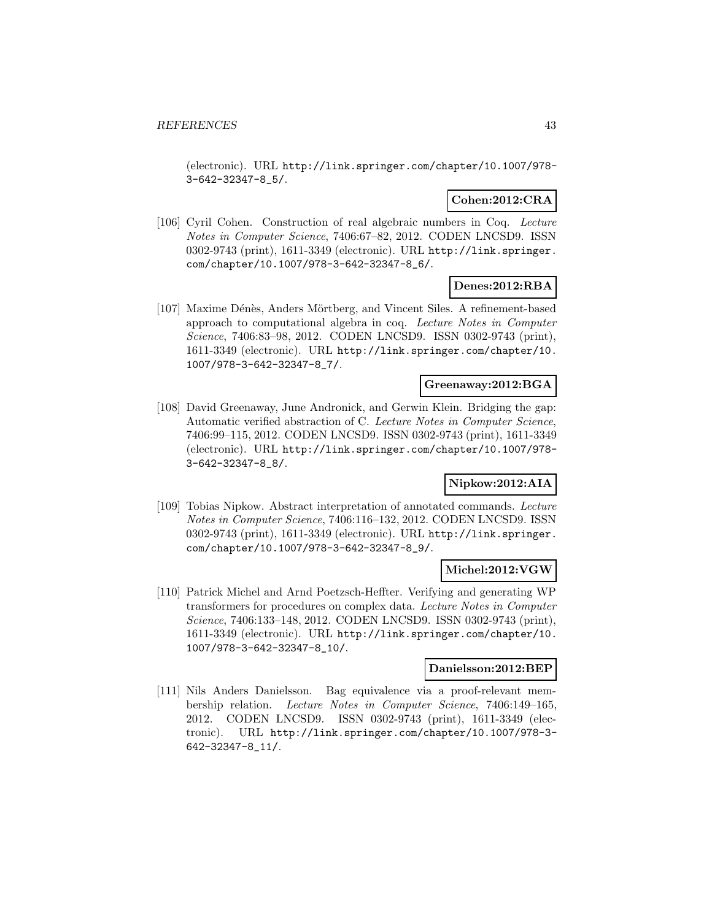(electronic). URL http://link.springer.com/chapter/10.1007/978- 3-642-32347-8\_5/.

# **Cohen:2012:CRA**

[106] Cyril Cohen. Construction of real algebraic numbers in Coq. Lecture Notes in Computer Science, 7406:67–82, 2012. CODEN LNCSD9. ISSN 0302-9743 (print), 1611-3349 (electronic). URL http://link.springer. com/chapter/10.1007/978-3-642-32347-8\_6/.

# **Denes:2012:RBA**

[107] Maxime Dénès, Anders Mörtberg, and Vincent Siles. A refinement-based approach to computational algebra in coq. Lecture Notes in Computer Science, 7406:83–98, 2012. CODEN LNCSD9. ISSN 0302-9743 (print), 1611-3349 (electronic). URL http://link.springer.com/chapter/10. 1007/978-3-642-32347-8\_7/.

# **Greenaway:2012:BGA**

[108] David Greenaway, June Andronick, and Gerwin Klein. Bridging the gap: Automatic verified abstraction of C. Lecture Notes in Computer Science, 7406:99–115, 2012. CODEN LNCSD9. ISSN 0302-9743 (print), 1611-3349 (electronic). URL http://link.springer.com/chapter/10.1007/978- 3-642-32347-8\_8/.

# **Nipkow:2012:AIA**

[109] Tobias Nipkow. Abstract interpretation of annotated commands. Lecture Notes in Computer Science, 7406:116–132, 2012. CODEN LNCSD9. ISSN 0302-9743 (print), 1611-3349 (electronic). URL http://link.springer. com/chapter/10.1007/978-3-642-32347-8\_9/.

#### **Michel:2012:VGW**

[110] Patrick Michel and Arnd Poetzsch-Heffter. Verifying and generating WP transformers for procedures on complex data. Lecture Notes in Computer Science, 7406:133–148, 2012. CODEN LNCSD9. ISSN 0302-9743 (print), 1611-3349 (electronic). URL http://link.springer.com/chapter/10. 1007/978-3-642-32347-8\_10/.

#### **Danielsson:2012:BEP**

[111] Nils Anders Danielsson. Bag equivalence via a proof-relevant membership relation. Lecture Notes in Computer Science, 7406:149–165, 2012. CODEN LNCSD9. ISSN 0302-9743 (print), 1611-3349 (electronic). URL http://link.springer.com/chapter/10.1007/978-3- 642-32347-8\_11/.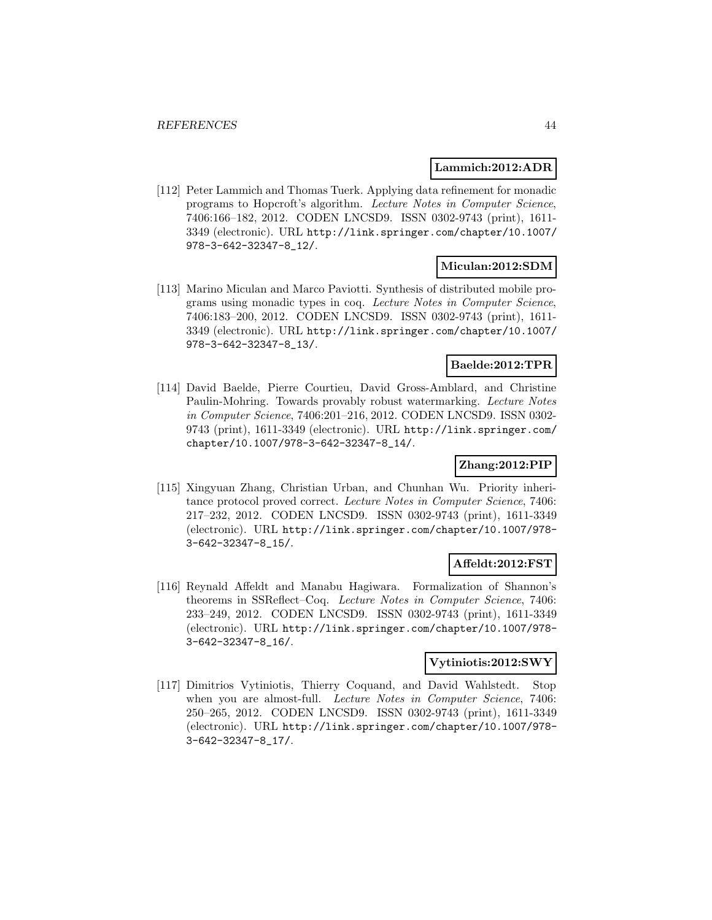#### **Lammich:2012:ADR**

[112] Peter Lammich and Thomas Tuerk. Applying data refinement for monadic programs to Hopcroft's algorithm. Lecture Notes in Computer Science, 7406:166–182, 2012. CODEN LNCSD9. ISSN 0302-9743 (print), 1611- 3349 (electronic). URL http://link.springer.com/chapter/10.1007/ 978-3-642-32347-8\_12/.

# **Miculan:2012:SDM**

[113] Marino Miculan and Marco Paviotti. Synthesis of distributed mobile programs using monadic types in coq. Lecture Notes in Computer Science, 7406:183–200, 2012. CODEN LNCSD9. ISSN 0302-9743 (print), 1611- 3349 (electronic). URL http://link.springer.com/chapter/10.1007/ 978-3-642-32347-8\_13/.

# **Baelde:2012:TPR**

[114] David Baelde, Pierre Courtieu, David Gross-Amblard, and Christine Paulin-Mohring. Towards provably robust watermarking. Lecture Notes in Computer Science, 7406:201–216, 2012. CODEN LNCSD9. ISSN 0302- 9743 (print), 1611-3349 (electronic). URL http://link.springer.com/ chapter/10.1007/978-3-642-32347-8\_14/.

### **Zhang:2012:PIP**

[115] Xingyuan Zhang, Christian Urban, and Chunhan Wu. Priority inheritance protocol proved correct. Lecture Notes in Computer Science, 7406: 217–232, 2012. CODEN LNCSD9. ISSN 0302-9743 (print), 1611-3349 (electronic). URL http://link.springer.com/chapter/10.1007/978- 3-642-32347-8\_15/.

# **Affeldt:2012:FST**

[116] Reynald Affeldt and Manabu Hagiwara. Formalization of Shannon's theorems in SSReflect–Coq. Lecture Notes in Computer Science, 7406: 233–249, 2012. CODEN LNCSD9. ISSN 0302-9743 (print), 1611-3349 (electronic). URL http://link.springer.com/chapter/10.1007/978- 3-642-32347-8\_16/.

#### **Vytiniotis:2012:SWY**

[117] Dimitrios Vytiniotis, Thierry Coquand, and David Wahlstedt. Stop when you are almost-full. Lecture Notes in Computer Science, 7406: 250–265, 2012. CODEN LNCSD9. ISSN 0302-9743 (print), 1611-3349 (electronic). URL http://link.springer.com/chapter/10.1007/978- 3-642-32347-8\_17/.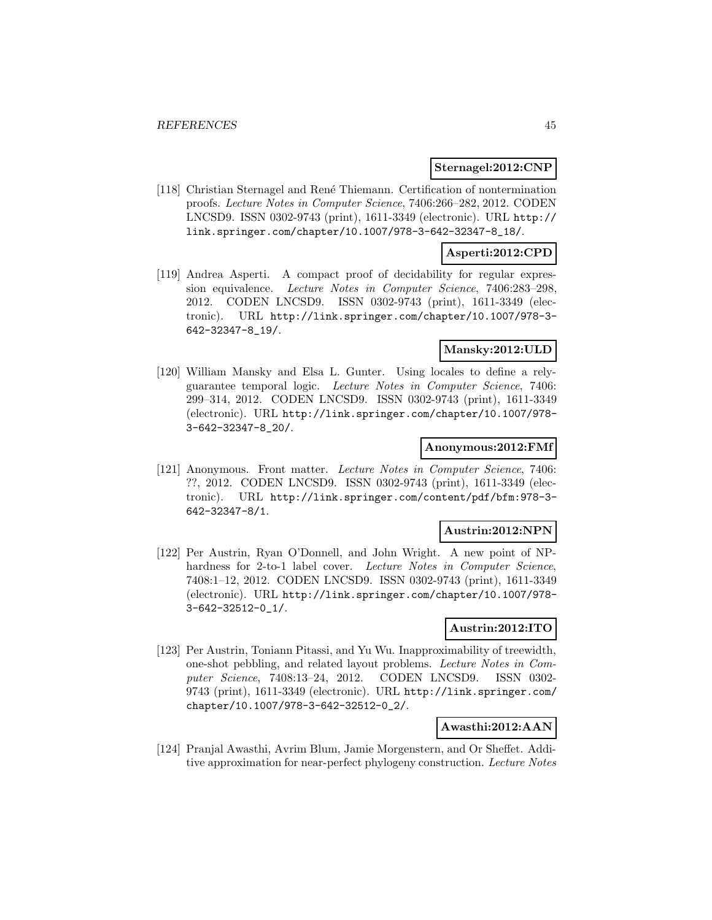#### **Sternagel:2012:CNP**

[118] Christian Sternagel and Ren´e Thiemann. Certification of nontermination proofs. Lecture Notes in Computer Science, 7406:266–282, 2012. CODEN LNCSD9. ISSN 0302-9743 (print), 1611-3349 (electronic). URL http:// link.springer.com/chapter/10.1007/978-3-642-32347-8\_18/.

#### **Asperti:2012:CPD**

[119] Andrea Asperti. A compact proof of decidability for regular expression equivalence. Lecture Notes in Computer Science, 7406:283–298, 2012. CODEN LNCSD9. ISSN 0302-9743 (print), 1611-3349 (electronic). URL http://link.springer.com/chapter/10.1007/978-3- 642-32347-8\_19/.

# **Mansky:2012:ULD**

[120] William Mansky and Elsa L. Gunter. Using locales to define a relyguarantee temporal logic. Lecture Notes in Computer Science, 7406: 299–314, 2012. CODEN LNCSD9. ISSN 0302-9743 (print), 1611-3349 (electronic). URL http://link.springer.com/chapter/10.1007/978- 3-642-32347-8\_20/.

#### **Anonymous:2012:FMf**

[121] Anonymous. Front matter. Lecture Notes in Computer Science, 7406: ??, 2012. CODEN LNCSD9. ISSN 0302-9743 (print), 1611-3349 (electronic). URL http://link.springer.com/content/pdf/bfm:978-3- 642-32347-8/1.

# **Austrin:2012:NPN**

[122] Per Austrin, Ryan O'Donnell, and John Wright. A new point of NPhardness for 2-to-1 label cover. Lecture Notes in Computer Science, 7408:1–12, 2012. CODEN LNCSD9. ISSN 0302-9743 (print), 1611-3349 (electronic). URL http://link.springer.com/chapter/10.1007/978- 3-642-32512-0\_1/.

#### **Austrin:2012:ITO**

[123] Per Austrin, Toniann Pitassi, and Yu Wu. Inapproximability of treewidth, one-shot pebbling, and related layout problems. Lecture Notes in Computer Science, 7408:13–24, 2012. CODEN LNCSD9. ISSN 0302- 9743 (print), 1611-3349 (electronic). URL http://link.springer.com/ chapter/10.1007/978-3-642-32512-0\_2/.

# **Awasthi:2012:AAN**

[124] Pranjal Awasthi, Avrim Blum, Jamie Morgenstern, and Or Sheffet. Additive approximation for near-perfect phylogeny construction. Lecture Notes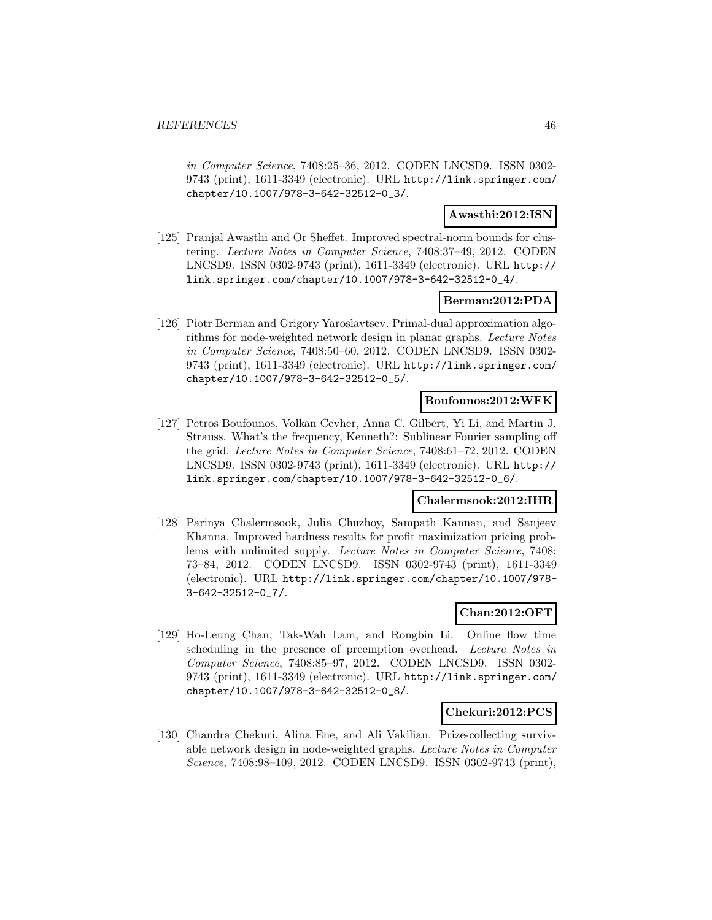in Computer Science, 7408:25–36, 2012. CODEN LNCSD9. ISSN 0302- 9743 (print), 1611-3349 (electronic). URL http://link.springer.com/ chapter/10.1007/978-3-642-32512-0\_3/.

# **Awasthi:2012:ISN**

[125] Pranjal Awasthi and Or Sheffet. Improved spectral-norm bounds for clustering. Lecture Notes in Computer Science, 7408:37–49, 2012. CODEN LNCSD9. ISSN 0302-9743 (print), 1611-3349 (electronic). URL http:// link.springer.com/chapter/10.1007/978-3-642-32512-0\_4/.

# **Berman:2012:PDA**

[126] Piotr Berman and Grigory Yaroslavtsev. Primal-dual approximation algorithms for node-weighted network design in planar graphs. Lecture Notes in Computer Science, 7408:50–60, 2012. CODEN LNCSD9. ISSN 0302- 9743 (print), 1611-3349 (electronic). URL http://link.springer.com/ chapter/10.1007/978-3-642-32512-0\_5/.

# **Boufounos:2012:WFK**

[127] Petros Boufounos, Volkan Cevher, Anna C. Gilbert, Yi Li, and Martin J. Strauss. What's the frequency, Kenneth?: Sublinear Fourier sampling off the grid. Lecture Notes in Computer Science, 7408:61–72, 2012. CODEN LNCSD9. ISSN 0302-9743 (print), 1611-3349 (electronic). URL http:// link.springer.com/chapter/10.1007/978-3-642-32512-0\_6/.

#### **Chalermsook:2012:IHR**

[128] Parinya Chalermsook, Julia Chuzhoy, Sampath Kannan, and Sanjeev Khanna. Improved hardness results for profit maximization pricing problems with unlimited supply. Lecture Notes in Computer Science, 7408: 73–84, 2012. CODEN LNCSD9. ISSN 0302-9743 (print), 1611-3349 (electronic). URL http://link.springer.com/chapter/10.1007/978- 3-642-32512-0\_7/.

# **Chan:2012:OFT**

[129] Ho-Leung Chan, Tak-Wah Lam, and Rongbin Li. Online flow time scheduling in the presence of preemption overhead. Lecture Notes in Computer Science, 7408:85–97, 2012. CODEN LNCSD9. ISSN 0302- 9743 (print), 1611-3349 (electronic). URL http://link.springer.com/ chapter/10.1007/978-3-642-32512-0\_8/.

#### **Chekuri:2012:PCS**

[130] Chandra Chekuri, Alina Ene, and Ali Vakilian. Prize-collecting survivable network design in node-weighted graphs. Lecture Notes in Computer Science, 7408:98–109, 2012. CODEN LNCSD9. ISSN 0302-9743 (print),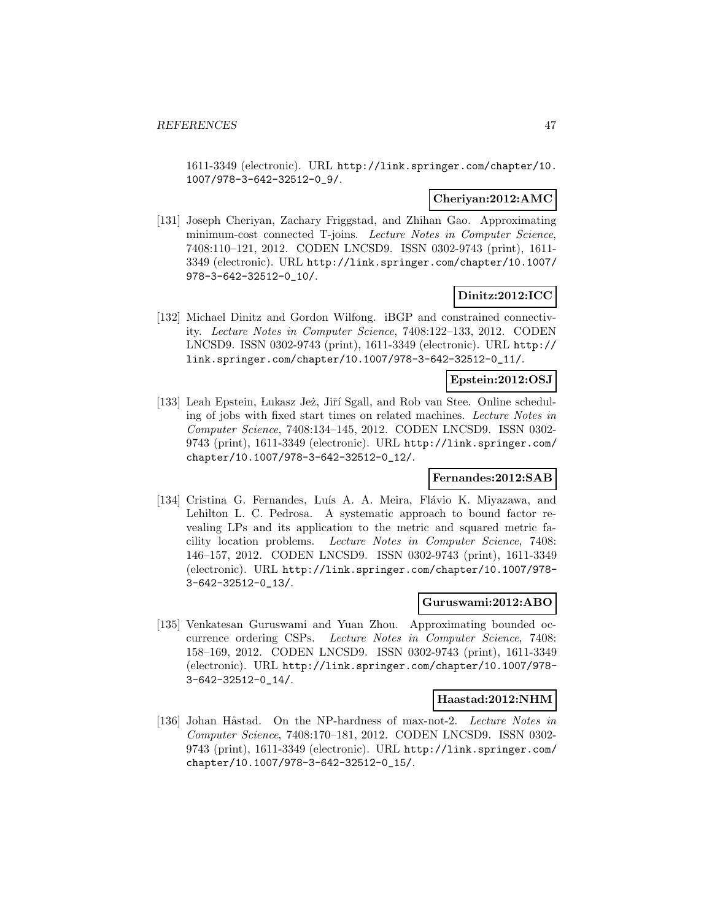1611-3349 (electronic). URL http://link.springer.com/chapter/10. 1007/978-3-642-32512-0\_9/.

#### **Cheriyan:2012:AMC**

[131] Joseph Cheriyan, Zachary Friggstad, and Zhihan Gao. Approximating minimum-cost connected T-joins. Lecture Notes in Computer Science, 7408:110–121, 2012. CODEN LNCSD9. ISSN 0302-9743 (print), 1611- 3349 (electronic). URL http://link.springer.com/chapter/10.1007/ 978-3-642-32512-0\_10/.

# **Dinitz:2012:ICC**

[132] Michael Dinitz and Gordon Wilfong. iBGP and constrained connectivity. Lecture Notes in Computer Science, 7408:122–133, 2012. CODEN LNCSD9. ISSN 0302-9743 (print), 1611-3349 (electronic). URL http:// link.springer.com/chapter/10.1007/978-3-642-32512-0\_11/.

# **Epstein:2012:OSJ**

[133] Leah Epstein, Lukasz Jeż, Jiří Sgall, and Rob van Stee. Online scheduling of jobs with fixed start times on related machines. Lecture Notes in Computer Science, 7408:134–145, 2012. CODEN LNCSD9. ISSN 0302- 9743 (print), 1611-3349 (electronic). URL http://link.springer.com/ chapter/10.1007/978-3-642-32512-0\_12/.

#### **Fernandes:2012:SAB**

[134] Cristina G. Fernandes, Luís A. A. Meira, Flávio K. Miyazawa, and Lehilton L. C. Pedrosa. A systematic approach to bound factor revealing LPs and its application to the metric and squared metric facility location problems. Lecture Notes in Computer Science, 7408: 146–157, 2012. CODEN LNCSD9. ISSN 0302-9743 (print), 1611-3349 (electronic). URL http://link.springer.com/chapter/10.1007/978- 3-642-32512-0\_13/.

#### **Guruswami:2012:ABO**

[135] Venkatesan Guruswami and Yuan Zhou. Approximating bounded occurrence ordering CSPs. Lecture Notes in Computer Science, 7408: 158–169, 2012. CODEN LNCSD9. ISSN 0302-9743 (print), 1611-3349 (electronic). URL http://link.springer.com/chapter/10.1007/978- 3-642-32512-0\_14/.

#### **Haastad:2012:NHM**

[136] Johan Håstad. On the NP-hardness of max-not-2. Lecture Notes in Computer Science, 7408:170–181, 2012. CODEN LNCSD9. ISSN 0302- 9743 (print), 1611-3349 (electronic). URL http://link.springer.com/ chapter/10.1007/978-3-642-32512-0\_15/.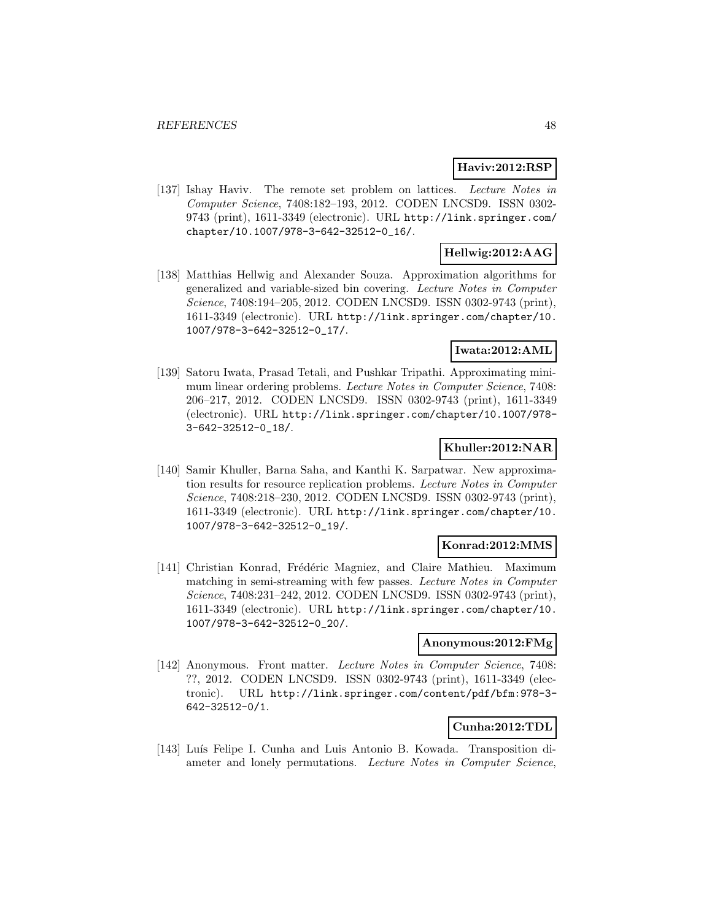# **Haviv:2012:RSP**

[137] Ishay Haviv. The remote set problem on lattices. Lecture Notes in Computer Science, 7408:182–193, 2012. CODEN LNCSD9. ISSN 0302- 9743 (print), 1611-3349 (electronic). URL http://link.springer.com/ chapter/10.1007/978-3-642-32512-0\_16/.

# **Hellwig:2012:AAG**

[138] Matthias Hellwig and Alexander Souza. Approximation algorithms for generalized and variable-sized bin covering. Lecture Notes in Computer Science, 7408:194–205, 2012. CODEN LNCSD9. ISSN 0302-9743 (print), 1611-3349 (electronic). URL http://link.springer.com/chapter/10. 1007/978-3-642-32512-0\_17/.

# **Iwata:2012:AML**

[139] Satoru Iwata, Prasad Tetali, and Pushkar Tripathi. Approximating minimum linear ordering problems. Lecture Notes in Computer Science, 7408: 206–217, 2012. CODEN LNCSD9. ISSN 0302-9743 (print), 1611-3349 (electronic). URL http://link.springer.com/chapter/10.1007/978- 3-642-32512-0\_18/.

# **Khuller:2012:NAR**

[140] Samir Khuller, Barna Saha, and Kanthi K. Sarpatwar. New approximation results for resource replication problems. Lecture Notes in Computer Science, 7408:218–230, 2012. CODEN LNCSD9. ISSN 0302-9743 (print), 1611-3349 (electronic). URL http://link.springer.com/chapter/10. 1007/978-3-642-32512-0\_19/.

#### **Konrad:2012:MMS**

[141] Christian Konrad, Frédéric Magniez, and Claire Mathieu. Maximum matching in semi-streaming with few passes. Lecture Notes in Computer Science, 7408:231–242, 2012. CODEN LNCSD9. ISSN 0302-9743 (print), 1611-3349 (electronic). URL http://link.springer.com/chapter/10. 1007/978-3-642-32512-0\_20/.

#### **Anonymous:2012:FMg**

[142] Anonymous. Front matter. Lecture Notes in Computer Science, 7408: ??, 2012. CODEN LNCSD9. ISSN 0302-9743 (print), 1611-3349 (electronic). URL http://link.springer.com/content/pdf/bfm:978-3- 642-32512-0/1.

# **Cunha:2012:TDL**

[143] Luís Felipe I. Cunha and Luis Antonio B. Kowada. Transposition diameter and lonely permutations. Lecture Notes in Computer Science,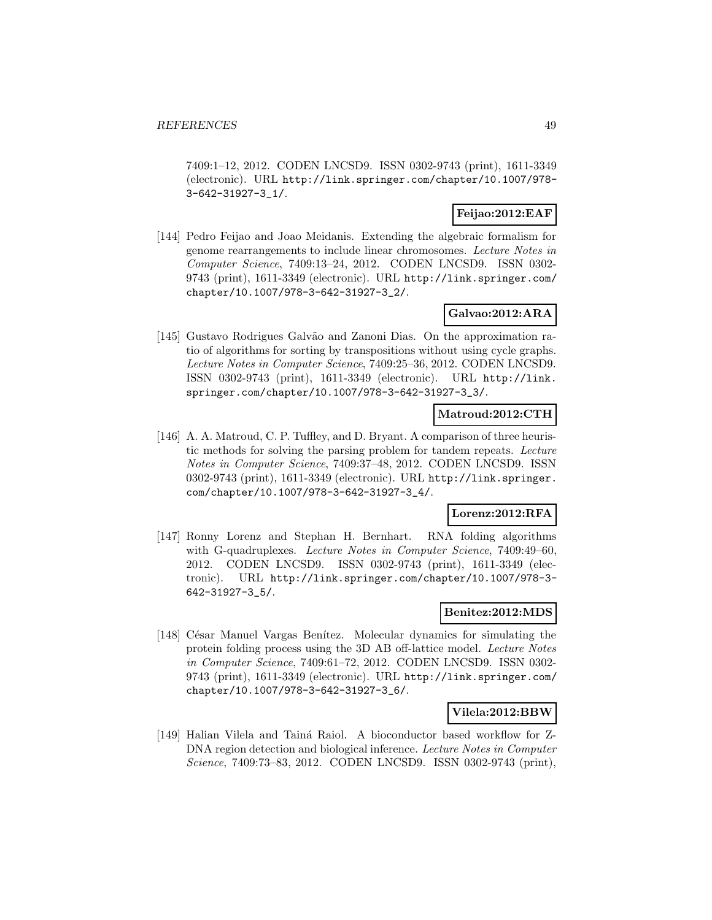7409:1–12, 2012. CODEN LNCSD9. ISSN 0302-9743 (print), 1611-3349 (electronic). URL http://link.springer.com/chapter/10.1007/978- 3-642-31927-3\_1/.

# **Feijao:2012:EAF**

[144] Pedro Feijao and Joao Meidanis. Extending the algebraic formalism for genome rearrangements to include linear chromosomes. Lecture Notes in Computer Science, 7409:13–24, 2012. CODEN LNCSD9. ISSN 0302- 9743 (print), 1611-3349 (electronic). URL http://link.springer.com/ chapter/10.1007/978-3-642-31927-3\_2/.

### **Galvao:2012:ARA**

[145] Gustavo Rodrigues Galvão and Zanoni Dias. On the approximation ratio of algorithms for sorting by transpositions without using cycle graphs. Lecture Notes in Computer Science, 7409:25–36, 2012. CODEN LNCSD9. ISSN 0302-9743 (print), 1611-3349 (electronic). URL http://link. springer.com/chapter/10.1007/978-3-642-31927-3\_3/.

### **Matroud:2012:CTH**

[146] A. A. Matroud, C. P. Tuffley, and D. Bryant. A comparison of three heuristic methods for solving the parsing problem for tandem repeats. Lecture Notes in Computer Science, 7409:37–48, 2012. CODEN LNCSD9. ISSN 0302-9743 (print), 1611-3349 (electronic). URL http://link.springer. com/chapter/10.1007/978-3-642-31927-3\_4/.

#### **Lorenz:2012:RFA**

[147] Ronny Lorenz and Stephan H. Bernhart. RNA folding algorithms with G-quadruplexes. Lecture Notes in Computer Science, 7409:49-60, 2012. CODEN LNCSD9. ISSN 0302-9743 (print), 1611-3349 (electronic). URL http://link.springer.com/chapter/10.1007/978-3- 642-31927-3\_5/.

#### **Benitez:2012:MDS**

[148] César Manuel Vargas Benítez. Molecular dynamics for simulating the protein folding process using the 3D AB off-lattice model. Lecture Notes in Computer Science, 7409:61–72, 2012. CODEN LNCSD9. ISSN 0302- 9743 (print), 1611-3349 (electronic). URL http://link.springer.com/ chapter/10.1007/978-3-642-31927-3\_6/.

#### **Vilela:2012:BBW**

[149] Halian Vilela and Tainá Raiol. A bioconductor based workflow for Z-DNA region detection and biological inference. Lecture Notes in Computer Science, 7409:73–83, 2012. CODEN LNCSD9. ISSN 0302-9743 (print),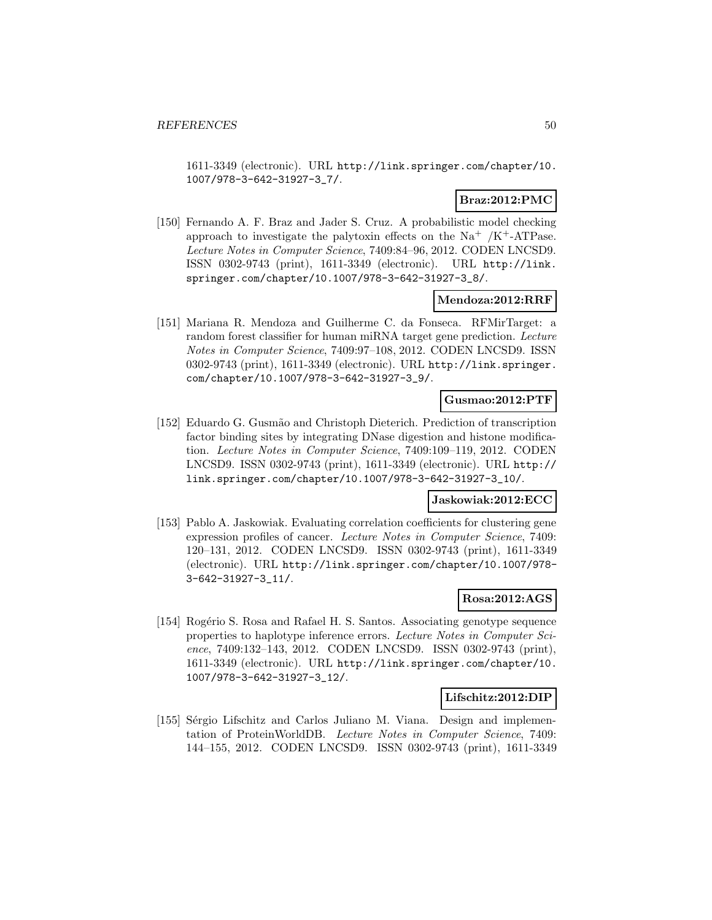1611-3349 (electronic). URL http://link.springer.com/chapter/10. 1007/978-3-642-31927-3\_7/.

# **Braz:2012:PMC**

[150] Fernando A. F. Braz and Jader S. Cruz. A probabilistic model checking approach to investigate the palytoxin effects on the  $Na^+ / K^+$ -ATPase. Lecture Notes in Computer Science, 7409:84–96, 2012. CODEN LNCSD9. ISSN 0302-9743 (print), 1611-3349 (electronic). URL http://link. springer.com/chapter/10.1007/978-3-642-31927-3\_8/.

### **Mendoza:2012:RRF**

[151] Mariana R. Mendoza and Guilherme C. da Fonseca. RFMirTarget: a random forest classifier for human miRNA target gene prediction. Lecture Notes in Computer Science, 7409:97–108, 2012. CODEN LNCSD9. ISSN 0302-9743 (print), 1611-3349 (electronic). URL http://link.springer. com/chapter/10.1007/978-3-642-31927-3\_9/.

### **Gusmao:2012:PTF**

[152] Eduardo G. Gusmão and Christoph Dieterich. Prediction of transcription factor binding sites by integrating DNase digestion and histone modification. Lecture Notes in Computer Science, 7409:109–119, 2012. CODEN LNCSD9. ISSN 0302-9743 (print), 1611-3349 (electronic). URL http:// link.springer.com/chapter/10.1007/978-3-642-31927-3\_10/.

# **Jaskowiak:2012:ECC**

[153] Pablo A. Jaskowiak. Evaluating correlation coefficients for clustering gene expression profiles of cancer. Lecture Notes in Computer Science, 7409: 120–131, 2012. CODEN LNCSD9. ISSN 0302-9743 (print), 1611-3349 (electronic). URL http://link.springer.com/chapter/10.1007/978- 3-642-31927-3\_11/.

### **Rosa:2012:AGS**

[154] Rogério S. Rosa and Rafael H. S. Santos. Associating genotype sequence properties to haplotype inference errors. Lecture Notes in Computer Science, 7409:132–143, 2012. CODEN LNCSD9. ISSN 0302-9743 (print), 1611-3349 (electronic). URL http://link.springer.com/chapter/10. 1007/978-3-642-31927-3\_12/.

#### **Lifschitz:2012:DIP**

[155] Sérgio Lifschitz and Carlos Juliano M. Viana. Design and implementation of ProteinWorldDB. Lecture Notes in Computer Science, 7409: 144–155, 2012. CODEN LNCSD9. ISSN 0302-9743 (print), 1611-3349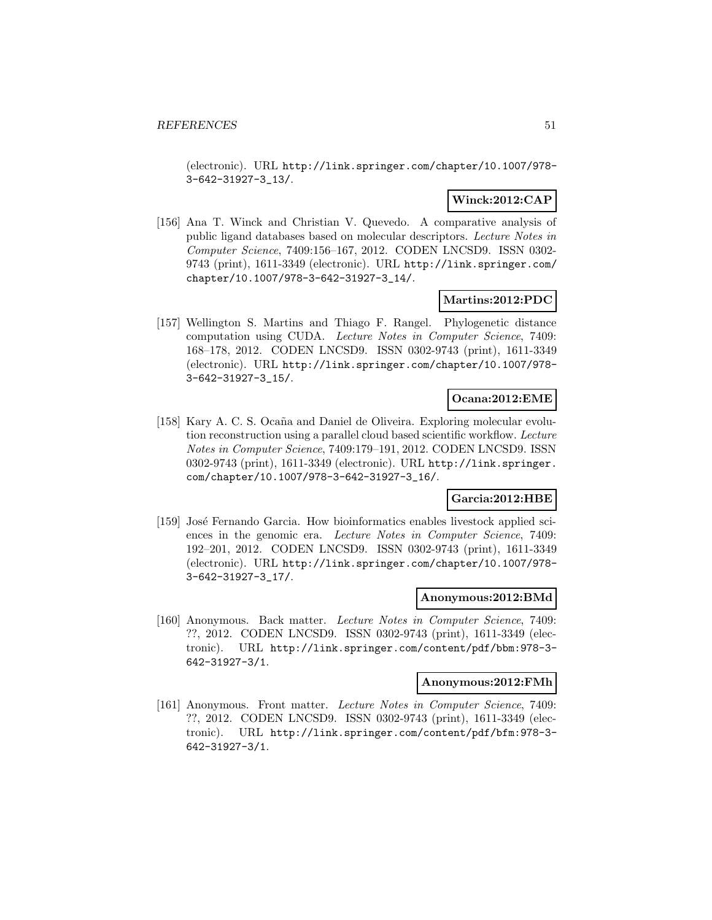(electronic). URL http://link.springer.com/chapter/10.1007/978- 3-642-31927-3\_13/.

# **Winck:2012:CAP**

[156] Ana T. Winck and Christian V. Quevedo. A comparative analysis of public ligand databases based on molecular descriptors. Lecture Notes in Computer Science, 7409:156–167, 2012. CODEN LNCSD9. ISSN 0302- 9743 (print), 1611-3349 (electronic). URL http://link.springer.com/ chapter/10.1007/978-3-642-31927-3\_14/.

#### **Martins:2012:PDC**

[157] Wellington S. Martins and Thiago F. Rangel. Phylogenetic distance computation using CUDA. Lecture Notes in Computer Science, 7409: 168–178, 2012. CODEN LNCSD9. ISSN 0302-9743 (print), 1611-3349 (electronic). URL http://link.springer.com/chapter/10.1007/978- 3-642-31927-3\_15/.

### **Ocana:2012:EME**

[158] Kary A. C. S. Ocaña and Daniel de Oliveira. Exploring molecular evolution reconstruction using a parallel cloud based scientific workflow. Lecture Notes in Computer Science, 7409:179–191, 2012. CODEN LNCSD9. ISSN 0302-9743 (print), 1611-3349 (electronic). URL http://link.springer. com/chapter/10.1007/978-3-642-31927-3\_16/.

# **Garcia:2012:HBE**

[159] José Fernando Garcia. How bioinformatics enables livestock applied sciences in the genomic era. Lecture Notes in Computer Science, 7409: 192–201, 2012. CODEN LNCSD9. ISSN 0302-9743 (print), 1611-3349 (electronic). URL http://link.springer.com/chapter/10.1007/978- 3-642-31927-3\_17/.

#### **Anonymous:2012:BMd**

[160] Anonymous. Back matter. Lecture Notes in Computer Science, 7409: ??, 2012. CODEN LNCSD9. ISSN 0302-9743 (print), 1611-3349 (electronic). URL http://link.springer.com/content/pdf/bbm:978-3- 642-31927-3/1.

### **Anonymous:2012:FMh**

[161] Anonymous. Front matter. Lecture Notes in Computer Science, 7409: ??, 2012. CODEN LNCSD9. ISSN 0302-9743 (print), 1611-3349 (electronic). URL http://link.springer.com/content/pdf/bfm:978-3- 642-31927-3/1.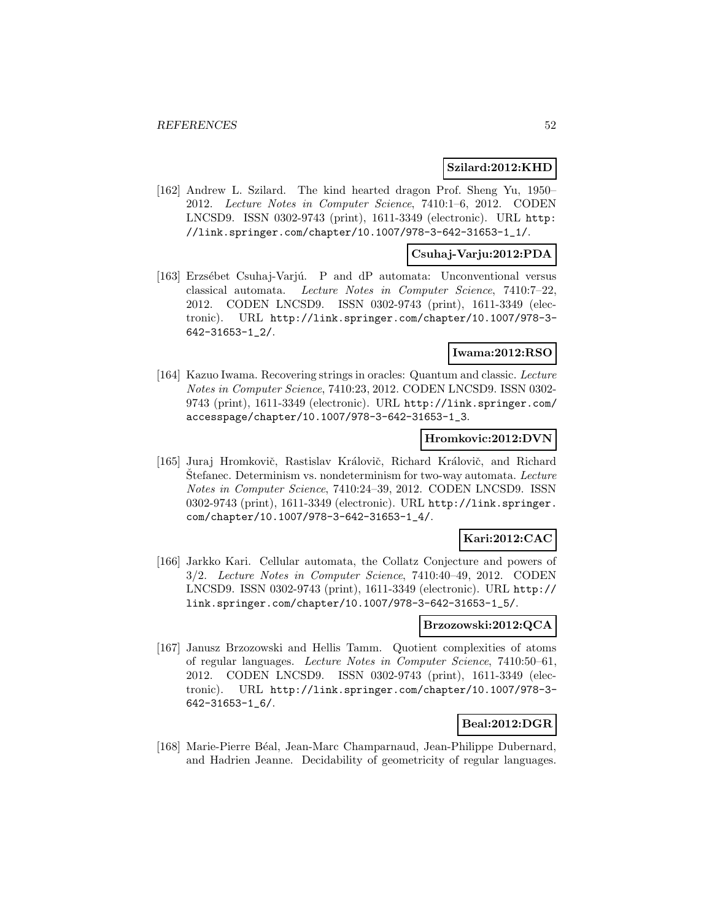#### **Szilard:2012:KHD**

[162] Andrew L. Szilard. The kind hearted dragon Prof. Sheng Yu, 1950– 2012. Lecture Notes in Computer Science, 7410:1–6, 2012. CODEN LNCSD9. ISSN 0302-9743 (print), 1611-3349 (electronic). URL http: //link.springer.com/chapter/10.1007/978-3-642-31653-1\_1/.

#### **Csuhaj-Varju:2012:PDA**

[163] Erzsébet Csuhaj-Varjú. P and dP automata: Unconventional versus classical automata. Lecture Notes in Computer Science, 7410:7–22, 2012. CODEN LNCSD9. ISSN 0302-9743 (print), 1611-3349 (electronic). URL http://link.springer.com/chapter/10.1007/978-3- 642-31653-1\_2/.

### **Iwama:2012:RSO**

[164] Kazuo Iwama. Recovering strings in oracles: Quantum and classic. Lecture Notes in Computer Science, 7410:23, 2012. CODEN LNCSD9. ISSN 0302- 9743 (print), 1611-3349 (electronic). URL http://link.springer.com/ accesspage/chapter/10.1007/978-3-642-31653-1\_3.

### **Hromkovic:2012:DVN**

[165] Juraj Hromkovič, Rastislav Královič, Richard Královič, and Richard Stefanec. Determinism vs. nondeterminism for two-way automata. Lecture Notes in Computer Science, 7410:24–39, 2012. CODEN LNCSD9. ISSN 0302-9743 (print), 1611-3349 (electronic). URL http://link.springer. com/chapter/10.1007/978-3-642-31653-1\_4/.

# **Kari:2012:CAC**

[166] Jarkko Kari. Cellular automata, the Collatz Conjecture and powers of 3/2. Lecture Notes in Computer Science, 7410:40–49, 2012. CODEN LNCSD9. ISSN 0302-9743 (print), 1611-3349 (electronic). URL http:// link.springer.com/chapter/10.1007/978-3-642-31653-1\_5/.

#### **Brzozowski:2012:QCA**

[167] Janusz Brzozowski and Hellis Tamm. Quotient complexities of atoms of regular languages. Lecture Notes in Computer Science, 7410:50–61, 2012. CODEN LNCSD9. ISSN 0302-9743 (print), 1611-3349 (electronic). URL http://link.springer.com/chapter/10.1007/978-3- 642-31653-1\_6/.

#### **Beal:2012:DGR**

[168] Marie-Pierre Béal, Jean-Marc Champarnaud, Jean-Philippe Dubernard, and Hadrien Jeanne. Decidability of geometricity of regular languages.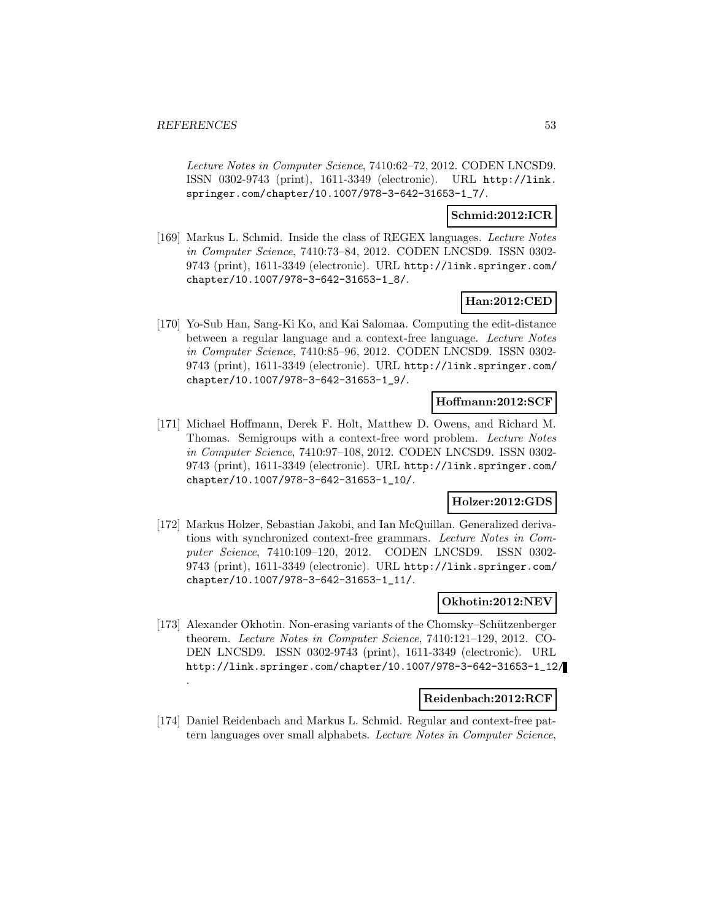.

Lecture Notes in Computer Science, 7410:62–72, 2012. CODEN LNCSD9. ISSN 0302-9743 (print), 1611-3349 (electronic). URL http://link. springer.com/chapter/10.1007/978-3-642-31653-1\_7/.

# **Schmid:2012:ICR**

[169] Markus L. Schmid. Inside the class of REGEX languages. Lecture Notes in Computer Science, 7410:73–84, 2012. CODEN LNCSD9. ISSN 0302- 9743 (print), 1611-3349 (electronic). URL http://link.springer.com/ chapter/10.1007/978-3-642-31653-1\_8/.

# **Han:2012:CED**

[170] Yo-Sub Han, Sang-Ki Ko, and Kai Salomaa. Computing the edit-distance between a regular language and a context-free language. Lecture Notes in Computer Science, 7410:85–96, 2012. CODEN LNCSD9. ISSN 0302- 9743 (print), 1611-3349 (electronic). URL http://link.springer.com/ chapter/10.1007/978-3-642-31653-1\_9/.

# **Hoffmann:2012:SCF**

[171] Michael Hoffmann, Derek F. Holt, Matthew D. Owens, and Richard M. Thomas. Semigroups with a context-free word problem. Lecture Notes in Computer Science, 7410:97–108, 2012. CODEN LNCSD9. ISSN 0302- 9743 (print), 1611-3349 (electronic). URL http://link.springer.com/ chapter/10.1007/978-3-642-31653-1\_10/.

### **Holzer:2012:GDS**

[172] Markus Holzer, Sebastian Jakobi, and Ian McQuillan. Generalized derivations with synchronized context-free grammars. Lecture Notes in Computer Science, 7410:109–120, 2012. CODEN LNCSD9. ISSN 0302- 9743 (print), 1611-3349 (electronic). URL http://link.springer.com/ chapter/10.1007/978-3-642-31653-1\_11/.

### **Okhotin:2012:NEV**

[173] Alexander Okhotin. Non-erasing variants of the Chomsky–Schützenberger theorem. Lecture Notes in Computer Science, 7410:121–129, 2012. CO-DEN LNCSD9. ISSN 0302-9743 (print), 1611-3349 (electronic). URL http://link.springer.com/chapter/10.1007/978-3-642-31653-1\_12/

#### **Reidenbach:2012:RCF**

[174] Daniel Reidenbach and Markus L. Schmid. Regular and context-free pattern languages over small alphabets. Lecture Notes in Computer Science,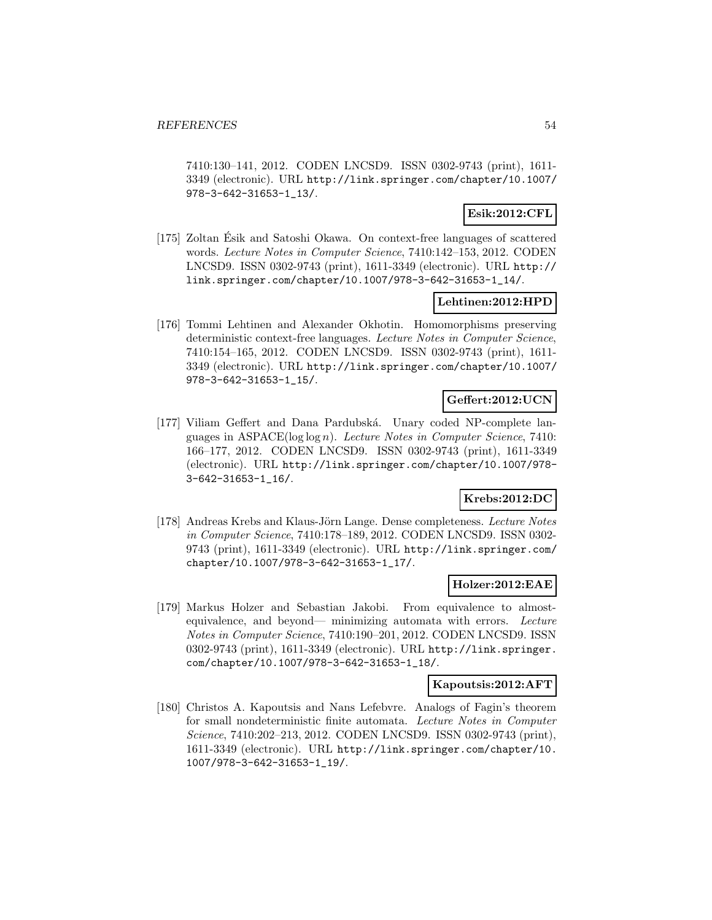7410:130–141, 2012. CODEN LNCSD9. ISSN 0302-9743 (print), 1611- 3349 (electronic). URL http://link.springer.com/chapter/10.1007/ 978-3-642-31653-1\_13/.

# **Esik:2012:CFL**

[175] Zoltan Esik and Satoshi Okawa. On context-free languages of scattered ´ words. Lecture Notes in Computer Science, 7410:142–153, 2012. CODEN LNCSD9. ISSN 0302-9743 (print), 1611-3349 (electronic). URL http:// link.springer.com/chapter/10.1007/978-3-642-31653-1\_14/.

#### **Lehtinen:2012:HPD**

[176] Tommi Lehtinen and Alexander Okhotin. Homomorphisms preserving deterministic context-free languages. Lecture Notes in Computer Science, 7410:154–165, 2012. CODEN LNCSD9. ISSN 0302-9743 (print), 1611- 3349 (electronic). URL http://link.springer.com/chapter/10.1007/ 978-3-642-31653-1\_15/.

### **Geffert:2012:UCN**

[177] Viliam Geffert and Dana Pardubská. Unary coded NP-complete languages in ASPACE(log log n). Lecture Notes in Computer Science, 7410: 166–177, 2012. CODEN LNCSD9. ISSN 0302-9743 (print), 1611-3349 (electronic). URL http://link.springer.com/chapter/10.1007/978- 3-642-31653-1\_16/.

# **Krebs:2012:DC**

[178] Andreas Krebs and Klaus-Jörn Lange. Dense completeness. Lecture Notes in Computer Science, 7410:178–189, 2012. CODEN LNCSD9. ISSN 0302- 9743 (print), 1611-3349 (electronic). URL http://link.springer.com/ chapter/10.1007/978-3-642-31653-1\_17/.

# **Holzer:2012:EAE**

[179] Markus Holzer and Sebastian Jakobi. From equivalence to almostequivalence, and beyond— minimizing automata with errors. Lecture Notes in Computer Science, 7410:190–201, 2012. CODEN LNCSD9. ISSN 0302-9743 (print), 1611-3349 (electronic). URL http://link.springer. com/chapter/10.1007/978-3-642-31653-1\_18/.

#### **Kapoutsis:2012:AFT**

[180] Christos A. Kapoutsis and Nans Lefebvre. Analogs of Fagin's theorem for small nondeterministic finite automata. Lecture Notes in Computer Science, 7410:202–213, 2012. CODEN LNCSD9. ISSN 0302-9743 (print), 1611-3349 (electronic). URL http://link.springer.com/chapter/10. 1007/978-3-642-31653-1\_19/.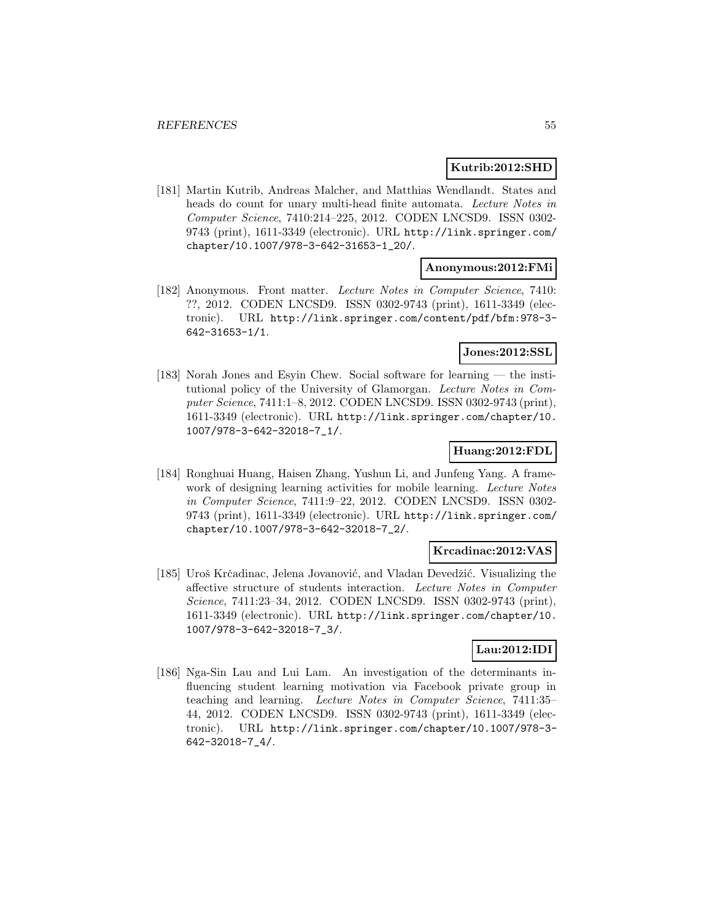#### **Kutrib:2012:SHD**

[181] Martin Kutrib, Andreas Malcher, and Matthias Wendlandt. States and heads do count for unary multi-head finite automata. Lecture Notes in Computer Science, 7410:214–225, 2012. CODEN LNCSD9. ISSN 0302- 9743 (print), 1611-3349 (electronic). URL http://link.springer.com/ chapter/10.1007/978-3-642-31653-1\_20/.

#### **Anonymous:2012:FMi**

[182] Anonymous. Front matter. Lecture Notes in Computer Science, 7410: ??, 2012. CODEN LNCSD9. ISSN 0302-9743 (print), 1611-3349 (electronic). URL http://link.springer.com/content/pdf/bfm:978-3- 642-31653-1/1.

# **Jones:2012:SSL**

[183] Norah Jones and Esyin Chew. Social software for learning — the institutional policy of the University of Glamorgan. Lecture Notes in Computer Science, 7411:1–8, 2012. CODEN LNCSD9. ISSN 0302-9743 (print), 1611-3349 (electronic). URL http://link.springer.com/chapter/10. 1007/978-3-642-32018-7\_1/.

# **Huang:2012:FDL**

[184] Ronghuai Huang, Haisen Zhang, Yushun Li, and Junfeng Yang. A framework of designing learning activities for mobile learning. Lecture Notes in Computer Science, 7411:9–22, 2012. CODEN LNCSD9. ISSN 0302- 9743 (print), 1611-3349 (electronic). URL http://link.springer.com/ chapter/10.1007/978-3-642-32018-7\_2/.

#### **Krcadinac:2012:VAS**

[185] Uroš Krčadinac, Jelena Jovanović, and Vladan Devedžić. Visualizing the affective structure of students interaction. Lecture Notes in Computer Science, 7411:23–34, 2012. CODEN LNCSD9. ISSN 0302-9743 (print), 1611-3349 (electronic). URL http://link.springer.com/chapter/10. 1007/978-3-642-32018-7\_3/.

# **Lau:2012:IDI**

[186] Nga-Sin Lau and Lui Lam. An investigation of the determinants influencing student learning motivation via Facebook private group in teaching and learning. Lecture Notes in Computer Science, 7411:35– 44, 2012. CODEN LNCSD9. ISSN 0302-9743 (print), 1611-3349 (electronic). URL http://link.springer.com/chapter/10.1007/978-3- 642-32018-7\_4/.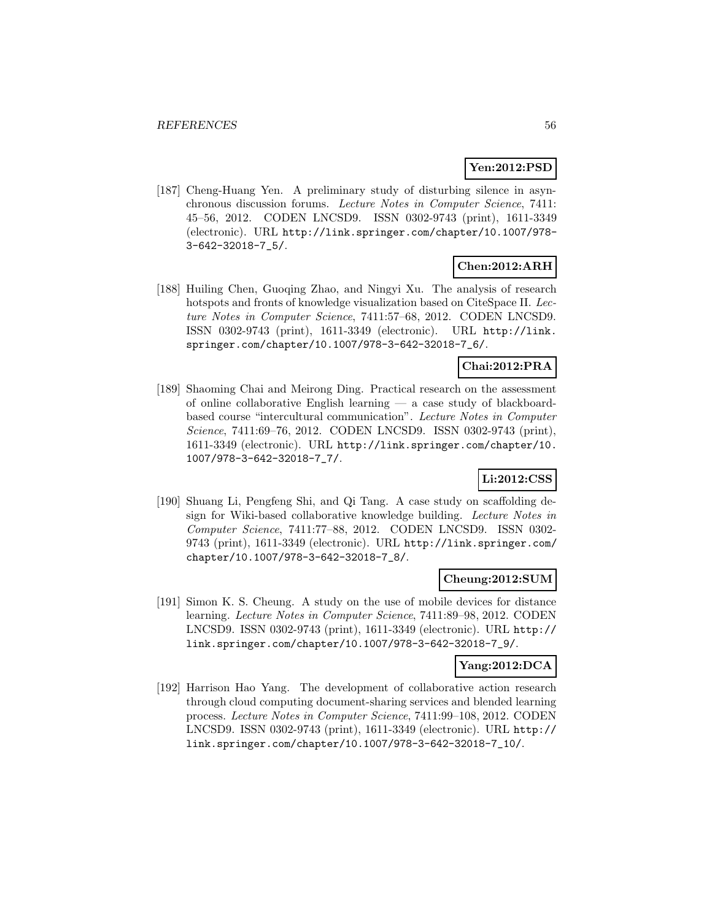# **Yen:2012:PSD**

[187] Cheng-Huang Yen. A preliminary study of disturbing silence in asynchronous discussion forums. Lecture Notes in Computer Science, 7411: 45–56, 2012. CODEN LNCSD9. ISSN 0302-9743 (print), 1611-3349 (electronic). URL http://link.springer.com/chapter/10.1007/978- 3-642-32018-7\_5/.

# **Chen:2012:ARH**

[188] Huiling Chen, Guoqing Zhao, and Ningyi Xu. The analysis of research hotspots and fronts of knowledge visualization based on CiteSpace II. Lecture Notes in Computer Science, 7411:57–68, 2012. CODEN LNCSD9. ISSN 0302-9743 (print), 1611-3349 (electronic). URL http://link. springer.com/chapter/10.1007/978-3-642-32018-7\_6/.

# **Chai:2012:PRA**

[189] Shaoming Chai and Meirong Ding. Practical research on the assessment of online collaborative English learning — a case study of blackboardbased course "intercultural communication". Lecture Notes in Computer Science, 7411:69–76, 2012. CODEN LNCSD9. ISSN 0302-9743 (print), 1611-3349 (electronic). URL http://link.springer.com/chapter/10. 1007/978-3-642-32018-7\_7/.

# **Li:2012:CSS**

[190] Shuang Li, Pengfeng Shi, and Qi Tang. A case study on scaffolding design for Wiki-based collaborative knowledge building. Lecture Notes in Computer Science, 7411:77–88, 2012. CODEN LNCSD9. ISSN 0302- 9743 (print), 1611-3349 (electronic). URL http://link.springer.com/ chapter/10.1007/978-3-642-32018-7\_8/.

# **Cheung:2012:SUM**

[191] Simon K. S. Cheung. A study on the use of mobile devices for distance learning. Lecture Notes in Computer Science, 7411:89–98, 2012. CODEN LNCSD9. ISSN 0302-9743 (print), 1611-3349 (electronic). URL http:// link.springer.com/chapter/10.1007/978-3-642-32018-7\_9/.

# **Yang:2012:DCA**

[192] Harrison Hao Yang. The development of collaborative action research through cloud computing document-sharing services and blended learning process. Lecture Notes in Computer Science, 7411:99–108, 2012. CODEN LNCSD9. ISSN 0302-9743 (print), 1611-3349 (electronic). URL http:// link.springer.com/chapter/10.1007/978-3-642-32018-7\_10/.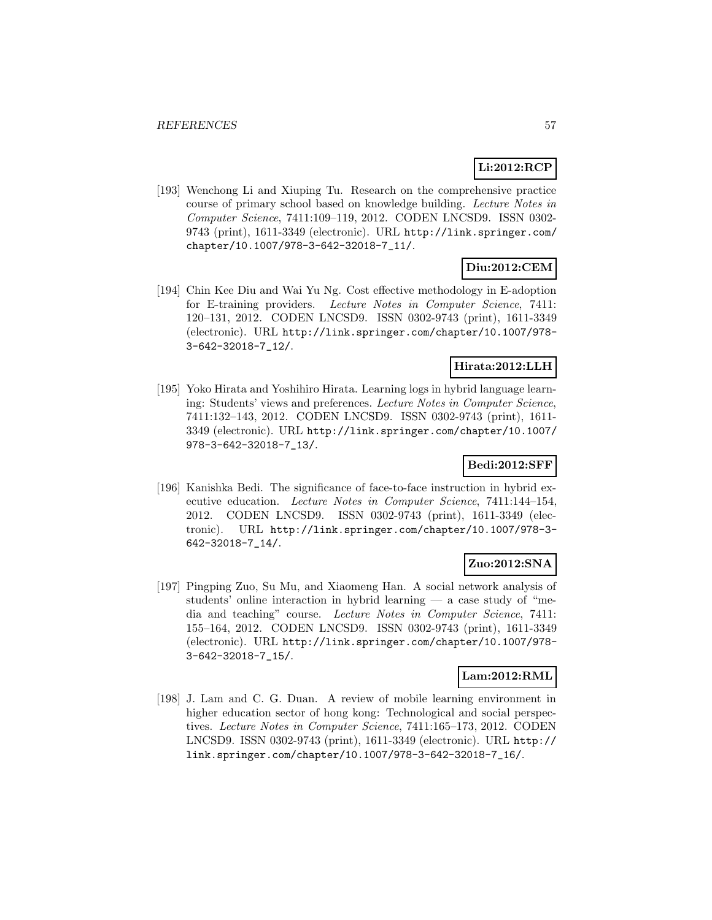# **Li:2012:RCP**

[193] Wenchong Li and Xiuping Tu. Research on the comprehensive practice course of primary school based on knowledge building. Lecture Notes in Computer Science, 7411:109–119, 2012. CODEN LNCSD9. ISSN 0302- 9743 (print), 1611-3349 (electronic). URL http://link.springer.com/ chapter/10.1007/978-3-642-32018-7\_11/.

# **Diu:2012:CEM**

[194] Chin Kee Diu and Wai Yu Ng. Cost effective methodology in E-adoption for E-training providers. Lecture Notes in Computer Science, 7411: 120–131, 2012. CODEN LNCSD9. ISSN 0302-9743 (print), 1611-3349 (electronic). URL http://link.springer.com/chapter/10.1007/978- 3-642-32018-7\_12/.

# **Hirata:2012:LLH**

[195] Yoko Hirata and Yoshihiro Hirata. Learning logs in hybrid language learning: Students' views and preferences. Lecture Notes in Computer Science, 7411:132–143, 2012. CODEN LNCSD9. ISSN 0302-9743 (print), 1611- 3349 (electronic). URL http://link.springer.com/chapter/10.1007/ 978-3-642-32018-7\_13/.

# **Bedi:2012:SFF**

[196] Kanishka Bedi. The significance of face-to-face instruction in hybrid executive education. Lecture Notes in Computer Science, 7411:144–154, 2012. CODEN LNCSD9. ISSN 0302-9743 (print), 1611-3349 (electronic). URL http://link.springer.com/chapter/10.1007/978-3- 642-32018-7\_14/.

# **Zuo:2012:SNA**

[197] Pingping Zuo, Su Mu, and Xiaomeng Han. A social network analysis of students' online interaction in hybrid learning — a case study of "media and teaching" course. Lecture Notes in Computer Science, 7411: 155–164, 2012. CODEN LNCSD9. ISSN 0302-9743 (print), 1611-3349 (electronic). URL http://link.springer.com/chapter/10.1007/978- 3-642-32018-7\_15/.

# **Lam:2012:RML**

[198] J. Lam and C. G. Duan. A review of mobile learning environment in higher education sector of hong kong: Technological and social perspectives. Lecture Notes in Computer Science, 7411:165–173, 2012. CODEN LNCSD9. ISSN 0302-9743 (print), 1611-3349 (electronic). URL http:// link.springer.com/chapter/10.1007/978-3-642-32018-7\_16/.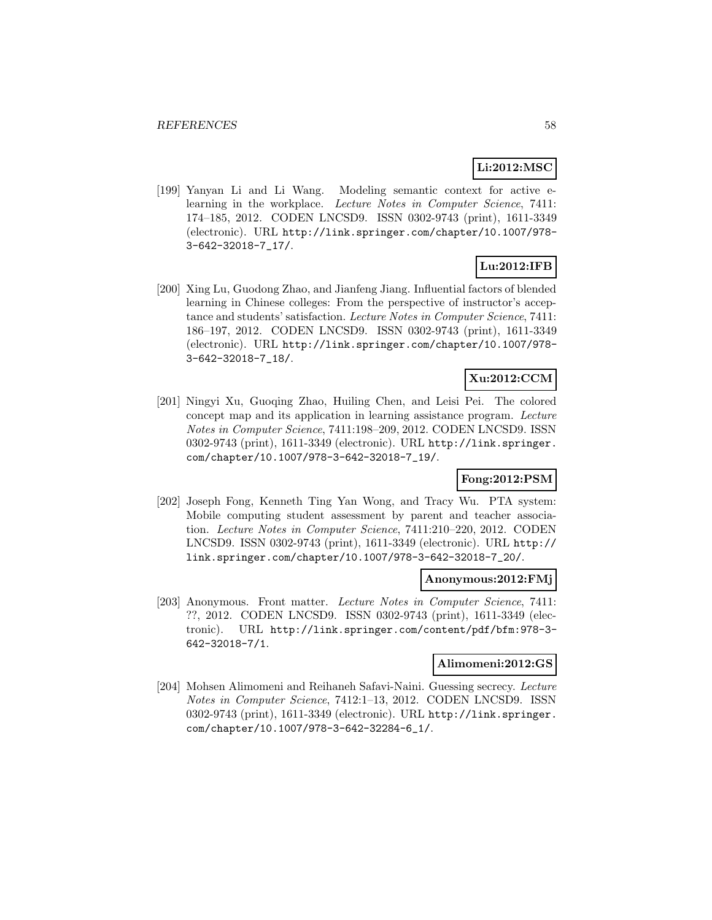#### **Li:2012:MSC**

[199] Yanyan Li and Li Wang. Modeling semantic context for active elearning in the workplace. Lecture Notes in Computer Science, 7411: 174–185, 2012. CODEN LNCSD9. ISSN 0302-9743 (print), 1611-3349 (electronic). URL http://link.springer.com/chapter/10.1007/978- 3-642-32018-7\_17/.

# **Lu:2012:IFB**

[200] Xing Lu, Guodong Zhao, and Jianfeng Jiang. Influential factors of blended learning in Chinese colleges: From the perspective of instructor's acceptance and students' satisfaction. Lecture Notes in Computer Science, 7411: 186–197, 2012. CODEN LNCSD9. ISSN 0302-9743 (print), 1611-3349 (electronic). URL http://link.springer.com/chapter/10.1007/978- 3-642-32018-7\_18/.

# **Xu:2012:CCM**

[201] Ningyi Xu, Guoqing Zhao, Huiling Chen, and Leisi Pei. The colored concept map and its application in learning assistance program. Lecture Notes in Computer Science, 7411:198–209, 2012. CODEN LNCSD9. ISSN 0302-9743 (print), 1611-3349 (electronic). URL http://link.springer. com/chapter/10.1007/978-3-642-32018-7\_19/.

# **Fong:2012:PSM**

[202] Joseph Fong, Kenneth Ting Yan Wong, and Tracy Wu. PTA system: Mobile computing student assessment by parent and teacher association. Lecture Notes in Computer Science, 7411:210–220, 2012. CODEN LNCSD9. ISSN 0302-9743 (print), 1611-3349 (electronic). URL http:// link.springer.com/chapter/10.1007/978-3-642-32018-7\_20/.

#### **Anonymous:2012:FMj**

[203] Anonymous. Front matter. Lecture Notes in Computer Science, 7411: ??, 2012. CODEN LNCSD9. ISSN 0302-9743 (print), 1611-3349 (electronic). URL http://link.springer.com/content/pdf/bfm:978-3- 642-32018-7/1.

#### **Alimomeni:2012:GS**

[204] Mohsen Alimomeni and Reihaneh Safavi-Naini. Guessing secrecy. Lecture Notes in Computer Science, 7412:1–13, 2012. CODEN LNCSD9. ISSN 0302-9743 (print), 1611-3349 (electronic). URL http://link.springer. com/chapter/10.1007/978-3-642-32284-6\_1/.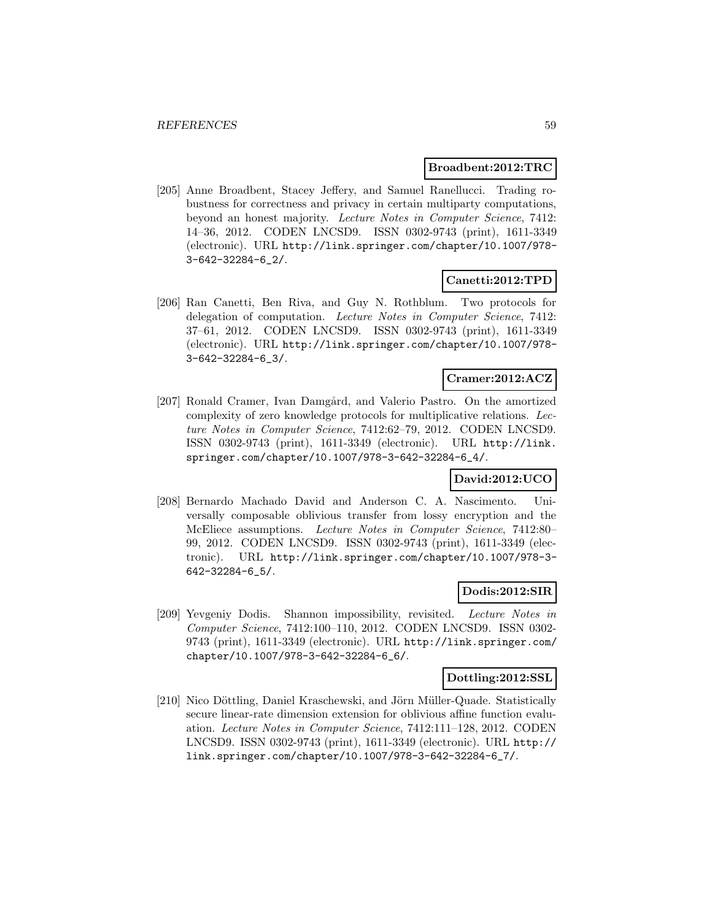#### **Broadbent:2012:TRC**

[205] Anne Broadbent, Stacey Jeffery, and Samuel Ranellucci. Trading robustness for correctness and privacy in certain multiparty computations, beyond an honest majority. Lecture Notes in Computer Science, 7412: 14–36, 2012. CODEN LNCSD9. ISSN 0302-9743 (print), 1611-3349 (electronic). URL http://link.springer.com/chapter/10.1007/978- 3-642-32284-6\_2/.

#### **Canetti:2012:TPD**

[206] Ran Canetti, Ben Riva, and Guy N. Rothblum. Two protocols for delegation of computation. Lecture Notes in Computer Science, 7412: 37–61, 2012. CODEN LNCSD9. ISSN 0302-9743 (print), 1611-3349 (electronic). URL http://link.springer.com/chapter/10.1007/978- 3-642-32284-6\_3/.

# **Cramer:2012:ACZ**

[207] Ronald Cramer, Ivan Damgård, and Valerio Pastro. On the amortized complexity of zero knowledge protocols for multiplicative relations. Lecture Notes in Computer Science, 7412:62–79, 2012. CODEN LNCSD9. ISSN 0302-9743 (print), 1611-3349 (electronic). URL http://link. springer.com/chapter/10.1007/978-3-642-32284-6\_4/.

# **David:2012:UCO**

[208] Bernardo Machado David and Anderson C. A. Nascimento. Universally composable oblivious transfer from lossy encryption and the McEliece assumptions. Lecture Notes in Computer Science, 7412:80– 99, 2012. CODEN LNCSD9. ISSN 0302-9743 (print), 1611-3349 (electronic). URL http://link.springer.com/chapter/10.1007/978-3- 642-32284-6\_5/.

#### **Dodis:2012:SIR**

[209] Yevgeniy Dodis. Shannon impossibility, revisited. Lecture Notes in Computer Science, 7412:100–110, 2012. CODEN LNCSD9. ISSN 0302- 9743 (print), 1611-3349 (electronic). URL http://link.springer.com/ chapter/10.1007/978-3-642-32284-6\_6/.

#### **Dottling:2012:SSL**

[210] Nico Döttling, Daniel Kraschewski, and Jörn Müller-Quade. Statistically secure linear-rate dimension extension for oblivious affine function evaluation. Lecture Notes in Computer Science, 7412:111–128, 2012. CODEN LNCSD9. ISSN 0302-9743 (print), 1611-3349 (electronic). URL http:// link.springer.com/chapter/10.1007/978-3-642-32284-6\_7/.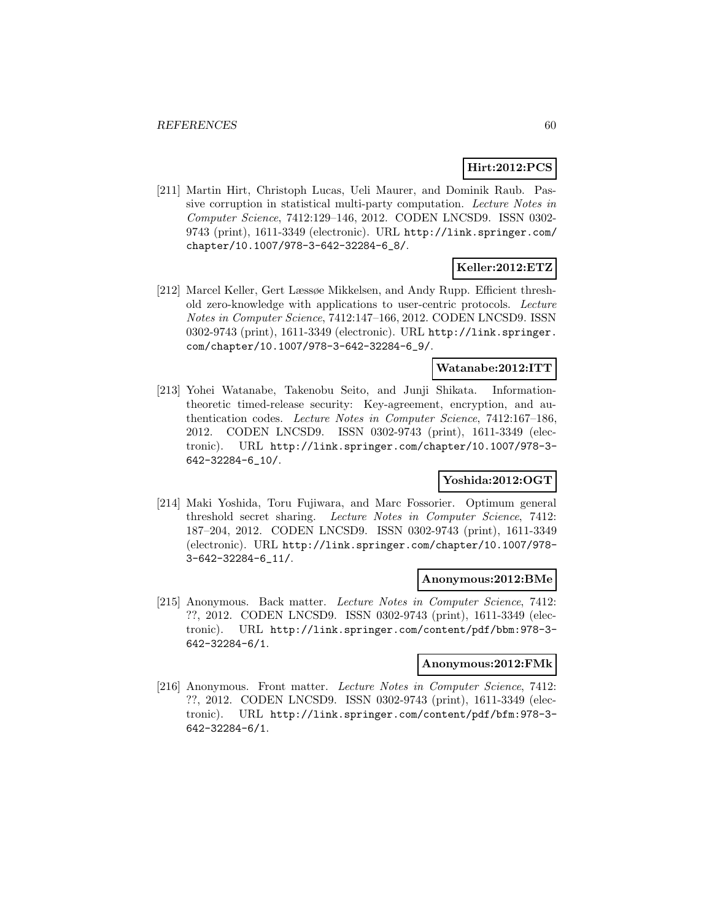# **Hirt:2012:PCS**

[211] Martin Hirt, Christoph Lucas, Ueli Maurer, and Dominik Raub. Passive corruption in statistical multi-party computation. Lecture Notes in Computer Science, 7412:129–146, 2012. CODEN LNCSD9. ISSN 0302- 9743 (print), 1611-3349 (electronic). URL http://link.springer.com/ chapter/10.1007/978-3-642-32284-6\_8/.

# **Keller:2012:ETZ**

[212] Marcel Keller, Gert Læssøe Mikkelsen, and Andy Rupp. Efficient threshold zero-knowledge with applications to user-centric protocols. Lecture Notes in Computer Science, 7412:147–166, 2012. CODEN LNCSD9. ISSN 0302-9743 (print), 1611-3349 (electronic). URL http://link.springer. com/chapter/10.1007/978-3-642-32284-6\_9/.

# **Watanabe:2012:ITT**

[213] Yohei Watanabe, Takenobu Seito, and Junji Shikata. Informationtheoretic timed-release security: Key-agreement, encryption, and authentication codes. Lecture Notes in Computer Science, 7412:167–186, 2012. CODEN LNCSD9. ISSN 0302-9743 (print), 1611-3349 (electronic). URL http://link.springer.com/chapter/10.1007/978-3- 642-32284-6\_10/.

# **Yoshida:2012:OGT**

[214] Maki Yoshida, Toru Fujiwara, and Marc Fossorier. Optimum general threshold secret sharing. Lecture Notes in Computer Science, 7412: 187–204, 2012. CODEN LNCSD9. ISSN 0302-9743 (print), 1611-3349 (electronic). URL http://link.springer.com/chapter/10.1007/978- 3-642-32284-6\_11/.

#### **Anonymous:2012:BMe**

[215] Anonymous. Back matter. Lecture Notes in Computer Science, 7412: ??, 2012. CODEN LNCSD9. ISSN 0302-9743 (print), 1611-3349 (electronic). URL http://link.springer.com/content/pdf/bbm:978-3- 642-32284-6/1.

#### **Anonymous:2012:FMk**

[216] Anonymous. Front matter. Lecture Notes in Computer Science, 7412: ??, 2012. CODEN LNCSD9. ISSN 0302-9743 (print), 1611-3349 (electronic). URL http://link.springer.com/content/pdf/bfm:978-3- 642-32284-6/1.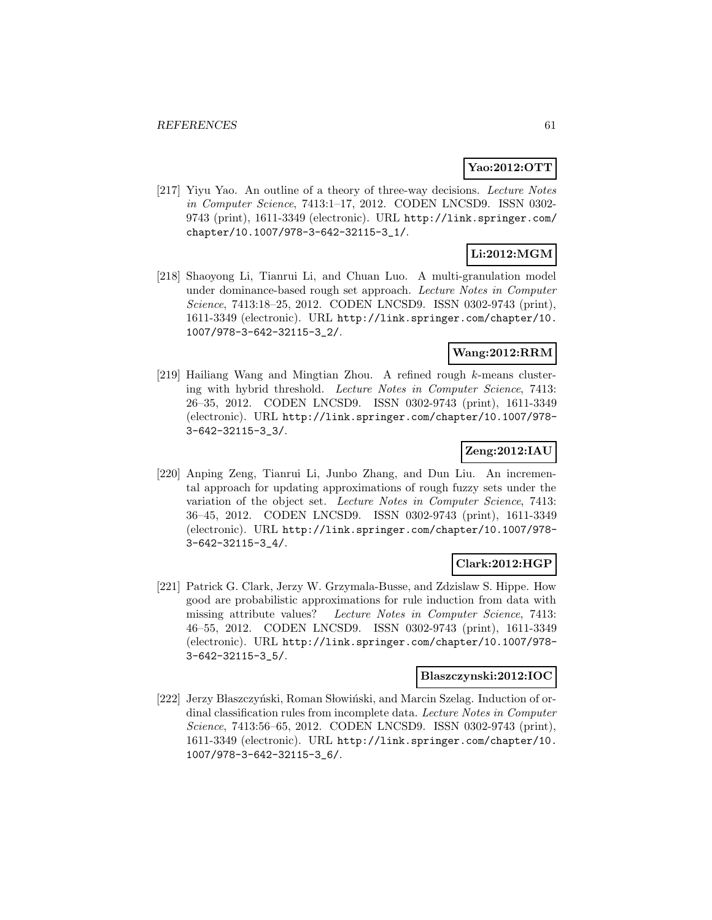# **Yao:2012:OTT**

[217] Yiyu Yao. An outline of a theory of three-way decisions. Lecture Notes in Computer Science, 7413:1–17, 2012. CODEN LNCSD9. ISSN 0302- 9743 (print), 1611-3349 (electronic). URL http://link.springer.com/ chapter/10.1007/978-3-642-32115-3\_1/.

# **Li:2012:MGM**

[218] Shaoyong Li, Tianrui Li, and Chuan Luo. A multi-granulation model under dominance-based rough set approach. Lecture Notes in Computer Science, 7413:18–25, 2012. CODEN LNCSD9. ISSN 0302-9743 (print), 1611-3349 (electronic). URL http://link.springer.com/chapter/10. 1007/978-3-642-32115-3\_2/.

# **Wang:2012:RRM**

[219] Hailiang Wang and Mingtian Zhou. A refined rough k-means clustering with hybrid threshold. Lecture Notes in Computer Science, 7413: 26–35, 2012. CODEN LNCSD9. ISSN 0302-9743 (print), 1611-3349 (electronic). URL http://link.springer.com/chapter/10.1007/978- 3-642-32115-3\_3/.

# **Zeng:2012:IAU**

[220] Anping Zeng, Tianrui Li, Junbo Zhang, and Dun Liu. An incremental approach for updating approximations of rough fuzzy sets under the variation of the object set. Lecture Notes in Computer Science, 7413: 36–45, 2012. CODEN LNCSD9. ISSN 0302-9743 (print), 1611-3349 (electronic). URL http://link.springer.com/chapter/10.1007/978- 3-642-32115-3\_4/.

# **Clark:2012:HGP**

[221] Patrick G. Clark, Jerzy W. Grzymala-Busse, and Zdzislaw S. Hippe. How good are probabilistic approximations for rule induction from data with missing attribute values? Lecture Notes in Computer Science, 7413: 46–55, 2012. CODEN LNCSD9. ISSN 0302-9743 (print), 1611-3349 (electronic). URL http://link.springer.com/chapter/10.1007/978- 3-642-32115-3\_5/.

#### **Blaszczynski:2012:IOC**

[222] Jerzy Błaszczyński, Roman Słowiński, and Marcin Szelag. Induction of ordinal classification rules from incomplete data. Lecture Notes in Computer Science, 7413:56–65, 2012. CODEN LNCSD9. ISSN 0302-9743 (print), 1611-3349 (electronic). URL http://link.springer.com/chapter/10. 1007/978-3-642-32115-3\_6/.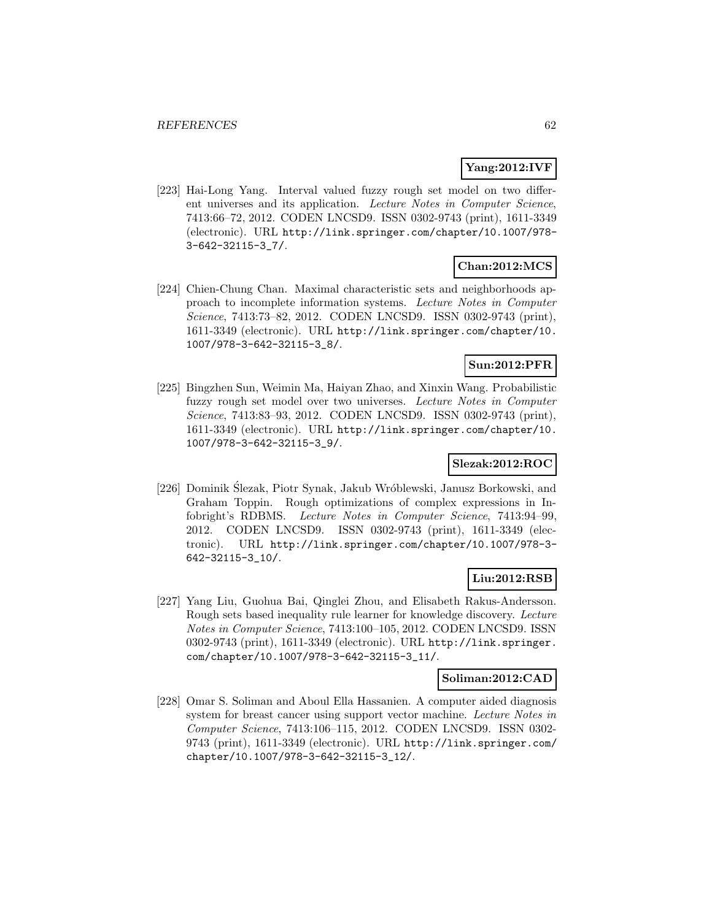# **Yang:2012:IVF**

[223] Hai-Long Yang. Interval valued fuzzy rough set model on two different universes and its application. Lecture Notes in Computer Science, 7413:66–72, 2012. CODEN LNCSD9. ISSN 0302-9743 (print), 1611-3349 (electronic). URL http://link.springer.com/chapter/10.1007/978- 3-642-32115-3\_7/.

# **Chan:2012:MCS**

[224] Chien-Chung Chan. Maximal characteristic sets and neighborhoods approach to incomplete information systems. Lecture Notes in Computer Science, 7413:73–82, 2012. CODEN LNCSD9. ISSN 0302-9743 (print), 1611-3349 (electronic). URL http://link.springer.com/chapter/10. 1007/978-3-642-32115-3\_8/.

# **Sun:2012:PFR**

[225] Bingzhen Sun, Weimin Ma, Haiyan Zhao, and Xinxin Wang. Probabilistic fuzzy rough set model over two universes. Lecture Notes in Computer Science, 7413:83–93, 2012. CODEN LNCSD9. ISSN 0302-9743 (print), 1611-3349 (electronic). URL http://link.springer.com/chapter/10. 1007/978-3-642-32115-3\_9/.

# **Slezak:2012:ROC**

[226] Dominik Slezak, Piotr Synak, Jakub Wróblewski, Janusz Borkowski, and Graham Toppin. Rough optimizations of complex expressions in Infobright's RDBMS. Lecture Notes in Computer Science, 7413:94–99, 2012. CODEN LNCSD9. ISSN 0302-9743 (print), 1611-3349 (electronic). URL http://link.springer.com/chapter/10.1007/978-3- 642-32115-3\_10/.

# **Liu:2012:RSB**

[227] Yang Liu, Guohua Bai, Qinglei Zhou, and Elisabeth Rakus-Andersson. Rough sets based inequality rule learner for knowledge discovery. Lecture Notes in Computer Science, 7413:100–105, 2012. CODEN LNCSD9. ISSN 0302-9743 (print), 1611-3349 (electronic). URL http://link.springer. com/chapter/10.1007/978-3-642-32115-3\_11/.

#### **Soliman:2012:CAD**

[228] Omar S. Soliman and Aboul Ella Hassanien. A computer aided diagnosis system for breast cancer using support vector machine. Lecture Notes in Computer Science, 7413:106–115, 2012. CODEN LNCSD9. ISSN 0302- 9743 (print), 1611-3349 (electronic). URL http://link.springer.com/ chapter/10.1007/978-3-642-32115-3\_12/.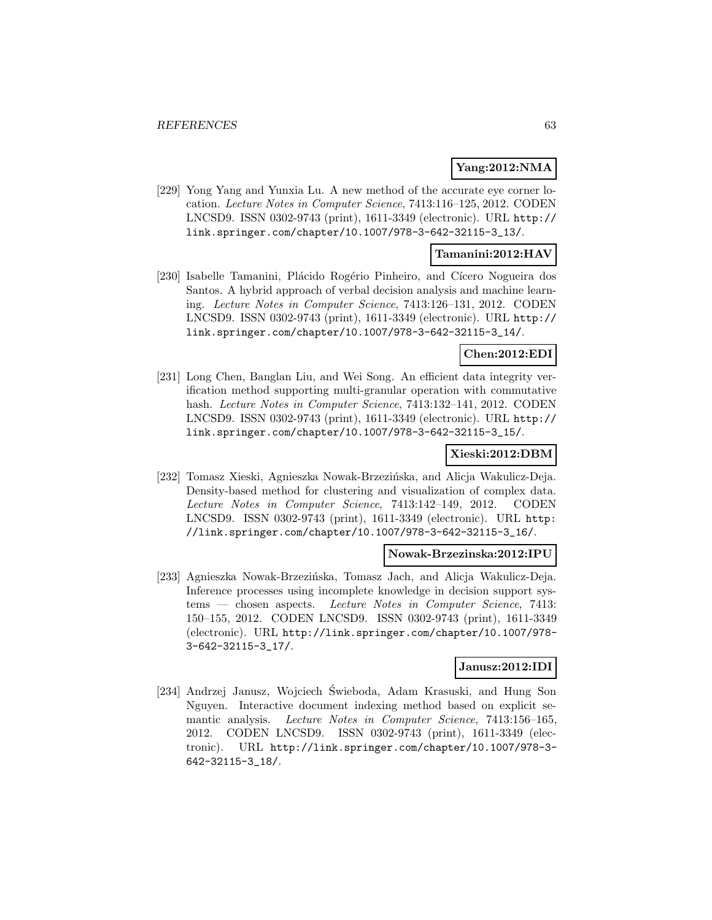#### **Yang:2012:NMA**

[229] Yong Yang and Yunxia Lu. A new method of the accurate eye corner location. Lecture Notes in Computer Science, 7413:116–125, 2012. CODEN LNCSD9. ISSN 0302-9743 (print), 1611-3349 (electronic). URL http:// link.springer.com/chapter/10.1007/978-3-642-32115-3\_13/.

#### **Tamanini:2012:HAV**

[230] Isabelle Tamanini, Plácido Rogério Pinheiro, and Cícero Nogueira dos Santos. A hybrid approach of verbal decision analysis and machine learning. Lecture Notes in Computer Science, 7413:126–131, 2012. CODEN LNCSD9. ISSN 0302-9743 (print), 1611-3349 (electronic). URL http:// link.springer.com/chapter/10.1007/978-3-642-32115-3\_14/.

#### **Chen:2012:EDI**

[231] Long Chen, Banglan Liu, and Wei Song. An efficient data integrity verification method supporting multi-granular operation with commutative hash. Lecture Notes in Computer Science, 7413:132–141, 2012. CODEN LNCSD9. ISSN 0302-9743 (print), 1611-3349 (electronic). URL http:// link.springer.com/chapter/10.1007/978-3-642-32115-3\_15/.

# **Xieski:2012:DBM**

[232] Tomasz Xieski, Agnieszka Nowak-Brzezińska, and Alicja Wakulicz-Deja. Density-based method for clustering and visualization of complex data. Lecture Notes in Computer Science, 7413:142–149, 2012. CODEN LNCSD9. ISSN 0302-9743 (print), 1611-3349 (electronic). URL http: //link.springer.com/chapter/10.1007/978-3-642-32115-3\_16/.

#### **Nowak-Brzezinska:2012:IPU**

[233] Agnieszka Nowak-Brzezińska, Tomasz Jach, and Alicja Wakulicz-Deja. Inference processes using incomplete knowledge in decision support systems — chosen aspects. Lecture Notes in Computer Science, 7413: 150–155, 2012. CODEN LNCSD9. ISSN 0302-9743 (print), 1611-3349 (electronic). URL http://link.springer.com/chapter/10.1007/978- 3-642-32115-3\_17/.

#### **Janusz:2012:IDI**

[234] Andrzej Janusz, Wojciech Swieboda, Adam Krasuski, and Hung Son ´ Nguyen. Interactive document indexing method based on explicit semantic analysis. Lecture Notes in Computer Science, 7413:156-165, 2012. CODEN LNCSD9. ISSN 0302-9743 (print), 1611-3349 (electronic). URL http://link.springer.com/chapter/10.1007/978-3- 642-32115-3\_18/.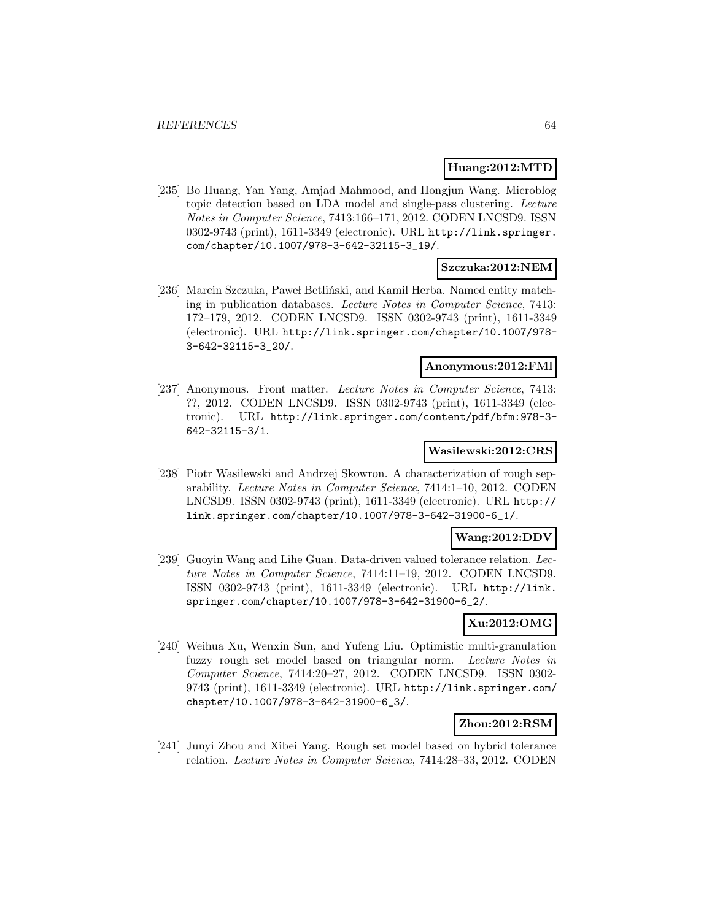#### **Huang:2012:MTD**

[235] Bo Huang, Yan Yang, Amjad Mahmood, and Hongjun Wang. Microblog topic detection based on LDA model and single-pass clustering. Lecture Notes in Computer Science, 7413:166–171, 2012. CODEN LNCSD9. ISSN 0302-9743 (print), 1611-3349 (electronic). URL http://link.springer. com/chapter/10.1007/978-3-642-32115-3\_19/.

#### **Szczuka:2012:NEM**

[236] Marcin Szczuka, Paweł Betliński, and Kamil Herba. Named entity matching in publication databases. Lecture Notes in Computer Science, 7413: 172–179, 2012. CODEN LNCSD9. ISSN 0302-9743 (print), 1611-3349 (electronic). URL http://link.springer.com/chapter/10.1007/978- 3-642-32115-3\_20/.

#### **Anonymous:2012:FMl**

[237] Anonymous. Front matter. Lecture Notes in Computer Science, 7413: ??, 2012. CODEN LNCSD9. ISSN 0302-9743 (print), 1611-3349 (electronic). URL http://link.springer.com/content/pdf/bfm:978-3- 642-32115-3/1.

#### **Wasilewski:2012:CRS**

[238] Piotr Wasilewski and Andrzej Skowron. A characterization of rough separability. Lecture Notes in Computer Science, 7414:1–10, 2012. CODEN LNCSD9. ISSN 0302-9743 (print), 1611-3349 (electronic). URL http:// link.springer.com/chapter/10.1007/978-3-642-31900-6\_1/.

# **Wang:2012:DDV**

[239] Guoyin Wang and Lihe Guan. Data-driven valued tolerance relation. Lecture Notes in Computer Science, 7414:11–19, 2012. CODEN LNCSD9. ISSN 0302-9743 (print), 1611-3349 (electronic). URL http://link. springer.com/chapter/10.1007/978-3-642-31900-6\_2/.

# **Xu:2012:OMG**

[240] Weihua Xu, Wenxin Sun, and Yufeng Liu. Optimistic multi-granulation fuzzy rough set model based on triangular norm. Lecture Notes in Computer Science, 7414:20–27, 2012. CODEN LNCSD9. ISSN 0302- 9743 (print), 1611-3349 (electronic). URL http://link.springer.com/ chapter/10.1007/978-3-642-31900-6\_3/.

#### **Zhou:2012:RSM**

[241] Junyi Zhou and Xibei Yang. Rough set model based on hybrid tolerance relation. Lecture Notes in Computer Science, 7414:28–33, 2012. CODEN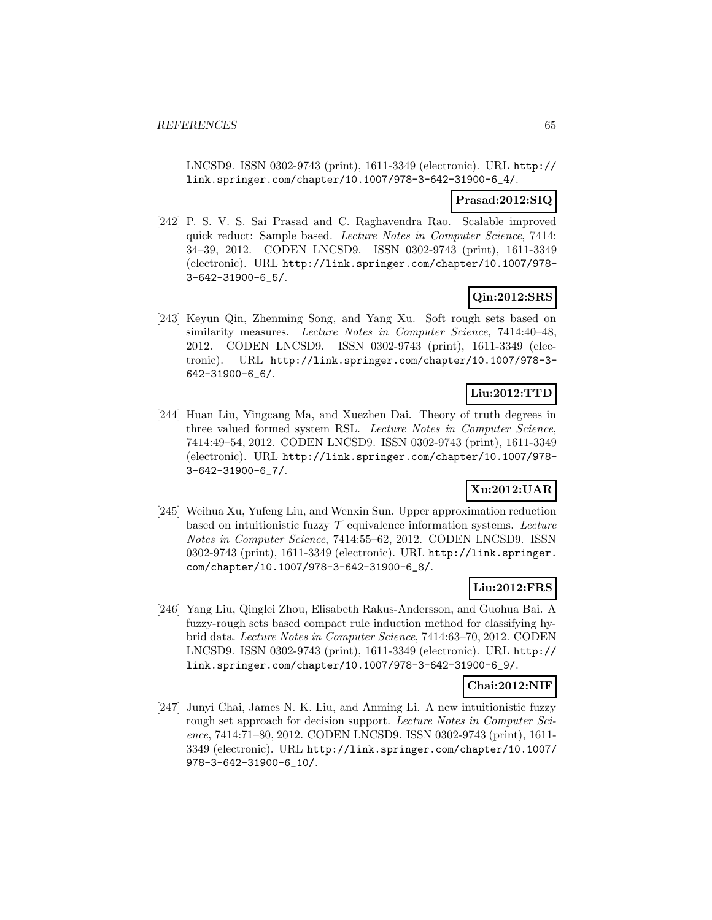LNCSD9. ISSN 0302-9743 (print), 1611-3349 (electronic). URL http:// link.springer.com/chapter/10.1007/978-3-642-31900-6\_4/.

### **Prasad:2012:SIQ**

[242] P. S. V. S. Sai Prasad and C. Raghavendra Rao. Scalable improved quick reduct: Sample based. Lecture Notes in Computer Science, 7414: 34–39, 2012. CODEN LNCSD9. ISSN 0302-9743 (print), 1611-3349 (electronic). URL http://link.springer.com/chapter/10.1007/978- 3-642-31900-6\_5/.

# **Qin:2012:SRS**

[243] Keyun Qin, Zhenming Song, and Yang Xu. Soft rough sets based on similarity measures. Lecture Notes in Computer Science, 7414:40-48, 2012. CODEN LNCSD9. ISSN 0302-9743 (print), 1611-3349 (electronic). URL http://link.springer.com/chapter/10.1007/978-3- 642-31900-6\_6/.

# **Liu:2012:TTD**

[244] Huan Liu, Yingcang Ma, and Xuezhen Dai. Theory of truth degrees in three valued formed system RSL. Lecture Notes in Computer Science, 7414:49–54, 2012. CODEN LNCSD9. ISSN 0302-9743 (print), 1611-3349 (electronic). URL http://link.springer.com/chapter/10.1007/978- 3-642-31900-6\_7/.

# **Xu:2012:UAR**

[245] Weihua Xu, Yufeng Liu, and Wenxin Sun. Upper approximation reduction based on intuitionistic fuzzy  $\mathcal T$  equivalence information systems. Lecture Notes in Computer Science, 7414:55–62, 2012. CODEN LNCSD9. ISSN 0302-9743 (print), 1611-3349 (electronic). URL http://link.springer. com/chapter/10.1007/978-3-642-31900-6\_8/.

# **Liu:2012:FRS**

[246] Yang Liu, Qinglei Zhou, Elisabeth Rakus-Andersson, and Guohua Bai. A fuzzy-rough sets based compact rule induction method for classifying hybrid data. Lecture Notes in Computer Science, 7414:63–70, 2012. CODEN LNCSD9. ISSN 0302-9743 (print), 1611-3349 (electronic). URL http:// link.springer.com/chapter/10.1007/978-3-642-31900-6\_9/.

# **Chai:2012:NIF**

[247] Junyi Chai, James N. K. Liu, and Anming Li. A new intuitionistic fuzzy rough set approach for decision support. Lecture Notes in Computer Science, 7414:71–80, 2012. CODEN LNCSD9. ISSN 0302-9743 (print), 1611- 3349 (electronic). URL http://link.springer.com/chapter/10.1007/ 978-3-642-31900-6\_10/.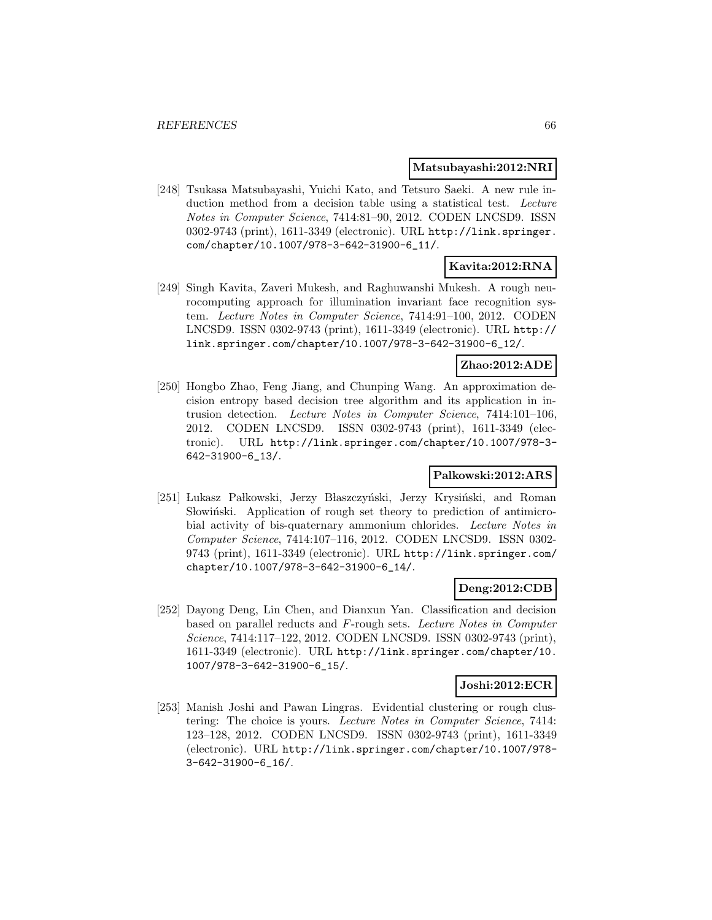#### **Matsubayashi:2012:NRI**

[248] Tsukasa Matsubayashi, Yuichi Kato, and Tetsuro Saeki. A new rule induction method from a decision table using a statistical test. Lecture Notes in Computer Science, 7414:81–90, 2012. CODEN LNCSD9. ISSN 0302-9743 (print), 1611-3349 (electronic). URL http://link.springer. com/chapter/10.1007/978-3-642-31900-6\_11/.

# **Kavita:2012:RNA**

[249] Singh Kavita, Zaveri Mukesh, and Raghuwanshi Mukesh. A rough neurocomputing approach for illumination invariant face recognition system. Lecture Notes in Computer Science, 7414:91–100, 2012. CODEN LNCSD9. ISSN 0302-9743 (print), 1611-3349 (electronic). URL http:// link.springer.com/chapter/10.1007/978-3-642-31900-6\_12/.

# **Zhao:2012:ADE**

[250] Hongbo Zhao, Feng Jiang, and Chunping Wang. An approximation decision entropy based decision tree algorithm and its application in intrusion detection. Lecture Notes in Computer Science, 7414:101–106, 2012. CODEN LNCSD9. ISSN 0302-9743 (print), 1611-3349 (electronic). URL http://link.springer.com/chapter/10.1007/978-3- 642-31900-6\_13/.

#### **Palkowski:2012:ARS**

[251] Lukasz Pałkowski, Jerzy Błaszczyński, Jerzy Krysiński, and Roman Showinski. Application of rough set theory to prediction of antimicrobial activity of bis-quaternary ammonium chlorides. Lecture Notes in Computer Science, 7414:107–116, 2012. CODEN LNCSD9. ISSN 0302- 9743 (print), 1611-3349 (electronic). URL http://link.springer.com/ chapter/10.1007/978-3-642-31900-6\_14/.

#### **Deng:2012:CDB**

[252] Dayong Deng, Lin Chen, and Dianxun Yan. Classification and decision based on parallel reducts and F-rough sets. Lecture Notes in Computer Science, 7414:117–122, 2012. CODEN LNCSD9. ISSN 0302-9743 (print), 1611-3349 (electronic). URL http://link.springer.com/chapter/10. 1007/978-3-642-31900-6\_15/.

#### **Joshi:2012:ECR**

[253] Manish Joshi and Pawan Lingras. Evidential clustering or rough clustering: The choice is yours. Lecture Notes in Computer Science, 7414: 123–128, 2012. CODEN LNCSD9. ISSN 0302-9743 (print), 1611-3349 (electronic). URL http://link.springer.com/chapter/10.1007/978- 3-642-31900-6\_16/.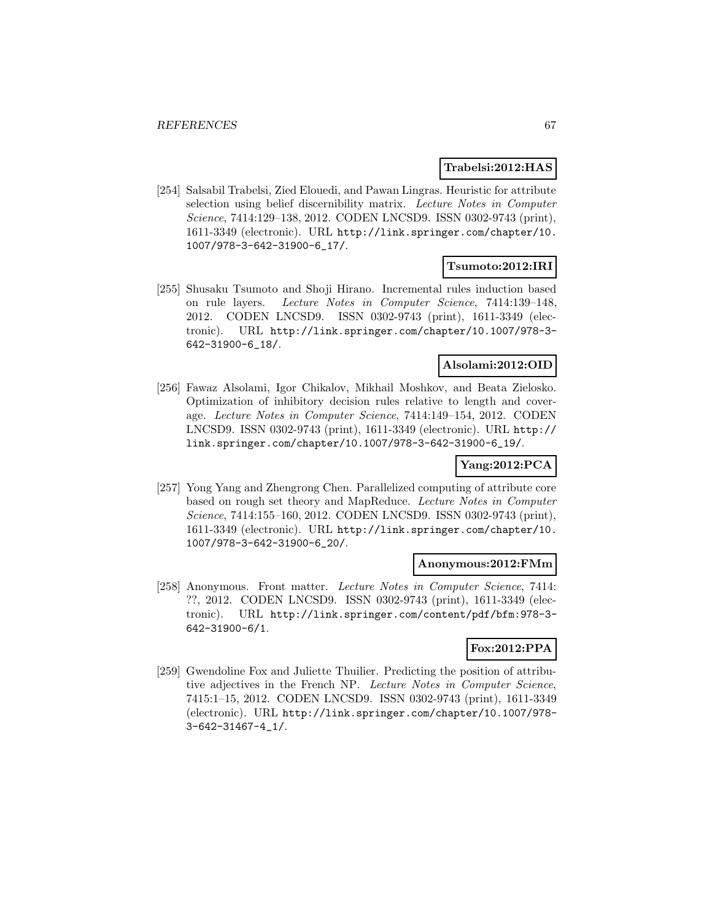#### **Trabelsi:2012:HAS**

[254] Salsabil Trabelsi, Zied Elouedi, and Pawan Lingras. Heuristic for attribute selection using belief discernibility matrix. Lecture Notes in Computer Science, 7414:129–138, 2012. CODEN LNCSD9. ISSN 0302-9743 (print), 1611-3349 (electronic). URL http://link.springer.com/chapter/10. 1007/978-3-642-31900-6\_17/.

#### **Tsumoto:2012:IRI**

[255] Shusaku Tsumoto and Shoji Hirano. Incremental rules induction based on rule layers. Lecture Notes in Computer Science, 7414:139–148, 2012. CODEN LNCSD9. ISSN 0302-9743 (print), 1611-3349 (electronic). URL http://link.springer.com/chapter/10.1007/978-3- 642-31900-6\_18/.

# **Alsolami:2012:OID**

[256] Fawaz Alsolami, Igor Chikalov, Mikhail Moshkov, and Beata Zielosko. Optimization of inhibitory decision rules relative to length and coverage. Lecture Notes in Computer Science, 7414:149–154, 2012. CODEN LNCSD9. ISSN 0302-9743 (print), 1611-3349 (electronic). URL http:// link.springer.com/chapter/10.1007/978-3-642-31900-6\_19/.

# **Yang:2012:PCA**

[257] Yong Yang and Zhengrong Chen. Parallelized computing of attribute core based on rough set theory and MapReduce. Lecture Notes in Computer Science, 7414:155–160, 2012. CODEN LNCSD9. ISSN 0302-9743 (print), 1611-3349 (electronic). URL http://link.springer.com/chapter/10. 1007/978-3-642-31900-6\_20/.

#### **Anonymous:2012:FMm**

[258] Anonymous. Front matter. Lecture Notes in Computer Science, 7414: ??, 2012. CODEN LNCSD9. ISSN 0302-9743 (print), 1611-3349 (electronic). URL http://link.springer.com/content/pdf/bfm:978-3- 642-31900-6/1.

# **Fox:2012:PPA**

[259] Gwendoline Fox and Juliette Thuilier. Predicting the position of attributive adjectives in the French NP. Lecture Notes in Computer Science, 7415:1–15, 2012. CODEN LNCSD9. ISSN 0302-9743 (print), 1611-3349 (electronic). URL http://link.springer.com/chapter/10.1007/978- 3-642-31467-4\_1/.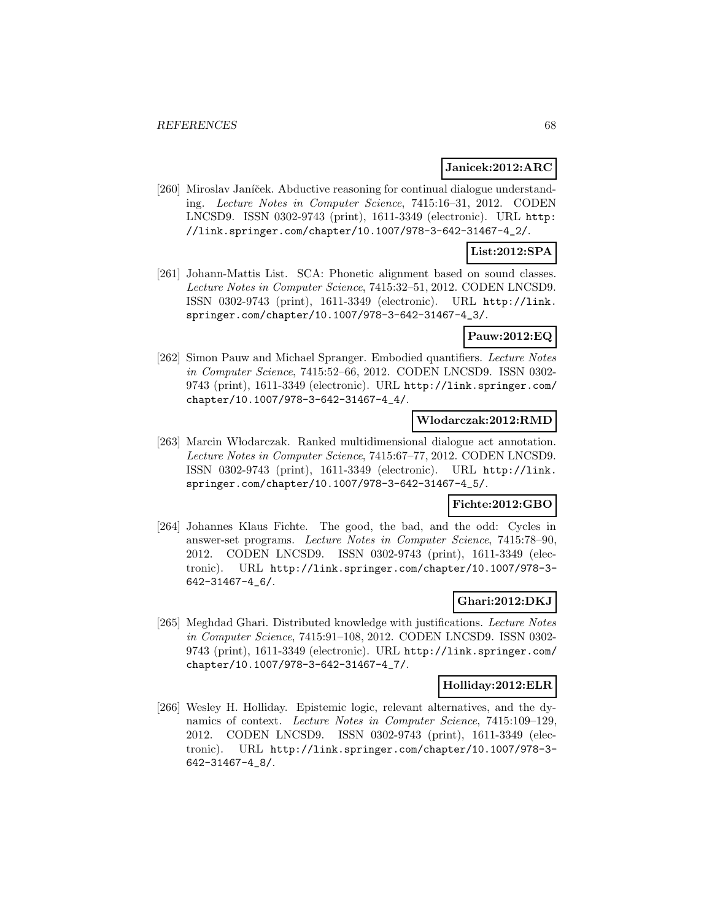#### **Janicek:2012:ARC**

[260] Miroslav Janíček. Abductive reasoning for continual dialogue understanding. Lecture Notes in Computer Science, 7415:16–31, 2012. CODEN LNCSD9. ISSN 0302-9743 (print), 1611-3349 (electronic). URL http: //link.springer.com/chapter/10.1007/978-3-642-31467-4\_2/.

# **List:2012:SPA**

[261] Johann-Mattis List. SCA: Phonetic alignment based on sound classes. Lecture Notes in Computer Science, 7415:32–51, 2012. CODEN LNCSD9. ISSN 0302-9743 (print), 1611-3349 (electronic). URL http://link. springer.com/chapter/10.1007/978-3-642-31467-4\_3/.

#### **Pauw:2012:EQ**

[262] Simon Pauw and Michael Spranger. Embodied quantifiers. Lecture Notes in Computer Science, 7415:52–66, 2012. CODEN LNCSD9. ISSN 0302- 9743 (print), 1611-3349 (electronic). URL http://link.springer.com/ chapter/10.1007/978-3-642-31467-4\_4/.

# **Wlodarczak:2012:RMD**

[263] Marcin W lodarczak. Ranked multidimensional dialogue act annotation. Lecture Notes in Computer Science, 7415:67–77, 2012. CODEN LNCSD9. ISSN 0302-9743 (print), 1611-3349 (electronic). URL http://link. springer.com/chapter/10.1007/978-3-642-31467-4\_5/.

# **Fichte:2012:GBO**

[264] Johannes Klaus Fichte. The good, the bad, and the odd: Cycles in answer-set programs. Lecture Notes in Computer Science, 7415:78–90, 2012. CODEN LNCSD9. ISSN 0302-9743 (print), 1611-3349 (electronic). URL http://link.springer.com/chapter/10.1007/978-3- 642-31467-4\_6/.

# **Ghari:2012:DKJ**

[265] Meghdad Ghari. Distributed knowledge with justifications. Lecture Notes in Computer Science, 7415:91–108, 2012. CODEN LNCSD9. ISSN 0302- 9743 (print), 1611-3349 (electronic). URL http://link.springer.com/ chapter/10.1007/978-3-642-31467-4\_7/.

#### **Holliday:2012:ELR**

[266] Wesley H. Holliday. Epistemic logic, relevant alternatives, and the dynamics of context. Lecture Notes in Computer Science, 7415:109–129, 2012. CODEN LNCSD9. ISSN 0302-9743 (print), 1611-3349 (electronic). URL http://link.springer.com/chapter/10.1007/978-3- 642-31467-4\_8/.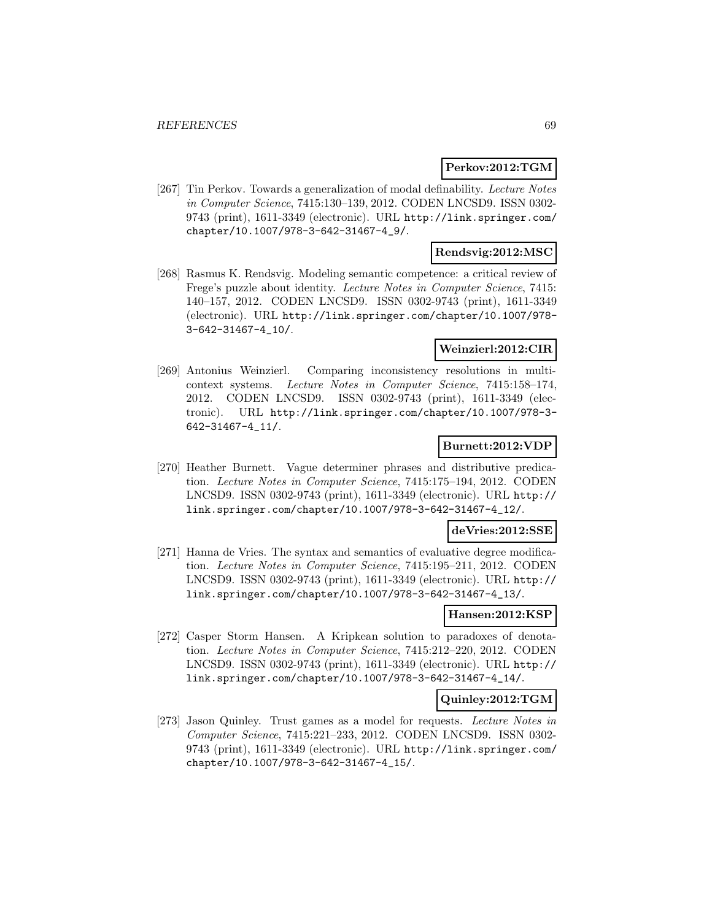#### **Perkov:2012:TGM**

[267] Tin Perkov. Towards a generalization of modal definability. Lecture Notes in Computer Science, 7415:130–139, 2012. CODEN LNCSD9. ISSN 0302- 9743 (print), 1611-3349 (electronic). URL http://link.springer.com/ chapter/10.1007/978-3-642-31467-4\_9/.

# **Rendsvig:2012:MSC**

[268] Rasmus K. Rendsvig. Modeling semantic competence: a critical review of Frege's puzzle about identity. Lecture Notes in Computer Science, 7415: 140–157, 2012. CODEN LNCSD9. ISSN 0302-9743 (print), 1611-3349 (electronic). URL http://link.springer.com/chapter/10.1007/978- 3-642-31467-4\_10/.

#### **Weinzierl:2012:CIR**

[269] Antonius Weinzierl. Comparing inconsistency resolutions in multicontext systems. Lecture Notes in Computer Science, 7415:158–174, 2012. CODEN LNCSD9. ISSN 0302-9743 (print), 1611-3349 (electronic). URL http://link.springer.com/chapter/10.1007/978-3- 642-31467-4\_11/.

### **Burnett:2012:VDP**

[270] Heather Burnett. Vague determiner phrases and distributive predication. Lecture Notes in Computer Science, 7415:175–194, 2012. CODEN LNCSD9. ISSN 0302-9743 (print), 1611-3349 (electronic). URL http:// link.springer.com/chapter/10.1007/978-3-642-31467-4\_12/.

#### **deVries:2012:SSE**

[271] Hanna de Vries. The syntax and semantics of evaluative degree modification. Lecture Notes in Computer Science, 7415:195–211, 2012. CODEN LNCSD9. ISSN 0302-9743 (print), 1611-3349 (electronic). URL http:// link.springer.com/chapter/10.1007/978-3-642-31467-4\_13/.

# **Hansen:2012:KSP**

[272] Casper Storm Hansen. A Kripkean solution to paradoxes of denotation. Lecture Notes in Computer Science, 7415:212–220, 2012. CODEN LNCSD9. ISSN 0302-9743 (print), 1611-3349 (electronic). URL http:// link.springer.com/chapter/10.1007/978-3-642-31467-4\_14/.

### **Quinley:2012:TGM**

[273] Jason Quinley. Trust games as a model for requests. Lecture Notes in Computer Science, 7415:221–233, 2012. CODEN LNCSD9. ISSN 0302- 9743 (print), 1611-3349 (electronic). URL http://link.springer.com/ chapter/10.1007/978-3-642-31467-4\_15/.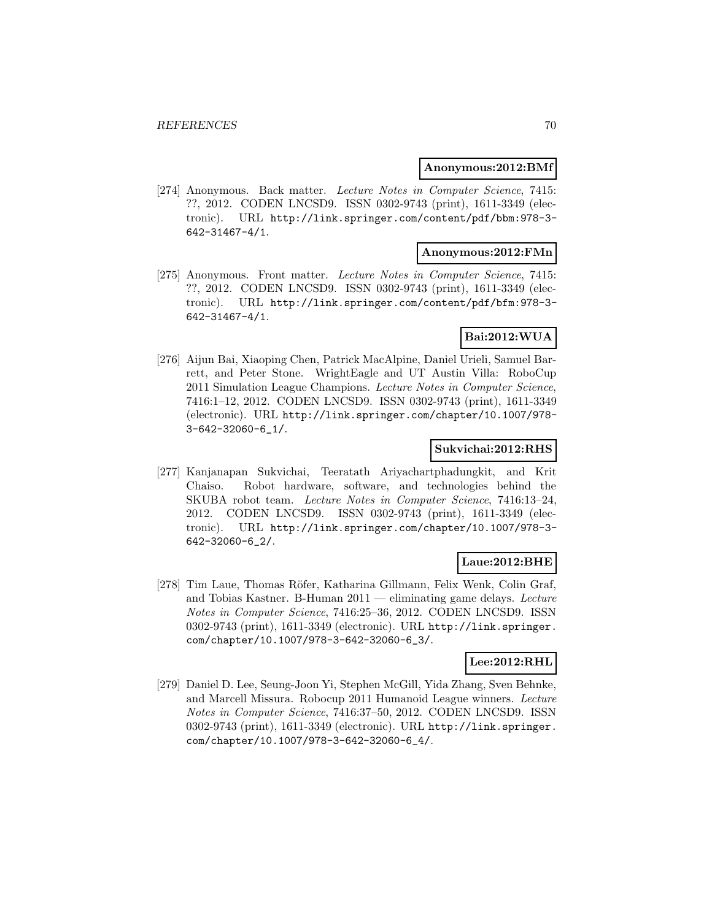#### **Anonymous:2012:BMf**

[274] Anonymous. Back matter. Lecture Notes in Computer Science, 7415: ??, 2012. CODEN LNCSD9. ISSN 0302-9743 (print), 1611-3349 (electronic). URL http://link.springer.com/content/pdf/bbm:978-3- 642-31467-4/1.

#### **Anonymous:2012:FMn**

[275] Anonymous. Front matter. Lecture Notes in Computer Science, 7415: ??, 2012. CODEN LNCSD9. ISSN 0302-9743 (print), 1611-3349 (electronic). URL http://link.springer.com/content/pdf/bfm:978-3- 642-31467-4/1.

# **Bai:2012:WUA**

[276] Aijun Bai, Xiaoping Chen, Patrick MacAlpine, Daniel Urieli, Samuel Barrett, and Peter Stone. WrightEagle and UT Austin Villa: RoboCup 2011 Simulation League Champions. Lecture Notes in Computer Science, 7416:1–12, 2012. CODEN LNCSD9. ISSN 0302-9743 (print), 1611-3349 (electronic). URL http://link.springer.com/chapter/10.1007/978- 3-642-32060-6\_1/.

#### **Sukvichai:2012:RHS**

[277] Kanjanapan Sukvichai, Teeratath Ariyachartphadungkit, and Krit Chaiso. Robot hardware, software, and technologies behind the SKUBA robot team. Lecture Notes in Computer Science, 7416:13–24, 2012. CODEN LNCSD9. ISSN 0302-9743 (print), 1611-3349 (electronic). URL http://link.springer.com/chapter/10.1007/978-3- 642-32060-6\_2/.

#### **Laue:2012:BHE**

[278] Tim Laue, Thomas Röfer, Katharina Gillmann, Felix Wenk, Colin Graf, and Tobias Kastner. B-Human  $2011$  — eliminating game delays. Lecture Notes in Computer Science, 7416:25–36, 2012. CODEN LNCSD9. ISSN 0302-9743 (print), 1611-3349 (electronic). URL http://link.springer. com/chapter/10.1007/978-3-642-32060-6\_3/.

### **Lee:2012:RHL**

[279] Daniel D. Lee, Seung-Joon Yi, Stephen McGill, Yida Zhang, Sven Behnke, and Marcell Missura. Robocup 2011 Humanoid League winners. Lecture Notes in Computer Science, 7416:37–50, 2012. CODEN LNCSD9. ISSN 0302-9743 (print), 1611-3349 (electronic). URL http://link.springer. com/chapter/10.1007/978-3-642-32060-6\_4/.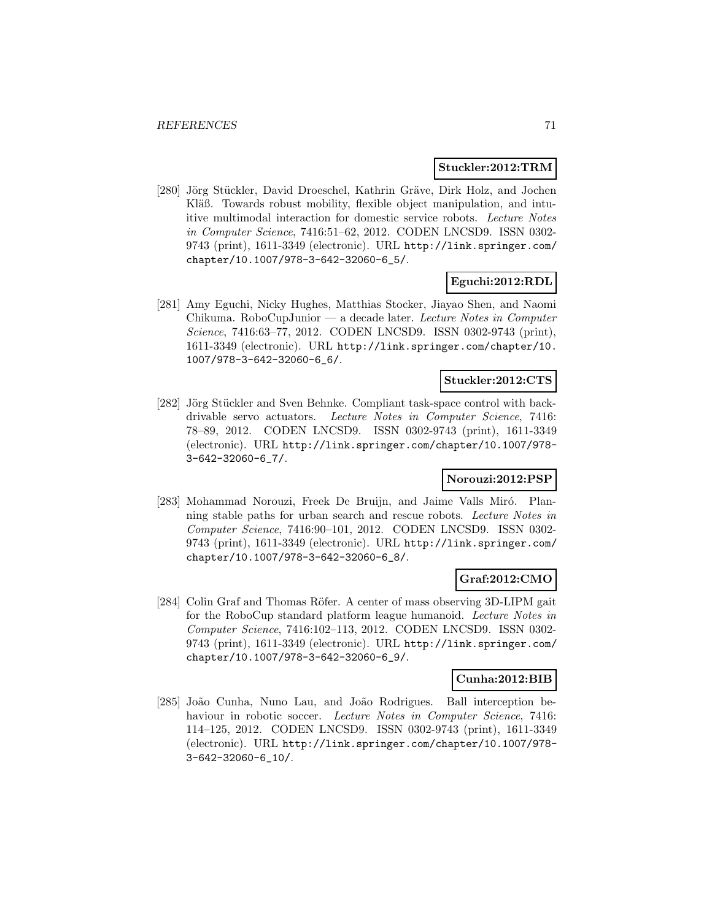#### **Stuckler:2012:TRM**

[280] Jörg Stückler, David Droeschel, Kathrin Gräve, Dirk Holz, and Jochen Kläß. Towards robust mobility, flexible object manipulation, and intuitive multimodal interaction for domestic service robots. Lecture Notes in Computer Science, 7416:51–62, 2012. CODEN LNCSD9. ISSN 0302- 9743 (print), 1611-3349 (electronic). URL http://link.springer.com/ chapter/10.1007/978-3-642-32060-6\_5/.

#### **Eguchi:2012:RDL**

[281] Amy Eguchi, Nicky Hughes, Matthias Stocker, Jiayao Shen, and Naomi Chikuma. RoboCupJunior — a decade later. Lecture Notes in Computer Science, 7416:63–77, 2012. CODEN LNCSD9. ISSN 0302-9743 (print), 1611-3349 (electronic). URL http://link.springer.com/chapter/10. 1007/978-3-642-32060-6\_6/.

# **Stuckler:2012:CTS**

[282] Jörg Stückler and Sven Behnke. Compliant task-space control with backdrivable servo actuators. Lecture Notes in Computer Science, 7416: 78–89, 2012. CODEN LNCSD9. ISSN 0302-9743 (print), 1611-3349 (electronic). URL http://link.springer.com/chapter/10.1007/978- 3-642-32060-6\_7/.

# **Norouzi:2012:PSP**

[283] Mohammad Norouzi, Freek De Bruijn, and Jaime Valls Miró. Planning stable paths for urban search and rescue robots. Lecture Notes in Computer Science, 7416:90–101, 2012. CODEN LNCSD9. ISSN 0302- 9743 (print), 1611-3349 (electronic). URL http://link.springer.com/ chapter/10.1007/978-3-642-32060-6\_8/.

#### **Graf:2012:CMO**

[284] Colin Graf and Thomas Röfer. A center of mass observing 3D-LIPM gait for the RoboCup standard platform league humanoid. Lecture Notes in Computer Science, 7416:102–113, 2012. CODEN LNCSD9. ISSN 0302- 9743 (print), 1611-3349 (electronic). URL http://link.springer.com/ chapter/10.1007/978-3-642-32060-6\_9/.

#### **Cunha:2012:BIB**

[285] João Cunha, Nuno Lau, and João Rodrigues. Ball interception behaviour in robotic soccer. Lecture Notes in Computer Science, 7416: 114–125, 2012. CODEN LNCSD9. ISSN 0302-9743 (print), 1611-3349 (electronic). URL http://link.springer.com/chapter/10.1007/978- 3-642-32060-6\_10/.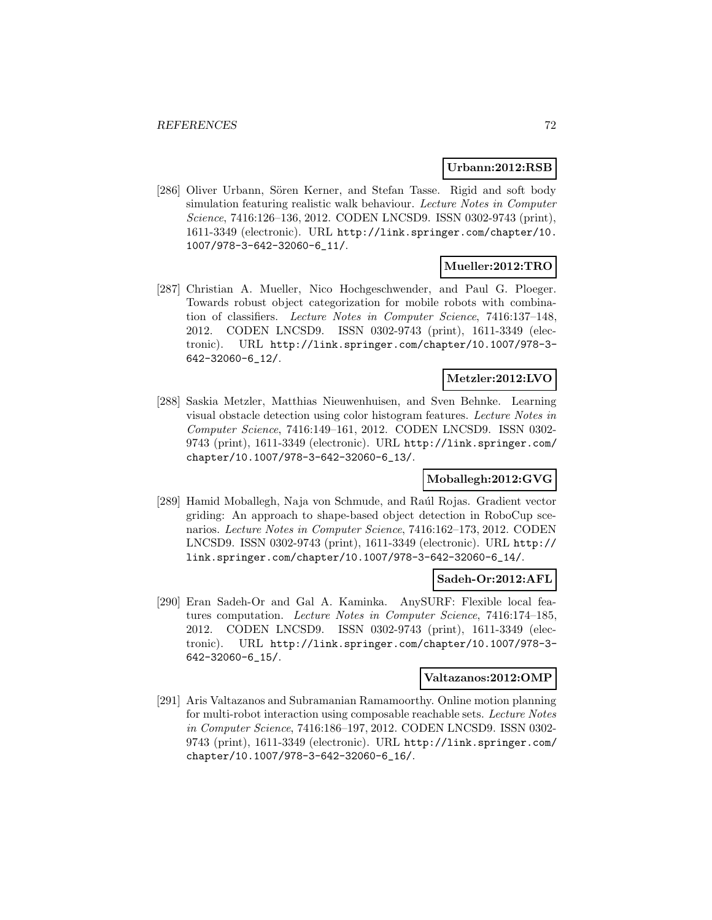#### **Urbann:2012:RSB**

[286] Oliver Urbann, Sören Kerner, and Stefan Tasse. Rigid and soft body simulation featuring realistic walk behaviour. Lecture Notes in Computer Science, 7416:126–136, 2012. CODEN LNCSD9. ISSN 0302-9743 (print), 1611-3349 (electronic). URL http://link.springer.com/chapter/10. 1007/978-3-642-32060-6\_11/.

#### **Mueller:2012:TRO**

[287] Christian A. Mueller, Nico Hochgeschwender, and Paul G. Ploeger. Towards robust object categorization for mobile robots with combination of classifiers. Lecture Notes in Computer Science, 7416:137–148, 2012. CODEN LNCSD9. ISSN 0302-9743 (print), 1611-3349 (electronic). URL http://link.springer.com/chapter/10.1007/978-3- 642-32060-6\_12/.

#### **Metzler:2012:LVO**

[288] Saskia Metzler, Matthias Nieuwenhuisen, and Sven Behnke. Learning visual obstacle detection using color histogram features. Lecture Notes in Computer Science, 7416:149–161, 2012. CODEN LNCSD9. ISSN 0302- 9743 (print), 1611-3349 (electronic). URL http://link.springer.com/ chapter/10.1007/978-3-642-32060-6\_13/.

# **Moballegh:2012:GVG**

[289] Hamid Moballegh, Naja von Schmude, and Raúl Rojas. Gradient vector griding: An approach to shape-based object detection in RoboCup scenarios. Lecture Notes in Computer Science, 7416:162–173, 2012. CODEN LNCSD9. ISSN 0302-9743 (print), 1611-3349 (electronic). URL http:// link.springer.com/chapter/10.1007/978-3-642-32060-6\_14/.

#### **Sadeh-Or:2012:AFL**

[290] Eran Sadeh-Or and Gal A. Kaminka. AnySURF: Flexible local features computation. Lecture Notes in Computer Science, 7416:174–185, 2012. CODEN LNCSD9. ISSN 0302-9743 (print), 1611-3349 (electronic). URL http://link.springer.com/chapter/10.1007/978-3- 642-32060-6\_15/.

#### **Valtazanos:2012:OMP**

[291] Aris Valtazanos and Subramanian Ramamoorthy. Online motion planning for multi-robot interaction using composable reachable sets. Lecture Notes in Computer Science, 7416:186–197, 2012. CODEN LNCSD9. ISSN 0302- 9743 (print), 1611-3349 (electronic). URL http://link.springer.com/ chapter/10.1007/978-3-642-32060-6\_16/.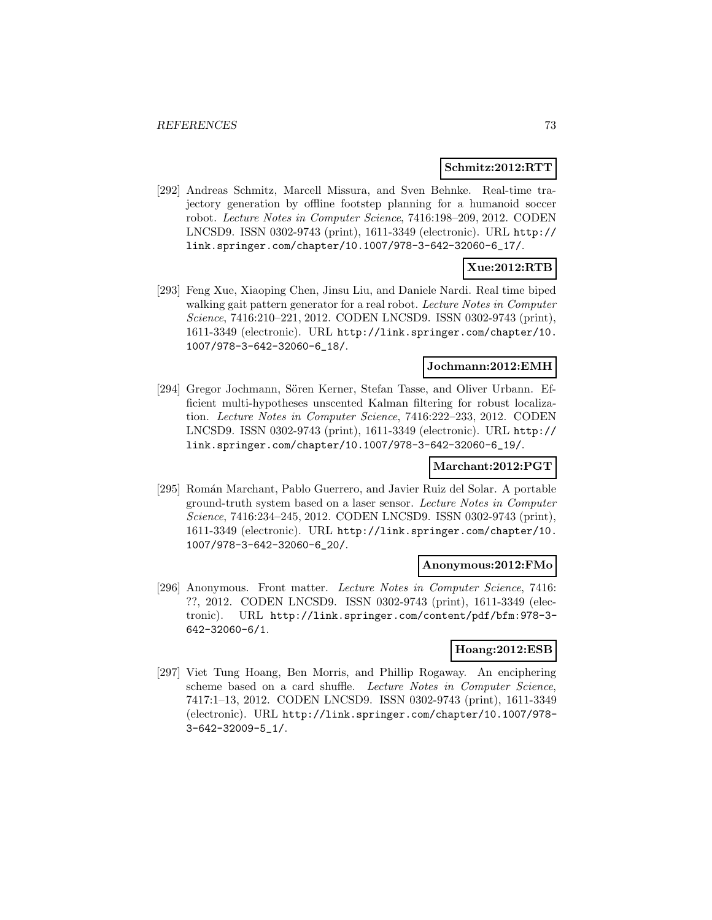### **Schmitz:2012:RTT**

[292] Andreas Schmitz, Marcell Missura, and Sven Behnke. Real-time trajectory generation by offline footstep planning for a humanoid soccer robot. Lecture Notes in Computer Science, 7416:198–209, 2012. CODEN LNCSD9. ISSN 0302-9743 (print), 1611-3349 (electronic). URL http:// link.springer.com/chapter/10.1007/978-3-642-32060-6\_17/.

# **Xue:2012:RTB**

[293] Feng Xue, Xiaoping Chen, Jinsu Liu, and Daniele Nardi. Real time biped walking gait pattern generator for a real robot. Lecture Notes in Computer Science, 7416:210–221, 2012. CODEN LNCSD9. ISSN 0302-9743 (print), 1611-3349 (electronic). URL http://link.springer.com/chapter/10. 1007/978-3-642-32060-6\_18/.

#### **Jochmann:2012:EMH**

[294] Gregor Jochmann, Sören Kerner, Stefan Tasse, and Oliver Urbann. Efficient multi-hypotheses unscented Kalman filtering for robust localization. Lecture Notes in Computer Science, 7416:222–233, 2012. CODEN LNCSD9. ISSN 0302-9743 (print), 1611-3349 (electronic). URL http:// link.springer.com/chapter/10.1007/978-3-642-32060-6\_19/.

### **Marchant:2012:PGT**

[295] Román Marchant, Pablo Guerrero, and Javier Ruiz del Solar. A portable ground-truth system based on a laser sensor. Lecture Notes in Computer Science, 7416:234–245, 2012. CODEN LNCSD9. ISSN 0302-9743 (print), 1611-3349 (electronic). URL http://link.springer.com/chapter/10. 1007/978-3-642-32060-6\_20/.

## **Anonymous:2012:FMo**

[296] Anonymous. Front matter. Lecture Notes in Computer Science, 7416: ??, 2012. CODEN LNCSD9. ISSN 0302-9743 (print), 1611-3349 (electronic). URL http://link.springer.com/content/pdf/bfm:978-3- 642-32060-6/1.

## **Hoang:2012:ESB**

[297] Viet Tung Hoang, Ben Morris, and Phillip Rogaway. An enciphering scheme based on a card shuffle. Lecture Notes in Computer Science, 7417:1–13, 2012. CODEN LNCSD9. ISSN 0302-9743 (print), 1611-3349 (electronic). URL http://link.springer.com/chapter/10.1007/978- 3-642-32009-5\_1/.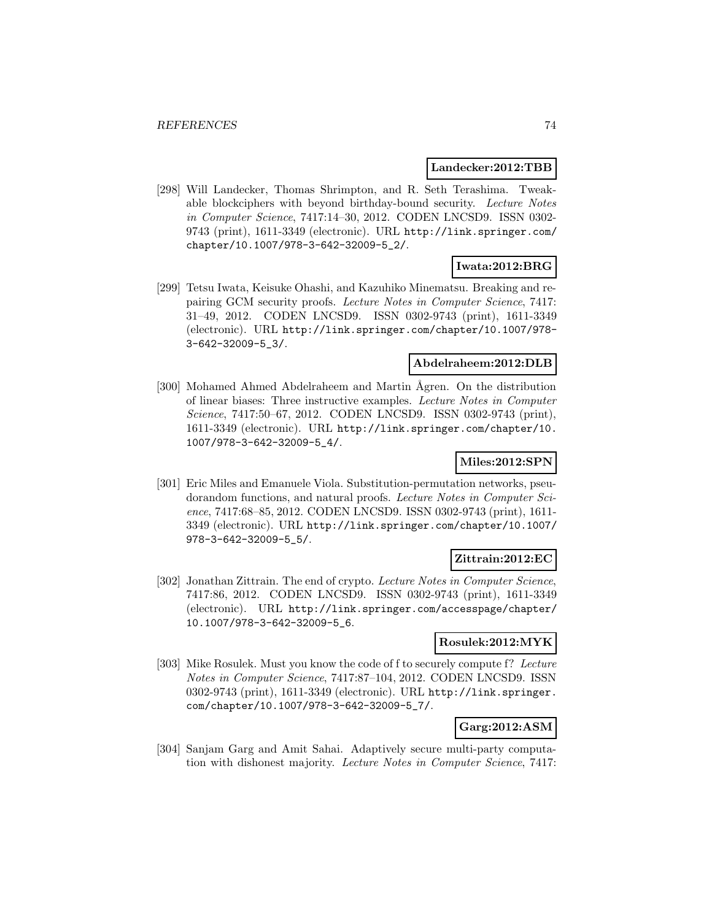#### **Landecker:2012:TBB**

[298] Will Landecker, Thomas Shrimpton, and R. Seth Terashima. Tweakable blockciphers with beyond birthday-bound security. Lecture Notes in Computer Science, 7417:14–30, 2012. CODEN LNCSD9. ISSN 0302- 9743 (print), 1611-3349 (electronic). URL http://link.springer.com/ chapter/10.1007/978-3-642-32009-5\_2/.

# **Iwata:2012:BRG**

[299] Tetsu Iwata, Keisuke Ohashi, and Kazuhiko Minematsu. Breaking and repairing GCM security proofs. Lecture Notes in Computer Science, 7417: 31–49, 2012. CODEN LNCSD9. ISSN 0302-9743 (print), 1611-3349 (electronic). URL http://link.springer.com/chapter/10.1007/978- 3-642-32009-5\_3/.

## **Abdelraheem:2012:DLB**

[300] Mohamed Ahmed Abdelraheem and Martin Ågren. On the distribution of linear biases: Three instructive examples. Lecture Notes in Computer Science, 7417:50–67, 2012. CODEN LNCSD9. ISSN 0302-9743 (print), 1611-3349 (electronic). URL http://link.springer.com/chapter/10. 1007/978-3-642-32009-5\_4/.

# **Miles:2012:SPN**

[301] Eric Miles and Emanuele Viola. Substitution-permutation networks, pseudorandom functions, and natural proofs. Lecture Notes in Computer Science, 7417:68–85, 2012. CODEN LNCSD9. ISSN 0302-9743 (print), 1611- 3349 (electronic). URL http://link.springer.com/chapter/10.1007/ 978-3-642-32009-5\_5/.

# **Zittrain:2012:EC**

[302] Jonathan Zittrain. The end of crypto. Lecture Notes in Computer Science, 7417:86, 2012. CODEN LNCSD9. ISSN 0302-9743 (print), 1611-3349 (electronic). URL http://link.springer.com/accesspage/chapter/ 10.1007/978-3-642-32009-5\_6.

### **Rosulek:2012:MYK**

[303] Mike Rosulek. Must you know the code of f to securely compute f? Lecture Notes in Computer Science, 7417:87–104, 2012. CODEN LNCSD9. ISSN 0302-9743 (print), 1611-3349 (electronic). URL http://link.springer. com/chapter/10.1007/978-3-642-32009-5\_7/.

# **Garg:2012:ASM**

[304] Sanjam Garg and Amit Sahai. Adaptively secure multi-party computation with dishonest majority. Lecture Notes in Computer Science, 7417: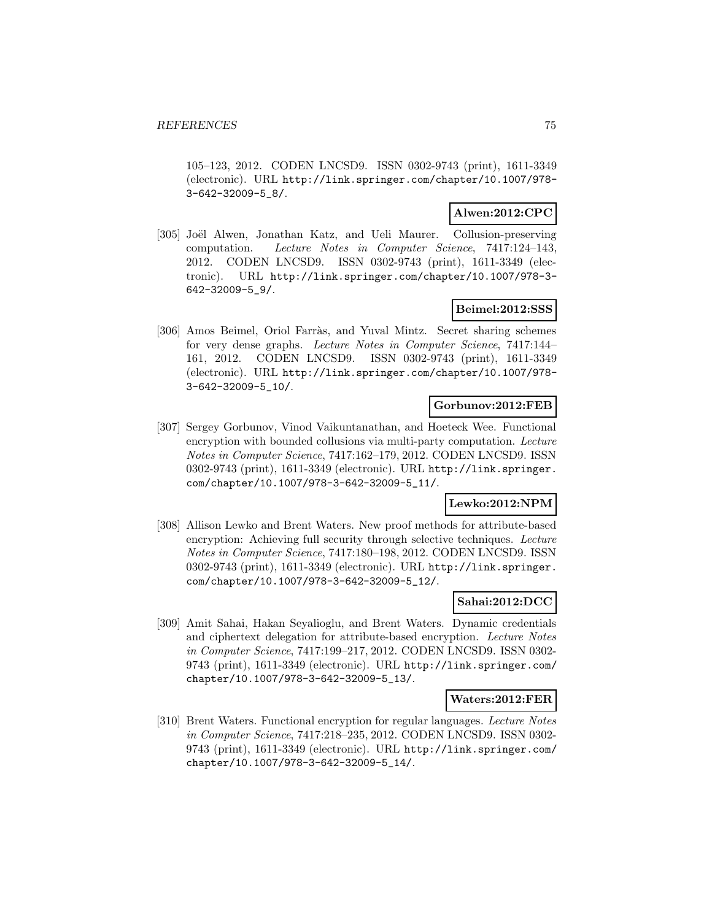105–123, 2012. CODEN LNCSD9. ISSN 0302-9743 (print), 1611-3349 (electronic). URL http://link.springer.com/chapter/10.1007/978- 3-642-32009-5\_8/.

# **Alwen:2012:CPC**

[305] Joël Alwen, Jonathan Katz, and Ueli Maurer. Collusion-preserving computation. Lecture Notes in Computer Science, 7417:124–143, 2012. CODEN LNCSD9. ISSN 0302-9743 (print), 1611-3349 (electronic). URL http://link.springer.com/chapter/10.1007/978-3- 642-32009-5\_9/.

## **Beimel:2012:SSS**

[306] Amos Beimel, Oriol Farràs, and Yuval Mintz. Secret sharing schemes for very dense graphs. Lecture Notes in Computer Science, 7417:144– 161, 2012. CODEN LNCSD9. ISSN 0302-9743 (print), 1611-3349 (electronic). URL http://link.springer.com/chapter/10.1007/978- 3-642-32009-5\_10/.

## **Gorbunov:2012:FEB**

[307] Sergey Gorbunov, Vinod Vaikuntanathan, and Hoeteck Wee. Functional encryption with bounded collusions via multi-party computation. Lecture Notes in Computer Science, 7417:162–179, 2012. CODEN LNCSD9. ISSN 0302-9743 (print), 1611-3349 (electronic). URL http://link.springer. com/chapter/10.1007/978-3-642-32009-5\_11/.

# **Lewko:2012:NPM**

[308] Allison Lewko and Brent Waters. New proof methods for attribute-based encryption: Achieving full security through selective techniques. Lecture Notes in Computer Science, 7417:180–198, 2012. CODEN LNCSD9. ISSN 0302-9743 (print), 1611-3349 (electronic). URL http://link.springer. com/chapter/10.1007/978-3-642-32009-5\_12/.

## **Sahai:2012:DCC**

[309] Amit Sahai, Hakan Seyalioglu, and Brent Waters. Dynamic credentials and ciphertext delegation for attribute-based encryption. Lecture Notes in Computer Science, 7417:199–217, 2012. CODEN LNCSD9. ISSN 0302- 9743 (print), 1611-3349 (electronic). URL http://link.springer.com/ chapter/10.1007/978-3-642-32009-5\_13/.

### **Waters:2012:FER**

[310] Brent Waters. Functional encryption for regular languages. Lecture Notes in Computer Science, 7417:218–235, 2012. CODEN LNCSD9. ISSN 0302- 9743 (print), 1611-3349 (electronic). URL http://link.springer.com/ chapter/10.1007/978-3-642-32009-5\_14/.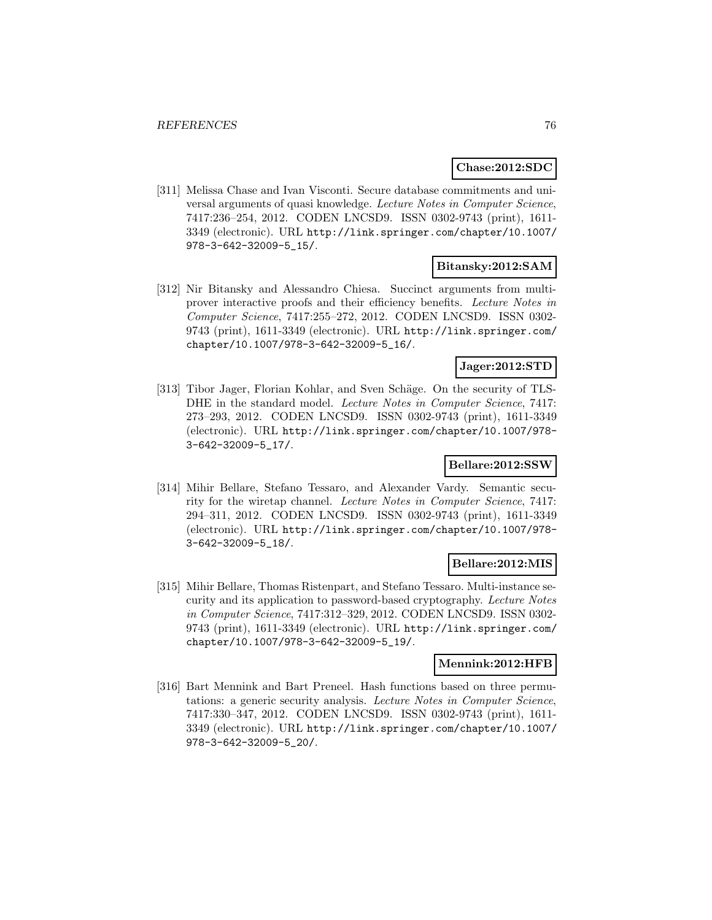## **Chase:2012:SDC**

[311] Melissa Chase and Ivan Visconti. Secure database commitments and universal arguments of quasi knowledge. Lecture Notes in Computer Science, 7417:236–254, 2012. CODEN LNCSD9. ISSN 0302-9743 (print), 1611- 3349 (electronic). URL http://link.springer.com/chapter/10.1007/ 978-3-642-32009-5\_15/.

## **Bitansky:2012:SAM**

[312] Nir Bitansky and Alessandro Chiesa. Succinct arguments from multiprover interactive proofs and their efficiency benefits. Lecture Notes in Computer Science, 7417:255–272, 2012. CODEN LNCSD9. ISSN 0302- 9743 (print), 1611-3349 (electronic). URL http://link.springer.com/ chapter/10.1007/978-3-642-32009-5\_16/.

# **Jager:2012:STD**

[313] Tibor Jager, Florian Kohlar, and Sven Schäge. On the security of TLS-DHE in the standard model. Lecture Notes in Computer Science, 7417: 273–293, 2012. CODEN LNCSD9. ISSN 0302-9743 (print), 1611-3349 (electronic). URL http://link.springer.com/chapter/10.1007/978- 3-642-32009-5\_17/.

## **Bellare:2012:SSW**

[314] Mihir Bellare, Stefano Tessaro, and Alexander Vardy. Semantic security for the wiretap channel. Lecture Notes in Computer Science, 7417: 294–311, 2012. CODEN LNCSD9. ISSN 0302-9743 (print), 1611-3349 (electronic). URL http://link.springer.com/chapter/10.1007/978- 3-642-32009-5\_18/.

### **Bellare:2012:MIS**

[315] Mihir Bellare, Thomas Ristenpart, and Stefano Tessaro. Multi-instance security and its application to password-based cryptography. Lecture Notes in Computer Science, 7417:312–329, 2012. CODEN LNCSD9. ISSN 0302- 9743 (print), 1611-3349 (electronic). URL http://link.springer.com/ chapter/10.1007/978-3-642-32009-5\_19/.

## **Mennink:2012:HFB**

[316] Bart Mennink and Bart Preneel. Hash functions based on three permutations: a generic security analysis. Lecture Notes in Computer Science, 7417:330–347, 2012. CODEN LNCSD9. ISSN 0302-9743 (print), 1611- 3349 (electronic). URL http://link.springer.com/chapter/10.1007/ 978-3-642-32009-5\_20/.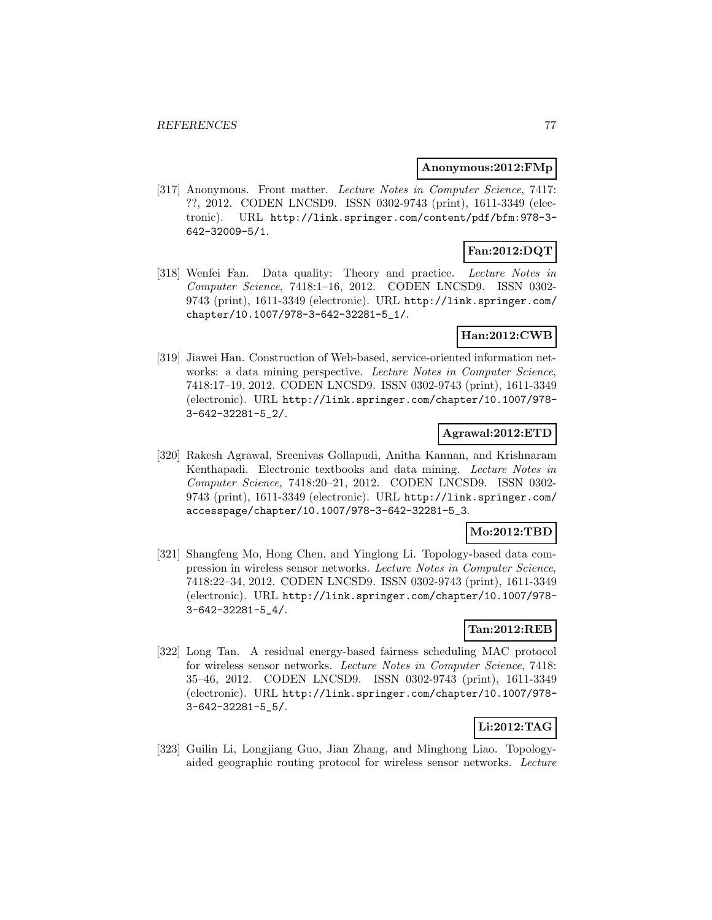### **Anonymous:2012:FMp**

[317] Anonymous. Front matter. Lecture Notes in Computer Science, 7417: ??, 2012. CODEN LNCSD9. ISSN 0302-9743 (print), 1611-3349 (electronic). URL http://link.springer.com/content/pdf/bfm:978-3- 642-32009-5/1.

# **Fan:2012:DQT**

[318] Wenfei Fan. Data quality: Theory and practice. Lecture Notes in Computer Science, 7418:1–16, 2012. CODEN LNCSD9. ISSN 0302- 9743 (print), 1611-3349 (electronic). URL http://link.springer.com/ chapter/10.1007/978-3-642-32281-5\_1/.

# **Han:2012:CWB**

[319] Jiawei Han. Construction of Web-based, service-oriented information networks: a data mining perspective. Lecture Notes in Computer Science, 7418:17–19, 2012. CODEN LNCSD9. ISSN 0302-9743 (print), 1611-3349 (electronic). URL http://link.springer.com/chapter/10.1007/978- 3-642-32281-5\_2/.

# **Agrawal:2012:ETD**

[320] Rakesh Agrawal, Sreenivas Gollapudi, Anitha Kannan, and Krishnaram Kenthapadi. Electronic textbooks and data mining. Lecture Notes in Computer Science, 7418:20–21, 2012. CODEN LNCSD9. ISSN 0302- 9743 (print), 1611-3349 (electronic). URL http://link.springer.com/ accesspage/chapter/10.1007/978-3-642-32281-5\_3.

## **Mo:2012:TBD**

[321] Shangfeng Mo, Hong Chen, and Yinglong Li. Topology-based data compression in wireless sensor networks. Lecture Notes in Computer Science, 7418:22–34, 2012. CODEN LNCSD9. ISSN 0302-9743 (print), 1611-3349 (electronic). URL http://link.springer.com/chapter/10.1007/978- 3-642-32281-5\_4/.

## **Tan:2012:REB**

[322] Long Tan. A residual energy-based fairness scheduling MAC protocol for wireless sensor networks. Lecture Notes in Computer Science, 7418: 35–46, 2012. CODEN LNCSD9. ISSN 0302-9743 (print), 1611-3349 (electronic). URL http://link.springer.com/chapter/10.1007/978- 3-642-32281-5\_5/.

# **Li:2012:TAG**

[323] Guilin Li, Longjiang Guo, Jian Zhang, and Minghong Liao. Topologyaided geographic routing protocol for wireless sensor networks. Lecture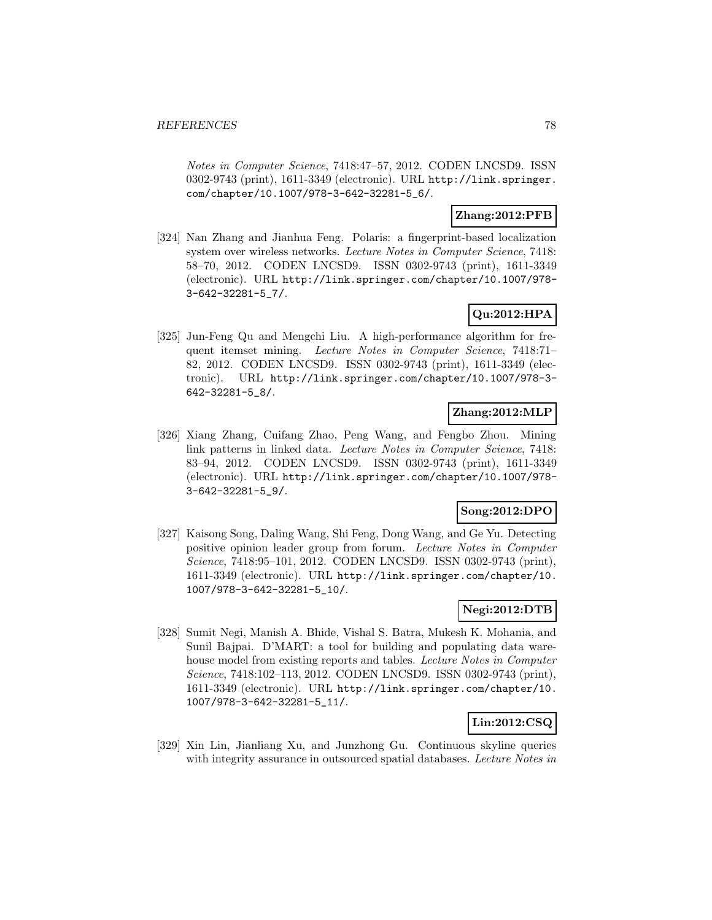Notes in Computer Science, 7418:47–57, 2012. CODEN LNCSD9. ISSN 0302-9743 (print), 1611-3349 (electronic). URL http://link.springer. com/chapter/10.1007/978-3-642-32281-5\_6/.

# **Zhang:2012:PFB**

[324] Nan Zhang and Jianhua Feng. Polaris: a fingerprint-based localization system over wireless networks. Lecture Notes in Computer Science, 7418: 58–70, 2012. CODEN LNCSD9. ISSN 0302-9743 (print), 1611-3349 (electronic). URL http://link.springer.com/chapter/10.1007/978- 3-642-32281-5\_7/.

# **Qu:2012:HPA**

[325] Jun-Feng Qu and Mengchi Liu. A high-performance algorithm for frequent itemset mining. Lecture Notes in Computer Science, 7418:71– 82, 2012. CODEN LNCSD9. ISSN 0302-9743 (print), 1611-3349 (electronic). URL http://link.springer.com/chapter/10.1007/978-3- 642-32281-5\_8/.

# **Zhang:2012:MLP**

[326] Xiang Zhang, Cuifang Zhao, Peng Wang, and Fengbo Zhou. Mining link patterns in linked data. Lecture Notes in Computer Science, 7418: 83–94, 2012. CODEN LNCSD9. ISSN 0302-9743 (print), 1611-3349 (electronic). URL http://link.springer.com/chapter/10.1007/978- 3-642-32281-5\_9/.

## **Song:2012:DPO**

[327] Kaisong Song, Daling Wang, Shi Feng, Dong Wang, and Ge Yu. Detecting positive opinion leader group from forum. Lecture Notes in Computer Science, 7418:95–101, 2012. CODEN LNCSD9. ISSN 0302-9743 (print), 1611-3349 (electronic). URL http://link.springer.com/chapter/10. 1007/978-3-642-32281-5\_10/.

# **Negi:2012:DTB**

[328] Sumit Negi, Manish A. Bhide, Vishal S. Batra, Mukesh K. Mohania, and Sunil Bajpai. D'MART: a tool for building and populating data warehouse model from existing reports and tables. Lecture Notes in Computer Science, 7418:102–113, 2012. CODEN LNCSD9. ISSN 0302-9743 (print), 1611-3349 (electronic). URL http://link.springer.com/chapter/10. 1007/978-3-642-32281-5\_11/.

# **Lin:2012:CSQ**

[329] Xin Lin, Jianliang Xu, and Junzhong Gu. Continuous skyline queries with integrity assurance in outsourced spatial databases. Lecture Notes in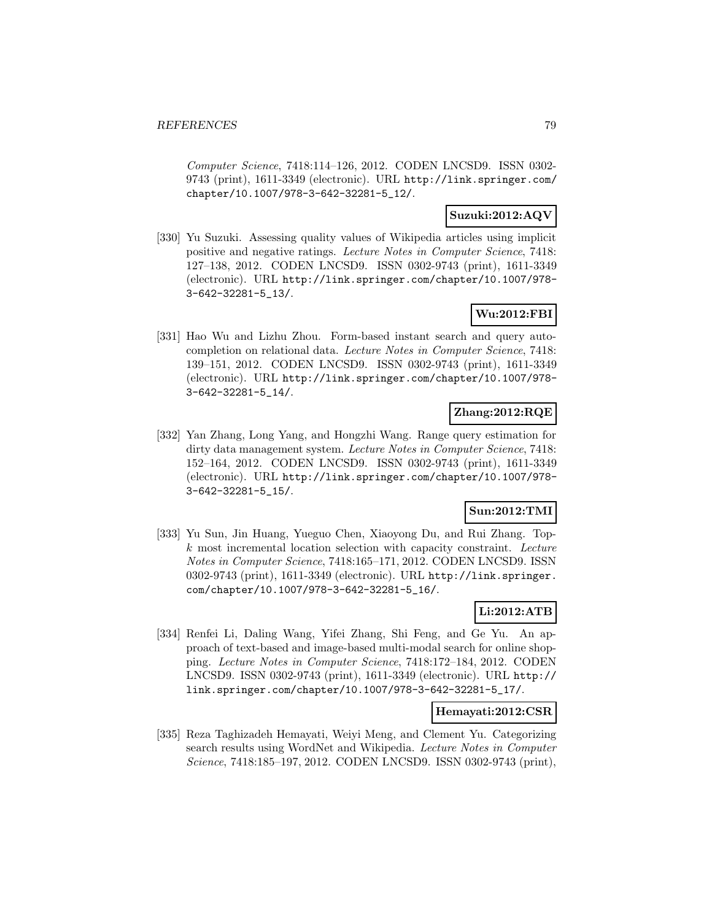Computer Science, 7418:114–126, 2012. CODEN LNCSD9. ISSN 0302- 9743 (print), 1611-3349 (electronic). URL http://link.springer.com/ chapter/10.1007/978-3-642-32281-5\_12/.

## **Suzuki:2012:AQV**

[330] Yu Suzuki. Assessing quality values of Wikipedia articles using implicit positive and negative ratings. Lecture Notes in Computer Science, 7418: 127–138, 2012. CODEN LNCSD9. ISSN 0302-9743 (print), 1611-3349 (electronic). URL http://link.springer.com/chapter/10.1007/978- 3-642-32281-5\_13/.

# **Wu:2012:FBI**

[331] Hao Wu and Lizhu Zhou. Form-based instant search and query autocompletion on relational data. Lecture Notes in Computer Science, 7418: 139–151, 2012. CODEN LNCSD9. ISSN 0302-9743 (print), 1611-3349 (electronic). URL http://link.springer.com/chapter/10.1007/978- 3-642-32281-5\_14/.

# **Zhang:2012:RQE**

[332] Yan Zhang, Long Yang, and Hongzhi Wang. Range query estimation for dirty data management system. Lecture Notes in Computer Science, 7418: 152–164, 2012. CODEN LNCSD9. ISSN 0302-9743 (print), 1611-3349 (electronic). URL http://link.springer.com/chapter/10.1007/978- 3-642-32281-5\_15/.

## **Sun:2012:TMI**

[333] Yu Sun, Jin Huang, Yueguo Chen, Xiaoyong Du, and Rui Zhang. Top $k$  most incremental location selection with capacity constraint. Lecture Notes in Computer Science, 7418:165–171, 2012. CODEN LNCSD9. ISSN 0302-9743 (print), 1611-3349 (electronic). URL http://link.springer. com/chapter/10.1007/978-3-642-32281-5\_16/.

# **Li:2012:ATB**

[334] Renfei Li, Daling Wang, Yifei Zhang, Shi Feng, and Ge Yu. An approach of text-based and image-based multi-modal search for online shopping. Lecture Notes in Computer Science, 7418:172–184, 2012. CODEN LNCSD9. ISSN 0302-9743 (print), 1611-3349 (electronic). URL http:// link.springer.com/chapter/10.1007/978-3-642-32281-5\_17/.

## **Hemayati:2012:CSR**

[335] Reza Taghizadeh Hemayati, Weiyi Meng, and Clement Yu. Categorizing search results using WordNet and Wikipedia. Lecture Notes in Computer Science, 7418:185–197, 2012. CODEN LNCSD9. ISSN 0302-9743 (print),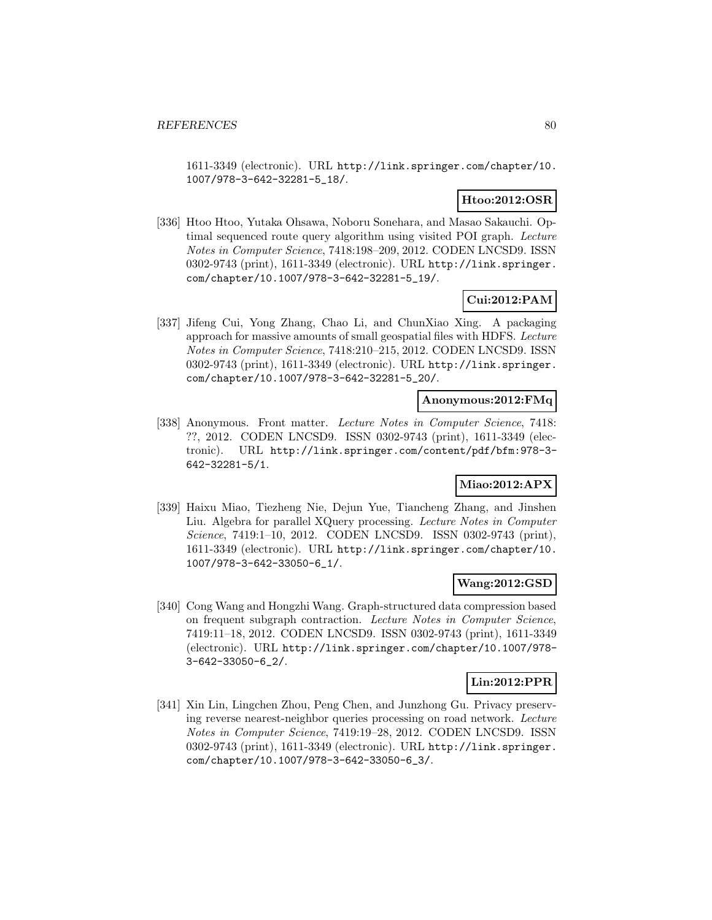1611-3349 (electronic). URL http://link.springer.com/chapter/10. 1007/978-3-642-32281-5\_18/.

# **Htoo:2012:OSR**

[336] Htoo Htoo, Yutaka Ohsawa, Noboru Sonehara, and Masao Sakauchi. Optimal sequenced route query algorithm using visited POI graph. Lecture Notes in Computer Science, 7418:198–209, 2012. CODEN LNCSD9. ISSN 0302-9743 (print), 1611-3349 (electronic). URL http://link.springer. com/chapter/10.1007/978-3-642-32281-5\_19/.

# **Cui:2012:PAM**

[337] Jifeng Cui, Yong Zhang, Chao Li, and ChunXiao Xing. A packaging approach for massive amounts of small geospatial files with HDFS. Lecture Notes in Computer Science, 7418:210–215, 2012. CODEN LNCSD9. ISSN 0302-9743 (print), 1611-3349 (electronic). URL http://link.springer. com/chapter/10.1007/978-3-642-32281-5\_20/.

# **Anonymous:2012:FMq**

[338] Anonymous. Front matter. Lecture Notes in Computer Science, 7418: ??, 2012. CODEN LNCSD9. ISSN 0302-9743 (print), 1611-3349 (electronic). URL http://link.springer.com/content/pdf/bfm:978-3- 642-32281-5/1.

# **Miao:2012:APX**

[339] Haixu Miao, Tiezheng Nie, Dejun Yue, Tiancheng Zhang, and Jinshen Liu. Algebra for parallel XQuery processing. Lecture Notes in Computer Science, 7419:1–10, 2012. CODEN LNCSD9. ISSN 0302-9743 (print), 1611-3349 (electronic). URL http://link.springer.com/chapter/10. 1007/978-3-642-33050-6\_1/.

# **Wang:2012:GSD**

[340] Cong Wang and Hongzhi Wang. Graph-structured data compression based on frequent subgraph contraction. Lecture Notes in Computer Science, 7419:11–18, 2012. CODEN LNCSD9. ISSN 0302-9743 (print), 1611-3349 (electronic). URL http://link.springer.com/chapter/10.1007/978- 3-642-33050-6\_2/.

# **Lin:2012:PPR**

[341] Xin Lin, Lingchen Zhou, Peng Chen, and Junzhong Gu. Privacy preserving reverse nearest-neighbor queries processing on road network. Lecture Notes in Computer Science, 7419:19–28, 2012. CODEN LNCSD9. ISSN 0302-9743 (print), 1611-3349 (electronic). URL http://link.springer. com/chapter/10.1007/978-3-642-33050-6\_3/.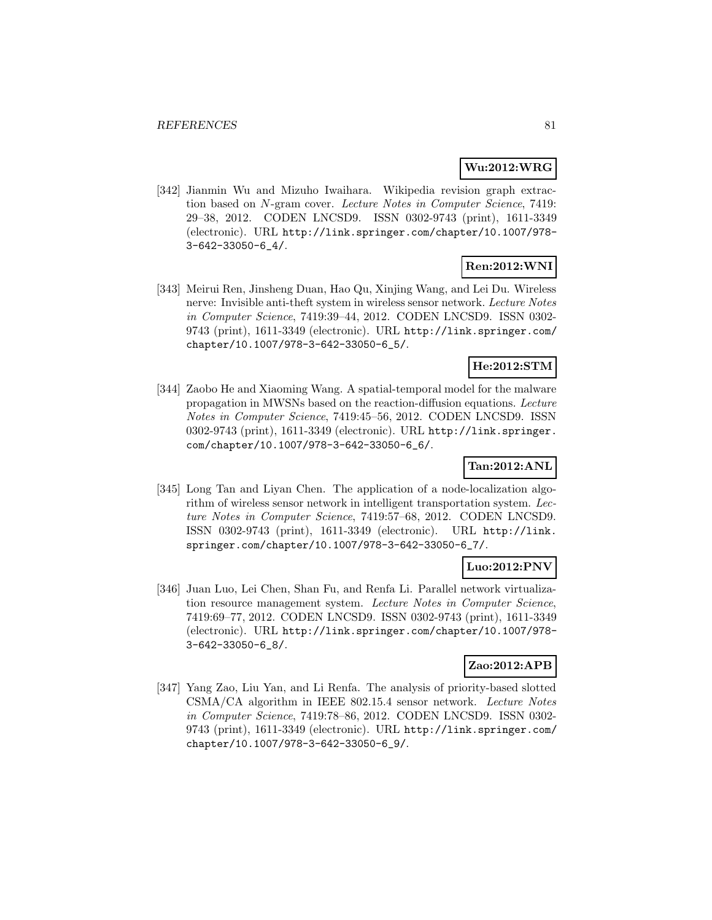# **Wu:2012:WRG**

[342] Jianmin Wu and Mizuho Iwaihara. Wikipedia revision graph extraction based on N-gram cover. Lecture Notes in Computer Science, 7419: 29–38, 2012. CODEN LNCSD9. ISSN 0302-9743 (print), 1611-3349 (electronic). URL http://link.springer.com/chapter/10.1007/978- 3-642-33050-6\_4/.

# **Ren:2012:WNI**

[343] Meirui Ren, Jinsheng Duan, Hao Qu, Xinjing Wang, and Lei Du. Wireless nerve: Invisible anti-theft system in wireless sensor network. Lecture Notes in Computer Science, 7419:39–44, 2012. CODEN LNCSD9. ISSN 0302- 9743 (print), 1611-3349 (electronic). URL http://link.springer.com/ chapter/10.1007/978-3-642-33050-6\_5/.

# **He:2012:STM**

[344] Zaobo He and Xiaoming Wang. A spatial-temporal model for the malware propagation in MWSNs based on the reaction-diffusion equations. Lecture Notes in Computer Science, 7419:45–56, 2012. CODEN LNCSD9. ISSN 0302-9743 (print), 1611-3349 (electronic). URL http://link.springer. com/chapter/10.1007/978-3-642-33050-6\_6/.

# **Tan:2012:ANL**

[345] Long Tan and Liyan Chen. The application of a node-localization algorithm of wireless sensor network in intelligent transportation system. Lecture Notes in Computer Science, 7419:57–68, 2012. CODEN LNCSD9. ISSN 0302-9743 (print), 1611-3349 (electronic). URL http://link. springer.com/chapter/10.1007/978-3-642-33050-6\_7/.

# **Luo:2012:PNV**

[346] Juan Luo, Lei Chen, Shan Fu, and Renfa Li. Parallel network virtualization resource management system. Lecture Notes in Computer Science, 7419:69–77, 2012. CODEN LNCSD9. ISSN 0302-9743 (print), 1611-3349 (electronic). URL http://link.springer.com/chapter/10.1007/978- 3-642-33050-6\_8/.

## **Zao:2012:APB**

[347] Yang Zao, Liu Yan, and Li Renfa. The analysis of priority-based slotted CSMA/CA algorithm in IEEE 802.15.4 sensor network. Lecture Notes in Computer Science, 7419:78–86, 2012. CODEN LNCSD9. ISSN 0302- 9743 (print), 1611-3349 (electronic). URL http://link.springer.com/ chapter/10.1007/978-3-642-33050-6\_9/.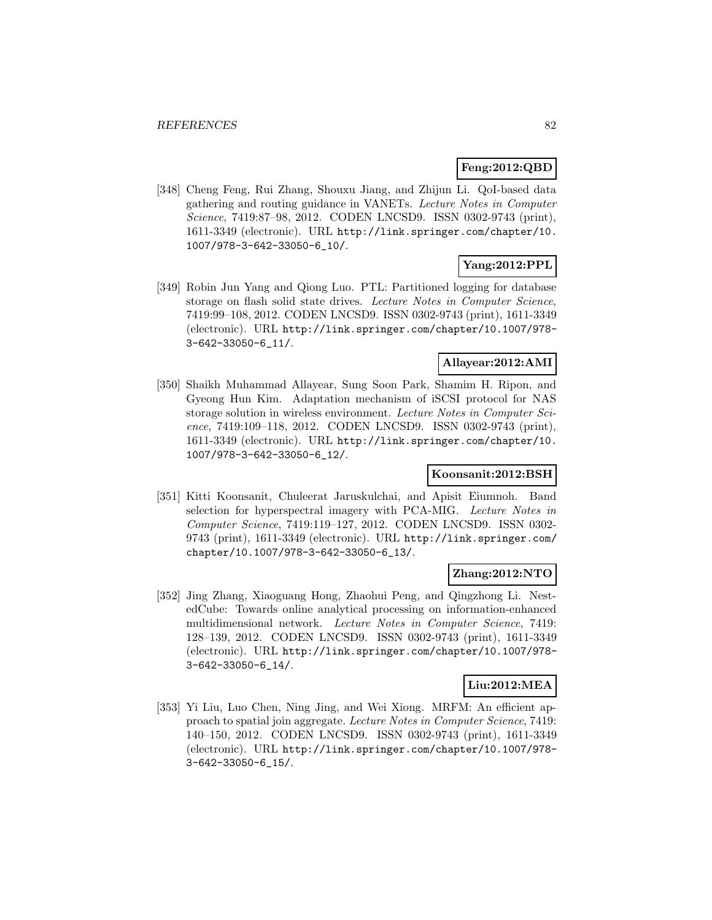## **Feng:2012:QBD**

[348] Cheng Feng, Rui Zhang, Shouxu Jiang, and Zhijun Li. QoI-based data gathering and routing guidance in VANETs. Lecture Notes in Computer Science, 7419:87–98, 2012. CODEN LNCSD9. ISSN 0302-9743 (print), 1611-3349 (electronic). URL http://link.springer.com/chapter/10. 1007/978-3-642-33050-6\_10/.

# **Yang:2012:PPL**

[349] Robin Jun Yang and Qiong Luo. PTL: Partitioned logging for database storage on flash solid state drives. Lecture Notes in Computer Science, 7419:99–108, 2012. CODEN LNCSD9. ISSN 0302-9743 (print), 1611-3349 (electronic). URL http://link.springer.com/chapter/10.1007/978- 3-642-33050-6\_11/.

# **Allayear:2012:AMI**

[350] Shaikh Muhammad Allayear, Sung Soon Park, Shamim H. Ripon, and Gyeong Hun Kim. Adaptation mechanism of iSCSI protocol for NAS storage solution in wireless environment. Lecture Notes in Computer Science, 7419:109–118, 2012. CODEN LNCSD9. ISSN 0302-9743 (print), 1611-3349 (electronic). URL http://link.springer.com/chapter/10. 1007/978-3-642-33050-6\_12/.

### **Koonsanit:2012:BSH**

[351] Kitti Koonsanit, Chuleerat Jaruskulchai, and Apisit Eiumnoh. Band selection for hyperspectral imagery with PCA-MIG. Lecture Notes in Computer Science, 7419:119–127, 2012. CODEN LNCSD9. ISSN 0302- 9743 (print), 1611-3349 (electronic). URL http://link.springer.com/ chapter/10.1007/978-3-642-33050-6\_13/.

## **Zhang:2012:NTO**

[352] Jing Zhang, Xiaoguang Hong, Zhaohui Peng, and Qingzhong Li. NestedCube: Towards online analytical processing on information-enhanced multidimensional network. Lecture Notes in Computer Science, 7419: 128–139, 2012. CODEN LNCSD9. ISSN 0302-9743 (print), 1611-3349 (electronic). URL http://link.springer.com/chapter/10.1007/978- 3-642-33050-6\_14/.

## **Liu:2012:MEA**

[353] Yi Liu, Luo Chen, Ning Jing, and Wei Xiong. MRFM: An efficient approach to spatial join aggregate. Lecture Notes in Computer Science, 7419: 140–150, 2012. CODEN LNCSD9. ISSN 0302-9743 (print), 1611-3349 (electronic). URL http://link.springer.com/chapter/10.1007/978- 3-642-33050-6\_15/.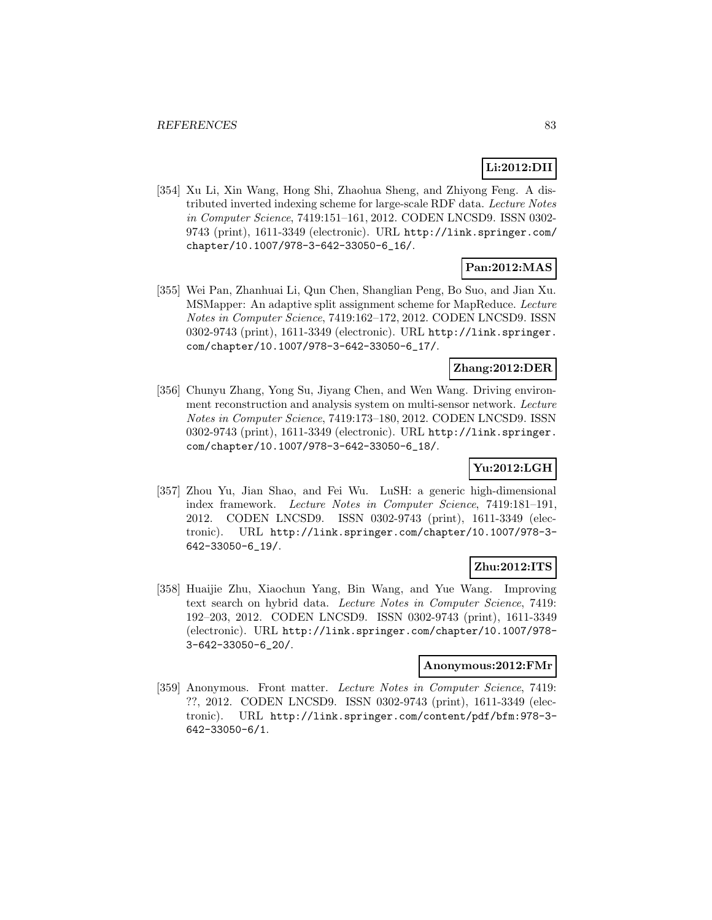# **Li:2012:DII**

[354] Xu Li, Xin Wang, Hong Shi, Zhaohua Sheng, and Zhiyong Feng. A distributed inverted indexing scheme for large-scale RDF data. Lecture Notes in Computer Science, 7419:151–161, 2012. CODEN LNCSD9. ISSN 0302- 9743 (print), 1611-3349 (electronic). URL http://link.springer.com/ chapter/10.1007/978-3-642-33050-6\_16/.

# **Pan:2012:MAS**

[355] Wei Pan, Zhanhuai Li, Qun Chen, Shanglian Peng, Bo Suo, and Jian Xu. MSMapper: An adaptive split assignment scheme for MapReduce. Lecture Notes in Computer Science, 7419:162–172, 2012. CODEN LNCSD9. ISSN 0302-9743 (print), 1611-3349 (electronic). URL http://link.springer. com/chapter/10.1007/978-3-642-33050-6\_17/.

# **Zhang:2012:DER**

[356] Chunyu Zhang, Yong Su, Jiyang Chen, and Wen Wang. Driving environment reconstruction and analysis system on multi-sensor network. Lecture Notes in Computer Science, 7419:173–180, 2012. CODEN LNCSD9. ISSN 0302-9743 (print), 1611-3349 (electronic). URL http://link.springer. com/chapter/10.1007/978-3-642-33050-6\_18/.

# **Yu:2012:LGH**

[357] Zhou Yu, Jian Shao, and Fei Wu. LuSH: a generic high-dimensional index framework. Lecture Notes in Computer Science, 7419:181–191, 2012. CODEN LNCSD9. ISSN 0302-9743 (print), 1611-3349 (electronic). URL http://link.springer.com/chapter/10.1007/978-3- 642-33050-6\_19/.

## **Zhu:2012:ITS**

[358] Huaijie Zhu, Xiaochun Yang, Bin Wang, and Yue Wang. Improving text search on hybrid data. Lecture Notes in Computer Science, 7419: 192–203, 2012. CODEN LNCSD9. ISSN 0302-9743 (print), 1611-3349 (electronic). URL http://link.springer.com/chapter/10.1007/978- 3-642-33050-6\_20/.

### **Anonymous:2012:FMr**

[359] Anonymous. Front matter. Lecture Notes in Computer Science, 7419: ??, 2012. CODEN LNCSD9. ISSN 0302-9743 (print), 1611-3349 (electronic). URL http://link.springer.com/content/pdf/bfm:978-3- 642-33050-6/1.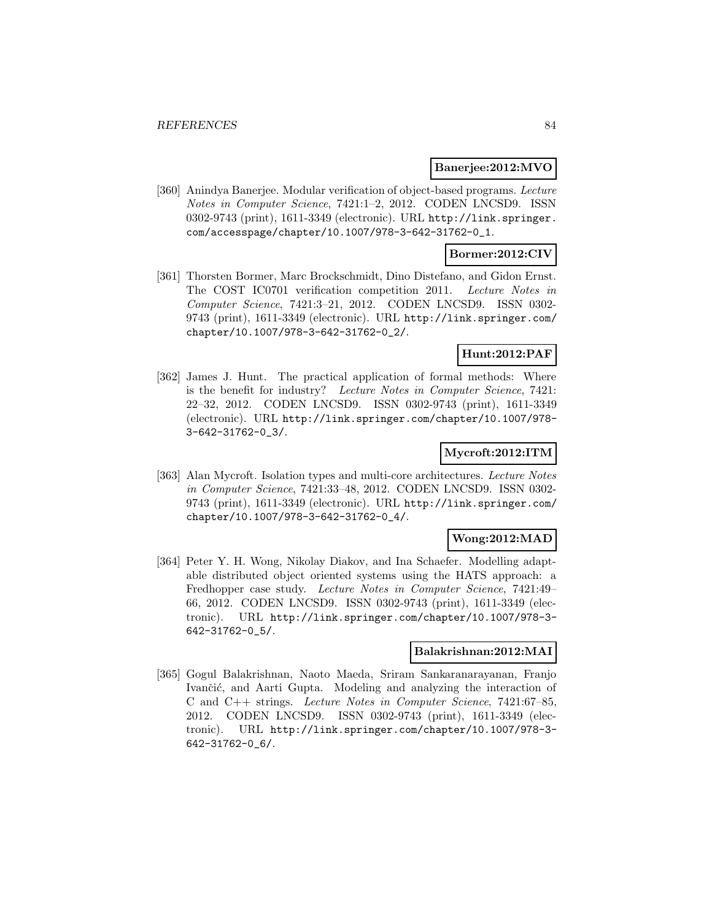#### **Banerjee:2012:MVO**

[360] Anindya Banerjee. Modular verification of object-based programs. Lecture Notes in Computer Science, 7421:1–2, 2012. CODEN LNCSD9. ISSN 0302-9743 (print), 1611-3349 (electronic). URL http://link.springer. com/accesspage/chapter/10.1007/978-3-642-31762-0\_1.

## **Bormer:2012:CIV**

[361] Thorsten Bormer, Marc Brockschmidt, Dino Distefano, and Gidon Ernst. The COST IC0701 verification competition 2011. Lecture Notes in Computer Science, 7421:3–21, 2012. CODEN LNCSD9. ISSN 0302- 9743 (print), 1611-3349 (electronic). URL http://link.springer.com/ chapter/10.1007/978-3-642-31762-0\_2/.

## **Hunt:2012:PAF**

[362] James J. Hunt. The practical application of formal methods: Where is the benefit for industry? Lecture Notes in Computer Science, 7421: 22–32, 2012. CODEN LNCSD9. ISSN 0302-9743 (print), 1611-3349 (electronic). URL http://link.springer.com/chapter/10.1007/978- 3-642-31762-0\_3/.

### **Mycroft:2012:ITM**

[363] Alan Mycroft. Isolation types and multi-core architectures. Lecture Notes in Computer Science, 7421:33–48, 2012. CODEN LNCSD9. ISSN 0302- 9743 (print), 1611-3349 (electronic). URL http://link.springer.com/ chapter/10.1007/978-3-642-31762-0\_4/.

### **Wong:2012:MAD**

[364] Peter Y. H. Wong, Nikolay Diakov, and Ina Schaefer. Modelling adaptable distributed object oriented systems using the HATS approach: a Fredhopper case study. Lecture Notes in Computer Science, 7421:49– 66, 2012. CODEN LNCSD9. ISSN 0302-9743 (print), 1611-3349 (electronic). URL http://link.springer.com/chapter/10.1007/978-3- 642-31762-0\_5/.

# **Balakrishnan:2012:MAI**

[365] Gogul Balakrishnan, Naoto Maeda, Sriram Sankaranarayanan, Franjo Ivančić, and Aarti Gupta. Modeling and analyzing the interaction of C and C++ strings. Lecture Notes in Computer Science, 7421:67–85, 2012. CODEN LNCSD9. ISSN 0302-9743 (print), 1611-3349 (electronic). URL http://link.springer.com/chapter/10.1007/978-3- 642-31762-0\_6/.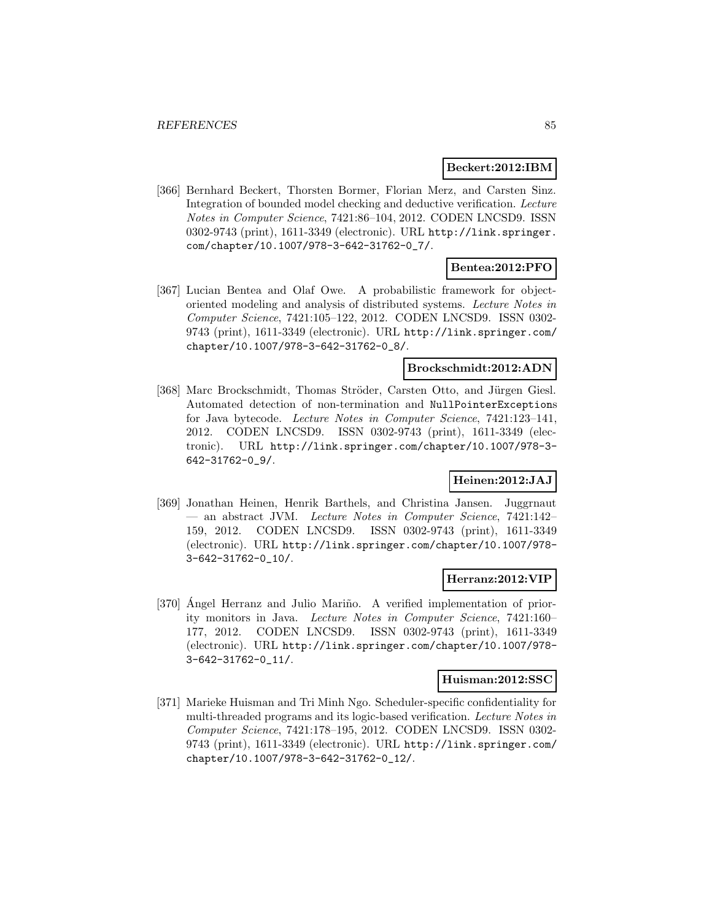#### **Beckert:2012:IBM**

[366] Bernhard Beckert, Thorsten Bormer, Florian Merz, and Carsten Sinz. Integration of bounded model checking and deductive verification. Lecture Notes in Computer Science, 7421:86–104, 2012. CODEN LNCSD9. ISSN 0302-9743 (print), 1611-3349 (electronic). URL http://link.springer. com/chapter/10.1007/978-3-642-31762-0\_7/.

# **Bentea:2012:PFO**

[367] Lucian Bentea and Olaf Owe. A probabilistic framework for objectoriented modeling and analysis of distributed systems. Lecture Notes in Computer Science, 7421:105–122, 2012. CODEN LNCSD9. ISSN 0302- 9743 (print), 1611-3349 (electronic). URL http://link.springer.com/ chapter/10.1007/978-3-642-31762-0\_8/.

## **Brockschmidt:2012:ADN**

[368] Marc Brockschmidt, Thomas Ströder, Carsten Otto, and Jürgen Giesl. Automated detection of non-termination and NullPointerExceptions for Java bytecode. Lecture Notes in Computer Science, 7421:123–141, 2012. CODEN LNCSD9. ISSN 0302-9743 (print), 1611-3349 (electronic). URL http://link.springer.com/chapter/10.1007/978-3- 642-31762-0\_9/.

# **Heinen:2012:JAJ**

[369] Jonathan Heinen, Henrik Barthels, and Christina Jansen. Juggrnaut — an abstract JVM. Lecture Notes in Computer Science, 7421:142– 159, 2012. CODEN LNCSD9. ISSN 0302-9743 (print), 1611-3349 (electronic). URL http://link.springer.com/chapter/10.1007/978- 3-642-31762-0\_10/.

## **Herranz:2012:VIP**

[370] Angel Herranz and Julio Mariño. A verified implementation of priority monitors in Java. Lecture Notes in Computer Science, 7421:160– 177, 2012. CODEN LNCSD9. ISSN 0302-9743 (print), 1611-3349 (electronic). URL http://link.springer.com/chapter/10.1007/978- 3-642-31762-0\_11/.

### **Huisman:2012:SSC**

[371] Marieke Huisman and Tri Minh Ngo. Scheduler-specific confidentiality for multi-threaded programs and its logic-based verification. Lecture Notes in Computer Science, 7421:178–195, 2012. CODEN LNCSD9. ISSN 0302- 9743 (print), 1611-3349 (electronic). URL http://link.springer.com/ chapter/10.1007/978-3-642-31762-0\_12/.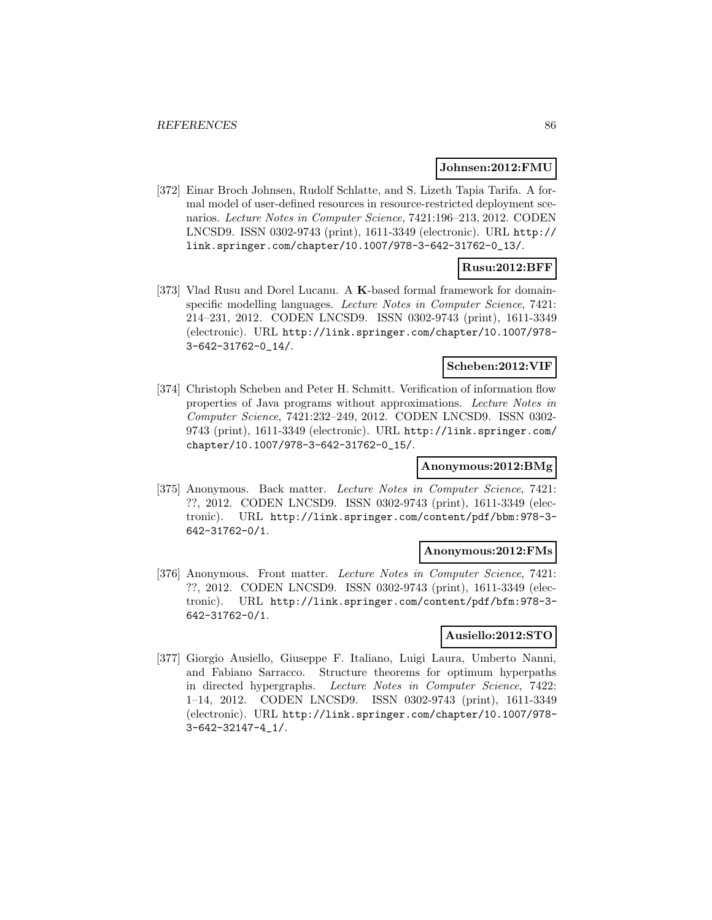### **Johnsen:2012:FMU**

[372] Einar Broch Johnsen, Rudolf Schlatte, and S. Lizeth Tapia Tarifa. A formal model of user-defined resources in resource-restricted deployment scenarios. Lecture Notes in Computer Science, 7421:196–213, 2012. CODEN LNCSD9. ISSN 0302-9743 (print), 1611-3349 (electronic). URL http:// link.springer.com/chapter/10.1007/978-3-642-31762-0\_13/.

## **Rusu:2012:BFF**

[373] Vlad Rusu and Dorel Lucanu. A **K**-based formal framework for domainspecific modelling languages. Lecture Notes in Computer Science, 7421: 214–231, 2012. CODEN LNCSD9. ISSN 0302-9743 (print), 1611-3349 (electronic). URL http://link.springer.com/chapter/10.1007/978- 3-642-31762-0\_14/.

#### **Scheben:2012:VIF**

[374] Christoph Scheben and Peter H. Schmitt. Verification of information flow properties of Java programs without approximations. Lecture Notes in Computer Science, 7421:232–249, 2012. CODEN LNCSD9. ISSN 0302- 9743 (print), 1611-3349 (electronic). URL http://link.springer.com/ chapter/10.1007/978-3-642-31762-0\_15/.

## **Anonymous:2012:BMg**

[375] Anonymous. Back matter. Lecture Notes in Computer Science, 7421: ??, 2012. CODEN LNCSD9. ISSN 0302-9743 (print), 1611-3349 (electronic). URL http://link.springer.com/content/pdf/bbm:978-3- 642-31762-0/1.

#### **Anonymous:2012:FMs**

[376] Anonymous. Front matter. Lecture Notes in Computer Science, 7421: ??, 2012. CODEN LNCSD9. ISSN 0302-9743 (print), 1611-3349 (electronic). URL http://link.springer.com/content/pdf/bfm:978-3- 642-31762-0/1.

## **Ausiello:2012:STO**

[377] Giorgio Ausiello, Giuseppe F. Italiano, Luigi Laura, Umberto Nanni, and Fabiano Sarracco. Structure theorems for optimum hyperpaths in directed hypergraphs. Lecture Notes in Computer Science, 7422: 1–14, 2012. CODEN LNCSD9. ISSN 0302-9743 (print), 1611-3349 (electronic). URL http://link.springer.com/chapter/10.1007/978- 3-642-32147-4\_1/.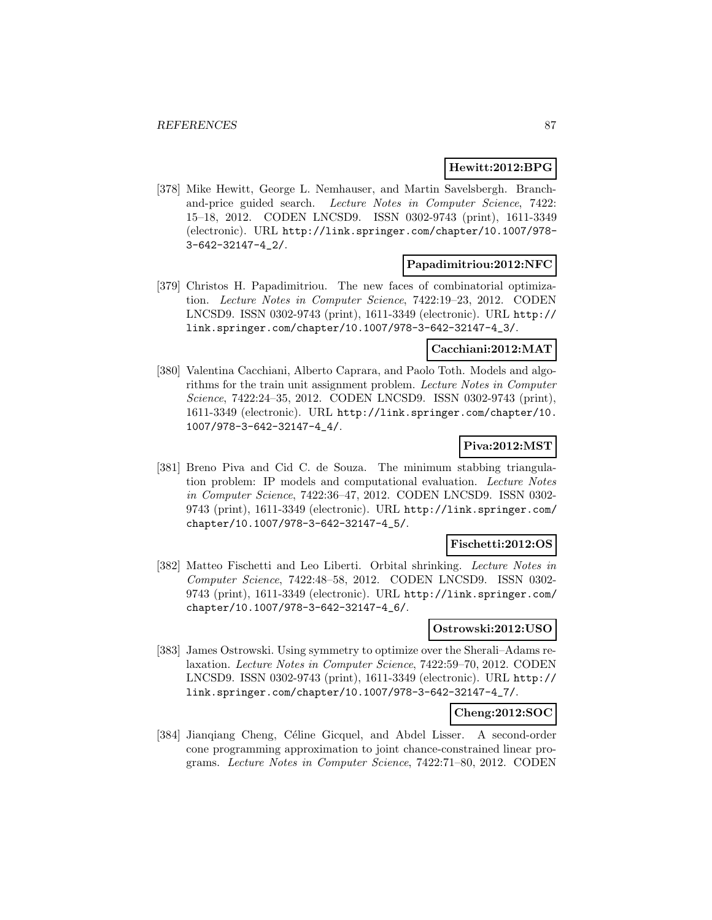### **Hewitt:2012:BPG**

[378] Mike Hewitt, George L. Nemhauser, and Martin Savelsbergh. Branchand-price guided search. Lecture Notes in Computer Science, 7422: 15–18, 2012. CODEN LNCSD9. ISSN 0302-9743 (print), 1611-3349 (electronic). URL http://link.springer.com/chapter/10.1007/978- 3-642-32147-4\_2/.

#### **Papadimitriou:2012:NFC**

[379] Christos H. Papadimitriou. The new faces of combinatorial optimization. Lecture Notes in Computer Science, 7422:19–23, 2012. CODEN LNCSD9. ISSN 0302-9743 (print), 1611-3349 (electronic). URL http:// link.springer.com/chapter/10.1007/978-3-642-32147-4\_3/.

### **Cacchiani:2012:MAT**

[380] Valentina Cacchiani, Alberto Caprara, and Paolo Toth. Models and algorithms for the train unit assignment problem. Lecture Notes in Computer Science, 7422:24–35, 2012. CODEN LNCSD9. ISSN 0302-9743 (print), 1611-3349 (electronic). URL http://link.springer.com/chapter/10. 1007/978-3-642-32147-4\_4/.

## **Piva:2012:MST**

[381] Breno Piva and Cid C. de Souza. The minimum stabbing triangulation problem: IP models and computational evaluation. Lecture Notes in Computer Science, 7422:36–47, 2012. CODEN LNCSD9. ISSN 0302- 9743 (print), 1611-3349 (electronic). URL http://link.springer.com/ chapter/10.1007/978-3-642-32147-4\_5/.

### **Fischetti:2012:OS**

[382] Matteo Fischetti and Leo Liberti. Orbital shrinking. Lecture Notes in Computer Science, 7422:48–58, 2012. CODEN LNCSD9. ISSN 0302- 9743 (print), 1611-3349 (electronic). URL http://link.springer.com/ chapter/10.1007/978-3-642-32147-4\_6/.

#### **Ostrowski:2012:USO**

[383] James Ostrowski. Using symmetry to optimize over the Sherali–Adams relaxation. Lecture Notes in Computer Science, 7422:59–70, 2012. CODEN LNCSD9. ISSN 0302-9743 (print), 1611-3349 (electronic). URL http:// link.springer.com/chapter/10.1007/978-3-642-32147-4\_7/.

## **Cheng:2012:SOC**

[384] Jianqiang Cheng, Céline Gicquel, and Abdel Lisser. A second-order cone programming approximation to joint chance-constrained linear programs. Lecture Notes in Computer Science, 7422:71–80, 2012. CODEN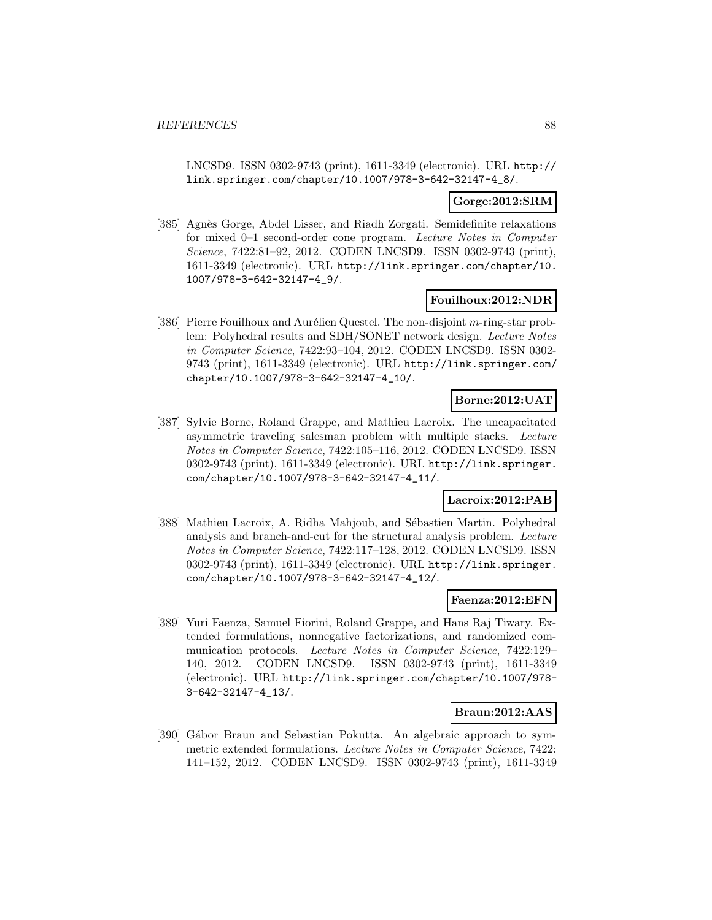LNCSD9. ISSN 0302-9743 (print), 1611-3349 (electronic). URL http:// link.springer.com/chapter/10.1007/978-3-642-32147-4\_8/.

## **Gorge:2012:SRM**

[385] Agnès Gorge, Abdel Lisser, and Riadh Zorgati. Semidefinite relaxations for mixed 0–1 second-order cone program. Lecture Notes in Computer Science, 7422:81–92, 2012. CODEN LNCSD9. ISSN 0302-9743 (print), 1611-3349 (electronic). URL http://link.springer.com/chapter/10. 1007/978-3-642-32147-4\_9/.

#### **Fouilhoux:2012:NDR**

[386] Pierre Fouilhoux and Aurélien Questel. The non-disjoint  $m$ -ring-star problem: Polyhedral results and SDH/SONET network design. Lecture Notes in Computer Science, 7422:93–104, 2012. CODEN LNCSD9. ISSN 0302- 9743 (print), 1611-3349 (electronic). URL http://link.springer.com/ chapter/10.1007/978-3-642-32147-4\_10/.

## **Borne:2012:UAT**

[387] Sylvie Borne, Roland Grappe, and Mathieu Lacroix. The uncapacitated asymmetric traveling salesman problem with multiple stacks. Lecture Notes in Computer Science, 7422:105–116, 2012. CODEN LNCSD9. ISSN 0302-9743 (print), 1611-3349 (electronic). URL http://link.springer. com/chapter/10.1007/978-3-642-32147-4\_11/.

## **Lacroix:2012:PAB**

[388] Mathieu Lacroix, A. Ridha Mahjoub, and Sébastien Martin. Polyhedral analysis and branch-and-cut for the structural analysis problem. Lecture Notes in Computer Science, 7422:117–128, 2012. CODEN LNCSD9. ISSN 0302-9743 (print), 1611-3349 (electronic). URL http://link.springer. com/chapter/10.1007/978-3-642-32147-4\_12/.

### **Faenza:2012:EFN**

[389] Yuri Faenza, Samuel Fiorini, Roland Grappe, and Hans Raj Tiwary. Extended formulations, nonnegative factorizations, and randomized communication protocols. Lecture Notes in Computer Science, 7422:129– 140, 2012. CODEN LNCSD9. ISSN 0302-9743 (print), 1611-3349 (electronic). URL http://link.springer.com/chapter/10.1007/978- 3-642-32147-4\_13/.

## **Braun:2012:AAS**

[390] Gábor Braun and Sebastian Pokutta. An algebraic approach to symmetric extended formulations. Lecture Notes in Computer Science, 7422: 141–152, 2012. CODEN LNCSD9. ISSN 0302-9743 (print), 1611-3349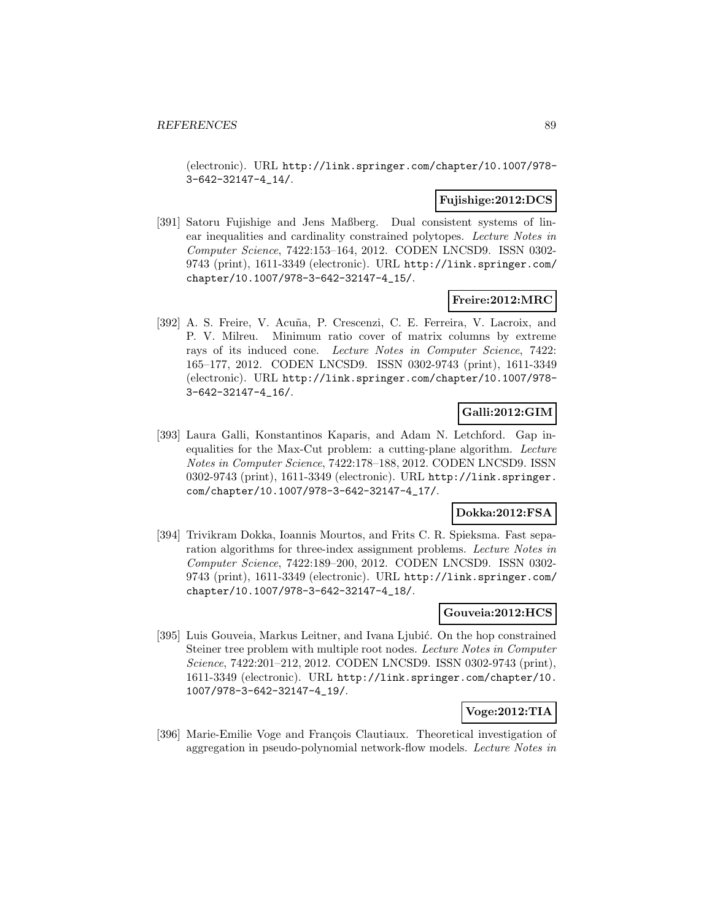(electronic). URL http://link.springer.com/chapter/10.1007/978- 3-642-32147-4\_14/.

## **Fujishige:2012:DCS**

[391] Satoru Fujishige and Jens Maßberg. Dual consistent systems of linear inequalities and cardinality constrained polytopes. Lecture Notes in Computer Science, 7422:153–164, 2012. CODEN LNCSD9. ISSN 0302- 9743 (print), 1611-3349 (electronic). URL http://link.springer.com/ chapter/10.1007/978-3-642-32147-4\_15/.

### **Freire:2012:MRC**

[392] A. S. Freire, V. Acuña, P. Crescenzi, C. E. Ferreira, V. Lacroix, and P. V. Milreu. Minimum ratio cover of matrix columns by extreme rays of its induced cone. Lecture Notes in Computer Science, 7422: 165–177, 2012. CODEN LNCSD9. ISSN 0302-9743 (print), 1611-3349 (electronic). URL http://link.springer.com/chapter/10.1007/978- 3-642-32147-4\_16/.

# **Galli:2012:GIM**

[393] Laura Galli, Konstantinos Kaparis, and Adam N. Letchford. Gap inequalities for the Max-Cut problem: a cutting-plane algorithm. Lecture Notes in Computer Science, 7422:178–188, 2012. CODEN LNCSD9. ISSN 0302-9743 (print), 1611-3349 (electronic). URL http://link.springer. com/chapter/10.1007/978-3-642-32147-4\_17/.

## **Dokka:2012:FSA**

[394] Trivikram Dokka, Ioannis Mourtos, and Frits C. R. Spieksma. Fast separation algorithms for three-index assignment problems. Lecture Notes in Computer Science, 7422:189–200, 2012. CODEN LNCSD9. ISSN 0302- 9743 (print), 1611-3349 (electronic). URL http://link.springer.com/ chapter/10.1007/978-3-642-32147-4\_18/.

## **Gouveia:2012:HCS**

[395] Luis Gouveia, Markus Leitner, and Ivana Ljubić. On the hop constrained Steiner tree problem with multiple root nodes. Lecture Notes in Computer Science, 7422:201–212, 2012. CODEN LNCSD9. ISSN 0302-9743 (print), 1611-3349 (electronic). URL http://link.springer.com/chapter/10. 1007/978-3-642-32147-4\_19/.

### **Voge:2012:TIA**

[396] Marie-Emilie Voge and François Clautiaux. Theoretical investigation of aggregation in pseudo-polynomial network-flow models. Lecture Notes in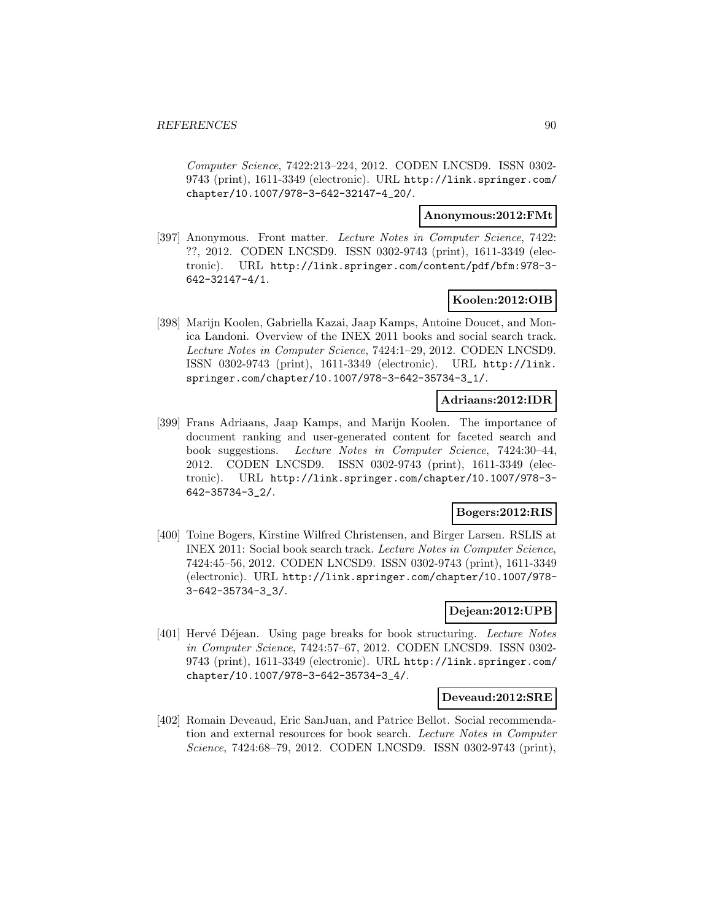Computer Science, 7422:213–224, 2012. CODEN LNCSD9. ISSN 0302- 9743 (print), 1611-3349 (electronic). URL http://link.springer.com/ chapter/10.1007/978-3-642-32147-4\_20/.

### **Anonymous:2012:FMt**

[397] Anonymous. Front matter. Lecture Notes in Computer Science, 7422: ??, 2012. CODEN LNCSD9. ISSN 0302-9743 (print), 1611-3349 (electronic). URL http://link.springer.com/content/pdf/bfm:978-3- 642-32147-4/1.

## **Koolen:2012:OIB**

[398] Marijn Koolen, Gabriella Kazai, Jaap Kamps, Antoine Doucet, and Monica Landoni. Overview of the INEX 2011 books and social search track. Lecture Notes in Computer Science, 7424:1–29, 2012. CODEN LNCSD9. ISSN 0302-9743 (print), 1611-3349 (electronic). URL http://link. springer.com/chapter/10.1007/978-3-642-35734-3\_1/.

## **Adriaans:2012:IDR**

[399] Frans Adriaans, Jaap Kamps, and Marijn Koolen. The importance of document ranking and user-generated content for faceted search and book suggestions. Lecture Notes in Computer Science, 7424:30–44, 2012. CODEN LNCSD9. ISSN 0302-9743 (print), 1611-3349 (electronic). URL http://link.springer.com/chapter/10.1007/978-3- 642-35734-3\_2/.

## **Bogers:2012:RIS**

[400] Toine Bogers, Kirstine Wilfred Christensen, and Birger Larsen. RSLIS at INEX 2011: Social book search track. Lecture Notes in Computer Science, 7424:45–56, 2012. CODEN LNCSD9. ISSN 0302-9743 (print), 1611-3349 (electronic). URL http://link.springer.com/chapter/10.1007/978- 3-642-35734-3\_3/.

## **Dejean:2012:UPB**

[401] Hervé Déjean. Using page breaks for book structuring. Lecture Notes in Computer Science, 7424:57–67, 2012. CODEN LNCSD9. ISSN 0302- 9743 (print), 1611-3349 (electronic). URL http://link.springer.com/ chapter/10.1007/978-3-642-35734-3\_4/.

### **Deveaud:2012:SRE**

[402] Romain Deveaud, Eric SanJuan, and Patrice Bellot. Social recommendation and external resources for book search. Lecture Notes in Computer Science, 7424:68–79, 2012. CODEN LNCSD9. ISSN 0302-9743 (print),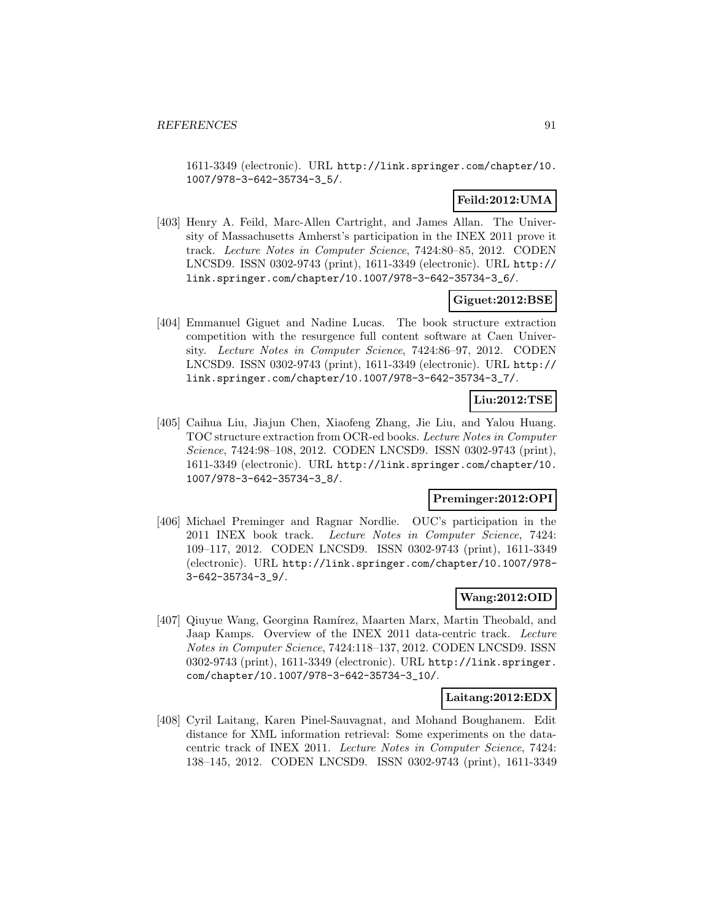1611-3349 (electronic). URL http://link.springer.com/chapter/10. 1007/978-3-642-35734-3\_5/.

# **Feild:2012:UMA**

[403] Henry A. Feild, Marc-Allen Cartright, and James Allan. The University of Massachusetts Amherst's participation in the INEX 2011 prove it track. Lecture Notes in Computer Science, 7424:80–85, 2012. CODEN LNCSD9. ISSN 0302-9743 (print), 1611-3349 (electronic). URL http:// link.springer.com/chapter/10.1007/978-3-642-35734-3\_6/.

## **Giguet:2012:BSE**

[404] Emmanuel Giguet and Nadine Lucas. The book structure extraction competition with the resurgence full content software at Caen University. Lecture Notes in Computer Science, 7424:86–97, 2012. CODEN LNCSD9. ISSN 0302-9743 (print), 1611-3349 (electronic). URL http:// link.springer.com/chapter/10.1007/978-3-642-35734-3\_7/.

# **Liu:2012:TSE**

[405] Caihua Liu, Jiajun Chen, Xiaofeng Zhang, Jie Liu, and Yalou Huang. TOC structure extraction from OCR-ed books. Lecture Notes in Computer Science, 7424:98–108, 2012. CODEN LNCSD9. ISSN 0302-9743 (print), 1611-3349 (electronic). URL http://link.springer.com/chapter/10. 1007/978-3-642-35734-3\_8/.

## **Preminger:2012:OPI**

[406] Michael Preminger and Ragnar Nordlie. OUC's participation in the 2011 INEX book track. Lecture Notes in Computer Science, 7424: 109–117, 2012. CODEN LNCSD9. ISSN 0302-9743 (print), 1611-3349 (electronic). URL http://link.springer.com/chapter/10.1007/978- 3-642-35734-3\_9/.

## **Wang:2012:OID**

[407] Qiuyue Wang, Georgina Ramírez, Maarten Marx, Martin Theobald, and Jaap Kamps. Overview of the INEX 2011 data-centric track. Lecture Notes in Computer Science, 7424:118–137, 2012. CODEN LNCSD9. ISSN 0302-9743 (print), 1611-3349 (electronic). URL http://link.springer. com/chapter/10.1007/978-3-642-35734-3\_10/.

### **Laitang:2012:EDX**

[408] Cyril Laitang, Karen Pinel-Sauvagnat, and Mohand Boughanem. Edit distance for XML information retrieval: Some experiments on the datacentric track of INEX 2011. Lecture Notes in Computer Science, 7424: 138–145, 2012. CODEN LNCSD9. ISSN 0302-9743 (print), 1611-3349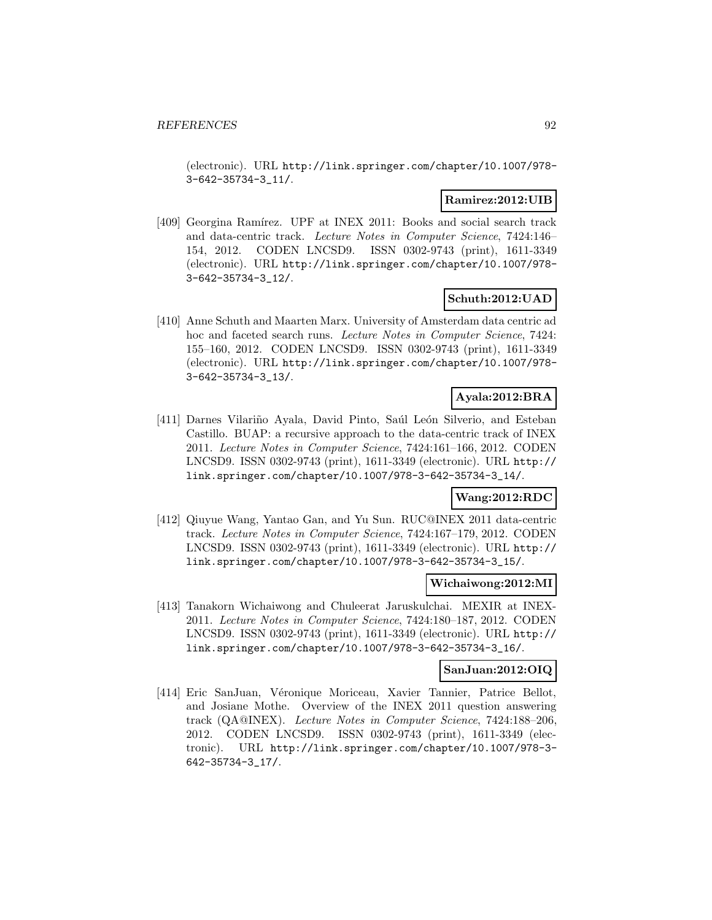(electronic). URL http://link.springer.com/chapter/10.1007/978- 3-642-35734-3\_11/.

## **Ramirez:2012:UIB**

[409] Georgina Ramírez. UPF at INEX 2011: Books and social search track and data-centric track. Lecture Notes in Computer Science, 7424:146– 154, 2012. CODEN LNCSD9. ISSN 0302-9743 (print), 1611-3349 (electronic). URL http://link.springer.com/chapter/10.1007/978- 3-642-35734-3\_12/.

## **Schuth:2012:UAD**

[410] Anne Schuth and Maarten Marx. University of Amsterdam data centric ad hoc and faceted search runs. Lecture Notes in Computer Science, 7424: 155–160, 2012. CODEN LNCSD9. ISSN 0302-9743 (print), 1611-3349 (electronic). URL http://link.springer.com/chapter/10.1007/978- 3-642-35734-3\_13/.

# **Ayala:2012:BRA**

[411] Darnes Vilariño Ayala, David Pinto, Saúl León Silverio, and Esteban Castillo. BUAP: a recursive approach to the data-centric track of INEX 2011. Lecture Notes in Computer Science, 7424:161–166, 2012. CODEN LNCSD9. ISSN 0302-9743 (print), 1611-3349 (electronic). URL http:// link.springer.com/chapter/10.1007/978-3-642-35734-3\_14/.

# **Wang:2012:RDC**

[412] Qiuyue Wang, Yantao Gan, and Yu Sun. RUC@INEX 2011 data-centric track. Lecture Notes in Computer Science, 7424:167–179, 2012. CODEN LNCSD9. ISSN 0302-9743 (print), 1611-3349 (electronic). URL http:// link.springer.com/chapter/10.1007/978-3-642-35734-3\_15/.

### **Wichaiwong:2012:MI**

[413] Tanakorn Wichaiwong and Chuleerat Jaruskulchai. MEXIR at INEX-2011. Lecture Notes in Computer Science, 7424:180–187, 2012. CODEN LNCSD9. ISSN 0302-9743 (print), 1611-3349 (electronic). URL http:// link.springer.com/chapter/10.1007/978-3-642-35734-3\_16/.

# **SanJuan:2012:OIQ**

[414] Eric SanJuan, Véronique Moriceau, Xavier Tannier, Patrice Bellot, and Josiane Mothe. Overview of the INEX 2011 question answering track (QA@INEX). Lecture Notes in Computer Science, 7424:188–206, 2012. CODEN LNCSD9. ISSN 0302-9743 (print), 1611-3349 (electronic). URL http://link.springer.com/chapter/10.1007/978-3- 642-35734-3\_17/.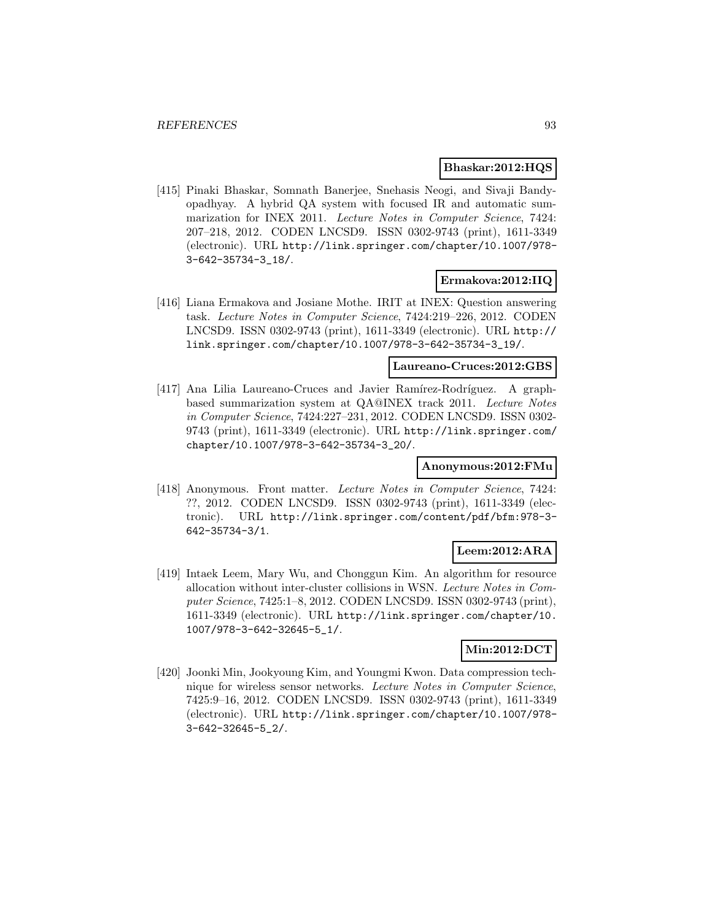### **Bhaskar:2012:HQS**

[415] Pinaki Bhaskar, Somnath Banerjee, Snehasis Neogi, and Sivaji Bandyopadhyay. A hybrid QA system with focused IR and automatic summarization for INEX 2011. Lecture Notes in Computer Science, 7424: 207–218, 2012. CODEN LNCSD9. ISSN 0302-9743 (print), 1611-3349 (electronic). URL http://link.springer.com/chapter/10.1007/978- 3-642-35734-3\_18/.

## **Ermakova:2012:IIQ**

[416] Liana Ermakova and Josiane Mothe. IRIT at INEX: Question answering task. Lecture Notes in Computer Science, 7424:219–226, 2012. CODEN LNCSD9. ISSN 0302-9743 (print), 1611-3349 (electronic). URL http:// link.springer.com/chapter/10.1007/978-3-642-35734-3\_19/.

**Laureano-Cruces:2012:GBS**

[417] Ana Lilia Laureano-Cruces and Javier Ramírez-Rodríguez. A graphbased summarization system at QA@INEX track 2011. Lecture Notes in Computer Science, 7424:227–231, 2012. CODEN LNCSD9. ISSN 0302- 9743 (print), 1611-3349 (electronic). URL http://link.springer.com/ chapter/10.1007/978-3-642-35734-3\_20/.

## **Anonymous:2012:FMu**

[418] Anonymous. Front matter. Lecture Notes in Computer Science, 7424: ??, 2012. CODEN LNCSD9. ISSN 0302-9743 (print), 1611-3349 (electronic). URL http://link.springer.com/content/pdf/bfm:978-3- 642-35734-3/1.

### **Leem:2012:ARA**

[419] Intaek Leem, Mary Wu, and Chonggun Kim. An algorithm for resource allocation without inter-cluster collisions in WSN. Lecture Notes in Computer Science, 7425:1–8, 2012. CODEN LNCSD9. ISSN 0302-9743 (print), 1611-3349 (electronic). URL http://link.springer.com/chapter/10. 1007/978-3-642-32645-5\_1/.

# **Min:2012:DCT**

[420] Joonki Min, Jookyoung Kim, and Youngmi Kwon. Data compression technique for wireless sensor networks. Lecture Notes in Computer Science, 7425:9–16, 2012. CODEN LNCSD9. ISSN 0302-9743 (print), 1611-3349 (electronic). URL http://link.springer.com/chapter/10.1007/978- 3-642-32645-5\_2/.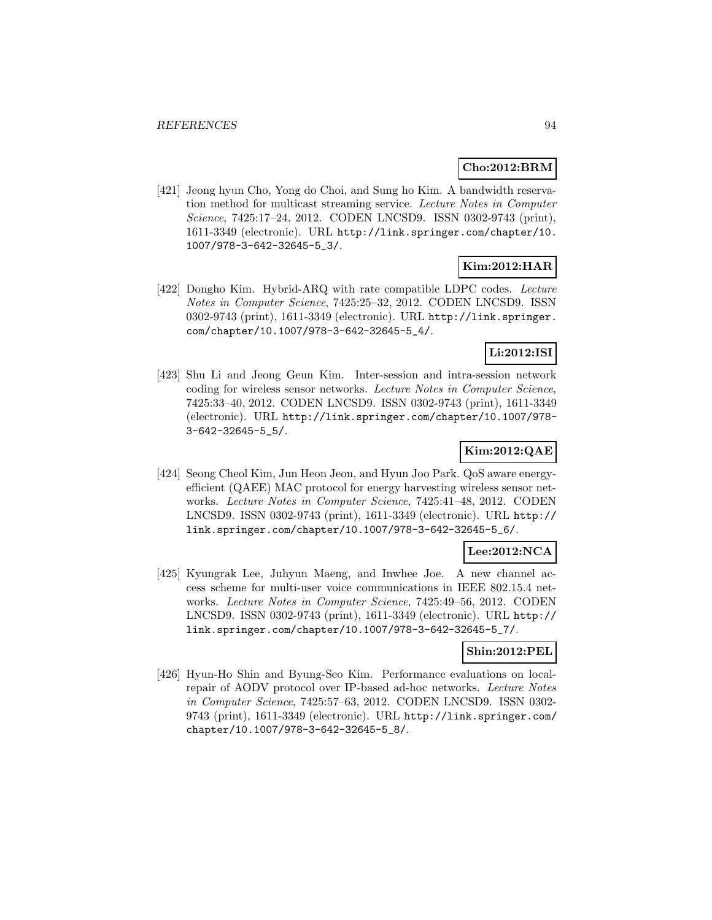### **Cho:2012:BRM**

[421] Jeong hyun Cho, Yong do Choi, and Sung ho Kim. A bandwidth reservation method for multicast streaming service. Lecture Notes in Computer Science, 7425:17–24, 2012. CODEN LNCSD9. ISSN 0302-9743 (print), 1611-3349 (electronic). URL http://link.springer.com/chapter/10. 1007/978-3-642-32645-5\_3/.

## **Kim:2012:HAR**

[422] Dongho Kim. Hybrid-ARQ with rate compatible LDPC codes. Lecture Notes in Computer Science, 7425:25–32, 2012. CODEN LNCSD9. ISSN 0302-9743 (print), 1611-3349 (electronic). URL http://link.springer. com/chapter/10.1007/978-3-642-32645-5\_4/.

## **Li:2012:ISI**

[423] Shu Li and Jeong Geun Kim. Inter-session and intra-session network coding for wireless sensor networks. Lecture Notes in Computer Science, 7425:33–40, 2012. CODEN LNCSD9. ISSN 0302-9743 (print), 1611-3349 (electronic). URL http://link.springer.com/chapter/10.1007/978- 3-642-32645-5\_5/.

## **Kim:2012:QAE**

[424] Seong Cheol Kim, Jun Heon Jeon, and Hyun Joo Park. QoS aware energyefficient (QAEE) MAC protocol for energy harvesting wireless sensor networks. Lecture Notes in Computer Science, 7425:41–48, 2012. CODEN LNCSD9. ISSN 0302-9743 (print), 1611-3349 (electronic). URL http:// link.springer.com/chapter/10.1007/978-3-642-32645-5\_6/.

## **Lee:2012:NCA**

[425] Kyungrak Lee, Juhyun Maeng, and Inwhee Joe. A new channel access scheme for multi-user voice communications in IEEE 802.15.4 networks. Lecture Notes in Computer Science, 7425:49–56, 2012. CODEN LNCSD9. ISSN 0302-9743 (print), 1611-3349 (electronic). URL http:// link.springer.com/chapter/10.1007/978-3-642-32645-5\_7/.

## **Shin:2012:PEL**

[426] Hyun-Ho Shin and Byung-Seo Kim. Performance evaluations on localrepair of AODV protocol over IP-based ad-hoc networks. Lecture Notes in Computer Science, 7425:57–63, 2012. CODEN LNCSD9. ISSN 0302- 9743 (print), 1611-3349 (electronic). URL http://link.springer.com/ chapter/10.1007/978-3-642-32645-5\_8/.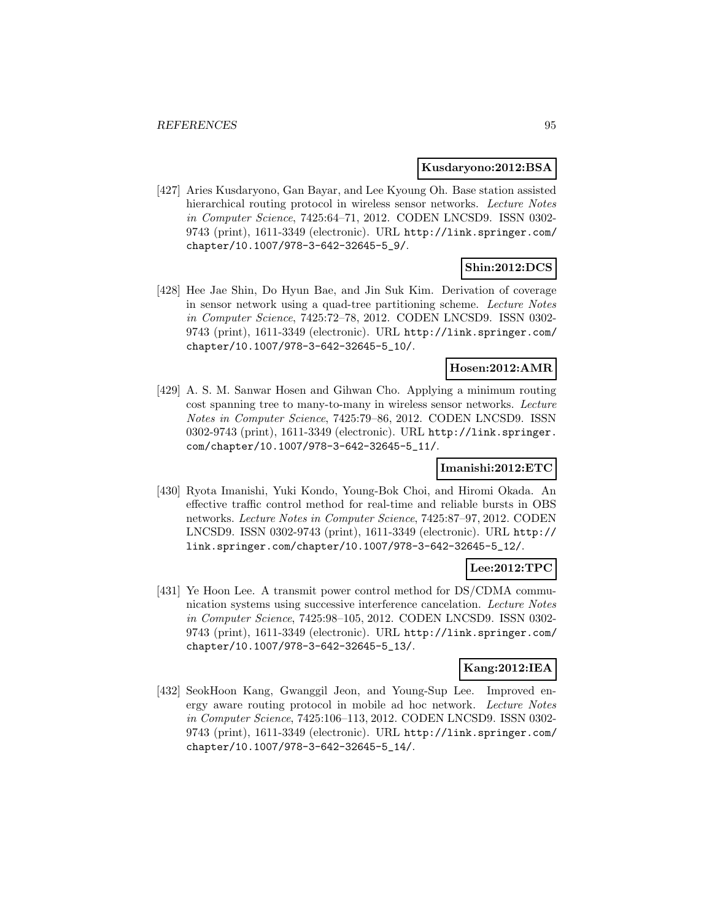#### **Kusdaryono:2012:BSA**

[427] Aries Kusdaryono, Gan Bayar, and Lee Kyoung Oh. Base station assisted hierarchical routing protocol in wireless sensor networks. Lecture Notes in Computer Science, 7425:64–71, 2012. CODEN LNCSD9. ISSN 0302- 9743 (print), 1611-3349 (electronic). URL http://link.springer.com/ chapter/10.1007/978-3-642-32645-5\_9/.

# **Shin:2012:DCS**

[428] Hee Jae Shin, Do Hyun Bae, and Jin Suk Kim. Derivation of coverage in sensor network using a quad-tree partitioning scheme. Lecture Notes in Computer Science, 7425:72–78, 2012. CODEN LNCSD9. ISSN 0302- 9743 (print), 1611-3349 (electronic). URL http://link.springer.com/ chapter/10.1007/978-3-642-32645-5\_10/.

## **Hosen:2012:AMR**

[429] A. S. M. Sanwar Hosen and Gihwan Cho. Applying a minimum routing cost spanning tree to many-to-many in wireless sensor networks. Lecture Notes in Computer Science, 7425:79–86, 2012. CODEN LNCSD9. ISSN 0302-9743 (print), 1611-3349 (electronic). URL http://link.springer. com/chapter/10.1007/978-3-642-32645-5\_11/.

## **Imanishi:2012:ETC**

[430] Ryota Imanishi, Yuki Kondo, Young-Bok Choi, and Hiromi Okada. An effective traffic control method for real-time and reliable bursts in OBS networks. Lecture Notes in Computer Science, 7425:87–97, 2012. CODEN LNCSD9. ISSN 0302-9743 (print), 1611-3349 (electronic). URL http:// link.springer.com/chapter/10.1007/978-3-642-32645-5\_12/.

## **Lee:2012:TPC**

[431] Ye Hoon Lee. A transmit power control method for DS/CDMA communication systems using successive interference cancelation. Lecture Notes in Computer Science, 7425:98–105, 2012. CODEN LNCSD9. ISSN 0302- 9743 (print), 1611-3349 (electronic). URL http://link.springer.com/ chapter/10.1007/978-3-642-32645-5\_13/.

### **Kang:2012:IEA**

[432] SeokHoon Kang, Gwanggil Jeon, and Young-Sup Lee. Improved energy aware routing protocol in mobile ad hoc network. Lecture Notes in Computer Science, 7425:106–113, 2012. CODEN LNCSD9. ISSN 0302- 9743 (print), 1611-3349 (electronic). URL http://link.springer.com/ chapter/10.1007/978-3-642-32645-5\_14/.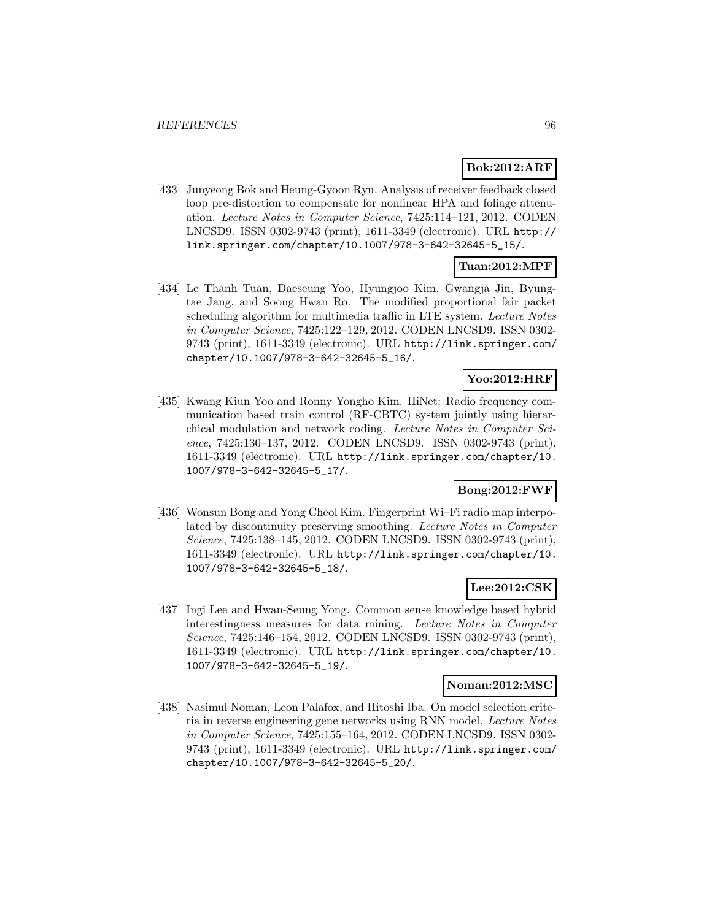# **Bok:2012:ARF**

[433] Junyeong Bok and Heung-Gyoon Ryu. Analysis of receiver feedback closed loop pre-distortion to compensate for nonlinear HPA and foliage attenuation. Lecture Notes in Computer Science, 7425:114–121, 2012. CODEN LNCSD9. ISSN 0302-9743 (print), 1611-3349 (electronic). URL http:// link.springer.com/chapter/10.1007/978-3-642-32645-5\_15/.

# **Tuan:2012:MPF**

[434] Le Thanh Tuan, Daeseung Yoo, Hyungjoo Kim, Gwangja Jin, Byungtae Jang, and Soong Hwan Ro. The modified proportional fair packet scheduling algorithm for multimedia traffic in LTE system. Lecture Notes in Computer Science, 7425:122–129, 2012. CODEN LNCSD9. ISSN 0302- 9743 (print), 1611-3349 (electronic). URL http://link.springer.com/ chapter/10.1007/978-3-642-32645-5\_16/.

# **Yoo:2012:HRF**

[435] Kwang Kiun Yoo and Ronny Yongho Kim. HiNet: Radio frequency communication based train control (RF-CBTC) system jointly using hierarchical modulation and network coding. Lecture Notes in Computer Science, 7425:130–137, 2012. CODEN LNCSD9. ISSN 0302-9743 (print), 1611-3349 (electronic). URL http://link.springer.com/chapter/10. 1007/978-3-642-32645-5\_17/.

## **Bong:2012:FWF**

[436] Wonsun Bong and Yong Cheol Kim. Fingerprint Wi–Fi radio map interpolated by discontinuity preserving smoothing. Lecture Notes in Computer Science, 7425:138–145, 2012. CODEN LNCSD9. ISSN 0302-9743 (print), 1611-3349 (electronic). URL http://link.springer.com/chapter/10. 1007/978-3-642-32645-5\_18/.

## **Lee:2012:CSK**

[437] Ingi Lee and Hwan-Seung Yong. Common sense knowledge based hybrid interestingness measures for data mining. Lecture Notes in Computer Science, 7425:146–154, 2012. CODEN LNCSD9. ISSN 0302-9743 (print), 1611-3349 (electronic). URL http://link.springer.com/chapter/10. 1007/978-3-642-32645-5\_19/.

### **Noman:2012:MSC**

[438] Nasimul Noman, Leon Palafox, and Hitoshi Iba. On model selection criteria in reverse engineering gene networks using RNN model. Lecture Notes in Computer Science, 7425:155–164, 2012. CODEN LNCSD9. ISSN 0302- 9743 (print), 1611-3349 (electronic). URL http://link.springer.com/ chapter/10.1007/978-3-642-32645-5\_20/.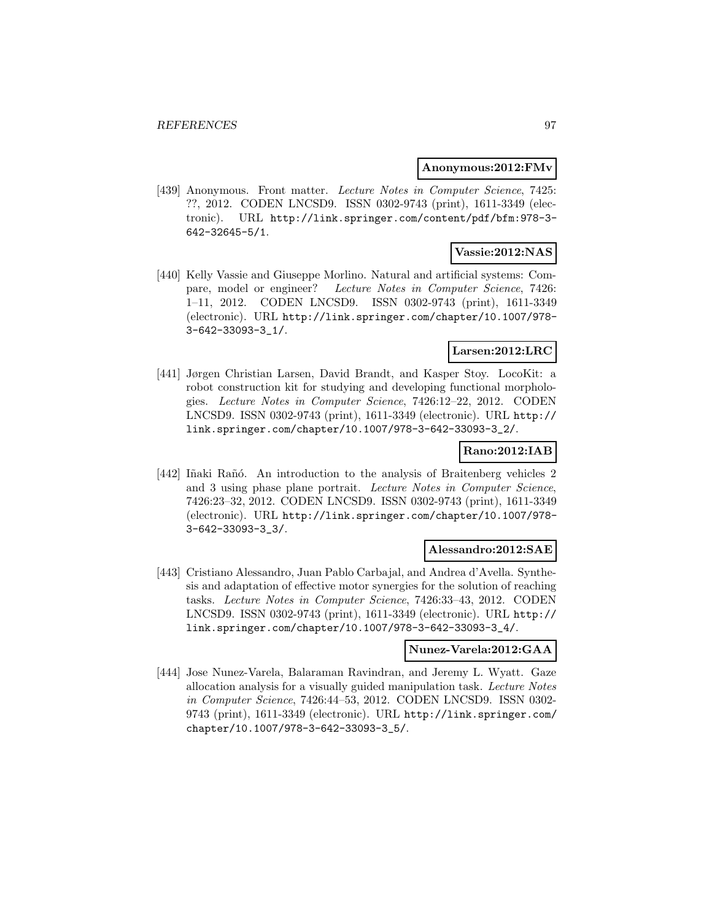#### **Anonymous:2012:FMv**

[439] Anonymous. Front matter. Lecture Notes in Computer Science, 7425: ??, 2012. CODEN LNCSD9. ISSN 0302-9743 (print), 1611-3349 (electronic). URL http://link.springer.com/content/pdf/bfm:978-3- 642-32645-5/1.

# **Vassie:2012:NAS**

[440] Kelly Vassie and Giuseppe Morlino. Natural and artificial systems: Compare, model or engineer? Lecture Notes in Computer Science, 7426: 1–11, 2012. CODEN LNCSD9. ISSN 0302-9743 (print), 1611-3349 (electronic). URL http://link.springer.com/chapter/10.1007/978- 3-642-33093-3\_1/.

# **Larsen:2012:LRC**

[441] Jørgen Christian Larsen, David Brandt, and Kasper Stoy. LocoKit: a robot construction kit for studying and developing functional morphologies. Lecture Notes in Computer Science, 7426:12–22, 2012. CODEN LNCSD9. ISSN 0302-9743 (print), 1611-3349 (electronic). URL http:// link.springer.com/chapter/10.1007/978-3-642-33093-3\_2/.

## **Rano:2012:IAB**

[442] Iñaki Rañó. An introduction to the analysis of Braitenberg vehicles 2 and 3 using phase plane portrait. Lecture Notes in Computer Science, 7426:23–32, 2012. CODEN LNCSD9. ISSN 0302-9743 (print), 1611-3349 (electronic). URL http://link.springer.com/chapter/10.1007/978- 3-642-33093-3\_3/.

### **Alessandro:2012:SAE**

[443] Cristiano Alessandro, Juan Pablo Carbajal, and Andrea d'Avella. Synthesis and adaptation of effective motor synergies for the solution of reaching tasks. Lecture Notes in Computer Science, 7426:33–43, 2012. CODEN LNCSD9. ISSN 0302-9743 (print), 1611-3349 (electronic). URL http:// link.springer.com/chapter/10.1007/978-3-642-33093-3\_4/.

## **Nunez-Varela:2012:GAA**

[444] Jose Nunez-Varela, Balaraman Ravindran, and Jeremy L. Wyatt. Gaze allocation analysis for a visually guided manipulation task. Lecture Notes in Computer Science, 7426:44–53, 2012. CODEN LNCSD9. ISSN 0302- 9743 (print), 1611-3349 (electronic). URL http://link.springer.com/ chapter/10.1007/978-3-642-33093-3\_5/.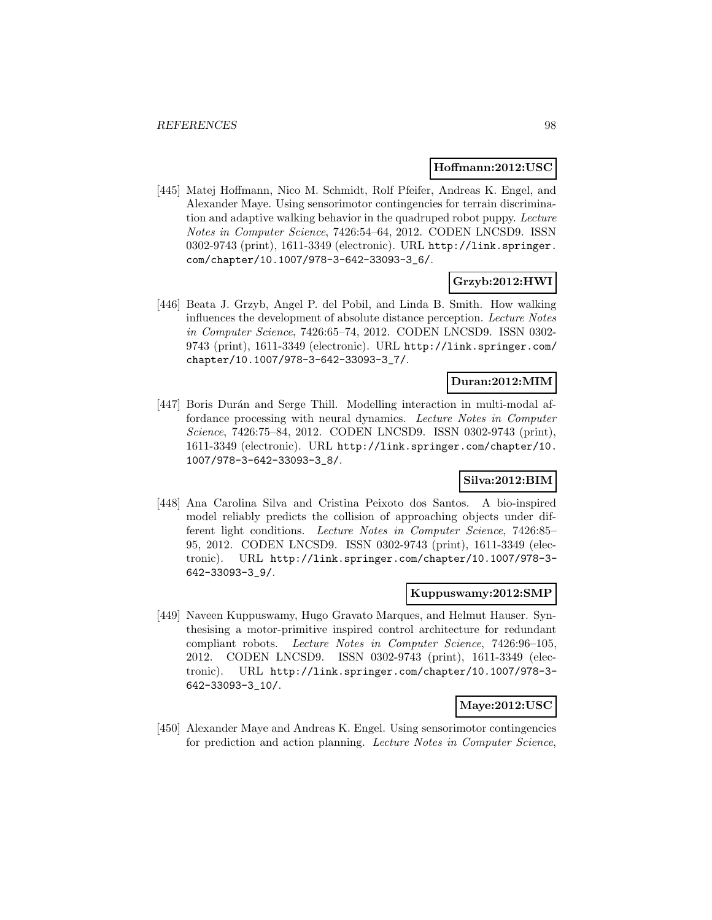### **Hoffmann:2012:USC**

[445] Matej Hoffmann, Nico M. Schmidt, Rolf Pfeifer, Andreas K. Engel, and Alexander Maye. Using sensorimotor contingencies for terrain discrimination and adaptive walking behavior in the quadruped robot puppy. Lecture Notes in Computer Science, 7426:54–64, 2012. CODEN LNCSD9. ISSN 0302-9743 (print), 1611-3349 (electronic). URL http://link.springer. com/chapter/10.1007/978-3-642-33093-3\_6/.

# **Grzyb:2012:HWI**

[446] Beata J. Grzyb, Angel P. del Pobil, and Linda B. Smith. How walking influences the development of absolute distance perception. Lecture Notes in Computer Science, 7426:65–74, 2012. CODEN LNCSD9. ISSN 0302- 9743 (print), 1611-3349 (electronic). URL http://link.springer.com/ chapter/10.1007/978-3-642-33093-3\_7/.

# **Duran:2012:MIM**

[447] Boris Durán and Serge Thill. Modelling interaction in multi-modal affordance processing with neural dynamics. Lecture Notes in Computer Science, 7426:75–84, 2012. CODEN LNCSD9. ISSN 0302-9743 (print), 1611-3349 (electronic). URL http://link.springer.com/chapter/10. 1007/978-3-642-33093-3\_8/.

## **Silva:2012:BIM**

[448] Ana Carolina Silva and Cristina Peixoto dos Santos. A bio-inspired model reliably predicts the collision of approaching objects under different light conditions. Lecture Notes in Computer Science, 7426:85– 95, 2012. CODEN LNCSD9. ISSN 0302-9743 (print), 1611-3349 (electronic). URL http://link.springer.com/chapter/10.1007/978-3- 642-33093-3\_9/.

# **Kuppuswamy:2012:SMP**

[449] Naveen Kuppuswamy, Hugo Gravato Marques, and Helmut Hauser. Synthesising a motor-primitive inspired control architecture for redundant compliant robots. Lecture Notes in Computer Science, 7426:96–105, 2012. CODEN LNCSD9. ISSN 0302-9743 (print), 1611-3349 (electronic). URL http://link.springer.com/chapter/10.1007/978-3- 642-33093-3\_10/.

### **Maye:2012:USC**

[450] Alexander Maye and Andreas K. Engel. Using sensorimotor contingencies for prediction and action planning. Lecture Notes in Computer Science,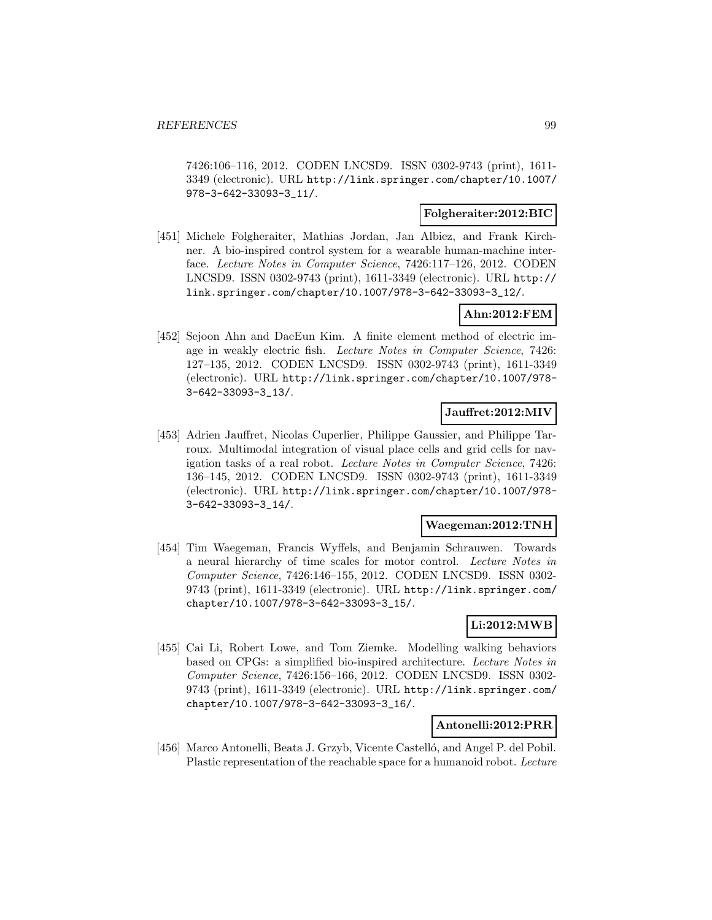7426:106–116, 2012. CODEN LNCSD9. ISSN 0302-9743 (print), 1611- 3349 (electronic). URL http://link.springer.com/chapter/10.1007/ 978-3-642-33093-3\_11/.

## **Folgheraiter:2012:BIC**

[451] Michele Folgheraiter, Mathias Jordan, Jan Albiez, and Frank Kirchner. A bio-inspired control system for a wearable human-machine interface. Lecture Notes in Computer Science, 7426:117–126, 2012. CODEN LNCSD9. ISSN 0302-9743 (print), 1611-3349 (electronic). URL http:// link.springer.com/chapter/10.1007/978-3-642-33093-3\_12/.

## **Ahn:2012:FEM**

[452] Sejoon Ahn and DaeEun Kim. A finite element method of electric image in weakly electric fish. Lecture Notes in Computer Science, 7426: 127–135, 2012. CODEN LNCSD9. ISSN 0302-9743 (print), 1611-3349 (electronic). URL http://link.springer.com/chapter/10.1007/978- 3-642-33093-3\_13/.

## **Jauffret:2012:MIV**

[453] Adrien Jauffret, Nicolas Cuperlier, Philippe Gaussier, and Philippe Tarroux. Multimodal integration of visual place cells and grid cells for navigation tasks of a real robot. Lecture Notes in Computer Science, 7426: 136–145, 2012. CODEN LNCSD9. ISSN 0302-9743 (print), 1611-3349 (electronic). URL http://link.springer.com/chapter/10.1007/978- 3-642-33093-3\_14/.

#### **Waegeman:2012:TNH**

[454] Tim Waegeman, Francis Wyffels, and Benjamin Schrauwen. Towards a neural hierarchy of time scales for motor control. Lecture Notes in Computer Science, 7426:146–155, 2012. CODEN LNCSD9. ISSN 0302- 9743 (print), 1611-3349 (electronic). URL http://link.springer.com/ chapter/10.1007/978-3-642-33093-3\_15/.

# **Li:2012:MWB**

[455] Cai Li, Robert Lowe, and Tom Ziemke. Modelling walking behaviors based on CPGs: a simplified bio-inspired architecture. Lecture Notes in Computer Science, 7426:156–166, 2012. CODEN LNCSD9. ISSN 0302- 9743 (print), 1611-3349 (electronic). URL http://link.springer.com/ chapter/10.1007/978-3-642-33093-3\_16/.

### **Antonelli:2012:PRR**

[456] Marco Antonelli, Beata J. Grzyb, Vicente Castelló, and Angel P. del Pobil. Plastic representation of the reachable space for a humanoid robot. Lecture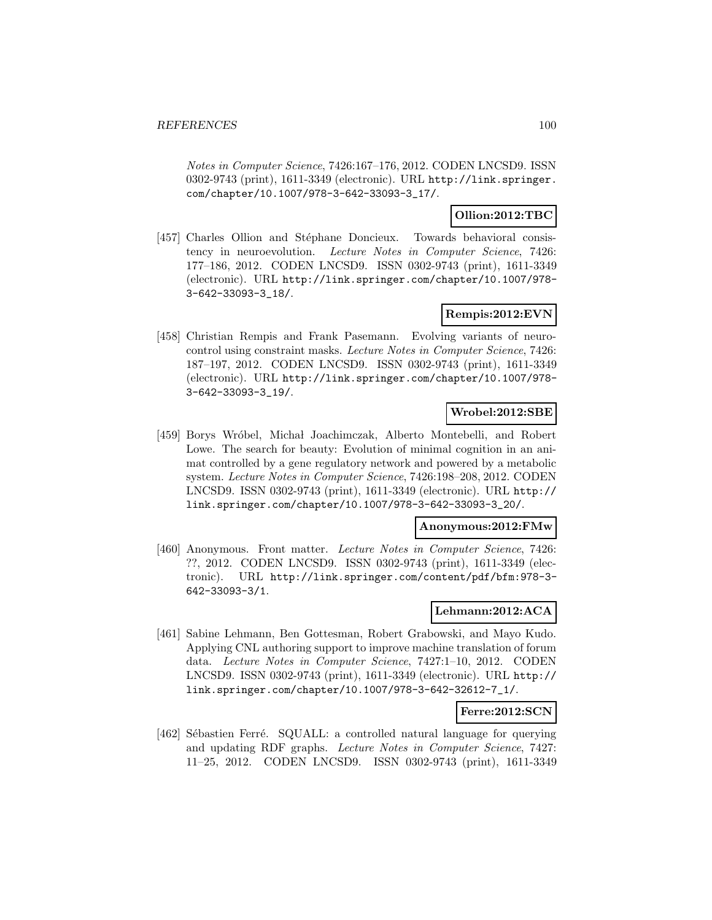Notes in Computer Science, 7426:167–176, 2012. CODEN LNCSD9. ISSN 0302-9743 (print), 1611-3349 (electronic). URL http://link.springer. com/chapter/10.1007/978-3-642-33093-3\_17/.

## **Ollion:2012:TBC**

[457] Charles Ollion and Stéphane Doncieux. Towards behavioral consistency in neuroevolution. Lecture Notes in Computer Science, 7426: 177–186, 2012. CODEN LNCSD9. ISSN 0302-9743 (print), 1611-3349 (electronic). URL http://link.springer.com/chapter/10.1007/978- 3-642-33093-3\_18/.

## **Rempis:2012:EVN**

[458] Christian Rempis and Frank Pasemann. Evolving variants of neurocontrol using constraint masks. Lecture Notes in Computer Science, 7426: 187–197, 2012. CODEN LNCSD9. ISSN 0302-9743 (print), 1611-3349 (electronic). URL http://link.springer.com/chapter/10.1007/978- 3-642-33093-3\_19/.

# **Wrobel:2012:SBE**

[459] Borys Wróbel, Michał Joachimczak, Alberto Montebelli, and Robert Lowe. The search for beauty: Evolution of minimal cognition in an animat controlled by a gene regulatory network and powered by a metabolic system. Lecture Notes in Computer Science, 7426:198–208, 2012. CODEN LNCSD9. ISSN 0302-9743 (print), 1611-3349 (electronic). URL http:// link.springer.com/chapter/10.1007/978-3-642-33093-3\_20/.

### **Anonymous:2012:FMw**

[460] Anonymous. Front matter. Lecture Notes in Computer Science, 7426: ??, 2012. CODEN LNCSD9. ISSN 0302-9743 (print), 1611-3349 (electronic). URL http://link.springer.com/content/pdf/bfm:978-3- 642-33093-3/1.

# **Lehmann:2012:ACA**

[461] Sabine Lehmann, Ben Gottesman, Robert Grabowski, and Mayo Kudo. Applying CNL authoring support to improve machine translation of forum data. Lecture Notes in Computer Science, 7427:1–10, 2012. CODEN LNCSD9. ISSN 0302-9743 (print), 1611-3349 (electronic). URL http:// link.springer.com/chapter/10.1007/978-3-642-32612-7\_1/.

### **Ferre:2012:SCN**

[462] Sébastien Ferré. SQUALL: a controlled natural language for querying and updating RDF graphs. Lecture Notes in Computer Science, 7427: 11–25, 2012. CODEN LNCSD9. ISSN 0302-9743 (print), 1611-3349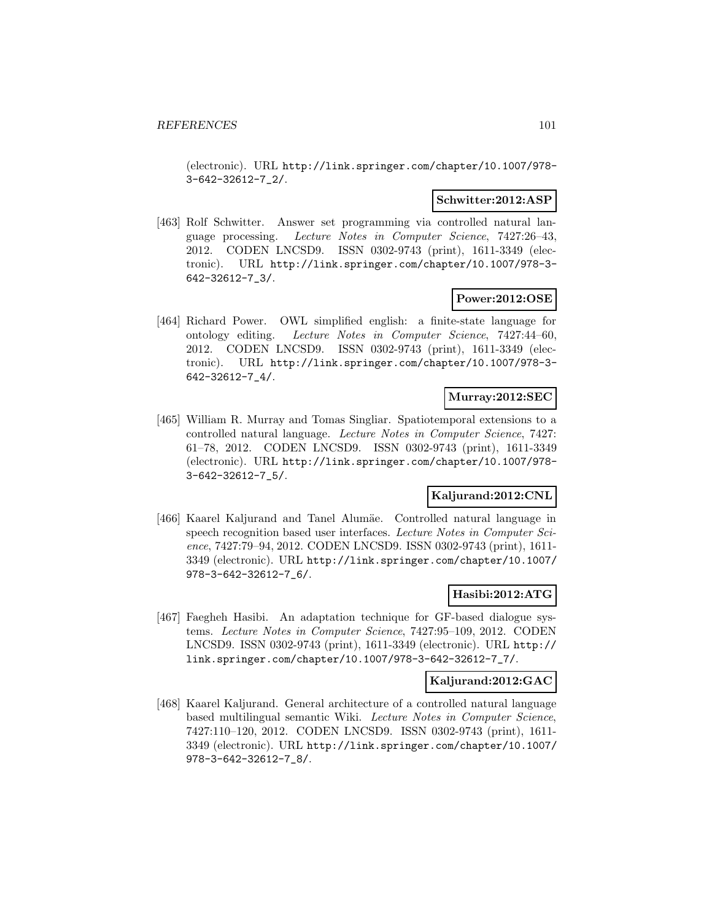(electronic). URL http://link.springer.com/chapter/10.1007/978- 3-642-32612-7\_2/.

### **Schwitter:2012:ASP**

[463] Rolf Schwitter. Answer set programming via controlled natural language processing. Lecture Notes in Computer Science, 7427:26–43, 2012. CODEN LNCSD9. ISSN 0302-9743 (print), 1611-3349 (electronic). URL http://link.springer.com/chapter/10.1007/978-3- 642-32612-7\_3/.

### **Power:2012:OSE**

[464] Richard Power. OWL simplified english: a finite-state language for ontology editing. Lecture Notes in Computer Science, 7427:44–60, 2012. CODEN LNCSD9. ISSN 0302-9743 (print), 1611-3349 (electronic). URL http://link.springer.com/chapter/10.1007/978-3- 642-32612-7\_4/.

### **Murray:2012:SEC**

[465] William R. Murray and Tomas Singliar. Spatiotemporal extensions to a controlled natural language. Lecture Notes in Computer Science, 7427: 61–78, 2012. CODEN LNCSD9. ISSN 0302-9743 (print), 1611-3349 (electronic). URL http://link.springer.com/chapter/10.1007/978- 3-642-32612-7\_5/.

### **Kaljurand:2012:CNL**

[466] Kaarel Kaljurand and Tanel Alumäe. Controlled natural language in speech recognition based user interfaces. Lecture Notes in Computer Science, 7427:79–94, 2012. CODEN LNCSD9. ISSN 0302-9743 (print), 1611- 3349 (electronic). URL http://link.springer.com/chapter/10.1007/ 978-3-642-32612-7\_6/.

# **Hasibi:2012:ATG**

[467] Faegheh Hasibi. An adaptation technique for GF-based dialogue systems. Lecture Notes in Computer Science, 7427:95–109, 2012. CODEN LNCSD9. ISSN 0302-9743 (print), 1611-3349 (electronic). URL http:// link.springer.com/chapter/10.1007/978-3-642-32612-7\_7/.

#### **Kaljurand:2012:GAC**

[468] Kaarel Kaljurand. General architecture of a controlled natural language based multilingual semantic Wiki. Lecture Notes in Computer Science, 7427:110–120, 2012. CODEN LNCSD9. ISSN 0302-9743 (print), 1611- 3349 (electronic). URL http://link.springer.com/chapter/10.1007/ 978-3-642-32612-7\_8/.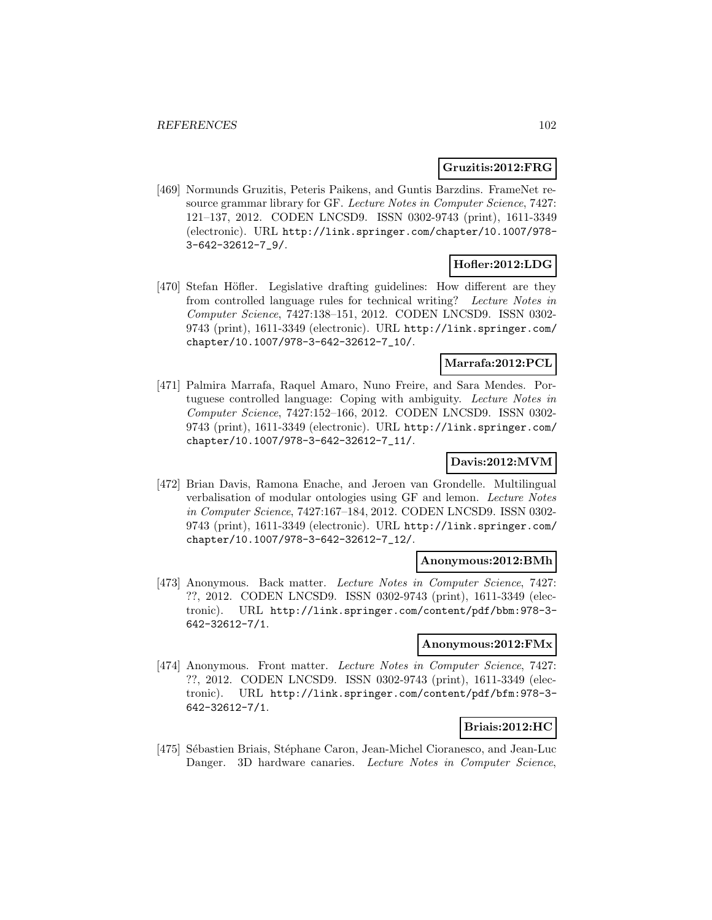## **Gruzitis:2012:FRG**

[469] Normunds Gruzitis, Peteris Paikens, and Guntis Barzdins. FrameNet resource grammar library for GF. Lecture Notes in Computer Science, 7427: 121–137, 2012. CODEN LNCSD9. ISSN 0302-9743 (print), 1611-3349 (electronic). URL http://link.springer.com/chapter/10.1007/978- 3-642-32612-7\_9/.

## **Hofler:2012:LDG**

[470] Stefan Höfler. Legislative drafting guidelines: How different are they from controlled language rules for technical writing? Lecture Notes in Computer Science, 7427:138–151, 2012. CODEN LNCSD9. ISSN 0302- 9743 (print), 1611-3349 (electronic). URL http://link.springer.com/ chapter/10.1007/978-3-642-32612-7\_10/.

### **Marrafa:2012:PCL**

[471] Palmira Marrafa, Raquel Amaro, Nuno Freire, and Sara Mendes. Portuguese controlled language: Coping with ambiguity. Lecture Notes in Computer Science, 7427:152–166, 2012. CODEN LNCSD9. ISSN 0302- 9743 (print), 1611-3349 (electronic). URL http://link.springer.com/ chapter/10.1007/978-3-642-32612-7\_11/.

## **Davis:2012:MVM**

[472] Brian Davis, Ramona Enache, and Jeroen van Grondelle. Multilingual verbalisation of modular ontologies using GF and lemon. Lecture Notes in Computer Science, 7427:167–184, 2012. CODEN LNCSD9. ISSN 0302- 9743 (print), 1611-3349 (electronic). URL http://link.springer.com/ chapter/10.1007/978-3-642-32612-7\_12/.

### **Anonymous:2012:BMh**

[473] Anonymous. Back matter. Lecture Notes in Computer Science, 7427: ??, 2012. CODEN LNCSD9. ISSN 0302-9743 (print), 1611-3349 (electronic). URL http://link.springer.com/content/pdf/bbm:978-3- 642-32612-7/1.

#### **Anonymous:2012:FMx**

[474] Anonymous. Front matter. Lecture Notes in Computer Science, 7427: ??, 2012. CODEN LNCSD9. ISSN 0302-9743 (print), 1611-3349 (electronic). URL http://link.springer.com/content/pdf/bfm:978-3- 642-32612-7/1.

# **Briais:2012:HC**

[475] Sébastien Briais, Stéphane Caron, Jean-Michel Cioranesco, and Jean-Luc Danger. 3D hardware canaries. Lecture Notes in Computer Science,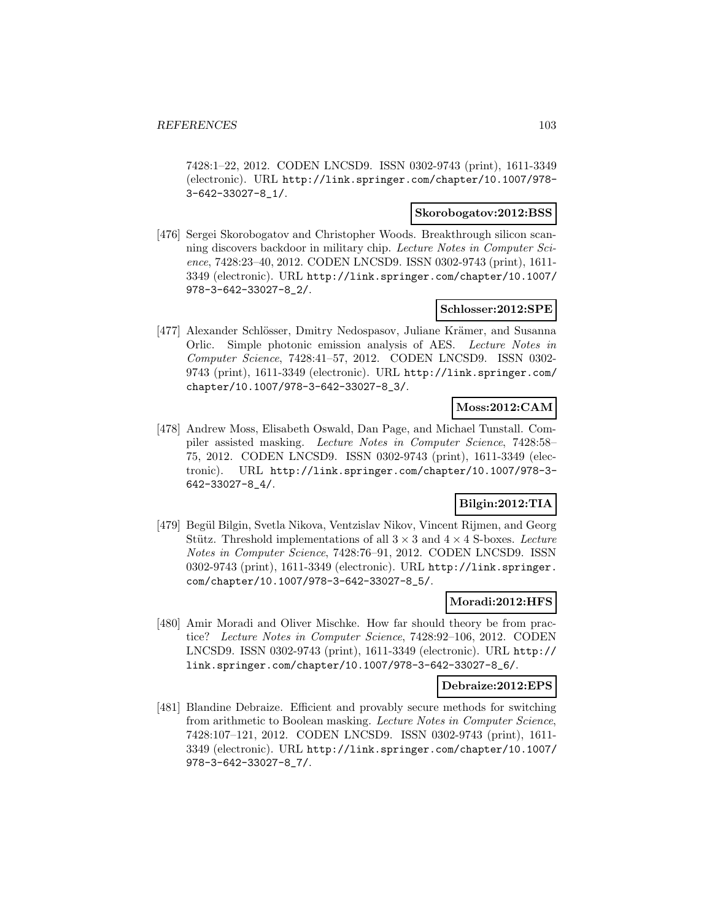7428:1–22, 2012. CODEN LNCSD9. ISSN 0302-9743 (print), 1611-3349 (electronic). URL http://link.springer.com/chapter/10.1007/978- 3-642-33027-8\_1/.

# **Skorobogatov:2012:BSS**

[476] Sergei Skorobogatov and Christopher Woods. Breakthrough silicon scanning discovers backdoor in military chip. Lecture Notes in Computer Science, 7428:23–40, 2012. CODEN LNCSD9. ISSN 0302-9743 (print), 1611- 3349 (electronic). URL http://link.springer.com/chapter/10.1007/ 978-3-642-33027-8\_2/.

## **Schlosser:2012:SPE**

[477] Alexander Schlösser, Dmitry Nedospasov, Juliane Krämer, and Susanna Orlic. Simple photonic emission analysis of AES. Lecture Notes in Computer Science, 7428:41–57, 2012. CODEN LNCSD9. ISSN 0302- 9743 (print), 1611-3349 (electronic). URL http://link.springer.com/ chapter/10.1007/978-3-642-33027-8\_3/.

# **Moss:2012:CAM**

[478] Andrew Moss, Elisabeth Oswald, Dan Page, and Michael Tunstall. Compiler assisted masking. Lecture Notes in Computer Science, 7428:58– 75, 2012. CODEN LNCSD9. ISSN 0302-9743 (print), 1611-3349 (electronic). URL http://link.springer.com/chapter/10.1007/978-3- 642-33027-8\_4/.

# **Bilgin:2012:TIA**

[479] Begül Bilgin, Svetla Nikova, Ventzislav Nikov, Vincent Rijmen, and Georg Stütz. Threshold implementations of all  $3 \times 3$  and  $4 \times 4$  S-boxes. Lecture Notes in Computer Science, 7428:76–91, 2012. CODEN LNCSD9. ISSN 0302-9743 (print), 1611-3349 (electronic). URL http://link.springer. com/chapter/10.1007/978-3-642-33027-8\_5/.

### **Moradi:2012:HFS**

[480] Amir Moradi and Oliver Mischke. How far should theory be from practice? Lecture Notes in Computer Science, 7428:92–106, 2012. CODEN LNCSD9. ISSN 0302-9743 (print), 1611-3349 (electronic). URL http:// link.springer.com/chapter/10.1007/978-3-642-33027-8\_6/.

#### **Debraize:2012:EPS**

[481] Blandine Debraize. Efficient and provably secure methods for switching from arithmetic to Boolean masking. Lecture Notes in Computer Science, 7428:107–121, 2012. CODEN LNCSD9. ISSN 0302-9743 (print), 1611- 3349 (electronic). URL http://link.springer.com/chapter/10.1007/ 978-3-642-33027-8\_7/.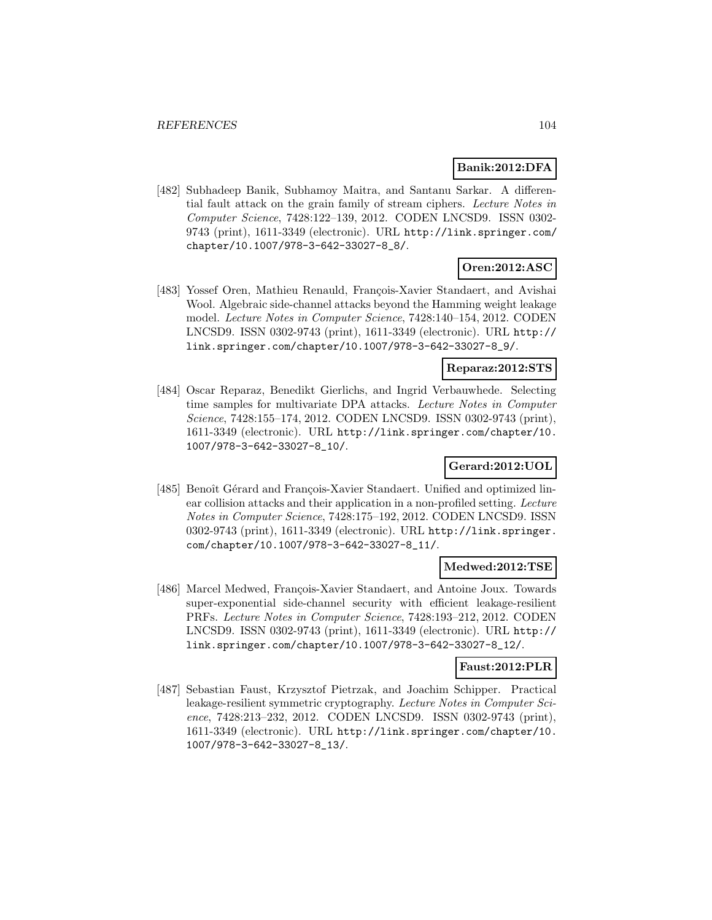## **Banik:2012:DFA**

[482] Subhadeep Banik, Subhamoy Maitra, and Santanu Sarkar. A differential fault attack on the grain family of stream ciphers. Lecture Notes in Computer Science, 7428:122–139, 2012. CODEN LNCSD9. ISSN 0302- 9743 (print), 1611-3349 (electronic). URL http://link.springer.com/ chapter/10.1007/978-3-642-33027-8\_8/.

# **Oren:2012:ASC**

[483] Yossef Oren, Mathieu Renauld, François-Xavier Standaert, and Avishai Wool. Algebraic side-channel attacks beyond the Hamming weight leakage model. Lecture Notes in Computer Science, 7428:140–154, 2012. CODEN LNCSD9. ISSN 0302-9743 (print), 1611-3349 (electronic). URL http:// link.springer.com/chapter/10.1007/978-3-642-33027-8\_9/.

#### **Reparaz:2012:STS**

[484] Oscar Reparaz, Benedikt Gierlichs, and Ingrid Verbauwhede. Selecting time samples for multivariate DPA attacks. Lecture Notes in Computer Science, 7428:155–174, 2012. CODEN LNCSD9. ISSN 0302-9743 (print), 1611-3349 (electronic). URL http://link.springer.com/chapter/10. 1007/978-3-642-33027-8\_10/.

## **Gerard:2012:UOL**

[485] Benoît Gérard and François-Xavier Standaert. Unified and optimized linear collision attacks and their application in a non-profiled setting. Lecture Notes in Computer Science, 7428:175–192, 2012. CODEN LNCSD9. ISSN 0302-9743 (print), 1611-3349 (electronic). URL http://link.springer. com/chapter/10.1007/978-3-642-33027-8\_11/.

### **Medwed:2012:TSE**

[486] Marcel Medwed, François-Xavier Standaert, and Antoine Joux. Towards super-exponential side-channel security with efficient leakage-resilient PRFs. Lecture Notes in Computer Science, 7428:193–212, 2012. CODEN LNCSD9. ISSN 0302-9743 (print), 1611-3349 (electronic). URL http:// link.springer.com/chapter/10.1007/978-3-642-33027-8\_12/.

### **Faust:2012:PLR**

[487] Sebastian Faust, Krzysztof Pietrzak, and Joachim Schipper. Practical leakage-resilient symmetric cryptography. Lecture Notes in Computer Science, 7428:213–232, 2012. CODEN LNCSD9. ISSN 0302-9743 (print), 1611-3349 (electronic). URL http://link.springer.com/chapter/10. 1007/978-3-642-33027-8\_13/.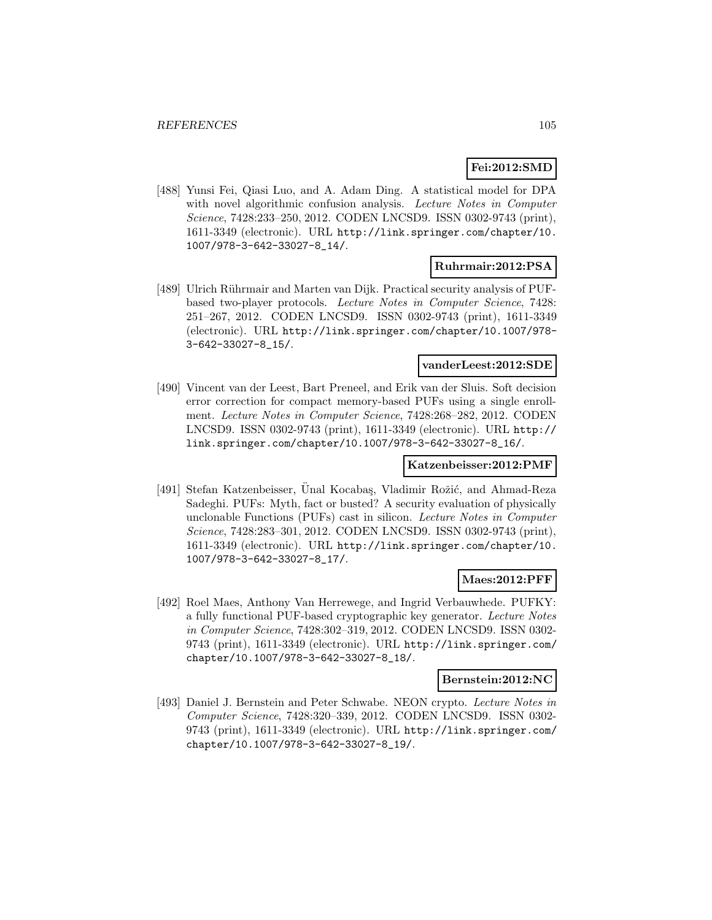# **Fei:2012:SMD**

[488] Yunsi Fei, Qiasi Luo, and A. Adam Ding. A statistical model for DPA with novel algorithmic confusion analysis. Lecture Notes in Computer Science, 7428:233–250, 2012. CODEN LNCSD9. ISSN 0302-9743 (print), 1611-3349 (electronic). URL http://link.springer.com/chapter/10. 1007/978-3-642-33027-8\_14/.

### **Ruhrmair:2012:PSA**

[489] Ulrich Rührmair and Marten van Dijk. Practical security analysis of PUFbased two-player protocols. Lecture Notes in Computer Science, 7428: 251–267, 2012. CODEN LNCSD9. ISSN 0302-9743 (print), 1611-3349 (electronic). URL http://link.springer.com/chapter/10.1007/978- 3-642-33027-8\_15/.

## **vanderLeest:2012:SDE**

[490] Vincent van der Leest, Bart Preneel, and Erik van der Sluis. Soft decision error correction for compact memory-based PUFs using a single enrollment. Lecture Notes in Computer Science, 7428:268–282, 2012. CODEN LNCSD9. ISSN 0302-9743 (print), 1611-3349 (electronic). URL http:// link.springer.com/chapter/10.1007/978-3-642-33027-8\_16/.

## **Katzenbeisser:2012:PMF**

[491] Stefan Katzenbeisser, Unal Kocabaş, Vladimir Rožić, and Ahmad-Reza Sadeghi. PUFs: Myth, fact or busted? A security evaluation of physically unclonable Functions (PUFs) cast in silicon. Lecture Notes in Computer Science, 7428:283–301, 2012. CODEN LNCSD9. ISSN 0302-9743 (print), 1611-3349 (electronic). URL http://link.springer.com/chapter/10. 1007/978-3-642-33027-8\_17/.

### **Maes:2012:PFF**

[492] Roel Maes, Anthony Van Herrewege, and Ingrid Verbauwhede. PUFKY: a fully functional PUF-based cryptographic key generator. Lecture Notes in Computer Science, 7428:302–319, 2012. CODEN LNCSD9. ISSN 0302- 9743 (print), 1611-3349 (electronic). URL http://link.springer.com/ chapter/10.1007/978-3-642-33027-8\_18/.

#### **Bernstein:2012:NC**

[493] Daniel J. Bernstein and Peter Schwabe. NEON crypto. Lecture Notes in Computer Science, 7428:320–339, 2012. CODEN LNCSD9. ISSN 0302- 9743 (print), 1611-3349 (electronic). URL http://link.springer.com/ chapter/10.1007/978-3-642-33027-8\_19/.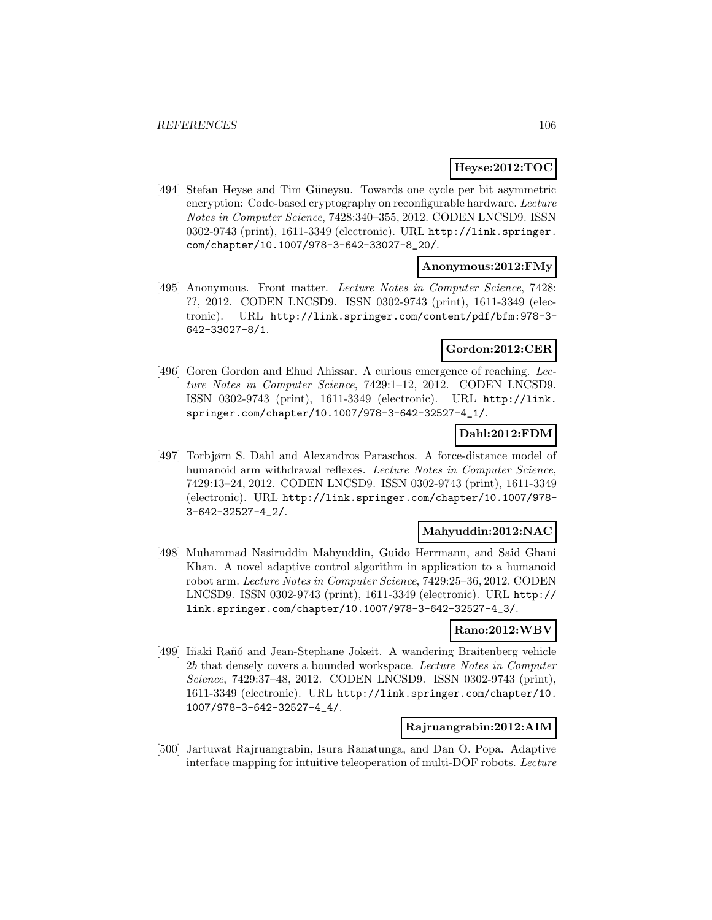## **Heyse:2012:TOC**

[494] Stefan Heyse and Tim Güneysu. Towards one cycle per bit asymmetric encryption: Code-based cryptography on reconfigurable hardware. Lecture Notes in Computer Science, 7428:340–355, 2012. CODEN LNCSD9. ISSN 0302-9743 (print), 1611-3349 (electronic). URL http://link.springer. com/chapter/10.1007/978-3-642-33027-8\_20/.

## **Anonymous:2012:FMy**

[495] Anonymous. Front matter. Lecture Notes in Computer Science, 7428: ??, 2012. CODEN LNCSD9. ISSN 0302-9743 (print), 1611-3349 (electronic). URL http://link.springer.com/content/pdf/bfm:978-3- 642-33027-8/1.

## **Gordon:2012:CER**

[496] Goren Gordon and Ehud Ahissar. A curious emergence of reaching. Lecture Notes in Computer Science, 7429:1–12, 2012. CODEN LNCSD9. ISSN 0302-9743 (print), 1611-3349 (electronic). URL http://link. springer.com/chapter/10.1007/978-3-642-32527-4\_1/.

## **Dahl:2012:FDM**

[497] Torbjørn S. Dahl and Alexandros Paraschos. A force-distance model of humanoid arm withdrawal reflexes. Lecture Notes in Computer Science, 7429:13–24, 2012. CODEN LNCSD9. ISSN 0302-9743 (print), 1611-3349 (electronic). URL http://link.springer.com/chapter/10.1007/978- 3-642-32527-4\_2/.

#### **Mahyuddin:2012:NAC**

[498] Muhammad Nasiruddin Mahyuddin, Guido Herrmann, and Said Ghani Khan. A novel adaptive control algorithm in application to a humanoid robot arm. Lecture Notes in Computer Science, 7429:25–36, 2012. CODEN LNCSD9. ISSN 0302-9743 (print), 1611-3349 (electronic). URL http:// link.springer.com/chapter/10.1007/978-3-642-32527-4\_3/.

## **Rano:2012:WBV**

[499] Iñaki Rañó and Jean-Stephane Jokeit. A wandering Braitenberg vehicle 2b that densely covers a bounded workspace. Lecture Notes in Computer Science, 7429:37–48, 2012. CODEN LNCSD9. ISSN 0302-9743 (print), 1611-3349 (electronic). URL http://link.springer.com/chapter/10. 1007/978-3-642-32527-4\_4/.

## **Rajruangrabin:2012:AIM**

[500] Jartuwat Rajruangrabin, Isura Ranatunga, and Dan O. Popa. Adaptive interface mapping for intuitive teleoperation of multi-DOF robots. Lecture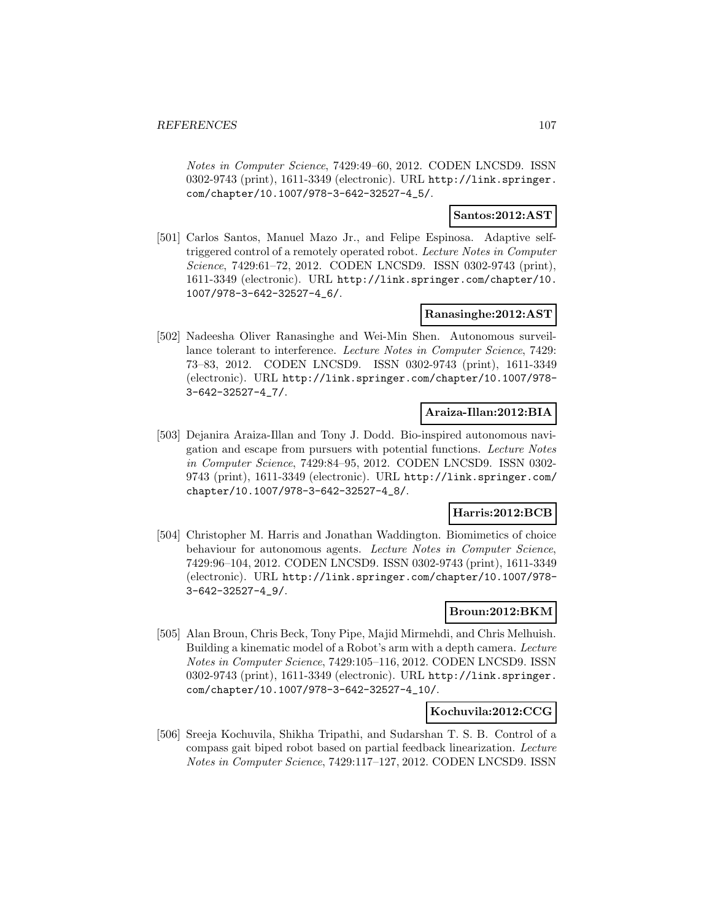Notes in Computer Science, 7429:49–60, 2012. CODEN LNCSD9. ISSN 0302-9743 (print), 1611-3349 (electronic). URL http://link.springer. com/chapter/10.1007/978-3-642-32527-4\_5/.

## **Santos:2012:AST**

[501] Carlos Santos, Manuel Mazo Jr., and Felipe Espinosa. Adaptive selftriggered control of a remotely operated robot. Lecture Notes in Computer Science, 7429:61–72, 2012. CODEN LNCSD9. ISSN 0302-9743 (print), 1611-3349 (electronic). URL http://link.springer.com/chapter/10. 1007/978-3-642-32527-4\_6/.

## **Ranasinghe:2012:AST**

[502] Nadeesha Oliver Ranasinghe and Wei-Min Shen. Autonomous surveillance tolerant to interference. Lecture Notes in Computer Science, 7429: 73–83, 2012. CODEN LNCSD9. ISSN 0302-9743 (print), 1611-3349 (electronic). URL http://link.springer.com/chapter/10.1007/978- 3-642-32527-4\_7/.

## **Araiza-Illan:2012:BIA**

[503] Dejanira Araiza-Illan and Tony J. Dodd. Bio-inspired autonomous navigation and escape from pursuers with potential functions. Lecture Notes in Computer Science, 7429:84–95, 2012. CODEN LNCSD9. ISSN 0302- 9743 (print), 1611-3349 (electronic). URL http://link.springer.com/ chapter/10.1007/978-3-642-32527-4\_8/.

## **Harris:2012:BCB**

[504] Christopher M. Harris and Jonathan Waddington. Biomimetics of choice behaviour for autonomous agents. Lecture Notes in Computer Science, 7429:96–104, 2012. CODEN LNCSD9. ISSN 0302-9743 (print), 1611-3349 (electronic). URL http://link.springer.com/chapter/10.1007/978- 3-642-32527-4\_9/.

# **Broun:2012:BKM**

[505] Alan Broun, Chris Beck, Tony Pipe, Majid Mirmehdi, and Chris Melhuish. Building a kinematic model of a Robot's arm with a depth camera. Lecture Notes in Computer Science, 7429:105–116, 2012. CODEN LNCSD9. ISSN 0302-9743 (print), 1611-3349 (electronic). URL http://link.springer. com/chapter/10.1007/978-3-642-32527-4\_10/.

## **Kochuvila:2012:CCG**

[506] Sreeja Kochuvila, Shikha Tripathi, and Sudarshan T. S. B. Control of a compass gait biped robot based on partial feedback linearization. Lecture Notes in Computer Science, 7429:117–127, 2012. CODEN LNCSD9. ISSN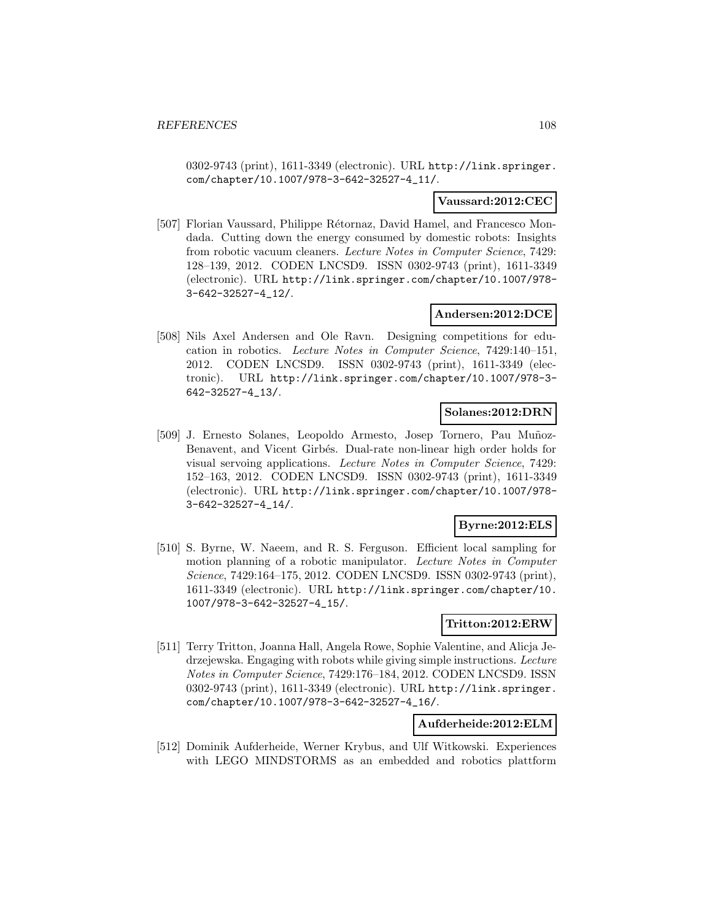0302-9743 (print), 1611-3349 (electronic). URL http://link.springer. com/chapter/10.1007/978-3-642-32527-4\_11/.

### **Vaussard:2012:CEC**

[507] Florian Vaussard, Philippe Rétornaz, David Hamel, and Francesco Mondada. Cutting down the energy consumed by domestic robots: Insights from robotic vacuum cleaners. Lecture Notes in Computer Science, 7429: 128–139, 2012. CODEN LNCSD9. ISSN 0302-9743 (print), 1611-3349 (electronic). URL http://link.springer.com/chapter/10.1007/978- 3-642-32527-4\_12/.

## **Andersen:2012:DCE**

[508] Nils Axel Andersen and Ole Ravn. Designing competitions for education in robotics. Lecture Notes in Computer Science, 7429:140–151, 2012. CODEN LNCSD9. ISSN 0302-9743 (print), 1611-3349 (electronic). URL http://link.springer.com/chapter/10.1007/978-3- 642-32527-4\_13/.

### **Solanes:2012:DRN**

[509] J. Ernesto Solanes, Leopoldo Armesto, Josep Tornero, Pau Muñoz-Benavent, and Vicent Girb´es. Dual-rate non-linear high order holds for visual servoing applications. Lecture Notes in Computer Science, 7429: 152–163, 2012. CODEN LNCSD9. ISSN 0302-9743 (print), 1611-3349 (electronic). URL http://link.springer.com/chapter/10.1007/978- 3-642-32527-4\_14/.

### **Byrne:2012:ELS**

[510] S. Byrne, W. Naeem, and R. S. Ferguson. Efficient local sampling for motion planning of a robotic manipulator. Lecture Notes in Computer Science, 7429:164–175, 2012. CODEN LNCSD9. ISSN 0302-9743 (print), 1611-3349 (electronic). URL http://link.springer.com/chapter/10. 1007/978-3-642-32527-4\_15/.

#### **Tritton:2012:ERW**

[511] Terry Tritton, Joanna Hall, Angela Rowe, Sophie Valentine, and Alicja Jedrzejewska. Engaging with robots while giving simple instructions. Lecture Notes in Computer Science, 7429:176–184, 2012. CODEN LNCSD9. ISSN 0302-9743 (print), 1611-3349 (electronic). URL http://link.springer. com/chapter/10.1007/978-3-642-32527-4\_16/.

#### **Aufderheide:2012:ELM**

[512] Dominik Aufderheide, Werner Krybus, and Ulf Witkowski. Experiences with LEGO MINDSTORMS as an embedded and robotics plattform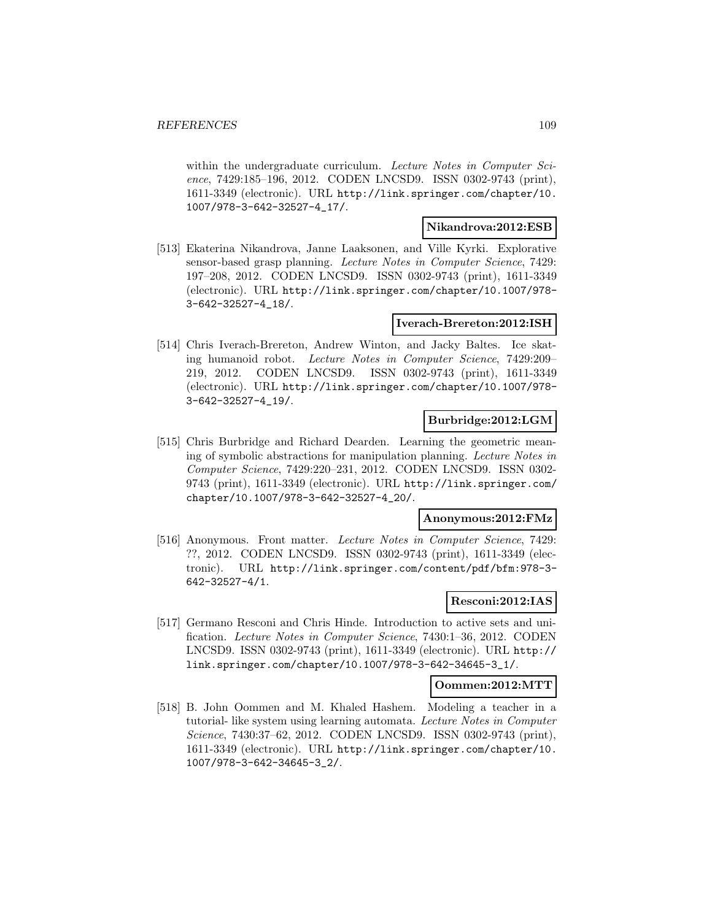within the undergraduate curriculum. Lecture Notes in Computer Science, 7429:185–196, 2012. CODEN LNCSD9. ISSN 0302-9743 (print), 1611-3349 (electronic). URL http://link.springer.com/chapter/10. 1007/978-3-642-32527-4\_17/.

#### **Nikandrova:2012:ESB**

[513] Ekaterina Nikandrova, Janne Laaksonen, and Ville Kyrki. Explorative sensor-based grasp planning. Lecture Notes in Computer Science, 7429: 197–208, 2012. CODEN LNCSD9. ISSN 0302-9743 (print), 1611-3349 (electronic). URL http://link.springer.com/chapter/10.1007/978- 3-642-32527-4\_18/.

#### **Iverach-Brereton:2012:ISH**

[514] Chris Iverach-Brereton, Andrew Winton, and Jacky Baltes. Ice skating humanoid robot. Lecture Notes in Computer Science, 7429:209– 219, 2012. CODEN LNCSD9. ISSN 0302-9743 (print), 1611-3349 (electronic). URL http://link.springer.com/chapter/10.1007/978- 3-642-32527-4\_19/.

## **Burbridge:2012:LGM**

[515] Chris Burbridge and Richard Dearden. Learning the geometric meaning of symbolic abstractions for manipulation planning. Lecture Notes in Computer Science, 7429:220–231, 2012. CODEN LNCSD9. ISSN 0302- 9743 (print), 1611-3349 (electronic). URL http://link.springer.com/ chapter/10.1007/978-3-642-32527-4\_20/.

## **Anonymous:2012:FMz**

[516] Anonymous. Front matter. Lecture Notes in Computer Science, 7429: ??, 2012. CODEN LNCSD9. ISSN 0302-9743 (print), 1611-3349 (electronic). URL http://link.springer.com/content/pdf/bfm:978-3- 642-32527-4/1.

## **Resconi:2012:IAS**

[517] Germano Resconi and Chris Hinde. Introduction to active sets and unification. Lecture Notes in Computer Science, 7430:1–36, 2012. CODEN LNCSD9. ISSN 0302-9743 (print), 1611-3349 (electronic). URL http:// link.springer.com/chapter/10.1007/978-3-642-34645-3\_1/.

#### **Oommen:2012:MTT**

[518] B. John Oommen and M. Khaled Hashem. Modeling a teacher in a tutorial- like system using learning automata. Lecture Notes in Computer Science, 7430:37–62, 2012. CODEN LNCSD9. ISSN 0302-9743 (print), 1611-3349 (electronic). URL http://link.springer.com/chapter/10. 1007/978-3-642-34645-3\_2/.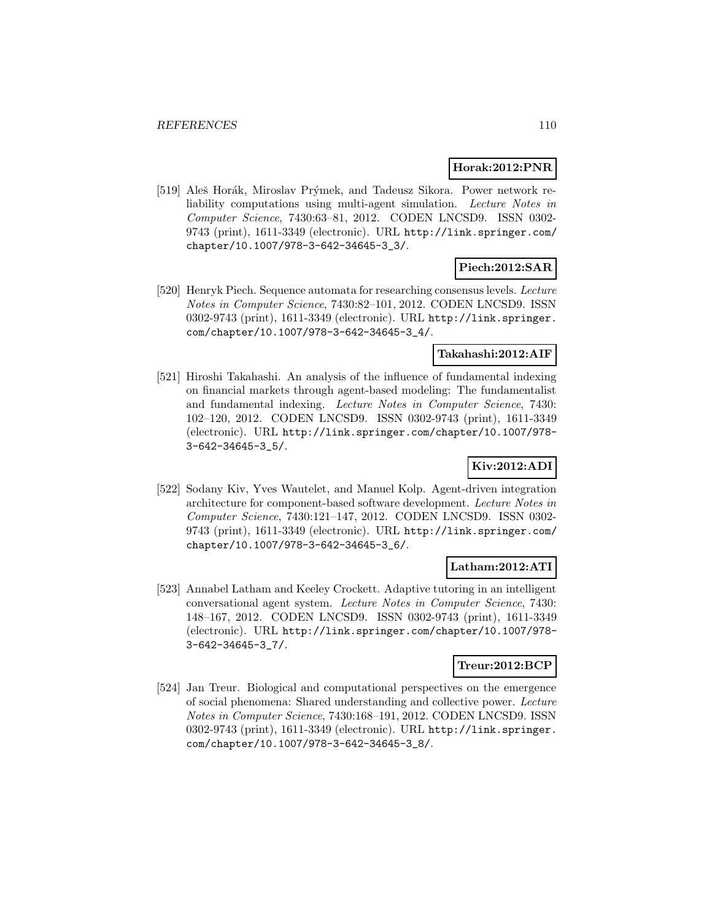#### **Horak:2012:PNR**

[519] Aleš Horák, Miroslav Prýmek, and Tadeusz Sikora. Power network reliability computations using multi-agent simulation. Lecture Notes in Computer Science, 7430:63–81, 2012. CODEN LNCSD9. ISSN 0302- 9743 (print), 1611-3349 (electronic). URL http://link.springer.com/ chapter/10.1007/978-3-642-34645-3\_3/.

# **Piech:2012:SAR**

[520] Henryk Piech. Sequence automata for researching consensus levels. Lecture Notes in Computer Science, 7430:82–101, 2012. CODEN LNCSD9. ISSN 0302-9743 (print), 1611-3349 (electronic). URL http://link.springer. com/chapter/10.1007/978-3-642-34645-3\_4/.

### **Takahashi:2012:AIF**

[521] Hiroshi Takahashi. An analysis of the influence of fundamental indexing on financial markets through agent-based modeling: The fundamentalist and fundamental indexing. Lecture Notes in Computer Science, 7430: 102–120, 2012. CODEN LNCSD9. ISSN 0302-9743 (print), 1611-3349 (electronic). URL http://link.springer.com/chapter/10.1007/978- 3-642-34645-3\_5/.

# **Kiv:2012:ADI**

[522] Sodany Kiv, Yves Wautelet, and Manuel Kolp. Agent-driven integration architecture for component-based software development. Lecture Notes in Computer Science, 7430:121–147, 2012. CODEN LNCSD9. ISSN 0302- 9743 (print), 1611-3349 (electronic). URL http://link.springer.com/ chapter/10.1007/978-3-642-34645-3\_6/.

# **Latham:2012:ATI**

[523] Annabel Latham and Keeley Crockett. Adaptive tutoring in an intelligent conversational agent system. Lecture Notes in Computer Science, 7430: 148–167, 2012. CODEN LNCSD9. ISSN 0302-9743 (print), 1611-3349 (electronic). URL http://link.springer.com/chapter/10.1007/978- 3-642-34645-3\_7/.

## **Treur:2012:BCP**

[524] Jan Treur. Biological and computational perspectives on the emergence of social phenomena: Shared understanding and collective power. Lecture Notes in Computer Science, 7430:168–191, 2012. CODEN LNCSD9. ISSN 0302-9743 (print), 1611-3349 (electronic). URL http://link.springer. com/chapter/10.1007/978-3-642-34645-3\_8/.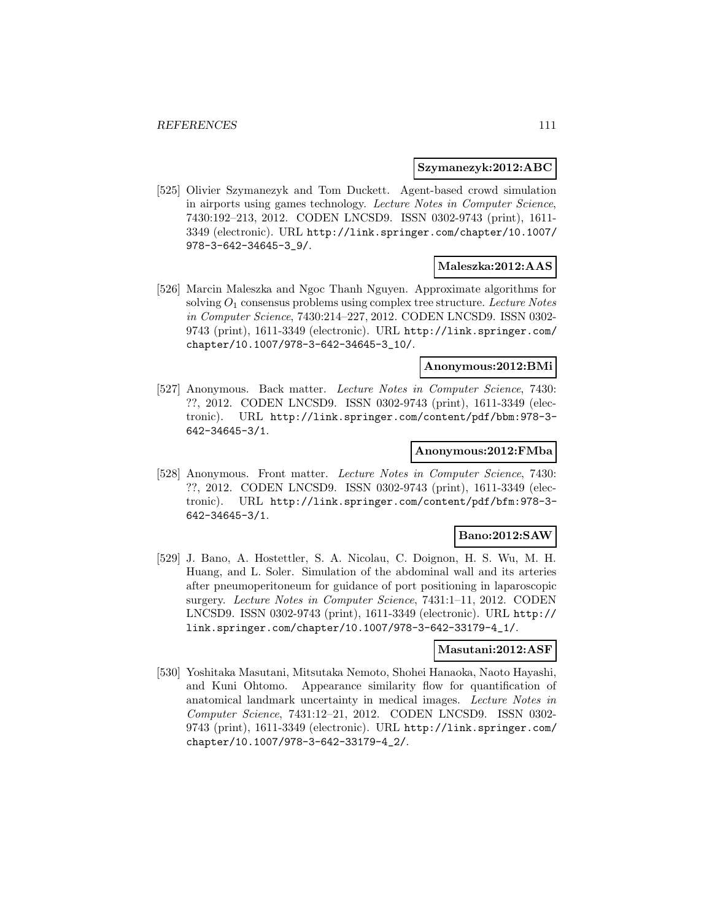#### **Szymanezyk:2012:ABC**

[525] Olivier Szymanezyk and Tom Duckett. Agent-based crowd simulation in airports using games technology. Lecture Notes in Computer Science, 7430:192–213, 2012. CODEN LNCSD9. ISSN 0302-9743 (print), 1611- 3349 (electronic). URL http://link.springer.com/chapter/10.1007/ 978-3-642-34645-3\_9/.

### **Maleszka:2012:AAS**

[526] Marcin Maleszka and Ngoc Thanh Nguyen. Approximate algorithms for solving  $O_1$  consensus problems using complex tree structure. Lecture Notes in Computer Science, 7430:214–227, 2012. CODEN LNCSD9. ISSN 0302- 9743 (print), 1611-3349 (electronic). URL http://link.springer.com/ chapter/10.1007/978-3-642-34645-3\_10/.

#### **Anonymous:2012:BMi**

[527] Anonymous. Back matter. Lecture Notes in Computer Science, 7430: ??, 2012. CODEN LNCSD9. ISSN 0302-9743 (print), 1611-3349 (electronic). URL http://link.springer.com/content/pdf/bbm:978-3- 642-34645-3/1.

#### **Anonymous:2012:FMba**

[528] Anonymous. Front matter. Lecture Notes in Computer Science, 7430: ??, 2012. CODEN LNCSD9. ISSN 0302-9743 (print), 1611-3349 (electronic). URL http://link.springer.com/content/pdf/bfm:978-3- 642-34645-3/1.

## **Bano:2012:SAW**

[529] J. Bano, A. Hostettler, S. A. Nicolau, C. Doignon, H. S. Wu, M. H. Huang, and L. Soler. Simulation of the abdominal wall and its arteries after pneumoperitoneum for guidance of port positioning in laparoscopic surgery. Lecture Notes in Computer Science, 7431:1–11, 2012. CODEN LNCSD9. ISSN 0302-9743 (print), 1611-3349 (electronic). URL http:// link.springer.com/chapter/10.1007/978-3-642-33179-4\_1/.

#### **Masutani:2012:ASF**

[530] Yoshitaka Masutani, Mitsutaka Nemoto, Shohei Hanaoka, Naoto Hayashi, and Kuni Ohtomo. Appearance similarity flow for quantification of anatomical landmark uncertainty in medical images. Lecture Notes in Computer Science, 7431:12–21, 2012. CODEN LNCSD9. ISSN 0302- 9743 (print), 1611-3349 (electronic). URL http://link.springer.com/ chapter/10.1007/978-3-642-33179-4\_2/.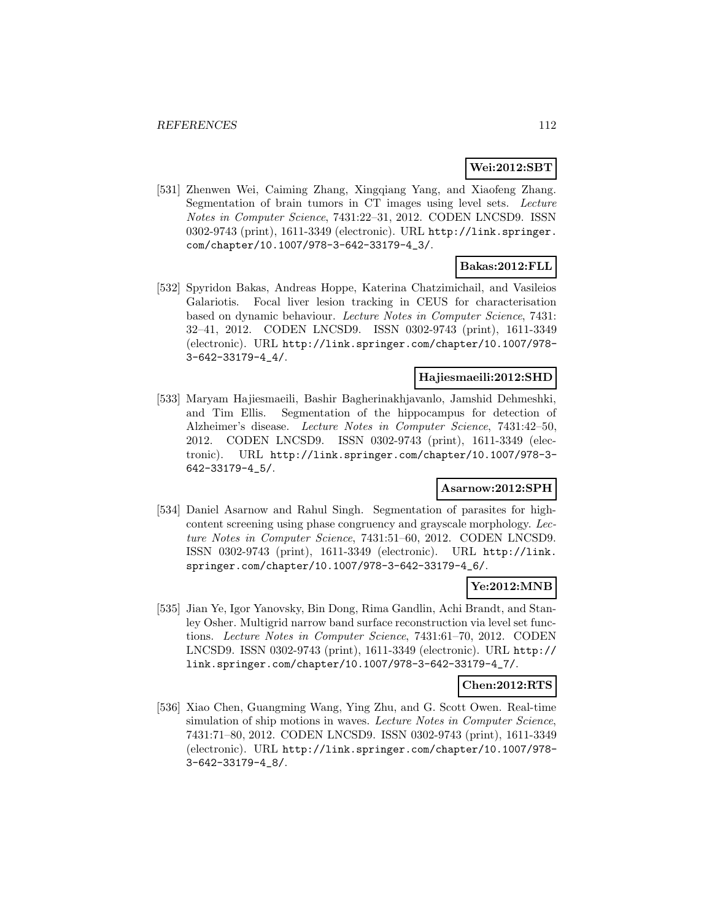## **Wei:2012:SBT**

[531] Zhenwen Wei, Caiming Zhang, Xingqiang Yang, and Xiaofeng Zhang. Segmentation of brain tumors in CT images using level sets. Lecture Notes in Computer Science, 7431:22–31, 2012. CODEN LNCSD9. ISSN 0302-9743 (print), 1611-3349 (electronic). URL http://link.springer. com/chapter/10.1007/978-3-642-33179-4\_3/.

# **Bakas:2012:FLL**

[532] Spyridon Bakas, Andreas Hoppe, Katerina Chatzimichail, and Vasileios Galariotis. Focal liver lesion tracking in CEUS for characterisation based on dynamic behaviour. Lecture Notes in Computer Science, 7431: 32–41, 2012. CODEN LNCSD9. ISSN 0302-9743 (print), 1611-3349 (electronic). URL http://link.springer.com/chapter/10.1007/978- 3-642-33179-4\_4/.

#### **Hajiesmaeili:2012:SHD**

[533] Maryam Hajiesmaeili, Bashir Bagherinakhjavanlo, Jamshid Dehmeshki, and Tim Ellis. Segmentation of the hippocampus for detection of Alzheimer's disease. Lecture Notes in Computer Science, 7431:42–50, 2012. CODEN LNCSD9. ISSN 0302-9743 (print), 1611-3349 (electronic). URL http://link.springer.com/chapter/10.1007/978-3- 642-33179-4\_5/.

## **Asarnow:2012:SPH**

[534] Daniel Asarnow and Rahul Singh. Segmentation of parasites for highcontent screening using phase congruency and grayscale morphology. Lecture Notes in Computer Science, 7431:51–60, 2012. CODEN LNCSD9. ISSN 0302-9743 (print), 1611-3349 (electronic). URL http://link. springer.com/chapter/10.1007/978-3-642-33179-4\_6/.

## **Ye:2012:MNB**

[535] Jian Ye, Igor Yanovsky, Bin Dong, Rima Gandlin, Achi Brandt, and Stanley Osher. Multigrid narrow band surface reconstruction via level set functions. Lecture Notes in Computer Science, 7431:61–70, 2012. CODEN LNCSD9. ISSN 0302-9743 (print), 1611-3349 (electronic). URL http:// link.springer.com/chapter/10.1007/978-3-642-33179-4\_7/.

#### **Chen:2012:RTS**

[536] Xiao Chen, Guangming Wang, Ying Zhu, and G. Scott Owen. Real-time simulation of ship motions in waves. Lecture Notes in Computer Science, 7431:71–80, 2012. CODEN LNCSD9. ISSN 0302-9743 (print), 1611-3349 (electronic). URL http://link.springer.com/chapter/10.1007/978- 3-642-33179-4\_8/.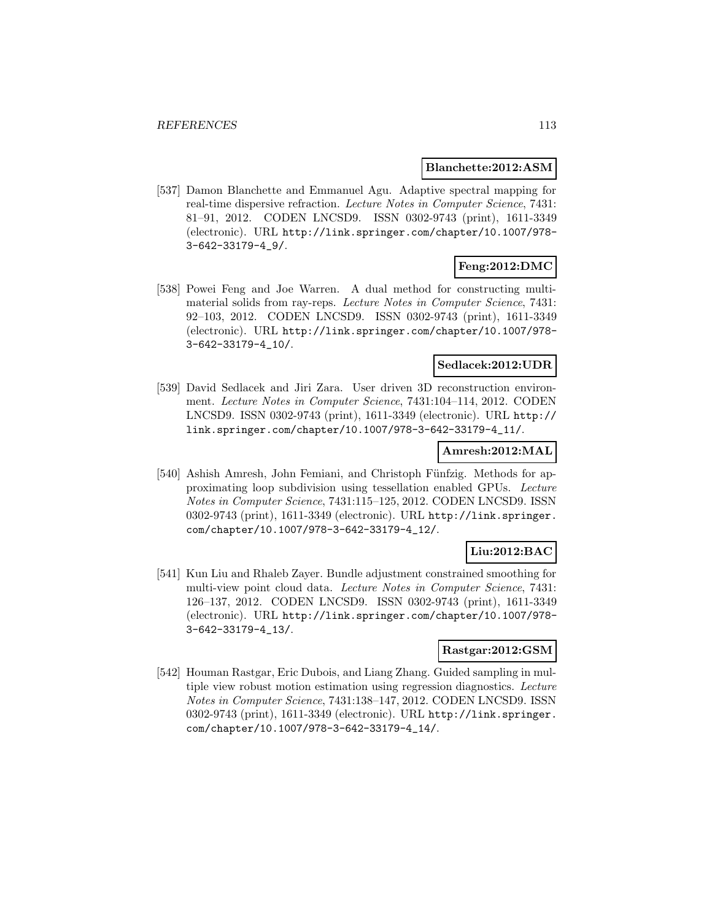### **Blanchette:2012:ASM**

[537] Damon Blanchette and Emmanuel Agu. Adaptive spectral mapping for real-time dispersive refraction. Lecture Notes in Computer Science, 7431: 81–91, 2012. CODEN LNCSD9. ISSN 0302-9743 (print), 1611-3349 (electronic). URL http://link.springer.com/chapter/10.1007/978- 3-642-33179-4\_9/.

# **Feng:2012:DMC**

[538] Powei Feng and Joe Warren. A dual method for constructing multimaterial solids from ray-reps. Lecture Notes in Computer Science, 7431: 92–103, 2012. CODEN LNCSD9. ISSN 0302-9743 (print), 1611-3349 (electronic). URL http://link.springer.com/chapter/10.1007/978- 3-642-33179-4\_10/.

## **Sedlacek:2012:UDR**

[539] David Sedlacek and Jiri Zara. User driven 3D reconstruction environment. Lecture Notes in Computer Science, 7431:104–114, 2012. CODEN LNCSD9. ISSN 0302-9743 (print), 1611-3349 (electronic). URL http:// link.springer.com/chapter/10.1007/978-3-642-33179-4\_11/.

#### **Amresh:2012:MAL**

[540] Ashish Amresh, John Femiani, and Christoph Fünfzig. Methods for approximating loop subdivision using tessellation enabled GPUs. Lecture Notes in Computer Science, 7431:115–125, 2012. CODEN LNCSD9. ISSN 0302-9743 (print), 1611-3349 (electronic). URL http://link.springer. com/chapter/10.1007/978-3-642-33179-4\_12/.

# **Liu:2012:BAC**

[541] Kun Liu and Rhaleb Zayer. Bundle adjustment constrained smoothing for multi-view point cloud data. Lecture Notes in Computer Science, 7431: 126–137, 2012. CODEN LNCSD9. ISSN 0302-9743 (print), 1611-3349 (electronic). URL http://link.springer.com/chapter/10.1007/978- 3-642-33179-4\_13/.

## **Rastgar:2012:GSM**

[542] Houman Rastgar, Eric Dubois, and Liang Zhang. Guided sampling in multiple view robust motion estimation using regression diagnostics. Lecture Notes in Computer Science, 7431:138–147, 2012. CODEN LNCSD9. ISSN 0302-9743 (print), 1611-3349 (electronic). URL http://link.springer. com/chapter/10.1007/978-3-642-33179-4\_14/.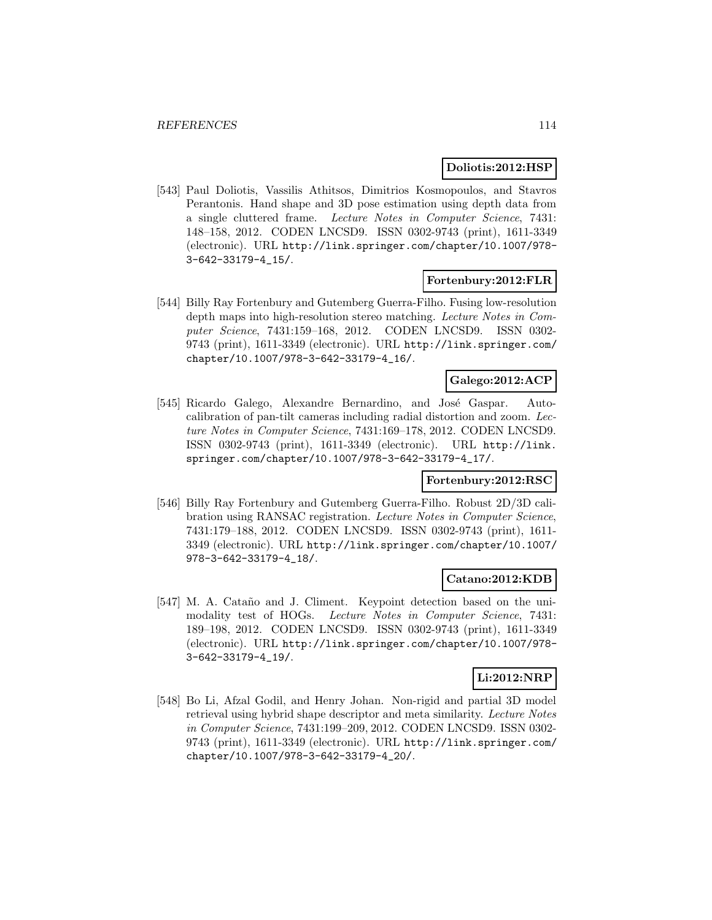#### **Doliotis:2012:HSP**

[543] Paul Doliotis, Vassilis Athitsos, Dimitrios Kosmopoulos, and Stavros Perantonis. Hand shape and 3D pose estimation using depth data from a single cluttered frame. Lecture Notes in Computer Science, 7431: 148–158, 2012. CODEN LNCSD9. ISSN 0302-9743 (print), 1611-3349 (electronic). URL http://link.springer.com/chapter/10.1007/978- 3-642-33179-4\_15/.

### **Fortenbury:2012:FLR**

[544] Billy Ray Fortenbury and Gutemberg Guerra-Filho. Fusing low-resolution depth maps into high-resolution stereo matching. Lecture Notes in Computer Science, 7431:159–168, 2012. CODEN LNCSD9. ISSN 0302- 9743 (print), 1611-3349 (electronic). URL http://link.springer.com/ chapter/10.1007/978-3-642-33179-4\_16/.

## **Galego:2012:ACP**

[545] Ricardo Galego, Alexandre Bernardino, and José Gaspar. Autocalibration of pan-tilt cameras including radial distortion and zoom. Lecture Notes in Computer Science, 7431:169–178, 2012. CODEN LNCSD9. ISSN 0302-9743 (print), 1611-3349 (electronic). URL http://link. springer.com/chapter/10.1007/978-3-642-33179-4\_17/.

#### **Fortenbury:2012:RSC**

[546] Billy Ray Fortenbury and Gutemberg Guerra-Filho. Robust 2D/3D calibration using RANSAC registration. Lecture Notes in Computer Science, 7431:179–188, 2012. CODEN LNCSD9. ISSN 0302-9743 (print), 1611- 3349 (electronic). URL http://link.springer.com/chapter/10.1007/ 978-3-642-33179-4\_18/.

### **Catano:2012:KDB**

[547] M. A. Cataño and J. Climent. Keypoint detection based on the unimodality test of HOGs. Lecture Notes in Computer Science, 7431: 189–198, 2012. CODEN LNCSD9. ISSN 0302-9743 (print), 1611-3349 (electronic). URL http://link.springer.com/chapter/10.1007/978- 3-642-33179-4\_19/.

## **Li:2012:NRP**

[548] Bo Li, Afzal Godil, and Henry Johan. Non-rigid and partial 3D model retrieval using hybrid shape descriptor and meta similarity. Lecture Notes in Computer Science, 7431:199–209, 2012. CODEN LNCSD9. ISSN 0302- 9743 (print), 1611-3349 (electronic). URL http://link.springer.com/ chapter/10.1007/978-3-642-33179-4\_20/.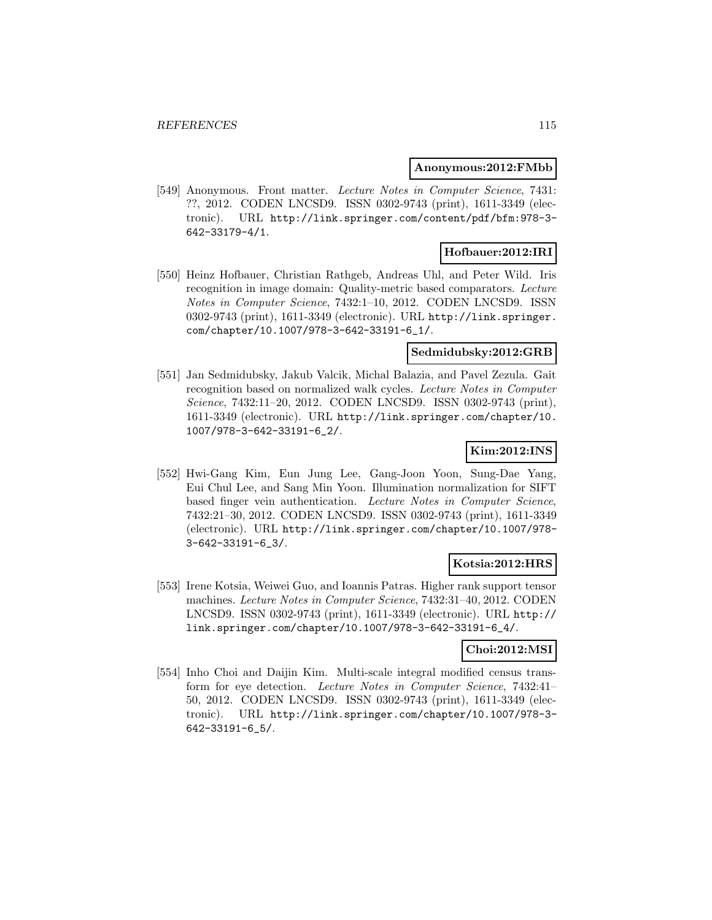#### **Anonymous:2012:FMbb**

[549] Anonymous. Front matter. Lecture Notes in Computer Science, 7431: ??, 2012. CODEN LNCSD9. ISSN 0302-9743 (print), 1611-3349 (electronic). URL http://link.springer.com/content/pdf/bfm:978-3- 642-33179-4/1.

# **Hofbauer:2012:IRI**

[550] Heinz Hofbauer, Christian Rathgeb, Andreas Uhl, and Peter Wild. Iris recognition in image domain: Quality-metric based comparators. Lecture Notes in Computer Science, 7432:1–10, 2012. CODEN LNCSD9. ISSN 0302-9743 (print), 1611-3349 (electronic). URL http://link.springer. com/chapter/10.1007/978-3-642-33191-6\_1/.

### **Sedmidubsky:2012:GRB**

[551] Jan Sedmidubsky, Jakub Valcik, Michal Balazia, and Pavel Zezula. Gait recognition based on normalized walk cycles. Lecture Notes in Computer Science, 7432:11–20, 2012. CODEN LNCSD9. ISSN 0302-9743 (print), 1611-3349 (electronic). URL http://link.springer.com/chapter/10. 1007/978-3-642-33191-6\_2/.

## **Kim:2012:INS**

[552] Hwi-Gang Kim, Eun Jung Lee, Gang-Joon Yoon, Sung-Dae Yang, Eui Chul Lee, and Sang Min Yoon. Illumination normalization for SIFT based finger vein authentication. Lecture Notes in Computer Science, 7432:21–30, 2012. CODEN LNCSD9. ISSN 0302-9743 (print), 1611-3349 (electronic). URL http://link.springer.com/chapter/10.1007/978- 3-642-33191-6\_3/.

#### **Kotsia:2012:HRS**

[553] Irene Kotsia, Weiwei Guo, and Ioannis Patras. Higher rank support tensor machines. Lecture Notes in Computer Science, 7432:31–40, 2012. CODEN LNCSD9. ISSN 0302-9743 (print), 1611-3349 (electronic). URL http:// link.springer.com/chapter/10.1007/978-3-642-33191-6\_4/.

# **Choi:2012:MSI**

[554] Inho Choi and Daijin Kim. Multi-scale integral modified census transform for eye detection. Lecture Notes in Computer Science, 7432:41– 50, 2012. CODEN LNCSD9. ISSN 0302-9743 (print), 1611-3349 (electronic). URL http://link.springer.com/chapter/10.1007/978-3- 642-33191-6\_5/.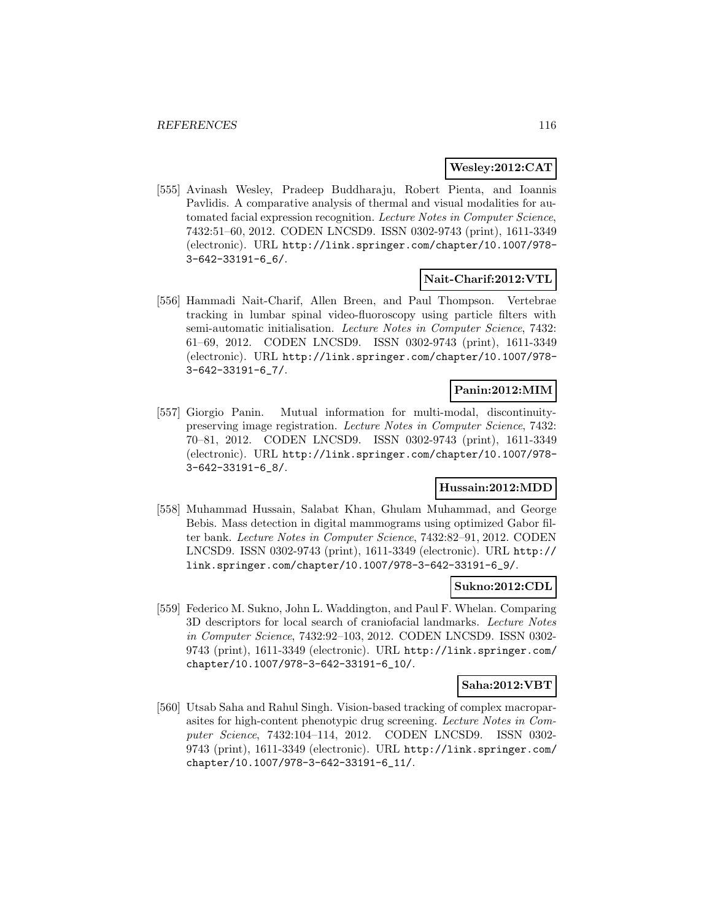### **Wesley:2012:CAT**

[555] Avinash Wesley, Pradeep Buddharaju, Robert Pienta, and Ioannis Pavlidis. A comparative analysis of thermal and visual modalities for automated facial expression recognition. Lecture Notes in Computer Science, 7432:51–60, 2012. CODEN LNCSD9. ISSN 0302-9743 (print), 1611-3349 (electronic). URL http://link.springer.com/chapter/10.1007/978- 3-642-33191-6\_6/.

## **Nait-Charif:2012:VTL**

[556] Hammadi Nait-Charif, Allen Breen, and Paul Thompson. Vertebrae tracking in lumbar spinal video-fluoroscopy using particle filters with semi-automatic initialisation. Lecture Notes in Computer Science, 7432: 61–69, 2012. CODEN LNCSD9. ISSN 0302-9743 (print), 1611-3349 (electronic). URL http://link.springer.com/chapter/10.1007/978- 3-642-33191-6\_7/.

## **Panin:2012:MIM**

[557] Giorgio Panin. Mutual information for multi-modal, discontinuitypreserving image registration. Lecture Notes in Computer Science, 7432: 70–81, 2012. CODEN LNCSD9. ISSN 0302-9743 (print), 1611-3349 (electronic). URL http://link.springer.com/chapter/10.1007/978- 3-642-33191-6\_8/.

## **Hussain:2012:MDD**

[558] Muhammad Hussain, Salabat Khan, Ghulam Muhammad, and George Bebis. Mass detection in digital mammograms using optimized Gabor filter bank. Lecture Notes in Computer Science, 7432:82–91, 2012. CODEN LNCSD9. ISSN 0302-9743 (print), 1611-3349 (electronic). URL http:// link.springer.com/chapter/10.1007/978-3-642-33191-6\_9/.

#### **Sukno:2012:CDL**

[559] Federico M. Sukno, John L. Waddington, and Paul F. Whelan. Comparing 3D descriptors for local search of craniofacial landmarks. Lecture Notes in Computer Science, 7432:92–103, 2012. CODEN LNCSD9. ISSN 0302- 9743 (print), 1611-3349 (electronic). URL http://link.springer.com/ chapter/10.1007/978-3-642-33191-6\_10/.

#### **Saha:2012:VBT**

[560] Utsab Saha and Rahul Singh. Vision-based tracking of complex macroparasites for high-content phenotypic drug screening. Lecture Notes in Computer Science, 7432:104–114, 2012. CODEN LNCSD9. ISSN 0302- 9743 (print), 1611-3349 (electronic). URL http://link.springer.com/ chapter/10.1007/978-3-642-33191-6\_11/.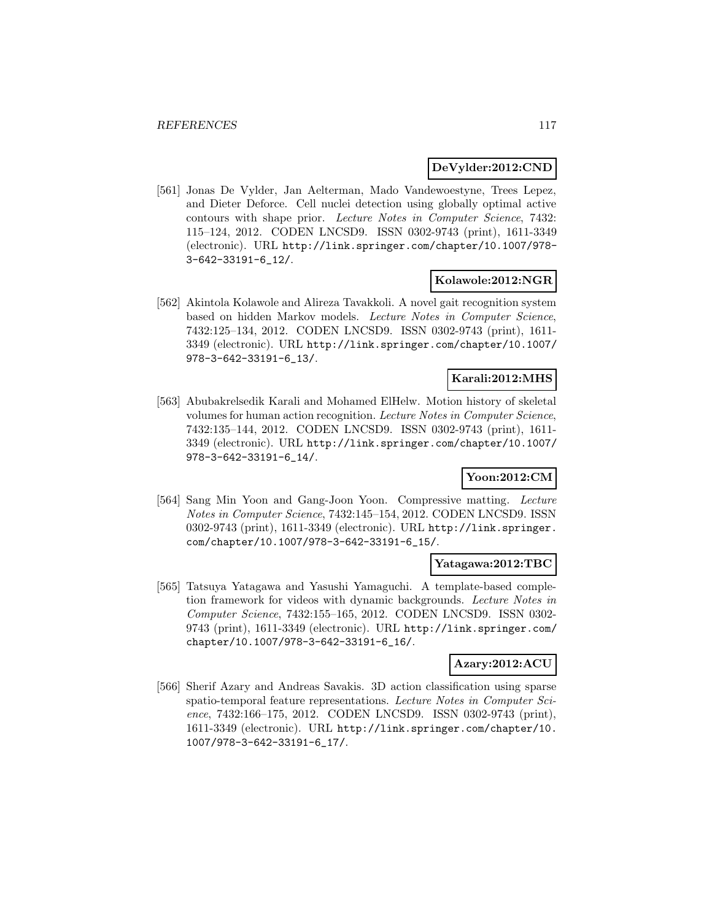### **DeVylder:2012:CND**

[561] Jonas De Vylder, Jan Aelterman, Mado Vandewoestyne, Trees Lepez, and Dieter Deforce. Cell nuclei detection using globally optimal active contours with shape prior. Lecture Notes in Computer Science, 7432: 115–124, 2012. CODEN LNCSD9. ISSN 0302-9743 (print), 1611-3349 (electronic). URL http://link.springer.com/chapter/10.1007/978- 3-642-33191-6\_12/.

### **Kolawole:2012:NGR**

[562] Akintola Kolawole and Alireza Tavakkoli. A novel gait recognition system based on hidden Markov models. Lecture Notes in Computer Science, 7432:125–134, 2012. CODEN LNCSD9. ISSN 0302-9743 (print), 1611- 3349 (electronic). URL http://link.springer.com/chapter/10.1007/ 978-3-642-33191-6\_13/.

## **Karali:2012:MHS**

[563] Abubakrelsedik Karali and Mohamed ElHelw. Motion history of skeletal volumes for human action recognition. Lecture Notes in Computer Science, 7432:135–144, 2012. CODEN LNCSD9. ISSN 0302-9743 (print), 1611- 3349 (electronic). URL http://link.springer.com/chapter/10.1007/ 978-3-642-33191-6\_14/.

## **Yoon:2012:CM**

[564] Sang Min Yoon and Gang-Joon Yoon. Compressive matting. Lecture Notes in Computer Science, 7432:145–154, 2012. CODEN LNCSD9. ISSN 0302-9743 (print), 1611-3349 (electronic). URL http://link.springer. com/chapter/10.1007/978-3-642-33191-6\_15/.

#### **Yatagawa:2012:TBC**

[565] Tatsuya Yatagawa and Yasushi Yamaguchi. A template-based completion framework for videos with dynamic backgrounds. Lecture Notes in Computer Science, 7432:155–165, 2012. CODEN LNCSD9. ISSN 0302- 9743 (print), 1611-3349 (electronic). URL http://link.springer.com/ chapter/10.1007/978-3-642-33191-6\_16/.

## **Azary:2012:ACU**

[566] Sherif Azary and Andreas Savakis. 3D action classification using sparse spatio-temporal feature representations. Lecture Notes in Computer Science, 7432:166–175, 2012. CODEN LNCSD9. ISSN 0302-9743 (print), 1611-3349 (electronic). URL http://link.springer.com/chapter/10. 1007/978-3-642-33191-6\_17/.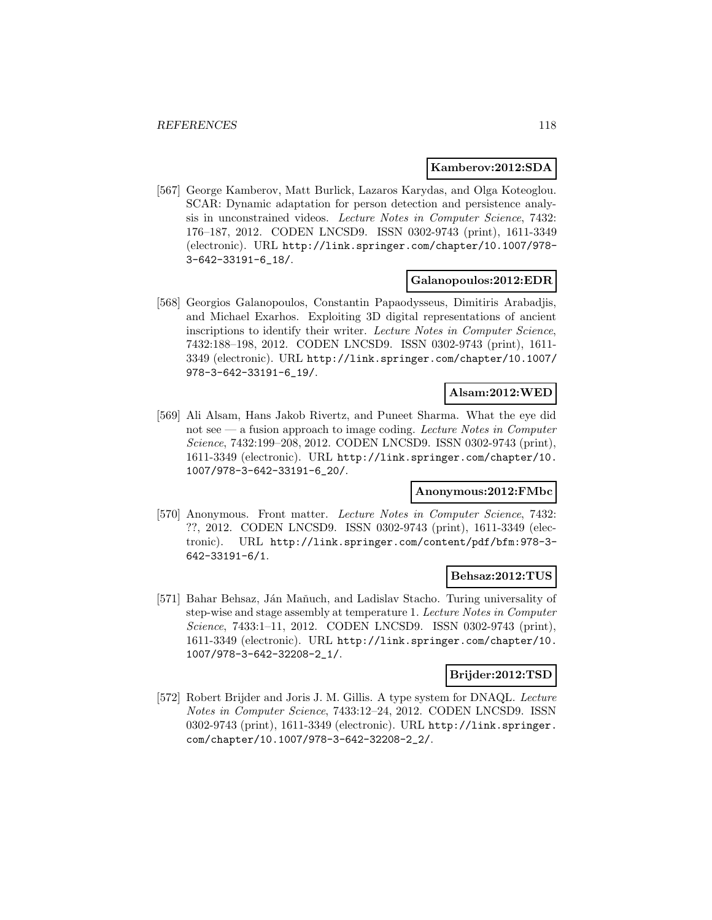#### **Kamberov:2012:SDA**

[567] George Kamberov, Matt Burlick, Lazaros Karydas, and Olga Koteoglou. SCAR: Dynamic adaptation for person detection and persistence analysis in unconstrained videos. Lecture Notes in Computer Science, 7432: 176–187, 2012. CODEN LNCSD9. ISSN 0302-9743 (print), 1611-3349 (electronic). URL http://link.springer.com/chapter/10.1007/978- 3-642-33191-6\_18/.

#### **Galanopoulos:2012:EDR**

[568] Georgios Galanopoulos, Constantin Papaodysseus, Dimitiris Arabadjis, and Michael Exarhos. Exploiting 3D digital representations of ancient inscriptions to identify their writer. Lecture Notes in Computer Science, 7432:188–198, 2012. CODEN LNCSD9. ISSN 0302-9743 (print), 1611- 3349 (electronic). URL http://link.springer.com/chapter/10.1007/ 978-3-642-33191-6\_19/.

### **Alsam:2012:WED**

[569] Ali Alsam, Hans Jakob Rivertz, and Puneet Sharma. What the eye did not  $\sec$  — a fusion approach to image coding. Lecture Notes in Computer Science, 7432:199–208, 2012. CODEN LNCSD9. ISSN 0302-9743 (print), 1611-3349 (electronic). URL http://link.springer.com/chapter/10. 1007/978-3-642-33191-6\_20/.

#### **Anonymous:2012:FMbc**

[570] Anonymous. Front matter. Lecture Notes in Computer Science, 7432: ??, 2012. CODEN LNCSD9. ISSN 0302-9743 (print), 1611-3349 (electronic). URL http://link.springer.com/content/pdf/bfm:978-3- 642-33191-6/1.

#### **Behsaz:2012:TUS**

[571] Bahar Behsaz, Ján Maňuch, and Ladislav Stacho. Turing universality of step-wise and stage assembly at temperature 1. Lecture Notes in Computer Science, 7433:1–11, 2012. CODEN LNCSD9. ISSN 0302-9743 (print), 1611-3349 (electronic). URL http://link.springer.com/chapter/10. 1007/978-3-642-32208-2\_1/.

## **Brijder:2012:TSD**

[572] Robert Brijder and Joris J. M. Gillis. A type system for DNAQL. Lecture Notes in Computer Science, 7433:12–24, 2012. CODEN LNCSD9. ISSN 0302-9743 (print), 1611-3349 (electronic). URL http://link.springer. com/chapter/10.1007/978-3-642-32208-2\_2/.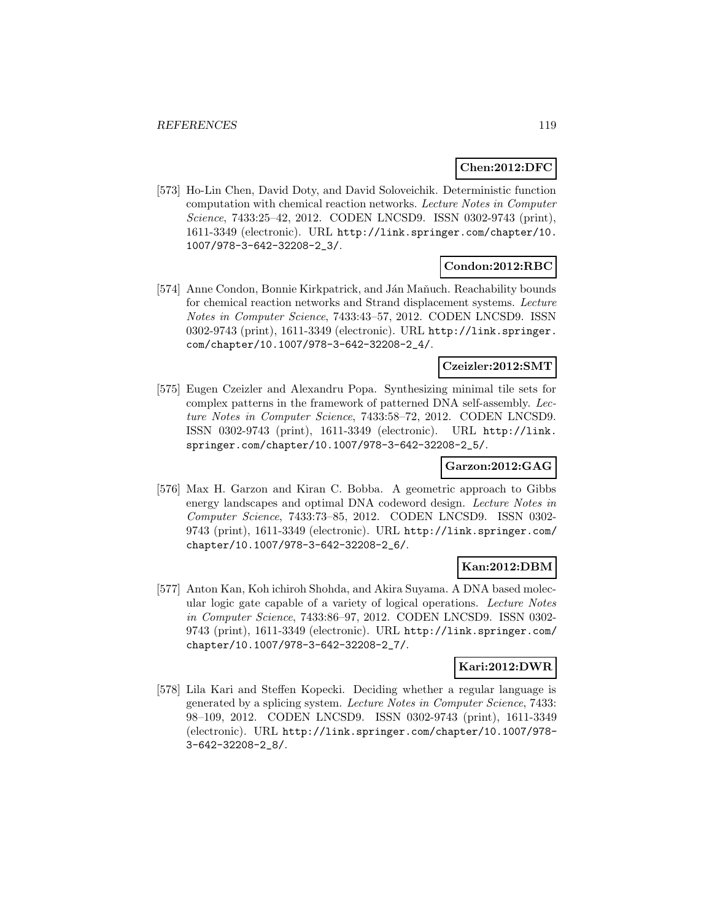## **Chen:2012:DFC**

[573] Ho-Lin Chen, David Doty, and David Soloveichik. Deterministic function computation with chemical reaction networks. Lecture Notes in Computer Science, 7433:25–42, 2012. CODEN LNCSD9. ISSN 0302-9743 (print), 1611-3349 (electronic). URL http://link.springer.com/chapter/10. 1007/978-3-642-32208-2\_3/.

## **Condon:2012:RBC**

[574] Anne Condon, Bonnie Kirkpatrick, and Ján Maňuch. Reachability bounds for chemical reaction networks and Strand displacement systems. Lecture Notes in Computer Science, 7433:43–57, 2012. CODEN LNCSD9. ISSN 0302-9743 (print), 1611-3349 (electronic). URL http://link.springer. com/chapter/10.1007/978-3-642-32208-2\_4/.

### **Czeizler:2012:SMT**

[575] Eugen Czeizler and Alexandru Popa. Synthesizing minimal tile sets for complex patterns in the framework of patterned DNA self-assembly. Lecture Notes in Computer Science, 7433:58–72, 2012. CODEN LNCSD9. ISSN 0302-9743 (print), 1611-3349 (electronic). URL http://link. springer.com/chapter/10.1007/978-3-642-32208-2\_5/.

#### **Garzon:2012:GAG**

[576] Max H. Garzon and Kiran C. Bobba. A geometric approach to Gibbs energy landscapes and optimal DNA codeword design. Lecture Notes in Computer Science, 7433:73–85, 2012. CODEN LNCSD9. ISSN 0302- 9743 (print), 1611-3349 (electronic). URL http://link.springer.com/ chapter/10.1007/978-3-642-32208-2\_6/.

## **Kan:2012:DBM**

[577] Anton Kan, Koh ichiroh Shohda, and Akira Suyama. A DNA based molecular logic gate capable of a variety of logical operations. Lecture Notes in Computer Science, 7433:86–97, 2012. CODEN LNCSD9. ISSN 0302- 9743 (print), 1611-3349 (electronic). URL http://link.springer.com/ chapter/10.1007/978-3-642-32208-2\_7/.

#### **Kari:2012:DWR**

[578] Lila Kari and Steffen Kopecki. Deciding whether a regular language is generated by a splicing system. Lecture Notes in Computer Science, 7433: 98–109, 2012. CODEN LNCSD9. ISSN 0302-9743 (print), 1611-3349 (electronic). URL http://link.springer.com/chapter/10.1007/978- 3-642-32208-2\_8/.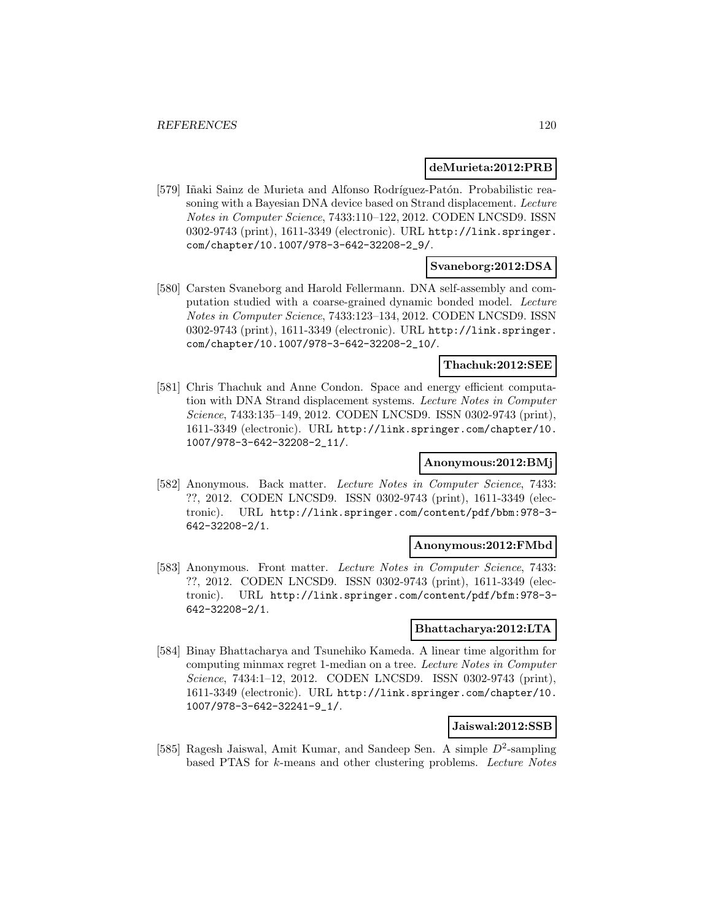#### **deMurieta:2012:PRB**

[579] Iñaki Sainz de Murieta and Alfonso Rodríguez-Patón. Probabilistic reasoning with a Bayesian DNA device based on Strand displacement. Lecture Notes in Computer Science, 7433:110–122, 2012. CODEN LNCSD9. ISSN 0302-9743 (print), 1611-3349 (electronic). URL http://link.springer. com/chapter/10.1007/978-3-642-32208-2\_9/.

### **Svaneborg:2012:DSA**

[580] Carsten Svaneborg and Harold Fellermann. DNA self-assembly and computation studied with a coarse-grained dynamic bonded model. Lecture Notes in Computer Science, 7433:123–134, 2012. CODEN LNCSD9. ISSN 0302-9743 (print), 1611-3349 (electronic). URL http://link.springer. com/chapter/10.1007/978-3-642-32208-2\_10/.

## **Thachuk:2012:SEE**

[581] Chris Thachuk and Anne Condon. Space and energy efficient computation with DNA Strand displacement systems. Lecture Notes in Computer Science, 7433:135–149, 2012. CODEN LNCSD9. ISSN 0302-9743 (print), 1611-3349 (electronic). URL http://link.springer.com/chapter/10. 1007/978-3-642-32208-2\_11/.

## **Anonymous:2012:BMj**

[582] Anonymous. Back matter. Lecture Notes in Computer Science, 7433: ??, 2012. CODEN LNCSD9. ISSN 0302-9743 (print), 1611-3349 (electronic). URL http://link.springer.com/content/pdf/bbm:978-3- 642-32208-2/1.

#### **Anonymous:2012:FMbd**

[583] Anonymous. Front matter. Lecture Notes in Computer Science, 7433: ??, 2012. CODEN LNCSD9. ISSN 0302-9743 (print), 1611-3349 (electronic). URL http://link.springer.com/content/pdf/bfm:978-3- 642-32208-2/1.

#### **Bhattacharya:2012:LTA**

[584] Binay Bhattacharya and Tsunehiko Kameda. A linear time algorithm for computing minmax regret 1-median on a tree. Lecture Notes in Computer Science, 7434:1-12, 2012. CODEN LNCSD9. ISSN 0302-9743 (print), 1611-3349 (electronic). URL http://link.springer.com/chapter/10. 1007/978-3-642-32241-9\_1/.

#### **Jaiswal:2012:SSB**

[585] Ragesh Jaiswal, Amit Kumar, and Sandeep Sen. A simple  $D^2$ -sampling based PTAS for k-means and other clustering problems. Lecture Notes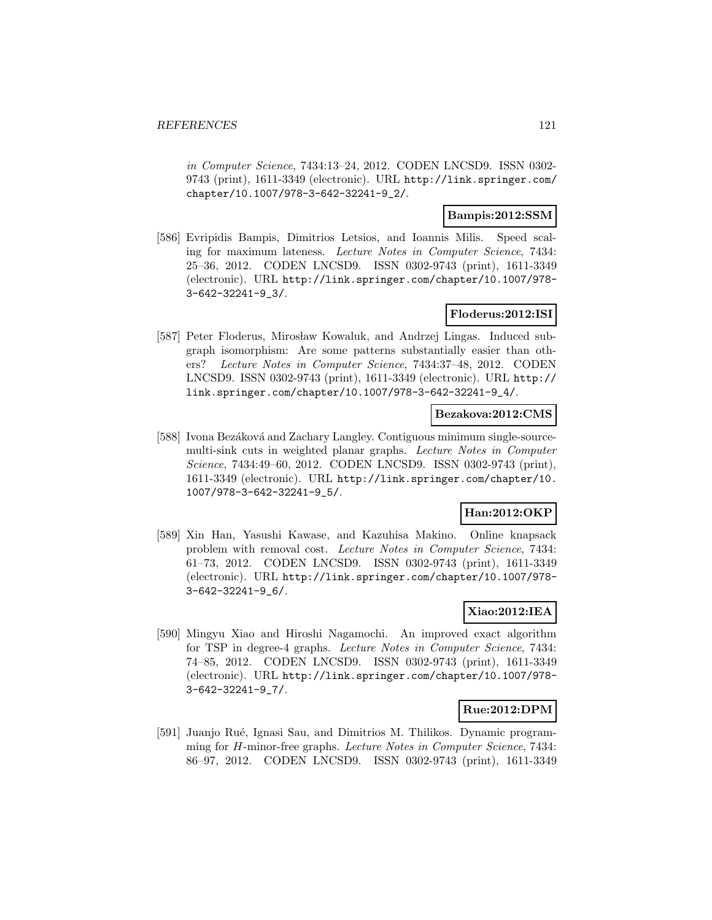in Computer Science, 7434:13–24, 2012. CODEN LNCSD9. ISSN 0302- 9743 (print), 1611-3349 (electronic). URL http://link.springer.com/ chapter/10.1007/978-3-642-32241-9\_2/.

### **Bampis:2012:SSM**

[586] Evripidis Bampis, Dimitrios Letsios, and Ioannis Milis. Speed scaling for maximum lateness. Lecture Notes in Computer Science, 7434: 25–36, 2012. CODEN LNCSD9. ISSN 0302-9743 (print), 1611-3349 (electronic). URL http://link.springer.com/chapter/10.1007/978- 3-642-32241-9\_3/.

## **Floderus:2012:ISI**

[587] Peter Floderus, Mirosław Kowaluk, and Andrzej Lingas. Induced subgraph isomorphism: Are some patterns substantially easier than others? Lecture Notes in Computer Science, 7434:37–48, 2012. CODEN LNCSD9. ISSN 0302-9743 (print), 1611-3349 (electronic). URL http:// link.springer.com/chapter/10.1007/978-3-642-32241-9\_4/.

#### **Bezakova:2012:CMS**

[588] Ivona Bezáková and Zachary Langley. Contiguous minimum single-sourcemulti-sink cuts in weighted planar graphs. Lecture Notes in Computer Science, 7434:49–60, 2012. CODEN LNCSD9. ISSN 0302-9743 (print), 1611-3349 (electronic). URL http://link.springer.com/chapter/10. 1007/978-3-642-32241-9\_5/.

## **Han:2012:OKP**

[589] Xin Han, Yasushi Kawase, and Kazuhisa Makino. Online knapsack problem with removal cost. Lecture Notes in Computer Science, 7434: 61–73, 2012. CODEN LNCSD9. ISSN 0302-9743 (print), 1611-3349 (electronic). URL http://link.springer.com/chapter/10.1007/978- 3-642-32241-9\_6/.

# **Xiao:2012:IEA**

[590] Mingyu Xiao and Hiroshi Nagamochi. An improved exact algorithm for TSP in degree-4 graphs. Lecture Notes in Computer Science, 7434: 74–85, 2012. CODEN LNCSD9. ISSN 0302-9743 (print), 1611-3349 (electronic). URL http://link.springer.com/chapter/10.1007/978- 3-642-32241-9\_7/.

#### **Rue:2012:DPM**

[591] Juanjo Rué, Ignasi Sau, and Dimitrios M. Thilikos. Dynamic programming for H-minor-free graphs. Lecture Notes in Computer Science, 7434: 86–97, 2012. CODEN LNCSD9. ISSN 0302-9743 (print), 1611-3349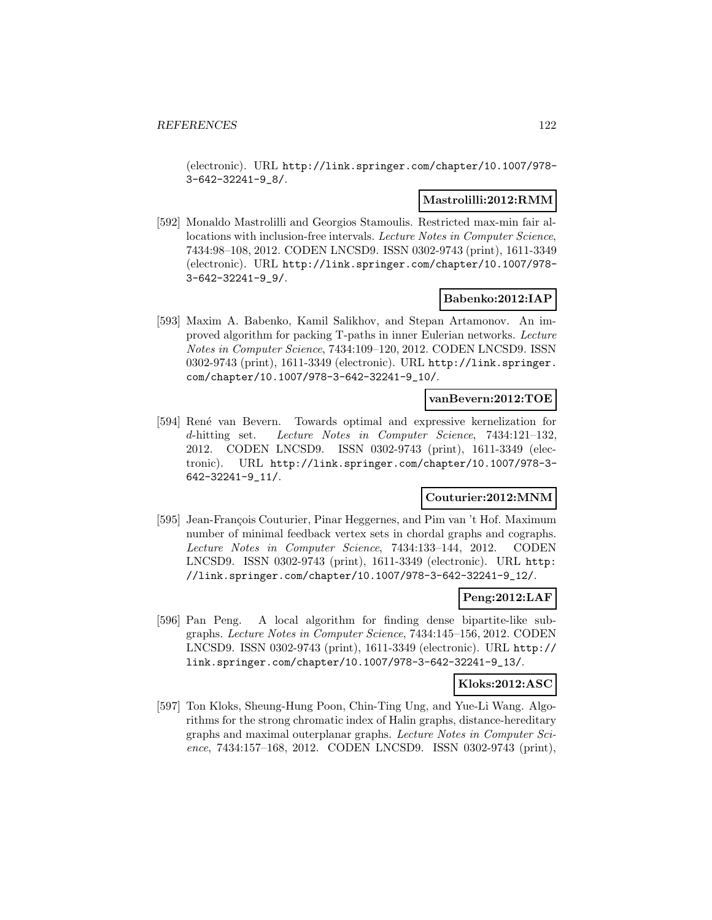(electronic). URL http://link.springer.com/chapter/10.1007/978- 3-642-32241-9\_8/.

### **Mastrolilli:2012:RMM**

[592] Monaldo Mastrolilli and Georgios Stamoulis. Restricted max-min fair allocations with inclusion-free intervals. Lecture Notes in Computer Science, 7434:98–108, 2012. CODEN LNCSD9. ISSN 0302-9743 (print), 1611-3349 (electronic). URL http://link.springer.com/chapter/10.1007/978- 3-642-32241-9\_9/.

### **Babenko:2012:IAP**

[593] Maxim A. Babenko, Kamil Salikhov, and Stepan Artamonov. An improved algorithm for packing T-paths in inner Eulerian networks. Lecture Notes in Computer Science, 7434:109–120, 2012. CODEN LNCSD9. ISSN 0302-9743 (print), 1611-3349 (electronic). URL http://link.springer. com/chapter/10.1007/978-3-642-32241-9\_10/.

#### **vanBevern:2012:TOE**

[594] René van Bevern. Towards optimal and expressive kernelization for d-hitting set. Lecture Notes in Computer Science, 7434:121–132, 2012. CODEN LNCSD9. ISSN 0302-9743 (print), 1611-3349 (electronic). URL http://link.springer.com/chapter/10.1007/978-3- 642-32241-9\_11/.

# **Couturier:2012:MNM**

[595] Jean-François Couturier, Pinar Heggernes, and Pim van 't Hof. Maximum number of minimal feedback vertex sets in chordal graphs and cographs. Lecture Notes in Computer Science, 7434:133–144, 2012. CODEN LNCSD9. ISSN 0302-9743 (print), 1611-3349 (electronic). URL http: //link.springer.com/chapter/10.1007/978-3-642-32241-9\_12/.

## **Peng:2012:LAF**

[596] Pan Peng. A local algorithm for finding dense bipartite-like subgraphs. Lecture Notes in Computer Science, 7434:145–156, 2012. CODEN LNCSD9. ISSN 0302-9743 (print), 1611-3349 (electronic). URL http:// link.springer.com/chapter/10.1007/978-3-642-32241-9\_13/.

#### **Kloks:2012:ASC**

[597] Ton Kloks, Sheung-Hung Poon, Chin-Ting Ung, and Yue-Li Wang. Algorithms for the strong chromatic index of Halin graphs, distance-hereditary graphs and maximal outerplanar graphs. Lecture Notes in Computer Science, 7434:157–168, 2012. CODEN LNCSD9. ISSN 0302-9743 (print),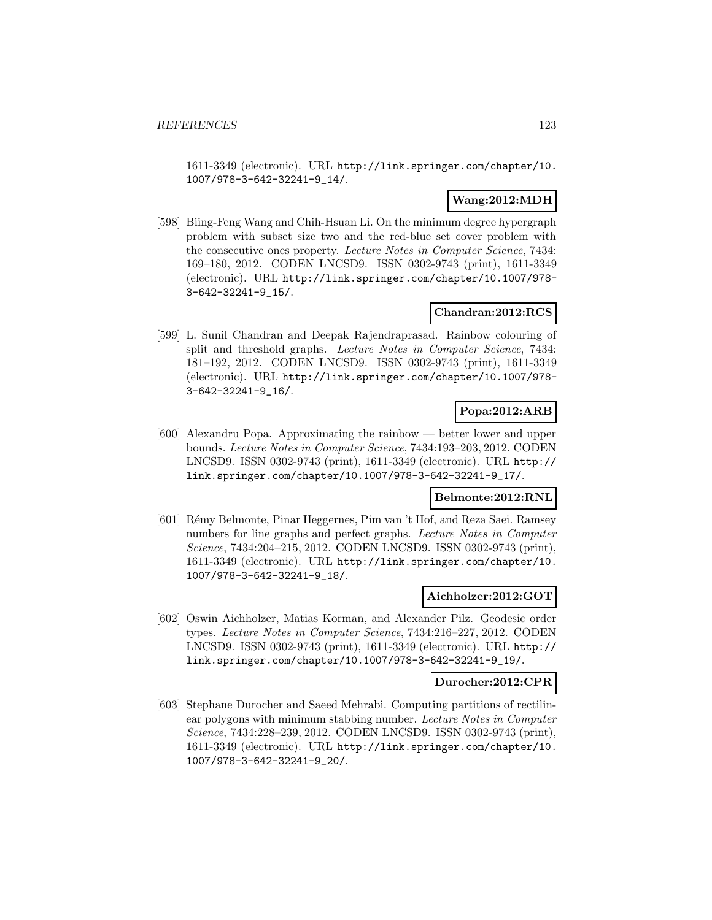1611-3349 (electronic). URL http://link.springer.com/chapter/10. 1007/978-3-642-32241-9\_14/.

## **Wang:2012:MDH**

[598] Biing-Feng Wang and Chih-Hsuan Li. On the minimum degree hypergraph problem with subset size two and the red-blue set cover problem with the consecutive ones property. Lecture Notes in Computer Science, 7434: 169–180, 2012. CODEN LNCSD9. ISSN 0302-9743 (print), 1611-3349 (electronic). URL http://link.springer.com/chapter/10.1007/978- 3-642-32241-9\_15/.

## **Chandran:2012:RCS**

[599] L. Sunil Chandran and Deepak Rajendraprasad. Rainbow colouring of split and threshold graphs. Lecture Notes in Computer Science, 7434: 181–192, 2012. CODEN LNCSD9. ISSN 0302-9743 (print), 1611-3349 (electronic). URL http://link.springer.com/chapter/10.1007/978- 3-642-32241-9\_16/.

## **Popa:2012:ARB**

[600] Alexandru Popa. Approximating the rainbow — better lower and upper bounds. Lecture Notes in Computer Science, 7434:193–203, 2012. CODEN LNCSD9. ISSN 0302-9743 (print), 1611-3349 (electronic). URL http:// link.springer.com/chapter/10.1007/978-3-642-32241-9\_17/.

# **Belmonte:2012:RNL**

[601] R´emy Belmonte, Pinar Heggernes, Pim van 't Hof, and Reza Saei. Ramsey numbers for line graphs and perfect graphs. Lecture Notes in Computer Science, 7434:204–215, 2012. CODEN LNCSD9. ISSN 0302-9743 (print), 1611-3349 (electronic). URL http://link.springer.com/chapter/10. 1007/978-3-642-32241-9\_18/.

#### **Aichholzer:2012:GOT**

[602] Oswin Aichholzer, Matias Korman, and Alexander Pilz. Geodesic order types. Lecture Notes in Computer Science, 7434:216–227, 2012. CODEN LNCSD9. ISSN 0302-9743 (print), 1611-3349 (electronic). URL http:// link.springer.com/chapter/10.1007/978-3-642-32241-9\_19/.

#### **Durocher:2012:CPR**

[603] Stephane Durocher and Saeed Mehrabi. Computing partitions of rectilinear polygons with minimum stabbing number. Lecture Notes in Computer Science, 7434:228–239, 2012. CODEN LNCSD9. ISSN 0302-9743 (print), 1611-3349 (electronic). URL http://link.springer.com/chapter/10. 1007/978-3-642-32241-9\_20/.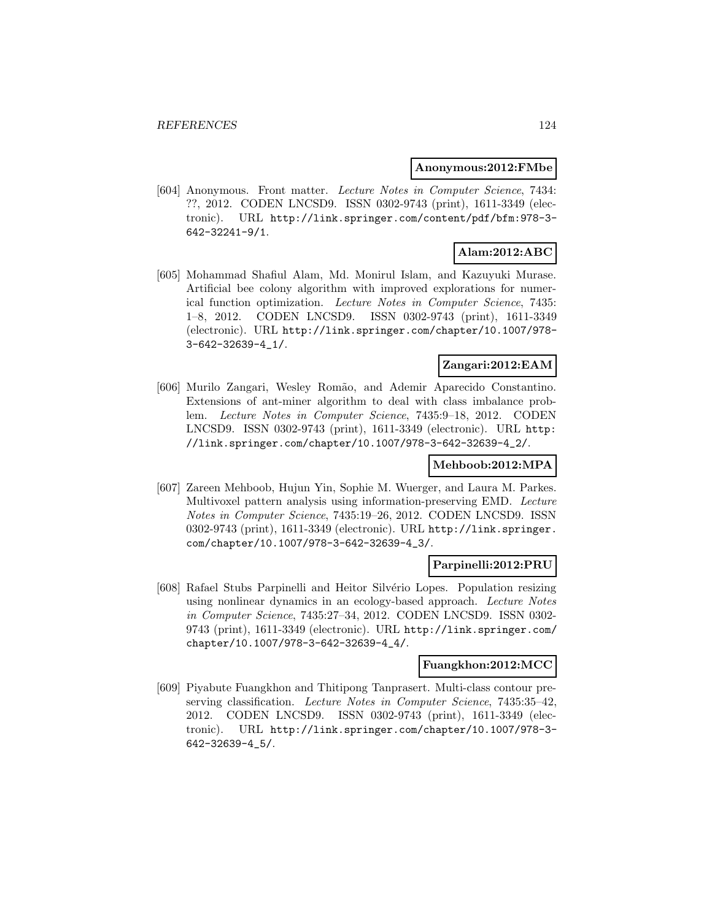#### **Anonymous:2012:FMbe**

[604] Anonymous. Front matter. Lecture Notes in Computer Science, 7434: ??, 2012. CODEN LNCSD9. ISSN 0302-9743 (print), 1611-3349 (electronic). URL http://link.springer.com/content/pdf/bfm:978-3- 642-32241-9/1.

# **Alam:2012:ABC**

[605] Mohammad Shafiul Alam, Md. Monirul Islam, and Kazuyuki Murase. Artificial bee colony algorithm with improved explorations for numerical function optimization. Lecture Notes in Computer Science, 7435: 1–8, 2012. CODEN LNCSD9. ISSN 0302-9743 (print), 1611-3349 (electronic). URL http://link.springer.com/chapter/10.1007/978- 3-642-32639-4\_1/.

## **Zangari:2012:EAM**

[606] Murilo Zangari, Wesley Rom˜ao, and Ademir Aparecido Constantino. Extensions of ant-miner algorithm to deal with class imbalance problem. Lecture Notes in Computer Science, 7435:9–18, 2012. CODEN LNCSD9. ISSN 0302-9743 (print), 1611-3349 (electronic). URL http: //link.springer.com/chapter/10.1007/978-3-642-32639-4\_2/.

## **Mehboob:2012:MPA**

[607] Zareen Mehboob, Hujun Yin, Sophie M. Wuerger, and Laura M. Parkes. Multivoxel pattern analysis using information-preserving EMD. Lecture Notes in Computer Science, 7435:19–26, 2012. CODEN LNCSD9. ISSN 0302-9743 (print), 1611-3349 (electronic). URL http://link.springer. com/chapter/10.1007/978-3-642-32639-4\_3/.

#### **Parpinelli:2012:PRU**

[608] Rafael Stubs Parpinelli and Heitor Silvério Lopes. Population resizing using nonlinear dynamics in an ecology-based approach. Lecture Notes in Computer Science, 7435:27–34, 2012. CODEN LNCSD9. ISSN 0302- 9743 (print), 1611-3349 (electronic). URL http://link.springer.com/ chapter/10.1007/978-3-642-32639-4\_4/.

#### **Fuangkhon:2012:MCC**

[609] Piyabute Fuangkhon and Thitipong Tanprasert. Multi-class contour preserving classification. Lecture Notes in Computer Science, 7435:35–42, 2012. CODEN LNCSD9. ISSN 0302-9743 (print), 1611-3349 (electronic). URL http://link.springer.com/chapter/10.1007/978-3- 642-32639-4\_5/.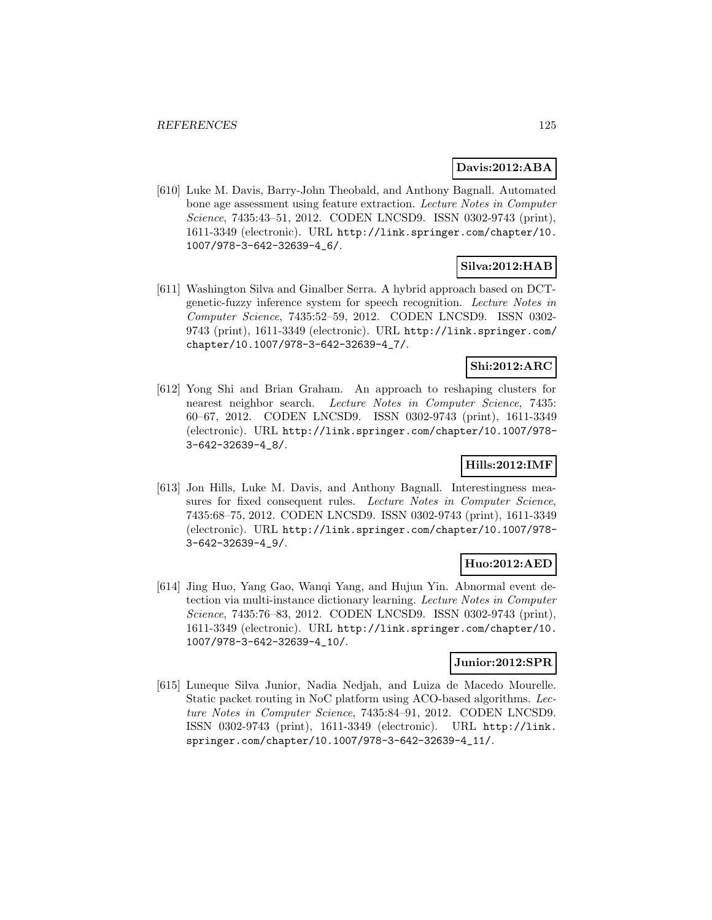## **Davis:2012:ABA**

[610] Luke M. Davis, Barry-John Theobald, and Anthony Bagnall. Automated bone age assessment using feature extraction. Lecture Notes in Computer Science, 7435:43–51, 2012. CODEN LNCSD9. ISSN 0302-9743 (print), 1611-3349 (electronic). URL http://link.springer.com/chapter/10. 1007/978-3-642-32639-4\_6/.

# **Silva:2012:HAB**

[611] Washington Silva and Ginalber Serra. A hybrid approach based on DCTgenetic-fuzzy inference system for speech recognition. Lecture Notes in Computer Science, 7435:52–59, 2012. CODEN LNCSD9. ISSN 0302- 9743 (print), 1611-3349 (electronic). URL http://link.springer.com/ chapter/10.1007/978-3-642-32639-4\_7/.

## **Shi:2012:ARC**

[612] Yong Shi and Brian Graham. An approach to reshaping clusters for nearest neighbor search. Lecture Notes in Computer Science, 7435: 60–67, 2012. CODEN LNCSD9. ISSN 0302-9743 (print), 1611-3349 (electronic). URL http://link.springer.com/chapter/10.1007/978- 3-642-32639-4\_8/.

## **Hills:2012:IMF**

[613] Jon Hills, Luke M. Davis, and Anthony Bagnall. Interestingness measures for fixed consequent rules. Lecture Notes in Computer Science, 7435:68–75, 2012. CODEN LNCSD9. ISSN 0302-9743 (print), 1611-3349 (electronic). URL http://link.springer.com/chapter/10.1007/978- 3-642-32639-4\_9/.

# **Huo:2012:AED**

[614] Jing Huo, Yang Gao, Wanqi Yang, and Hujun Yin. Abnormal event detection via multi-instance dictionary learning. Lecture Notes in Computer Science, 7435:76–83, 2012. CODEN LNCSD9. ISSN 0302-9743 (print), 1611-3349 (electronic). URL http://link.springer.com/chapter/10. 1007/978-3-642-32639-4\_10/.

### **Junior:2012:SPR**

[615] Luneque Silva Junior, Nadia Nedjah, and Luiza de Macedo Mourelle. Static packet routing in NoC platform using ACO-based algorithms. Lecture Notes in Computer Science, 7435:84–91, 2012. CODEN LNCSD9. ISSN 0302-9743 (print), 1611-3349 (electronic). URL http://link. springer.com/chapter/10.1007/978-3-642-32639-4\_11/.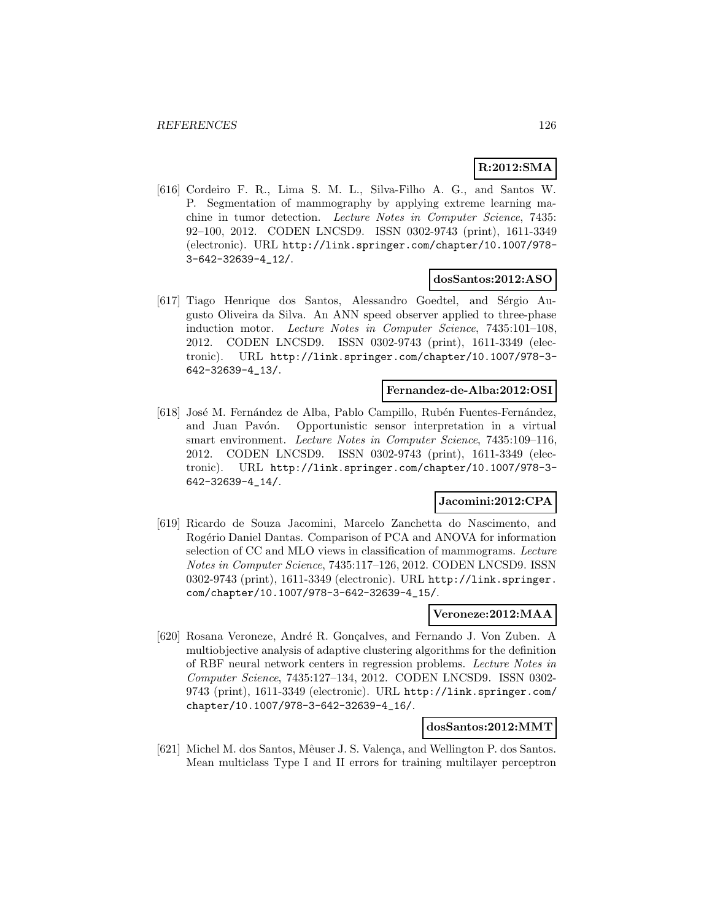# **R:2012:SMA**

[616] Cordeiro F. R., Lima S. M. L., Silva-Filho A. G., and Santos W. P. Segmentation of mammography by applying extreme learning machine in tumor detection. Lecture Notes in Computer Science, 7435: 92–100, 2012. CODEN LNCSD9. ISSN 0302-9743 (print), 1611-3349 (electronic). URL http://link.springer.com/chapter/10.1007/978- 3-642-32639-4\_12/.

### **dosSantos:2012:ASO**

[617] Tiago Henrique dos Santos, Alessandro Goedtel, and Sérgio Augusto Oliveira da Silva. An ANN speed observer applied to three-phase induction motor. Lecture Notes in Computer Science, 7435:101–108, 2012. CODEN LNCSD9. ISSN 0302-9743 (print), 1611-3349 (electronic). URL http://link.springer.com/chapter/10.1007/978-3- 642-32639-4\_13/.

#### **Fernandez-de-Alba:2012:OSI**

[618] José M. Fernández de Alba, Pablo Campillo, Rubén Fuentes-Fernández, and Juan Pavón. Opportunistic sensor interpretation in a virtual smart environment. Lecture Notes in Computer Science, 7435:109–116, 2012. CODEN LNCSD9. ISSN 0302-9743 (print), 1611-3349 (electronic). URL http://link.springer.com/chapter/10.1007/978-3- 642-32639-4\_14/.

## **Jacomini:2012:CPA**

[619] Ricardo de Souza Jacomini, Marcelo Zanchetta do Nascimento, and Rogério Daniel Dantas. Comparison of PCA and ANOVA for information selection of CC and MLO views in classification of mammograms. Lecture Notes in Computer Science, 7435:117–126, 2012. CODEN LNCSD9. ISSN 0302-9743 (print), 1611-3349 (electronic). URL http://link.springer. com/chapter/10.1007/978-3-642-32639-4\_15/.

## **Veroneze:2012:MAA**

[620] Rosana Veroneze, André R. Gonçalves, and Fernando J. Von Zuben. A multiobjective analysis of adaptive clustering algorithms for the definition of RBF neural network centers in regression problems. Lecture Notes in Computer Science, 7435:127–134, 2012. CODEN LNCSD9. ISSN 0302- 9743 (print), 1611-3349 (electronic). URL http://link.springer.com/ chapter/10.1007/978-3-642-32639-4\_16/.

## **dosSantos:2012:MMT**

[621] Michel M. dos Santos, Mêuser J. S. Valença, and Wellington P. dos Santos. Mean multiclass Type I and II errors for training multilayer perceptron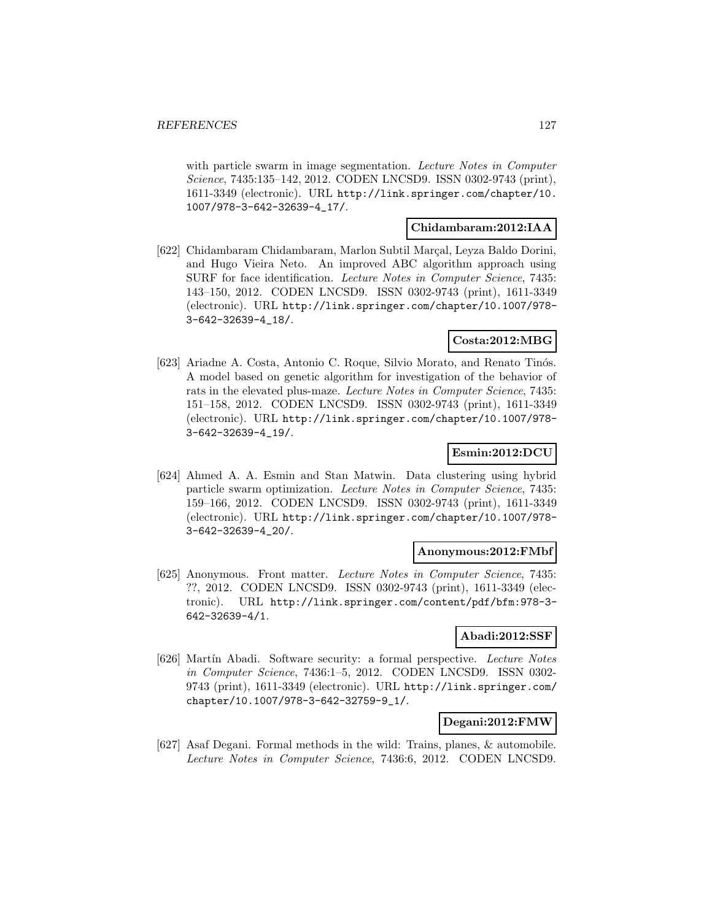with particle swarm in image segmentation. Lecture Notes in Computer Science, 7435:135–142, 2012. CODEN LNCSD9. ISSN 0302-9743 (print), 1611-3349 (electronic). URL http://link.springer.com/chapter/10. 1007/978-3-642-32639-4\_17/.

## **Chidambaram:2012:IAA**

[622] Chidambaram Chidambaram, Marlon Subtil Marçal, Leyza Baldo Dorini, and Hugo Vieira Neto. An improved ABC algorithm approach using SURF for face identification. Lecture Notes in Computer Science, 7435: 143–150, 2012. CODEN LNCSD9. ISSN 0302-9743 (print), 1611-3349 (electronic). URL http://link.springer.com/chapter/10.1007/978- 3-642-32639-4\_18/.

#### **Costa:2012:MBG**

[623] Ariadne A. Costa, Antonio C. Roque, Silvio Morato, and Renato Tinós. A model based on genetic algorithm for investigation of the behavior of rats in the elevated plus-maze. Lecture Notes in Computer Science, 7435: 151–158, 2012. CODEN LNCSD9. ISSN 0302-9743 (print), 1611-3349 (electronic). URL http://link.springer.com/chapter/10.1007/978- 3-642-32639-4\_19/.

#### **Esmin:2012:DCU**

[624] Ahmed A. A. Esmin and Stan Matwin. Data clustering using hybrid particle swarm optimization. Lecture Notes in Computer Science, 7435: 159–166, 2012. CODEN LNCSD9. ISSN 0302-9743 (print), 1611-3349 (electronic). URL http://link.springer.com/chapter/10.1007/978- 3-642-32639-4\_20/.

#### **Anonymous:2012:FMbf**

[625] Anonymous. Front matter. Lecture Notes in Computer Science, 7435: ??, 2012. CODEN LNCSD9. ISSN 0302-9743 (print), 1611-3349 (electronic). URL http://link.springer.com/content/pdf/bfm:978-3- 642-32639-4/1.

## **Abadi:2012:SSF**

[626] Martín Abadi. Software security: a formal perspective. Lecture Notes in Computer Science, 7436:1–5, 2012. CODEN LNCSD9. ISSN 0302- 9743 (print), 1611-3349 (electronic). URL http://link.springer.com/ chapter/10.1007/978-3-642-32759-9\_1/.

#### **Degani:2012:FMW**

[627] Asaf Degani. Formal methods in the wild: Trains, planes, & automobile. Lecture Notes in Computer Science, 7436:6, 2012. CODEN LNCSD9.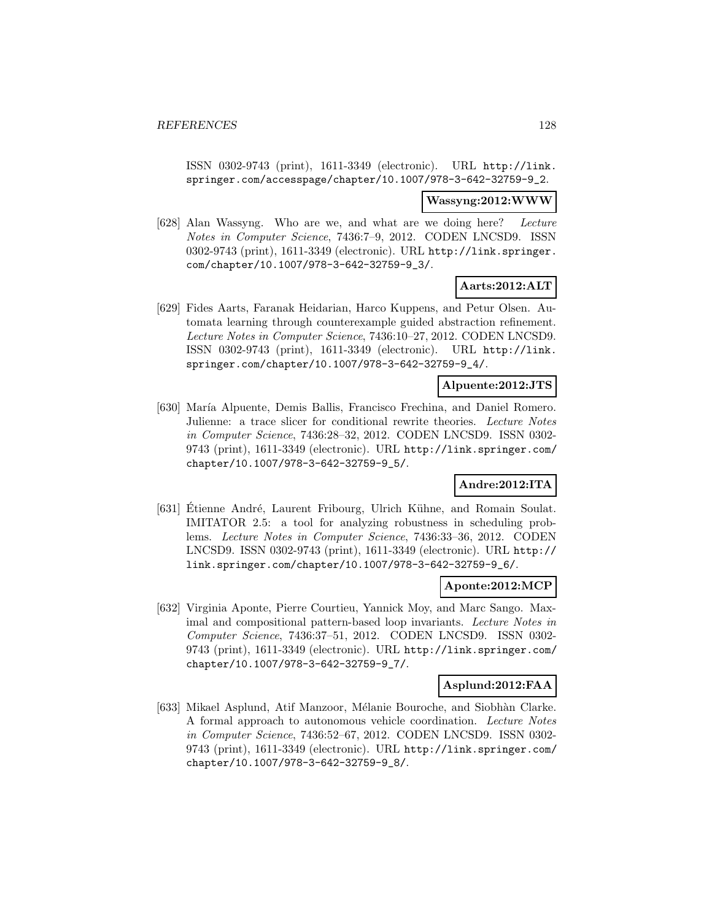ISSN 0302-9743 (print), 1611-3349 (electronic). URL http://link. springer.com/accesspage/chapter/10.1007/978-3-642-32759-9\_2.

**Wassyng:2012:WWW**

[628] Alan Wassyng. Who are we, and what are we doing here? Lecture Notes in Computer Science, 7436:7–9, 2012. CODEN LNCSD9. ISSN 0302-9743 (print), 1611-3349 (electronic). URL http://link.springer. com/chapter/10.1007/978-3-642-32759-9\_3/.

## **Aarts:2012:ALT**

[629] Fides Aarts, Faranak Heidarian, Harco Kuppens, and Petur Olsen. Automata learning through counterexample guided abstraction refinement. Lecture Notes in Computer Science, 7436:10–27, 2012. CODEN LNCSD9. ISSN 0302-9743 (print), 1611-3349 (electronic). URL http://link. springer.com/chapter/10.1007/978-3-642-32759-9\_4/.

#### **Alpuente:2012:JTS**

[630] María Alpuente, Demis Ballis, Francisco Frechina, and Daniel Romero. Julienne: a trace slicer for conditional rewrite theories. Lecture Notes in Computer Science, 7436:28–32, 2012. CODEN LNCSD9. ISSN 0302- 9743 (print), 1611-3349 (electronic). URL http://link.springer.com/ chapter/10.1007/978-3-642-32759-9\_5/.

## **Andre:2012:ITA**

[631] Etienne André, Laurent Fribourg, Ulrich Kühne, and Romain Soulat. IMITATOR 2.5: a tool for analyzing robustness in scheduling problems. Lecture Notes in Computer Science, 7436:33–36, 2012. CODEN LNCSD9. ISSN 0302-9743 (print), 1611-3349 (electronic). URL http:// link.springer.com/chapter/10.1007/978-3-642-32759-9\_6/.

## **Aponte:2012:MCP**

[632] Virginia Aponte, Pierre Courtieu, Yannick Moy, and Marc Sango. Maximal and compositional pattern-based loop invariants. Lecture Notes in Computer Science, 7436:37–51, 2012. CODEN LNCSD9. ISSN 0302- 9743 (print), 1611-3349 (electronic). URL http://link.springer.com/ chapter/10.1007/978-3-642-32759-9\_7/.

#### **Asplund:2012:FAA**

[633] Mikael Asplund, Atif Manzoor, Mélanie Bouroche, and Siobhàn Clarke. A formal approach to autonomous vehicle coordination. Lecture Notes in Computer Science, 7436:52–67, 2012. CODEN LNCSD9. ISSN 0302- 9743 (print), 1611-3349 (electronic). URL http://link.springer.com/ chapter/10.1007/978-3-642-32759-9\_8/.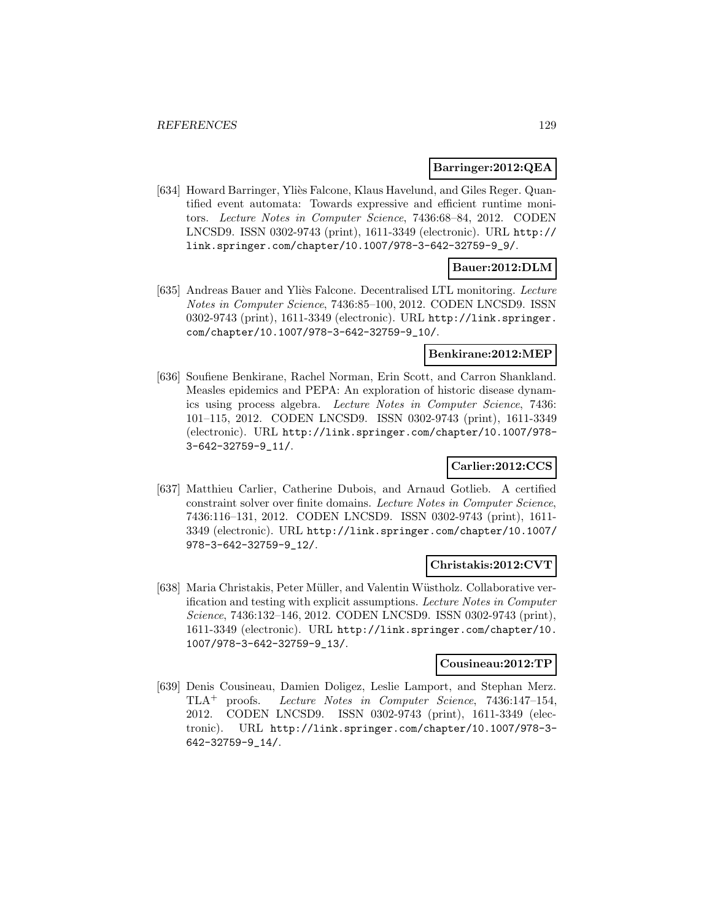#### **Barringer:2012:QEA**

[634] Howard Barringer, Yliès Falcone, Klaus Havelund, and Giles Reger. Quantified event automata: Towards expressive and efficient runtime monitors. Lecture Notes in Computer Science, 7436:68–84, 2012. CODEN LNCSD9. ISSN 0302-9743 (print), 1611-3349 (electronic). URL http:// link.springer.com/chapter/10.1007/978-3-642-32759-9\_9/.

## **Bauer:2012:DLM**

[635] Andreas Bauer and Yliès Falcone. Decentralised LTL monitoring. Lecture Notes in Computer Science, 7436:85–100, 2012. CODEN LNCSD9. ISSN 0302-9743 (print), 1611-3349 (electronic). URL http://link.springer. com/chapter/10.1007/978-3-642-32759-9\_10/.

#### **Benkirane:2012:MEP**

[636] Soufiene Benkirane, Rachel Norman, Erin Scott, and Carron Shankland. Measles epidemics and PEPA: An exploration of historic disease dynamics using process algebra. Lecture Notes in Computer Science, 7436: 101–115, 2012. CODEN LNCSD9. ISSN 0302-9743 (print), 1611-3349 (electronic). URL http://link.springer.com/chapter/10.1007/978- 3-642-32759-9\_11/.

## **Carlier:2012:CCS**

[637] Matthieu Carlier, Catherine Dubois, and Arnaud Gotlieb. A certified constraint solver over finite domains. Lecture Notes in Computer Science, 7436:116–131, 2012. CODEN LNCSD9. ISSN 0302-9743 (print), 1611- 3349 (electronic). URL http://link.springer.com/chapter/10.1007/ 978-3-642-32759-9\_12/.

#### **Christakis:2012:CVT**

[638] Maria Christakis, Peter Müller, and Valentin Wüstholz. Collaborative verification and testing with explicit assumptions. Lecture Notes in Computer Science, 7436:132–146, 2012. CODEN LNCSD9. ISSN 0302-9743 (print), 1611-3349 (electronic). URL http://link.springer.com/chapter/10. 1007/978-3-642-32759-9\_13/.

#### **Cousineau:2012:TP**

[639] Denis Cousineau, Damien Doligez, Leslie Lamport, and Stephan Merz. TLA<sup>+</sup> proofs. Lecture Notes in Computer Science, 7436:147–154, 2012. CODEN LNCSD9. ISSN 0302-9743 (print), 1611-3349 (electronic). URL http://link.springer.com/chapter/10.1007/978-3- 642-32759-9\_14/.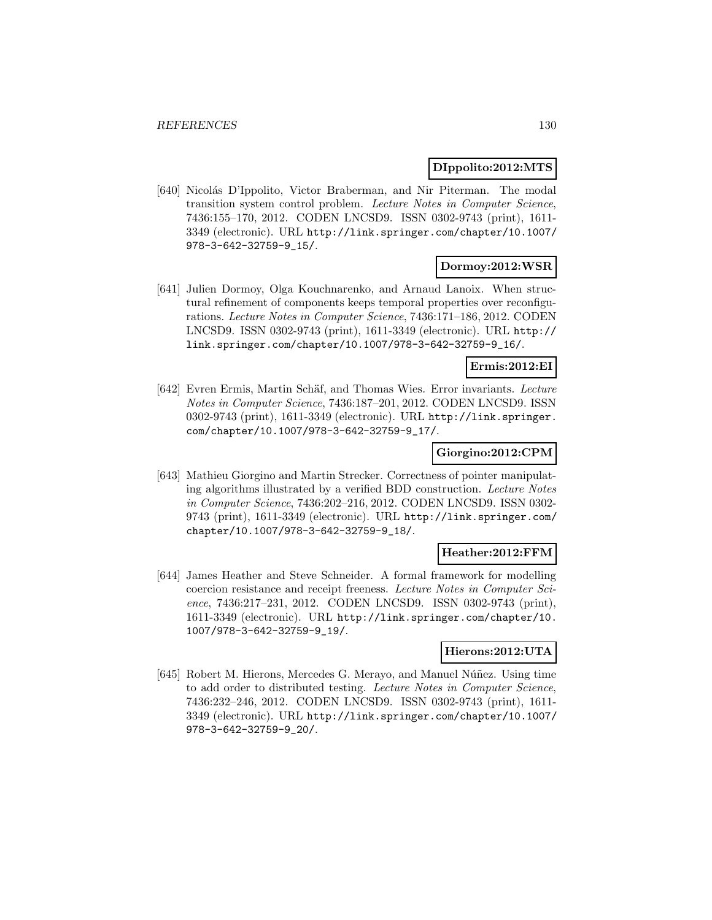#### **DIppolito:2012:MTS**

[640] Nicolás D'Ippolito, Victor Braberman, and Nir Piterman. The modal transition system control problem. Lecture Notes in Computer Science, 7436:155–170, 2012. CODEN LNCSD9. ISSN 0302-9743 (print), 1611- 3349 (electronic). URL http://link.springer.com/chapter/10.1007/ 978-3-642-32759-9\_15/.

## **Dormoy:2012:WSR**

[641] Julien Dormoy, Olga Kouchnarenko, and Arnaud Lanoix. When structural refinement of components keeps temporal properties over reconfigurations. Lecture Notes in Computer Science, 7436:171–186, 2012. CODEN LNCSD9. ISSN 0302-9743 (print), 1611-3349 (electronic). URL http:// link.springer.com/chapter/10.1007/978-3-642-32759-9\_16/.

#### **Ermis:2012:EI**

[642] Evren Ermis, Martin Schäf, and Thomas Wies. Error invariants. Lecture Notes in Computer Science, 7436:187–201, 2012. CODEN LNCSD9. ISSN 0302-9743 (print), 1611-3349 (electronic). URL http://link.springer. com/chapter/10.1007/978-3-642-32759-9\_17/.

#### **Giorgino:2012:CPM**

[643] Mathieu Giorgino and Martin Strecker. Correctness of pointer manipulating algorithms illustrated by a verified BDD construction. Lecture Notes in Computer Science, 7436:202–216, 2012. CODEN LNCSD9. ISSN 0302- 9743 (print), 1611-3349 (electronic). URL http://link.springer.com/ chapter/10.1007/978-3-642-32759-9\_18/.

### **Heather:2012:FFM**

[644] James Heather and Steve Schneider. A formal framework for modelling coercion resistance and receipt freeness. Lecture Notes in Computer Science, 7436:217–231, 2012. CODEN LNCSD9. ISSN 0302-9743 (print), 1611-3349 (electronic). URL http://link.springer.com/chapter/10. 1007/978-3-642-32759-9\_19/.

## **Hierons:2012:UTA**

[645] Robert M. Hierons, Mercedes G. Merayo, and Manuel Núñez. Using time to add order to distributed testing. Lecture Notes in Computer Science, 7436:232–246, 2012. CODEN LNCSD9. ISSN 0302-9743 (print), 1611- 3349 (electronic). URL http://link.springer.com/chapter/10.1007/ 978-3-642-32759-9\_20/.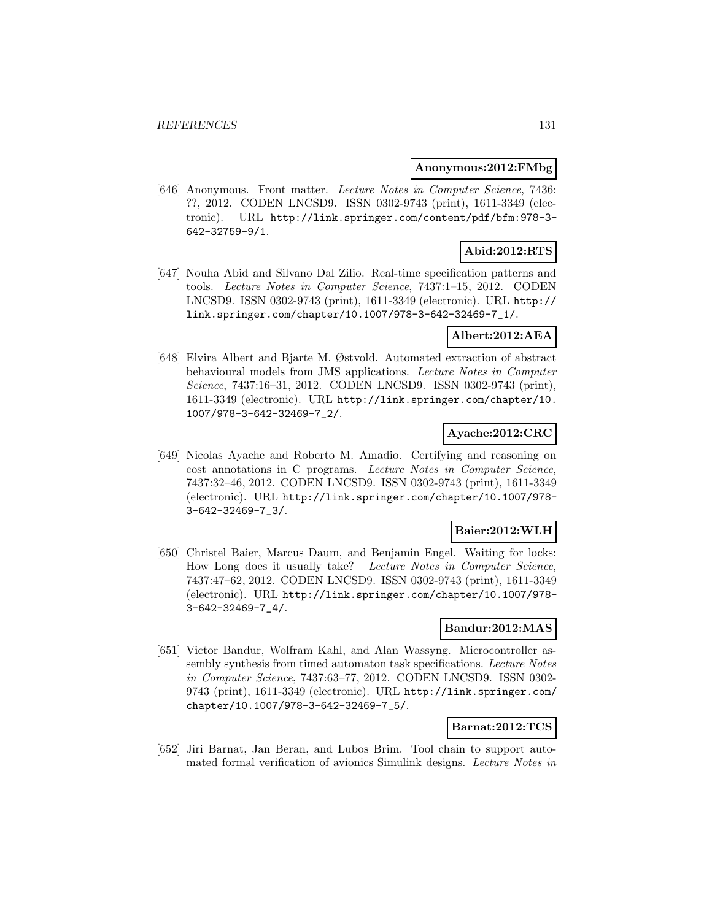#### **Anonymous:2012:FMbg**

[646] Anonymous. Front matter. Lecture Notes in Computer Science, 7436: ??, 2012. CODEN LNCSD9. ISSN 0302-9743 (print), 1611-3349 (electronic). URL http://link.springer.com/content/pdf/bfm:978-3- 642-32759-9/1.

# **Abid:2012:RTS**

[647] Nouha Abid and Silvano Dal Zilio. Real-time specification patterns and tools. Lecture Notes in Computer Science, 7437:1–15, 2012. CODEN LNCSD9. ISSN 0302-9743 (print), 1611-3349 (electronic). URL http:// link.springer.com/chapter/10.1007/978-3-642-32469-7\_1/.

### **Albert:2012:AEA**

[648] Elvira Albert and Bjarte M. Østvold. Automated extraction of abstract behavioural models from JMS applications. Lecture Notes in Computer Science, 7437:16–31, 2012. CODEN LNCSD9. ISSN 0302-9743 (print), 1611-3349 (electronic). URL http://link.springer.com/chapter/10. 1007/978-3-642-32469-7\_2/.

#### **Ayache:2012:CRC**

[649] Nicolas Ayache and Roberto M. Amadio. Certifying and reasoning on cost annotations in C programs. Lecture Notes in Computer Science, 7437:32–46, 2012. CODEN LNCSD9. ISSN 0302-9743 (print), 1611-3349 (electronic). URL http://link.springer.com/chapter/10.1007/978- 3-642-32469-7\_3/.

## **Baier:2012:WLH**

[650] Christel Baier, Marcus Daum, and Benjamin Engel. Waiting for locks: How Long does it usually take? Lecture Notes in Computer Science, 7437:47–62, 2012. CODEN LNCSD9. ISSN 0302-9743 (print), 1611-3349 (electronic). URL http://link.springer.com/chapter/10.1007/978- 3-642-32469-7\_4/.

## **Bandur:2012:MAS**

[651] Victor Bandur, Wolfram Kahl, and Alan Wassyng. Microcontroller assembly synthesis from timed automaton task specifications. Lecture Notes in Computer Science, 7437:63–77, 2012. CODEN LNCSD9. ISSN 0302- 9743 (print), 1611-3349 (electronic). URL http://link.springer.com/ chapter/10.1007/978-3-642-32469-7\_5/.

## **Barnat:2012:TCS**

[652] Jiri Barnat, Jan Beran, and Lubos Brim. Tool chain to support automated formal verification of avionics Simulink designs. Lecture Notes in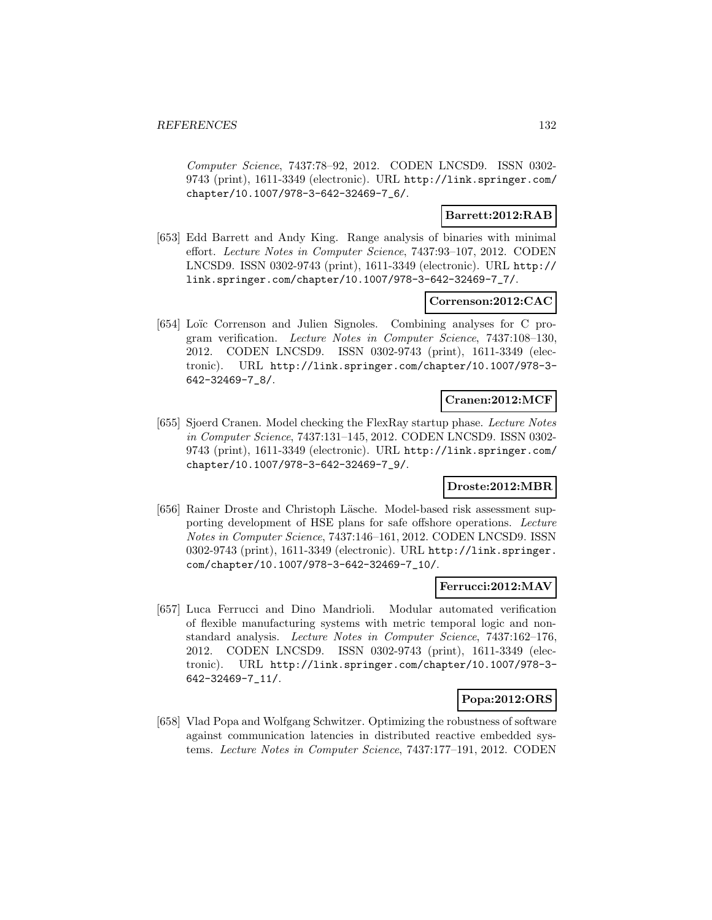Computer Science, 7437:78–92, 2012. CODEN LNCSD9. ISSN 0302- 9743 (print), 1611-3349 (electronic). URL http://link.springer.com/ chapter/10.1007/978-3-642-32469-7\_6/.

## **Barrett:2012:RAB**

[653] Edd Barrett and Andy King. Range analysis of binaries with minimal effort. Lecture Notes in Computer Science, 7437:93–107, 2012. CODEN LNCSD9. ISSN 0302-9743 (print), 1611-3349 (electronic). URL http:// link.springer.com/chapter/10.1007/978-3-642-32469-7\_7/.

### **Correnson:2012:CAC**

[654] Loïc Correnson and Julien Signoles. Combining analyses for C program verification. Lecture Notes in Computer Science, 7437:108–130, 2012. CODEN LNCSD9. ISSN 0302-9743 (print), 1611-3349 (electronic). URL http://link.springer.com/chapter/10.1007/978-3- 642-32469-7\_8/.

#### **Cranen:2012:MCF**

[655] Sjoerd Cranen. Model checking the FlexRay startup phase. Lecture Notes in Computer Science, 7437:131–145, 2012. CODEN LNCSD9. ISSN 0302- 9743 (print), 1611-3349 (electronic). URL http://link.springer.com/ chapter/10.1007/978-3-642-32469-7\_9/.

#### **Droste:2012:MBR**

[656] Rainer Droste and Christoph Läsche. Model-based risk assessment supporting development of HSE plans for safe offshore operations. Lecture Notes in Computer Science, 7437:146–161, 2012. CODEN LNCSD9. ISSN 0302-9743 (print), 1611-3349 (electronic). URL http://link.springer. com/chapter/10.1007/978-3-642-32469-7\_10/.

#### **Ferrucci:2012:MAV**

[657] Luca Ferrucci and Dino Mandrioli. Modular automated verification of flexible manufacturing systems with metric temporal logic and nonstandard analysis. Lecture Notes in Computer Science, 7437:162–176, 2012. CODEN LNCSD9. ISSN 0302-9743 (print), 1611-3349 (electronic). URL http://link.springer.com/chapter/10.1007/978-3- 642-32469-7\_11/.

## **Popa:2012:ORS**

[658] Vlad Popa and Wolfgang Schwitzer. Optimizing the robustness of software against communication latencies in distributed reactive embedded systems. Lecture Notes in Computer Science, 7437:177–191, 2012. CODEN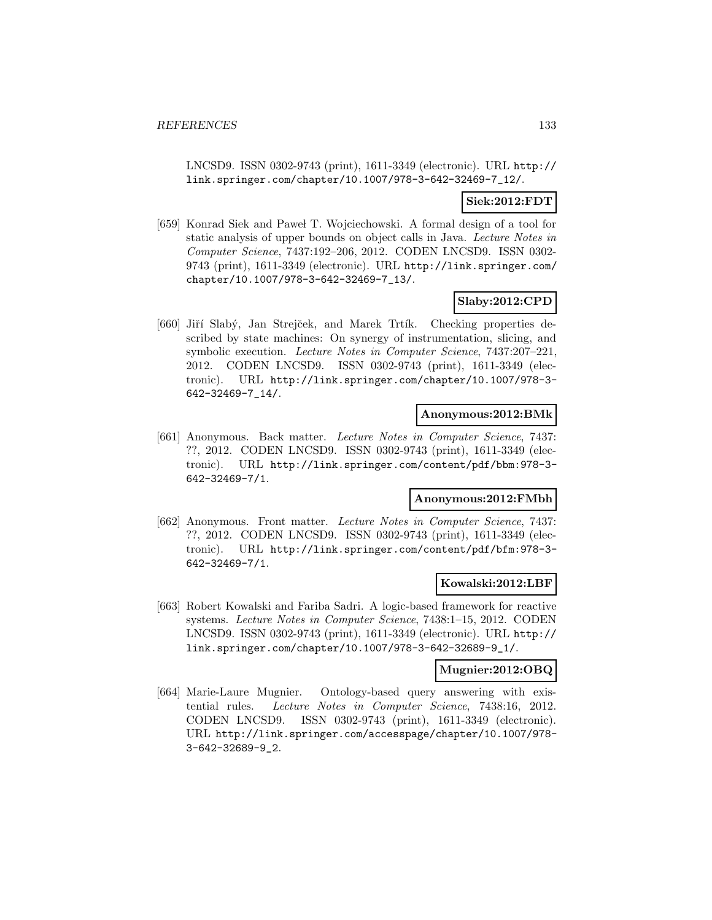LNCSD9. ISSN 0302-9743 (print), 1611-3349 (electronic). URL http:// link.springer.com/chapter/10.1007/978-3-642-32469-7\_12/.

## **Siek:2012:FDT**

[659] Konrad Siek and Pawel T. Wojciechowski. A formal design of a tool for static analysis of upper bounds on object calls in Java. Lecture Notes in Computer Science, 7437:192–206, 2012. CODEN LNCSD9. ISSN 0302- 9743 (print), 1611-3349 (electronic). URL http://link.springer.com/ chapter/10.1007/978-3-642-32469-7\_13/.

### **Slaby:2012:CPD**

[660] Jiří Slabý, Jan Strejček, and Marek Trtík. Checking properties described by state machines: On synergy of instrumentation, slicing, and symbolic execution. Lecture Notes in Computer Science, 7437:207–221, 2012. CODEN LNCSD9. ISSN 0302-9743 (print), 1611-3349 (electronic). URL http://link.springer.com/chapter/10.1007/978-3- 642-32469-7\_14/.

#### **Anonymous:2012:BMk**

[661] Anonymous. Back matter. Lecture Notes in Computer Science, 7437: ??, 2012. CODEN LNCSD9. ISSN 0302-9743 (print), 1611-3349 (electronic). URL http://link.springer.com/content/pdf/bbm:978-3- 642-32469-7/1.

## **Anonymous:2012:FMbh**

[662] Anonymous. Front matter. Lecture Notes in Computer Science, 7437: ??, 2012. CODEN LNCSD9. ISSN 0302-9743 (print), 1611-3349 (electronic). URL http://link.springer.com/content/pdf/bfm:978-3- 642-32469-7/1.

#### **Kowalski:2012:LBF**

[663] Robert Kowalski and Fariba Sadri. A logic-based framework for reactive systems. Lecture Notes in Computer Science, 7438:1–15, 2012. CODEN LNCSD9. ISSN 0302-9743 (print), 1611-3349 (electronic). URL http:// link.springer.com/chapter/10.1007/978-3-642-32689-9\_1/.

### **Mugnier:2012:OBQ**

[664] Marie-Laure Mugnier. Ontology-based query answering with existential rules. Lecture Notes in Computer Science, 7438:16, 2012. CODEN LNCSD9. ISSN 0302-9743 (print), 1611-3349 (electronic). URL http://link.springer.com/accesspage/chapter/10.1007/978- 3-642-32689-9\_2.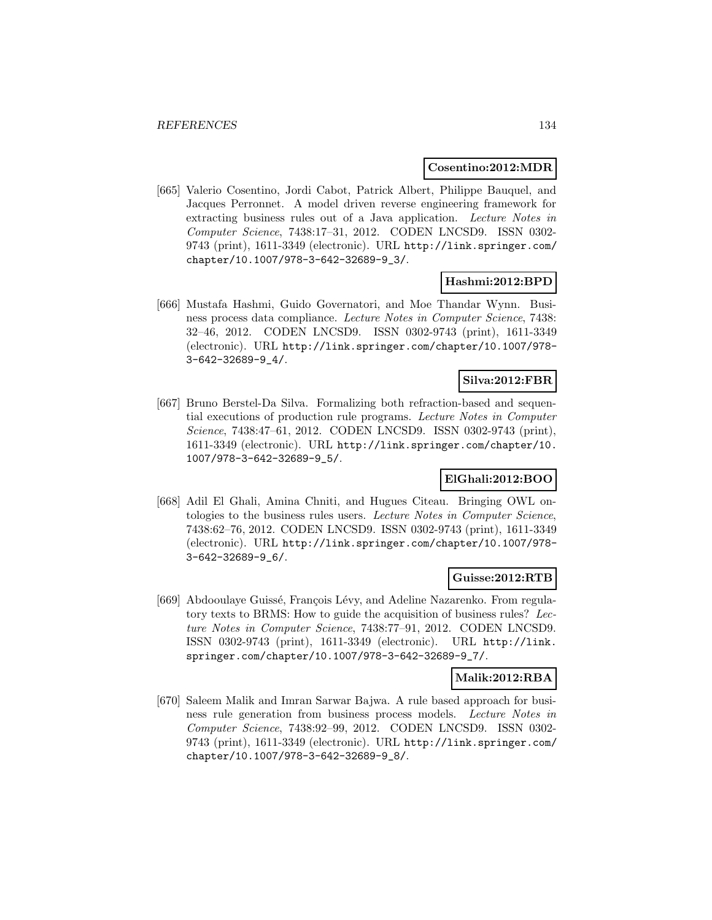#### **Cosentino:2012:MDR**

[665] Valerio Cosentino, Jordi Cabot, Patrick Albert, Philippe Bauquel, and Jacques Perronnet. A model driven reverse engineering framework for extracting business rules out of a Java application. Lecture Notes in Computer Science, 7438:17–31, 2012. CODEN LNCSD9. ISSN 0302- 9743 (print), 1611-3349 (electronic). URL http://link.springer.com/ chapter/10.1007/978-3-642-32689-9\_3/.

#### **Hashmi:2012:BPD**

[666] Mustafa Hashmi, Guido Governatori, and Moe Thandar Wynn. Business process data compliance. Lecture Notes in Computer Science, 7438: 32–46, 2012. CODEN LNCSD9. ISSN 0302-9743 (print), 1611-3349 (electronic). URL http://link.springer.com/chapter/10.1007/978- 3-642-32689-9\_4/.

## **Silva:2012:FBR**

[667] Bruno Berstel-Da Silva. Formalizing both refraction-based and sequential executions of production rule programs. Lecture Notes in Computer Science, 7438:47–61, 2012. CODEN LNCSD9. ISSN 0302-9743 (print), 1611-3349 (electronic). URL http://link.springer.com/chapter/10. 1007/978-3-642-32689-9\_5/.

# **ElGhali:2012:BOO**

[668] Adil El Ghali, Amina Chniti, and Hugues Citeau. Bringing OWL ontologies to the business rules users. Lecture Notes in Computer Science, 7438:62–76, 2012. CODEN LNCSD9. ISSN 0302-9743 (print), 1611-3349 (electronic). URL http://link.springer.com/chapter/10.1007/978- 3-642-32689-9\_6/.

## **Guisse:2012:RTB**

[669] Abdooulaye Guissé, François Lévy, and Adeline Nazarenko. From regulatory texts to BRMS: How to guide the acquisition of business rules? Lecture Notes in Computer Science, 7438:77–91, 2012. CODEN LNCSD9. ISSN 0302-9743 (print), 1611-3349 (electronic). URL http://link. springer.com/chapter/10.1007/978-3-642-32689-9\_7/.

#### **Malik:2012:RBA**

[670] Saleem Malik and Imran Sarwar Bajwa. A rule based approach for business rule generation from business process models. Lecture Notes in Computer Science, 7438:92–99, 2012. CODEN LNCSD9. ISSN 0302- 9743 (print), 1611-3349 (electronic). URL http://link.springer.com/ chapter/10.1007/978-3-642-32689-9\_8/.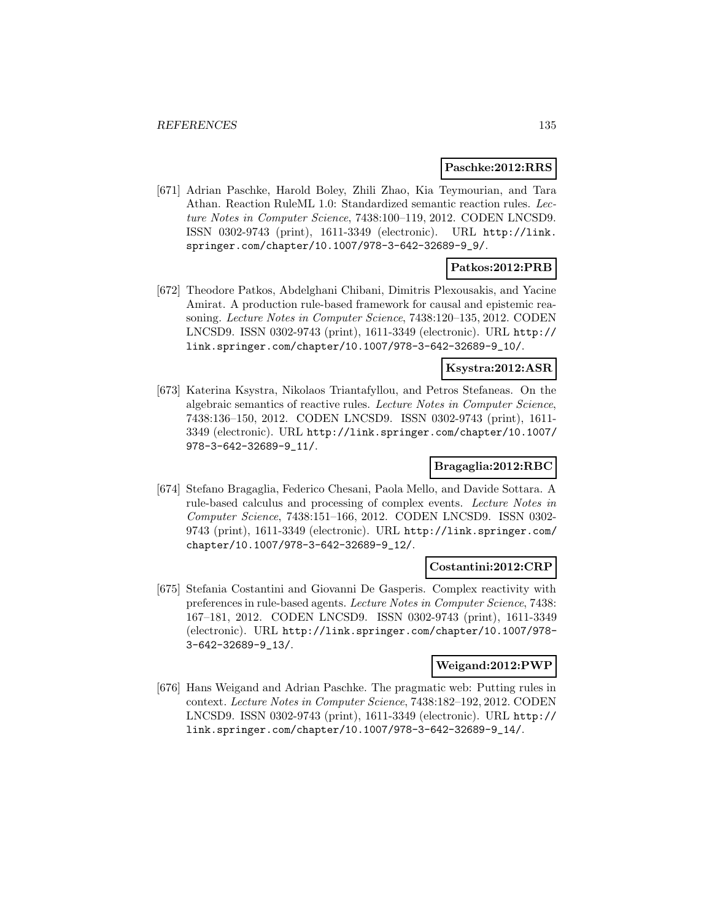#### **Paschke:2012:RRS**

[671] Adrian Paschke, Harold Boley, Zhili Zhao, Kia Teymourian, and Tara Athan. Reaction RuleML 1.0: Standardized semantic reaction rules. Lecture Notes in Computer Science, 7438:100–119, 2012. CODEN LNCSD9. ISSN 0302-9743 (print), 1611-3349 (electronic). URL http://link. springer.com/chapter/10.1007/978-3-642-32689-9\_9/.

## **Patkos:2012:PRB**

[672] Theodore Patkos, Abdelghani Chibani, Dimitris Plexousakis, and Yacine Amirat. A production rule-based framework for causal and epistemic reasoning. Lecture Notes in Computer Science, 7438:120–135, 2012. CODEN LNCSD9. ISSN 0302-9743 (print), 1611-3349 (electronic). URL http:// link.springer.com/chapter/10.1007/978-3-642-32689-9\_10/.

#### **Ksystra:2012:ASR**

[673] Katerina Ksystra, Nikolaos Triantafyllou, and Petros Stefaneas. On the algebraic semantics of reactive rules. Lecture Notes in Computer Science, 7438:136–150, 2012. CODEN LNCSD9. ISSN 0302-9743 (print), 1611- 3349 (electronic). URL http://link.springer.com/chapter/10.1007/ 978-3-642-32689-9\_11/.

## **Bragaglia:2012:RBC**

[674] Stefano Bragaglia, Federico Chesani, Paola Mello, and Davide Sottara. A rule-based calculus and processing of complex events. Lecture Notes in Computer Science, 7438:151–166, 2012. CODEN LNCSD9. ISSN 0302- 9743 (print), 1611-3349 (electronic). URL http://link.springer.com/ chapter/10.1007/978-3-642-32689-9\_12/.

#### **Costantini:2012:CRP**

[675] Stefania Costantini and Giovanni De Gasperis. Complex reactivity with preferences in rule-based agents. Lecture Notes in Computer Science, 7438: 167–181, 2012. CODEN LNCSD9. ISSN 0302-9743 (print), 1611-3349 (electronic). URL http://link.springer.com/chapter/10.1007/978- 3-642-32689-9\_13/.

#### **Weigand:2012:PWP**

[676] Hans Weigand and Adrian Paschke. The pragmatic web: Putting rules in context. Lecture Notes in Computer Science, 7438:182–192, 2012. CODEN LNCSD9. ISSN 0302-9743 (print), 1611-3349 (electronic). URL http:// link.springer.com/chapter/10.1007/978-3-642-32689-9\_14/.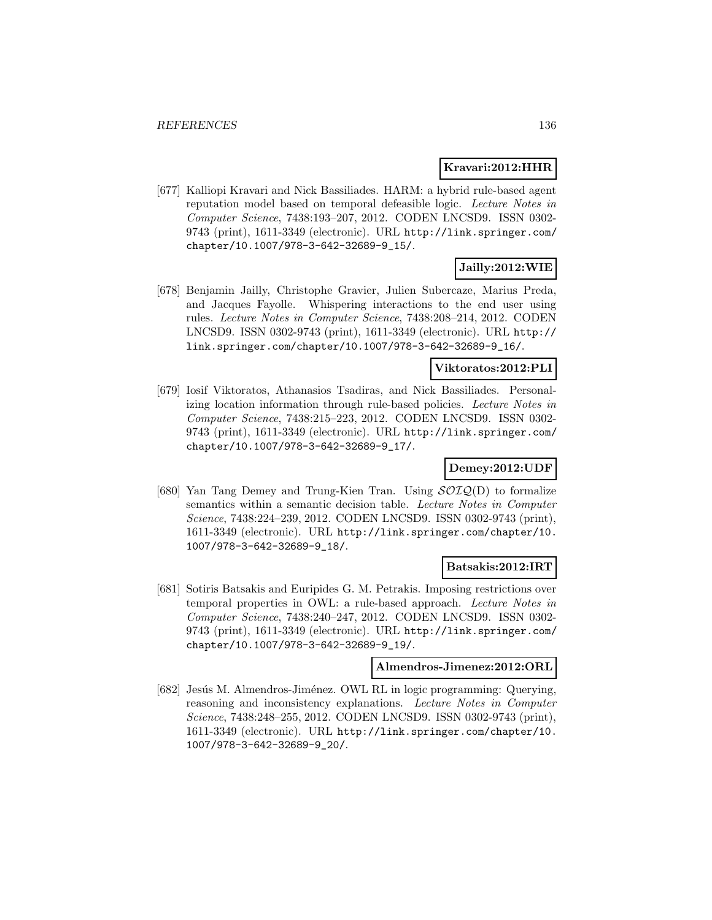#### **Kravari:2012:HHR**

[677] Kalliopi Kravari and Nick Bassiliades. HARM: a hybrid rule-based agent reputation model based on temporal defeasible logic. Lecture Notes in Computer Science, 7438:193–207, 2012. CODEN LNCSD9. ISSN 0302- 9743 (print), 1611-3349 (electronic). URL http://link.springer.com/ chapter/10.1007/978-3-642-32689-9\_15/.

# **Jailly:2012:WIE**

[678] Benjamin Jailly, Christophe Gravier, Julien Subercaze, Marius Preda, and Jacques Fayolle. Whispering interactions to the end user using rules. Lecture Notes in Computer Science, 7438:208–214, 2012. CODEN LNCSD9. ISSN 0302-9743 (print), 1611-3349 (electronic). URL http:// link.springer.com/chapter/10.1007/978-3-642-32689-9\_16/.

#### **Viktoratos:2012:PLI**

[679] Iosif Viktoratos, Athanasios Tsadiras, and Nick Bassiliades. Personalizing location information through rule-based policies. Lecture Notes in Computer Science, 7438:215–223, 2012. CODEN LNCSD9. ISSN 0302- 9743 (print), 1611-3349 (electronic). URL http://link.springer.com/ chapter/10.1007/978-3-642-32689-9\_17/.

## **Demey:2012:UDF**

[680] Yan Tang Demey and Trung-Kien Tran. Using  $\mathcal{SOLQ}(D)$  to formalize semantics within a semantic decision table. Lecture Notes in Computer Science, 7438:224–239, 2012. CODEN LNCSD9. ISSN 0302-9743 (print), 1611-3349 (electronic). URL http://link.springer.com/chapter/10. 1007/978-3-642-32689-9\_18/.

#### **Batsakis:2012:IRT**

[681] Sotiris Batsakis and Euripides G. M. Petrakis. Imposing restrictions over temporal properties in OWL: a rule-based approach. Lecture Notes in Computer Science, 7438:240–247, 2012. CODEN LNCSD9. ISSN 0302- 9743 (print), 1611-3349 (electronic). URL http://link.springer.com/ chapter/10.1007/978-3-642-32689-9\_19/.

#### **Almendros-Jimenez:2012:ORL**

[682] Jesús M. Almendros-Jiménez. OWL RL in logic programming: Querying, reasoning and inconsistency explanations. Lecture Notes in Computer Science, 7438:248–255, 2012. CODEN LNCSD9. ISSN 0302-9743 (print), 1611-3349 (electronic). URL http://link.springer.com/chapter/10. 1007/978-3-642-32689-9\_20/.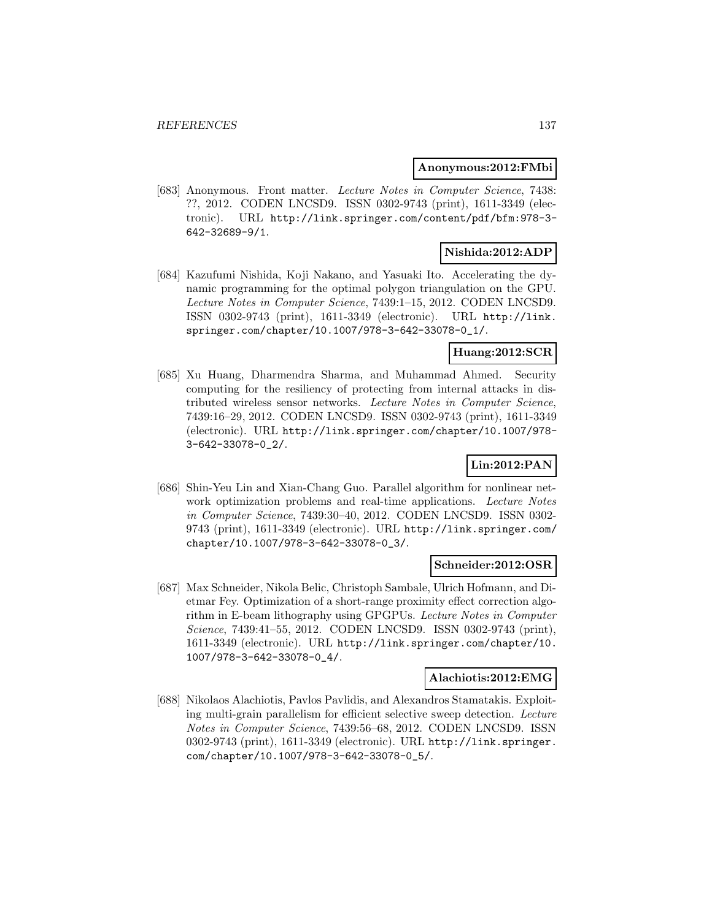#### **Anonymous:2012:FMbi**

[683] Anonymous. Front matter. Lecture Notes in Computer Science, 7438: ??, 2012. CODEN LNCSD9. ISSN 0302-9743 (print), 1611-3349 (electronic). URL http://link.springer.com/content/pdf/bfm:978-3- 642-32689-9/1.

## **Nishida:2012:ADP**

[684] Kazufumi Nishida, Koji Nakano, and Yasuaki Ito. Accelerating the dynamic programming for the optimal polygon triangulation on the GPU. Lecture Notes in Computer Science, 7439:1–15, 2012. CODEN LNCSD9. ISSN 0302-9743 (print), 1611-3349 (electronic). URL http://link. springer.com/chapter/10.1007/978-3-642-33078-0\_1/.

## **Huang:2012:SCR**

[685] Xu Huang, Dharmendra Sharma, and Muhammad Ahmed. Security computing for the resiliency of protecting from internal attacks in distributed wireless sensor networks. Lecture Notes in Computer Science, 7439:16–29, 2012. CODEN LNCSD9. ISSN 0302-9743 (print), 1611-3349 (electronic). URL http://link.springer.com/chapter/10.1007/978- 3-642-33078-0\_2/.

## **Lin:2012:PAN**

[686] Shin-Yeu Lin and Xian-Chang Guo. Parallel algorithm for nonlinear network optimization problems and real-time applications. Lecture Notes in Computer Science, 7439:30–40, 2012. CODEN LNCSD9. ISSN 0302- 9743 (print), 1611-3349 (electronic). URL http://link.springer.com/ chapter/10.1007/978-3-642-33078-0\_3/.

#### **Schneider:2012:OSR**

[687] Max Schneider, Nikola Belic, Christoph Sambale, Ulrich Hofmann, and Dietmar Fey. Optimization of a short-range proximity effect correction algorithm in E-beam lithography using GPGPUs. Lecture Notes in Computer Science, 7439:41–55, 2012. CODEN LNCSD9. ISSN 0302-9743 (print), 1611-3349 (electronic). URL http://link.springer.com/chapter/10. 1007/978-3-642-33078-0\_4/.

#### **Alachiotis:2012:EMG**

[688] Nikolaos Alachiotis, Pavlos Pavlidis, and Alexandros Stamatakis. Exploiting multi-grain parallelism for efficient selective sweep detection. Lecture Notes in Computer Science, 7439:56–68, 2012. CODEN LNCSD9. ISSN 0302-9743 (print), 1611-3349 (electronic). URL http://link.springer. com/chapter/10.1007/978-3-642-33078-0\_5/.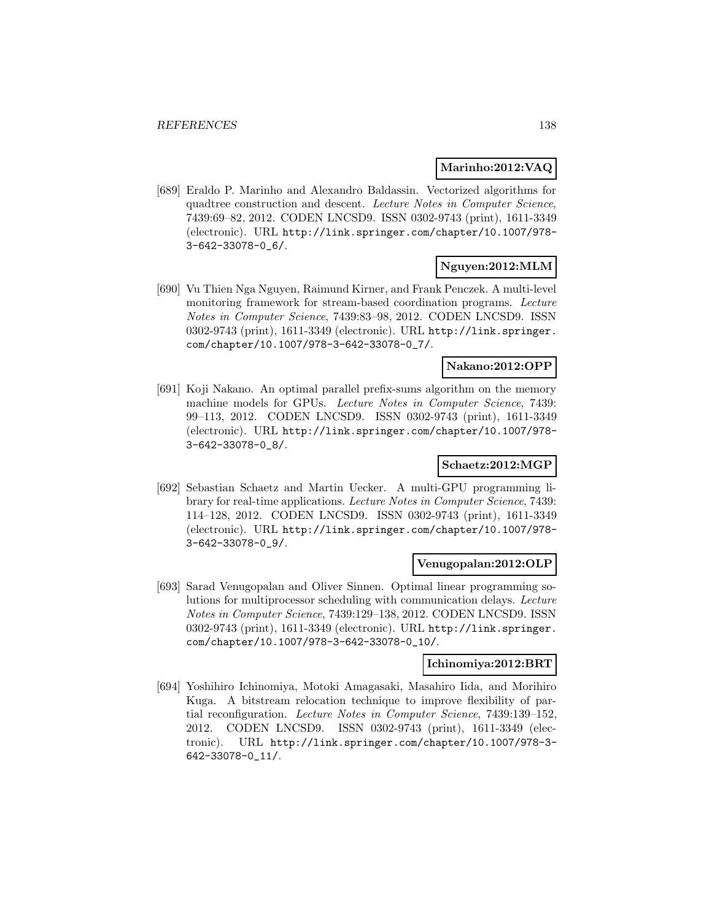### **Marinho:2012:VAQ**

[689] Eraldo P. Marinho and Alexandro Baldassin. Vectorized algorithms for quadtree construction and descent. Lecture Notes in Computer Science, 7439:69–82, 2012. CODEN LNCSD9. ISSN 0302-9743 (print), 1611-3349 (electronic). URL http://link.springer.com/chapter/10.1007/978- 3-642-33078-0\_6/.

# **Nguyen:2012:MLM**

[690] Vu Thien Nga Nguyen, Raimund Kirner, and Frank Penczek. A multi-level monitoring framework for stream-based coordination programs. Lecture Notes in Computer Science, 7439:83–98, 2012. CODEN LNCSD9. ISSN 0302-9743 (print), 1611-3349 (electronic). URL http://link.springer. com/chapter/10.1007/978-3-642-33078-0\_7/.

#### **Nakano:2012:OPP**

[691] Koji Nakano. An optimal parallel prefix-sums algorithm on the memory machine models for GPUs. Lecture Notes in Computer Science, 7439: 99–113, 2012. CODEN LNCSD9. ISSN 0302-9743 (print), 1611-3349 (electronic). URL http://link.springer.com/chapter/10.1007/978- 3-642-33078-0\_8/.

## **Schaetz:2012:MGP**

[692] Sebastian Schaetz and Martin Uecker. A multi-GPU programming library for real-time applications. Lecture Notes in Computer Science, 7439: 114–128, 2012. CODEN LNCSD9. ISSN 0302-9743 (print), 1611-3349 (electronic). URL http://link.springer.com/chapter/10.1007/978- 3-642-33078-0\_9/.

#### **Venugopalan:2012:OLP**

[693] Sarad Venugopalan and Oliver Sinnen. Optimal linear programming solutions for multiprocessor scheduling with communication delays. Lecture Notes in Computer Science, 7439:129–138, 2012. CODEN LNCSD9. ISSN 0302-9743 (print), 1611-3349 (electronic). URL http://link.springer. com/chapter/10.1007/978-3-642-33078-0\_10/.

#### **Ichinomiya:2012:BRT**

[694] Yoshihiro Ichinomiya, Motoki Amagasaki, Masahiro Iida, and Morihiro Kuga. A bitstream relocation technique to improve flexibility of partial reconfiguration. Lecture Notes in Computer Science, 7439:139–152, 2012. CODEN LNCSD9. ISSN 0302-9743 (print), 1611-3349 (electronic). URL http://link.springer.com/chapter/10.1007/978-3- 642-33078-0\_11/.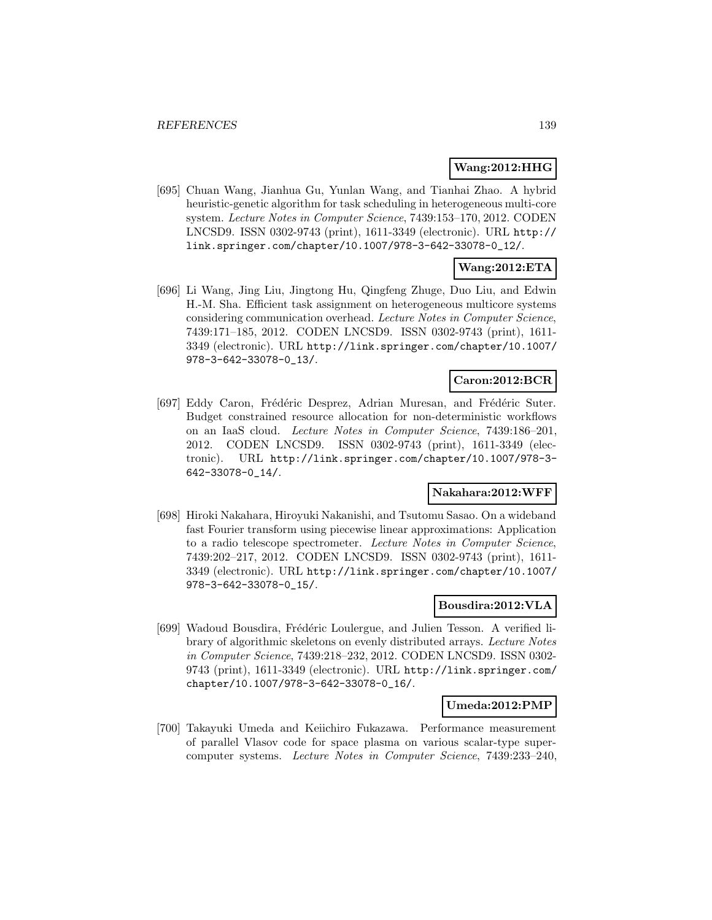### **Wang:2012:HHG**

[695] Chuan Wang, Jianhua Gu, Yunlan Wang, and Tianhai Zhao. A hybrid heuristic-genetic algorithm for task scheduling in heterogeneous multi-core system. Lecture Notes in Computer Science, 7439:153–170, 2012. CODEN LNCSD9. ISSN 0302-9743 (print), 1611-3349 (electronic). URL http:// link.springer.com/chapter/10.1007/978-3-642-33078-0\_12/.

# **Wang:2012:ETA**

[696] Li Wang, Jing Liu, Jingtong Hu, Qingfeng Zhuge, Duo Liu, and Edwin H.-M. Sha. Efficient task assignment on heterogeneous multicore systems considering communication overhead. Lecture Notes in Computer Science, 7439:171–185, 2012. CODEN LNCSD9. ISSN 0302-9743 (print), 1611- 3349 (electronic). URL http://link.springer.com/chapter/10.1007/ 978-3-642-33078-0\_13/.

## **Caron:2012:BCR**

[697] Eddy Caron, Frédéric Desprez, Adrian Muresan, and Frédéric Suter. Budget constrained resource allocation for non-deterministic workflows on an IaaS cloud. Lecture Notes in Computer Science, 7439:186–201, 2012. CODEN LNCSD9. ISSN 0302-9743 (print), 1611-3349 (electronic). URL http://link.springer.com/chapter/10.1007/978-3- 642-33078-0\_14/.

#### **Nakahara:2012:WFF**

[698] Hiroki Nakahara, Hiroyuki Nakanishi, and Tsutomu Sasao. On a wideband fast Fourier transform using piecewise linear approximations: Application to a radio telescope spectrometer. Lecture Notes in Computer Science, 7439:202–217, 2012. CODEN LNCSD9. ISSN 0302-9743 (print), 1611- 3349 (electronic). URL http://link.springer.com/chapter/10.1007/ 978-3-642-33078-0\_15/.

#### **Bousdira:2012:VLA**

[699] Wadoud Bousdira, Frédéric Loulergue, and Julien Tesson. A verified library of algorithmic skeletons on evenly distributed arrays. Lecture Notes in Computer Science, 7439:218–232, 2012. CODEN LNCSD9. ISSN 0302- 9743 (print), 1611-3349 (electronic). URL http://link.springer.com/ chapter/10.1007/978-3-642-33078-0\_16/.

#### **Umeda:2012:PMP**

[700] Takayuki Umeda and Keiichiro Fukazawa. Performance measurement of parallel Vlasov code for space plasma on various scalar-type supercomputer systems. Lecture Notes in Computer Science, 7439:233–240,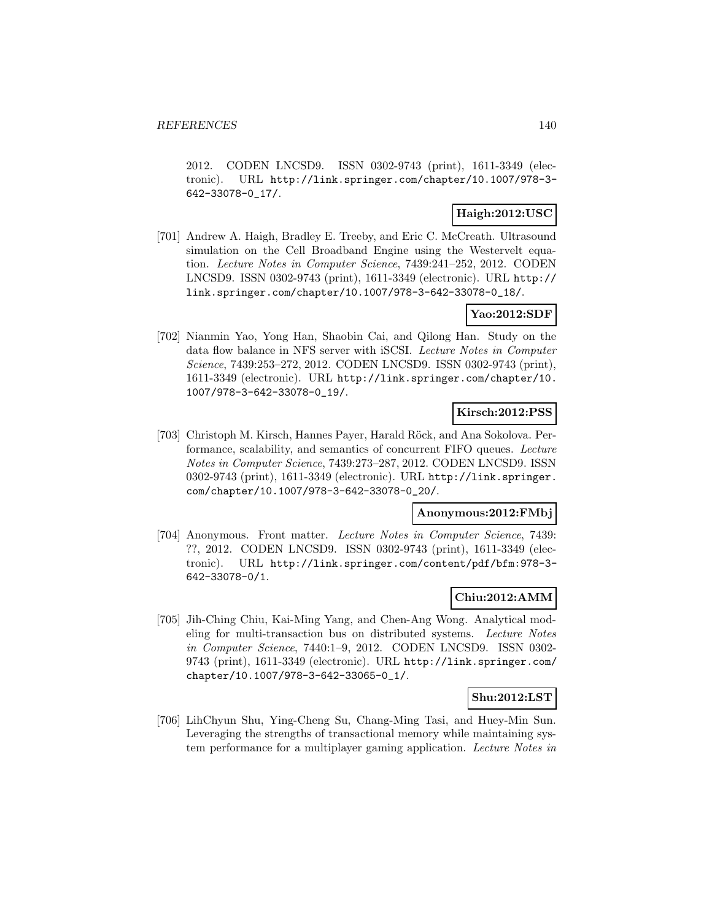2012. CODEN LNCSD9. ISSN 0302-9743 (print), 1611-3349 (electronic). URL http://link.springer.com/chapter/10.1007/978-3- 642-33078-0\_17/.

## **Haigh:2012:USC**

[701] Andrew A. Haigh, Bradley E. Treeby, and Eric C. McCreath. Ultrasound simulation on the Cell Broadband Engine using the Westervelt equation. Lecture Notes in Computer Science, 7439:241–252, 2012. CODEN LNCSD9. ISSN 0302-9743 (print), 1611-3349 (electronic). URL http:// link.springer.com/chapter/10.1007/978-3-642-33078-0\_18/.

## **Yao:2012:SDF**

[702] Nianmin Yao, Yong Han, Shaobin Cai, and Qilong Han. Study on the data flow balance in NFS server with iSCSI. Lecture Notes in Computer Science, 7439:253–272, 2012. CODEN LNCSD9. ISSN 0302-9743 (print), 1611-3349 (electronic). URL http://link.springer.com/chapter/10. 1007/978-3-642-33078-0\_19/.

# **Kirsch:2012:PSS**

[703] Christoph M. Kirsch, Hannes Payer, Harald Röck, and Ana Sokolova. Performance, scalability, and semantics of concurrent FIFO queues. Lecture Notes in Computer Science, 7439:273–287, 2012. CODEN LNCSD9. ISSN 0302-9743 (print), 1611-3349 (electronic). URL http://link.springer. com/chapter/10.1007/978-3-642-33078-0\_20/.

#### **Anonymous:2012:FMbj**

[704] Anonymous. Front matter. Lecture Notes in Computer Science, 7439: ??, 2012. CODEN LNCSD9. ISSN 0302-9743 (print), 1611-3349 (electronic). URL http://link.springer.com/content/pdf/bfm:978-3- 642-33078-0/1.

## **Chiu:2012:AMM**

[705] Jih-Ching Chiu, Kai-Ming Yang, and Chen-Ang Wong. Analytical modeling for multi-transaction bus on distributed systems. Lecture Notes in Computer Science, 7440:1–9, 2012. CODEN LNCSD9. ISSN 0302- 9743 (print), 1611-3349 (electronic). URL http://link.springer.com/ chapter/10.1007/978-3-642-33065-0\_1/.

# **Shu:2012:LST**

[706] LihChyun Shu, Ying-Cheng Su, Chang-Ming Tasi, and Huey-Min Sun. Leveraging the strengths of transactional memory while maintaining system performance for a multiplayer gaming application. Lecture Notes in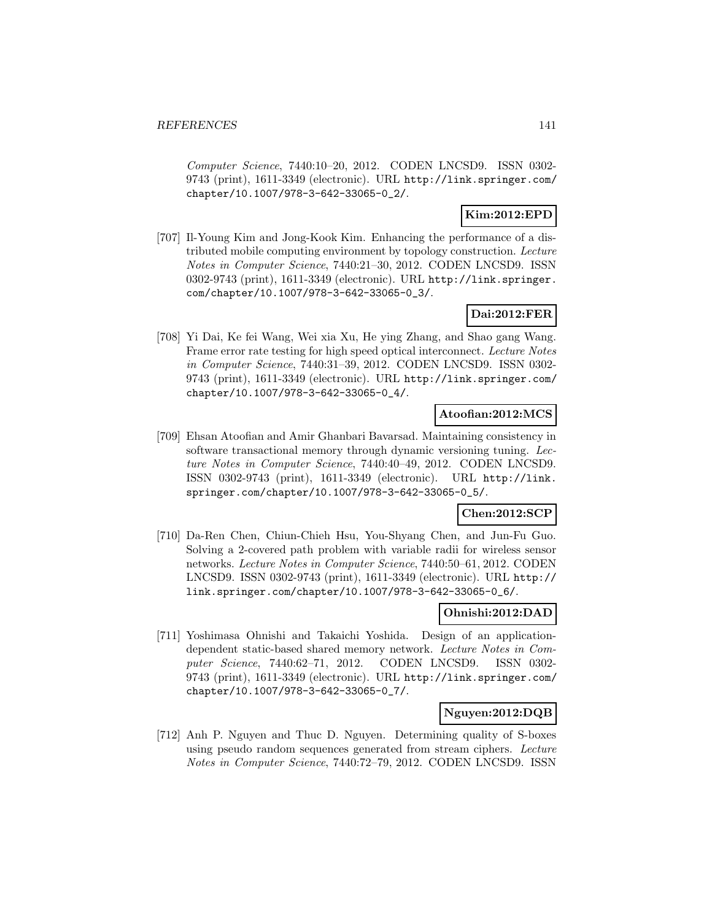Computer Science, 7440:10–20, 2012. CODEN LNCSD9. ISSN 0302- 9743 (print), 1611-3349 (electronic). URL http://link.springer.com/ chapter/10.1007/978-3-642-33065-0\_2/.

## **Kim:2012:EPD**

[707] Il-Young Kim and Jong-Kook Kim. Enhancing the performance of a distributed mobile computing environment by topology construction. Lecture Notes in Computer Science, 7440:21–30, 2012. CODEN LNCSD9. ISSN 0302-9743 (print), 1611-3349 (electronic). URL http://link.springer. com/chapter/10.1007/978-3-642-33065-0\_3/.

## **Dai:2012:FER**

[708] Yi Dai, Ke fei Wang, Wei xia Xu, He ying Zhang, and Shao gang Wang. Frame error rate testing for high speed optical interconnect. Lecture Notes in Computer Science, 7440:31–39, 2012. CODEN LNCSD9. ISSN 0302- 9743 (print), 1611-3349 (electronic). URL http://link.springer.com/ chapter/10.1007/978-3-642-33065-0\_4/.

## **Atoofian:2012:MCS**

[709] Ehsan Atoofian and Amir Ghanbari Bavarsad. Maintaining consistency in software transactional memory through dynamic versioning tuning. Lecture Notes in Computer Science, 7440:40–49, 2012. CODEN LNCSD9. ISSN 0302-9743 (print), 1611-3349 (electronic). URL http://link. springer.com/chapter/10.1007/978-3-642-33065-0\_5/.

# **Chen:2012:SCP**

[710] Da-Ren Chen, Chiun-Chieh Hsu, You-Shyang Chen, and Jun-Fu Guo. Solving a 2-covered path problem with variable radii for wireless sensor networks. Lecture Notes in Computer Science, 7440:50–61, 2012. CODEN LNCSD9. ISSN 0302-9743 (print), 1611-3349 (electronic). URL http:// link.springer.com/chapter/10.1007/978-3-642-33065-0\_6/.

## **Ohnishi:2012:DAD**

[711] Yoshimasa Ohnishi and Takaichi Yoshida. Design of an applicationdependent static-based shared memory network. Lecture Notes in Computer Science, 7440:62–71, 2012. CODEN LNCSD9. ISSN 0302- 9743 (print), 1611-3349 (electronic). URL http://link.springer.com/ chapter/10.1007/978-3-642-33065-0\_7/.

## **Nguyen:2012:DQB**

[712] Anh P. Nguyen and Thuc D. Nguyen. Determining quality of S-boxes using pseudo random sequences generated from stream ciphers. Lecture Notes in Computer Science, 7440:72–79, 2012. CODEN LNCSD9. ISSN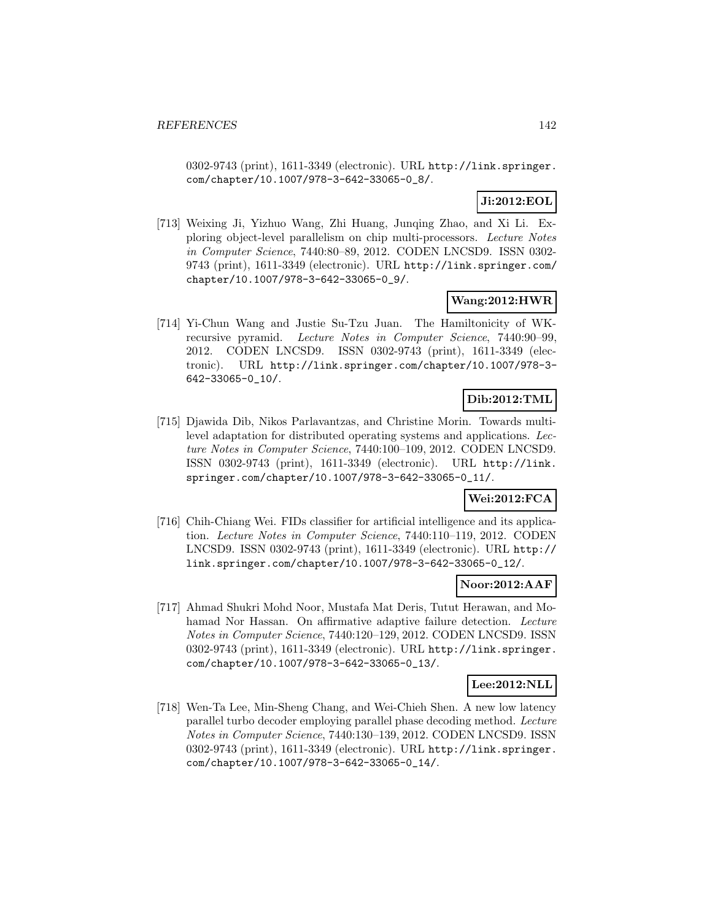0302-9743 (print), 1611-3349 (electronic). URL http://link.springer. com/chapter/10.1007/978-3-642-33065-0\_8/.

# **Ji:2012:EOL**

[713] Weixing Ji, Yizhuo Wang, Zhi Huang, Junqing Zhao, and Xi Li. Exploring object-level parallelism on chip multi-processors. Lecture Notes in Computer Science, 7440:80–89, 2012. CODEN LNCSD9. ISSN 0302- 9743 (print), 1611-3349 (electronic). URL http://link.springer.com/ chapter/10.1007/978-3-642-33065-0\_9/.

## **Wang:2012:HWR**

[714] Yi-Chun Wang and Justie Su-Tzu Juan. The Hamiltonicity of WKrecursive pyramid. Lecture Notes in Computer Science, 7440:90–99, 2012. CODEN LNCSD9. ISSN 0302-9743 (print), 1611-3349 (electronic). URL http://link.springer.com/chapter/10.1007/978-3- 642-33065-0\_10/.

# **Dib:2012:TML**

[715] Djawida Dib, Nikos Parlavantzas, and Christine Morin. Towards multilevel adaptation for distributed operating systems and applications. Lecture Notes in Computer Science, 7440:100–109, 2012. CODEN LNCSD9. ISSN 0302-9743 (print), 1611-3349 (electronic). URL http://link. springer.com/chapter/10.1007/978-3-642-33065-0\_11/.

# **Wei:2012:FCA**

[716] Chih-Chiang Wei. FIDs classifier for artificial intelligence and its application. Lecture Notes in Computer Science, 7440:110–119, 2012. CODEN LNCSD9. ISSN 0302-9743 (print), 1611-3349 (electronic). URL http:// link.springer.com/chapter/10.1007/978-3-642-33065-0\_12/.

## **Noor:2012:AAF**

[717] Ahmad Shukri Mohd Noor, Mustafa Mat Deris, Tutut Herawan, and Mohamad Nor Hassan. On affirmative adaptive failure detection. Lecture Notes in Computer Science, 7440:120–129, 2012. CODEN LNCSD9. ISSN 0302-9743 (print), 1611-3349 (electronic). URL http://link.springer. com/chapter/10.1007/978-3-642-33065-0\_13/.

#### **Lee:2012:NLL**

[718] Wen-Ta Lee, Min-Sheng Chang, and Wei-Chieh Shen. A new low latency parallel turbo decoder employing parallel phase decoding method. Lecture Notes in Computer Science, 7440:130–139, 2012. CODEN LNCSD9. ISSN 0302-9743 (print), 1611-3349 (electronic). URL http://link.springer. com/chapter/10.1007/978-3-642-33065-0\_14/.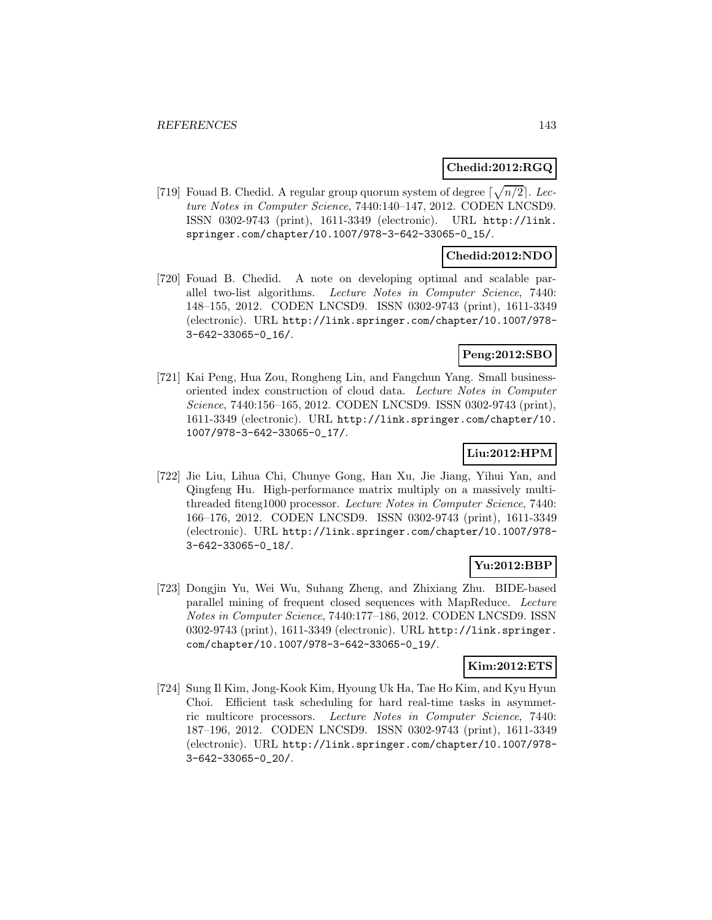### **Chedid:2012:RGQ**

[719] Fouad B. Chedid. A regular group quorum system of degree  $\lceil \sqrt{n/2} \rceil$ . Lecture Notes in Computer Science, 7440:140–147, 2012. CODEN LNCSD9. ISSN 0302-9743 (print), 1611-3349 (electronic). URL http://link. springer.com/chapter/10.1007/978-3-642-33065-0\_15/.

#### **Chedid:2012:NDO**

[720] Fouad B. Chedid. A note on developing optimal and scalable parallel two-list algorithms. Lecture Notes in Computer Science, 7440: 148–155, 2012. CODEN LNCSD9. ISSN 0302-9743 (print), 1611-3349 (electronic). URL http://link.springer.com/chapter/10.1007/978- 3-642-33065-0\_16/.

## **Peng:2012:SBO**

[721] Kai Peng, Hua Zou, Rongheng Lin, and Fangchun Yang. Small businessoriented index construction of cloud data. Lecture Notes in Computer Science, 7440:156–165, 2012. CODEN LNCSD9. ISSN 0302-9743 (print), 1611-3349 (electronic). URL http://link.springer.com/chapter/10. 1007/978-3-642-33065-0\_17/.

# **Liu:2012:HPM**

[722] Jie Liu, Lihua Chi, Chunye Gong, Han Xu, Jie Jiang, Yihui Yan, and Qingfeng Hu. High-performance matrix multiply on a massively multithreaded fiteng1000 processor. Lecture Notes in Computer Science, 7440: 166–176, 2012. CODEN LNCSD9. ISSN 0302-9743 (print), 1611-3349 (electronic). URL http://link.springer.com/chapter/10.1007/978- 3-642-33065-0\_18/.

# **Yu:2012:BBP**

[723] Dongjin Yu, Wei Wu, Suhang Zheng, and Zhixiang Zhu. BIDE-based parallel mining of frequent closed sequences with MapReduce. Lecture Notes in Computer Science, 7440:177–186, 2012. CODEN LNCSD9. ISSN 0302-9743 (print), 1611-3349 (electronic). URL http://link.springer. com/chapter/10.1007/978-3-642-33065-0\_19/.

### **Kim:2012:ETS**

[724] Sung Il Kim, Jong-Kook Kim, Hyoung Uk Ha, Tae Ho Kim, and Kyu Hyun Choi. Efficient task scheduling for hard real-time tasks in asymmetric multicore processors. Lecture Notes in Computer Science, 7440: 187–196, 2012. CODEN LNCSD9. ISSN 0302-9743 (print), 1611-3349 (electronic). URL http://link.springer.com/chapter/10.1007/978- 3-642-33065-0\_20/.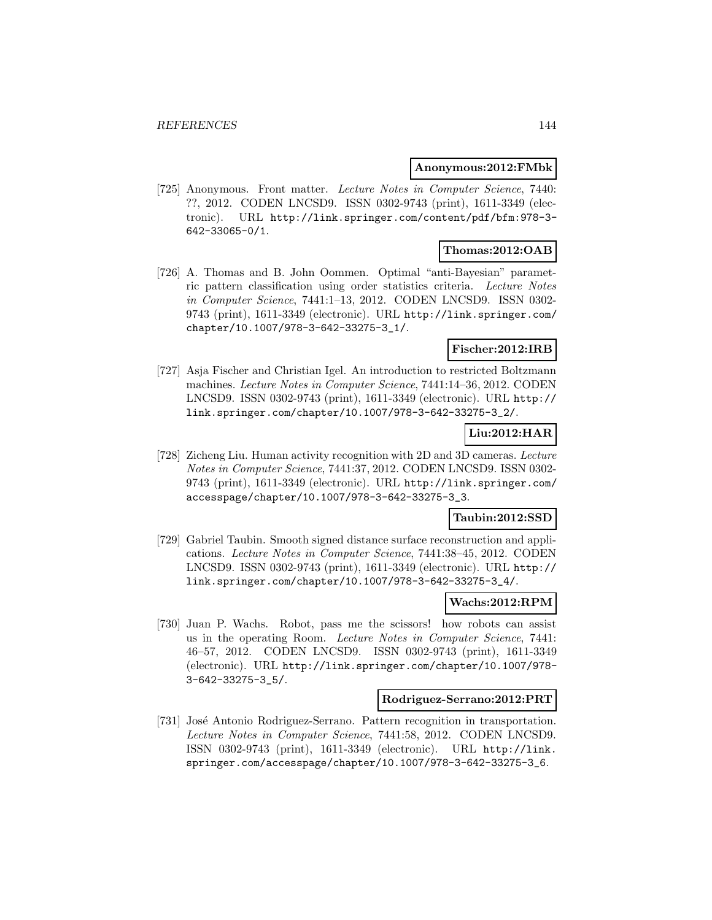#### **Anonymous:2012:FMbk**

[725] Anonymous. Front matter. Lecture Notes in Computer Science, 7440: ??, 2012. CODEN LNCSD9. ISSN 0302-9743 (print), 1611-3349 (electronic). URL http://link.springer.com/content/pdf/bfm:978-3- 642-33065-0/1.

## **Thomas:2012:OAB**

[726] A. Thomas and B. John Oommen. Optimal "anti-Bayesian" parametric pattern classification using order statistics criteria. Lecture Notes in Computer Science, 7441:1–13, 2012. CODEN LNCSD9. ISSN 0302- 9743 (print), 1611-3349 (electronic). URL http://link.springer.com/ chapter/10.1007/978-3-642-33275-3\_1/.

### **Fischer:2012:IRB**

[727] Asja Fischer and Christian Igel. An introduction to restricted Boltzmann machines. Lecture Notes in Computer Science, 7441:14–36, 2012. CODEN LNCSD9. ISSN 0302-9743 (print), 1611-3349 (electronic). URL http:// link.springer.com/chapter/10.1007/978-3-642-33275-3\_2/.

# **Liu:2012:HAR**

[728] Zicheng Liu. Human activity recognition with 2D and 3D cameras. Lecture Notes in Computer Science, 7441:37, 2012. CODEN LNCSD9. ISSN 0302- 9743 (print), 1611-3349 (electronic). URL http://link.springer.com/ accesspage/chapter/10.1007/978-3-642-33275-3\_3.

## **Taubin:2012:SSD**

[729] Gabriel Taubin. Smooth signed distance surface reconstruction and applications. Lecture Notes in Computer Science, 7441:38–45, 2012. CODEN LNCSD9. ISSN 0302-9743 (print), 1611-3349 (electronic). URL http:// link.springer.com/chapter/10.1007/978-3-642-33275-3\_4/.

#### **Wachs:2012:RPM**

[730] Juan P. Wachs. Robot, pass me the scissors! how robots can assist us in the operating Room. Lecture Notes in Computer Science, 7441: 46–57, 2012. CODEN LNCSD9. ISSN 0302-9743 (print), 1611-3349 (electronic). URL http://link.springer.com/chapter/10.1007/978- 3-642-33275-3\_5/.

#### **Rodriguez-Serrano:2012:PRT**

[731] José Antonio Rodriguez-Serrano. Pattern recognition in transportation. Lecture Notes in Computer Science, 7441:58, 2012. CODEN LNCSD9. ISSN 0302-9743 (print), 1611-3349 (electronic). URL http://link. springer.com/accesspage/chapter/10.1007/978-3-642-33275-3\_6.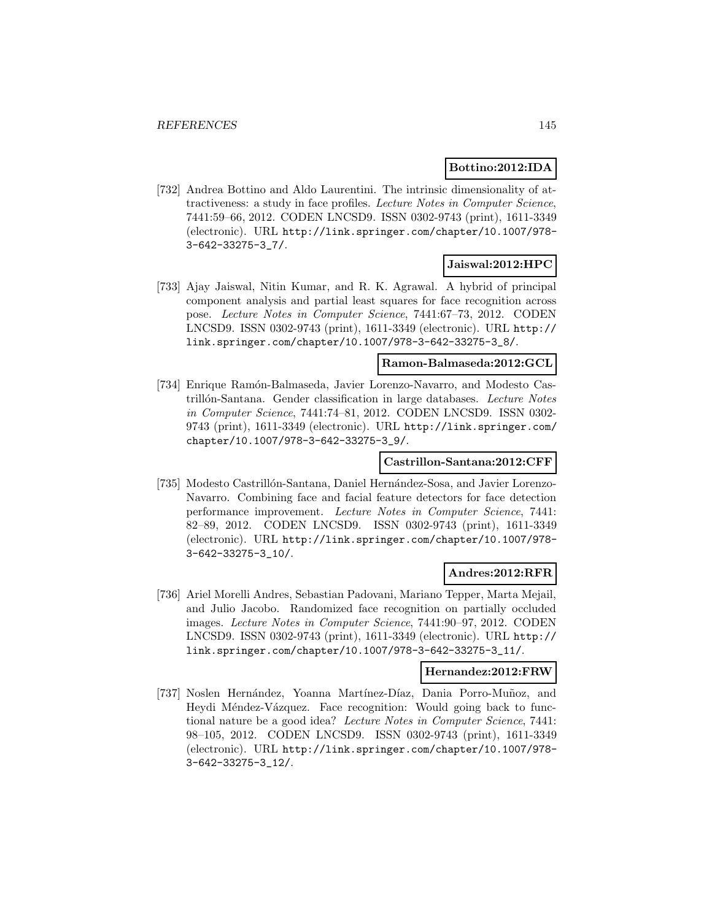# **Bottino:2012:IDA**

[732] Andrea Bottino and Aldo Laurentini. The intrinsic dimensionality of attractiveness: a study in face profiles. Lecture Notes in Computer Science, 7441:59–66, 2012. CODEN LNCSD9. ISSN 0302-9743 (print), 1611-3349 (electronic). URL http://link.springer.com/chapter/10.1007/978- 3-642-33275-3\_7/.

### **Jaiswal:2012:HPC**

[733] Ajay Jaiswal, Nitin Kumar, and R. K. Agrawal. A hybrid of principal component analysis and partial least squares for face recognition across pose. Lecture Notes in Computer Science, 7441:67–73, 2012. CODEN LNCSD9. ISSN 0302-9743 (print), 1611-3349 (electronic). URL http:// link.springer.com/chapter/10.1007/978-3-642-33275-3\_8/.

# **Ramon-Balmaseda:2012:GCL**

[734] Enrique Ramón-Balmaseda, Javier Lorenzo-Navarro, and Modesto Castrillón-Santana. Gender classification in large databases. Lecture Notes in Computer Science, 7441:74–81, 2012. CODEN LNCSD9. ISSN 0302- 9743 (print), 1611-3349 (electronic). URL http://link.springer.com/ chapter/10.1007/978-3-642-33275-3\_9/.

## **Castrillon-Santana:2012:CFF**

[735] Modesto Castrillón-Santana, Daniel Hernández-Sosa, and Javier Lorenzo-Navarro. Combining face and facial feature detectors for face detection performance improvement. Lecture Notes in Computer Science, 7441: 82–89, 2012. CODEN LNCSD9. ISSN 0302-9743 (print), 1611-3349 (electronic). URL http://link.springer.com/chapter/10.1007/978- 3-642-33275-3\_10/.

# **Andres:2012:RFR**

[736] Ariel Morelli Andres, Sebastian Padovani, Mariano Tepper, Marta Mejail, and Julio Jacobo. Randomized face recognition on partially occluded images. Lecture Notes in Computer Science, 7441:90–97, 2012. CODEN LNCSD9. ISSN 0302-9743 (print), 1611-3349 (electronic). URL http:// link.springer.com/chapter/10.1007/978-3-642-33275-3\_11/.

# **Hernandez:2012:FRW**

[737] Noslen Hernández, Yoanna Martínez-Díaz, Dania Porro-Muñoz, and Heydi Méndez-Vázquez. Face recognition: Would going back to functional nature be a good idea? Lecture Notes in Computer Science, 7441: 98–105, 2012. CODEN LNCSD9. ISSN 0302-9743 (print), 1611-3349 (electronic). URL http://link.springer.com/chapter/10.1007/978- 3-642-33275-3\_12/.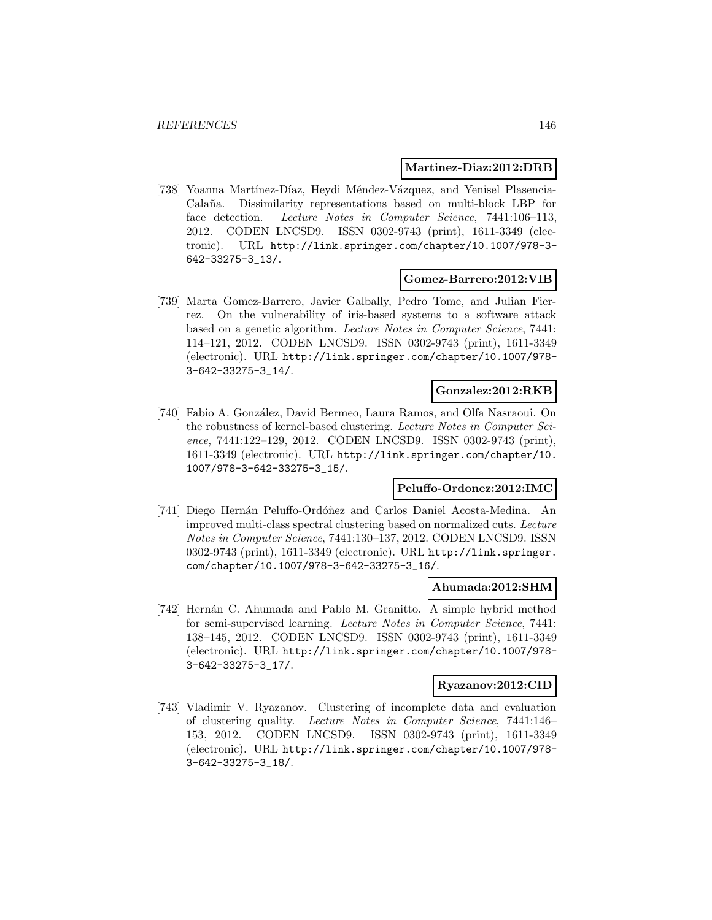### **Martinez-Diaz:2012:DRB**

[738] Yoanna Martínez-Díaz, Heydi Méndez-Vázquez, and Yenisel Plasencia-Calaña. Dissimilarity representations based on multi-block LBP for face detection. Lecture Notes in Computer Science, 7441:106-113, 2012. CODEN LNCSD9. ISSN 0302-9743 (print), 1611-3349 (electronic). URL http://link.springer.com/chapter/10.1007/978-3- 642-33275-3\_13/.

### **Gomez-Barrero:2012:VIB**

[739] Marta Gomez-Barrero, Javier Galbally, Pedro Tome, and Julian Fierrez. On the vulnerability of iris-based systems to a software attack based on a genetic algorithm. Lecture Notes in Computer Science, 7441: 114–121, 2012. CODEN LNCSD9. ISSN 0302-9743 (print), 1611-3349 (electronic). URL http://link.springer.com/chapter/10.1007/978- 3-642-33275-3\_14/.

#### **Gonzalez:2012:RKB**

[740] Fabio A. González, David Bermeo, Laura Ramos, and Olfa Nasraoui. On the robustness of kernel-based clustering. Lecture Notes in Computer Science, 7441:122–129, 2012. CODEN LNCSD9. ISSN 0302-9743 (print), 1611-3349 (electronic). URL http://link.springer.com/chapter/10. 1007/978-3-642-33275-3\_15/.

### **Peluffo-Ordonez:2012:IMC**

[741] Diego Hernán Peluffo-Ordóñez and Carlos Daniel Acosta-Medina. An improved multi-class spectral clustering based on normalized cuts. Lecture Notes in Computer Science, 7441:130–137, 2012. CODEN LNCSD9. ISSN 0302-9743 (print), 1611-3349 (electronic). URL http://link.springer. com/chapter/10.1007/978-3-642-33275-3\_16/.

### **Ahumada:2012:SHM**

[742] Hernán C. Ahumada and Pablo M. Granitto. A simple hybrid method for semi-supervised learning. Lecture Notes in Computer Science, 7441: 138–145, 2012. CODEN LNCSD9. ISSN 0302-9743 (print), 1611-3349 (electronic). URL http://link.springer.com/chapter/10.1007/978- 3-642-33275-3\_17/.

#### **Ryazanov:2012:CID**

[743] Vladimir V. Ryazanov. Clustering of incomplete data and evaluation of clustering quality. Lecture Notes in Computer Science, 7441:146– 153, 2012. CODEN LNCSD9. ISSN 0302-9743 (print), 1611-3349 (electronic). URL http://link.springer.com/chapter/10.1007/978- 3-642-33275-3\_18/.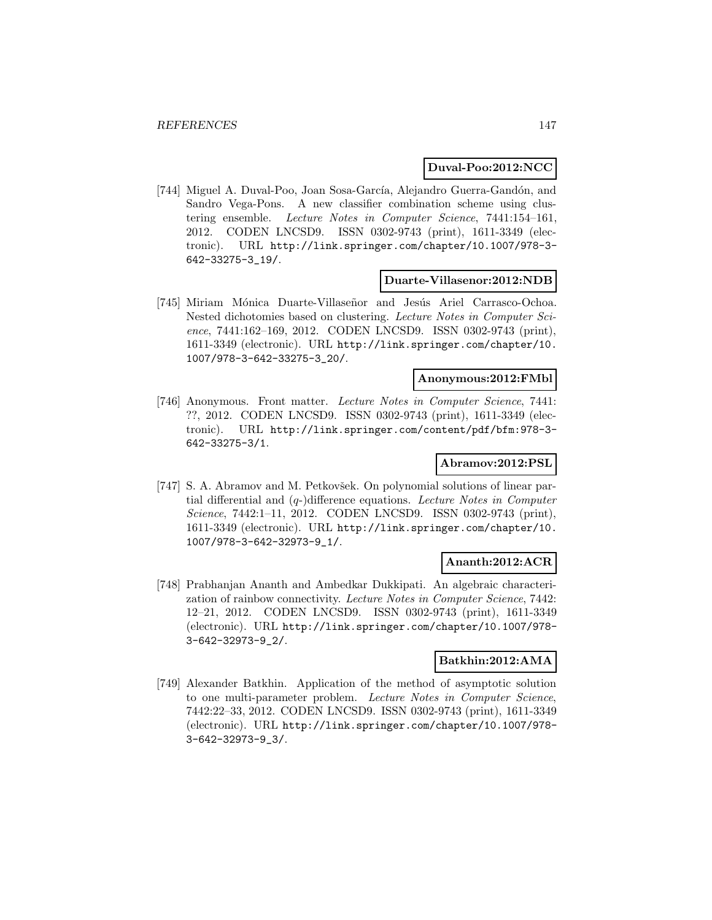### **Duval-Poo:2012:NCC**

[744] Miguel A. Duval-Poo, Joan Sosa-García, Alejandro Guerra-Gandón, and Sandro Vega-Pons. A new classifier combination scheme using clustering ensemble. Lecture Notes in Computer Science, 7441:154–161, 2012. CODEN LNCSD9. ISSN 0302-9743 (print), 1611-3349 (electronic). URL http://link.springer.com/chapter/10.1007/978-3- 642-33275-3\_19/.

#### **Duarte-Villasenor:2012:NDB**

[745] Miriam Mónica Duarte-Villaseñor and Jesús Ariel Carrasco-Ochoa. Nested dichotomies based on clustering. Lecture Notes in Computer Science, 7441:162-169, 2012. CODEN LNCSD9. ISSN 0302-9743 (print), 1611-3349 (electronic). URL http://link.springer.com/chapter/10. 1007/978-3-642-33275-3\_20/.

#### **Anonymous:2012:FMbl**

[746] Anonymous. Front matter. Lecture Notes in Computer Science, 7441: ??, 2012. CODEN LNCSD9. ISSN 0302-9743 (print), 1611-3349 (electronic). URL http://link.springer.com/content/pdf/bfm:978-3- 642-33275-3/1.

### **Abramov:2012:PSL**

[747] S. A. Abramov and M. Petkovšek. On polynomial solutions of linear partial differential and (q-)difference equations. Lecture Notes in Computer Science, 7442:1-11, 2012. CODEN LNCSD9. ISSN 0302-9743 (print), 1611-3349 (electronic). URL http://link.springer.com/chapter/10. 1007/978-3-642-32973-9\_1/.

### **Ananth:2012:ACR**

[748] Prabhanjan Ananth and Ambedkar Dukkipati. An algebraic characterization of rainbow connectivity. Lecture Notes in Computer Science, 7442: 12–21, 2012. CODEN LNCSD9. ISSN 0302-9743 (print), 1611-3349 (electronic). URL http://link.springer.com/chapter/10.1007/978- 3-642-32973-9\_2/.

### **Batkhin:2012:AMA**

[749] Alexander Batkhin. Application of the method of asymptotic solution to one multi-parameter problem. Lecture Notes in Computer Science, 7442:22–33, 2012. CODEN LNCSD9. ISSN 0302-9743 (print), 1611-3349 (electronic). URL http://link.springer.com/chapter/10.1007/978- 3-642-32973-9\_3/.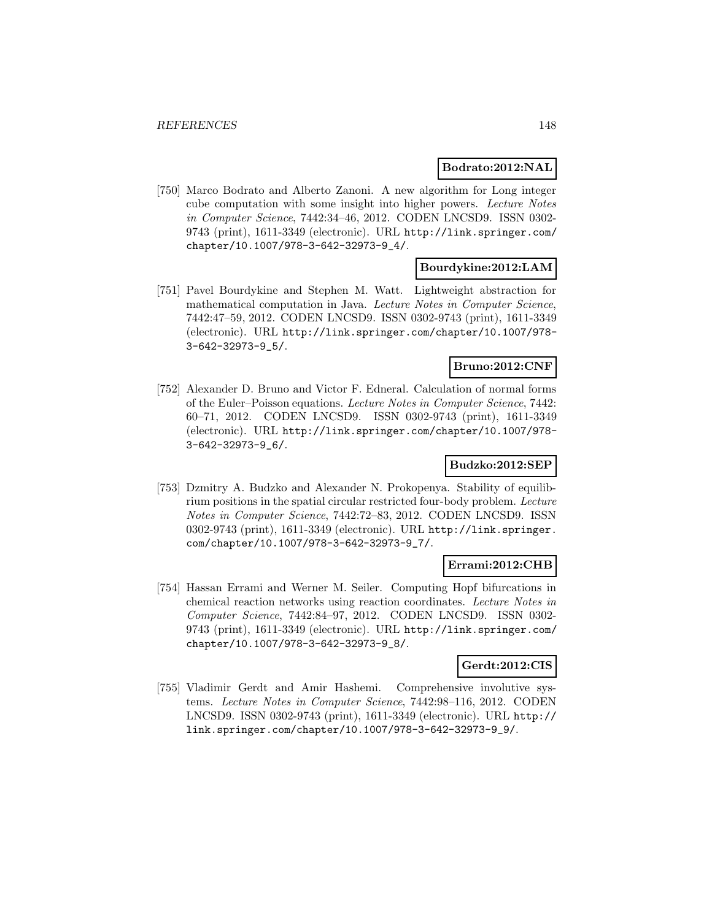### **Bodrato:2012:NAL**

[750] Marco Bodrato and Alberto Zanoni. A new algorithm for Long integer cube computation with some insight into higher powers. Lecture Notes in Computer Science, 7442:34–46, 2012. CODEN LNCSD9. ISSN 0302- 9743 (print), 1611-3349 (electronic). URL http://link.springer.com/ chapter/10.1007/978-3-642-32973-9\_4/.

# **Bourdykine:2012:LAM**

[751] Pavel Bourdykine and Stephen M. Watt. Lightweight abstraction for mathematical computation in Java. Lecture Notes in Computer Science, 7442:47–59, 2012. CODEN LNCSD9. ISSN 0302-9743 (print), 1611-3349 (electronic). URL http://link.springer.com/chapter/10.1007/978- 3-642-32973-9\_5/.

### **Bruno:2012:CNF**

[752] Alexander D. Bruno and Victor F. Edneral. Calculation of normal forms of the Euler–Poisson equations. Lecture Notes in Computer Science, 7442: 60–71, 2012. CODEN LNCSD9. ISSN 0302-9743 (print), 1611-3349 (electronic). URL http://link.springer.com/chapter/10.1007/978- 3-642-32973-9\_6/.

# **Budzko:2012:SEP**

[753] Dzmitry A. Budzko and Alexander N. Prokopenya. Stability of equilibrium positions in the spatial circular restricted four-body problem. Lecture Notes in Computer Science, 7442:72–83, 2012. CODEN LNCSD9. ISSN 0302-9743 (print), 1611-3349 (electronic). URL http://link.springer. com/chapter/10.1007/978-3-642-32973-9\_7/.

### **Errami:2012:CHB**

[754] Hassan Errami and Werner M. Seiler. Computing Hopf bifurcations in chemical reaction networks using reaction coordinates. Lecture Notes in Computer Science, 7442:84–97, 2012. CODEN LNCSD9. ISSN 0302- 9743 (print), 1611-3349 (electronic). URL http://link.springer.com/ chapter/10.1007/978-3-642-32973-9\_8/.

### **Gerdt:2012:CIS**

[755] Vladimir Gerdt and Amir Hashemi. Comprehensive involutive systems. Lecture Notes in Computer Science, 7442:98–116, 2012. CODEN LNCSD9. ISSN 0302-9743 (print), 1611-3349 (electronic). URL http:// link.springer.com/chapter/10.1007/978-3-642-32973-9\_9/.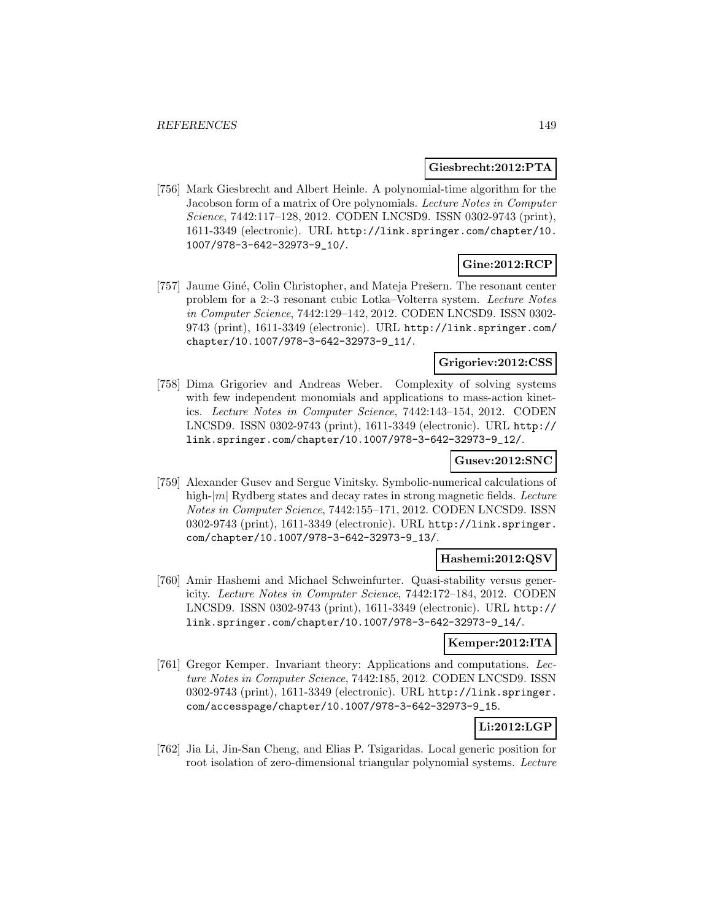### **Giesbrecht:2012:PTA**

[756] Mark Giesbrecht and Albert Heinle. A polynomial-time algorithm for the Jacobson form of a matrix of Ore polynomials. Lecture Notes in Computer Science, 7442:117–128, 2012. CODEN LNCSD9. ISSN 0302-9743 (print), 1611-3349 (electronic). URL http://link.springer.com/chapter/10. 1007/978-3-642-32973-9\_10/.

# **Gine:2012:RCP**

[757] Jaume Giné, Colin Christopher, and Mateja Prešern. The resonant center problem for a 2:-3 resonant cubic Lotka–Volterra system. Lecture Notes in Computer Science, 7442:129–142, 2012. CODEN LNCSD9. ISSN 0302- 9743 (print), 1611-3349 (electronic). URL http://link.springer.com/ chapter/10.1007/978-3-642-32973-9\_11/.

### **Grigoriev:2012:CSS**

[758] Dima Grigoriev and Andreas Weber. Complexity of solving systems with few independent monomials and applications to mass-action kinetics. Lecture Notes in Computer Science, 7442:143–154, 2012. CODEN LNCSD9. ISSN 0302-9743 (print), 1611-3349 (electronic). URL http:// link.springer.com/chapter/10.1007/978-3-642-32973-9\_12/.

# **Gusev:2012:SNC**

[759] Alexander Gusev and Sergue Vinitsky. Symbolic-numerical calculations of high- $|m|$  Rydberg states and decay rates in strong magnetic fields. Lecture Notes in Computer Science, 7442:155–171, 2012. CODEN LNCSD9. ISSN 0302-9743 (print), 1611-3349 (electronic). URL http://link.springer. com/chapter/10.1007/978-3-642-32973-9\_13/.

# **Hashemi:2012:QSV**

[760] Amir Hashemi and Michael Schweinfurter. Quasi-stability versus genericity. Lecture Notes in Computer Science, 7442:172–184, 2012. CODEN LNCSD9. ISSN 0302-9743 (print), 1611-3349 (electronic). URL http:// link.springer.com/chapter/10.1007/978-3-642-32973-9\_14/.

# **Kemper:2012:ITA**

[761] Gregor Kemper. Invariant theory: Applications and computations. Lecture Notes in Computer Science, 7442:185, 2012. CODEN LNCSD9. ISSN 0302-9743 (print), 1611-3349 (electronic). URL http://link.springer. com/accesspage/chapter/10.1007/978-3-642-32973-9\_15.

# **Li:2012:LGP**

[762] Jia Li, Jin-San Cheng, and Elias P. Tsigaridas. Local generic position for root isolation of zero-dimensional triangular polynomial systems. Lecture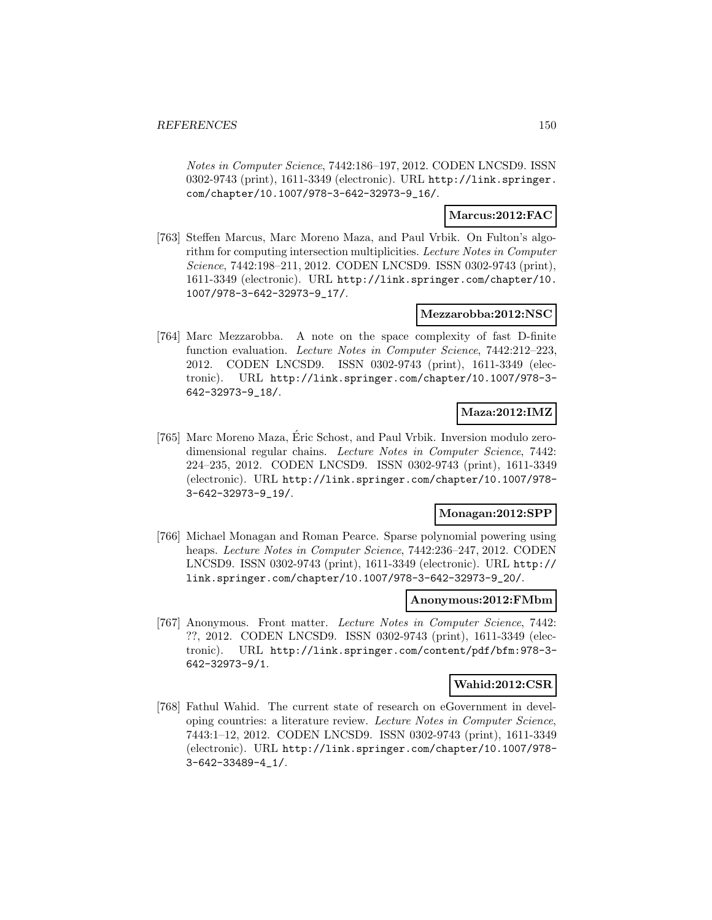Notes in Computer Science, 7442:186–197, 2012. CODEN LNCSD9. ISSN 0302-9743 (print), 1611-3349 (electronic). URL http://link.springer. com/chapter/10.1007/978-3-642-32973-9\_16/.

### **Marcus:2012:FAC**

[763] Steffen Marcus, Marc Moreno Maza, and Paul Vrbik. On Fulton's algorithm for computing intersection multiplicities. Lecture Notes in Computer Science, 7442:198–211, 2012. CODEN LNCSD9. ISSN 0302-9743 (print), 1611-3349 (electronic). URL http://link.springer.com/chapter/10. 1007/978-3-642-32973-9\_17/.

### **Mezzarobba:2012:NSC**

[764] Marc Mezzarobba. A note on the space complexity of fast D-finite function evaluation. Lecture Notes in Computer Science, 7442:212-223, 2012. CODEN LNCSD9. ISSN 0302-9743 (print), 1611-3349 (electronic). URL http://link.springer.com/chapter/10.1007/978-3- 642-32973-9\_18/.

# **Maza:2012:IMZ**

[765] Marc Moreno Maza, Eric Schost, and Paul Vrbik. Inversion modulo zero- ´ dimensional regular chains. Lecture Notes in Computer Science, 7442: 224–235, 2012. CODEN LNCSD9. ISSN 0302-9743 (print), 1611-3349 (electronic). URL http://link.springer.com/chapter/10.1007/978- 3-642-32973-9\_19/.

# **Monagan:2012:SPP**

[766] Michael Monagan and Roman Pearce. Sparse polynomial powering using heaps. Lecture Notes in Computer Science, 7442:236–247, 2012. CODEN LNCSD9. ISSN 0302-9743 (print), 1611-3349 (electronic). URL http:// link.springer.com/chapter/10.1007/978-3-642-32973-9\_20/.

#### **Anonymous:2012:FMbm**

[767] Anonymous. Front matter. Lecture Notes in Computer Science, 7442: ??, 2012. CODEN LNCSD9. ISSN 0302-9743 (print), 1611-3349 (electronic). URL http://link.springer.com/content/pdf/bfm:978-3- 642-32973-9/1.

### **Wahid:2012:CSR**

[768] Fathul Wahid. The current state of research on eGovernment in developing countries: a literature review. Lecture Notes in Computer Science, 7443:1–12, 2012. CODEN LNCSD9. ISSN 0302-9743 (print), 1611-3349 (electronic). URL http://link.springer.com/chapter/10.1007/978- 3-642-33489-4\_1/.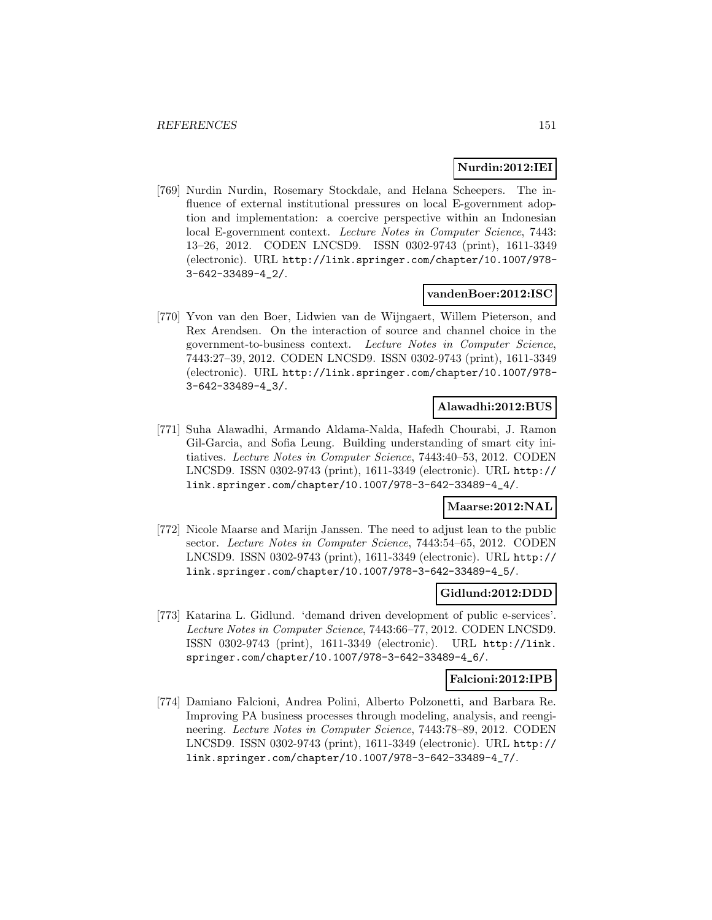### **Nurdin:2012:IEI**

[769] Nurdin Nurdin, Rosemary Stockdale, and Helana Scheepers. The influence of external institutional pressures on local E-government adoption and implementation: a coercive perspective within an Indonesian local E-government context. Lecture Notes in Computer Science, 7443: 13–26, 2012. CODEN LNCSD9. ISSN 0302-9743 (print), 1611-3349 (electronic). URL http://link.springer.com/chapter/10.1007/978- 3-642-33489-4\_2/.

### **vandenBoer:2012:ISC**

[770] Yvon van den Boer, Lidwien van de Wijngaert, Willem Pieterson, and Rex Arendsen. On the interaction of source and channel choice in the government-to-business context. Lecture Notes in Computer Science, 7443:27–39, 2012. CODEN LNCSD9. ISSN 0302-9743 (print), 1611-3349 (electronic). URL http://link.springer.com/chapter/10.1007/978- 3-642-33489-4\_3/.

## **Alawadhi:2012:BUS**

[771] Suha Alawadhi, Armando Aldama-Nalda, Hafedh Chourabi, J. Ramon Gil-Garcia, and Sofia Leung. Building understanding of smart city initiatives. Lecture Notes in Computer Science, 7443:40–53, 2012. CODEN LNCSD9. ISSN 0302-9743 (print), 1611-3349 (electronic). URL http:// link.springer.com/chapter/10.1007/978-3-642-33489-4\_4/.

### **Maarse:2012:NAL**

[772] Nicole Maarse and Marijn Janssen. The need to adjust lean to the public sector. Lecture Notes in Computer Science, 7443:54–65, 2012. CODEN LNCSD9. ISSN 0302-9743 (print), 1611-3349 (electronic). URL http:// link.springer.com/chapter/10.1007/978-3-642-33489-4\_5/.

# **Gidlund:2012:DDD**

[773] Katarina L. Gidlund. 'demand driven development of public e-services'. Lecture Notes in Computer Science, 7443:66–77, 2012. CODEN LNCSD9. ISSN 0302-9743 (print), 1611-3349 (electronic). URL http://link. springer.com/chapter/10.1007/978-3-642-33489-4\_6/.

#### **Falcioni:2012:IPB**

[774] Damiano Falcioni, Andrea Polini, Alberto Polzonetti, and Barbara Re. Improving PA business processes through modeling, analysis, and reengineering. Lecture Notes in Computer Science, 7443:78–89, 2012. CODEN LNCSD9. ISSN 0302-9743 (print), 1611-3349 (electronic). URL http:// link.springer.com/chapter/10.1007/978-3-642-33489-4\_7/.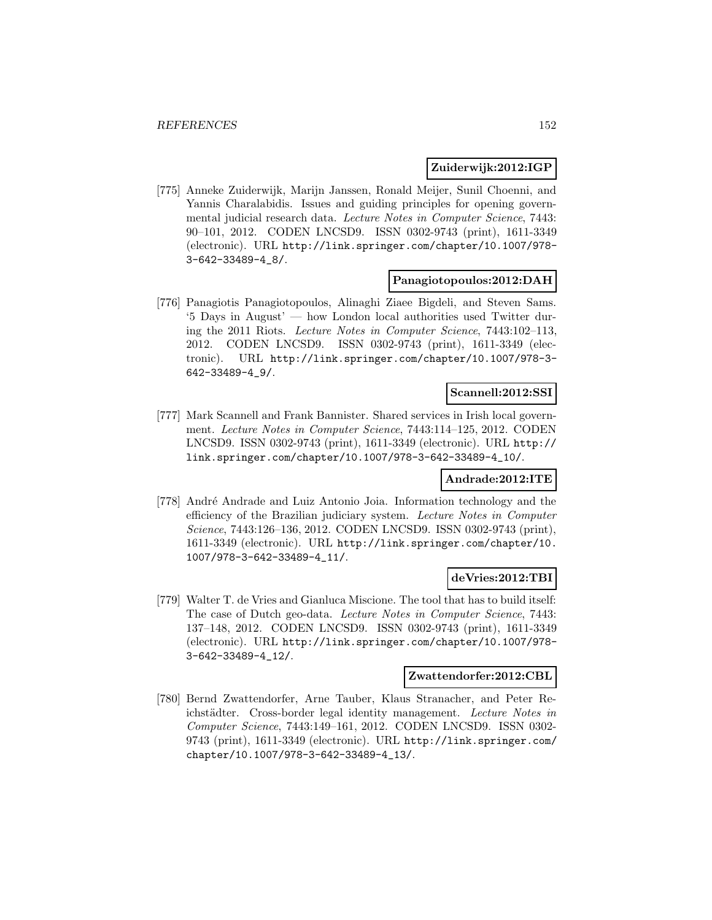### **Zuiderwijk:2012:IGP**

[775] Anneke Zuiderwijk, Marijn Janssen, Ronald Meijer, Sunil Choenni, and Yannis Charalabidis. Issues and guiding principles for opening governmental judicial research data. Lecture Notes in Computer Science, 7443: 90–101, 2012. CODEN LNCSD9. ISSN 0302-9743 (print), 1611-3349 (electronic). URL http://link.springer.com/chapter/10.1007/978- 3-642-33489-4\_8/.

#### **Panagiotopoulos:2012:DAH**

[776] Panagiotis Panagiotopoulos, Alinaghi Ziaee Bigdeli, and Steven Sams. '5 Days in August' — how London local authorities used Twitter during the 2011 Riots. Lecture Notes in Computer Science, 7443:102–113, 2012. CODEN LNCSD9. ISSN 0302-9743 (print), 1611-3349 (electronic). URL http://link.springer.com/chapter/10.1007/978-3- 642-33489-4\_9/.

### **Scannell:2012:SSI**

[777] Mark Scannell and Frank Bannister. Shared services in Irish local government. Lecture Notes in Computer Science, 7443:114–125, 2012. CODEN LNCSD9. ISSN 0302-9743 (print), 1611-3349 (electronic). URL http:// link.springer.com/chapter/10.1007/978-3-642-33489-4\_10/.

### **Andrade:2012:ITE**

[778] André Andrade and Luiz Antonio Joia. Information technology and the efficiency of the Brazilian judiciary system. Lecture Notes in Computer Science, 7443:126–136, 2012. CODEN LNCSD9. ISSN 0302-9743 (print), 1611-3349 (electronic). URL http://link.springer.com/chapter/10. 1007/978-3-642-33489-4\_11/.

### **deVries:2012:TBI**

[779] Walter T. de Vries and Gianluca Miscione. The tool that has to build itself: The case of Dutch geo-data. Lecture Notes in Computer Science, 7443: 137–148, 2012. CODEN LNCSD9. ISSN 0302-9743 (print), 1611-3349 (electronic). URL http://link.springer.com/chapter/10.1007/978- 3-642-33489-4\_12/.

## **Zwattendorfer:2012:CBL**

[780] Bernd Zwattendorfer, Arne Tauber, Klaus Stranacher, and Peter Reichstädter. Cross-border legal identity management. Lecture Notes in Computer Science, 7443:149–161, 2012. CODEN LNCSD9. ISSN 0302- 9743 (print), 1611-3349 (electronic). URL http://link.springer.com/ chapter/10.1007/978-3-642-33489-4\_13/.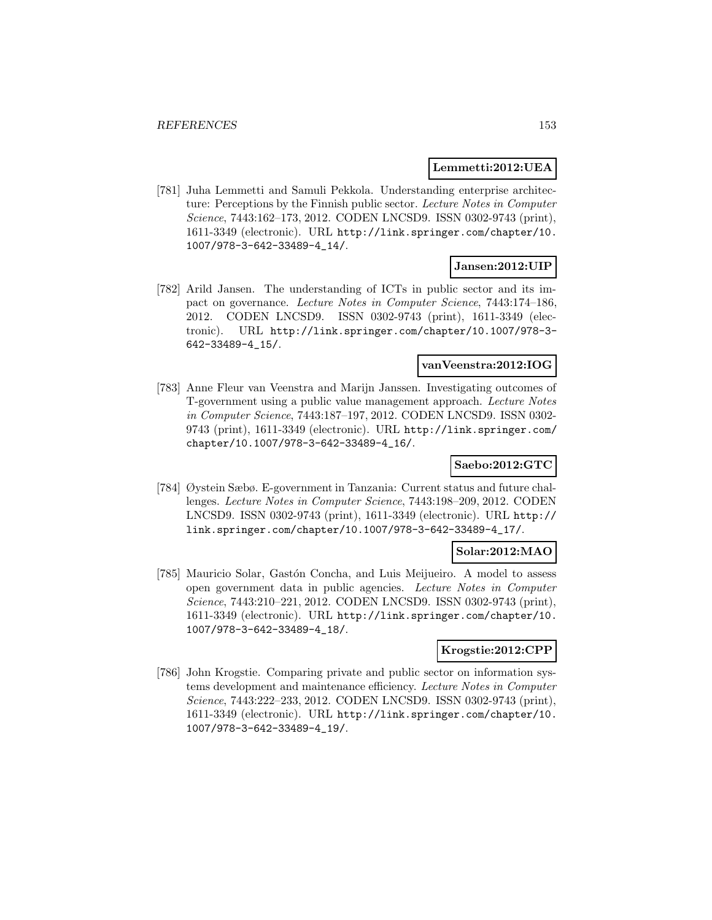### **Lemmetti:2012:UEA**

[781] Juha Lemmetti and Samuli Pekkola. Understanding enterprise architecture: Perceptions by the Finnish public sector. Lecture Notes in Computer Science, 7443:162–173, 2012. CODEN LNCSD9. ISSN 0302-9743 (print), 1611-3349 (electronic). URL http://link.springer.com/chapter/10. 1007/978-3-642-33489-4\_14/.

# **Jansen:2012:UIP**

[782] Arild Jansen. The understanding of ICTs in public sector and its impact on governance. Lecture Notes in Computer Science, 7443:174–186, 2012. CODEN LNCSD9. ISSN 0302-9743 (print), 1611-3349 (electronic). URL http://link.springer.com/chapter/10.1007/978-3- 642-33489-4\_15/.

# **vanVeenstra:2012:IOG**

[783] Anne Fleur van Veenstra and Marijn Janssen. Investigating outcomes of T-government using a public value management approach. Lecture Notes in Computer Science, 7443:187–197, 2012. CODEN LNCSD9. ISSN 0302- 9743 (print), 1611-3349 (electronic). URL http://link.springer.com/ chapter/10.1007/978-3-642-33489-4\_16/.

# **Saebo:2012:GTC**

[784] Øystein Sæbø. E-government in Tanzania: Current status and future challenges. Lecture Notes in Computer Science, 7443:198–209, 2012. CODEN LNCSD9. ISSN 0302-9743 (print), 1611-3349 (electronic). URL http:// link.springer.com/chapter/10.1007/978-3-642-33489-4\_17/.

### **Solar:2012:MAO**

[785] Mauricio Solar, Gastón Concha, and Luis Meijueiro. A model to assess open government data in public agencies. Lecture Notes in Computer Science, 7443:210–221, 2012. CODEN LNCSD9. ISSN 0302-9743 (print), 1611-3349 (electronic). URL http://link.springer.com/chapter/10. 1007/978-3-642-33489-4\_18/.

# **Krogstie:2012:CPP**

[786] John Krogstie. Comparing private and public sector on information systems development and maintenance efficiency. Lecture Notes in Computer Science, 7443:222–233, 2012. CODEN LNCSD9. ISSN 0302-9743 (print), 1611-3349 (electronic). URL http://link.springer.com/chapter/10. 1007/978-3-642-33489-4\_19/.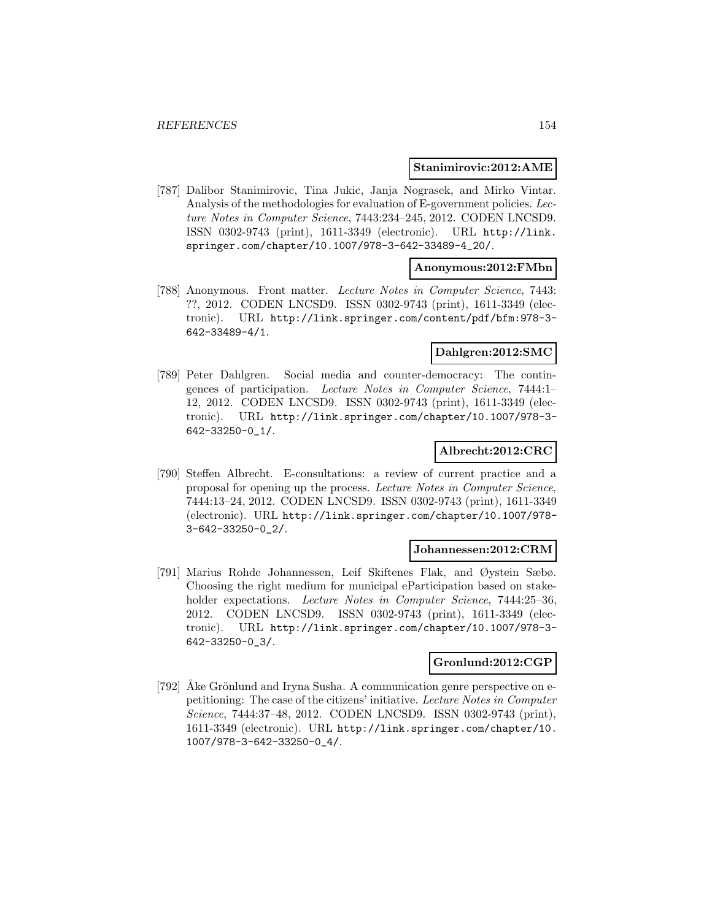#### **Stanimirovic:2012:AME**

[787] Dalibor Stanimirovic, Tina Jukic, Janja Nograsek, and Mirko Vintar. Analysis of the methodologies for evaluation of E-government policies. Lecture Notes in Computer Science, 7443:234–245, 2012. CODEN LNCSD9. ISSN 0302-9743 (print), 1611-3349 (electronic). URL http://link. springer.com/chapter/10.1007/978-3-642-33489-4\_20/.

### **Anonymous:2012:FMbn**

[788] Anonymous. Front matter. Lecture Notes in Computer Science, 7443: ??, 2012. CODEN LNCSD9. ISSN 0302-9743 (print), 1611-3349 (electronic). URL http://link.springer.com/content/pdf/bfm:978-3- 642-33489-4/1.

### **Dahlgren:2012:SMC**

[789] Peter Dahlgren. Social media and counter-democracy: The contingences of participation. Lecture Notes in Computer Science, 7444:1– 12, 2012. CODEN LNCSD9. ISSN 0302-9743 (print), 1611-3349 (electronic). URL http://link.springer.com/chapter/10.1007/978-3- 642-33250-0\_1/.

### **Albrecht:2012:CRC**

[790] Steffen Albrecht. E-consultations: a review of current practice and a proposal for opening up the process. Lecture Notes in Computer Science, 7444:13–24, 2012. CODEN LNCSD9. ISSN 0302-9743 (print), 1611-3349 (electronic). URL http://link.springer.com/chapter/10.1007/978- 3-642-33250-0\_2/.

### **Johannessen:2012:CRM**

[791] Marius Rohde Johannessen, Leif Skiftenes Flak, and Øystein Sæbø. Choosing the right medium for municipal eParticipation based on stakeholder expectations. Lecture Notes in Computer Science, 7444:25-36, 2012. CODEN LNCSD9. ISSN 0302-9743 (print), 1611-3349 (electronic). URL http://link.springer.com/chapter/10.1007/978-3- 642-33250-0\_3/.

#### **Gronlund:2012:CGP**

[792] Ake Grönlund and Iryna Susha. A communication genre perspective on epetitioning: The case of the citizens' initiative. Lecture Notes in Computer Science, 7444:37–48, 2012. CODEN LNCSD9. ISSN 0302-9743 (print), 1611-3349 (electronic). URL http://link.springer.com/chapter/10. 1007/978-3-642-33250-0\_4/.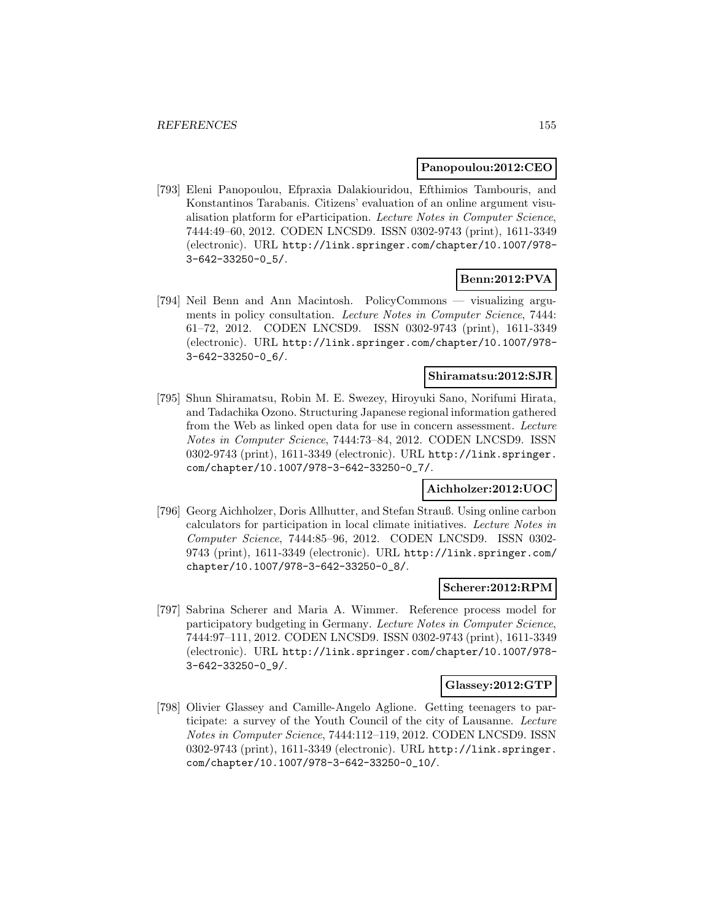### **Panopoulou:2012:CEO**

[793] Eleni Panopoulou, Efpraxia Dalakiouridou, Efthimios Tambouris, and Konstantinos Tarabanis. Citizens' evaluation of an online argument visualisation platform for eParticipation. Lecture Notes in Computer Science, 7444:49–60, 2012. CODEN LNCSD9. ISSN 0302-9743 (print), 1611-3349 (electronic). URL http://link.springer.com/chapter/10.1007/978- 3-642-33250-0\_5/.

# **Benn:2012:PVA**

[794] Neil Benn and Ann Macintosh. PolicyCommons — visualizing arguments in policy consultation. Lecture Notes in Computer Science, 7444: 61–72, 2012. CODEN LNCSD9. ISSN 0302-9743 (print), 1611-3349 (electronic). URL http://link.springer.com/chapter/10.1007/978- 3-642-33250-0\_6/.

### **Shiramatsu:2012:SJR**

[795] Shun Shiramatsu, Robin M. E. Swezey, Hiroyuki Sano, Norifumi Hirata, and Tadachika Ozono. Structuring Japanese regional information gathered from the Web as linked open data for use in concern assessment. Lecture Notes in Computer Science, 7444:73–84, 2012. CODEN LNCSD9. ISSN 0302-9743 (print), 1611-3349 (electronic). URL http://link.springer. com/chapter/10.1007/978-3-642-33250-0\_7/.

# **Aichholzer:2012:UOC**

[796] Georg Aichholzer, Doris Allhutter, and Stefan Strauß. Using online carbon calculators for participation in local climate initiatives. Lecture Notes in Computer Science, 7444:85–96, 2012. CODEN LNCSD9. ISSN 0302- 9743 (print), 1611-3349 (electronic). URL http://link.springer.com/ chapter/10.1007/978-3-642-33250-0\_8/.

### **Scherer:2012:RPM**

[797] Sabrina Scherer and Maria A. Wimmer. Reference process model for participatory budgeting in Germany. Lecture Notes in Computer Science, 7444:97–111, 2012. CODEN LNCSD9. ISSN 0302-9743 (print), 1611-3349 (electronic). URL http://link.springer.com/chapter/10.1007/978- 3-642-33250-0\_9/.

#### **Glassey:2012:GTP**

[798] Olivier Glassey and Camille-Angelo Aglione. Getting teenagers to participate: a survey of the Youth Council of the city of Lausanne. Lecture Notes in Computer Science, 7444:112–119, 2012. CODEN LNCSD9. ISSN 0302-9743 (print), 1611-3349 (electronic). URL http://link.springer. com/chapter/10.1007/978-3-642-33250-0\_10/.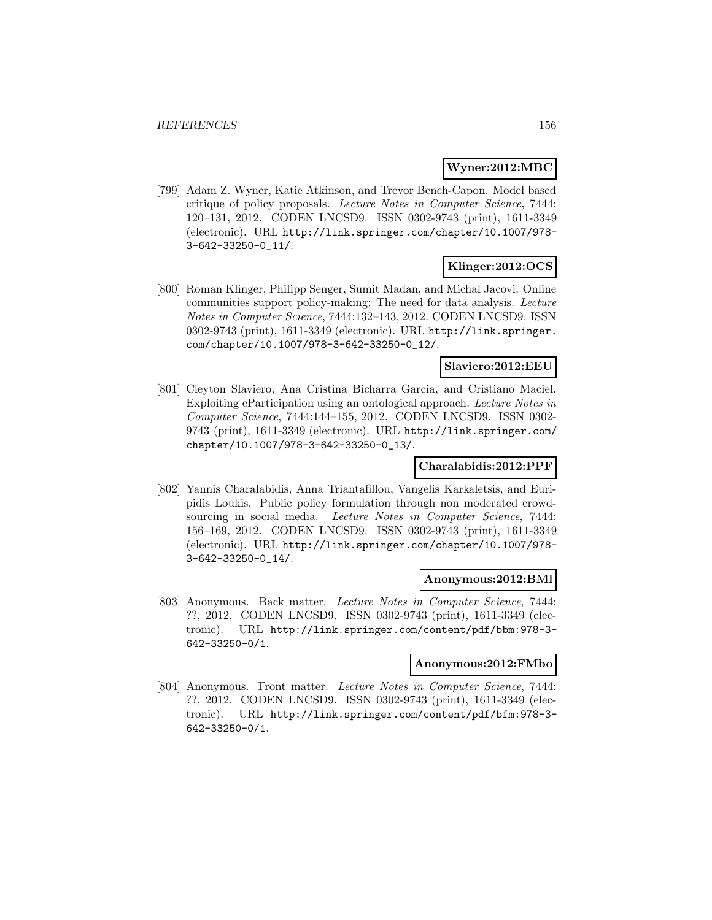### **Wyner:2012:MBC**

[799] Adam Z. Wyner, Katie Atkinson, and Trevor Bench-Capon. Model based critique of policy proposals. Lecture Notes in Computer Science, 7444: 120–131, 2012. CODEN LNCSD9. ISSN 0302-9743 (print), 1611-3349 (electronic). URL http://link.springer.com/chapter/10.1007/978- 3-642-33250-0\_11/.

### **Klinger:2012:OCS**

[800] Roman Klinger, Philipp Senger, Sumit Madan, and Michal Jacovi. Online communities support policy-making: The need for data analysis. Lecture Notes in Computer Science, 7444:132–143, 2012. CODEN LNCSD9. ISSN 0302-9743 (print), 1611-3349 (electronic). URL http://link.springer. com/chapter/10.1007/978-3-642-33250-0\_12/.

### **Slaviero:2012:EEU**

[801] Cleyton Slaviero, Ana Cristina Bicharra Garcia, and Cristiano Maciel. Exploiting eParticipation using an ontological approach. Lecture Notes in Computer Science, 7444:144–155, 2012. CODEN LNCSD9. ISSN 0302- 9743 (print), 1611-3349 (electronic). URL http://link.springer.com/ chapter/10.1007/978-3-642-33250-0\_13/.

# **Charalabidis:2012:PPF**

[802] Yannis Charalabidis, Anna Triantafillou, Vangelis Karkaletsis, and Euripidis Loukis. Public policy formulation through non moderated crowdsourcing in social media. Lecture Notes in Computer Science, 7444: 156–169, 2012. CODEN LNCSD9. ISSN 0302-9743 (print), 1611-3349 (electronic). URL http://link.springer.com/chapter/10.1007/978- 3-642-33250-0\_14/.

### **Anonymous:2012:BMl**

[803] Anonymous. Back matter. Lecture Notes in Computer Science, 7444: ??, 2012. CODEN LNCSD9. ISSN 0302-9743 (print), 1611-3349 (electronic). URL http://link.springer.com/content/pdf/bbm:978-3- 642-33250-0/1.

#### **Anonymous:2012:FMbo**

[804] Anonymous. Front matter. Lecture Notes in Computer Science, 7444: ??, 2012. CODEN LNCSD9. ISSN 0302-9743 (print), 1611-3349 (electronic). URL http://link.springer.com/content/pdf/bfm:978-3- 642-33250-0/1.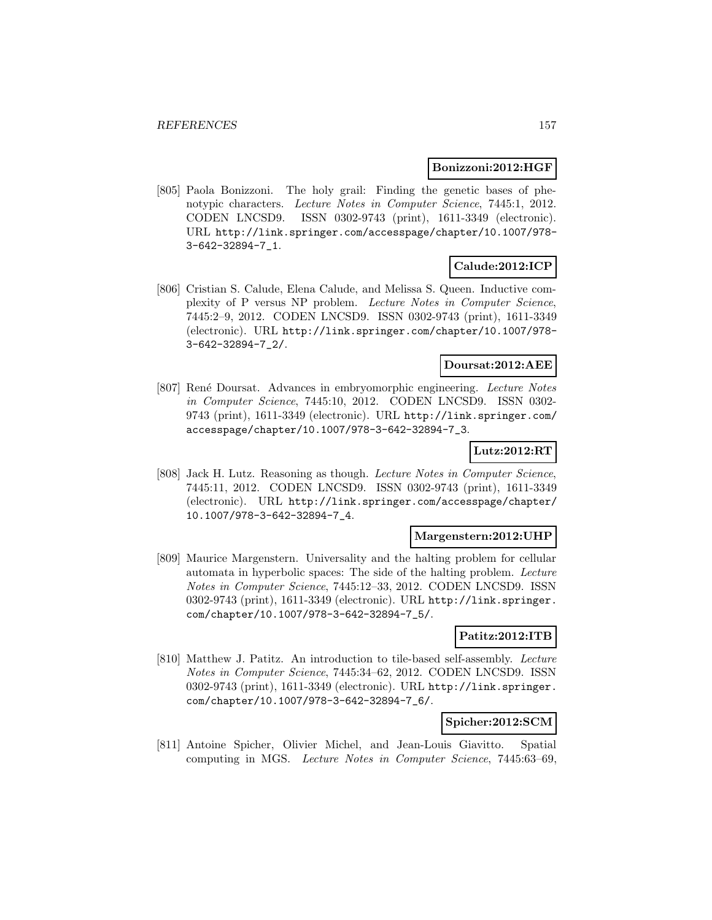### **Bonizzoni:2012:HGF**

[805] Paola Bonizzoni. The holy grail: Finding the genetic bases of phenotypic characters. Lecture Notes in Computer Science, 7445:1, 2012. CODEN LNCSD9. ISSN 0302-9743 (print), 1611-3349 (electronic). URL http://link.springer.com/accesspage/chapter/10.1007/978- 3-642-32894-7\_1.

# **Calude:2012:ICP**

[806] Cristian S. Calude, Elena Calude, and Melissa S. Queen. Inductive complexity of P versus NP problem. Lecture Notes in Computer Science, 7445:2–9, 2012. CODEN LNCSD9. ISSN 0302-9743 (print), 1611-3349 (electronic). URL http://link.springer.com/chapter/10.1007/978- 3-642-32894-7\_2/.

# **Doursat:2012:AEE**

[807] René Doursat. Advances in embryomorphic engineering. Lecture Notes in Computer Science, 7445:10, 2012. CODEN LNCSD9. ISSN 0302- 9743 (print), 1611-3349 (electronic). URL http://link.springer.com/ accesspage/chapter/10.1007/978-3-642-32894-7\_3.

### **Lutz:2012:RT**

[808] Jack H. Lutz. Reasoning as though. Lecture Notes in Computer Science, 7445:11, 2012. CODEN LNCSD9. ISSN 0302-9743 (print), 1611-3349 (electronic). URL http://link.springer.com/accesspage/chapter/ 10.1007/978-3-642-32894-7\_4.

### **Margenstern:2012:UHP**

[809] Maurice Margenstern. Universality and the halting problem for cellular automata in hyperbolic spaces: The side of the halting problem. Lecture Notes in Computer Science, 7445:12–33, 2012. CODEN LNCSD9. ISSN 0302-9743 (print), 1611-3349 (electronic). URL http://link.springer. com/chapter/10.1007/978-3-642-32894-7\_5/.

# **Patitz:2012:ITB**

[810] Matthew J. Patitz. An introduction to tile-based self-assembly. Lecture Notes in Computer Science, 7445:34–62, 2012. CODEN LNCSD9. ISSN 0302-9743 (print), 1611-3349 (electronic). URL http://link.springer. com/chapter/10.1007/978-3-642-32894-7\_6/.

### **Spicher:2012:SCM**

[811] Antoine Spicher, Olivier Michel, and Jean-Louis Giavitto. Spatial computing in MGS. Lecture Notes in Computer Science, 7445:63–69,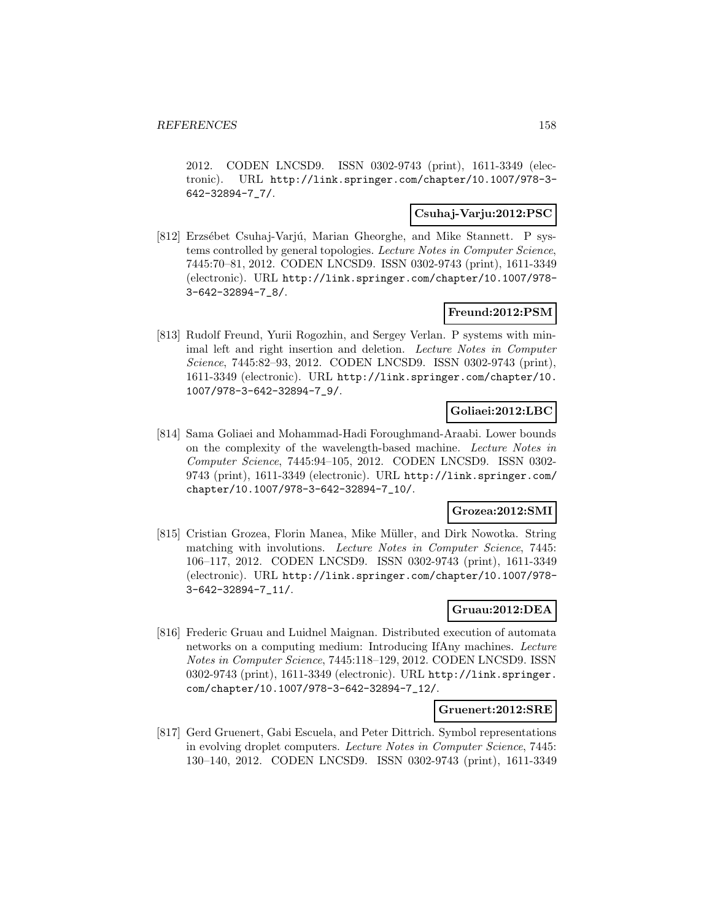2012. CODEN LNCSD9. ISSN 0302-9743 (print), 1611-3349 (electronic). URL http://link.springer.com/chapter/10.1007/978-3- 642-32894-7\_7/.

## **Csuhaj-Varju:2012:PSC**

[812] Erzsébet Csuhaj-Varjú, Marian Gheorghe, and Mike Stannett. P systems controlled by general topologies. Lecture Notes in Computer Science, 7445:70–81, 2012. CODEN LNCSD9. ISSN 0302-9743 (print), 1611-3349 (electronic). URL http://link.springer.com/chapter/10.1007/978- 3-642-32894-7\_8/.

# **Freund:2012:PSM**

[813] Rudolf Freund, Yurii Rogozhin, and Sergey Verlan. P systems with minimal left and right insertion and deletion. Lecture Notes in Computer Science, 7445:82–93, 2012. CODEN LNCSD9. ISSN 0302-9743 (print), 1611-3349 (electronic). URL http://link.springer.com/chapter/10. 1007/978-3-642-32894-7\_9/.

# **Goliaei:2012:LBC**

[814] Sama Goliaei and Mohammad-Hadi Foroughmand-Araabi. Lower bounds on the complexity of the wavelength-based machine. Lecture Notes in Computer Science, 7445:94–105, 2012. CODEN LNCSD9. ISSN 0302- 9743 (print), 1611-3349 (electronic). URL http://link.springer.com/ chapter/10.1007/978-3-642-32894-7\_10/.

# **Grozea:2012:SMI**

[815] Cristian Grozea, Florin Manea, Mike Müller, and Dirk Nowotka. String matching with involutions. Lecture Notes in Computer Science, 7445: 106–117, 2012. CODEN LNCSD9. ISSN 0302-9743 (print), 1611-3349 (electronic). URL http://link.springer.com/chapter/10.1007/978- 3-642-32894-7\_11/.

# **Gruau:2012:DEA**

[816] Frederic Gruau and Luidnel Maignan. Distributed execution of automata networks on a computing medium: Introducing IfAny machines. Lecture Notes in Computer Science, 7445:118–129, 2012. CODEN LNCSD9. ISSN 0302-9743 (print), 1611-3349 (electronic). URL http://link.springer. com/chapter/10.1007/978-3-642-32894-7\_12/.

#### **Gruenert:2012:SRE**

[817] Gerd Gruenert, Gabi Escuela, and Peter Dittrich. Symbol representations in evolving droplet computers. Lecture Notes in Computer Science, 7445: 130–140, 2012. CODEN LNCSD9. ISSN 0302-9743 (print), 1611-3349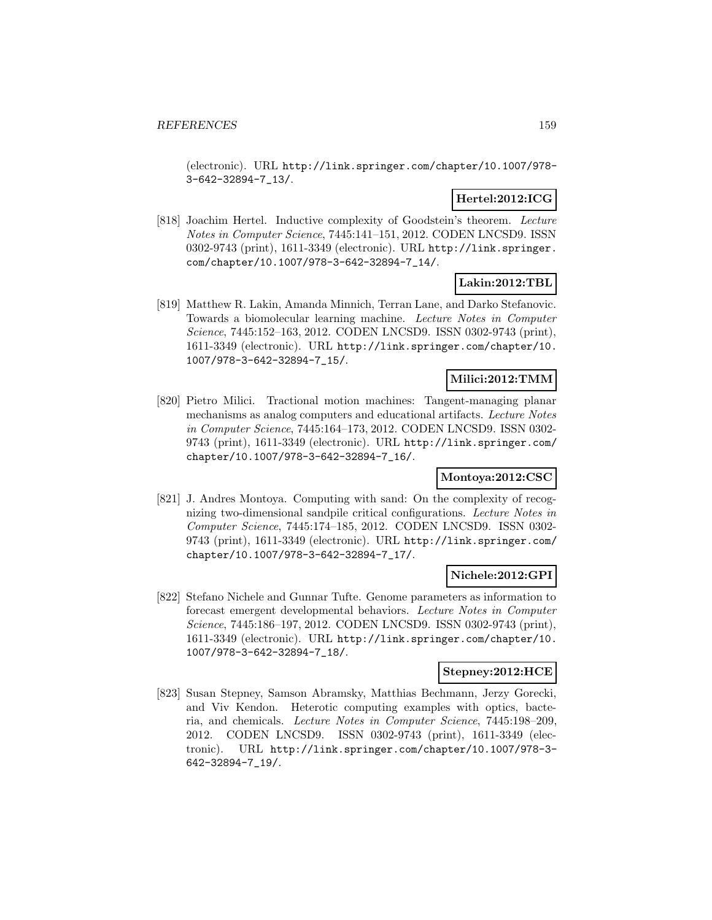(electronic). URL http://link.springer.com/chapter/10.1007/978- 3-642-32894-7\_13/.

# **Hertel:2012:ICG**

[818] Joachim Hertel. Inductive complexity of Goodstein's theorem. Lecture Notes in Computer Science, 7445:141–151, 2012. CODEN LNCSD9. ISSN 0302-9743 (print), 1611-3349 (electronic). URL http://link.springer. com/chapter/10.1007/978-3-642-32894-7\_14/.

# **Lakin:2012:TBL**

[819] Matthew R. Lakin, Amanda Minnich, Terran Lane, and Darko Stefanovic. Towards a biomolecular learning machine. Lecture Notes in Computer Science, 7445:152–163, 2012. CODEN LNCSD9. ISSN 0302-9743 (print), 1611-3349 (electronic). URL http://link.springer.com/chapter/10. 1007/978-3-642-32894-7\_15/.

### **Milici:2012:TMM**

[820] Pietro Milici. Tractional motion machines: Tangent-managing planar mechanisms as analog computers and educational artifacts. Lecture Notes in Computer Science, 7445:164–173, 2012. CODEN LNCSD9. ISSN 0302- 9743 (print), 1611-3349 (electronic). URL http://link.springer.com/ chapter/10.1007/978-3-642-32894-7\_16/.

# **Montoya:2012:CSC**

[821] J. Andres Montoya. Computing with sand: On the complexity of recognizing two-dimensional sandpile critical configurations. Lecture Notes in Computer Science, 7445:174–185, 2012. CODEN LNCSD9. ISSN 0302- 9743 (print), 1611-3349 (electronic). URL http://link.springer.com/ chapter/10.1007/978-3-642-32894-7\_17/.

# **Nichele:2012:GPI**

[822] Stefano Nichele and Gunnar Tufte. Genome parameters as information to forecast emergent developmental behaviors. Lecture Notes in Computer Science, 7445:186–197, 2012. CODEN LNCSD9. ISSN 0302-9743 (print), 1611-3349 (electronic). URL http://link.springer.com/chapter/10. 1007/978-3-642-32894-7\_18/.

# **Stepney:2012:HCE**

[823] Susan Stepney, Samson Abramsky, Matthias Bechmann, Jerzy Gorecki, and Viv Kendon. Heterotic computing examples with optics, bacteria, and chemicals. Lecture Notes in Computer Science, 7445:198–209, 2012. CODEN LNCSD9. ISSN 0302-9743 (print), 1611-3349 (electronic). URL http://link.springer.com/chapter/10.1007/978-3- 642-32894-7\_19/.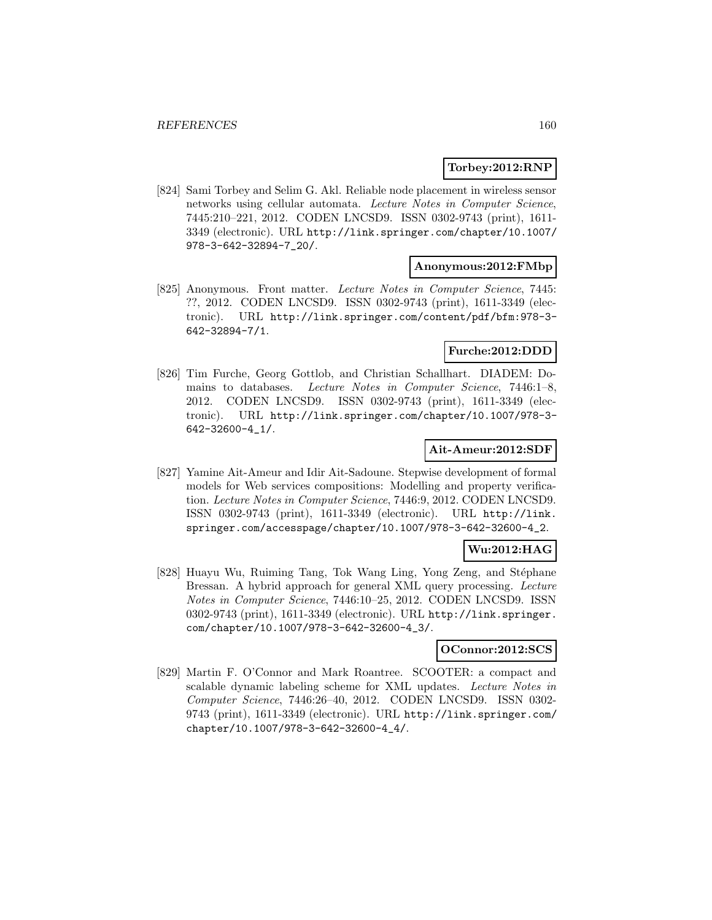### **Torbey:2012:RNP**

[824] Sami Torbey and Selim G. Akl. Reliable node placement in wireless sensor networks using cellular automata. Lecture Notes in Computer Science, 7445:210–221, 2012. CODEN LNCSD9. ISSN 0302-9743 (print), 1611- 3349 (electronic). URL http://link.springer.com/chapter/10.1007/ 978-3-642-32894-7\_20/.

#### **Anonymous:2012:FMbp**

[825] Anonymous. Front matter. Lecture Notes in Computer Science, 7445: ??, 2012. CODEN LNCSD9. ISSN 0302-9743 (print), 1611-3349 (electronic). URL http://link.springer.com/content/pdf/bfm:978-3- 642-32894-7/1.

# **Furche:2012:DDD**

[826] Tim Furche, Georg Gottlob, and Christian Schallhart. DIADEM: Domains to databases. Lecture Notes in Computer Science, 7446:1–8, 2012. CODEN LNCSD9. ISSN 0302-9743 (print), 1611-3349 (electronic). URL http://link.springer.com/chapter/10.1007/978-3- 642-32600-4\_1/.

#### **Ait-Ameur:2012:SDF**

[827] Yamine Ait-Ameur and Idir Ait-Sadoune. Stepwise development of formal models for Web services compositions: Modelling and property verification. Lecture Notes in Computer Science, 7446:9, 2012. CODEN LNCSD9. ISSN 0302-9743 (print), 1611-3349 (electronic). URL http://link. springer.com/accesspage/chapter/10.1007/978-3-642-32600-4\_2.

# **Wu:2012:HAG**

[828] Huayu Wu, Ruiming Tang, Tok Wang Ling, Yong Zeng, and Stéphane Bressan. A hybrid approach for general XML query processing. Lecture Notes in Computer Science, 7446:10–25, 2012. CODEN LNCSD9. ISSN 0302-9743 (print), 1611-3349 (electronic). URL http://link.springer. com/chapter/10.1007/978-3-642-32600-4\_3/.

# **OConnor:2012:SCS**

[829] Martin F. O'Connor and Mark Roantree. SCOOTER: a compact and scalable dynamic labeling scheme for XML updates. Lecture Notes in Computer Science, 7446:26–40, 2012. CODEN LNCSD9. ISSN 0302- 9743 (print), 1611-3349 (electronic). URL http://link.springer.com/ chapter/10.1007/978-3-642-32600-4\_4/.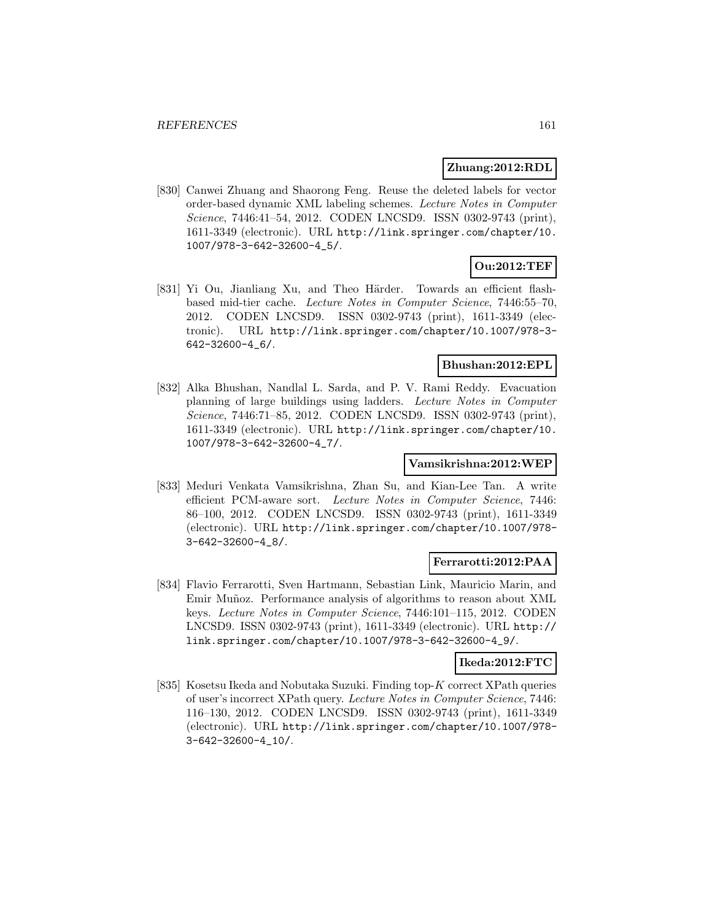### **Zhuang:2012:RDL**

[830] Canwei Zhuang and Shaorong Feng. Reuse the deleted labels for vector order-based dynamic XML labeling schemes. Lecture Notes in Computer Science, 7446:41–54, 2012. CODEN LNCSD9. ISSN 0302-9743 (print), 1611-3349 (electronic). URL http://link.springer.com/chapter/10. 1007/978-3-642-32600-4\_5/.

# **Ou:2012:TEF**

[831] Yi Ou, Jianliang Xu, and Theo Härder. Towards an efficient flashbased mid-tier cache. Lecture Notes in Computer Science, 7446:55–70, 2012. CODEN LNCSD9. ISSN 0302-9743 (print), 1611-3349 (electronic). URL http://link.springer.com/chapter/10.1007/978-3- 642-32600-4\_6/.

# **Bhushan:2012:EPL**

[832] Alka Bhushan, Nandlal L. Sarda, and P. V. Rami Reddy. Evacuation planning of large buildings using ladders. Lecture Notes in Computer Science, 7446:71–85, 2012. CODEN LNCSD9. ISSN 0302-9743 (print), 1611-3349 (electronic). URL http://link.springer.com/chapter/10. 1007/978-3-642-32600-4\_7/.

## **Vamsikrishna:2012:WEP**

[833] Meduri Venkata Vamsikrishna, Zhan Su, and Kian-Lee Tan. A write efficient PCM-aware sort. Lecture Notes in Computer Science, 7446: 86–100, 2012. CODEN LNCSD9. ISSN 0302-9743 (print), 1611-3349 (electronic). URL http://link.springer.com/chapter/10.1007/978- 3-642-32600-4\_8/.

### **Ferrarotti:2012:PAA**

[834] Flavio Ferrarotti, Sven Hartmann, Sebastian Link, Mauricio Marin, and Emir Muñoz. Performance analysis of algorithms to reason about XML keys. Lecture Notes in Computer Science, 7446:101–115, 2012. CODEN LNCSD9. ISSN 0302-9743 (print), 1611-3349 (electronic). URL http:// link.springer.com/chapter/10.1007/978-3-642-32600-4\_9/.

### **Ikeda:2012:FTC**

[835] Kosetsu Ikeda and Nobutaka Suzuki. Finding top-K correct XPath queries of user's incorrect XPath query. Lecture Notes in Computer Science, 7446: 116–130, 2012. CODEN LNCSD9. ISSN 0302-9743 (print), 1611-3349 (electronic). URL http://link.springer.com/chapter/10.1007/978- 3-642-32600-4\_10/.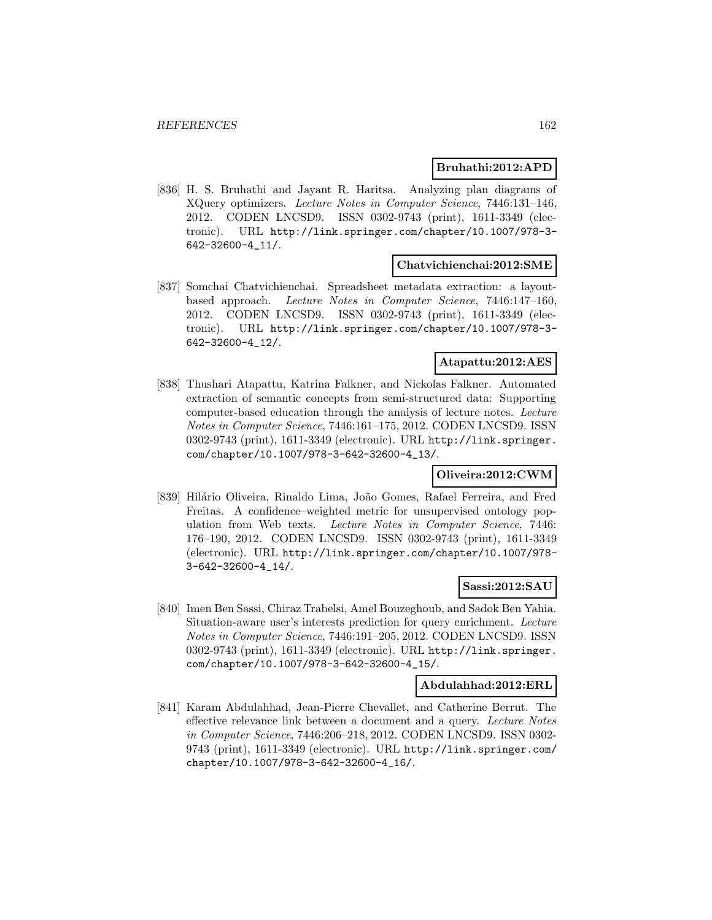### **Bruhathi:2012:APD**

[836] H. S. Bruhathi and Jayant R. Haritsa. Analyzing plan diagrams of XQuery optimizers. Lecture Notes in Computer Science, 7446:131–146, 2012. CODEN LNCSD9. ISSN 0302-9743 (print), 1611-3349 (electronic). URL http://link.springer.com/chapter/10.1007/978-3- 642-32600-4\_11/.

#### **Chatvichienchai:2012:SME**

[837] Somchai Chatvichienchai. Spreadsheet metadata extraction: a layoutbased approach. Lecture Notes in Computer Science, 7446:147–160, 2012. CODEN LNCSD9. ISSN 0302-9743 (print), 1611-3349 (electronic). URL http://link.springer.com/chapter/10.1007/978-3- 642-32600-4\_12/.

# **Atapattu:2012:AES**

[838] Thushari Atapattu, Katrina Falkner, and Nickolas Falkner. Automated extraction of semantic concepts from semi-structured data: Supporting computer-based education through the analysis of lecture notes. Lecture Notes in Computer Science, 7446:161–175, 2012. CODEN LNCSD9. ISSN 0302-9743 (print), 1611-3349 (electronic). URL http://link.springer. com/chapter/10.1007/978-3-642-32600-4\_13/.

### **Oliveira:2012:CWM**

[839] Hilário Oliveira, Rinaldo Lima, João Gomes, Rafael Ferreira, and Fred Freitas. A confidence–weighted metric for unsupervised ontology population from Web texts. Lecture Notes in Computer Science, 7446: 176–190, 2012. CODEN LNCSD9. ISSN 0302-9743 (print), 1611-3349 (electronic). URL http://link.springer.com/chapter/10.1007/978- 3-642-32600-4\_14/.

### **Sassi:2012:SAU**

[840] Imen Ben Sassi, Chiraz Trabelsi, Amel Bouzeghoub, and Sadok Ben Yahia. Situation-aware user's interests prediction for query enrichment. Lecture Notes in Computer Science, 7446:191–205, 2012. CODEN LNCSD9. ISSN 0302-9743 (print), 1611-3349 (electronic). URL http://link.springer. com/chapter/10.1007/978-3-642-32600-4\_15/.

#### **Abdulahhad:2012:ERL**

[841] Karam Abdulahhad, Jean-Pierre Chevallet, and Catherine Berrut. The effective relevance link between a document and a query. Lecture Notes in Computer Science, 7446:206–218, 2012. CODEN LNCSD9. ISSN 0302- 9743 (print), 1611-3349 (electronic). URL http://link.springer.com/ chapter/10.1007/978-3-642-32600-4\_16/.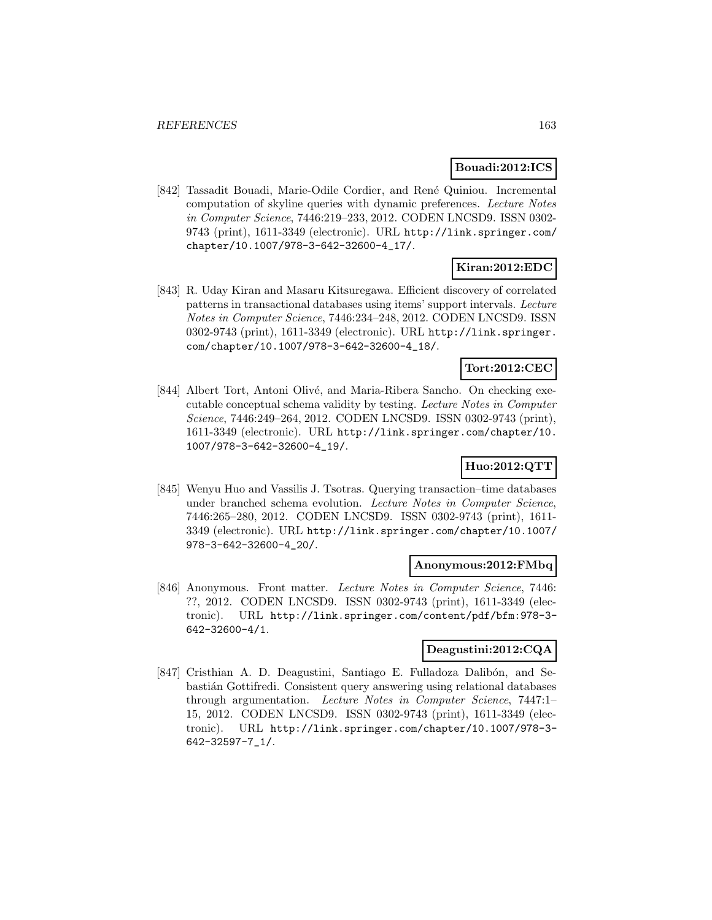### **Bouadi:2012:ICS**

[842] Tassadit Bouadi, Marie-Odile Cordier, and René Quiniou. Incremental computation of skyline queries with dynamic preferences. Lecture Notes in Computer Science, 7446:219–233, 2012. CODEN LNCSD9. ISSN 0302- 9743 (print), 1611-3349 (electronic). URL http://link.springer.com/ chapter/10.1007/978-3-642-32600-4\_17/.

# **Kiran:2012:EDC**

[843] R. Uday Kiran and Masaru Kitsuregawa. Efficient discovery of correlated patterns in transactional databases using items' support intervals. Lecture Notes in Computer Science, 7446:234–248, 2012. CODEN LNCSD9. ISSN 0302-9743 (print), 1611-3349 (electronic). URL http://link.springer. com/chapter/10.1007/978-3-642-32600-4\_18/.

# **Tort:2012:CEC**

[844] Albert Tort, Antoni Olivé, and Maria-Ribera Sancho. On checking executable conceptual schema validity by testing. Lecture Notes in Computer Science, 7446:249–264, 2012. CODEN LNCSD9. ISSN 0302-9743 (print), 1611-3349 (electronic). URL http://link.springer.com/chapter/10. 1007/978-3-642-32600-4\_19/.

# **Huo:2012:QTT**

[845] Wenyu Huo and Vassilis J. Tsotras. Querying transaction–time databases under branched schema evolution. Lecture Notes in Computer Science, 7446:265–280, 2012. CODEN LNCSD9. ISSN 0302-9743 (print), 1611- 3349 (electronic). URL http://link.springer.com/chapter/10.1007/ 978-3-642-32600-4\_20/.

#### **Anonymous:2012:FMbq**

[846] Anonymous. Front matter. Lecture Notes in Computer Science, 7446: ??, 2012. CODEN LNCSD9. ISSN 0302-9743 (print), 1611-3349 (electronic). URL http://link.springer.com/content/pdf/bfm:978-3- 642-32600-4/1.

# **Deagustini:2012:CQA**

[847] Cristhian A. D. Deagustini, Santiago E. Fulladoza Dalibón, and Sebasti´an Gottifredi. Consistent query answering using relational databases through argumentation. Lecture Notes in Computer Science, 7447:1– 15, 2012. CODEN LNCSD9. ISSN 0302-9743 (print), 1611-3349 (electronic). URL http://link.springer.com/chapter/10.1007/978-3- 642-32597-7\_1/.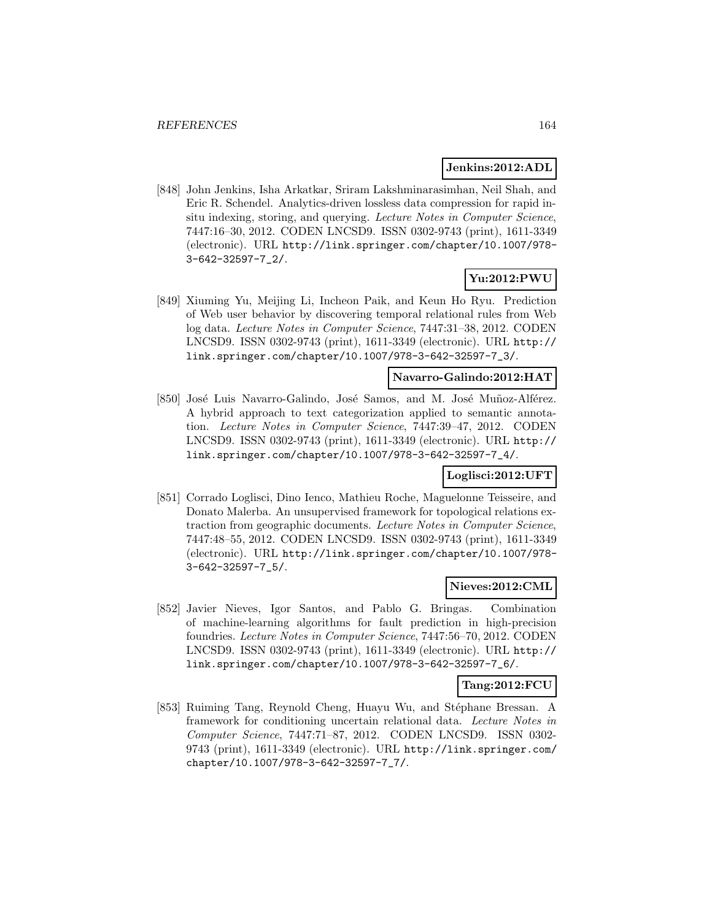### **Jenkins:2012:ADL**

[848] John Jenkins, Isha Arkatkar, Sriram Lakshminarasimhan, Neil Shah, and Eric R. Schendel. Analytics-driven lossless data compression for rapid insitu indexing, storing, and querying. Lecture Notes in Computer Science, 7447:16–30, 2012. CODEN LNCSD9. ISSN 0302-9743 (print), 1611-3349 (electronic). URL http://link.springer.com/chapter/10.1007/978- 3-642-32597-7\_2/.

# **Yu:2012:PWU**

[849] Xiuming Yu, Meijing Li, Incheon Paik, and Keun Ho Ryu. Prediction of Web user behavior by discovering temporal relational rules from Web log data. Lecture Notes in Computer Science, 7447:31–38, 2012. CODEN LNCSD9. ISSN 0302-9743 (print), 1611-3349 (electronic). URL http:// link.springer.com/chapter/10.1007/978-3-642-32597-7\_3/.

# **Navarro-Galindo:2012:HAT**

[850] José Luis Navarro-Galindo, José Samos, and M. José Muñoz-Alférez. A hybrid approach to text categorization applied to semantic annotation. Lecture Notes in Computer Science, 7447:39–47, 2012. CODEN LNCSD9. ISSN 0302-9743 (print), 1611-3349 (electronic). URL http:// link.springer.com/chapter/10.1007/978-3-642-32597-7\_4/.

### **Loglisci:2012:UFT**

[851] Corrado Loglisci, Dino Ienco, Mathieu Roche, Maguelonne Teisseire, and Donato Malerba. An unsupervised framework for topological relations extraction from geographic documents. Lecture Notes in Computer Science, 7447:48–55, 2012. CODEN LNCSD9. ISSN 0302-9743 (print), 1611-3349 (electronic). URL http://link.springer.com/chapter/10.1007/978- 3-642-32597-7\_5/.

### **Nieves:2012:CML**

[852] Javier Nieves, Igor Santos, and Pablo G. Bringas. Combination of machine-learning algorithms for fault prediction in high-precision foundries. Lecture Notes in Computer Science, 7447:56–70, 2012. CODEN LNCSD9. ISSN 0302-9743 (print), 1611-3349 (electronic). URL http:// link.springer.com/chapter/10.1007/978-3-642-32597-7\_6/.

### **Tang:2012:FCU**

[853] Ruiming Tang, Reynold Cheng, Huayu Wu, and Stéphane Bressan. A framework for conditioning uncertain relational data. Lecture Notes in Computer Science, 7447:71–87, 2012. CODEN LNCSD9. ISSN 0302- 9743 (print), 1611-3349 (electronic). URL http://link.springer.com/ chapter/10.1007/978-3-642-32597-7\_7/.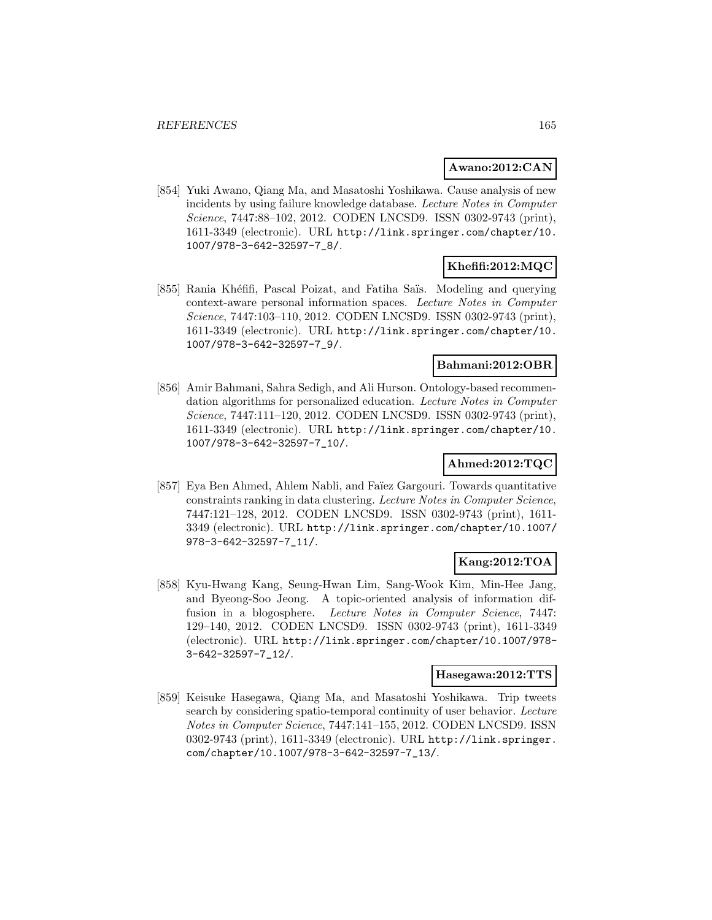### **Awano:2012:CAN**

[854] Yuki Awano, Qiang Ma, and Masatoshi Yoshikawa. Cause analysis of new incidents by using failure knowledge database. Lecture Notes in Computer Science, 7447:88–102, 2012. CODEN LNCSD9. ISSN 0302-9743 (print), 1611-3349 (electronic). URL http://link.springer.com/chapter/10. 1007/978-3-642-32597-7\_8/.

# **Khefifi:2012:MQC**

[855] Rania Khéfifi, Pascal Poizat, and Fatiha Saïs. Modeling and querying context-aware personal information spaces. Lecture Notes in Computer Science, 7447:103–110, 2012. CODEN LNCSD9. ISSN 0302-9743 (print), 1611-3349 (electronic). URL http://link.springer.com/chapter/10. 1007/978-3-642-32597-7\_9/.

# **Bahmani:2012:OBR**

[856] Amir Bahmani, Sahra Sedigh, and Ali Hurson. Ontology-based recommendation algorithms for personalized education. Lecture Notes in Computer Science, 7447:111–120, 2012. CODEN LNCSD9. ISSN 0302-9743 (print), 1611-3349 (electronic). URL http://link.springer.com/chapter/10. 1007/978-3-642-32597-7\_10/.

# **Ahmed:2012:TQC**

[857] Eya Ben Ahmed, Ahlem Nabli, and Faïez Gargouri. Towards quantitative constraints ranking in data clustering. Lecture Notes in Computer Science, 7447:121–128, 2012. CODEN LNCSD9. ISSN 0302-9743 (print), 1611- 3349 (electronic). URL http://link.springer.com/chapter/10.1007/ 978-3-642-32597-7\_11/.

# **Kang:2012:TOA**

[858] Kyu-Hwang Kang, Seung-Hwan Lim, Sang-Wook Kim, Min-Hee Jang, and Byeong-Soo Jeong. A topic-oriented analysis of information diffusion in a blogosphere. Lecture Notes in Computer Science, 7447: 129–140, 2012. CODEN LNCSD9. ISSN 0302-9743 (print), 1611-3349 (electronic). URL http://link.springer.com/chapter/10.1007/978- 3-642-32597-7\_12/.

# **Hasegawa:2012:TTS**

[859] Keisuke Hasegawa, Qiang Ma, and Masatoshi Yoshikawa. Trip tweets search by considering spatio-temporal continuity of user behavior. Lecture Notes in Computer Science, 7447:141–155, 2012. CODEN LNCSD9. ISSN 0302-9743 (print), 1611-3349 (electronic). URL http://link.springer. com/chapter/10.1007/978-3-642-32597-7\_13/.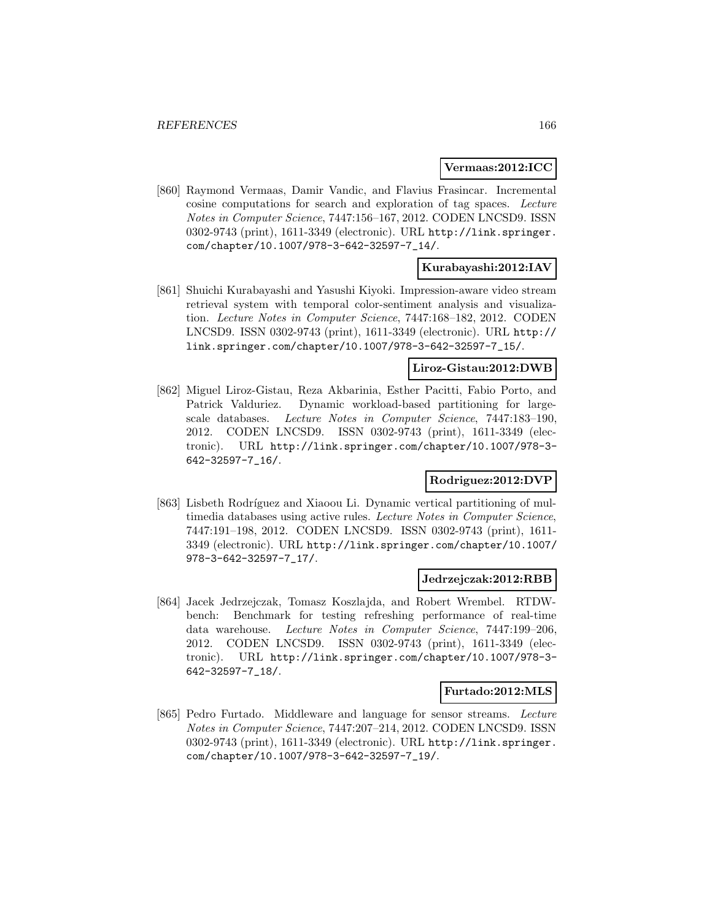#### **Vermaas:2012:ICC**

[860] Raymond Vermaas, Damir Vandic, and Flavius Frasincar. Incremental cosine computations for search and exploration of tag spaces. Lecture Notes in Computer Science, 7447:156–167, 2012. CODEN LNCSD9. ISSN 0302-9743 (print), 1611-3349 (electronic). URL http://link.springer. com/chapter/10.1007/978-3-642-32597-7\_14/.

# **Kurabayashi:2012:IAV**

[861] Shuichi Kurabayashi and Yasushi Kiyoki. Impression-aware video stream retrieval system with temporal color-sentiment analysis and visualization. Lecture Notes in Computer Science, 7447:168–182, 2012. CODEN LNCSD9. ISSN 0302-9743 (print), 1611-3349 (electronic). URL http:// link.springer.com/chapter/10.1007/978-3-642-32597-7\_15/.

# **Liroz-Gistau:2012:DWB**

[862] Miguel Liroz-Gistau, Reza Akbarinia, Esther Pacitti, Fabio Porto, and Patrick Valduriez. Dynamic workload-based partitioning for largescale databases. Lecture Notes in Computer Science, 7447:183–190, 2012. CODEN LNCSD9. ISSN 0302-9743 (print), 1611-3349 (electronic). URL http://link.springer.com/chapter/10.1007/978-3- 642-32597-7\_16/.

# **Rodriguez:2012:DVP**

[863] Lisbeth Rodríguez and Xiaoou Li. Dynamic vertical partitioning of multimedia databases using active rules. Lecture Notes in Computer Science, 7447:191–198, 2012. CODEN LNCSD9. ISSN 0302-9743 (print), 1611- 3349 (electronic). URL http://link.springer.com/chapter/10.1007/ 978-3-642-32597-7\_17/.

### **Jedrzejczak:2012:RBB**

[864] Jacek Jedrzejczak, Tomasz Koszlajda, and Robert Wrembel. RTDWbench: Benchmark for testing refreshing performance of real-time data warehouse. Lecture Notes in Computer Science, 7447:199–206, 2012. CODEN LNCSD9. ISSN 0302-9743 (print), 1611-3349 (electronic). URL http://link.springer.com/chapter/10.1007/978-3- 642-32597-7\_18/.

### **Furtado:2012:MLS**

[865] Pedro Furtado. Middleware and language for sensor streams. Lecture Notes in Computer Science, 7447:207–214, 2012. CODEN LNCSD9. ISSN 0302-9743 (print), 1611-3349 (electronic). URL http://link.springer. com/chapter/10.1007/978-3-642-32597-7\_19/.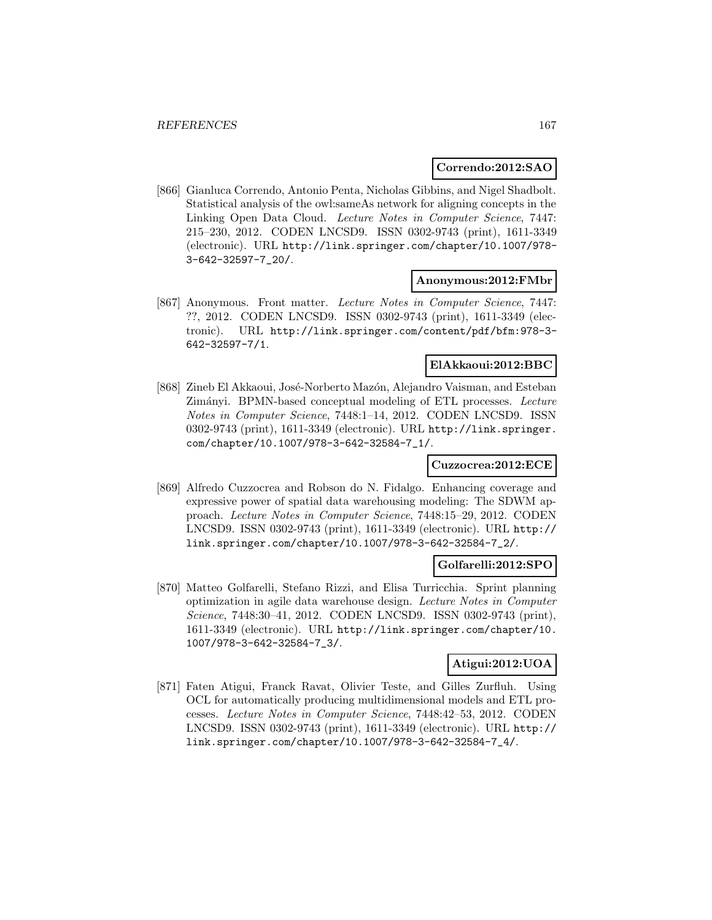### **Correndo:2012:SAO**

[866] Gianluca Correndo, Antonio Penta, Nicholas Gibbins, and Nigel Shadbolt. Statistical analysis of the owl:sameAs network for aligning concepts in the Linking Open Data Cloud. Lecture Notes in Computer Science, 7447: 215–230, 2012. CODEN LNCSD9. ISSN 0302-9743 (print), 1611-3349 (electronic). URL http://link.springer.com/chapter/10.1007/978- 3-642-32597-7\_20/.

#### **Anonymous:2012:FMbr**

[867] Anonymous. Front matter. Lecture Notes in Computer Science, 7447: ??, 2012. CODEN LNCSD9. ISSN 0302-9743 (print), 1611-3349 (electronic). URL http://link.springer.com/content/pdf/bfm:978-3- 642-32597-7/1.

### **ElAkkaoui:2012:BBC**

[868] Zineb El Akkaoui, José-Norberto Mazón, Alejandro Vaisman, and Esteban Zimányi. BPMN-based conceptual modeling of ETL processes. Lecture Notes in Computer Science, 7448:1–14, 2012. CODEN LNCSD9. ISSN 0302-9743 (print), 1611-3349 (electronic). URL http://link.springer. com/chapter/10.1007/978-3-642-32584-7\_1/.

### **Cuzzocrea:2012:ECE**

[869] Alfredo Cuzzocrea and Robson do N. Fidalgo. Enhancing coverage and expressive power of spatial data warehousing modeling: The SDWM approach. Lecture Notes in Computer Science, 7448:15–29, 2012. CODEN LNCSD9. ISSN 0302-9743 (print), 1611-3349 (electronic). URL http:// link.springer.com/chapter/10.1007/978-3-642-32584-7\_2/.

# **Golfarelli:2012:SPO**

[870] Matteo Golfarelli, Stefano Rizzi, and Elisa Turricchia. Sprint planning optimization in agile data warehouse design. Lecture Notes in Computer Science, 7448:30–41, 2012. CODEN LNCSD9. ISSN 0302-9743 (print), 1611-3349 (electronic). URL http://link.springer.com/chapter/10. 1007/978-3-642-32584-7\_3/.

# **Atigui:2012:UOA**

[871] Faten Atigui, Franck Ravat, Olivier Teste, and Gilles Zurfluh. Using OCL for automatically producing multidimensional models and ETL processes. Lecture Notes in Computer Science, 7448:42–53, 2012. CODEN LNCSD9. ISSN 0302-9743 (print), 1611-3349 (electronic). URL http:// link.springer.com/chapter/10.1007/978-3-642-32584-7\_4/.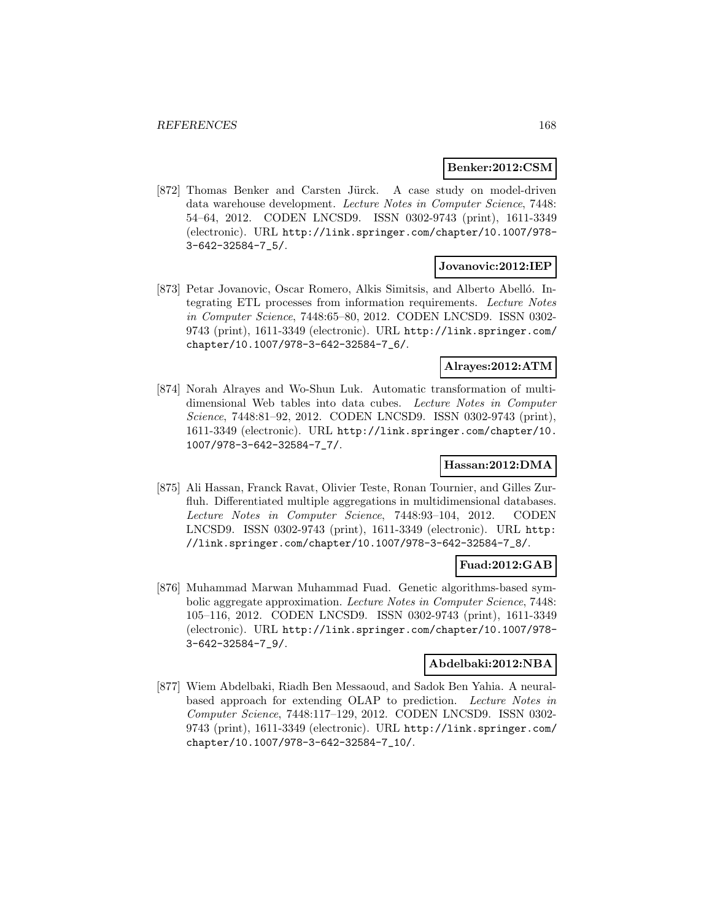### **Benker:2012:CSM**

[872] Thomas Benker and Carsten Jürck. A case study on model-driven data warehouse development. Lecture Notes in Computer Science, 7448: 54–64, 2012. CODEN LNCSD9. ISSN 0302-9743 (print), 1611-3349 (electronic). URL http://link.springer.com/chapter/10.1007/978- 3-642-32584-7\_5/.

### **Jovanovic:2012:IEP**

[873] Petar Jovanovic, Oscar Romero, Alkis Simitsis, and Alberto Abelló. Integrating ETL processes from information requirements. Lecture Notes in Computer Science, 7448:65–80, 2012. CODEN LNCSD9. ISSN 0302- 9743 (print), 1611-3349 (electronic). URL http://link.springer.com/ chapter/10.1007/978-3-642-32584-7\_6/.

#### **Alrayes:2012:ATM**

[874] Norah Alrayes and Wo-Shun Luk. Automatic transformation of multidimensional Web tables into data cubes. Lecture Notes in Computer Science, 7448:81–92, 2012. CODEN LNCSD9. ISSN 0302-9743 (print), 1611-3349 (electronic). URL http://link.springer.com/chapter/10. 1007/978-3-642-32584-7\_7/.

# **Hassan:2012:DMA**

[875] Ali Hassan, Franck Ravat, Olivier Teste, Ronan Tournier, and Gilles Zurfluh. Differentiated multiple aggregations in multidimensional databases. Lecture Notes in Computer Science, 7448:93–104, 2012. CODEN LNCSD9. ISSN 0302-9743 (print), 1611-3349 (electronic). URL http: //link.springer.com/chapter/10.1007/978-3-642-32584-7\_8/.

### **Fuad:2012:GAB**

[876] Muhammad Marwan Muhammad Fuad. Genetic algorithms-based symbolic aggregate approximation. Lecture Notes in Computer Science, 7448: 105–116, 2012. CODEN LNCSD9. ISSN 0302-9743 (print), 1611-3349 (electronic). URL http://link.springer.com/chapter/10.1007/978- 3-642-32584-7\_9/.

### **Abdelbaki:2012:NBA**

[877] Wiem Abdelbaki, Riadh Ben Messaoud, and Sadok Ben Yahia. A neuralbased approach for extending OLAP to prediction. Lecture Notes in Computer Science, 7448:117–129, 2012. CODEN LNCSD9. ISSN 0302- 9743 (print), 1611-3349 (electronic). URL http://link.springer.com/ chapter/10.1007/978-3-642-32584-7\_10/.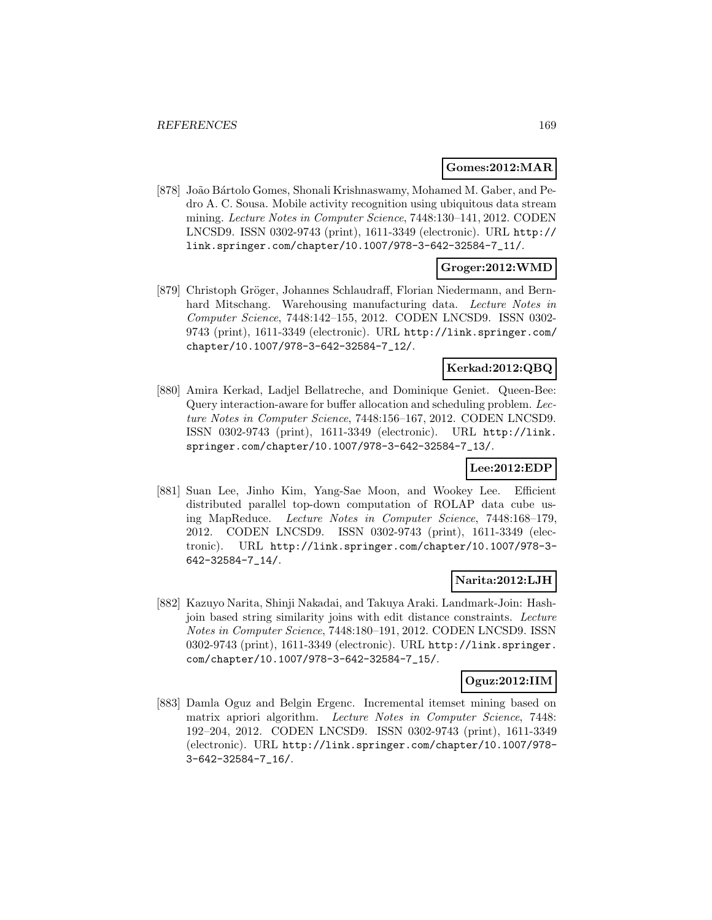### **Gomes:2012:MAR**

[878] João Bártolo Gomes, Shonali Krishnaswamy, Mohamed M. Gaber, and Pedro A. C. Sousa. Mobile activity recognition using ubiquitous data stream mining. Lecture Notes in Computer Science, 7448:130–141, 2012. CODEN LNCSD9. ISSN 0302-9743 (print), 1611-3349 (electronic). URL http:// link.springer.com/chapter/10.1007/978-3-642-32584-7\_11/.

# **Groger:2012:WMD**

[879] Christoph Gröger, Johannes Schlaudraff, Florian Niedermann, and Bernhard Mitschang. Warehousing manufacturing data. Lecture Notes in Computer Science, 7448:142–155, 2012. CODEN LNCSD9. ISSN 0302- 9743 (print), 1611-3349 (electronic). URL http://link.springer.com/ chapter/10.1007/978-3-642-32584-7\_12/.

# **Kerkad:2012:QBQ**

[880] Amira Kerkad, Ladjel Bellatreche, and Dominique Geniet. Queen-Bee: Query interaction-aware for buffer allocation and scheduling problem. Lecture Notes in Computer Science, 7448:156–167, 2012. CODEN LNCSD9. ISSN 0302-9743 (print), 1611-3349 (electronic). URL http://link. springer.com/chapter/10.1007/978-3-642-32584-7\_13/.

# **Lee:2012:EDP**

[881] Suan Lee, Jinho Kim, Yang-Sae Moon, and Wookey Lee. Efficient distributed parallel top-down computation of ROLAP data cube using MapReduce. Lecture Notes in Computer Science, 7448:168–179, 2012. CODEN LNCSD9. ISSN 0302-9743 (print), 1611-3349 (electronic). URL http://link.springer.com/chapter/10.1007/978-3- 642-32584-7\_14/.

# **Narita:2012:LJH**

[882] Kazuyo Narita, Shinji Nakadai, and Takuya Araki. Landmark-Join: Hashjoin based string similarity joins with edit distance constraints. Lecture Notes in Computer Science, 7448:180–191, 2012. CODEN LNCSD9. ISSN 0302-9743 (print), 1611-3349 (electronic). URL http://link.springer. com/chapter/10.1007/978-3-642-32584-7\_15/.

# **Oguz:2012:IIM**

[883] Damla Oguz and Belgin Ergenc. Incremental itemset mining based on matrix apriori algorithm. Lecture Notes in Computer Science, 7448: 192–204, 2012. CODEN LNCSD9. ISSN 0302-9743 (print), 1611-3349 (electronic). URL http://link.springer.com/chapter/10.1007/978- 3-642-32584-7\_16/.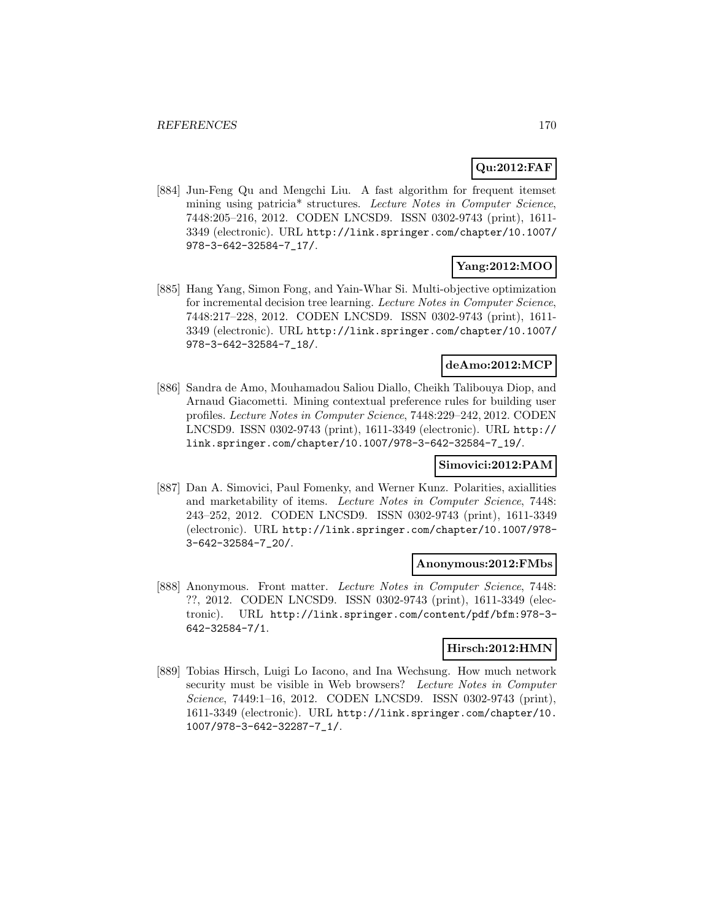# **Qu:2012:FAF**

[884] Jun-Feng Qu and Mengchi Liu. A fast algorithm for frequent itemset mining using patricia<sup>\*</sup> structures. Lecture Notes in Computer Science, 7448:205–216, 2012. CODEN LNCSD9. ISSN 0302-9743 (print), 1611- 3349 (electronic). URL http://link.springer.com/chapter/10.1007/ 978-3-642-32584-7\_17/.

# **Yang:2012:MOO**

[885] Hang Yang, Simon Fong, and Yain-Whar Si. Multi-objective optimization for incremental decision tree learning. Lecture Notes in Computer Science, 7448:217–228, 2012. CODEN LNCSD9. ISSN 0302-9743 (print), 1611- 3349 (electronic). URL http://link.springer.com/chapter/10.1007/ 978-3-642-32584-7\_18/.

# **deAmo:2012:MCP**

[886] Sandra de Amo, Mouhamadou Saliou Diallo, Cheikh Talibouya Diop, and Arnaud Giacometti. Mining contextual preference rules for building user profiles. Lecture Notes in Computer Science, 7448:229–242, 2012. CODEN LNCSD9. ISSN 0302-9743 (print), 1611-3349 (electronic). URL http:// link.springer.com/chapter/10.1007/978-3-642-32584-7\_19/.

# **Simovici:2012:PAM**

[887] Dan A. Simovici, Paul Fomenky, and Werner Kunz. Polarities, axiallities and marketability of items. Lecture Notes in Computer Science, 7448: 243–252, 2012. CODEN LNCSD9. ISSN 0302-9743 (print), 1611-3349 (electronic). URL http://link.springer.com/chapter/10.1007/978- 3-642-32584-7\_20/.

### **Anonymous:2012:FMbs**

[888] Anonymous. Front matter. Lecture Notes in Computer Science, 7448: ??, 2012. CODEN LNCSD9. ISSN 0302-9743 (print), 1611-3349 (electronic). URL http://link.springer.com/content/pdf/bfm:978-3- 642-32584-7/1.

### **Hirsch:2012:HMN**

[889] Tobias Hirsch, Luigi Lo Iacono, and Ina Wechsung. How much network security must be visible in Web browsers? Lecture Notes in Computer Science, 7449:1-16, 2012. CODEN LNCSD9. ISSN 0302-9743 (print), 1611-3349 (electronic). URL http://link.springer.com/chapter/10. 1007/978-3-642-32287-7\_1/.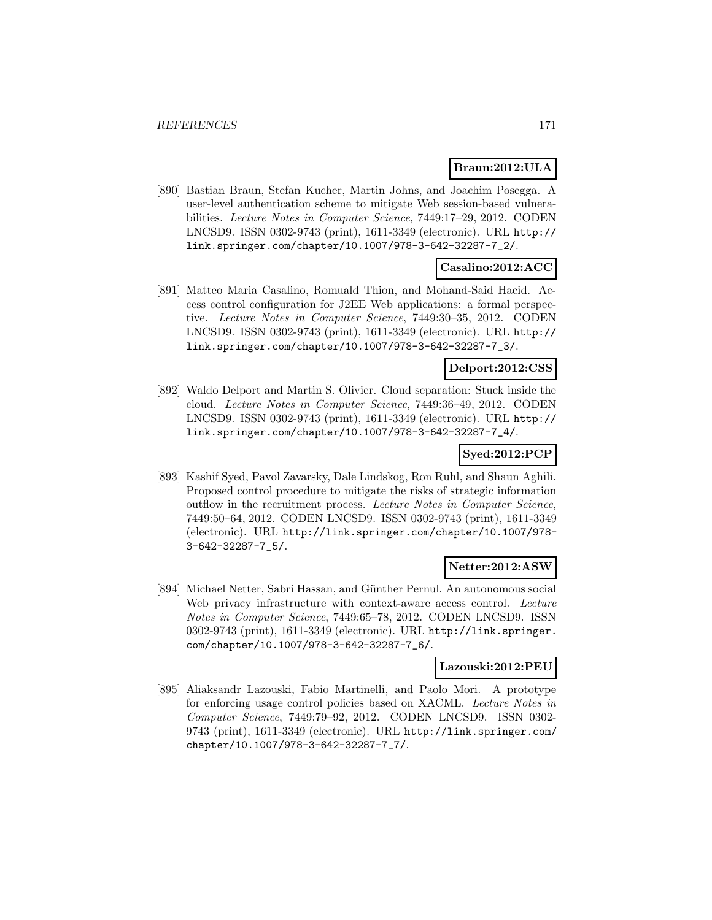### **Braun:2012:ULA**

[890] Bastian Braun, Stefan Kucher, Martin Johns, and Joachim Posegga. A user-level authentication scheme to mitigate Web session-based vulnerabilities. Lecture Notes in Computer Science, 7449:17–29, 2012. CODEN LNCSD9. ISSN 0302-9743 (print), 1611-3349 (electronic). URL http:// link.springer.com/chapter/10.1007/978-3-642-32287-7\_2/.

# **Casalino:2012:ACC**

[891] Matteo Maria Casalino, Romuald Thion, and Mohand-Said Hacid. Access control configuration for J2EE Web applications: a formal perspective. Lecture Notes in Computer Science, 7449:30–35, 2012. CODEN LNCSD9. ISSN 0302-9743 (print), 1611-3349 (electronic). URL http:// link.springer.com/chapter/10.1007/978-3-642-32287-7\_3/.

# **Delport:2012:CSS**

[892] Waldo Delport and Martin S. Olivier. Cloud separation: Stuck inside the cloud. Lecture Notes in Computer Science, 7449:36–49, 2012. CODEN LNCSD9. ISSN 0302-9743 (print), 1611-3349 (electronic). URL http:// link.springer.com/chapter/10.1007/978-3-642-32287-7\_4/.

# **Syed:2012:PCP**

[893] Kashif Syed, Pavol Zavarsky, Dale Lindskog, Ron Ruhl, and Shaun Aghili. Proposed control procedure to mitigate the risks of strategic information outflow in the recruitment process. Lecture Notes in Computer Science, 7449:50–64, 2012. CODEN LNCSD9. ISSN 0302-9743 (print), 1611-3349 (electronic). URL http://link.springer.com/chapter/10.1007/978- 3-642-32287-7\_5/.

# **Netter:2012:ASW**

[894] Michael Netter, Sabri Hassan, and Günther Pernul. An autonomous social Web privacy infrastructure with context-aware access control. Lecture Notes in Computer Science, 7449:65–78, 2012. CODEN LNCSD9. ISSN 0302-9743 (print), 1611-3349 (electronic). URL http://link.springer. com/chapter/10.1007/978-3-642-32287-7\_6/.

#### **Lazouski:2012:PEU**

[895] Aliaksandr Lazouski, Fabio Martinelli, and Paolo Mori. A prototype for enforcing usage control policies based on XACML. Lecture Notes in Computer Science, 7449:79–92, 2012. CODEN LNCSD9. ISSN 0302- 9743 (print), 1611-3349 (electronic). URL http://link.springer.com/ chapter/10.1007/978-3-642-32287-7\_7/.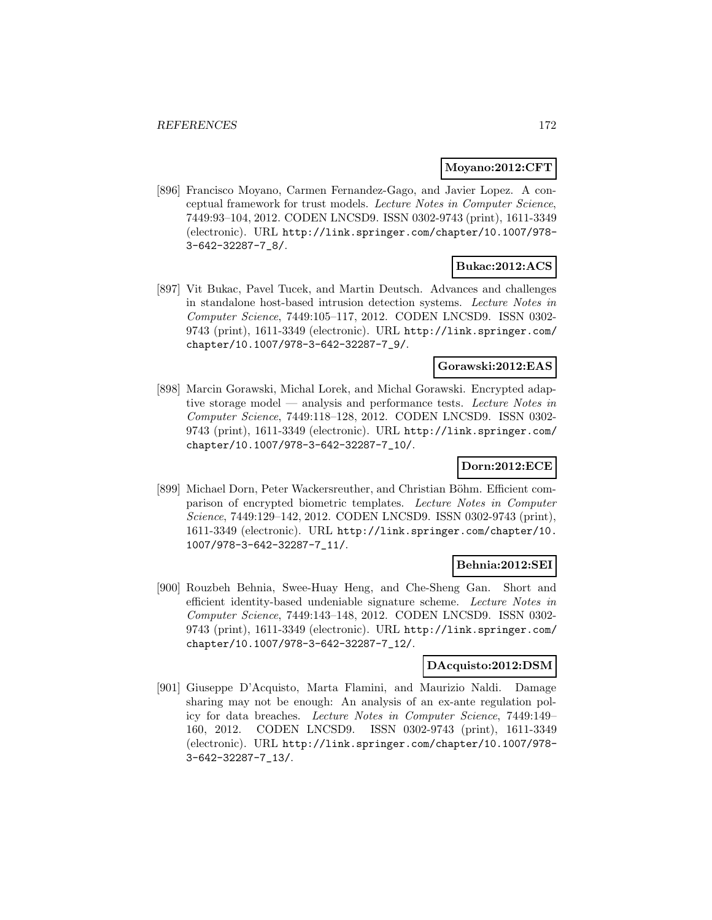### **Moyano:2012:CFT**

[896] Francisco Moyano, Carmen Fernandez-Gago, and Javier Lopez. A conceptual framework for trust models. Lecture Notes in Computer Science, 7449:93–104, 2012. CODEN LNCSD9. ISSN 0302-9743 (print), 1611-3349 (electronic). URL http://link.springer.com/chapter/10.1007/978- 3-642-32287-7\_8/.

# **Bukac:2012:ACS**

[897] Vit Bukac, Pavel Tucek, and Martin Deutsch. Advances and challenges in standalone host-based intrusion detection systems. Lecture Notes in Computer Science, 7449:105–117, 2012. CODEN LNCSD9. ISSN 0302- 9743 (print), 1611-3349 (electronic). URL http://link.springer.com/ chapter/10.1007/978-3-642-32287-7\_9/.

### **Gorawski:2012:EAS**

[898] Marcin Gorawski, Michal Lorek, and Michal Gorawski. Encrypted adaptive storage model — analysis and performance tests. Lecture Notes in Computer Science, 7449:118–128, 2012. CODEN LNCSD9. ISSN 0302- 9743 (print), 1611-3349 (electronic). URL http://link.springer.com/ chapter/10.1007/978-3-642-32287-7\_10/.

# **Dorn:2012:ECE**

[899] Michael Dorn, Peter Wackersreuther, and Christian Böhm. Efficient comparison of encrypted biometric templates. Lecture Notes in Computer Science, 7449:129–142, 2012. CODEN LNCSD9. ISSN 0302-9743 (print), 1611-3349 (electronic). URL http://link.springer.com/chapter/10. 1007/978-3-642-32287-7\_11/.

### **Behnia:2012:SEI**

[900] Rouzbeh Behnia, Swee-Huay Heng, and Che-Sheng Gan. Short and efficient identity-based undeniable signature scheme. Lecture Notes in Computer Science, 7449:143–148, 2012. CODEN LNCSD9. ISSN 0302- 9743 (print), 1611-3349 (electronic). URL http://link.springer.com/ chapter/10.1007/978-3-642-32287-7\_12/.

### **DAcquisto:2012:DSM**

[901] Giuseppe D'Acquisto, Marta Flamini, and Maurizio Naldi. Damage sharing may not be enough: An analysis of an ex-ante regulation policy for data breaches. Lecture Notes in Computer Science, 7449:149– 160, 2012. CODEN LNCSD9. ISSN 0302-9743 (print), 1611-3349 (electronic). URL http://link.springer.com/chapter/10.1007/978- 3-642-32287-7\_13/.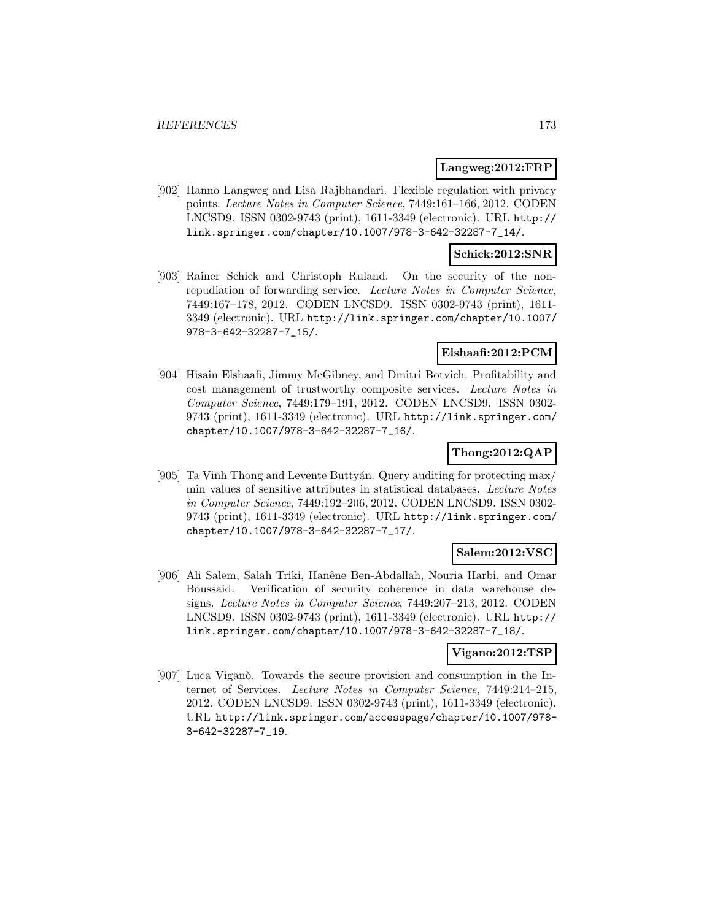### **Langweg:2012:FRP**

[902] Hanno Langweg and Lisa Rajbhandari. Flexible regulation with privacy points. Lecture Notes in Computer Science, 7449:161–166, 2012. CODEN LNCSD9. ISSN 0302-9743 (print), 1611-3349 (electronic). URL http:// link.springer.com/chapter/10.1007/978-3-642-32287-7\_14/.

### **Schick:2012:SNR**

[903] Rainer Schick and Christoph Ruland. On the security of the nonrepudiation of forwarding service. Lecture Notes in Computer Science, 7449:167–178, 2012. CODEN LNCSD9. ISSN 0302-9743 (print), 1611- 3349 (electronic). URL http://link.springer.com/chapter/10.1007/ 978-3-642-32287-7\_15/.

# **Elshaafi:2012:PCM**

[904] Hisain Elshaafi, Jimmy McGibney, and Dmitri Botvich. Profitability and cost management of trustworthy composite services. Lecture Notes in Computer Science, 7449:179–191, 2012. CODEN LNCSD9. ISSN 0302- 9743 (print), 1611-3349 (electronic). URL http://link.springer.com/ chapter/10.1007/978-3-642-32287-7\_16/.

### **Thong:2012:QAP**

[905] Ta Vinh Thong and Levente Buttyan. Query auditing for protecting max/ min values of sensitive attributes in statistical databases. Lecture Notes in Computer Science, 7449:192–206, 2012. CODEN LNCSD9. ISSN 0302- 9743 (print), 1611-3349 (electronic). URL http://link.springer.com/ chapter/10.1007/978-3-642-32287-7\_17/.

# **Salem:2012:VSC**

[906] Ali Salem, Salah Triki, Hanˆene Ben-Abdallah, Nouria Harbi, and Omar Boussaid. Verification of security coherence in data warehouse designs. Lecture Notes in Computer Science, 7449:207–213, 2012. CODEN LNCSD9. ISSN 0302-9743 (print), 1611-3349 (electronic). URL http:// link.springer.com/chapter/10.1007/978-3-642-32287-7\_18/.

# **Vigano:2012:TSP**

[907] Luca Viganò. Towards the secure provision and consumption in the Internet of Services. Lecture Notes in Computer Science, 7449:214–215, 2012. CODEN LNCSD9. ISSN 0302-9743 (print), 1611-3349 (electronic). URL http://link.springer.com/accesspage/chapter/10.1007/978- 3-642-32287-7\_19.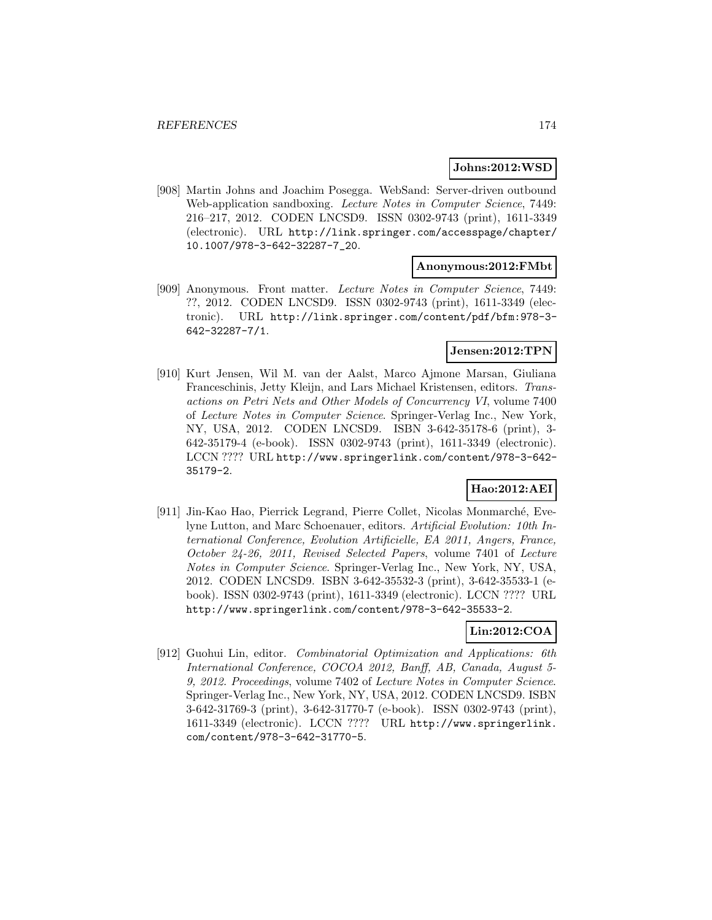### **Johns:2012:WSD**

[908] Martin Johns and Joachim Posegga. WebSand: Server-driven outbound Web-application sandboxing. Lecture Notes in Computer Science, 7449: 216–217, 2012. CODEN LNCSD9. ISSN 0302-9743 (print), 1611-3349 (electronic). URL http://link.springer.com/accesspage/chapter/ 10.1007/978-3-642-32287-7\_20.

### **Anonymous:2012:FMbt**

[909] Anonymous. Front matter. Lecture Notes in Computer Science, 7449: ??, 2012. CODEN LNCSD9. ISSN 0302-9743 (print), 1611-3349 (electronic). URL http://link.springer.com/content/pdf/bfm:978-3- 642-32287-7/1.

# **Jensen:2012:TPN**

[910] Kurt Jensen, Wil M. van der Aalst, Marco Ajmone Marsan, Giuliana Franceschinis, Jetty Kleijn, and Lars Michael Kristensen, editors. Transactions on Petri Nets and Other Models of Concurrency VI, volume 7400 of Lecture Notes in Computer Science. Springer-Verlag Inc., New York, NY, USA, 2012. CODEN LNCSD9. ISBN 3-642-35178-6 (print), 3- 642-35179-4 (e-book). ISSN 0302-9743 (print), 1611-3349 (electronic). LCCN ???? URL http://www.springerlink.com/content/978-3-642- 35179-2.

# **Hao:2012:AEI**

[911] Jin-Kao Hao, Pierrick Legrand, Pierre Collet, Nicolas Monmarché, Evelyne Lutton, and Marc Schoenauer, editors. Artificial Evolution: 10th International Conference, Evolution Artificielle, EA 2011, Angers, France, October 24-26, 2011, Revised Selected Papers, volume 7401 of Lecture Notes in Computer Science. Springer-Verlag Inc., New York, NY, USA, 2012. CODEN LNCSD9. ISBN 3-642-35532-3 (print), 3-642-35533-1 (ebook). ISSN 0302-9743 (print), 1611-3349 (electronic). LCCN ???? URL http://www.springerlink.com/content/978-3-642-35533-2.

# **Lin:2012:COA**

[912] Guohui Lin, editor. Combinatorial Optimization and Applications: 6th International Conference, COCOA 2012, Banff, AB, Canada, August 5- 9, 2012. Proceedings, volume 7402 of Lecture Notes in Computer Science. Springer-Verlag Inc., New York, NY, USA, 2012. CODEN LNCSD9. ISBN 3-642-31769-3 (print), 3-642-31770-7 (e-book). ISSN 0302-9743 (print), 1611-3349 (electronic). LCCN ???? URL http://www.springerlink. com/content/978-3-642-31770-5.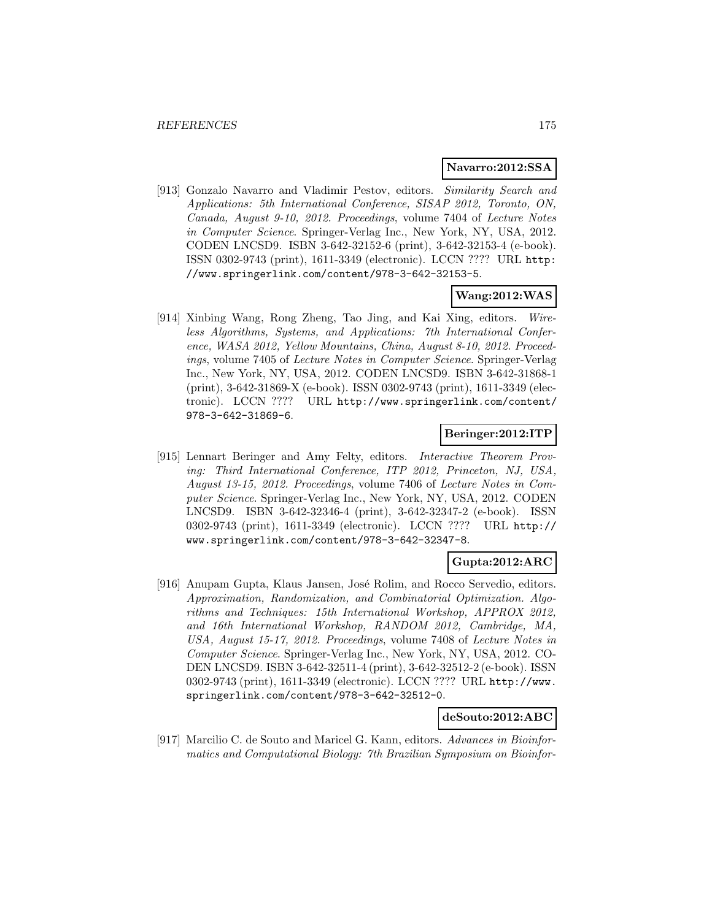#### **Navarro:2012:SSA**

[913] Gonzalo Navarro and Vladimir Pestov, editors. Similarity Search and Applications: 5th International Conference, SISAP 2012, Toronto, ON, Canada, August 9-10, 2012. Proceedings, volume 7404 of Lecture Notes in Computer Science. Springer-Verlag Inc., New York, NY, USA, 2012. CODEN LNCSD9. ISBN 3-642-32152-6 (print), 3-642-32153-4 (e-book). ISSN 0302-9743 (print), 1611-3349 (electronic). LCCN ???? URL http: //www.springerlink.com/content/978-3-642-32153-5.

# **Wang:2012:WAS**

[914] Xinbing Wang, Rong Zheng, Tao Jing, and Kai Xing, editors. Wireless Algorithms, Systems, and Applications: 7th International Conference, WASA 2012, Yellow Mountains, China, August 8-10, 2012. Proceedings, volume 7405 of Lecture Notes in Computer Science. Springer-Verlag Inc., New York, NY, USA, 2012. CODEN LNCSD9. ISBN 3-642-31868-1 (print), 3-642-31869-X (e-book). ISSN 0302-9743 (print), 1611-3349 (electronic). LCCN ???? URL http://www.springerlink.com/content/ 978-3-642-31869-6.

### **Beringer:2012:ITP**

[915] Lennart Beringer and Amy Felty, editors. Interactive Theorem Proving: Third International Conference, ITP 2012, Princeton, NJ, USA, August 13-15, 2012. Proceedings, volume 7406 of Lecture Notes in Computer Science. Springer-Verlag Inc., New York, NY, USA, 2012. CODEN LNCSD9. ISBN 3-642-32346-4 (print), 3-642-32347-2 (e-book). ISSN 0302-9743 (print), 1611-3349 (electronic). LCCN ???? URL http:// www.springerlink.com/content/978-3-642-32347-8.

### **Gupta:2012:ARC**

[916] Anupam Gupta, Klaus Jansen, José Rolim, and Rocco Servedio, editors. Approximation, Randomization, and Combinatorial Optimization. Algorithms and Techniques: 15th International Workshop, APPROX 2012, and 16th International Workshop, RANDOM 2012, Cambridge, MA, USA, August 15-17, 2012. Proceedings, volume 7408 of Lecture Notes in Computer Science. Springer-Verlag Inc., New York, NY, USA, 2012. CO-DEN LNCSD9. ISBN 3-642-32511-4 (print), 3-642-32512-2 (e-book). ISSN 0302-9743 (print), 1611-3349 (electronic). LCCN ???? URL http://www. springerlink.com/content/978-3-642-32512-0.

### **deSouto:2012:ABC**

[917] Marcilio C. de Souto and Maricel G. Kann, editors. Advances in Bioinformatics and Computational Biology: 7th Brazilian Symposium on Bioinfor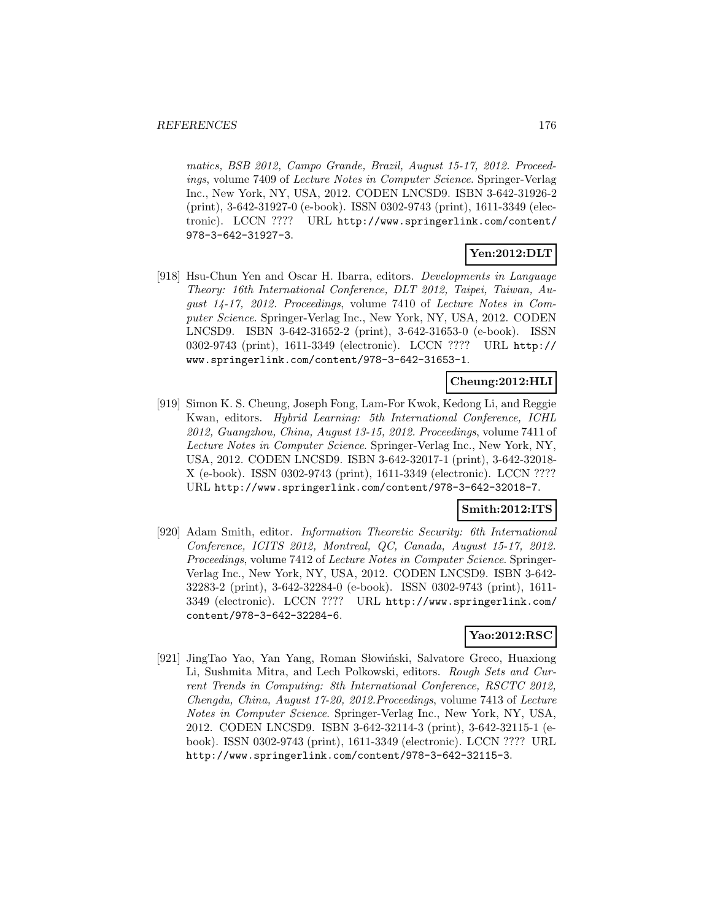matics, BSB 2012, Campo Grande, Brazil, August 15-17, 2012. Proceedings, volume 7409 of Lecture Notes in Computer Science. Springer-Verlag Inc., New York, NY, USA, 2012. CODEN LNCSD9. ISBN 3-642-31926-2 (print), 3-642-31927-0 (e-book). ISSN 0302-9743 (print), 1611-3349 (electronic). LCCN ???? URL http://www.springerlink.com/content/ 978-3-642-31927-3.

# **Yen:2012:DLT**

[918] Hsu-Chun Yen and Oscar H. Ibarra, editors. Developments in Language Theory: 16th International Conference, DLT 2012, Taipei, Taiwan, August 14-17, 2012. Proceedings, volume 7410 of Lecture Notes in Computer Science. Springer-Verlag Inc., New York, NY, USA, 2012. CODEN LNCSD9. ISBN 3-642-31652-2 (print), 3-642-31653-0 (e-book). ISSN 0302-9743 (print), 1611-3349 (electronic). LCCN ???? URL http:// www.springerlink.com/content/978-3-642-31653-1.

## **Cheung:2012:HLI**

[919] Simon K. S. Cheung, Joseph Fong, Lam-For Kwok, Kedong Li, and Reggie Kwan, editors. Hybrid Learning: 5th International Conference, ICHL 2012, Guangzhou, China, August 13-15, 2012. Proceedings, volume 7411 of Lecture Notes in Computer Science. Springer-Verlag Inc., New York, NY, USA, 2012. CODEN LNCSD9. ISBN 3-642-32017-1 (print), 3-642-32018- X (e-book). ISSN 0302-9743 (print), 1611-3349 (electronic). LCCN ???? URL http://www.springerlink.com/content/978-3-642-32018-7.

# **Smith:2012:ITS**

[920] Adam Smith, editor. Information Theoretic Security: 6th International Conference, ICITS 2012, Montreal, QC, Canada, August 15-17, 2012. Proceedings, volume 7412 of Lecture Notes in Computer Science. Springer-Verlag Inc., New York, NY, USA, 2012. CODEN LNCSD9. ISBN 3-642- 32283-2 (print), 3-642-32284-0 (e-book). ISSN 0302-9743 (print), 1611- 3349 (electronic). LCCN ???? URL http://www.springerlink.com/ content/978-3-642-32284-6.

# **Yao:2012:RSC**

[921] JingTao Yao, Yan Yang, Roman Słowiński, Salvatore Greco, Huaxiong Li, Sushmita Mitra, and Lech Polkowski, editors. Rough Sets and Current Trends in Computing: 8th International Conference, RSCTC 2012, Chengdu, China, August 17-20, 2012.Proceedings, volume 7413 of Lecture Notes in Computer Science. Springer-Verlag Inc., New York, NY, USA, 2012. CODEN LNCSD9. ISBN 3-642-32114-3 (print), 3-642-32115-1 (ebook). ISSN 0302-9743 (print), 1611-3349 (electronic). LCCN ???? URL http://www.springerlink.com/content/978-3-642-32115-3.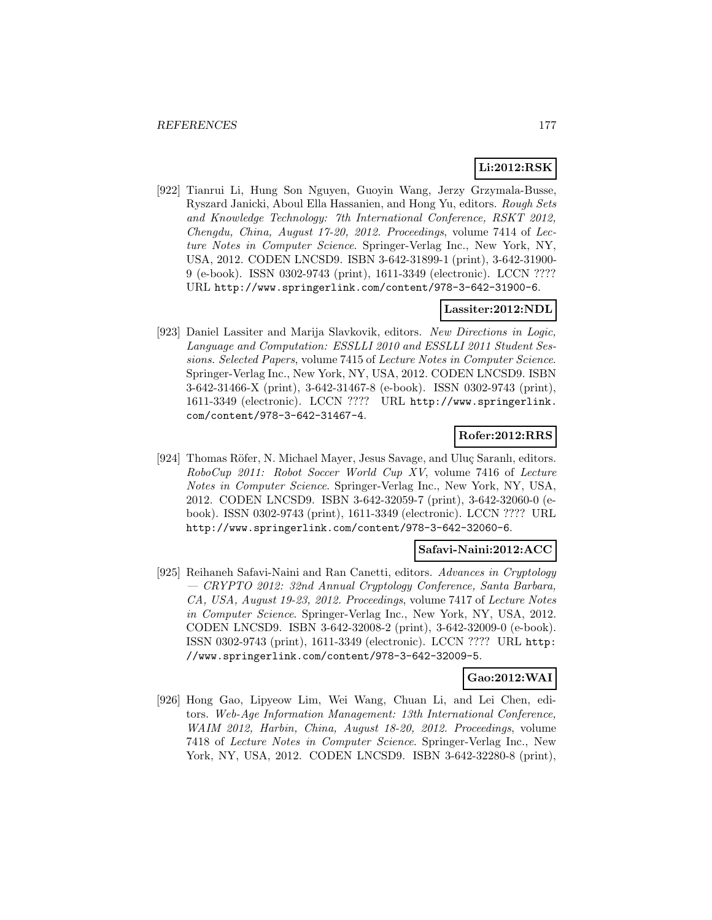# **Li:2012:RSK**

[922] Tianrui Li, Hung Son Nguyen, Guoyin Wang, Jerzy Grzymala-Busse, Ryszard Janicki, Aboul Ella Hassanien, and Hong Yu, editors. Rough Sets and Knowledge Technology: 7th International Conference, RSKT 2012, Chengdu, China, August 17-20, 2012. Proceedings, volume 7414 of Lecture Notes in Computer Science. Springer-Verlag Inc., New York, NY, USA, 2012. CODEN LNCSD9. ISBN 3-642-31899-1 (print), 3-642-31900- 9 (e-book). ISSN 0302-9743 (print), 1611-3349 (electronic). LCCN ???? URL http://www.springerlink.com/content/978-3-642-31900-6.

# **Lassiter:2012:NDL**

[923] Daniel Lassiter and Marija Slavkovik, editors. New Directions in Logic, Language and Computation: ESSLLI 2010 and ESSLLI 2011 Student Sessions. Selected Papers, volume 7415 of Lecture Notes in Computer Science. Springer-Verlag Inc., New York, NY, USA, 2012. CODEN LNCSD9. ISBN 3-642-31466-X (print), 3-642-31467-8 (e-book). ISSN 0302-9743 (print), 1611-3349 (electronic). LCCN ???? URL http://www.springerlink. com/content/978-3-642-31467-4.

# **Rofer:2012:RRS**

[924] Thomas Röfer, N. Michael Mayer, Jesus Savage, and Uluç Saranlı, editors. RoboCup 2011: Robot Soccer World Cup XV, volume 7416 of Lecture Notes in Computer Science. Springer-Verlag Inc., New York, NY, USA, 2012. CODEN LNCSD9. ISBN 3-642-32059-7 (print), 3-642-32060-0 (ebook). ISSN 0302-9743 (print), 1611-3349 (electronic). LCCN ???? URL http://www.springerlink.com/content/978-3-642-32060-6.

# **Safavi-Naini:2012:ACC**

[925] Reihaneh Safavi-Naini and Ran Canetti, editors. Advances in Cryptology — CRYPTO 2012: 32nd Annual Cryptology Conference, Santa Barbara, CA, USA, August 19-23, 2012. Proceedings, volume 7417 of Lecture Notes in Computer Science. Springer-Verlag Inc., New York, NY, USA, 2012. CODEN LNCSD9. ISBN 3-642-32008-2 (print), 3-642-32009-0 (e-book). ISSN 0302-9743 (print), 1611-3349 (electronic). LCCN ???? URL http: //www.springerlink.com/content/978-3-642-32009-5.

## **Gao:2012:WAI**

[926] Hong Gao, Lipyeow Lim, Wei Wang, Chuan Li, and Lei Chen, editors. Web-Age Information Management: 13th International Conference, WAIM 2012, Harbin, China, August 18-20, 2012. Proceedings, volume 7418 of Lecture Notes in Computer Science. Springer-Verlag Inc., New York, NY, USA, 2012. CODEN LNCSD9. ISBN 3-642-32280-8 (print),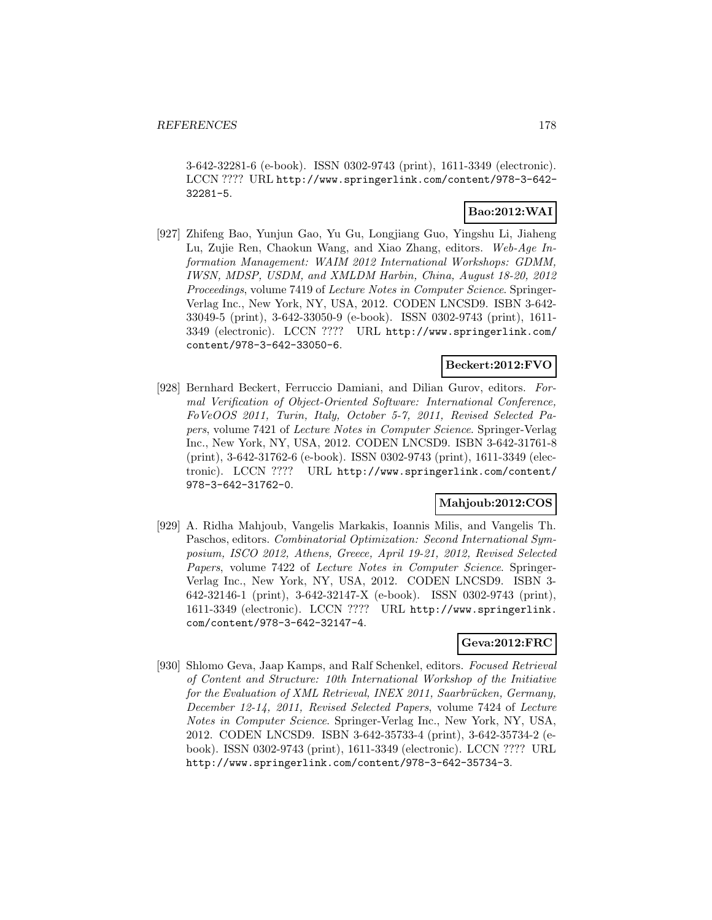3-642-32281-6 (e-book). ISSN 0302-9743 (print), 1611-3349 (electronic). LCCN ???? URL http://www.springerlink.com/content/978-3-642- 32281-5.

# **Bao:2012:WAI**

[927] Zhifeng Bao, Yunjun Gao, Yu Gu, Longjiang Guo, Yingshu Li, Jiaheng Lu, Zujie Ren, Chaokun Wang, and Xiao Zhang, editors. Web-Age Information Management: WAIM 2012 International Workshops: GDMM, IWSN, MDSP, USDM, and XMLDM Harbin, China, August 18-20, 2012 Proceedings, volume 7419 of Lecture Notes in Computer Science. Springer-Verlag Inc., New York, NY, USA, 2012. CODEN LNCSD9. ISBN 3-642- 33049-5 (print), 3-642-33050-9 (e-book). ISSN 0302-9743 (print), 1611- 3349 (electronic). LCCN ???? URL http://www.springerlink.com/ content/978-3-642-33050-6.

# **Beckert:2012:FVO**

[928] Bernhard Beckert, Ferruccio Damiani, and Dilian Gurov, editors. Formal Verification of Object-Oriented Software: International Conference, FoVeOOS 2011, Turin, Italy, October 5-7, 2011, Revised Selected Papers, volume 7421 of Lecture Notes in Computer Science. Springer-Verlag Inc., New York, NY, USA, 2012. CODEN LNCSD9. ISBN 3-642-31761-8 (print), 3-642-31762-6 (e-book). ISSN 0302-9743 (print), 1611-3349 (electronic). LCCN ???? URL http://www.springerlink.com/content/ 978-3-642-31762-0.

# **Mahjoub:2012:COS**

[929] A. Ridha Mahjoub, Vangelis Markakis, Ioannis Milis, and Vangelis Th. Paschos, editors. Combinatorial Optimization: Second International Symposium, ISCO 2012, Athens, Greece, April 19-21, 2012, Revised Selected Papers, volume 7422 of Lecture Notes in Computer Science. Springer-Verlag Inc., New York, NY, USA, 2012. CODEN LNCSD9. ISBN 3- 642-32146-1 (print), 3-642-32147-X (e-book). ISSN 0302-9743 (print), 1611-3349 (electronic). LCCN ???? URL http://www.springerlink. com/content/978-3-642-32147-4.

# **Geva:2012:FRC**

[930] Shlomo Geva, Jaap Kamps, and Ralf Schenkel, editors. Focused Retrieval of Content and Structure: 10th International Workshop of the Initiative for the Evaluation of XML Retrieval, INEX 2011, Saarbrücken, Germany, December 12-14, 2011, Revised Selected Papers, volume 7424 of Lecture Notes in Computer Science. Springer-Verlag Inc., New York, NY, USA, 2012. CODEN LNCSD9. ISBN 3-642-35733-4 (print), 3-642-35734-2 (ebook). ISSN 0302-9743 (print), 1611-3349 (electronic). LCCN ???? URL http://www.springerlink.com/content/978-3-642-35734-3.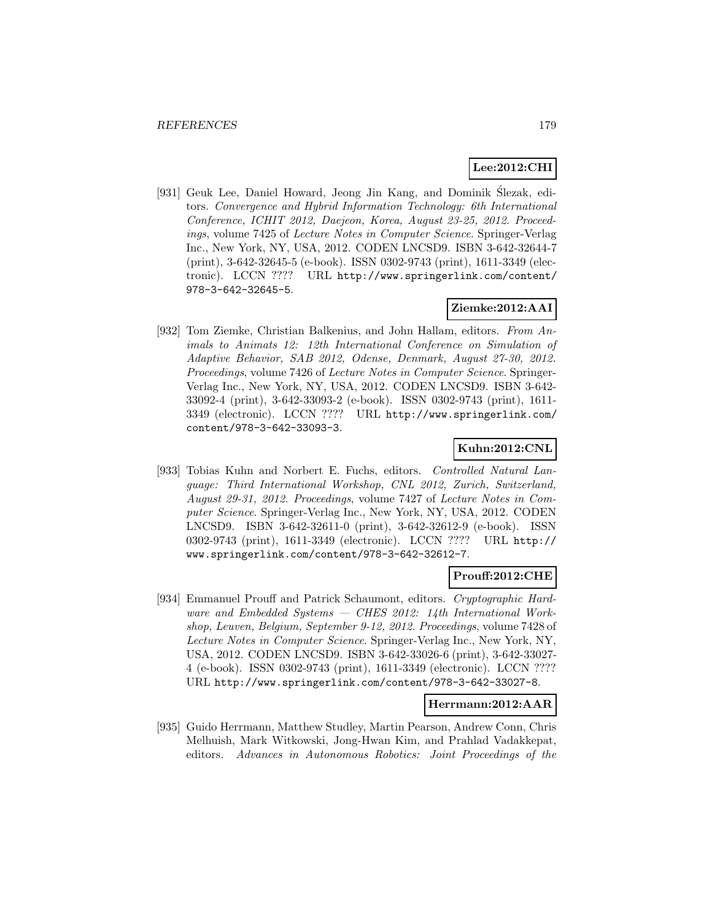# **Lee:2012:CHI**

[931] Geuk Lee, Daniel Howard, Jeong Jin Kang, and Dominik Slezak, edi- ´ tors. Convergence and Hybrid Information Technology: 6th International Conference, ICHIT 2012, Daejeon, Korea, August 23-25, 2012. Proceedings, volume 7425 of Lecture Notes in Computer Science. Springer-Verlag Inc., New York, NY, USA, 2012. CODEN LNCSD9. ISBN 3-642-32644-7 (print), 3-642-32645-5 (e-book). ISSN 0302-9743 (print), 1611-3349 (electronic). LCCN ???? URL http://www.springerlink.com/content/ 978-3-642-32645-5.

# **Ziemke:2012:AAI**

[932] Tom Ziemke, Christian Balkenius, and John Hallam, editors. From Animals to Animats 12: 12th International Conference on Simulation of Adaptive Behavior, SAB 2012, Odense, Denmark, August 27-30, 2012. Proceedings, volume 7426 of Lecture Notes in Computer Science. Springer-Verlag Inc., New York, NY, USA, 2012. CODEN LNCSD9. ISBN 3-642- 33092-4 (print), 3-642-33093-2 (e-book). ISSN 0302-9743 (print), 1611- 3349 (electronic). LCCN ???? URL http://www.springerlink.com/ content/978-3-642-33093-3.

# **Kuhn:2012:CNL**

[933] Tobias Kuhn and Norbert E. Fuchs, editors. Controlled Natural Language: Third International Workshop, CNL 2012, Zurich, Switzerland, August 29-31, 2012. Proceedings, volume 7427 of Lecture Notes in Computer Science. Springer-Verlag Inc., New York, NY, USA, 2012. CODEN LNCSD9. ISBN 3-642-32611-0 (print), 3-642-32612-9 (e-book). ISSN 0302-9743 (print), 1611-3349 (electronic). LCCN ???? URL http:// www.springerlink.com/content/978-3-642-32612-7.

# **Prouff:2012:CHE**

[934] Emmanuel Prouff and Patrick Schaumont, editors. Cryptographic Hardware and Embedded Systems  $-$  CHES 2012: 14th International Workshop, Leuven, Belgium, September 9-12, 2012. Proceedings, volume 7428 of Lecture Notes in Computer Science. Springer-Verlag Inc., New York, NY, USA, 2012. CODEN LNCSD9. ISBN 3-642-33026-6 (print), 3-642-33027- 4 (e-book). ISSN 0302-9743 (print), 1611-3349 (electronic). LCCN ???? URL http://www.springerlink.com/content/978-3-642-33027-8.

### **Herrmann:2012:AAR**

[935] Guido Herrmann, Matthew Studley, Martin Pearson, Andrew Conn, Chris Melhuish, Mark Witkowski, Jong-Hwan Kim, and Prahlad Vadakkepat, editors. Advances in Autonomous Robotics: Joint Proceedings of the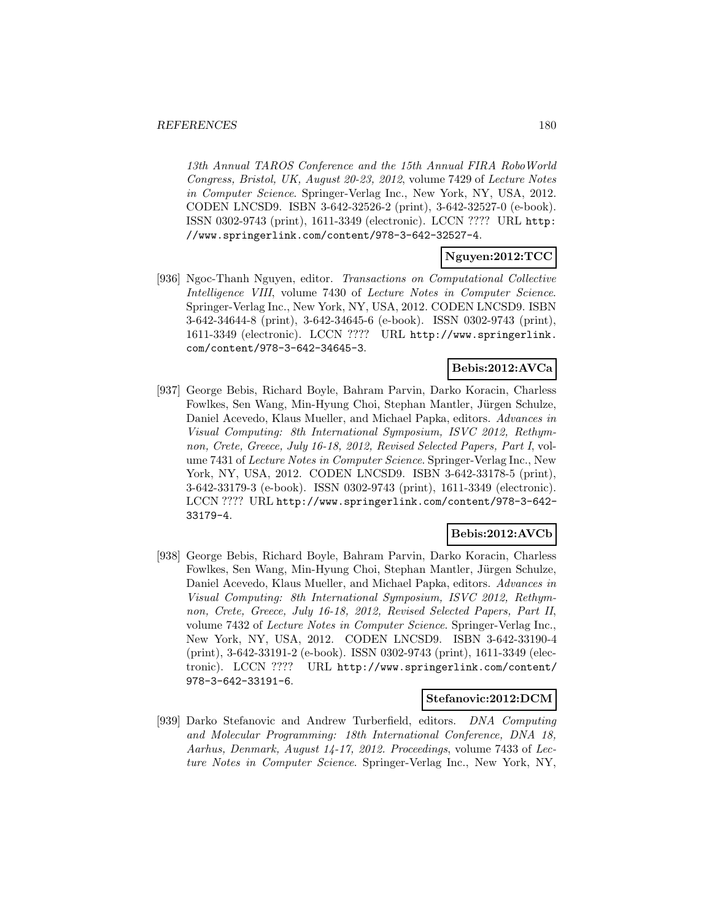13th Annual TAROS Conference and the 15th Annual FIRA RoboWorld Congress, Bristol, UK, August 20-23, 2012, volume 7429 of Lecture Notes in Computer Science. Springer-Verlag Inc., New York, NY, USA, 2012. CODEN LNCSD9. ISBN 3-642-32526-2 (print), 3-642-32527-0 (e-book). ISSN 0302-9743 (print), 1611-3349 (electronic). LCCN ???? URL http: //www.springerlink.com/content/978-3-642-32527-4.

# **Nguyen:2012:TCC**

[936] Ngoc-Thanh Nguyen, editor. Transactions on Computational Collective Intelligence VIII, volume 7430 of Lecture Notes in Computer Science. Springer-Verlag Inc., New York, NY, USA, 2012. CODEN LNCSD9. ISBN 3-642-34644-8 (print), 3-642-34645-6 (e-book). ISSN 0302-9743 (print), 1611-3349 (electronic). LCCN ???? URL http://www.springerlink. com/content/978-3-642-34645-3.

# **Bebis:2012:AVCa**

[937] George Bebis, Richard Boyle, Bahram Parvin, Darko Koracin, Charless Fowlkes, Sen Wang, Min-Hyung Choi, Stephan Mantler, Jürgen Schulze, Daniel Acevedo, Klaus Mueller, and Michael Papka, editors. Advances in Visual Computing: 8th International Symposium, ISVC 2012, Rethymnon, Crete, Greece, July 16-18, 2012, Revised Selected Papers, Part I, volume 7431 of Lecture Notes in Computer Science. Springer-Verlag Inc., New York, NY, USA, 2012. CODEN LNCSD9. ISBN 3-642-33178-5 (print), 3-642-33179-3 (e-book). ISSN 0302-9743 (print), 1611-3349 (electronic). LCCN ???? URL http://www.springerlink.com/content/978-3-642- 33179-4.

# **Bebis:2012:AVCb**

[938] George Bebis, Richard Boyle, Bahram Parvin, Darko Koracin, Charless Fowlkes, Sen Wang, Min-Hyung Choi, Stephan Mantler, Jürgen Schulze, Daniel Acevedo, Klaus Mueller, and Michael Papka, editors. Advances in Visual Computing: 8th International Symposium, ISVC 2012, Rethymnon, Crete, Greece, July 16-18, 2012, Revised Selected Papers, Part II, volume 7432 of Lecture Notes in Computer Science. Springer-Verlag Inc., New York, NY, USA, 2012. CODEN LNCSD9. ISBN 3-642-33190-4 (print), 3-642-33191-2 (e-book). ISSN 0302-9743 (print), 1611-3349 (electronic). LCCN ???? URL http://www.springerlink.com/content/ 978-3-642-33191-6.

### **Stefanovic:2012:DCM**

[939] Darko Stefanovic and Andrew Turberfield, editors. DNA Computing and Molecular Programming: 18th International Conference, DNA 18, Aarhus, Denmark, August 14-17, 2012. Proceedings, volume 7433 of Lecture Notes in Computer Science. Springer-Verlag Inc., New York, NY,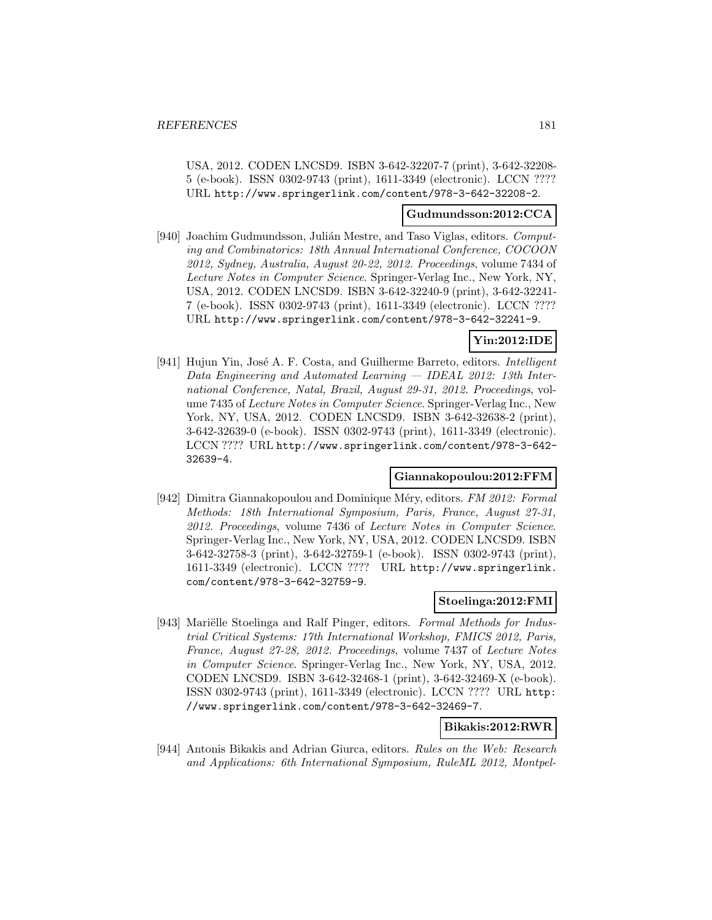USA, 2012. CODEN LNCSD9. ISBN 3-642-32207-7 (print), 3-642-32208- 5 (e-book). ISSN 0302-9743 (print), 1611-3349 (electronic). LCCN ???? URL http://www.springerlink.com/content/978-3-642-32208-2.

#### **Gudmundsson:2012:CCA**

[940] Joachim Gudmundsson, Julián Mestre, and Taso Viglas, editors. Computing and Combinatorics: 18th Annual International Conference, COCOON 2012, Sydney, Australia, August 20-22, 2012. Proceedings, volume 7434 of Lecture Notes in Computer Science. Springer-Verlag Inc., New York, NY, USA, 2012. CODEN LNCSD9. ISBN 3-642-32240-9 (print), 3-642-32241- 7 (e-book). ISSN 0302-9743 (print), 1611-3349 (electronic). LCCN ???? URL http://www.springerlink.com/content/978-3-642-32241-9.

## **Yin:2012:IDE**

[941] Hujun Yin, José A. F. Costa, and Guilherme Barreto, editors. *Intelligent* Data Engineering and Automated Learning — IDEAL 2012: 13th International Conference, Natal, Brazil, August 29-31, 2012. Proceedings, volume 7435 of Lecture Notes in Computer Science. Springer-Verlag Inc., New York, NY, USA, 2012. CODEN LNCSD9. ISBN 3-642-32638-2 (print), 3-642-32639-0 (e-book). ISSN 0302-9743 (print), 1611-3349 (electronic). LCCN ???? URL http://www.springerlink.com/content/978-3-642- 32639-4.

#### **Giannakopoulou:2012:FFM**

[942] Dimitra Giannakopoulou and Dominique Méry, editors. FM 2012: Formal Methods: 18th International Symposium, Paris, France, August 27-31, 2012. Proceedings, volume 7436 of Lecture Notes in Computer Science. Springer-Verlag Inc., New York, NY, USA, 2012. CODEN LNCSD9. ISBN 3-642-32758-3 (print), 3-642-32759-1 (e-book). ISSN 0302-9743 (print), 1611-3349 (electronic). LCCN ???? URL http://www.springerlink. com/content/978-3-642-32759-9.

#### **Stoelinga:2012:FMI**

[943] Mariëlle Stoelinga and Ralf Pinger, editors. Formal Methods for Industrial Critical Systems: 17th International Workshop, FMICS 2012, Paris, France, August 27-28, 2012. Proceedings, volume 7437 of Lecture Notes in Computer Science. Springer-Verlag Inc., New York, NY, USA, 2012. CODEN LNCSD9. ISBN 3-642-32468-1 (print), 3-642-32469-X (e-book). ISSN 0302-9743 (print), 1611-3349 (electronic). LCCN ???? URL http: //www.springerlink.com/content/978-3-642-32469-7.

## **Bikakis:2012:RWR**

[944] Antonis Bikakis and Adrian Giurca, editors. Rules on the Web: Research and Applications: 6th International Symposium, RuleML 2012, Montpel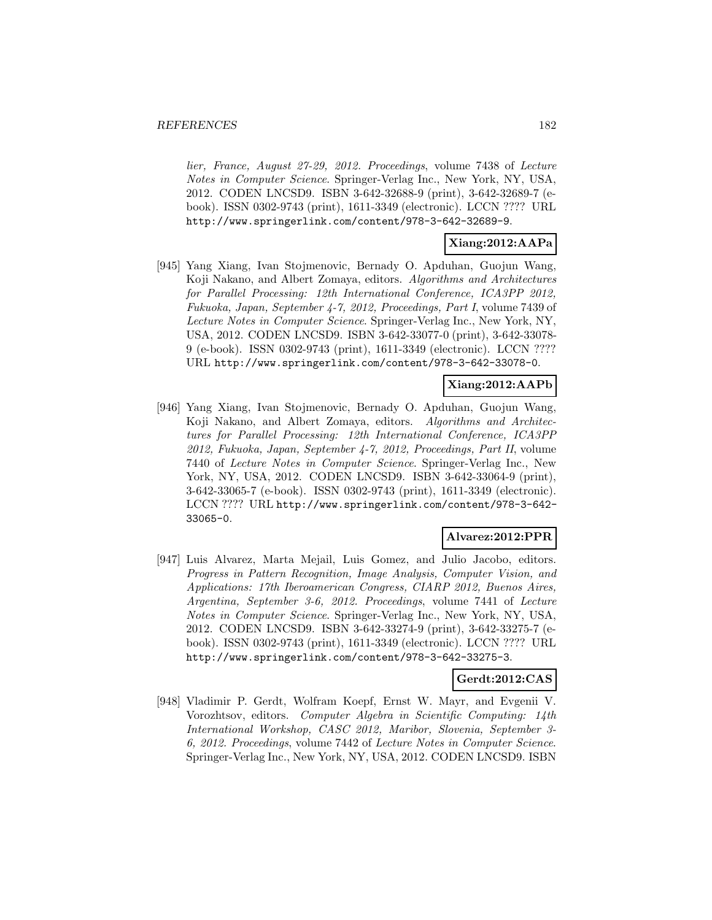lier, France, August 27-29, 2012. Proceedings, volume 7438 of Lecture Notes in Computer Science. Springer-Verlag Inc., New York, NY, USA, 2012. CODEN LNCSD9. ISBN 3-642-32688-9 (print), 3-642-32689-7 (ebook). ISSN 0302-9743 (print), 1611-3349 (electronic). LCCN ???? URL http://www.springerlink.com/content/978-3-642-32689-9.

## **Xiang:2012:AAPa**

[945] Yang Xiang, Ivan Stojmenovic, Bernady O. Apduhan, Guojun Wang, Koji Nakano, and Albert Zomaya, editors. Algorithms and Architectures for Parallel Processing: 12th International Conference, ICA3PP 2012, Fukuoka, Japan, September 4-7, 2012, Proceedings, Part I, volume 7439 of Lecture Notes in Computer Science. Springer-Verlag Inc., New York, NY, USA, 2012. CODEN LNCSD9. ISBN 3-642-33077-0 (print), 3-642-33078- 9 (e-book). ISSN 0302-9743 (print), 1611-3349 (electronic). LCCN ???? URL http://www.springerlink.com/content/978-3-642-33078-0.

## **Xiang:2012:AAPb**

[946] Yang Xiang, Ivan Stojmenovic, Bernady O. Apduhan, Guojun Wang, Koji Nakano, and Albert Zomaya, editors. Algorithms and Architectures for Parallel Processing: 12th International Conference, ICA3PP 2012, Fukuoka, Japan, September 4-7, 2012, Proceedings, Part II, volume 7440 of Lecture Notes in Computer Science. Springer-Verlag Inc., New York, NY, USA, 2012. CODEN LNCSD9. ISBN 3-642-33064-9 (print), 3-642-33065-7 (e-book). ISSN 0302-9743 (print), 1611-3349 (electronic). LCCN ???? URL http://www.springerlink.com/content/978-3-642- 33065-0.

## **Alvarez:2012:PPR**

[947] Luis Alvarez, Marta Mejail, Luis Gomez, and Julio Jacobo, editors. Progress in Pattern Recognition, Image Analysis, Computer Vision, and Applications: 17th Iberoamerican Congress, CIARP 2012, Buenos Aires, Argentina, September 3-6, 2012. Proceedings, volume 7441 of Lecture Notes in Computer Science. Springer-Verlag Inc., New York, NY, USA, 2012. CODEN LNCSD9. ISBN 3-642-33274-9 (print), 3-642-33275-7 (ebook). ISSN 0302-9743 (print), 1611-3349 (electronic). LCCN ???? URL http://www.springerlink.com/content/978-3-642-33275-3.

#### **Gerdt:2012:CAS**

[948] Vladimir P. Gerdt, Wolfram Koepf, Ernst W. Mayr, and Evgenii V. Vorozhtsov, editors. Computer Algebra in Scientific Computing: 14th International Workshop, CASC 2012, Maribor, Slovenia, September 3- 6, 2012. Proceedings, volume 7442 of Lecture Notes in Computer Science. Springer-Verlag Inc., New York, NY, USA, 2012. CODEN LNCSD9. ISBN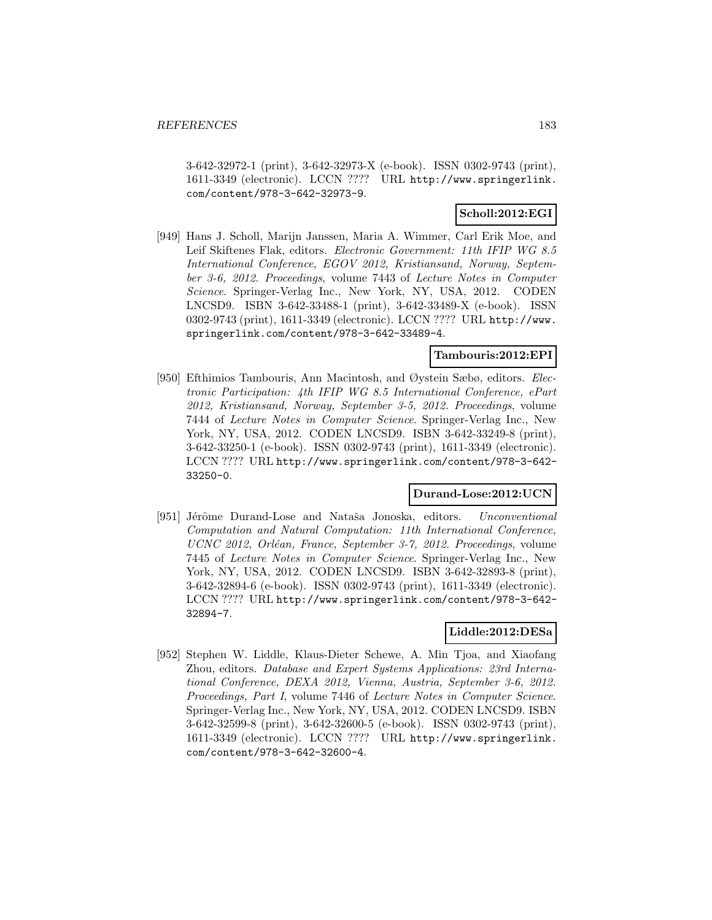3-642-32972-1 (print), 3-642-32973-X (e-book). ISSN 0302-9743 (print), 1611-3349 (electronic). LCCN ???? URL http://www.springerlink. com/content/978-3-642-32973-9.

## **Scholl:2012:EGI**

[949] Hans J. Scholl, Marijn Janssen, Maria A. Wimmer, Carl Erik Moe, and Leif Skiftenes Flak, editors. Electronic Government: 11th IFIP WG 8.5 International Conference, EGOV 2012, Kristiansand, Norway, September 3-6, 2012. Proceedings, volume 7443 of Lecture Notes in Computer Science. Springer-Verlag Inc., New York, NY, USA, 2012. CODEN LNCSD9. ISBN 3-642-33488-1 (print), 3-642-33489-X (e-book). ISSN 0302-9743 (print), 1611-3349 (electronic). LCCN ???? URL http://www. springerlink.com/content/978-3-642-33489-4.

### **Tambouris:2012:EPI**

[950] Efthimios Tambouris, Ann Macintosh, and Øystein Sæbø, editors. Electronic Participation: 4th IFIP WG 8.5 International Conference, ePart 2012, Kristiansand, Norway, September 3-5, 2012. Proceedings, volume 7444 of Lecture Notes in Computer Science. Springer-Verlag Inc., New York, NY, USA, 2012. CODEN LNCSD9. ISBN 3-642-33249-8 (print), 3-642-33250-1 (e-book). ISSN 0302-9743 (print), 1611-3349 (electronic). LCCN ???? URL http://www.springerlink.com/content/978-3-642- 33250-0.

#### **Durand-Lose:2012:UCN**

[951] Jérôme Durand-Lose and Nataša Jonoska, editors. Unconventional Computation and Natural Computation: 11th International Conference, UCNC 2012, Orléan, France, September 3-7, 2012. Proceedings, volume 7445 of Lecture Notes in Computer Science. Springer-Verlag Inc., New York, NY, USA, 2012. CODEN LNCSD9. ISBN 3-642-32893-8 (print), 3-642-32894-6 (e-book). ISSN 0302-9743 (print), 1611-3349 (electronic). LCCN ???? URL http://www.springerlink.com/content/978-3-642- 32894-7.

### **Liddle:2012:DESa**

[952] Stephen W. Liddle, Klaus-Dieter Schewe, A. Min Tjoa, and Xiaofang Zhou, editors. Database and Expert Systems Applications: 23rd International Conference, DEXA 2012, Vienna, Austria, September 3-6, 2012. Proceedings, Part I, volume 7446 of Lecture Notes in Computer Science. Springer-Verlag Inc., New York, NY, USA, 2012. CODEN LNCSD9. ISBN 3-642-32599-8 (print), 3-642-32600-5 (e-book). ISSN 0302-9743 (print), 1611-3349 (electronic). LCCN ???? URL http://www.springerlink. com/content/978-3-642-32600-4.